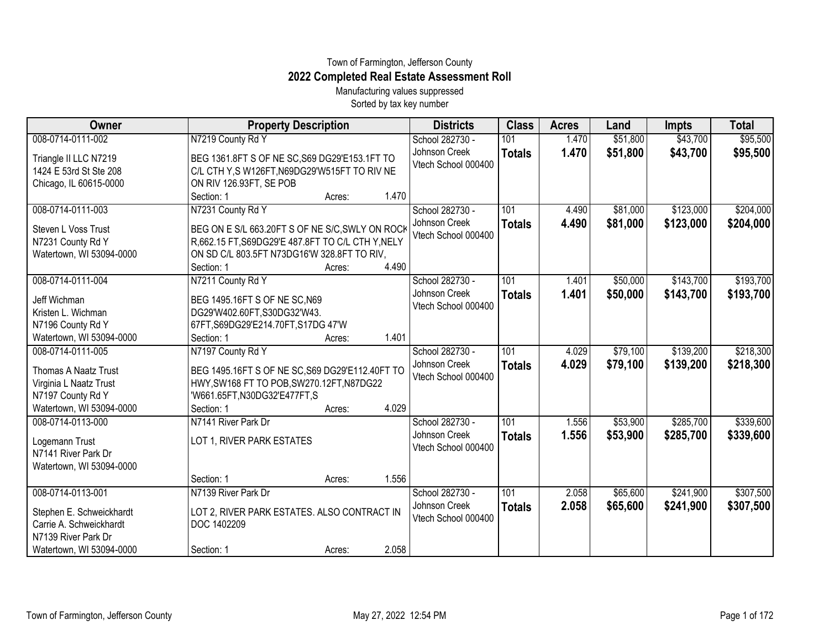## Town of Farmington, Jefferson County **2022 Completed Real Estate Assessment Roll**

Manufacturing values suppressed Sorted by tax key number

| Owner                                                                                                                       | <b>Property Description</b>                                                                                                                                              |        |       | <b>Districts</b>                                        | <b>Class</b>         | <b>Acres</b>   | Land                 | <b>Impts</b>           | <b>Total</b>           |
|-----------------------------------------------------------------------------------------------------------------------------|--------------------------------------------------------------------------------------------------------------------------------------------------------------------------|--------|-------|---------------------------------------------------------|----------------------|----------------|----------------------|------------------------|------------------------|
| 008-0714-0111-002                                                                                                           | N7219 County Rd Y                                                                                                                                                        |        |       | School 282730 -                                         | 101                  | 1.470          | \$51,800             | \$43,700               | \$95,500               |
| Triangle II LLC N7219<br>1424 E 53rd St Ste 208<br>Chicago, IL 60615-0000                                                   | BEG 1361.8FT S OF NE SC, S69 DG29'E153.1FT TO<br>C/L CTH Y,S W126FT, N69DG29'W515FT TO RIV NE<br>ON RIV 126.93FT, SE POB                                                 |        |       | Johnson Creek<br>Vtech School 000400                    | <b>Totals</b>        | 1.470          | \$51,800             | \$43,700               | \$95,500               |
|                                                                                                                             | Section: 1                                                                                                                                                               | Acres: | 1.470 |                                                         |                      |                |                      |                        |                        |
| 008-0714-0111-003<br>Steven L Voss Trust<br>N7231 County Rd Y<br>Watertown, WI 53094-0000                                   | N7231 County Rd Y<br>BEG ON E S/L 663.20FT S OF NE S/C, SWLY ON ROCK<br>R,662.15 FT, S69DG29'E 487.8FT TO C/L CTH Y, NELY<br>ON SD C/L 803.5FT N73DG16'W 328.8FT TO RIV, |        |       | School 282730 -<br>Johnson Creek<br>Vtech School 000400 | 101<br><b>Totals</b> | 4.490<br>4.490 | \$81,000<br>\$81,000 | \$123,000<br>\$123,000 | \$204,000<br>\$204,000 |
|                                                                                                                             | Section: 1                                                                                                                                                               | Acres: | 4.490 |                                                         |                      |                |                      |                        |                        |
| 008-0714-0111-004<br>Jeff Wichman<br>Kristen L. Wichman<br>N7196 County Rd Y                                                | N7211 County Rd Y<br>BEG 1495.16FT S OF NE SC, N69<br>DG29'W402.60FT,S30DG32'W43.<br>67FT, S69DG29'E214.70FT, S17DG 47'W                                                 |        |       | School 282730 -<br>Johnson Creek<br>Vtech School 000400 | 101<br><b>Totals</b> | 1.401<br>1.401 | \$50,000<br>\$50,000 | \$143,700<br>\$143,700 | \$193,700<br>\$193,700 |
| Watertown, WI 53094-0000                                                                                                    | Section: 1                                                                                                                                                               | Acres: | 1.401 |                                                         |                      |                |                      |                        |                        |
| 008-0714-0111-005<br>Thomas A Naatz Trust<br>Virginia L Naatz Trust<br>N7197 County Rd Y                                    | N7197 County Rd Y<br>BEG 1495.16FT S OF NE SC, S69 DG29'E112.40FT TO<br>HWY, SW168 FT TO POB, SW270.12FT, N87DG22<br>'W661.65FT,N30DG32'E477FT,S                         |        |       | School 282730 -<br>Johnson Creek<br>Vtech School 000400 | 101<br><b>Totals</b> | 4.029<br>4.029 | \$79,100<br>\$79,100 | \$139,200<br>\$139,200 | \$218,300<br>\$218,300 |
| Watertown, WI 53094-0000                                                                                                    | Section: 1                                                                                                                                                               | Acres: | 4.029 |                                                         |                      |                |                      |                        |                        |
| 008-0714-0113-000<br>Logemann Trust<br>N7141 River Park Dr<br>Watertown, WI 53094-0000                                      | N7141 River Park Dr<br>LOT 1, RIVER PARK ESTATES                                                                                                                         |        |       | School 282730 -<br>Johnson Creek<br>Vtech School 000400 | 101<br><b>Totals</b> | 1.556<br>1.556 | \$53,900<br>\$53,900 | \$285,700<br>\$285,700 | \$339,600<br>\$339,600 |
|                                                                                                                             | Section: 1                                                                                                                                                               | Acres: | 1.556 |                                                         |                      |                |                      |                        |                        |
| 008-0714-0113-001<br>Stephen E. Schweickhardt<br>Carrie A. Schweickhardt<br>N7139 River Park Dr<br>Watertown, WI 53094-0000 | N7139 River Park Dr<br>LOT 2, RIVER PARK ESTATES. ALSO CONTRACT IN<br>DOC 1402209<br>Section: 1                                                                          | Acres: | 2.058 | School 282730 -<br>Johnson Creek<br>Vtech School 000400 | 101<br><b>Totals</b> | 2.058<br>2.058 | \$65,600<br>\$65,600 | \$241,900<br>\$241,900 | \$307,500<br>\$307,500 |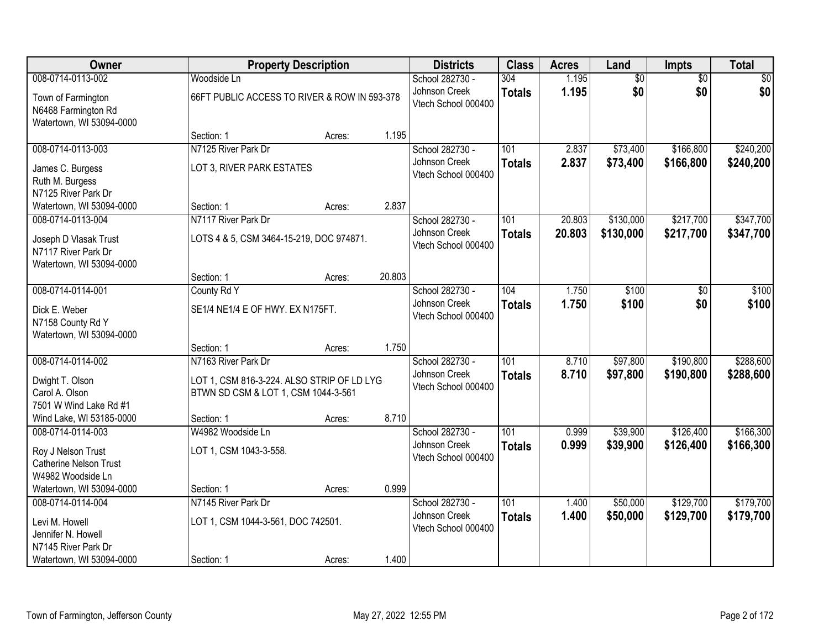| <b>Owner</b>                                                             | <b>Property Description</b>                                                                              |        |        | <b>Districts</b>                                        | <b>Class</b>         | <b>Acres</b>   | Land                 | <b>Impts</b>           | <b>Total</b>           |
|--------------------------------------------------------------------------|----------------------------------------------------------------------------------------------------------|--------|--------|---------------------------------------------------------|----------------------|----------------|----------------------|------------------------|------------------------|
| 008-0714-0113-002                                                        | Woodside Ln                                                                                              |        |        | School 282730 -                                         | 304                  | 1.195          | $\overline{50}$      | $\overline{50}$        | $\overline{50}$        |
| Town of Farmington<br>N6468 Farmington Rd<br>Watertown, WI 53094-0000    | 66FT PUBLIC ACCESS TO RIVER & ROW IN 593-378                                                             |        |        | Johnson Creek<br>Vtech School 000400                    | <b>Totals</b>        | 1.195          | \$0                  | \$0                    | \$0                    |
|                                                                          | Section: 1                                                                                               | Acres: | 1.195  |                                                         |                      |                |                      |                        |                        |
| 008-0714-0113-003                                                        | N7125 River Park Dr                                                                                      |        |        | School 282730 -                                         | 101                  | 2.837          | \$73,400             | \$166,800              | \$240,200              |
| James C. Burgess<br>Ruth M. Burgess<br>N7125 River Park Dr               | LOT 3, RIVER PARK ESTATES                                                                                |        |        | Johnson Creek<br>Vtech School 000400                    | <b>Totals</b>        | 2.837          | \$73,400             | \$166,800              | \$240,200              |
| Watertown, WI 53094-0000                                                 | Section: 1                                                                                               | Acres: | 2.837  |                                                         |                      |                |                      |                        |                        |
| 008-0714-0113-004                                                        | N7117 River Park Dr                                                                                      |        |        | School 282730 -                                         | 101                  | 20.803         | \$130,000            | \$217,700              | \$347,700              |
| Joseph D Vlasak Trust<br>N7117 River Park Dr<br>Watertown, WI 53094-0000 | LOTS 4 & 5, CSM 3464-15-219, DOC 974871.                                                                 |        |        | Johnson Creek<br>Vtech School 000400                    | <b>Totals</b>        | 20.803         | \$130,000            | \$217,700              | \$347,700              |
|                                                                          | Section: 1                                                                                               | Acres: | 20.803 |                                                         |                      |                |                      |                        |                        |
| 008-0714-0114-001                                                        | County Rd Y                                                                                              |        |        | School 282730 -                                         | 104                  | 1.750          | \$100                | \$0                    | \$100                  |
| Dick E. Weber<br>N7158 County Rd Y                                       | SE1/4 NE1/4 E OF HWY. EX N175FT.                                                                         |        |        | Johnson Creek<br>Vtech School 000400                    | <b>Totals</b>        | 1.750          | \$100                | \$0                    | \$100                  |
| Watertown, WI 53094-0000                                                 | Section: 1                                                                                               | Acres: | 1.750  |                                                         |                      |                |                      |                        |                        |
| 008-0714-0114-002<br>Dwight T. Olson<br>Carol A. Olson                   | N7163 River Park Dr<br>LOT 1, CSM 816-3-224. ALSO STRIP OF LD LYG<br>BTWN SD CSM & LOT 1, CSM 1044-3-561 |        |        | School 282730 -<br>Johnson Creek<br>Vtech School 000400 | 101<br><b>Totals</b> | 8.710<br>8.710 | \$97,800<br>\$97,800 | \$190,800<br>\$190,800 | \$288,600<br>\$288,600 |
| 7501 W Wind Lake Rd #1<br>Wind Lake, WI 53185-0000                       | Section: 1                                                                                               | Acres: | 8.710  |                                                         |                      |                |                      |                        |                        |
| 008-0714-0114-003                                                        | W4982 Woodside Ln                                                                                        |        |        | School 282730 -                                         | 101                  | 0.999          | \$39,900             | \$126,400              | \$166,300              |
| Roy J Nelson Trust<br><b>Catherine Nelson Trust</b><br>W4982 Woodside Ln | LOT 1, CSM 1043-3-558.                                                                                   |        |        | Johnson Creek<br>Vtech School 000400                    | <b>Totals</b>        | 0.999          | \$39,900             | \$126,400              | \$166,300              |
| Watertown, WI 53094-0000                                                 | Section: 1                                                                                               | Acres: | 0.999  |                                                         |                      |                |                      |                        |                        |
| 008-0714-0114-004<br>Levi M. Howell                                      | N7145 River Park Dr<br>LOT 1, CSM 1044-3-561, DOC 742501.                                                |        |        | School 282730 -<br>Johnson Creek<br>Vtech School 000400 | 101<br><b>Totals</b> | 1.400<br>1.400 | \$50,000<br>\$50,000 | \$129,700<br>\$129,700 | \$179,700<br>\$179,700 |
| Jennifer N. Howell                                                       |                                                                                                          |        |        |                                                         |                      |                |                      |                        |                        |
| N7145 River Park Dr<br>Watertown, WI 53094-0000                          | Section: 1                                                                                               | Acres: | 1.400  |                                                         |                      |                |                      |                        |                        |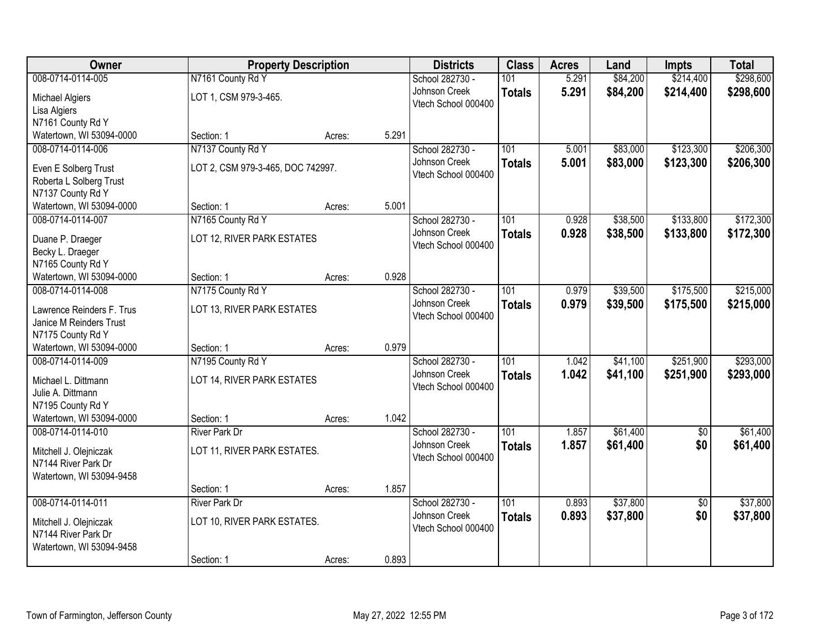| Owner                     | <b>Property Description</b>       |        |       | <b>Districts</b>    | <b>Class</b>     | <b>Acres</b> | Land     | <b>Impts</b>    | <b>Total</b> |
|---------------------------|-----------------------------------|--------|-------|---------------------|------------------|--------------|----------|-----------------|--------------|
| 008-0714-0114-005         | N7161 County Rd Y                 |        |       | School 282730 -     | 101              | 5.291        | \$84,200 | \$214,400       | \$298,600    |
| Michael Algiers           | LOT 1, CSM 979-3-465.             |        |       | Johnson Creek       | <b>Totals</b>    | 5.291        | \$84,200 | \$214,400       | \$298,600    |
| Lisa Algiers              |                                   |        |       | Vtech School 000400 |                  |              |          |                 |              |
| N7161 County Rd Y         |                                   |        |       |                     |                  |              |          |                 |              |
| Watertown, WI 53094-0000  | Section: 1                        | Acres: | 5.291 |                     |                  |              |          |                 |              |
| 008-0714-0114-006         | N7137 County Rd Y                 |        |       | School 282730 -     | 101              | 5.001        | \$83,000 | \$123,300       | \$206,300    |
| Even E Solberg Trust      | LOT 2, CSM 979-3-465, DOC 742997. |        |       | Johnson Creek       | <b>Totals</b>    | 5.001        | \$83,000 | \$123,300       | \$206,300    |
| Roberta L Solberg Trust   |                                   |        |       | Vtech School 000400 |                  |              |          |                 |              |
| N7137 County Rd Y         |                                   |        |       |                     |                  |              |          |                 |              |
| Watertown, WI 53094-0000  | Section: 1                        | Acres: | 5.001 |                     |                  |              |          |                 |              |
| 008-0714-0114-007         | N7165 County Rd Y                 |        |       | School 282730 -     | 101              | 0.928        | \$38,500 | \$133,800       | \$172,300    |
| Duane P. Draeger          | LOT 12, RIVER PARK ESTATES        |        |       | Johnson Creek       | <b>Totals</b>    | 0.928        | \$38,500 | \$133,800       | \$172,300    |
| Becky L. Draeger          |                                   |        |       | Vtech School 000400 |                  |              |          |                 |              |
| N7165 County Rd Y         |                                   |        |       |                     |                  |              |          |                 |              |
| Watertown, WI 53094-0000  | Section: 1                        | Acres: | 0.928 |                     |                  |              |          |                 |              |
| 008-0714-0114-008         | N7175 County Rd Y                 |        |       | School 282730 -     | 101              | 0.979        | \$39,500 | \$175,500       | \$215,000    |
| Lawrence Reinders F. Trus | LOT 13, RIVER PARK ESTATES        |        |       | Johnson Creek       | <b>Totals</b>    | 0.979        | \$39,500 | \$175,500       | \$215,000    |
| Janice M Reinders Trust   |                                   |        |       | Vtech School 000400 |                  |              |          |                 |              |
| N7175 County Rd Y         |                                   |        |       |                     |                  |              |          |                 |              |
| Watertown, WI 53094-0000  | Section: 1                        | Acres: | 0.979 |                     |                  |              |          |                 |              |
| 008-0714-0114-009         | N7195 County Rd Y                 |        |       | School 282730 -     | 101              | 1.042        | \$41,100 | \$251,900       | \$293,000    |
| Michael L. Dittmann       | LOT 14, RIVER PARK ESTATES        |        |       | Johnson Creek       | <b>Totals</b>    | 1.042        | \$41,100 | \$251,900       | \$293,000    |
| Julie A. Dittmann         |                                   |        |       | Vtech School 000400 |                  |              |          |                 |              |
| N7195 County Rd Y         |                                   |        |       |                     |                  |              |          |                 |              |
| Watertown, WI 53094-0000  | Section: 1                        | Acres: | 1.042 |                     |                  |              |          |                 |              |
| 008-0714-0114-010         | <b>River Park Dr</b>              |        |       | School 282730 -     | $\overline{101}$ | 1.857        | \$61,400 | $\sqrt{6}$      | \$61,400     |
| Mitchell J. Olejniczak    | LOT 11, RIVER PARK ESTATES.       |        |       | Johnson Creek       | <b>Totals</b>    | 1.857        | \$61,400 | \$0             | \$61,400     |
| N7144 River Park Dr       |                                   |        |       | Vtech School 000400 |                  |              |          |                 |              |
| Watertown, WI 53094-9458  |                                   |        |       |                     |                  |              |          |                 |              |
|                           | Section: 1                        | Acres: | 1.857 |                     |                  |              |          |                 |              |
| 008-0714-0114-011         | <b>River Park Dr</b>              |        |       | School 282730 -     | $\overline{101}$ | 0.893        | \$37,800 | $\overline{30}$ | \$37,800     |
| Mitchell J. Olejniczak    | LOT 10, RIVER PARK ESTATES.       |        |       | Johnson Creek       | <b>Totals</b>    | 0.893        | \$37,800 | \$0             | \$37,800     |
| N7144 River Park Dr       |                                   |        |       | Vtech School 000400 |                  |              |          |                 |              |
| Watertown, WI 53094-9458  |                                   |        |       |                     |                  |              |          |                 |              |
|                           | Section: 1                        | Acres: | 0.893 |                     |                  |              |          |                 |              |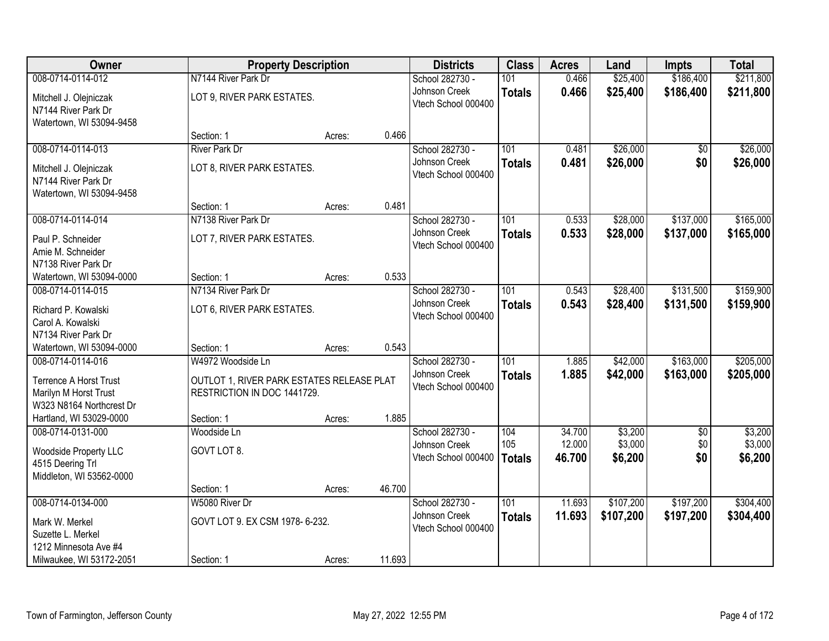| Owner                         |                                           | <b>Property Description</b> |        | <b>Districts</b>                     | <b>Class</b>  | <b>Acres</b> | Land      | <b>Impts</b>    | <b>Total</b> |
|-------------------------------|-------------------------------------------|-----------------------------|--------|--------------------------------------|---------------|--------------|-----------|-----------------|--------------|
| 008-0714-0114-012             | N7144 River Park Dr                       |                             |        | School 282730 -                      | 101           | 0.466        | \$25,400  | \$186,400       | \$211,800    |
| Mitchell J. Olejniczak        | LOT 9, RIVER PARK ESTATES.                |                             |        | Johnson Creek                        | <b>Totals</b> | 0.466        | \$25,400  | \$186,400       | \$211,800    |
| N7144 River Park Dr           |                                           |                             |        | Vtech School 000400                  |               |              |           |                 |              |
| Watertown, WI 53094-9458      |                                           |                             |        |                                      |               |              |           |                 |              |
|                               | Section: 1                                | Acres:                      | 0.466  |                                      |               |              |           |                 |              |
| 008-0714-0114-013             | <b>River Park Dr</b>                      |                             |        | School 282730 -                      | 101           | 0.481        | \$26,000  | $\overline{50}$ | \$26,000     |
| Mitchell J. Olejniczak        | LOT 8, RIVER PARK ESTATES.                |                             |        | Johnson Creek                        | <b>Totals</b> | 0.481        | \$26,000  | \$0             | \$26,000     |
| N7144 River Park Dr           |                                           |                             |        | Vtech School 000400                  |               |              |           |                 |              |
| Watertown, WI 53094-9458      |                                           |                             |        |                                      |               |              |           |                 |              |
|                               | Section: 1                                | Acres:                      | 0.481  |                                      |               |              |           |                 |              |
| 008-0714-0114-014             | N7138 River Park Dr                       |                             |        | School 282730 -                      | 101           | 0.533        | \$28,000  | \$137,000       | \$165,000    |
| Paul P. Schneider             | LOT 7, RIVER PARK ESTATES.                |                             |        | Johnson Creek                        | <b>Totals</b> | 0.533        | \$28,000  | \$137,000       | \$165,000    |
| Amie M. Schneider             |                                           |                             |        | Vtech School 000400                  |               |              |           |                 |              |
| N7138 River Park Dr           |                                           |                             |        |                                      |               |              |           |                 |              |
| Watertown, WI 53094-0000      | Section: 1                                | Acres:                      | 0.533  |                                      |               |              |           |                 |              |
| 008-0714-0114-015             | N7134 River Park Dr                       |                             |        | School 282730 -                      | 101           | 0.543        | \$28,400  | \$131,500       | \$159,900    |
| Richard P. Kowalski           | LOT 6, RIVER PARK ESTATES.                |                             |        | Johnson Creek                        | <b>Totals</b> | 0.543        | \$28,400  | \$131,500       | \$159,900    |
| Carol A. Kowalski             |                                           |                             |        | Vtech School 000400                  |               |              |           |                 |              |
| N7134 River Park Dr           |                                           |                             |        |                                      |               |              |           |                 |              |
| Watertown, WI 53094-0000      | Section: 1                                | Acres:                      | 0.543  |                                      |               |              |           |                 |              |
| 008-0714-0114-016             | W4972 Woodside Ln                         |                             |        | School 282730 -                      | 101           | 1.885        | \$42,000  | \$163,000       | \$205,000    |
| <b>Terrence A Horst Trust</b> | OUTLOT 1, RIVER PARK ESTATES RELEASE PLAT |                             |        | Johnson Creek                        | <b>Totals</b> | 1.885        | \$42,000  | \$163,000       | \$205,000    |
| Marilyn M Horst Trust         | RESTRICTION IN DOC 1441729.               |                             |        | Vtech School 000400                  |               |              |           |                 |              |
| W323 N8164 Northcrest Dr      |                                           |                             |        |                                      |               |              |           |                 |              |
| Hartland, WI 53029-0000       | Section: 1                                | Acres:                      | 1.885  |                                      |               |              |           |                 |              |
| 008-0714-0131-000             | Woodside Ln                               |                             |        | School 282730 -                      | 104           | 34.700       | \$3,200   | $\sqrt{6}$      | \$3,200      |
| Woodside Property LLC         | GOVT LOT 8.                               |                             |        | Johnson Creek<br>Vtech School 000400 | 105           | 12.000       | \$3,000   | \$0<br>\$0      | \$3,000      |
| 4515 Deering Trl              |                                           |                             |        |                                      | <b>Totals</b> | 46.700       | \$6,200   |                 | \$6,200      |
| Middleton, WI 53562-0000      |                                           |                             |        |                                      |               |              |           |                 |              |
|                               | Section: 1                                | Acres:                      | 46.700 |                                      |               |              |           |                 |              |
| 008-0714-0134-000             | W5080 River Dr                            |                             |        | School 282730 -                      | 101           | 11.693       | \$107,200 | \$197,200       | \$304,400    |
| Mark W. Merkel                | GOVT LOT 9. EX CSM 1978-6-232.            |                             |        | Johnson Creek<br>Vtech School 000400 | <b>Totals</b> | 11.693       | \$107,200 | \$197,200       | \$304,400    |
| Suzette L. Merkel             |                                           |                             |        |                                      |               |              |           |                 |              |
| 1212 Minnesota Ave #4         |                                           |                             |        |                                      |               |              |           |                 |              |
| Milwaukee, WI 53172-2051      | Section: 1                                | Acres:                      | 11.693 |                                      |               |              |           |                 |              |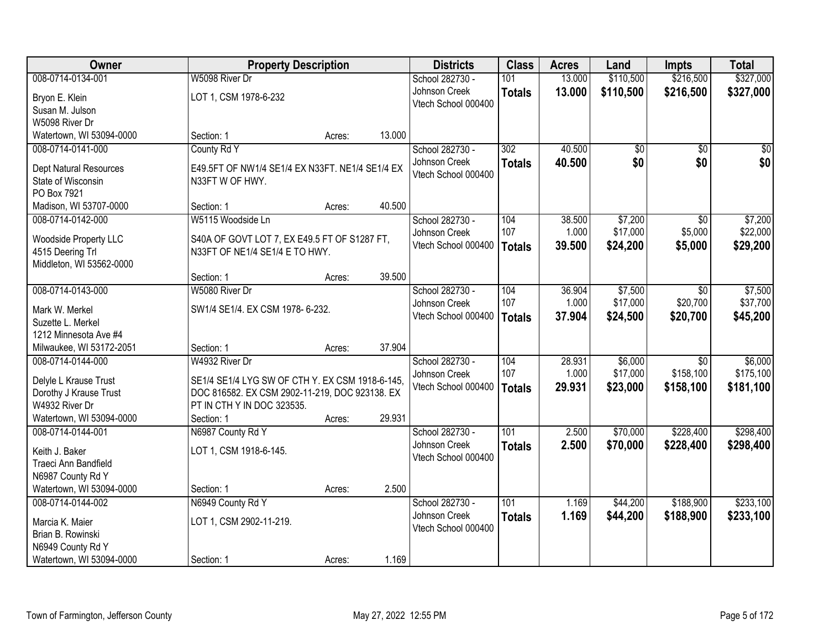| Owner                                         | <b>Property Description</b>                                                    |        |        | <b>Districts</b>    | <b>Class</b>  | <b>Acres</b> | Land            | <b>Impts</b>    | <b>Total</b>    |
|-----------------------------------------------|--------------------------------------------------------------------------------|--------|--------|---------------------|---------------|--------------|-----------------|-----------------|-----------------|
| 008-0714-0134-001                             | W5098 River Dr                                                                 |        |        | School 282730 -     | 101           | 13.000       | \$110,500       | \$216,500       | \$327,000       |
| Bryon E. Klein                                | LOT 1, CSM 1978-6-232                                                          |        |        | Johnson Creek       | <b>Totals</b> | 13.000       | \$110,500       | \$216,500       | \$327,000       |
| Susan M. Julson                               |                                                                                |        |        | Vtech School 000400 |               |              |                 |                 |                 |
| W5098 River Dr                                |                                                                                |        |        |                     |               |              |                 |                 |                 |
| Watertown, WI 53094-0000                      | Section: 1                                                                     | Acres: | 13.000 |                     |               |              |                 |                 |                 |
| 008-0714-0141-000                             | County Rd Y                                                                    |        |        | School 282730 -     | 302           | 40.500       | $\overline{50}$ | $\overline{50}$ | $\overline{50}$ |
| <b>Dept Natural Resources</b>                 | E49.5FT OF NW1/4 SE1/4 EX N33FT. NE1/4 SE1/4 EX                                |        |        | Johnson Creek       | <b>Totals</b> | 40.500       | \$0             | \$0             | \$0             |
| State of Wisconsin                            | N33FT W OF HWY.                                                                |        |        | Vtech School 000400 |               |              |                 |                 |                 |
| PO Box 7921                                   |                                                                                |        |        |                     |               |              |                 |                 |                 |
| Madison, WI 53707-0000                        | Section: 1                                                                     | Acres: | 40.500 |                     |               |              |                 |                 |                 |
| 008-0714-0142-000                             | W5115 Woodside Ln                                                              |        |        | School 282730 -     | 104           | 38.500       | \$7,200         | \$0             | \$7,200         |
|                                               |                                                                                |        |        | Johnson Creek       | 107           | 1.000        | \$17,000        | \$5,000         | \$22,000        |
| Woodside Property LLC<br>4515 Deering Trl     | S40A OF GOVT LOT 7, EX E49.5 FT OF S1287 FT,<br>N33FT OF NE1/4 SE1/4 E TO HWY. |        |        | Vtech School 000400 | <b>Totals</b> | 39.500       | \$24,200        | \$5,000         | \$29,200        |
| Middleton, WI 53562-0000                      |                                                                                |        |        |                     |               |              |                 |                 |                 |
|                                               | Section: 1                                                                     | Acres: | 39.500 |                     |               |              |                 |                 |                 |
| 008-0714-0143-000                             | W5080 River Dr                                                                 |        |        | School 282730 -     | 104           | 36.904       | \$7,500         | $\sqrt{6}$      | \$7,500         |
|                                               |                                                                                |        |        | Johnson Creek       | 107           | 1.000        | \$17,000        | \$20,700        | \$37,700        |
| Mark W. Merkel                                | SW1/4 SE1/4. EX CSM 1978- 6-232.                                               |        |        | Vtech School 000400 | <b>Totals</b> | 37.904       | \$24,500        | \$20,700        | \$45,200        |
| Suzette L. Merkel                             |                                                                                |        |        |                     |               |              |                 |                 |                 |
| 1212 Minnesota Ave #4                         | Section: 1                                                                     |        | 37.904 |                     |               |              |                 |                 |                 |
| Milwaukee, WI 53172-2051<br>008-0714-0144-000 | W4932 River Dr                                                                 | Acres: |        | School 282730 -     | 104           | 28.931       | \$6,000         | $\overline{30}$ | \$6,000         |
|                                               |                                                                                |        |        | Johnson Creek       | 107           | 1.000        | \$17,000        | \$158,100       | \$175,100       |
| Delyle L Krause Trust                         | SE1/4 SE1/4 LYG SW OF CTH Y. EX CSM 1918-6-145,                                |        |        | Vtech School 000400 | <b>Totals</b> | 29.931       | \$23,000        | \$158,100       | \$181,100       |
| Dorothy J Krause Trust                        | DOC 816582. EX CSM 2902-11-219, DOC 923138. EX                                 |        |        |                     |               |              |                 |                 |                 |
| W4932 River Dr                                | PT IN CTH Y IN DOC 323535.                                                     |        |        |                     |               |              |                 |                 |                 |
| Watertown, WI 53094-0000                      | Section: 1                                                                     | Acres: | 29.931 |                     |               |              |                 |                 |                 |
| 008-0714-0144-001                             | N6987 County Rd Y                                                              |        |        | School 282730 -     | 101           | 2.500        | \$70,000        | \$228,400       | \$298,400       |
| Keith J. Baker                                | LOT 1, CSM 1918-6-145.                                                         |        |        | Johnson Creek       | <b>Totals</b> | 2.500        | \$70,000        | \$228,400       | \$298,400       |
| Traeci Ann Bandfield                          |                                                                                |        |        | Vtech School 000400 |               |              |                 |                 |                 |
| N6987 County Rd Y                             |                                                                                |        |        |                     |               |              |                 |                 |                 |
| Watertown, WI 53094-0000                      | Section: 1                                                                     | Acres: | 2.500  |                     |               |              |                 |                 |                 |
| 008-0714-0144-002                             | N6949 County Rd Y                                                              |        |        | School 282730 -     | 101           | 1.169        | \$44,200        | \$188,900       | \$233,100       |
| Marcia K. Maier                               | LOT 1, CSM 2902-11-219.                                                        |        |        | Johnson Creek       | <b>Totals</b> | 1.169        | \$44,200        | \$188,900       | \$233,100       |
| Brian B. Rowinski                             |                                                                                |        |        | Vtech School 000400 |               |              |                 |                 |                 |
| N6949 County Rd Y                             |                                                                                |        |        |                     |               |              |                 |                 |                 |
| Watertown, WI 53094-0000                      | Section: 1                                                                     | Acres: | 1.169  |                     |               |              |                 |                 |                 |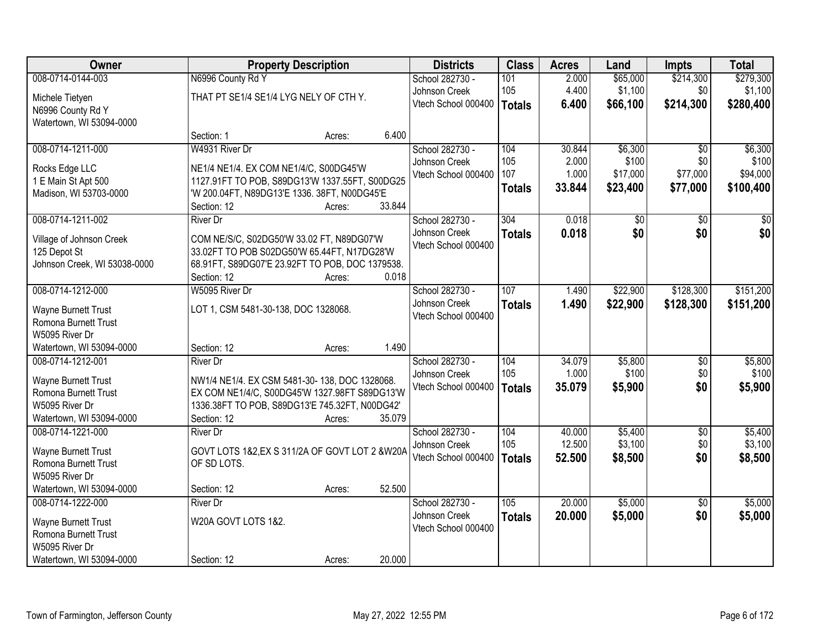| 008-0714-0144-003<br>N6996 County Rd Y<br>\$214,300<br>School 282730 -<br>101<br>2.000<br>\$65,000                                                                                | \$279,300 |
|-----------------------------------------------------------------------------------------------------------------------------------------------------------------------------------|-----------|
|                                                                                                                                                                                   |           |
| 4.400<br>105<br>\$1,100<br>Johnson Creek<br>\$0<br>THAT PT SE1/4 SE1/4 LYG NELY OF CTH Y.<br>Michele Tietyen                                                                      | \$1,100   |
| \$214,300<br>Vtech School 000400<br>6.400<br>\$66,100<br><b>Totals</b><br>N6996 County Rd Y                                                                                       | \$280,400 |
| Watertown, WI 53094-0000                                                                                                                                                          |           |
| 6.400<br>Section: 1<br>Acres:                                                                                                                                                     |           |
| 008-0714-1211-000<br>W4931 River Dr<br>School 282730 -<br>30.844<br>\$6,300<br>104<br>$\overline{50}$                                                                             | \$6,300   |
| 105<br>2.000<br>\$100<br>\$0<br>Johnson Creek<br>NE1/4 NE1/4. EX COM NE1/4/C, S00DG45'W<br>Rocks Edge LLC                                                                         | \$100     |
| 107<br>1.000<br>\$17,000<br>\$77,000<br>Vtech School 000400<br>1127.91FT TO POB, S89DG13'W 1337.55FT, S00DG25<br>1 E Main St Apt 500                                              | \$94,000  |
| 33.844<br>\$23,400<br>\$77,000<br><b>Totals</b><br>'W 200.04FT, N89DG13'E 1336. 38FT, N00DG45'E<br>Madison, WI 53703-0000                                                         | \$100,400 |
| 33.844<br>Section: 12<br>Acres:                                                                                                                                                   |           |
| 008-0714-1211-002<br>304<br>0.018<br>$\overline{50}$<br>School 282730 -<br>\$0<br><b>River Dr</b>                                                                                 | \$0       |
| \$0<br>Johnson Creek<br>0.018<br>\$0<br><b>Totals</b><br>COM NE/S/C, S02DG50'W 33.02 FT, N89DG07'W<br>Village of Johnson Creek                                                    | \$0       |
| Vtech School 000400<br>125 Depot St<br>33.02FT TO POB S02DG50'W 65.44FT, N17DG28'W                                                                                                |           |
| Johnson Creek, WI 53038-0000<br>68.91FT, S89DG07'E 23.92FT TO POB, DOC 1379538.                                                                                                   |           |
| 0.018<br>Section: 12<br>Acres:                                                                                                                                                    |           |
| 008-0714-1212-000<br>School 282730 -<br>107<br>\$22,900<br>\$128,300<br>W5095 River Dr<br>1.490                                                                                   | \$151,200 |
| Johnson Creek<br>1.490<br>\$22,900<br>\$128,300<br><b>Totals</b><br>LOT 1, CSM 5481-30-138, DOC 1328068.<br><b>Wayne Burnett Trust</b>                                            | \$151,200 |
| Vtech School 000400<br>Romona Burnett Trust                                                                                                                                       |           |
| W5095 River Dr                                                                                                                                                                    |           |
| 1.490<br>Watertown, WI 53094-0000<br>Section: 12<br>Acres:                                                                                                                        |           |
| 34.079<br>\$5,800<br>008-0714-1212-001<br>School 282730 -<br>104<br>\$0<br><b>River Dr</b>                                                                                        | \$5,800   |
| 105<br>\$100<br>1.000<br>\$0<br>Johnson Creek<br><b>Wayne Burnett Trust</b><br>NW1/4 NE1/4. EX CSM 5481-30-138, DOC 1328068.                                                      | \$100     |
| \$0<br>Vtech School 000400<br>35.079<br>\$5,900<br><b>Totals</b><br>Romona Burnett Trust<br>EX COM NE1/4/C, S00DG45'W 1327.98FT S89DG13'W                                         | \$5,900   |
| W5095 River Dr<br>1336.38FT TO POB, S89DG13'E 745.32FT, N00DG42'                                                                                                                  |           |
| Watertown, WI 53094-0000<br>Section: 12<br>35.079<br>Acres:                                                                                                                       |           |
| 008-0714-1221-000<br>School 282730 -<br>104<br>40.000<br>\$5,400<br>$\overline{50}$<br><b>River Dr</b>                                                                            | \$5,400   |
| \$3,100<br>\$0<br>105<br>12.500<br>Johnson Creek                                                                                                                                  | \$3,100   |
| GOVT LOTS 1&2, EX S 311/2A OF GOVT LOT 2 & W20A<br>Wayne Burnett Trust<br>\$0<br>Vtech School 000400<br>52.500<br>\$8,500<br><b>Totals</b><br>OF SD LOTS.<br>Romona Burnett Trust | \$8,500   |
| W5095 River Dr                                                                                                                                                                    |           |
| 52.500<br>Watertown, WI 53094-0000<br>Section: 12<br>Acres:                                                                                                                       |           |
| 20.000<br>\$5,000<br>008-0714-1222-000<br>School 282730 -<br>105<br>$\overline{30}$<br><b>River Dr</b>                                                                            | \$5,000   |
| Johnson Creek<br>20.000<br>\$5,000<br>\$0<br><b>Totals</b>                                                                                                                        | \$5,000   |
| W20A GOVT LOTS 1&2.<br><b>Wayne Burnett Trust</b><br>Vtech School 000400                                                                                                          |           |
| Romona Burnett Trust<br>W5095 River Dr                                                                                                                                            |           |
| 20.000<br>Watertown, WI 53094-0000<br>Section: 12<br>Acres:                                                                                                                       |           |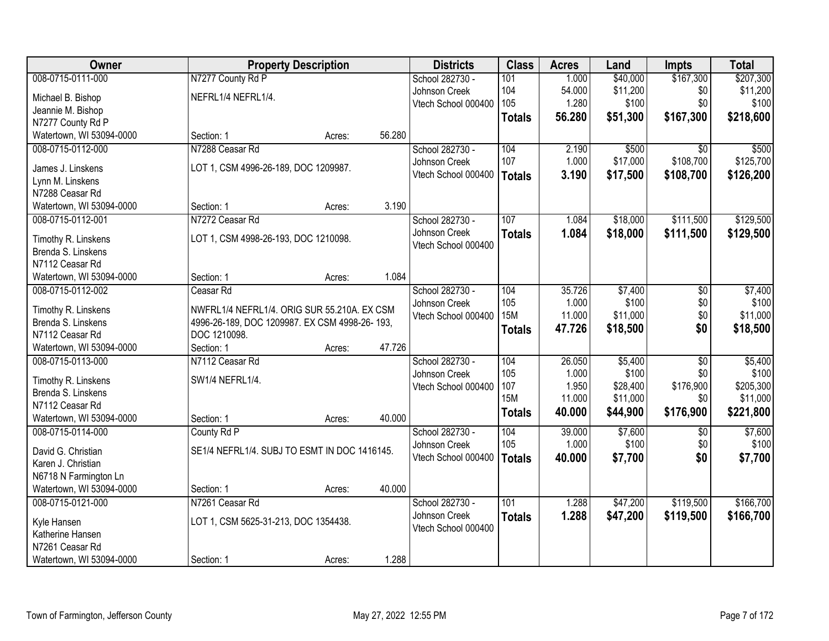| <b>Owner</b>             |                                               | <b>Property Description</b> |        | <b>Districts</b>    | <b>Class</b>  | <b>Acres</b> | Land     | <b>Impts</b>    | <b>Total</b> |
|--------------------------|-----------------------------------------------|-----------------------------|--------|---------------------|---------------|--------------|----------|-----------------|--------------|
| 008-0715-0111-000        | N7277 County Rd P                             |                             |        | School 282730 -     | 101           | 1.000        | \$40,000 | \$167,300       | \$207,300    |
| Michael B. Bishop        | NEFRL1/4 NEFRL1/4.                            |                             |        | Johnson Creek       | 104           | 54.000       | \$11,200 | \$0             | \$11,200     |
| Jeannie M. Bishop        |                                               |                             |        | Vtech School 000400 | 105           | 1.280        | \$100    | \$0             | \$100        |
| N7277 County Rd P        |                                               |                             |        |                     | <b>Totals</b> | 56.280       | \$51,300 | \$167,300       | \$218,600    |
| Watertown, WI 53094-0000 | Section: 1                                    | Acres:                      | 56.280 |                     |               |              |          |                 |              |
| 008-0715-0112-000        | N7288 Ceasar Rd                               |                             |        | School 282730 -     | 104           | 2.190        | \$500    | $\overline{50}$ | \$500        |
|                          |                                               |                             |        | Johnson Creek       | 107           | 1.000        | \$17,000 | \$108,700       | \$125,700    |
| James J. Linskens        | LOT 1, CSM 4996-26-189, DOC 1209987.          |                             |        | Vtech School 000400 | <b>Totals</b> | 3.190        | \$17,500 | \$108,700       | \$126,200    |
| Lynn M. Linskens         |                                               |                             |        |                     |               |              |          |                 |              |
| N7288 Ceasar Rd          |                                               |                             |        |                     |               |              |          |                 |              |
| Watertown, WI 53094-0000 | Section: 1                                    | Acres:                      | 3.190  |                     |               |              |          |                 |              |
| 008-0715-0112-001        | N7272 Ceasar Rd                               |                             |        | School 282730 -     | 107           | 1.084        | \$18,000 | \$111,500       | \$129,500    |
| Timothy R. Linskens      | LOT 1, CSM 4998-26-193, DOC 1210098.          |                             |        | Johnson Creek       | <b>Totals</b> | 1.084        | \$18,000 | \$111,500       | \$129,500    |
| Brenda S. Linskens       |                                               |                             |        | Vtech School 000400 |               |              |          |                 |              |
| N7112 Ceasar Rd          |                                               |                             |        |                     |               |              |          |                 |              |
| Watertown, WI 53094-0000 | Section: 1                                    | Acres:                      | 1.084  |                     |               |              |          |                 |              |
| 008-0715-0112-002        | Ceasar Rd                                     |                             |        | School 282730 -     | 104           | 35.726       | \$7,400  | \$0             | \$7,400      |
|                          |                                               |                             |        | Johnson Creek       | 105           | 1.000        | \$100    | \$0             | \$100        |
| Timothy R. Linskens      | NWFRL1/4 NEFRL1/4. ORIG SUR 55.210A. EX CSM   |                             |        | Vtech School 000400 | <b>15M</b>    | 11.000       | \$11,000 | \$0             | \$11,000     |
| Brenda S. Linskens       | 4996-26-189, DOC 1209987. EX CSM 4998-26-193, |                             |        |                     | <b>Totals</b> | 47.726       | \$18,500 | \$0             | \$18,500     |
| N7112 Ceasar Rd          | DOC 1210098.                                  |                             |        |                     |               |              |          |                 |              |
| Watertown, WI 53094-0000 | Section: 1                                    | Acres:                      | 47.726 |                     |               |              |          |                 |              |
| 008-0715-0113-000        | N7112 Ceasar Rd                               |                             |        | School 282730 -     | 104           | 26.050       | \$5,400  | $\overline{50}$ | \$5,400      |
| Timothy R. Linskens      | SW1/4 NEFRL1/4.                               |                             |        | Johnson Creek       | 105           | 1.000        | \$100    | \$0             | \$100        |
| Brenda S. Linskens       |                                               |                             |        | Vtech School 000400 | 107           | 1.950        | \$28,400 | \$176,900       | \$205,300    |
| N7112 Ceasar Rd          |                                               |                             |        |                     | <b>15M</b>    | 11.000       | \$11,000 | \$0             | \$11,000     |
| Watertown, WI 53094-0000 | Section: 1                                    | Acres:                      | 40.000 |                     | <b>Totals</b> | 40.000       | \$44,900 | \$176,900       | \$221,800    |
| 008-0715-0114-000        | County Rd P                                   |                             |        | School 282730 -     | 104           | 39.000       | \$7,600  | $\overline{50}$ | \$7,600      |
|                          |                                               |                             |        | Johnson Creek       | 105           | 1.000        | \$100    | \$0             | \$100        |
| David G. Christian       | SE1/4 NEFRL1/4. SUBJ TO ESMT IN DOC 1416145.  |                             |        | Vtech School 000400 | <b>Totals</b> | 40.000       | \$7,700  | \$0             | \$7,700      |
| Karen J. Christian       |                                               |                             |        |                     |               |              |          |                 |              |
| N6718 N Farmington Ln    |                                               |                             |        |                     |               |              |          |                 |              |
| Watertown, WI 53094-0000 | Section: 1                                    | Acres:                      | 40.000 |                     |               |              |          |                 |              |
| 008-0715-0121-000        | N7261 Ceasar Rd                               |                             |        | School 282730 -     | 101           | 1.288        | \$47,200 | \$119,500       | \$166,700    |
| Kyle Hansen              | LOT 1, CSM 5625-31-213, DOC 1354438.          |                             |        | Johnson Creek       | <b>Totals</b> | 1.288        | \$47,200 | \$119,500       | \$166,700    |
| Katherine Hansen         |                                               |                             |        | Vtech School 000400 |               |              |          |                 |              |
| N7261 Ceasar Rd          |                                               |                             |        |                     |               |              |          |                 |              |
| Watertown, WI 53094-0000 | Section: 1                                    | Acres:                      | 1.288  |                     |               |              |          |                 |              |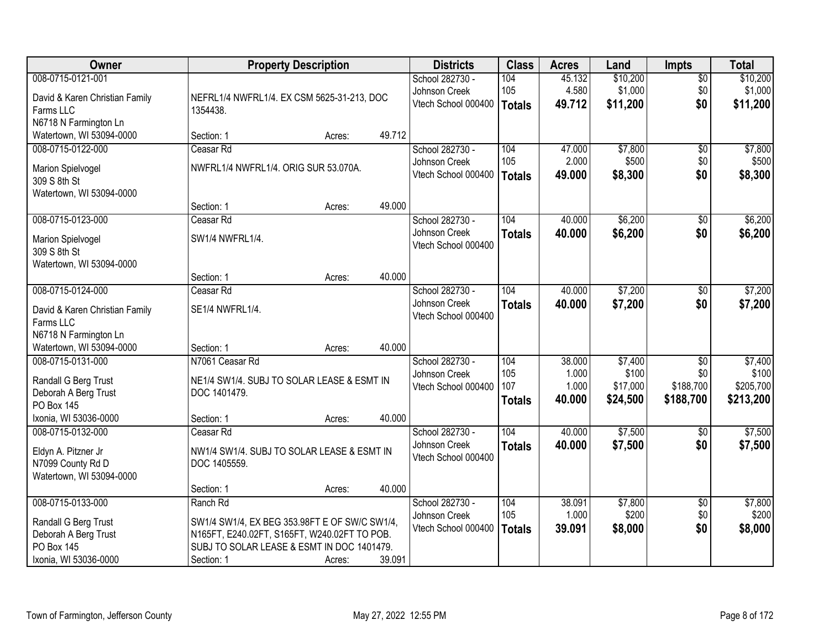| Owner                                       | <b>Property Description</b>                   | <b>Districts</b> | <b>Class</b> | <b>Acres</b>        | Land          | <b>Impts</b> | <b>Total</b> |                 |           |
|---------------------------------------------|-----------------------------------------------|------------------|--------------|---------------------|---------------|--------------|--------------|-----------------|-----------|
| 008-0715-0121-001                           |                                               |                  |              | School 282730 -     | 104           | 45.132       | \$10,200     | $\overline{60}$ | \$10,200  |
| David & Karen Christian Family              | NEFRL1/4 NWFRL1/4. EX CSM 5625-31-213, DOC    |                  |              | Johnson Creek       | 105           | 4.580        | \$1,000      | \$0             | \$1,000   |
| Farms LLC                                   | 1354438.                                      |                  |              | Vtech School 000400 | <b>Totals</b> | 49.712       | \$11,200     | \$0             | \$11,200  |
| N6718 N Farmington Ln                       |                                               |                  |              |                     |               |              |              |                 |           |
| Watertown, WI 53094-0000                    | Section: 1                                    | Acres:           | 49.712       |                     |               |              |              |                 |           |
| 008-0715-0122-000                           | Ceasar Rd                                     |                  |              | School 282730 -     | 104           | 47.000       | \$7,800      | $\overline{50}$ | \$7,800   |
|                                             | NWFRL1/4 NWFRL1/4. ORIG SUR 53.070A.          |                  |              | Johnson Creek       | 105           | 2.000        | \$500        | \$0             | \$500     |
| Marion Spielvogel<br>309 S 8th St           |                                               |                  |              | Vtech School 000400 | <b>Totals</b> | 49.000       | \$8,300      | \$0             | \$8,300   |
| Watertown, WI 53094-0000                    |                                               |                  |              |                     |               |              |              |                 |           |
|                                             | Section: 1                                    | Acres:           | 49.000       |                     |               |              |              |                 |           |
| 008-0715-0123-000                           | Ceasar Rd                                     |                  |              | School 282730 -     | 104           | 40.000       | \$6,200      | \$0             | \$6,200   |
|                                             | SW1/4 NWFRL1/4.                               |                  |              | Johnson Creek       | <b>Totals</b> | 40.000       | \$6,200      | \$0             | \$6,200   |
| Marion Spielvogel<br>309 S 8th St           |                                               |                  |              | Vtech School 000400 |               |              |              |                 |           |
| Watertown, WI 53094-0000                    |                                               |                  |              |                     |               |              |              |                 |           |
|                                             | Section: 1                                    | Acres:           | 40.000       |                     |               |              |              |                 |           |
| 008-0715-0124-000                           | Ceasar Rd                                     |                  |              | School 282730 -     | 104           | 40.000       | \$7,200      | \$0             | \$7,200   |
|                                             |                                               |                  |              | Johnson Creek       | <b>Totals</b> | 40.000       | \$7,200      | \$0             | \$7,200   |
| David & Karen Christian Family<br>Farms LLC | SE1/4 NWFRL1/4.                               |                  |              | Vtech School 000400 |               |              |              |                 |           |
| N6718 N Farmington Ln                       |                                               |                  |              |                     |               |              |              |                 |           |
| Watertown, WI 53094-0000                    | Section: 1                                    | Acres:           | 40.000       |                     |               |              |              |                 |           |
| 008-0715-0131-000                           | N7061 Ceasar Rd                               |                  |              | School 282730 -     | 104           | 38.000       | \$7,400      | $\overline{30}$ | \$7,400   |
|                                             |                                               |                  |              | Johnson Creek       | 105           | 1.000        | \$100        | \$0             | \$100     |
| Randall G Berg Trust                        | NE1/4 SW1/4. SUBJ TO SOLAR LEASE & ESMT IN    |                  |              | Vtech School 000400 | 107           | 1.000        | \$17,000     | \$188,700       | \$205,700 |
| Deborah A Berg Trust                        | DOC 1401479.                                  |                  |              |                     | <b>Totals</b> | 40.000       | \$24,500     | \$188,700       | \$213,200 |
| PO Box 145<br>Ixonia, WI 53036-0000         |                                               |                  | 40.000       |                     |               |              |              |                 |           |
| 008-0715-0132-000                           | Section: 1<br>Ceasar Rd                       | Acres:           |              | School 282730 -     | 104           | 40.000       | \$7,500      | $\sqrt{6}$      | \$7,500   |
|                                             |                                               |                  |              | Johnson Creek       |               | 40.000       | \$7,500      | \$0             | \$7,500   |
| Eldyn A. Pitzner Jr                         | NW1/4 SW1/4. SUBJ TO SOLAR LEASE & ESMT IN    |                  |              | Vtech School 000400 | <b>Totals</b> |              |              |                 |           |
| N7099 County Rd D                           | DOC 1405559.                                  |                  |              |                     |               |              |              |                 |           |
| Watertown, WI 53094-0000                    |                                               |                  |              |                     |               |              |              |                 |           |
|                                             | Section: 1                                    | Acres:           | 40.000       |                     |               |              |              |                 |           |
| 008-0715-0133-000                           | Ranch Rd                                      |                  |              | School 282730 -     | 104           | 38.091       | \$7,800      | $\overline{50}$ | \$7,800   |
| Randall G Berg Trust                        | SW1/4 SW1/4, EX BEG 353.98FT E OF SW/C SW1/4, |                  |              | Johnson Creek       | 105           | 1.000        | \$200        | \$0             | \$200     |
| Deborah A Berg Trust                        | N165FT, E240.02FT, S165FT, W240.02FT TO POB.  |                  |              | Vtech School 000400 | <b>Totals</b> | 39.091       | \$8,000      | \$0             | \$8,000   |
| PO Box 145                                  | SUBJ TO SOLAR LEASE & ESMT IN DOC 1401479.    |                  |              |                     |               |              |              |                 |           |
| Ixonia, WI 53036-0000                       | Section: 1                                    | Acres:           | 39.091       |                     |               |              |              |                 |           |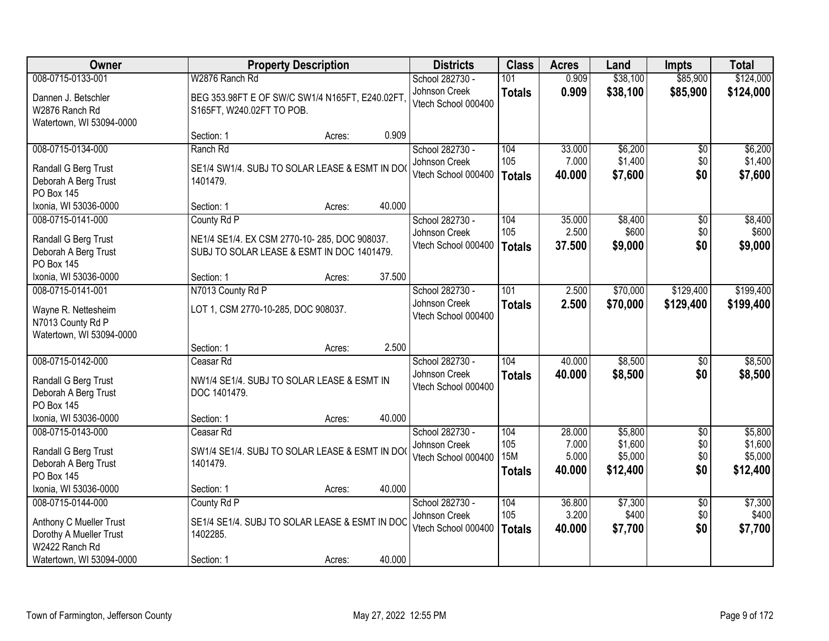| Owner                                                             |                                                                             | <b>Property Description</b> |        |                                      | <b>Class</b>  | <b>Acres</b> | Land     | Impts           | <b>Total</b> |
|-------------------------------------------------------------------|-----------------------------------------------------------------------------|-----------------------------|--------|--------------------------------------|---------------|--------------|----------|-----------------|--------------|
| 008-0715-0133-001                                                 | W2876 Ranch Rd                                                              |                             |        | School 282730 -                      | 101           | 0.909        | \$38,100 | \$85,900        | \$124,000    |
| Dannen J. Betschler<br>W2876 Ranch Rd<br>Watertown, WI 53094-0000 | BEG 353.98FT E OF SW/C SW1/4 N165FT, E240.02FT<br>S165FT, W240.02FT TO POB. |                             |        | Johnson Creek<br>Vtech School 000400 | <b>Totals</b> | 0.909        | \$38,100 | \$85,900        | \$124,000    |
|                                                                   | Section: 1                                                                  | Acres:                      | 0.909  |                                      |               |              |          |                 |              |
| 008-0715-0134-000                                                 | Ranch Rd                                                                    |                             |        | School 282730 -                      | 104           | 33.000       | \$6,200  | $\overline{50}$ | \$6,200      |
| Randall G Berg Trust                                              | SE1/4 SW1/4. SUBJ TO SOLAR LEASE & ESMT IN DO                               |                             |        | Johnson Creek                        | 105           | 7.000        | \$1,400  | \$0             | \$1,400      |
| Deborah A Berg Trust                                              | 1401479.                                                                    |                             |        | Vtech School 000400                  | <b>Totals</b> | 40.000       | \$7,600  | \$0             | \$7,600      |
| PO Box 145                                                        |                                                                             |                             |        |                                      |               |              |          |                 |              |
| Ixonia, WI 53036-0000                                             | Section: 1                                                                  | Acres:                      | 40.000 |                                      |               |              |          |                 |              |
| 008-0715-0141-000                                                 | County Rd P                                                                 |                             |        | School 282730 -                      | 104           | 35.000       | \$8,400  | $\overline{50}$ | \$8,400      |
| Randall G Berg Trust                                              | NE1/4 SE1/4. EX CSM 2770-10-285, DOC 908037.                                |                             |        | Johnson Creek                        | 105           | 2.500        | \$600    | \$0             | \$600        |
| Deborah A Berg Trust                                              | SUBJ TO SOLAR LEASE & ESMT IN DOC 1401479.                                  |                             |        | Vtech School 000400                  | <b>Totals</b> | 37.500       | \$9,000  | \$0             | \$9,000      |
| <b>PO Box 145</b>                                                 |                                                                             |                             |        |                                      |               |              |          |                 |              |
| Ixonia, WI 53036-0000                                             | Section: 1                                                                  | Acres:                      | 37.500 |                                      |               |              |          |                 |              |
| 008-0715-0141-001                                                 | N7013 County Rd P                                                           |                             |        | School 282730 -                      | 101           | 2.500        | \$70,000 | \$129,400       | \$199,400    |
| Wayne R. Nettesheim                                               | LOT 1, CSM 2770-10-285, DOC 908037.                                         |                             |        | Johnson Creek                        | <b>Totals</b> | 2.500        | \$70,000 | \$129,400       | \$199,400    |
| N7013 County Rd P                                                 |                                                                             |                             |        | Vtech School 000400                  |               |              |          |                 |              |
| Watertown, WI 53094-0000                                          |                                                                             |                             |        |                                      |               |              |          |                 |              |
|                                                                   | Section: 1                                                                  | Acres:                      | 2.500  |                                      |               |              |          |                 |              |
| 008-0715-0142-000                                                 | Ceasar Rd                                                                   |                             |        | School 282730 -                      | 104           | 40.000       | \$8,500  | \$0             | \$8,500      |
| Randall G Berg Trust                                              | NW1/4 SE1/4. SUBJ TO SOLAR LEASE & ESMT IN                                  |                             |        | Johnson Creek                        | <b>Totals</b> | 40.000       | \$8,500  | \$0             | \$8,500      |
| Deborah A Berg Trust                                              | DOC 1401479.                                                                |                             |        | Vtech School 000400                  |               |              |          |                 |              |
| PO Box 145                                                        |                                                                             |                             |        |                                      |               |              |          |                 |              |
| Ixonia, WI 53036-0000                                             | Section: 1                                                                  | Acres:                      | 40.000 |                                      |               |              |          |                 |              |
| 008-0715-0143-000                                                 | Ceasar Rd                                                                   |                             |        | School 282730 -                      | 104           | 28.000       | \$5,800  | $\overline{50}$ | \$5,800      |
| Randall G Berg Trust                                              | SW1/4 SE1/4. SUBJ TO SOLAR LEASE & ESMT IN DO                               |                             |        | Johnson Creek                        | 105           | 7.000        | \$1,600  | \$0             | \$1,600      |
| Deborah A Berg Trust                                              | 1401479.                                                                    |                             |        | Vtech School 000400                  | <b>15M</b>    | 5.000        | \$5,000  | \$0             | \$5,000      |
| PO Box 145                                                        |                                                                             |                             |        |                                      | <b>Totals</b> | 40.000       | \$12,400 | \$0             | \$12,400     |
| Ixonia, WI 53036-0000                                             | Section: 1                                                                  | Acres:                      | 40.000 |                                      |               |              |          |                 |              |
| 008-0715-0144-000                                                 | County Rd P                                                                 |                             |        | School 282730 -                      | 104           | 36.800       | \$7,300  | $\overline{50}$ | \$7,300      |
| Anthony C Mueller Trust                                           | SE1/4 SE1/4. SUBJ TO SOLAR LEASE & ESMT IN DOC                              |                             |        | Johnson Creek                        | 105           | 3.200        | \$400    | \$0             | \$400        |
| Dorothy A Mueller Trust                                           | 1402285.                                                                    |                             |        | Vtech School 000400                  | <b>Totals</b> | 40.000       | \$7,700  | \$0             | \$7,700      |
| W2422 Ranch Rd                                                    |                                                                             |                             |        |                                      |               |              |          |                 |              |
| Watertown, WI 53094-0000                                          | Section: 1                                                                  | Acres:                      | 40.000 |                                      |               |              |          |                 |              |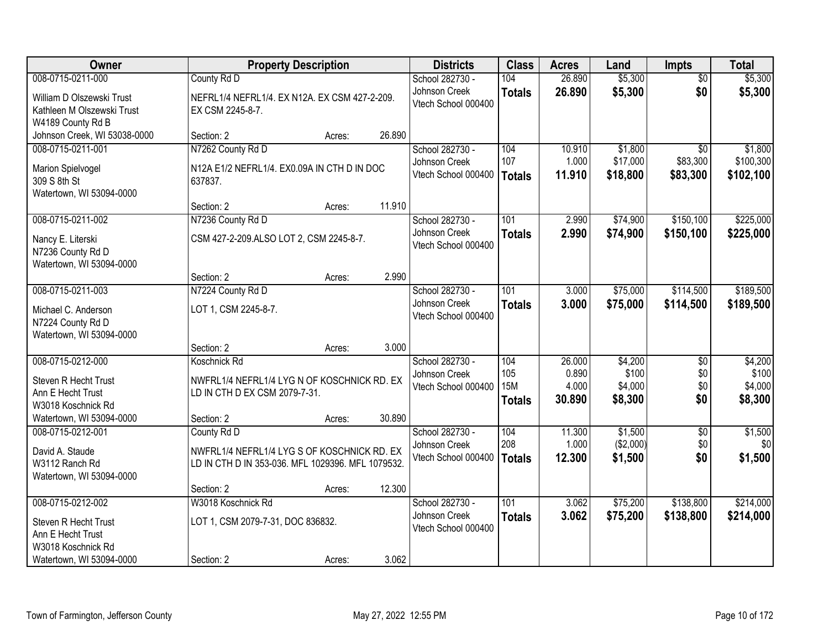| Owner                                                                                | <b>Property Description</b>                                                                                     |        |        | <b>Districts</b>                                        | <b>Class</b>                              | <b>Acres</b>                       | Land                                   | <b>Impts</b>                  | <b>Total</b>                           |
|--------------------------------------------------------------------------------------|-----------------------------------------------------------------------------------------------------------------|--------|--------|---------------------------------------------------------|-------------------------------------------|------------------------------------|----------------------------------------|-------------------------------|----------------------------------------|
| 008-0715-0211-000                                                                    | County Rd D                                                                                                     |        |        | School 282730 -                                         | 104                                       | 26.890                             | \$5,300                                | $\overline{50}$               | \$5,300                                |
| William D Olszewski Trust<br>Kathleen M Olszewski Trust<br>W4189 County Rd B         | NEFRL1/4 NEFRL1/4. EX N12A. EX CSM 427-2-209.<br>EX CSM 2245-8-7.                                               |        |        | Johnson Creek<br>Vtech School 000400                    | <b>Totals</b>                             | 26.890                             | \$5,300                                | \$0                           | \$5,300                                |
| Johnson Creek, WI 53038-0000                                                         | Section: 2                                                                                                      | Acres: | 26.890 |                                                         |                                           |                                    |                                        |                               |                                        |
| 008-0715-0211-001                                                                    | N7262 County Rd D                                                                                               |        |        | School 282730 -                                         | 104                                       | 10.910                             | \$1,800                                | $\overline{50}$               | \$1,800                                |
| Marion Spielvogel<br>309 S 8th St<br>Watertown, WI 53094-0000                        | N12A E1/2 NEFRL1/4. EX0.09A IN CTH D IN DOC<br>637837.                                                          |        |        | Johnson Creek<br>Vtech School 000400                    | 107<br><b>Totals</b>                      | 1.000<br>11.910                    | \$17,000<br>\$18,800                   | \$83,300<br>\$83,300          | \$100,300<br>\$102,100                 |
|                                                                                      | Section: 2                                                                                                      | Acres: | 11.910 |                                                         |                                           |                                    |                                        |                               |                                        |
| 008-0715-0211-002                                                                    | N7236 County Rd D                                                                                               |        |        | School 282730 -                                         | 101                                       | 2.990                              | \$74,900                               | \$150,100                     | \$225,000                              |
| Nancy E. Literski<br>N7236 County Rd D<br>Watertown, WI 53094-0000                   | CSM 427-2-209.ALSO LOT 2, CSM 2245-8-7.                                                                         |        |        | Johnson Creek<br>Vtech School 000400                    | <b>Totals</b>                             | 2.990                              | \$74,900                               | \$150,100                     | \$225,000                              |
|                                                                                      | Section: 2                                                                                                      | Acres: | 2.990  |                                                         |                                           |                                    |                                        |                               |                                        |
| 008-0715-0211-003                                                                    | N7224 County Rd D                                                                                               |        |        | School 282730 -                                         | 101                                       | 3.000                              | \$75,000                               | \$114,500                     | \$189,500                              |
| Michael C. Anderson<br>N7224 County Rd D<br>Watertown, WI 53094-0000                 | LOT 1, CSM 2245-8-7.                                                                                            |        |        | Johnson Creek<br>Vtech School 000400                    | <b>Totals</b>                             | 3.000                              | \$75,000                               | \$114,500                     | \$189,500                              |
|                                                                                      | Section: 2                                                                                                      | Acres: | 3.000  |                                                         |                                           |                                    |                                        |                               |                                        |
| 008-0715-0212-000<br>Steven R Hecht Trust<br>Ann E Hecht Trust<br>W3018 Koschnick Rd | Koschnick Rd<br>NWFRL1/4 NEFRL1/4 LYG N OF KOSCHNICK RD. EX<br>LD IN CTH D EX CSM 2079-7-31.                    |        |        | School 282730 -<br>Johnson Creek<br>Vtech School 000400 | 104<br>105<br><b>15M</b><br><b>Totals</b> | 26.000<br>0.890<br>4.000<br>30.890 | \$4,200<br>\$100<br>\$4,000<br>\$8,300 | \$0<br>\$0<br>\$0<br>\$0      | \$4,200<br>\$100<br>\$4,000<br>\$8,300 |
| Watertown, WI 53094-0000                                                             | Section: 2                                                                                                      | Acres: | 30.890 |                                                         |                                           |                                    |                                        |                               |                                        |
| 008-0715-0212-001<br>David A. Staude<br>W3112 Ranch Rd<br>Watertown, WI 53094-0000   | County Rd D<br>NWFRL1/4 NEFRL1/4 LYG S OF KOSCHNICK RD. EX<br>LD IN CTH D IN 353-036. MFL 1029396. MFL 1079532. |        |        | School 282730 -<br>Johnson Creek<br>Vtech School 000400 | 104<br>208<br><b>Totals</b>               | 11.300<br>1.000<br>12.300          | \$1,500<br>(\$2,000)<br>\$1,500        | $\overline{50}$<br>\$0<br>\$0 | \$1,500<br>\$0<br>\$1,500              |
|                                                                                      | Section: 2                                                                                                      | Acres: | 12.300 |                                                         |                                           |                                    |                                        |                               |                                        |
| 008-0715-0212-002                                                                    | W3018 Koschnick Rd                                                                                              |        |        | School 282730 -                                         | $\overline{101}$                          | 3.062                              | \$75,200                               | \$138,800                     | \$214,000                              |
| Steven R Hecht Trust<br>Ann E Hecht Trust<br>W3018 Koschnick Rd                      | LOT 1, CSM 2079-7-31, DOC 836832.                                                                               |        |        | Johnson Creek<br>Vtech School 000400                    | <b>Totals</b>                             | 3.062                              | \$75,200                               | \$138,800                     | \$214,000                              |
| Watertown, WI 53094-0000                                                             | Section: 2                                                                                                      | Acres: | 3.062  |                                                         |                                           |                                    |                                        |                               |                                        |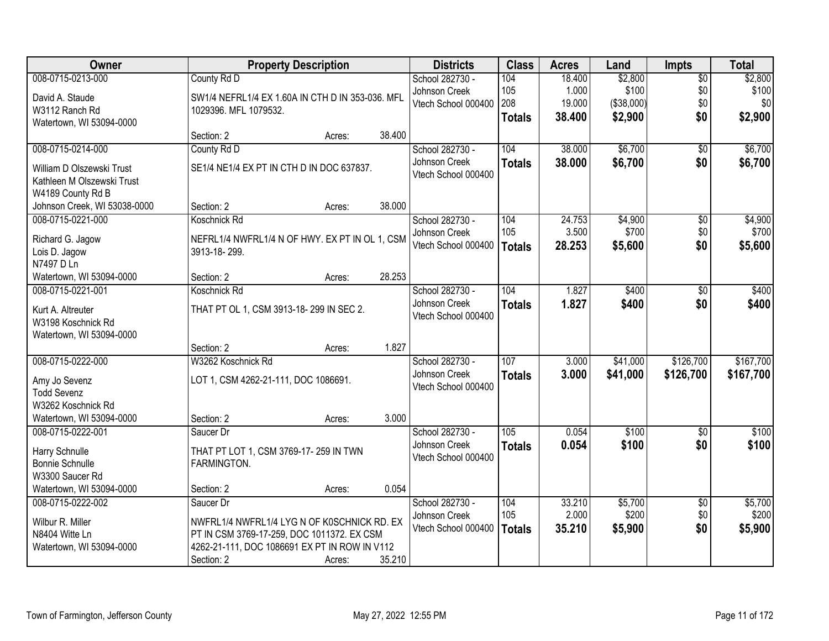| Owner                                          | <b>Property Description</b>                                    | <b>Districts</b> | <b>Class</b> | <b>Acres</b>                         | Land             | <b>Impts</b> | <b>Total</b> |                 |           |
|------------------------------------------------|----------------------------------------------------------------|------------------|--------------|--------------------------------------|------------------|--------------|--------------|-----------------|-----------|
| 008-0715-0213-000                              | County Rd D                                                    |                  |              | School 282730 -                      | 104              | 18.400       | \$2,800      | $\overline{60}$ | \$2,800   |
| David A. Staude                                | SW1/4 NEFRL1/4 EX 1.60A IN CTH D IN 353-036. MFL               |                  |              | Johnson Creek                        | 105              | 1.000        | \$100        | \$0             | \$100     |
| W3112 Ranch Rd                                 | 1029396. MFL 1079532.                                          |                  |              | Vtech School 000400                  | 208              | 19.000       | (\$38,000)   | \$0             | \$0       |
| Watertown, WI 53094-0000                       |                                                                |                  |              |                                      | <b>Totals</b>    | 38.400       | \$2,900      | \$0             | \$2,900   |
|                                                | Section: 2                                                     | Acres:           | 38.400       |                                      |                  |              |              |                 |           |
| 008-0715-0214-000                              | County Rd D                                                    |                  |              | School 282730 -                      | 104              | 38.000       | \$6,700      | $\overline{50}$ | \$6,700   |
| William D Olszewski Trust                      | SE1/4 NE1/4 EX PT IN CTH D IN DOC 637837.                      |                  |              | Johnson Creek                        | <b>Totals</b>    | 38.000       | \$6,700      | \$0             | \$6,700   |
| Kathleen M Olszewski Trust                     |                                                                |                  |              | Vtech School 000400                  |                  |              |              |                 |           |
| W4189 County Rd B                              |                                                                |                  |              |                                      |                  |              |              |                 |           |
| Johnson Creek, WI 53038-0000                   | Section: 2                                                     | Acres:           | 38.000       |                                      |                  |              |              |                 |           |
| 008-0715-0221-000                              | Koschnick Rd                                                   |                  |              | School 282730 -                      | 104              | 24.753       | \$4,900      | \$0             | \$4,900   |
|                                                |                                                                |                  |              | Johnson Creek                        | 105              | 3.500        | \$700        | \$0             | \$700     |
| Richard G. Jagow<br>Lois D. Jagow              | NEFRL1/4 NWFRL1/4 N OF HWY. EX PT IN OL 1, CSM<br>3913-18-299. |                  |              | Vtech School 000400                  | <b>Totals</b>    | 28.253       | \$5,600      | \$0             | \$5,600   |
| N7497 D Ln                                     |                                                                |                  |              |                                      |                  |              |              |                 |           |
| Watertown, WI 53094-0000                       | Section: 2                                                     | Acres:           | 28.253       |                                      |                  |              |              |                 |           |
| 008-0715-0221-001                              | Koschnick Rd                                                   |                  |              | School 282730 -                      | 104              | 1.827        | \$400        | \$0             | \$400     |
|                                                |                                                                |                  |              | Johnson Creek                        | <b>Totals</b>    | 1.827        | \$400        | \$0             | \$400     |
| Kurt A. Altreuter                              | THAT PT OL 1, CSM 3913-18-299 IN SEC 2.                        |                  |              | Vtech School 000400                  |                  |              |              |                 |           |
| W3198 Koschnick Rd<br>Watertown, WI 53094-0000 |                                                                |                  |              |                                      |                  |              |              |                 |           |
|                                                | Section: 2                                                     | Acres:           | 1.827        |                                      |                  |              |              |                 |           |
| 008-0715-0222-000                              | W3262 Koschnick Rd                                             |                  |              | School 282730 -                      | 107              | 3.000        | \$41,000     | \$126,700       | \$167,700 |
|                                                |                                                                |                  |              | Johnson Creek                        | <b>Totals</b>    | 3.000        | \$41,000     | \$126,700       | \$167,700 |
| Amy Jo Sevenz                                  | LOT 1, CSM 4262-21-111, DOC 1086691.                           |                  |              | Vtech School 000400                  |                  |              |              |                 |           |
| <b>Todd Sevenz</b>                             |                                                                |                  |              |                                      |                  |              |              |                 |           |
| W3262 Koschnick Rd                             |                                                                |                  |              |                                      |                  |              |              |                 |           |
| Watertown, WI 53094-0000                       | Section: 2                                                     | Acres:           | 3.000        |                                      |                  |              |              |                 |           |
| 008-0715-0222-001                              | Saucer Dr                                                      |                  |              | School 282730 -                      | $\overline{105}$ | 0.054        | \$100        | $\overline{60}$ | \$100     |
| Harry Schnulle                                 | THAT PT LOT 1, CSM 3769-17-259 IN TWN                          |                  |              | Johnson Creek<br>Vtech School 000400 | <b>Totals</b>    | 0.054        | \$100        | \$0             | \$100     |
| Bonnie Schnulle                                | FARMINGTON.                                                    |                  |              |                                      |                  |              |              |                 |           |
| W3300 Saucer Rd                                |                                                                |                  |              |                                      |                  |              |              |                 |           |
| Watertown, WI 53094-0000                       | Section: 2                                                     | Acres:           | 0.054        |                                      |                  |              |              |                 |           |
| 008-0715-0222-002                              | Saucer Dr                                                      |                  |              | School 282730 -                      | 104              | 33.210       | \$5,700      | $\overline{50}$ | \$5,700   |
| Wilbur R. Miller                               | NWFRL1/4 NWFRL1/4 LYG N OF K0SCHNICK RD. EX                    |                  |              | Johnson Creek                        | 105              | 2.000        | \$200        | \$0             | \$200     |
| N8404 Witte Ln                                 | PT IN CSM 3769-17-259, DOC 1011372. EX CSM                     |                  |              | Vtech School 000400                  | <b>Totals</b>    | 35.210       | \$5,900      | \$0             | \$5,900   |
| Watertown, WI 53094-0000                       | 4262-21-111, DOC 1086691 EX PT IN ROW IN V112                  |                  |              |                                      |                  |              |              |                 |           |
|                                                | Section: 2                                                     | Acres:           | 35.210       |                                      |                  |              |              |                 |           |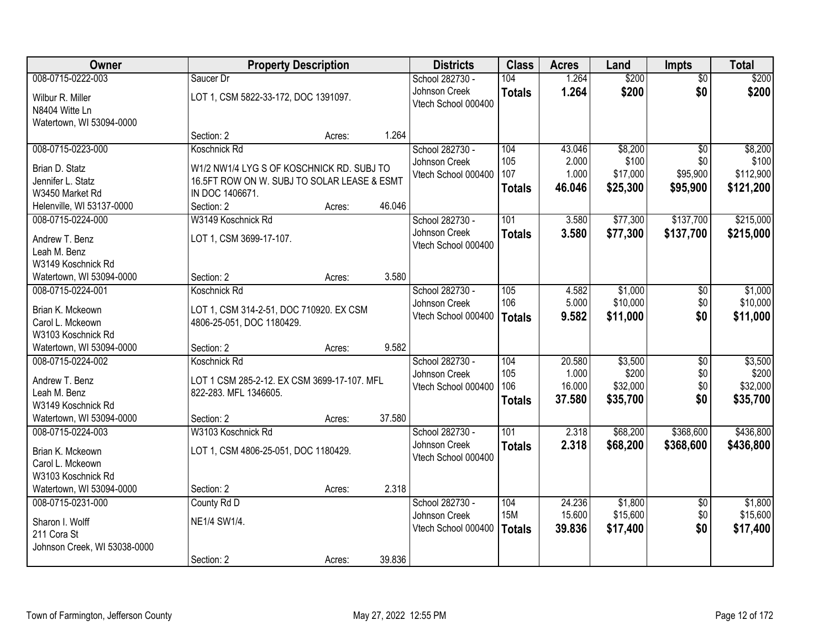| Owner                                         |                                                                      | <b>Property Description</b> |        | <b>Districts</b>    | <b>Class</b>  | <b>Acres</b> | Land     | Impts           | <b>Total</b> |
|-----------------------------------------------|----------------------------------------------------------------------|-----------------------------|--------|---------------------|---------------|--------------|----------|-----------------|--------------|
| 008-0715-0222-003                             | Saucer Dr                                                            |                             |        | School 282730 -     | 104           | 1.264        | \$200    | $\overline{50}$ | \$200        |
| Wilbur R. Miller                              | LOT 1, CSM 5822-33-172, DOC 1391097.                                 |                             |        | Johnson Creek       | <b>Totals</b> | 1.264        | \$200    | \$0             | \$200        |
| N8404 Witte Ln                                |                                                                      |                             |        | Vtech School 000400 |               |              |          |                 |              |
| Watertown, WI 53094-0000                      |                                                                      |                             |        |                     |               |              |          |                 |              |
|                                               | Section: 2                                                           | Acres:                      | 1.264  |                     |               |              |          |                 |              |
| 008-0715-0223-000                             | Koschnick Rd                                                         |                             |        | School 282730 -     | 104           | 43.046       | \$8,200  | $\overline{50}$ | \$8,200      |
| Brian D. Statz                                | W1/2 NW1/4 LYG S OF KOSCHNICK RD. SUBJ TO                            |                             |        | Johnson Creek       | 105           | 2.000        | \$100    | \$0             | \$100        |
| Jennifer L. Statz                             | 16.5FT ROW ON W. SUBJ TO SOLAR LEASE & ESMT                          |                             |        | Vtech School 000400 | 107           | 1.000        | \$17,000 | \$95,900        | \$112,900    |
| W3450 Market Rd                               | IN DOC 1406671.                                                      |                             |        |                     | <b>Totals</b> | 46.046       | \$25,300 | \$95,900        | \$121,200    |
| Helenville, WI 53137-0000                     | Section: 2                                                           | Acres:                      | 46.046 |                     |               |              |          |                 |              |
| 008-0715-0224-000                             | W3149 Koschnick Rd                                                   |                             |        | School 282730 -     | 101           | 3.580        | \$77,300 | \$137,700       | \$215,000    |
| Andrew T. Benz                                | LOT 1, CSM 3699-17-107.                                              |                             |        | Johnson Creek       | <b>Totals</b> | 3.580        | \$77,300 | \$137,700       | \$215,000    |
| Leah M. Benz                                  |                                                                      |                             |        | Vtech School 000400 |               |              |          |                 |              |
| W3149 Koschnick Rd                            |                                                                      |                             |        |                     |               |              |          |                 |              |
| Watertown, WI 53094-0000                      | Section: 2                                                           | Acres:                      | 3.580  |                     |               |              |          |                 |              |
| 008-0715-0224-001                             | Koschnick Rd                                                         |                             |        | School 282730 -     | 105           | 4.582        | \$1,000  | \$0             | \$1,000      |
| Brian K. Mckeown                              |                                                                      |                             |        | Johnson Creek       | 106           | 5.000        | \$10,000 | \$0             | \$10,000     |
| Carol L. Mckeown                              | LOT 1, CSM 314-2-51, DOC 710920. EX CSM<br>4806-25-051, DOC 1180429. |                             |        | Vtech School 000400 | <b>Totals</b> | 9.582        | \$11,000 | \$0             | \$11,000     |
| W3103 Koschnick Rd                            |                                                                      |                             |        |                     |               |              |          |                 |              |
| Watertown, WI 53094-0000                      | Section: 2                                                           | Acres:                      | 9.582  |                     |               |              |          |                 |              |
| 008-0715-0224-002                             | Koschnick Rd                                                         |                             |        | School 282730 -     | 104           | 20.580       | \$3,500  | $\overline{50}$ | \$3,500      |
|                                               |                                                                      |                             |        | Johnson Creek       | 105           | 1.000        | \$200    | \$0             | \$200        |
| Andrew T. Benz                                | LOT 1 CSM 285-2-12. EX CSM 3699-17-107. MFL                          |                             |        | Vtech School 000400 | 106           | 16.000       | \$32,000 | \$0             | \$32,000     |
| Leah M. Benz<br>W3149 Koschnick Rd            | 822-283. MFL 1346605.                                                |                             |        |                     | <b>Totals</b> | 37.580       | \$35,700 | \$0             | \$35,700     |
| Watertown, WI 53094-0000                      | Section: 2                                                           | Acres:                      | 37.580 |                     |               |              |          |                 |              |
| 008-0715-0224-003                             | W3103 Koschnick Rd                                                   |                             |        | School 282730 -     | 101           | 2.318        | \$68,200 | \$368,600       | \$436,800    |
|                                               |                                                                      |                             |        | Johnson Creek       | <b>Totals</b> | 2.318        | \$68,200 | \$368,600       | \$436,800    |
| Brian K. Mckeown                              | LOT 1, CSM 4806-25-051, DOC 1180429.                                 |                             |        | Vtech School 000400 |               |              |          |                 |              |
| Carol L. Mckeown                              |                                                                      |                             |        |                     |               |              |          |                 |              |
| W3103 Koschnick Rd                            |                                                                      |                             | 2.318  |                     |               |              |          |                 |              |
| Watertown, WI 53094-0000<br>008-0715-0231-000 | Section: 2<br>County Rd D                                            | Acres:                      |        | School 282730 -     | 104           | 24.236       | \$1,800  | $\overline{30}$ | \$1,800      |
|                                               |                                                                      |                             |        | Johnson Creek       | <b>15M</b>    | 15.600       | \$15,600 | \$0             | \$15,600     |
| Sharon I. Wolff                               | NE1/4 SW1/4.                                                         |                             |        | Vtech School 000400 | <b>Totals</b> | 39.836       | \$17,400 | \$0             | \$17,400     |
| 211 Cora St                                   |                                                                      |                             |        |                     |               |              |          |                 |              |
| Johnson Creek, WI 53038-0000                  |                                                                      |                             |        |                     |               |              |          |                 |              |
|                                               | Section: 2                                                           | Acres:                      | 39.836 |                     |               |              |          |                 |              |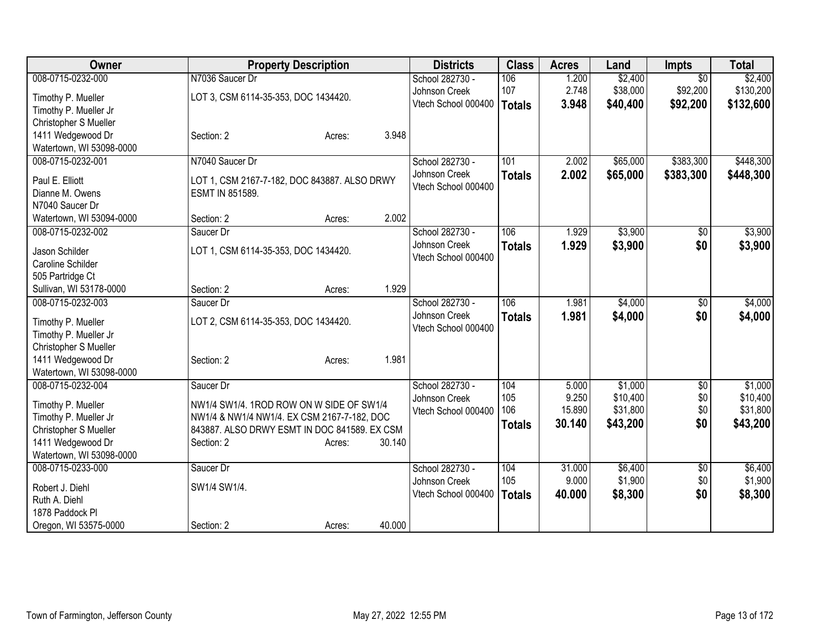| Owner                                          | <b>Property Description</b>                                          | <b>Districts</b>    | <b>Class</b>  | <b>Acres</b> | Land     | <b>Impts</b>    | <b>Total</b> |
|------------------------------------------------|----------------------------------------------------------------------|---------------------|---------------|--------------|----------|-----------------|--------------|
| 008-0715-0232-000                              | N7036 Saucer Dr                                                      | School 282730 -     | 106           | 1.200        | \$2,400  | $\overline{30}$ | \$2,400      |
| Timothy P. Mueller                             | LOT 3, CSM 6114-35-353, DOC 1434420.                                 | Johnson Creek       | 107           | 2.748        | \$38,000 | \$92,200        | \$130,200    |
| Timothy P. Mueller Jr                          |                                                                      | Vtech School 000400 | <b>Totals</b> | 3.948        | \$40,400 | \$92,200        | \$132,600    |
| Christopher S Mueller                          |                                                                      |                     |               |              |          |                 |              |
| 1411 Wedgewood Dr                              | Section: 2<br>Acres:                                                 | 3.948               |               |              |          |                 |              |
| Watertown, WI 53098-0000                       |                                                                      |                     |               |              |          |                 |              |
| 008-0715-0232-001                              | N7040 Saucer Dr                                                      | School 282730 -     | 101           | 2.002        | \$65,000 | \$383,300       | \$448,300    |
| Paul E. Elliott                                | LOT 1, CSM 2167-7-182, DOC 843887. ALSO DRWY                         | Johnson Creek       | <b>Totals</b> | 2.002        | \$65,000 | \$383,300       | \$448,300    |
| Dianne M. Owens                                | ESMT IN 851589.                                                      | Vtech School 000400 |               |              |          |                 |              |
| N7040 Saucer Dr                                |                                                                      |                     |               |              |          |                 |              |
| Watertown, WI 53094-0000                       | Section: 2<br>Acres:                                                 | 2.002               |               |              |          |                 |              |
| 008-0715-0232-002                              | Saucer Dr                                                            | School 282730 -     | 106           | 1.929        | \$3,900  | \$0             | \$3,900      |
| Jason Schilder                                 | LOT 1, CSM 6114-35-353, DOC 1434420.                                 | Johnson Creek       | <b>Totals</b> | 1.929        | \$3,900  | \$0             | \$3,900      |
| Caroline Schilder                              |                                                                      | Vtech School 000400 |               |              |          |                 |              |
| 505 Partridge Ct                               |                                                                      |                     |               |              |          |                 |              |
| Sullivan, WI 53178-0000                        | Section: 2<br>Acres:                                                 | 1.929               |               |              |          |                 |              |
| 008-0715-0232-003                              | Saucer Dr                                                            | School 282730 -     | 106           | 1.981        | \$4,000  | \$0             | \$4,000      |
|                                                |                                                                      | Johnson Creek       | <b>Totals</b> | 1.981        | \$4,000  | \$0             | \$4,000      |
| Timothy P. Mueller                             | LOT 2, CSM 6114-35-353, DOC 1434420.                                 | Vtech School 000400 |               |              |          |                 |              |
| Timothy P. Mueller Jr<br>Christopher S Mueller |                                                                      |                     |               |              |          |                 |              |
| 1411 Wedgewood Dr                              | Section: 2<br>Acres:                                                 | 1.981               |               |              |          |                 |              |
| Watertown, WI 53098-0000                       |                                                                      |                     |               |              |          |                 |              |
| 008-0715-0232-004                              | Saucer Dr                                                            | School 282730 -     | 104           | 5.000        | \$1,000  | $\overline{60}$ | \$1,000      |
|                                                |                                                                      | Johnson Creek       | 105           | 9.250        | \$10,400 | \$0             | \$10,400     |
| Timothy P. Mueller                             | NW1/4 SW1/4. 1ROD ROW ON W SIDE OF SW1/4                             | Vtech School 000400 | 106           | 15.890       | \$31,800 | \$0             | \$31,800     |
| Timothy P. Mueller Jr                          | NW1/4 & NW1/4 NW1/4. EX CSM 2167-7-182, DOC                          |                     | <b>Totals</b> | 30.140       | \$43,200 | \$0             | \$43,200     |
| Christopher S Mueller<br>1411 Wedgewood Dr     | 843887. ALSO DRWY ESMT IN DOC 841589. EX CSM<br>Section: 2<br>Acres: | 30.140              |               |              |          |                 |              |
| Watertown, WI 53098-0000                       |                                                                      |                     |               |              |          |                 |              |
| 008-0715-0233-000                              | Saucer Dr                                                            | School 282730 -     | 104           | 31.000       | \$6,400  | $\overline{50}$ | \$6,400      |
|                                                |                                                                      | Johnson Creek       | 105           | 9.000        | \$1,900  | \$0             | \$1,900      |
| Robert J. Diehl                                | SW1/4 SW1/4.                                                         | Vtech School 000400 | <b>Totals</b> | 40.000       | \$8,300  | \$0             | \$8,300      |
| Ruth A. Diehl                                  |                                                                      |                     |               |              |          |                 |              |
| 1878 Paddock Pl                                |                                                                      | 40.000              |               |              |          |                 |              |
| Oregon, WI 53575-0000                          | Section: 2<br>Acres:                                                 |                     |               |              |          |                 |              |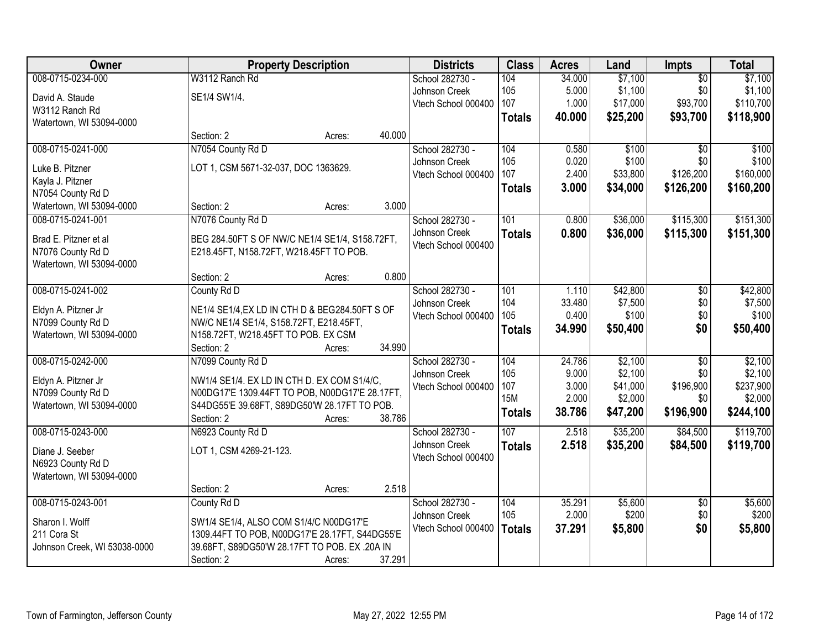| <b>Owner</b>                             | <b>Property Description</b>                                                                   |        |        | <b>Districts</b>    | <b>Class</b>     | <b>Acres</b> | Land     | <b>Impts</b>    | <b>Total</b> |
|------------------------------------------|-----------------------------------------------------------------------------------------------|--------|--------|---------------------|------------------|--------------|----------|-----------------|--------------|
| 008-0715-0234-000                        | W3112 Ranch Rd                                                                                |        |        | School 282730 -     | 104              | 34.000       | \$7,100  | $\overline{50}$ | \$7,100      |
| David A. Staude                          | SE1/4 SW1/4.                                                                                  |        |        | Johnson Creek       | 105              | 5.000        | \$1,100  | \$0             | \$1,100      |
| W3112 Ranch Rd                           |                                                                                               |        |        | Vtech School 000400 | 107              | 1.000        | \$17,000 | \$93,700        | \$110,700    |
| Watertown, WI 53094-0000                 |                                                                                               |        |        |                     | <b>Totals</b>    | 40.000       | \$25,200 | \$93,700        | \$118,900    |
|                                          | Section: 2                                                                                    | Acres: | 40.000 |                     |                  |              |          |                 |              |
| 008-0715-0241-000                        | N7054 County Rd D                                                                             |        |        | School 282730 -     | 104              | 0.580        | \$100    | $\overline{50}$ | \$100        |
| Luke B. Pitzner                          | LOT 1, CSM 5671-32-037, DOC 1363629.                                                          |        |        | Johnson Creek       | 105              | 0.020        | \$100    | \$0             | \$100        |
| Kayla J. Pitzner                         |                                                                                               |        |        | Vtech School 000400 | 107              | 2.400        | \$33,800 | \$126,200       | \$160,000    |
| N7054 County Rd D                        |                                                                                               |        |        |                     | <b>Totals</b>    | 3.000        | \$34,000 | \$126,200       | \$160,200    |
| Watertown, WI 53094-0000                 | Section: 2                                                                                    | Acres: | 3.000  |                     |                  |              |          |                 |              |
| 008-0715-0241-001                        | N7076 County Rd D                                                                             |        |        | School 282730 -     | 101              | 0.800        | \$36,000 | \$115,300       | \$151,300    |
|                                          |                                                                                               |        |        | Johnson Creek       | <b>Totals</b>    | 0.800        | \$36,000 | \$115,300       | \$151,300    |
| Brad E. Pitzner et al                    | BEG 284.50FT S OF NW/C NE1/4 SE1/4, S158.72FT,                                                |        |        | Vtech School 000400 |                  |              |          |                 |              |
| N7076 County Rd D                        | E218.45FT, N158.72FT, W218.45FT TO POB.                                                       |        |        |                     |                  |              |          |                 |              |
| Watertown, WI 53094-0000                 |                                                                                               |        |        |                     |                  |              |          |                 |              |
|                                          | Section: 2                                                                                    | Acres: | 0.800  |                     |                  |              |          |                 |              |
| 008-0715-0241-002                        | County Rd D                                                                                   |        |        | School 282730 -     | 101              | 1.110        | \$42,800 | $\overline{50}$ | \$42,800     |
| Eldyn A. Pitzner Jr                      | NE1/4 SE1/4, EX LD IN CTH D & BEG284.50FT S OF                                                |        |        | Johnson Creek       | 104              | 33.480       | \$7,500  | \$0             | \$7,500      |
| N7099 County Rd D                        | NW/C NE1/4 SE1/4, S158.72FT, E218.45FT,                                                       |        |        | Vtech School 000400 | 105              | 0.400        | \$100    | \$0             | \$100        |
| Watertown, WI 53094-0000                 | N158.72FT, W218.45FT TO POB. EX CSM                                                           |        |        |                     | <b>Totals</b>    | 34.990       | \$50,400 | \$0             | \$50,400     |
|                                          | Section: 2                                                                                    | Acres: | 34.990 |                     |                  |              |          |                 |              |
| 008-0715-0242-000                        | N7099 County Rd D                                                                             |        |        | School 282730 -     | 104              | 24.786       | \$2,100  | $\overline{50}$ | \$2,100      |
|                                          |                                                                                               |        |        | Johnson Creek       | 105              | 9.000        | \$2,100  | \$0             | \$2,100      |
| Eldyn A. Pitzner Jr<br>N7099 County Rd D | NW1/4 SE1/4. EX LD IN CTH D. EX COM S1/4/C,<br>N00DG17'E 1309.44FT TO POB, N00DG17'E 28.17FT, |        |        | Vtech School 000400 | 107              | 3.000        | \$41,000 | \$196,900       | \$237,900    |
| Watertown, WI 53094-0000                 | S44DG55'E 39.68FT, S89DG50'W 28.17FT TO POB.                                                  |        |        |                     | <b>15M</b>       | 2.000        | \$2,000  | \$0             | \$2,000      |
|                                          | Section: 2                                                                                    | Acres: | 38.786 |                     | <b>Totals</b>    | 38.786       | \$47,200 | \$196,900       | \$244,100    |
| 008-0715-0243-000                        | N6923 County Rd D                                                                             |        |        | School 282730 -     | $\overline{107}$ | 2.518        | \$35,200 | \$84,500        | \$119,700    |
|                                          | LOT 1, CSM 4269-21-123.                                                                       |        |        | Johnson Creek       | <b>Totals</b>    | 2.518        | \$35,200 | \$84,500        | \$119,700    |
| Diane J. Seeber<br>N6923 County Rd D     |                                                                                               |        |        | Vtech School 000400 |                  |              |          |                 |              |
| Watertown, WI 53094-0000                 |                                                                                               |        |        |                     |                  |              |          |                 |              |
|                                          | Section: 2                                                                                    | Acres: | 2.518  |                     |                  |              |          |                 |              |
| 008-0715-0243-001                        | County Rd D                                                                                   |        |        | School 282730 -     | 104              | 35.291       | \$5,600  | $\overline{50}$ | \$5,600      |
|                                          |                                                                                               |        |        | Johnson Creek       | 105              | 2.000        | \$200    | \$0             | \$200        |
| Sharon I. Wolff                          | SW1/4 SE1/4, ALSO COM S1/4/C N00DG17'E                                                        |        |        | Vtech School 000400 |                  | 37.291       | \$5,800  | \$0             | \$5,800      |
| 211 Cora St                              | 1309.44FT TO POB, N00DG17'E 28.17FT, S44DG55'E                                                |        |        |                     | <b>Totals</b>    |              |          |                 |              |
| Johnson Creek, WI 53038-0000             | 39.68FT, S89DG50'W 28.17FT TO POB. EX .20A IN                                                 |        |        |                     |                  |              |          |                 |              |
|                                          | Section: 2                                                                                    | Acres: | 37.291 |                     |                  |              |          |                 |              |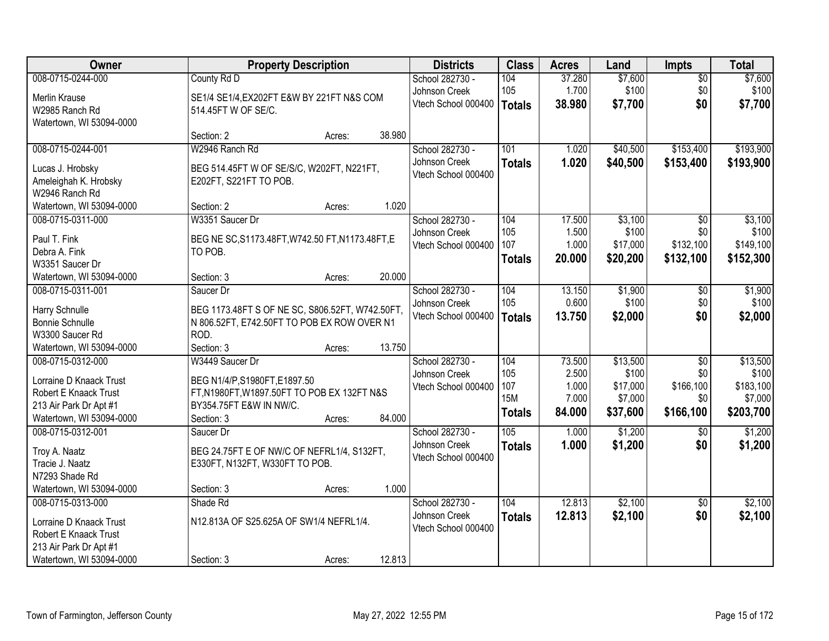| Owner                    |                                                  | <b>Property Description</b> |        |                     | <b>Class</b>  | <b>Acres</b> | Land     | <b>Impts</b>    | <b>Total</b> |
|--------------------------|--------------------------------------------------|-----------------------------|--------|---------------------|---------------|--------------|----------|-----------------|--------------|
| 008-0715-0244-000        | County Rd D                                      |                             |        | School 282730 -     | 104           | 37.280       | \$7,600  | $\overline{50}$ | \$7,600      |
| Merlin Krause            | SE1/4 SE1/4, EX202FT E&W BY 221FT N&S COM        |                             |        | Johnson Creek       | 105           | 1.700        | \$100    | \$0             | \$100        |
| W2985 Ranch Rd           | 514.45FT W OF SE/C.                              |                             |        | Vtech School 000400 | Totals        | 38.980       | \$7,700  | \$0             | \$7,700      |
| Watertown, WI 53094-0000 |                                                  |                             |        |                     |               |              |          |                 |              |
|                          | Section: 2                                       | Acres:                      | 38.980 |                     |               |              |          |                 |              |
| 008-0715-0244-001        | W2946 Ranch Rd                                   |                             |        | School 282730 -     | 101           | 1.020        | \$40,500 | \$153,400       | \$193,900    |
|                          |                                                  |                             |        | Johnson Creek       | <b>Totals</b> | 1.020        | \$40,500 | \$153,400       | \$193,900    |
| Lucas J. Hrobsky         | BEG 514.45FT W OF SE/S/C, W202FT, N221FT,        |                             |        | Vtech School 000400 |               |              |          |                 |              |
| Ameleighah K. Hrobsky    | E202FT, S221FT TO POB.                           |                             |        |                     |               |              |          |                 |              |
| W2946 Ranch Rd           |                                                  |                             |        |                     |               |              |          |                 |              |
| Watertown, WI 53094-0000 | Section: 2                                       | Acres:                      | 1.020  |                     |               |              |          |                 |              |
| 008-0715-0311-000        | W3351 Saucer Dr                                  |                             |        | School 282730 -     | 104           | 17.500       | \$3,100  | \$0             | \$3,100      |
| Paul T. Fink             | BEG NE SC, S1173.48FT, W742.50 FT, N1173.48FT, E |                             |        | Johnson Creek       | 105           | 1.500        | \$100    | \$0             | \$100        |
| Debra A. Fink            | TO POB.                                          |                             |        | Vtech School 000400 | 107           | 1.000        | \$17,000 | \$132,100       | \$149,100    |
| W3351 Saucer Dr          |                                                  |                             |        |                     | <b>Totals</b> | 20.000       | \$20,200 | \$132,100       | \$152,300    |
| Watertown, WI 53094-0000 | Section: 3                                       | Acres:                      | 20.000 |                     |               |              |          |                 |              |
| 008-0715-0311-001        | Saucer Dr                                        |                             |        | School 282730 -     | 104           | 13.150       | \$1,900  | \$0             | \$1,900      |
|                          |                                                  |                             |        | Johnson Creek       | 105           | 0.600        | \$100    | \$0             | \$100        |
| Harry Schnulle           | BEG 1173.48FT S OF NE SC, S806.52FT, W742.50FT,  |                             |        | Vtech School 000400 | Totals        | 13.750       | \$2,000  | \$0             | \$2,000      |
| <b>Bonnie Schnulle</b>   | N 806.52FT, E742.50FT TO POB EX ROW OVER N1      |                             |        |                     |               |              |          |                 |              |
| W3300 Saucer Rd          | ROD.                                             |                             |        |                     |               |              |          |                 |              |
| Watertown, WI 53094-0000 | Section: 3                                       | Acres:                      | 13.750 |                     |               |              |          |                 |              |
| 008-0715-0312-000        | W3449 Saucer Dr                                  |                             |        | School 282730 -     | 104           | 73.500       | \$13,500 | $\overline{30}$ | \$13,500     |
| Lorraine D Knaack Trust  | BEG N1/4/P,S1980FT,E1897.50                      |                             |        | Johnson Creek       | 105           | 2.500        | \$100    | \$0             | \$100        |
| Robert E Knaack Trust    | FT, N1980FT, W1897.50FT TO POB EX 132FT N&S      |                             |        | Vtech School 000400 | 107           | 1.000        | \$17,000 | \$166,100       | \$183,100    |
| 213 Air Park Dr Apt #1   | BY354.75FT E&W IN NW/C.                          |                             |        |                     | <b>15M</b>    | 7.000        | \$7,000  | \$0             | \$7,000      |
| Watertown, WI 53094-0000 | Section: 3                                       | Acres:                      | 84.000 |                     | <b>Totals</b> | 84.000       | \$37,600 | \$166,100       | \$203,700    |
| 008-0715-0312-001        | Saucer Dr                                        |                             |        | School 282730 -     | 105           | 1.000        | \$1,200  | \$0             | \$1,200      |
| Troy A. Naatz            | BEG 24.75FT E OF NW/C OF NEFRL1/4, S132FT,       |                             |        | Johnson Creek       | <b>Totals</b> | 1.000        | \$1,200  | \$0             | \$1,200      |
| Tracie J. Naatz          |                                                  |                             |        | Vtech School 000400 |               |              |          |                 |              |
| N7293 Shade Rd           | E330FT, N132FT, W330FT TO POB.                   |                             |        |                     |               |              |          |                 |              |
|                          |                                                  |                             |        |                     |               |              |          |                 |              |
| Watertown, WI 53094-0000 | Section: 3                                       | Acres:                      | 1.000  |                     |               |              |          |                 |              |
| 008-0715-0313-000        | Shade Rd                                         |                             |        | School 282730 -     | 104           | 12.813       | \$2,100  | $\overline{30}$ | \$2,100      |
| Lorraine D Knaack Trust  | N12.813A OF S25.625A OF SW1/4 NEFRL1/4.          |                             |        | Johnson Creek       | <b>Totals</b> | 12.813       | \$2,100  | \$0             | \$2,100      |
| Robert E Knaack Trust    |                                                  |                             |        | Vtech School 000400 |               |              |          |                 |              |
| 213 Air Park Dr Apt #1   |                                                  |                             |        |                     |               |              |          |                 |              |
| Watertown, WI 53094-0000 | Section: 3                                       | Acres:                      | 12.813 |                     |               |              |          |                 |              |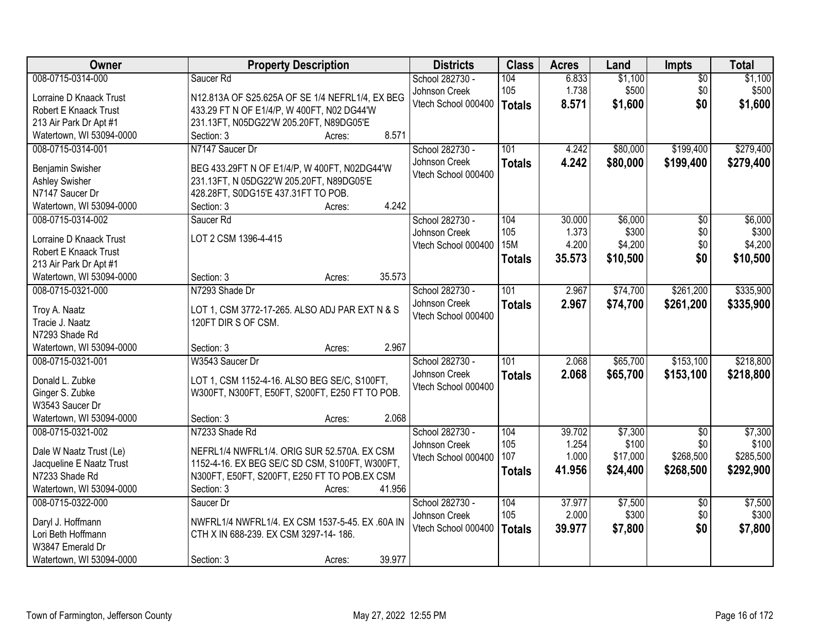| Owner                    | <b>Property Description</b>                     | <b>Districts</b>    | <b>Class</b>     | <b>Acres</b> | Land     | <b>Impts</b>    | <b>Total</b> |
|--------------------------|-------------------------------------------------|---------------------|------------------|--------------|----------|-----------------|--------------|
| 008-0715-0314-000        | Saucer Rd                                       | School 282730 -     | 104              | 6.833        | \$1,100  | $\overline{50}$ | \$1,100      |
| Lorraine D Knaack Trust  | N12.813A OF S25.625A OF SE 1/4 NEFRL1/4, EX BEG | Johnson Creek       | 105              | 1.738        | \$500    | \$0             | \$500        |
| Robert E Knaack Trust    | 433.29 FT N OF E1/4/P, W 400FT, N02 DG44'W      | Vtech School 000400 | Totals           | 8.571        | \$1,600  | \$0             | \$1,600      |
| 213 Air Park Dr Apt #1   | 231.13FT, N05DG22'W 205.20FT, N89DG05'E         |                     |                  |              |          |                 |              |
| Watertown, WI 53094-0000 | 8.571<br>Section: 3<br>Acres:                   |                     |                  |              |          |                 |              |
| 008-0715-0314-001        | N7147 Saucer Dr                                 | School 282730 -     | 101              | 4.242        | \$80,000 | \$199,400       | \$279,400    |
|                          |                                                 | Johnson Creek       | <b>Totals</b>    | 4.242        | \$80,000 | \$199,400       | \$279,400    |
| Benjamin Swisher         | BEG 433.29FT N OF E1/4/P, W 400FT, N02DG44'W    | Vtech School 000400 |                  |              |          |                 |              |
| <b>Ashley Swisher</b>    | 231.13FT, N 05DG22'W 205.20FT, N89DG05'E        |                     |                  |              |          |                 |              |
| N7147 Saucer Dr          | 428.28FT, S0DG15'E 437.31FT TO POB.             |                     |                  |              |          |                 |              |
| Watertown, WI 53094-0000 | 4.242<br>Section: 3<br>Acres:                   |                     |                  |              |          |                 |              |
| 008-0715-0314-002        | Saucer Rd                                       | School 282730 -     | 104              | 30.000       | \$6,000  | $\overline{50}$ | \$6,000      |
| Lorraine D Knaack Trust  | LOT 2 CSM 1396-4-415                            | Johnson Creek       | 105              | 1.373        | \$300    | \$0             | \$300        |
| Robert E Knaack Trust    |                                                 | Vtech School 000400 | 15M              | 4.200        | \$4,200  | \$0             | \$4,200      |
| 213 Air Park Dr Apt #1   |                                                 |                     | <b>Totals</b>    | 35.573       | \$10,500 | \$0             | \$10,500     |
| Watertown, WI 53094-0000 | 35.573<br>Section: 3<br>Acres:                  |                     |                  |              |          |                 |              |
| 008-0715-0321-000        | N7293 Shade Dr                                  | School 282730 -     | 101              | 2.967        | \$74,700 | \$261,200       | \$335,900    |
|                          |                                                 | Johnson Creek       | <b>Totals</b>    | 2.967        | \$74,700 | \$261,200       | \$335,900    |
| Troy A. Naatz            | LOT 1, CSM 3772-17-265. ALSO ADJ PAR EXT N & S  | Vtech School 000400 |                  |              |          |                 |              |
| Tracie J. Naatz          | 120FT DIR S OF CSM.                             |                     |                  |              |          |                 |              |
| N7293 Shade Rd           |                                                 |                     |                  |              |          |                 |              |
| Watertown, WI 53094-0000 | 2.967<br>Section: 3<br>Acres:                   |                     |                  |              |          |                 |              |
| 008-0715-0321-001        | W3543 Saucer Dr                                 | School 282730 -     | $\overline{101}$ | 2.068        | \$65,700 | \$153,100       | \$218,800    |
| Donald L. Zubke          | LOT 1, CSM 1152-4-16. ALSO BEG SE/C, S100FT,    | Johnson Creek       | <b>Totals</b>    | 2.068        | \$65,700 | \$153,100       | \$218,800    |
| Ginger S. Zubke          | W300FT, N300FT, E50FT, S200FT, E250 FT TO POB.  | Vtech School 000400 |                  |              |          |                 |              |
| W3543 Saucer Dr          |                                                 |                     |                  |              |          |                 |              |
| Watertown, WI 53094-0000 | 2.068<br>Section: 3<br>Acres:                   |                     |                  |              |          |                 |              |
| 008-0715-0321-002        | N7233 Shade Rd                                  | School 282730 -     | 104              | 39.702       | \$7,300  | $\overline{50}$ | \$7,300      |
|                          |                                                 | Johnson Creek       | 105              | 1.254        | \$100    | \$0             | \$100        |
| Dale W Naatz Trust (Le)  | NEFRL1/4 NWFRL1/4. ORIG SUR 52.570A. EX CSM     | Vtech School 000400 | 107              | 1.000        | \$17,000 | \$268,500       | \$285,500    |
| Jacqueline E Naatz Trust | 1152-4-16. EX BEG SE/C SD CSM, S100FT, W300FT,  |                     | <b>Totals</b>    | 41.956       | \$24,400 | \$268,500       | \$292,900    |
| N7233 Shade Rd           | N300FT, E50FT, S200FT, E250 FT TO POB.EX CSM    |                     |                  |              |          |                 |              |
| Watertown, WI 53094-0000 | 41.956<br>Section: 3<br>Acres:                  |                     |                  |              |          |                 |              |
| 008-0715-0322-000        | Saucer Dr                                       | School 282730 -     | 104              | 37.977       | \$7,500  | $\overline{30}$ | \$7,500      |
| Daryl J. Hoffmann        | NWFRL1/4 NWFRL1/4. EX CSM 1537-5-45. EX .60A IN | Johnson Creek       | 105              | 2.000        | \$300    | \$0             | \$300        |
| Lori Beth Hoffmann       | CTH X IN 688-239. EX CSM 3297-14-186.           | Vtech School 000400 | Totals           | 39.977       | \$7,800  | \$0             | \$7,800      |
| W3847 Emerald Dr         |                                                 |                     |                  |              |          |                 |              |
| Watertown, WI 53094-0000 | 39.977<br>Section: 3<br>Acres:                  |                     |                  |              |          |                 |              |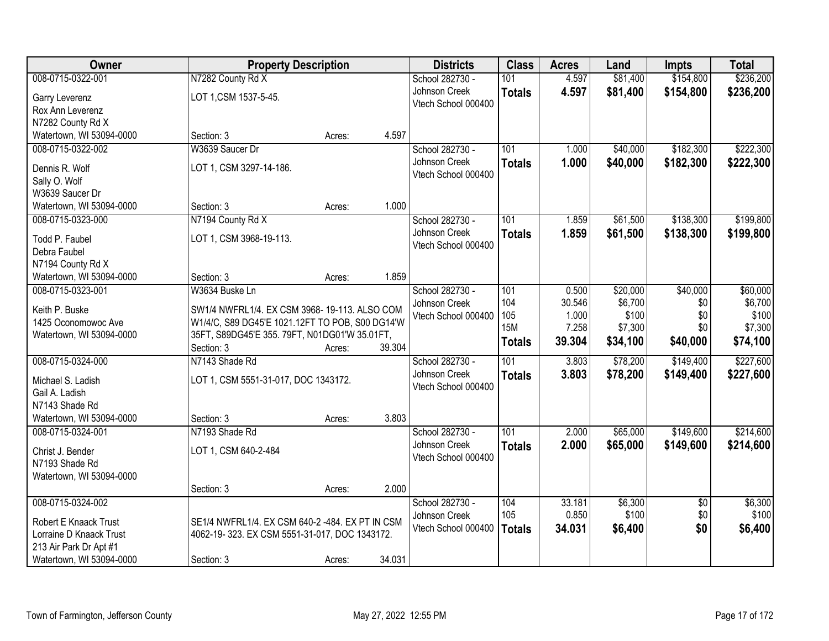| <b>Owner</b>                     | <b>Property Description</b>                     |        |        | <b>Districts</b>    | <b>Class</b>  | <b>Acres</b> | Land     | <b>Impts</b>    | <b>Total</b> |
|----------------------------------|-------------------------------------------------|--------|--------|---------------------|---------------|--------------|----------|-----------------|--------------|
| 008-0715-0322-001                | N7282 County Rd X                               |        |        | School 282730 -     | 101           | 4.597        | \$81,400 | \$154,800       | \$236,200    |
| Garry Leverenz                   | LOT 1, CSM 1537-5-45.                           |        |        | Johnson Creek       | <b>Totals</b> | 4.597        | \$81,400 | \$154,800       | \$236,200    |
| Rox Ann Leverenz                 |                                                 |        |        | Vtech School 000400 |               |              |          |                 |              |
| N7282 County Rd X                |                                                 |        |        |                     |               |              |          |                 |              |
| Watertown, WI 53094-0000         | Section: 3                                      | Acres: | 4.597  |                     |               |              |          |                 |              |
| 008-0715-0322-002                | W3639 Saucer Dr                                 |        |        | School 282730 -     | 101           | 1.000        | \$40,000 | \$182,300       | \$222,300    |
|                                  |                                                 |        |        | Johnson Creek       | <b>Totals</b> | 1.000        | \$40,000 | \$182,300       | \$222,300    |
| Dennis R. Wolf                   | LOT 1, CSM 3297-14-186.                         |        |        | Vtech School 000400 |               |              |          |                 |              |
| Sally O. Wolf<br>W3639 Saucer Dr |                                                 |        |        |                     |               |              |          |                 |              |
| Watertown, WI 53094-0000         | Section: 3                                      | Acres: | 1.000  |                     |               |              |          |                 |              |
| 008-0715-0323-000                | N7194 County Rd X                               |        |        | School 282730 -     | 101           | 1.859        | \$61,500 | \$138,300       | \$199,800    |
|                                  |                                                 |        |        | Johnson Creek       |               | 1.859        | \$61,500 | \$138,300       |              |
| Todd P. Faubel                   | LOT 1, CSM 3968-19-113.                         |        |        | Vtech School 000400 | <b>Totals</b> |              |          |                 | \$199,800    |
| Debra Faubel                     |                                                 |        |        |                     |               |              |          |                 |              |
| N7194 County Rd X                |                                                 |        |        |                     |               |              |          |                 |              |
| Watertown, WI 53094-0000         | Section: 3                                      | Acres: | 1.859  |                     |               |              |          |                 |              |
| 008-0715-0323-001                | W3634 Buske Ln                                  |        |        | School 282730 -     | 101           | 0.500        | \$20,000 | \$40,000        | \$60,000     |
| Keith P. Buske                   | SW1/4 NWFRL1/4. EX CSM 3968-19-113. ALSO COM    |        |        | Johnson Creek       | 104           | 30.546       | \$6,700  | \$0             | \$6,700      |
| 1425 Oconomowoc Ave              | W1/4/C, S89 DG45'E 1021.12FT TO POB, S00 DG14'W |        |        | Vtech School 000400 | 105           | 1.000        | \$100    | \$0             | \$100        |
| Watertown, WI 53094-0000         | 35FT, S89DG45'E 355.79FT, N01DG01'W 35.01FT,    |        |        |                     | <b>15M</b>    | 7.258        | \$7,300  | \$0             | \$7,300      |
|                                  | Section: 3                                      | Acres: | 39.304 |                     | <b>Totals</b> | 39.304       | \$34,100 | \$40,000        | \$74,100     |
| 008-0715-0324-000                | N7143 Shade Rd                                  |        |        | School 282730 -     | 101           | 3.803        | \$78,200 | \$149,400       | \$227,600    |
| Michael S. Ladish                |                                                 |        |        | Johnson Creek       | <b>Totals</b> | 3.803        | \$78,200 | \$149,400       | \$227,600    |
| Gail A. Ladish                   | LOT 1, CSM 5551-31-017, DOC 1343172.            |        |        | Vtech School 000400 |               |              |          |                 |              |
| N7143 Shade Rd                   |                                                 |        |        |                     |               |              |          |                 |              |
| Watertown, WI 53094-0000         | Section: 3                                      | Acres: | 3.803  |                     |               |              |          |                 |              |
| 008-0715-0324-001                | N7193 Shade Rd                                  |        |        | School 282730 -     | 101           | 2.000        | \$65,000 | \$149,600       | \$214,600    |
|                                  |                                                 |        |        | Johnson Creek       | <b>Totals</b> | 2.000        | \$65,000 | \$149,600       | \$214,600    |
| Christ J. Bender                 | LOT 1, CSM 640-2-484                            |        |        | Vtech School 000400 |               |              |          |                 |              |
| N7193 Shade Rd                   |                                                 |        |        |                     |               |              |          |                 |              |
| Watertown, WI 53094-0000         |                                                 |        |        |                     |               |              |          |                 |              |
|                                  | Section: 3                                      | Acres: | 2.000  |                     |               |              |          |                 |              |
| 008-0715-0324-002                |                                                 |        |        | School 282730 -     | 104           | 33.181       | \$6,300  | $\overline{30}$ | \$6,300      |
| Robert E Knaack Trust            | SE1/4 NWFRL1/4. EX CSM 640-2 -484. EX PT IN CSM |        |        | Johnson Creek       | 105           | 0.850        | \$100    | \$0             | \$100        |
| Lorraine D Knaack Trust          | 4062-19-323. EX CSM 5551-31-017, DOC 1343172.   |        |        | Vtech School 000400 | <b>Totals</b> | 34.031       | \$6,400  | \$0             | \$6,400      |
| 213 Air Park Dr Apt #1           |                                                 |        |        |                     |               |              |          |                 |              |
| Watertown, WI 53094-0000         | Section: 3                                      | Acres: | 34.031 |                     |               |              |          |                 |              |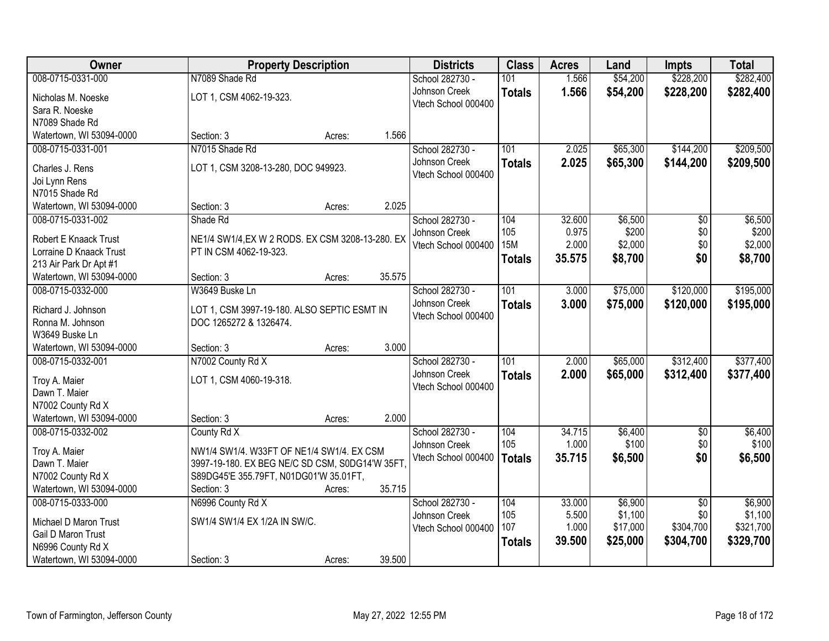| Owner                    | <b>Property Description</b>                      |        |        | <b>Districts</b>    | <b>Class</b>  | <b>Acres</b> | Land     | <b>Impts</b>    | <b>Total</b> |
|--------------------------|--------------------------------------------------|--------|--------|---------------------|---------------|--------------|----------|-----------------|--------------|
| 008-0715-0331-000        | N7089 Shade Rd                                   |        |        | School 282730 -     | 101           | 1.566        | \$54,200 | \$228,200       | \$282,400    |
| Nicholas M. Noeske       | LOT 1, CSM 4062-19-323.                          |        |        | Johnson Creek       | <b>Totals</b> | 1.566        | \$54,200 | \$228,200       | \$282,400    |
| Sara R. Noeske           |                                                  |        |        | Vtech School 000400 |               |              |          |                 |              |
| N7089 Shade Rd           |                                                  |        |        |                     |               |              |          |                 |              |
| Watertown, WI 53094-0000 | Section: 3                                       | Acres: | 1.566  |                     |               |              |          |                 |              |
| 008-0715-0331-001        | N7015 Shade Rd                                   |        |        | School 282730 -     | 101           | 2.025        | \$65,300 | \$144,200       | \$209,500    |
| Charles J. Rens          | LOT 1, CSM 3208-13-280, DOC 949923.              |        |        | Johnson Creek       | <b>Totals</b> | 2.025        | \$65,300 | \$144,200       | \$209,500    |
| Joi Lynn Rens            |                                                  |        |        | Vtech School 000400 |               |              |          |                 |              |
| N7015 Shade Rd           |                                                  |        |        |                     |               |              |          |                 |              |
| Watertown, WI 53094-0000 | Section: 3                                       | Acres: | 2.025  |                     |               |              |          |                 |              |
| 008-0715-0331-002        | Shade Rd                                         |        |        | School 282730 -     | 104           | 32.600       | \$6,500  | $\overline{50}$ | \$6,500      |
| Robert E Knaack Trust    | NE1/4 SW1/4, EX W 2 RODS. EX CSM 3208-13-280. EX |        |        | Johnson Creek       | 105           | 0.975        | \$200    | \$0             | \$200        |
| Lorraine D Knaack Trust  | PT IN CSM 4062-19-323.                           |        |        | Vtech School 000400 | <b>15M</b>    | 2.000        | \$2,000  | \$0             | \$2,000      |
| 213 Air Park Dr Apt #1   |                                                  |        |        |                     | <b>Totals</b> | 35.575       | \$8,700  | \$0             | \$8,700      |
| Watertown, WI 53094-0000 | Section: 3                                       | Acres: | 35.575 |                     |               |              |          |                 |              |
| 008-0715-0332-000        | W3649 Buske Ln                                   |        |        | School 282730 -     | 101           | 3.000        | \$75,000 | \$120,000       | \$195,000    |
| Richard J. Johnson       | LOT 1, CSM 3997-19-180. ALSO SEPTIC ESMT IN      |        |        | Johnson Creek       | <b>Totals</b> | 3.000        | \$75,000 | \$120,000       | \$195,000    |
| Ronna M. Johnson         | DOC 1265272 & 1326474.                           |        |        | Vtech School 000400 |               |              |          |                 |              |
| W3649 Buske Ln           |                                                  |        |        |                     |               |              |          |                 |              |
| Watertown, WI 53094-0000 | Section: 3                                       | Acres: | 3.000  |                     |               |              |          |                 |              |
| 008-0715-0332-001        | N7002 County Rd X                                |        |        | School 282730 -     | 101           | 2.000        | \$65,000 | \$312,400       | \$377,400    |
| Troy A. Maier            | LOT 1, CSM 4060-19-318.                          |        |        | Johnson Creek       | <b>Totals</b> | 2.000        | \$65,000 | \$312,400       | \$377,400    |
| Dawn T. Maier            |                                                  |        |        | Vtech School 000400 |               |              |          |                 |              |
| N7002 County Rd X        |                                                  |        |        |                     |               |              |          |                 |              |
| Watertown, WI 53094-0000 | Section: 3                                       | Acres: | 2.000  |                     |               |              |          |                 |              |
| 008-0715-0332-002        | County Rd X                                      |        |        | School 282730 -     | 104           | 34.715       | \$6,400  | $\overline{50}$ | \$6,400      |
| Troy A. Maier            | NW1/4 SW1/4. W33FT OF NE1/4 SW1/4. EX CSM        |        |        | Johnson Creek       | 105           | 1.000        | \$100    | \$0             | \$100        |
| Dawn T. Maier            | 3997-19-180. EX BEG NE/C SD CSM, S0DG14'W 35FT,  |        |        | Vtech School 000400 | <b>Totals</b> | 35.715       | \$6,500  | \$0             | \$6,500      |
| N7002 County Rd X        | S89DG45'E 355.79FT, N01DG01'W 35.01FT,           |        |        |                     |               |              |          |                 |              |
| Watertown, WI 53094-0000 | Section: 3                                       | Acres: | 35.715 |                     |               |              |          |                 |              |
| 008-0715-0333-000        | N6996 County Rd X                                |        |        | School 282730 -     | 104           | 33.000       | \$6,900  | $\overline{50}$ | \$6,900      |
| Michael D Maron Trust    | SW1/4 SW1/4 EX 1/2A IN SW/C.                     |        |        | Johnson Creek       | 105           | 5.500        | \$1,100  | \$0             | \$1,100      |
| Gail D Maron Trust       |                                                  |        |        | Vtech School 000400 | 107           | 1.000        | \$17,000 | \$304,700       | \$321,700    |
| N6996 County Rd X        |                                                  |        |        |                     | <b>Totals</b> | 39.500       | \$25,000 | \$304,700       | \$329,700    |
| Watertown, WI 53094-0000 | Section: 3                                       | Acres: | 39.500 |                     |               |              |          |                 |              |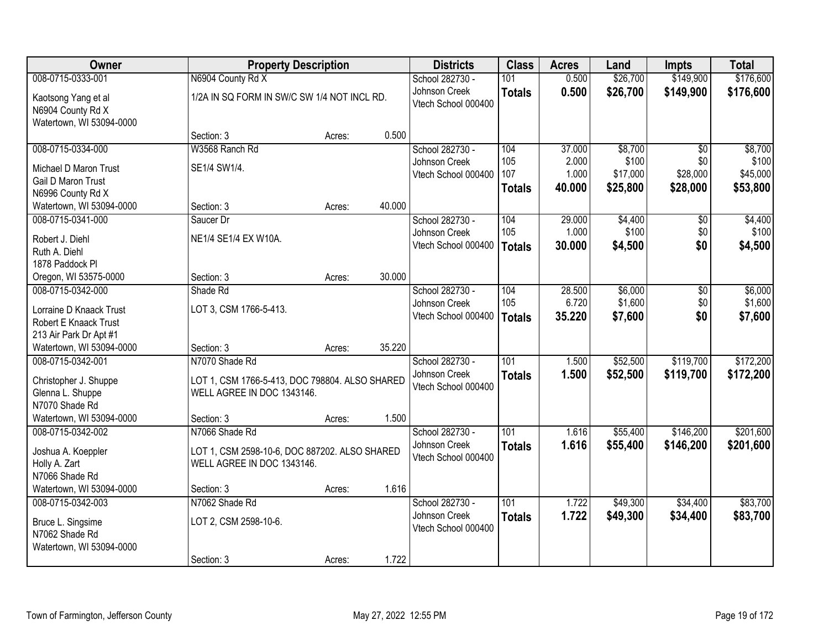| <b>Owner</b>             |                                                | <b>Property Description</b> |        | <b>Districts</b>    | <b>Class</b>  | <b>Acres</b> | Land     | <b>Impts</b>    | <b>Total</b> |
|--------------------------|------------------------------------------------|-----------------------------|--------|---------------------|---------------|--------------|----------|-----------------|--------------|
| 008-0715-0333-001        | N6904 County Rd X                              |                             |        | School 282730 -     | 101           | 0.500        | \$26,700 | \$149,900       | \$176,600    |
| Kaotsong Yang et al      | 1/2A IN SQ FORM IN SW/C SW 1/4 NOT INCL RD.    |                             |        | Johnson Creek       | <b>Totals</b> | 0.500        | \$26,700 | \$149,900       | \$176,600    |
| N6904 County Rd X        |                                                |                             |        | Vtech School 000400 |               |              |          |                 |              |
| Watertown, WI 53094-0000 |                                                |                             |        |                     |               |              |          |                 |              |
|                          | Section: 3                                     | Acres:                      | 0.500  |                     |               |              |          |                 |              |
| 008-0715-0334-000        | W3568 Ranch Rd                                 |                             |        | School 282730 -     | 104           | 37.000       | \$8,700  | $\overline{30}$ | \$8,700      |
| Michael D Maron Trust    | SE1/4 SW1/4.                                   |                             |        | Johnson Creek       | 105           | 2.000        | \$100    | \$0             | \$100        |
| Gail D Maron Trust       |                                                |                             |        | Vtech School 000400 | 107           | 1.000        | \$17,000 | \$28,000        | \$45,000     |
| N6996 County Rd X        |                                                |                             |        |                     | <b>Totals</b> | 40.000       | \$25,800 | \$28,000        | \$53,800     |
| Watertown, WI 53094-0000 | Section: 3                                     | Acres:                      | 40.000 |                     |               |              |          |                 |              |
| 008-0715-0341-000        | Saucer Dr                                      |                             |        | School 282730 -     | 104           | 29.000       | \$4,400  | \$0             | \$4,400      |
| Robert J. Diehl          | NE1/4 SE1/4 EX W10A.                           |                             |        | Johnson Creek       | 105           | 1.000        | \$100    | \$0             | \$100        |
| Ruth A. Diehl            |                                                |                             |        | Vtech School 000400 | Totals        | 30.000       | \$4,500  | \$0             | \$4,500      |
| 1878 Paddock Pl          |                                                |                             |        |                     |               |              |          |                 |              |
| Oregon, WI 53575-0000    | Section: 3                                     | Acres:                      | 30.000 |                     |               |              |          |                 |              |
| 008-0715-0342-000        | Shade Rd                                       |                             |        | School 282730 -     | 104           | 28.500       | \$6,000  | \$0             | \$6,000      |
| Lorraine D Knaack Trust  | LOT 3, CSM 1766-5-413.                         |                             |        | Johnson Creek       | 105           | 6.720        | \$1,600  | \$0             | \$1,600      |
| Robert E Knaack Trust    |                                                |                             |        | Vtech School 000400 | <b>Totals</b> | 35.220       | \$7,600  | \$0             | \$7,600      |
| 213 Air Park Dr Apt #1   |                                                |                             |        |                     |               |              |          |                 |              |
| Watertown, WI 53094-0000 | Section: 3                                     | Acres:                      | 35.220 |                     |               |              |          |                 |              |
| 008-0715-0342-001        | N7070 Shade Rd                                 |                             |        | School 282730 -     | 101           | 1.500        | \$52,500 | \$119,700       | \$172,200    |
| Christopher J. Shuppe    | LOT 1, CSM 1766-5-413, DOC 798804. ALSO SHARED |                             |        | Johnson Creek       | <b>Totals</b> | 1.500        | \$52,500 | \$119,700       | \$172,200    |
| Glenna L. Shuppe         | WELL AGREE IN DOC 1343146.                     |                             |        | Vtech School 000400 |               |              |          |                 |              |
| N7070 Shade Rd           |                                                |                             |        |                     |               |              |          |                 |              |
| Watertown, WI 53094-0000 | Section: 3                                     | Acres:                      | 1.500  |                     |               |              |          |                 |              |
| 008-0715-0342-002        | N7066 Shade Rd                                 |                             |        | School 282730 -     | 101           | 1.616        | \$55,400 | \$146,200       | \$201,600    |
| Joshua A. Koeppler       | LOT 1, CSM 2598-10-6, DOC 887202. ALSO SHARED  |                             |        | Johnson Creek       | <b>Totals</b> | 1.616        | \$55,400 | \$146,200       | \$201,600    |
| Holly A. Zart            | WELL AGREE IN DOC 1343146.                     |                             |        | Vtech School 000400 |               |              |          |                 |              |
| N7066 Shade Rd           |                                                |                             |        |                     |               |              |          |                 |              |
| Watertown, WI 53094-0000 | Section: 3                                     | Acres:                      | 1.616  |                     |               |              |          |                 |              |
| 008-0715-0342-003        | N7062 Shade Rd                                 |                             |        | School 282730 -     | 101           | 1.722        | \$49,300 | \$34,400        | \$83,700     |
| Bruce L. Singsime        | LOT 2, CSM 2598-10-6.                          |                             |        | Johnson Creek       | <b>Totals</b> | 1.722        | \$49,300 | \$34,400        | \$83,700     |
| N7062 Shade Rd           |                                                |                             |        | Vtech School 000400 |               |              |          |                 |              |
| Watertown, WI 53094-0000 |                                                |                             |        |                     |               |              |          |                 |              |
|                          | Section: 3                                     | Acres:                      | 1.722  |                     |               |              |          |                 |              |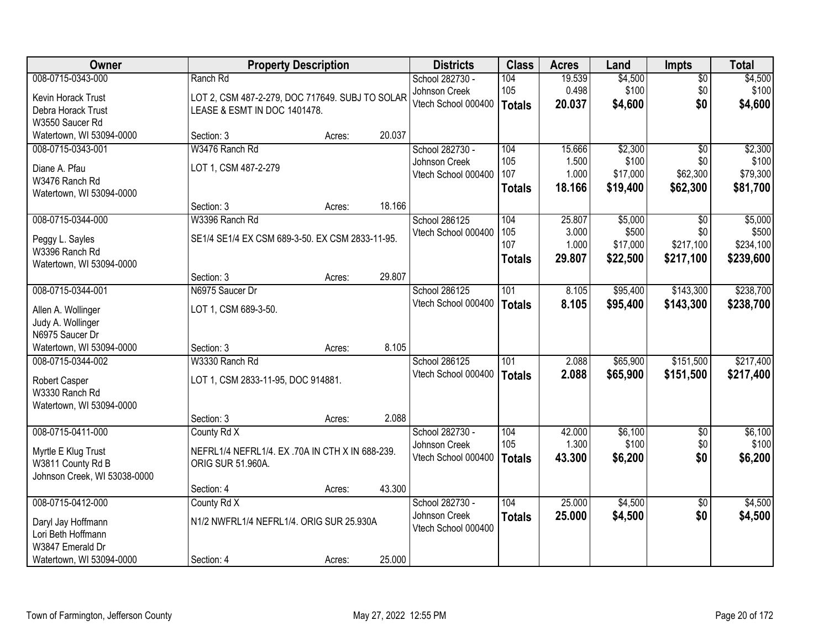| <b>Owner</b>                 |                                                 | <b>Property Description</b> |        | <b>Districts</b>    | <b>Class</b>  | <b>Acres</b> | Land     | <b>Impts</b>    | <b>Total</b> |
|------------------------------|-------------------------------------------------|-----------------------------|--------|---------------------|---------------|--------------|----------|-----------------|--------------|
| 008-0715-0343-000            | Ranch Rd                                        |                             |        | School 282730 -     | 104           | 19.539       | \$4,500  | \$0             | \$4,500      |
| Kevin Horack Trust           | LOT 2, CSM 487-2-279, DOC 717649. SUBJ TO SOLAR |                             |        | Johnson Creek       | 105           | 0.498        | \$100    | \$0             | \$100        |
| Debra Horack Trust           | LEASE & ESMT IN DOC 1401478.                    |                             |        | Vtech School 000400 | <b>Totals</b> | 20.037       | \$4,600  | \$0             | \$4,600      |
| W3550 Saucer Rd              |                                                 |                             |        |                     |               |              |          |                 |              |
| Watertown, WI 53094-0000     | Section: 3                                      | Acres:                      | 20.037 |                     |               |              |          |                 |              |
| 008-0715-0343-001            | W3476 Ranch Rd                                  |                             |        | School 282730 -     | 104           | 15.666       | \$2,300  | $\overline{50}$ | \$2,300      |
| Diane A. Pfau                | LOT 1, CSM 487-2-279                            |                             |        | Johnson Creek       | 105           | 1.500        | \$100    | \$0             | \$100        |
| W3476 Ranch Rd               |                                                 |                             |        | Vtech School 000400 | 107           | 1.000        | \$17,000 | \$62,300        | \$79,300     |
| Watertown, WI 53094-0000     |                                                 |                             |        |                     | <b>Totals</b> | 18.166       | \$19,400 | \$62,300        | \$81,700     |
|                              | Section: 3                                      | Acres:                      | 18.166 |                     |               |              |          |                 |              |
| 008-0715-0344-000            | W3396 Ranch Rd                                  |                             |        | School 286125       | 104           | 25.807       | \$5,000  | \$0             | \$5,000      |
| Peggy L. Sayles              | SE1/4 SE1/4 EX CSM 689-3-50. EX CSM 2833-11-95. |                             |        | Vtech School 000400 | 105           | 3.000        | \$500    | \$0             | \$500        |
| W3396 Ranch Rd               |                                                 |                             |        |                     | 107           | 1.000        | \$17,000 | \$217,100       | \$234,100    |
| Watertown, WI 53094-0000     |                                                 |                             |        |                     | <b>Totals</b> | 29.807       | \$22,500 | \$217,100       | \$239,600    |
|                              | Section: 3                                      | Acres:                      | 29.807 |                     |               |              |          |                 |              |
| 008-0715-0344-001            | N6975 Saucer Dr                                 |                             |        | School 286125       | 101           | 8.105        | \$95,400 | \$143,300       | \$238,700    |
| Allen A. Wollinger           | LOT 1, CSM 689-3-50.                            |                             |        | Vtech School 000400 | <b>Totals</b> | 8.105        | \$95,400 | \$143,300       | \$238,700    |
| Judy A. Wollinger            |                                                 |                             |        |                     |               |              |          |                 |              |
| N6975 Saucer Dr              |                                                 |                             |        |                     |               |              |          |                 |              |
| Watertown, WI 53094-0000     | Section: 3                                      | Acres:                      | 8.105  |                     |               |              |          |                 |              |
| 008-0715-0344-002            | W3330 Ranch Rd                                  |                             |        | School 286125       | 101           | 2.088        | \$65,900 | \$151,500       | \$217,400    |
| Robert Casper                | LOT 1, CSM 2833-11-95, DOC 914881.              |                             |        | Vtech School 000400 | <b>Totals</b> | 2.088        | \$65,900 | \$151,500       | \$217,400    |
| W3330 Ranch Rd               |                                                 |                             |        |                     |               |              |          |                 |              |
| Watertown, WI 53094-0000     |                                                 |                             |        |                     |               |              |          |                 |              |
|                              | Section: 3                                      | Acres:                      | 2.088  |                     |               |              |          |                 |              |
| 008-0715-0411-000            | County Rd X                                     |                             |        | School 282730 -     | 104           | 42.000       | \$6,100  | $\overline{50}$ | \$6,100      |
| Myrtle E Klug Trust          | NEFRL1/4 NEFRL1/4. EX .70A IN CTH X IN 688-239. |                             |        | Johnson Creek       | 105           | 1.300        | \$100    | \$0             | \$100        |
| W3811 County Rd B            | ORIG SUR 51.960A.                               |                             |        | Vtech School 000400 | <b>Totals</b> | 43.300       | \$6,200  | \$0             | \$6,200      |
| Johnson Creek, WI 53038-0000 |                                                 |                             |        |                     |               |              |          |                 |              |
|                              | Section: 4                                      | Acres:                      | 43.300 |                     |               |              |          |                 |              |
| 008-0715-0412-000            | County Rd X                                     |                             |        | School 282730 -     | 104           | 25.000       | \$4,500  | $\overline{50}$ | \$4,500      |
| Daryl Jay Hoffmann           | N1/2 NWFRL1/4 NEFRL1/4. ORIG SUR 25.930A        |                             |        | Johnson Creek       | <b>Totals</b> | 25.000       | \$4,500  | \$0             | \$4,500      |
| Lori Beth Hoffmann           |                                                 |                             |        | Vtech School 000400 |               |              |          |                 |              |
| W3847 Emerald Dr             |                                                 |                             |        |                     |               |              |          |                 |              |
| Watertown, WI 53094-0000     | Section: 4                                      | Acres:                      | 25.000 |                     |               |              |          |                 |              |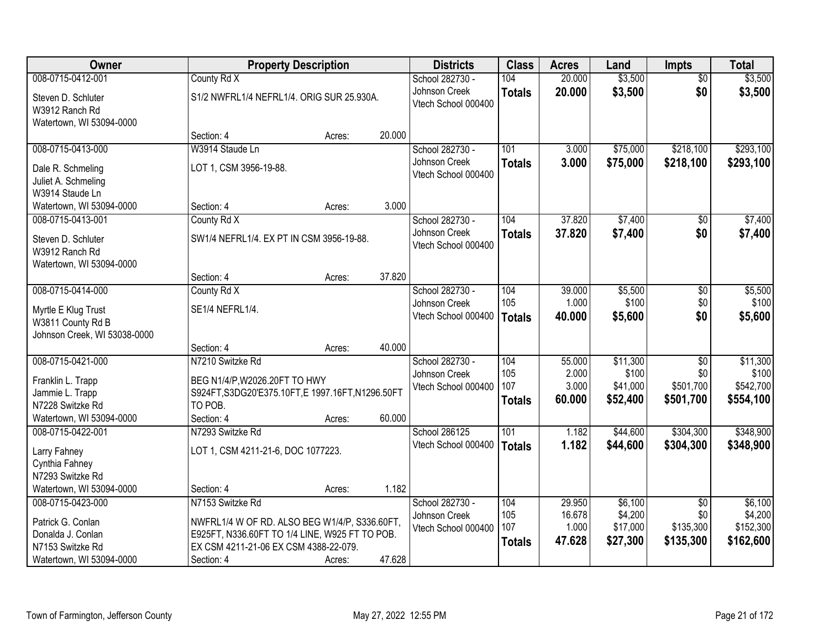| <b>Owner</b>                 |                                                   | <b>Property Description</b> |        | <b>Districts</b>    | <b>Class</b>  | <b>Acres</b> | Land     | <b>Impts</b>    | <b>Total</b> |
|------------------------------|---------------------------------------------------|-----------------------------|--------|---------------------|---------------|--------------|----------|-----------------|--------------|
| 008-0715-0412-001            | County Rd X                                       |                             |        | School 282730 -     | 104           | 20.000       | \$3,500  | $\overline{50}$ | \$3,500      |
| Steven D. Schluter           | S1/2 NWFRL1/4 NEFRL1/4. ORIG SUR 25.930A.         |                             |        | Johnson Creek       | <b>Totals</b> | 20.000       | \$3,500  | \$0             | \$3,500      |
| W3912 Ranch Rd               |                                                   |                             |        | Vtech School 000400 |               |              |          |                 |              |
| Watertown, WI 53094-0000     |                                                   |                             |        |                     |               |              |          |                 |              |
|                              | Section: 4                                        | Acres:                      | 20.000 |                     |               |              |          |                 |              |
| 008-0715-0413-000            | W3914 Staude Ln                                   |                             |        | School 282730 -     | 101           | 3.000        | \$75,000 | \$218,100       | \$293,100    |
| Dale R. Schmeling            | LOT 1, CSM 3956-19-88.                            |                             |        | Johnson Creek       | <b>Totals</b> | 3.000        | \$75,000 | \$218,100       | \$293,100    |
| Juliet A. Schmeling          |                                                   |                             |        | Vtech School 000400 |               |              |          |                 |              |
| W3914 Staude Ln              |                                                   |                             |        |                     |               |              |          |                 |              |
| Watertown, WI 53094-0000     | Section: 4                                        | Acres:                      | 3.000  |                     |               |              |          |                 |              |
| 008-0715-0413-001            | County Rd X                                       |                             |        | School 282730 -     | 104           | 37.820       | \$7,400  | \$0             | \$7,400      |
| Steven D. Schluter           | SW1/4 NEFRL1/4. EX PT IN CSM 3956-19-88.          |                             |        | Johnson Creek       | <b>Totals</b> | 37.820       | \$7,400  | \$0             | \$7,400      |
| W3912 Ranch Rd               |                                                   |                             |        | Vtech School 000400 |               |              |          |                 |              |
| Watertown, WI 53094-0000     |                                                   |                             |        |                     |               |              |          |                 |              |
|                              | Section: 4                                        | Acres:                      | 37.820 |                     |               |              |          |                 |              |
| 008-0715-0414-000            | County Rd X                                       |                             |        | School 282730 -     | 104           | 39.000       | \$5,500  | \$0             | \$5,500      |
| Myrtle E Klug Trust          | SE1/4 NEFRL1/4.                                   |                             |        | Johnson Creek       | 105           | 1.000        | \$100    | \$0             | \$100        |
| W3811 County Rd B            |                                                   |                             |        | Vtech School 000400 | Totals        | 40.000       | \$5,600  | \$0             | \$5,600      |
| Johnson Creek, WI 53038-0000 |                                                   |                             |        |                     |               |              |          |                 |              |
|                              | Section: 4                                        | Acres:                      | 40.000 |                     |               |              |          |                 |              |
| 008-0715-0421-000            | N7210 Switzke Rd                                  |                             |        | School 282730 -     | 104           | 55.000       | \$11,300 | $\overline{50}$ | \$11,300     |
| Franklin L. Trapp            | BEG N1/4/P, W2026.20FT TO HWY                     |                             |        | Johnson Creek       | 105           | 2.000        | \$100    | \$0             | \$100        |
| Jammie L. Trapp              | S924FT, S3DG20'E375.10FT, E 1997.16FT, N1296.50FT |                             |        | Vtech School 000400 | 107           | 3.000        | \$41,000 | \$501,700       | \$542,700    |
| N7228 Switzke Rd             | TO POB.                                           |                             |        |                     | <b>Totals</b> | 60.000       | \$52,400 | \$501,700       | \$554,100    |
| Watertown, WI 53094-0000     | Section: 4                                        | Acres:                      | 60.000 |                     |               |              |          |                 |              |
| 008-0715-0422-001            | N7293 Switzke Rd                                  |                             |        | School 286125       | 101           | 1.182        | \$44,600 | \$304,300       | \$348,900    |
| Larry Fahney                 | LOT 1, CSM 4211-21-6, DOC 1077223.                |                             |        | Vtech School 000400 | Totals        | 1.182        | \$44,600 | \$304,300       | \$348,900    |
| Cynthia Fahney               |                                                   |                             |        |                     |               |              |          |                 |              |
| N7293 Switzke Rd             |                                                   |                             |        |                     |               |              |          |                 |              |
| Watertown, WI 53094-0000     | Section: 4                                        | Acres:                      | 1.182  |                     |               |              |          |                 |              |
| 008-0715-0423-000            | N7153 Switzke Rd                                  |                             |        | School 282730 -     | 104           | 29.950       | \$6,100  | $\overline{60}$ | \$6,100      |
| Patrick G. Conlan            | NWFRL1/4 W OF RD. ALSO BEG W1/4/P, S336.60FT,     |                             |        | Johnson Creek       | 105           | 16.678       | \$4,200  | \$0             | \$4,200      |
| Donalda J. Conlan            | E925FT, N336.60FT TO 1/4 LINE, W925 FT TO POB.    |                             |        | Vtech School 000400 | 107           | 1.000        | \$17,000 | \$135,300       | \$152,300    |
| N7153 Switzke Rd             | EX CSM 4211-21-06 EX CSM 4388-22-079.             |                             |        |                     | <b>Totals</b> | 47.628       | \$27,300 | \$135,300       | \$162,600    |
| Watertown, WI 53094-0000     | Section: 4                                        | Acres:                      | 47.628 |                     |               |              |          |                 |              |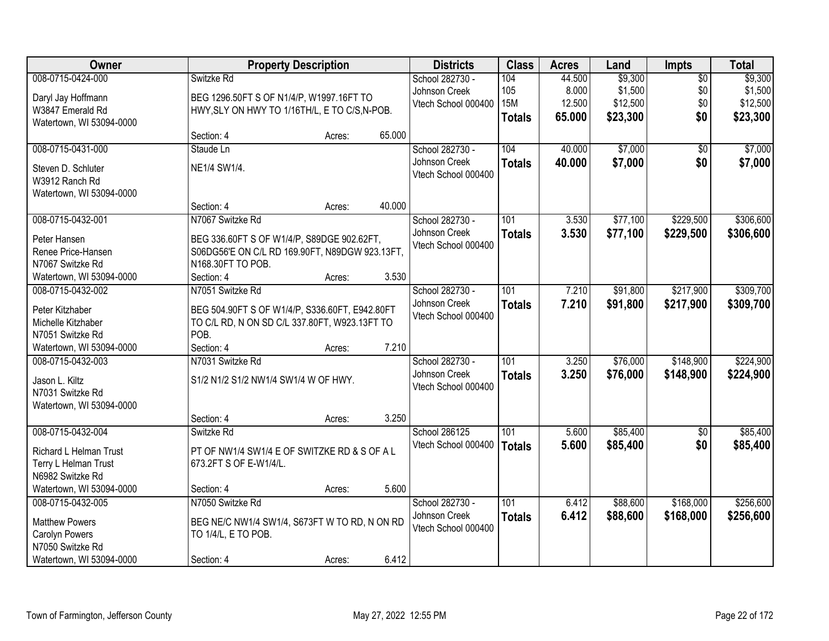| <b>Owner</b>                       |                                                                                              | <b>Property Description</b> |        | <b>Districts</b>    | <b>Class</b>     | <b>Acres</b> | Land     | <b>Impts</b>    | <b>Total</b> |
|------------------------------------|----------------------------------------------------------------------------------------------|-----------------------------|--------|---------------------|------------------|--------------|----------|-----------------|--------------|
| 008-0715-0424-000                  | Switzke Rd                                                                                   |                             |        | School 282730 -     | 104              | 44.500       | \$9,300  | $\overline{50}$ | \$9,300      |
| Daryl Jay Hoffmann                 | BEG 1296.50FT S OF N1/4/P, W1997.16FT TO                                                     |                             |        | Johnson Creek       | 105              | 8.000        | \$1,500  | \$0             | \$1,500      |
| W3847 Emerald Rd                   | HWY, SLY ON HWY TO 1/16TH/L, E TO C/S, N-POB.                                                |                             |        | Vtech School 000400 | <b>15M</b>       | 12.500       | \$12,500 | \$0             | \$12,500     |
| Watertown, WI 53094-0000           |                                                                                              |                             |        |                     | <b>Totals</b>    | 65.000       | \$23,300 | \$0             | \$23,300     |
|                                    | Section: 4                                                                                   | Acres:                      | 65.000 |                     |                  |              |          |                 |              |
| 008-0715-0431-000                  | Staude Ln                                                                                    |                             |        | School 282730 -     | 104              | 40.000       | \$7,000  | \$0             | \$7,000      |
| Steven D. Schluter                 | NE1/4 SW1/4.                                                                                 |                             |        | Johnson Creek       | <b>Totals</b>    | 40.000       | \$7,000  | \$0             | \$7,000      |
| W3912 Ranch Rd                     |                                                                                              |                             |        | Vtech School 000400 |                  |              |          |                 |              |
| Watertown, WI 53094-0000           |                                                                                              |                             |        |                     |                  |              |          |                 |              |
|                                    | Section: 4                                                                                   | Acres:                      | 40.000 |                     |                  |              |          |                 |              |
| 008-0715-0432-001                  | N7067 Switzke Rd                                                                             |                             |        | School 282730 -     | 101              | 3.530        | \$77,100 | \$229,500       | \$306,600    |
|                                    |                                                                                              |                             |        | Johnson Creek       | <b>Totals</b>    | 3.530        | \$77,100 | \$229,500       | \$306,600    |
| Peter Hansen<br>Renee Price-Hansen | BEG 336.60FT S OF W1/4/P, S89DGE 902.62FT,<br>S06DG56'E ON C/L RD 169.90FT, N89DGW 923.13FT, |                             |        | Vtech School 000400 |                  |              |          |                 |              |
| N7067 Switzke Rd                   | N168.30FT TO POB.                                                                            |                             |        |                     |                  |              |          |                 |              |
| Watertown, WI 53094-0000           | Section: 4                                                                                   | Acres:                      | 3.530  |                     |                  |              |          |                 |              |
| 008-0715-0432-002                  | N7051 Switzke Rd                                                                             |                             |        | School 282730 -     | 101              | 7.210        | \$91,800 | \$217,900       | \$309,700    |
|                                    |                                                                                              |                             |        | Johnson Creek       |                  | 7.210        | \$91,800 | \$217,900       |              |
| Peter Kitzhaber                    | BEG 504.90FT S OF W1/4/P, S336.60FT, E942.80FT                                               |                             |        | Vtech School 000400 | <b>Totals</b>    |              |          |                 | \$309,700    |
| Michelle Kitzhaber                 | TO C/L RD, N ON SD C/L 337.80FT, W923.13FT TO                                                |                             |        |                     |                  |              |          |                 |              |
| N7051 Switzke Rd                   | POB.                                                                                         |                             |        |                     |                  |              |          |                 |              |
| Watertown, WI 53094-0000           | Section: 4                                                                                   | Acres:                      | 7.210  |                     |                  |              |          |                 |              |
| 008-0715-0432-003                  | N7031 Switzke Rd                                                                             |                             |        | School 282730 -     | 101              | 3.250        | \$76,000 | \$148,900       | \$224,900    |
| Jason L. Kiltz                     | S1/2 N1/2 S1/2 NW1/4 SW1/4 W OF HWY.                                                         |                             |        | Johnson Creek       | <b>Totals</b>    | 3.250        | \$76,000 | \$148,900       | \$224,900    |
| N7031 Switzke Rd                   |                                                                                              |                             |        | Vtech School 000400 |                  |              |          |                 |              |
| Watertown, WI 53094-0000           |                                                                                              |                             |        |                     |                  |              |          |                 |              |
|                                    | Section: 4                                                                                   | Acres:                      | 3.250  |                     |                  |              |          |                 |              |
| 008-0715-0432-004                  | Switzke Rd                                                                                   |                             |        | School 286125       | $\overline{101}$ | 5.600        | \$85,400 | $\overline{60}$ | \$85,400     |
| Richard L Helman Trust             | PT OF NW1/4 SW1/4 E OF SWITZKE RD & S OF A L                                                 |                             |        | Vtech School 000400 | <b>Totals</b>    | 5.600        | \$85,400 | \$0             | \$85,400     |
| Terry L Helman Trust               | 673.2FT S OF E-W1/4/L.                                                                       |                             |        |                     |                  |              |          |                 |              |
| N6982 Switzke Rd                   |                                                                                              |                             |        |                     |                  |              |          |                 |              |
| Watertown, WI 53094-0000           | Section: 4                                                                                   | Acres:                      | 5.600  |                     |                  |              |          |                 |              |
| 008-0715-0432-005                  | N7050 Switzke Rd                                                                             |                             |        | School 282730 -     | 101              | 6.412        | \$88,600 | \$168,000       | \$256,600    |
|                                    |                                                                                              |                             |        | Johnson Creek       | <b>Totals</b>    | 6.412        | \$88,600 | \$168,000       | \$256,600    |
| <b>Matthew Powers</b>              | BEG NE/C NW1/4 SW1/4, S673FT W TO RD, N ON RD                                                |                             |        | Vtech School 000400 |                  |              |          |                 |              |
| Carolyn Powers                     | TO 1/4/L, E TO POB.                                                                          |                             |        |                     |                  |              |          |                 |              |
| N7050 Switzke Rd                   |                                                                                              |                             |        |                     |                  |              |          |                 |              |
| Watertown, WI 53094-0000           | Section: 4                                                                                   | Acres:                      | 6.412  |                     |                  |              |          |                 |              |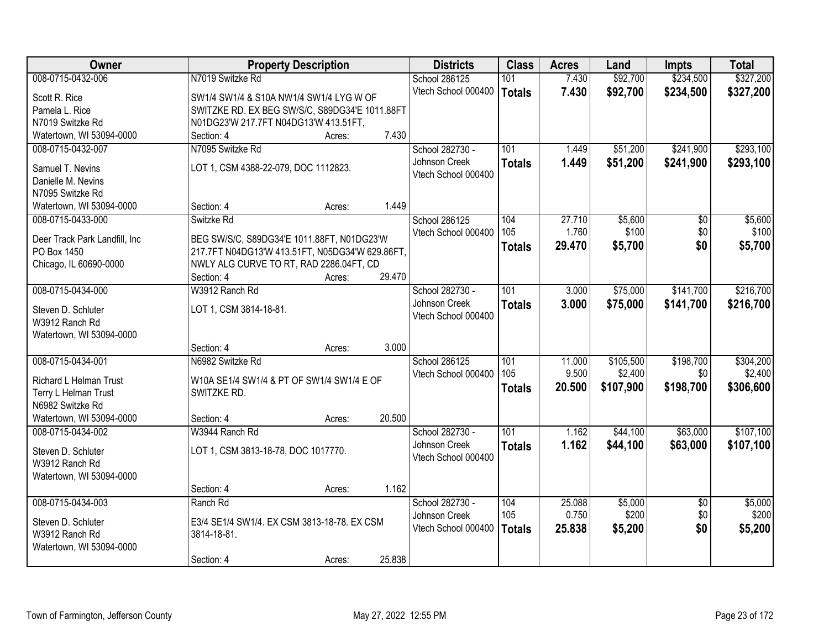| Owner                         | <b>Property Description</b>                     |        |        | <b>Districts</b>    | <b>Class</b>  | <b>Acres</b>    | Land             | <b>Impts</b>           | <b>Total</b> |
|-------------------------------|-------------------------------------------------|--------|--------|---------------------|---------------|-----------------|------------------|------------------------|--------------|
| 008-0715-0432-006             | N7019 Switzke Rd                                |        |        | School 286125       | 101           | 7.430           | \$92,700         | \$234,500              | \$327,200    |
| Scott R. Rice                 | SW1/4 SW1/4 & S10A NW1/4 SW1/4 LYG W OF         |        |        | Vtech School 000400 | <b>Totals</b> | 7.430           | \$92,700         | \$234,500              | \$327,200    |
| Pamela L. Rice                | SWITZKE RD. EX BEG SW/S/C, S89DG34'E 1011.88FT  |        |        |                     |               |                 |                  |                        |              |
| N7019 Switzke Rd              | N01DG23'W 217.7FT N04DG13'W 413.51FT,           |        |        |                     |               |                 |                  |                        |              |
| Watertown, WI 53094-0000      | Section: 4                                      | Acres: | 7.430  |                     |               |                 |                  |                        |              |
| 008-0715-0432-007             | N7095 Switzke Rd                                |        |        | School 282730 -     | 101           | 1.449           | \$51,200         | \$241,900              | \$293,100    |
|                               |                                                 |        |        | Johnson Creek       | <b>Totals</b> | 1.449           | \$51,200         | \$241,900              | \$293,100    |
| Samuel T. Nevins              | LOT 1, CSM 4388-22-079, DOC 1112823.            |        |        | Vtech School 000400 |               |                 |                  |                        |              |
| Danielle M. Nevins            |                                                 |        |        |                     |               |                 |                  |                        |              |
| N7095 Switzke Rd              |                                                 |        | 1.449  |                     |               |                 |                  |                        |              |
| Watertown, WI 53094-0000      | Section: 4                                      | Acres: |        |                     |               |                 |                  |                        |              |
| 008-0715-0433-000             | Switzke Rd                                      |        |        | School 286125       | 104<br>105    | 27.710<br>1.760 | \$5,600<br>\$100 | $\overline{50}$<br>\$0 | \$5,600      |
| Deer Track Park Landfill, Inc | BEG SW/S/C, S89DG34'E 1011.88FT, N01DG23'W      |        |        | Vtech School 000400 |               |                 |                  |                        | \$100        |
| PO Box 1450                   | 217.7FT N04DG13'W 413.51FT, N05DG34'W 629.86FT, |        |        |                     | <b>Totals</b> | 29.470          | \$5,700          | \$0                    | \$5,700      |
| Chicago, IL 60690-0000        | NWLY ALG CURVE TO RT, RAD 2286.04FT, CD         |        |        |                     |               |                 |                  |                        |              |
|                               | Section: 4                                      | Acres: | 29.470 |                     |               |                 |                  |                        |              |
| 008-0715-0434-000             | W3912 Ranch Rd                                  |        |        | School 282730 -     | 101           | 3.000           | \$75,000         | \$141,700              | \$216,700    |
| Steven D. Schluter            | LOT 1, CSM 3814-18-81.                          |        |        | Johnson Creek       | <b>Totals</b> | 3.000           | \$75,000         | \$141,700              | \$216,700    |
| W3912 Ranch Rd                |                                                 |        |        | Vtech School 000400 |               |                 |                  |                        |              |
| Watertown, WI 53094-0000      |                                                 |        |        |                     |               |                 |                  |                        |              |
|                               | Section: 4                                      | Acres: | 3.000  |                     |               |                 |                  |                        |              |
| 008-0715-0434-001             | N6982 Switzke Rd                                |        |        | School 286125       | 101           | 11.000          | \$105,500        | \$198,700              | \$304,200    |
|                               |                                                 |        |        | Vtech School 000400 | 105           | 9.500           | \$2,400          | \$0                    | \$2,400      |
| <b>Richard L Helman Trust</b> | W10A SE1/4 SW1/4 & PT OF SW1/4 SW1/4 E OF       |        |        |                     | <b>Totals</b> | 20.500          | \$107,900        | \$198,700              | \$306,600    |
| Terry L Helman Trust          | SWITZKE RD.                                     |        |        |                     |               |                 |                  |                        |              |
| N6982 Switzke Rd              |                                                 |        | 20.500 |                     |               |                 |                  |                        |              |
| Watertown, WI 53094-0000      | Section: 4                                      | Acres: |        |                     |               |                 |                  |                        |              |
| 008-0715-0434-002             | W3944 Ranch Rd                                  |        |        | School 282730 -     | 101           | 1.162           | \$44,100         | \$63,000               | \$107,100    |
| Steven D. Schluter            | LOT 1, CSM 3813-18-78, DOC 1017770.             |        |        | Johnson Creek       | <b>Totals</b> | 1.162           | \$44,100         | \$63,000               | \$107,100    |
| W3912 Ranch Rd                |                                                 |        |        | Vtech School 000400 |               |                 |                  |                        |              |
| Watertown, WI 53094-0000      |                                                 |        |        |                     |               |                 |                  |                        |              |
|                               | Section: 4                                      | Acres: | 1.162  |                     |               |                 |                  |                        |              |
| 008-0715-0434-003             | Ranch Rd                                        |        |        | School 282730 -     | 104           | 25.088          | \$5,000          | $\overline{50}$        | \$5,000      |
| Steven D. Schluter            | E3/4 SE1/4 SW1/4. EX CSM 3813-18-78. EX CSM     |        |        | Johnson Creek       | 105           | 0.750           | \$200            | \$0                    | \$200        |
| W3912 Ranch Rd                | 3814-18-81.                                     |        |        | Vtech School 000400 | <b>Totals</b> | 25.838          | \$5,200          | \$0                    | \$5,200      |
| Watertown, WI 53094-0000      |                                                 |        |        |                     |               |                 |                  |                        |              |
|                               | Section: 4                                      | Acres: | 25.838 |                     |               |                 |                  |                        |              |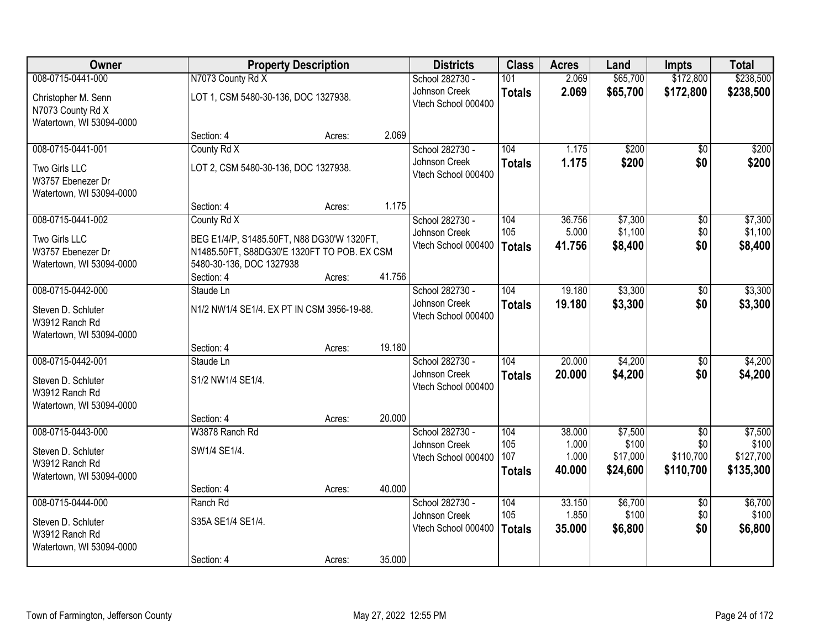| Owner                                                                |                                                                                           | <b>Property Description</b> |        | <b>Districts</b>                     | <b>Class</b>                | <b>Acres</b>             | Land                          | <b>Impts</b>                  | <b>Total</b>                    |
|----------------------------------------------------------------------|-------------------------------------------------------------------------------------------|-----------------------------|--------|--------------------------------------|-----------------------------|--------------------------|-------------------------------|-------------------------------|---------------------------------|
| 008-0715-0441-000                                                    | N7073 County Rd X                                                                         |                             |        | School 282730 -                      | 101                         | 2.069                    | \$65,700                      | \$172,800                     | \$238,500                       |
| Christopher M. Senn<br>N7073 County Rd X<br>Watertown, WI 53094-0000 | LOT 1, CSM 5480-30-136, DOC 1327938.                                                      |                             |        | Johnson Creek<br>Vtech School 000400 | <b>Totals</b>               | 2.069                    | \$65,700                      | \$172,800                     | \$238,500                       |
|                                                                      | Section: 4                                                                                | Acres:                      | 2.069  |                                      |                             |                          |                               |                               |                                 |
| 008-0715-0441-001                                                    | County Rd X                                                                               |                             |        | School 282730 -                      | 104                         | 1.175                    | \$200                         | $\overline{50}$               | \$200                           |
| Two Girls LLC<br>W3757 Ebenezer Dr<br>Watertown, WI 53094-0000       | LOT 2, CSM 5480-30-136, DOC 1327938.                                                      |                             |        | Johnson Creek<br>Vtech School 000400 | <b>Totals</b>               | 1.175                    | \$200                         | \$0                           | \$200                           |
|                                                                      | Section: 4                                                                                | Acres:                      | 1.175  |                                      |                             |                          |                               |                               |                                 |
| 008-0715-0441-002                                                    | County Rd X                                                                               |                             |        | School 282730 -                      | 104                         | 36.756                   | \$7,300                       | $\sqrt[6]{30}$                | \$7,300                         |
| Two Girls LLC<br>W3757 Ebenezer Dr                                   | BEG E1/4/P, S1485.50FT, N88 DG30'W 1320FT,<br>N1485.50FT, S88DG30'E 1320FT TO POB. EX CSM |                             |        | Johnson Creek<br>Vtech School 000400 | 105<br><b>Totals</b>        | 5.000<br>41.756          | \$1,100<br>\$8,400            | \$0<br>\$0                    | \$1,100<br>\$8,400              |
| Watertown, WI 53094-0000                                             | 5480-30-136, DOC 1327938                                                                  |                             |        |                                      |                             |                          |                               |                               |                                 |
|                                                                      | Section: 4                                                                                | Acres:                      | 41.756 |                                      |                             |                          |                               |                               |                                 |
| 008-0715-0442-000                                                    | Staude Ln                                                                                 |                             |        | School 282730 -                      | 104                         | 19.180                   | \$3,300                       | \$0                           | \$3,300                         |
| Steven D. Schluter<br>W3912 Ranch Rd<br>Watertown, WI 53094-0000     | N1/2 NW1/4 SE1/4. EX PT IN CSM 3956-19-88.                                                |                             |        | Johnson Creek<br>Vtech School 000400 | <b>Totals</b>               | 19.180                   | \$3,300                       | \$0                           | \$3,300                         |
|                                                                      | Section: 4                                                                                | Acres:                      | 19.180 |                                      |                             |                          |                               |                               |                                 |
| 008-0715-0442-001                                                    | Staude Ln                                                                                 |                             |        | School 282730 -                      | 104                         | 20.000                   | \$4,200                       | $\overline{50}$               | \$4,200                         |
| Steven D. Schluter<br>W3912 Ranch Rd<br>Watertown, WI 53094-0000     | S1/2 NW1/4 SE1/4.                                                                         |                             |        | Johnson Creek<br>Vtech School 000400 | <b>Totals</b>               | 20.000                   | \$4,200                       | \$0                           | \$4,200                         |
|                                                                      | Section: 4                                                                                | Acres:                      | 20.000 |                                      |                             |                          |                               |                               |                                 |
| 008-0715-0443-000                                                    | W3878 Ranch Rd                                                                            |                             |        | School 282730 -                      | 104                         | 38.000                   | \$7,500                       | $\overline{50}$               | \$7,500                         |
| Steven D. Schluter<br>W3912 Ranch Rd<br>Watertown, WI 53094-0000     | SW1/4 SE1/4.                                                                              |                             |        | Johnson Creek<br>Vtech School 000400 | 105<br>107<br><b>Totals</b> | 1.000<br>1.000<br>40.000 | \$100<br>\$17,000<br>\$24,600 | \$0<br>\$110,700<br>\$110,700 | \$100<br>\$127,700<br>\$135,300 |
|                                                                      | Section: 4                                                                                | Acres:                      | 40.000 |                                      |                             |                          |                               |                               |                                 |
| 008-0715-0444-000                                                    | Ranch Rd                                                                                  |                             |        | School 282730 -                      | 104                         | 33.150                   | \$6,700                       | $\overline{30}$               | \$6,700                         |
| Steven D. Schluter<br>W3912 Ranch Rd                                 | S35A SE1/4 SE1/4.                                                                         |                             |        | Johnson Creek<br>Vtech School 000400 | 105<br><b>Totals</b>        | 1.850<br>35.000          | \$100<br>\$6,800              | \$0<br>\$0                    | \$100<br>\$6,800                |
| Watertown, WI 53094-0000                                             | Section: 4                                                                                | Acres:                      | 35.000 |                                      |                             |                          |                               |                               |                                 |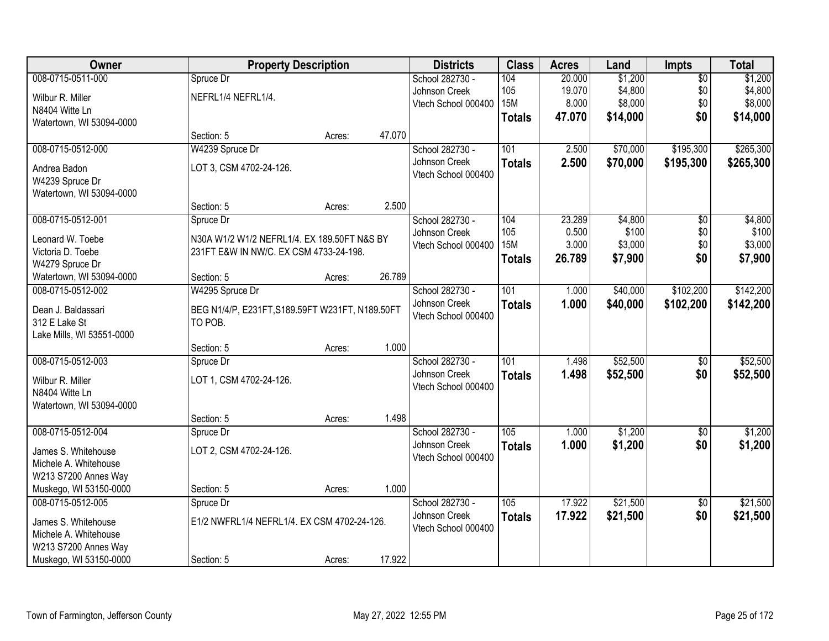| Owner                     | <b>Property Description</b>                     |        |        | <b>Districts</b>    | <b>Class</b>  | <b>Acres</b> | Land     | <b>Impts</b>    | <b>Total</b> |
|---------------------------|-------------------------------------------------|--------|--------|---------------------|---------------|--------------|----------|-----------------|--------------|
| 008-0715-0511-000         | Spruce Dr                                       |        |        | School 282730 -     | 104           | 20.000       | \$1,200  | $\overline{50}$ | \$1,200      |
| Wilbur R. Miller          | NEFRL1/4 NEFRL1/4.                              |        |        | Johnson Creek       | 105           | 19.070       | \$4,800  | \$0             | \$4,800      |
| N8404 Witte Ln            |                                                 |        |        | Vtech School 000400 | <b>15M</b>    | 8.000        | \$8,000  | \$0             | \$8,000      |
| Watertown, WI 53094-0000  |                                                 |        |        |                     | <b>Totals</b> | 47.070       | \$14,000 | \$0             | \$14,000     |
|                           | Section: 5                                      | Acres: | 47.070 |                     |               |              |          |                 |              |
| 008-0715-0512-000         | W4239 Spruce Dr                                 |        |        | School 282730 -     | 101           | 2.500        | \$70,000 | \$195,300       | \$265,300    |
| Andrea Badon              | LOT 3, CSM 4702-24-126.                         |        |        | Johnson Creek       | <b>Totals</b> | 2.500        | \$70,000 | \$195,300       | \$265,300    |
| W4239 Spruce Dr           |                                                 |        |        | Vtech School 000400 |               |              |          |                 |              |
| Watertown, WI 53094-0000  |                                                 |        |        |                     |               |              |          |                 |              |
|                           | Section: 5                                      | Acres: | 2.500  |                     |               |              |          |                 |              |
| 008-0715-0512-001         | Spruce Dr                                       |        |        | School 282730 -     | 104           | 23.289       | \$4,800  | $\overline{50}$ | \$4,800      |
| Leonard W. Toebe          | N30A W1/2 W1/2 NEFRL1/4. EX 189.50FT N&S BY     |        |        | Johnson Creek       | 105           | 0.500        | \$100    | \$0             | \$100        |
| Victoria D. Toebe         | 231FT E&W IN NW/C. EX CSM 4733-24-198.          |        |        | Vtech School 000400 | <b>15M</b>    | 3.000        | \$3,000  | \$0             | \$3,000      |
| W4279 Spruce Dr           |                                                 |        |        |                     | <b>Totals</b> | 26.789       | \$7,900  | \$0             | \$7,900      |
| Watertown, WI 53094-0000  | Section: 5                                      | Acres: | 26.789 |                     |               |              |          |                 |              |
| 008-0715-0512-002         | W4295 Spruce Dr                                 |        |        | School 282730 -     | 101           | 1.000        | \$40,000 | \$102,200       | \$142,200    |
| Dean J. Baldassari        | BEG N1/4/P, E231FT, S189.59FT W231FT, N189.50FT |        |        | Johnson Creek       | <b>Totals</b> | 1.000        | \$40,000 | \$102,200       | \$142,200    |
| 312 E Lake St             | TO POB.                                         |        |        | Vtech School 000400 |               |              |          |                 |              |
| Lake Mills, WI 53551-0000 |                                                 |        |        |                     |               |              |          |                 |              |
|                           | Section: 5                                      | Acres: | 1.000  |                     |               |              |          |                 |              |
| 008-0715-0512-003         | Spruce Dr                                       |        |        | School 282730 -     | 101           | 1.498        | \$52,500 | \$0             | \$52,500     |
| Wilbur R. Miller          | LOT 1, CSM 4702-24-126.                         |        |        | Johnson Creek       | <b>Totals</b> | 1.498        | \$52,500 | \$0             | \$52,500     |
| N8404 Witte Ln            |                                                 |        |        | Vtech School 000400 |               |              |          |                 |              |
| Watertown, WI 53094-0000  |                                                 |        |        |                     |               |              |          |                 |              |
|                           | Section: 5                                      | Acres: | 1.498  |                     |               |              |          |                 |              |
| 008-0715-0512-004         | Spruce Dr                                       |        |        | School 282730 -     | 105           | 1.000        | \$1,200  | $\sqrt{6}$      | \$1,200      |
| James S. Whitehouse       | LOT 2, CSM 4702-24-126.                         |        |        | Johnson Creek       | <b>Totals</b> | 1.000        | \$1,200  | \$0             | \$1,200      |
| Michele A. Whitehouse     |                                                 |        |        | Vtech School 000400 |               |              |          |                 |              |
| W213 S7200 Annes Way      |                                                 |        |        |                     |               |              |          |                 |              |
| Muskego, WI 53150-0000    | Section: 5                                      | Acres: | 1.000  |                     |               |              |          |                 |              |
| 008-0715-0512-005         | Spruce Dr                                       |        |        | School 282730 -     | 105           | 17.922       | \$21,500 | $\overline{50}$ | \$21,500     |
| James S. Whitehouse       | E1/2 NWFRL1/4 NEFRL1/4. EX CSM 4702-24-126.     |        |        | Johnson Creek       | <b>Totals</b> | 17.922       | \$21,500 | \$0             | \$21,500     |
| Michele A. Whitehouse     |                                                 |        |        | Vtech School 000400 |               |              |          |                 |              |
| W213 S7200 Annes Way      |                                                 |        |        |                     |               |              |          |                 |              |
| Muskego, WI 53150-0000    | Section: 5                                      | Acres: | 17.922 |                     |               |              |          |                 |              |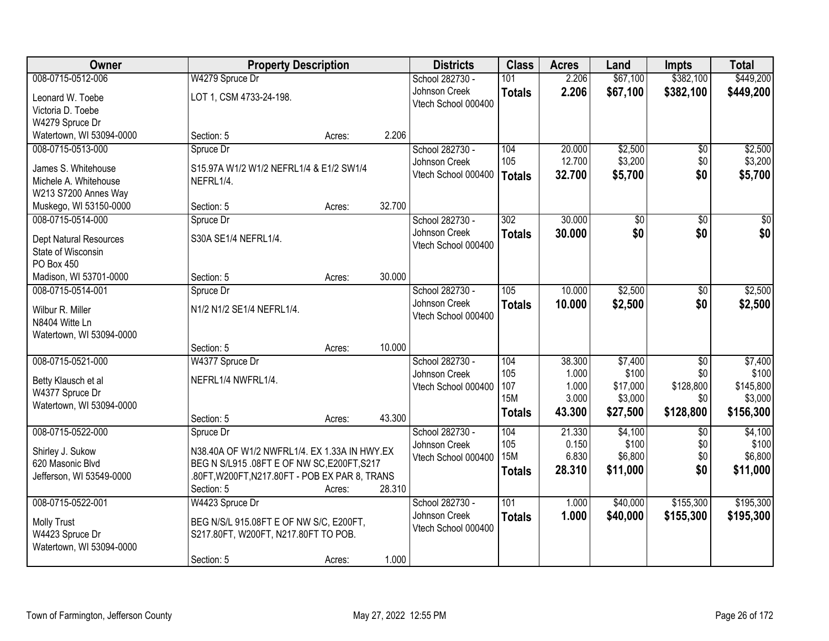| Owner                         | <b>Property Description</b>                    |        |        | <b>Districts</b>    | <b>Class</b>  | <b>Acres</b> | Land     | <b>Impts</b>    | <b>Total</b>    |
|-------------------------------|------------------------------------------------|--------|--------|---------------------|---------------|--------------|----------|-----------------|-----------------|
| 008-0715-0512-006             | W4279 Spruce Dr                                |        |        | School 282730 -     | 101           | 2.206        | \$67,100 | \$382,100       | \$449,200       |
| Leonard W. Toebe              | LOT 1, CSM 4733-24-198.                        |        |        | Johnson Creek       | <b>Totals</b> | 2.206        | \$67,100 | \$382,100       | \$449,200       |
| Victoria D. Toebe             |                                                |        |        | Vtech School 000400 |               |              |          |                 |                 |
| W4279 Spruce Dr               |                                                |        |        |                     |               |              |          |                 |                 |
| Watertown, WI 53094-0000      | Section: 5                                     | Acres: | 2.206  |                     |               |              |          |                 |                 |
| 008-0715-0513-000             | Spruce Dr                                      |        |        | School 282730 -     | 104           | 20.000       | \$2,500  | \$0             | \$2,500         |
| James S. Whitehouse           | S15.97A W1/2 W1/2 NEFRL1/4 & E1/2 SW1/4        |        |        | Johnson Creek       | 105           | 12.700       | \$3,200  | \$0             | \$3,200         |
| Michele A. Whitehouse         | NEFRL1/4.                                      |        |        | Vtech School 000400 | <b>Totals</b> | 32.700       | \$5,700  | \$0             | \$5,700         |
| W213 S7200 Annes Way          |                                                |        |        |                     |               |              |          |                 |                 |
| Muskego, WI 53150-0000        | Section: 5                                     | Acres: | 32.700 |                     |               |              |          |                 |                 |
| 008-0715-0514-000             | Spruce Dr                                      |        |        | School 282730 -     | 302           | 30.000       | \$0      | $\overline{50}$ | $\overline{50}$ |
| <b>Dept Natural Resources</b> | S30A SE1/4 NEFRL1/4.                           |        |        | Johnson Creek       | <b>Totals</b> | 30.000       | \$0      | \$0             | \$0             |
| State of Wisconsin            |                                                |        |        | Vtech School 000400 |               |              |          |                 |                 |
| PO Box 450                    |                                                |        |        |                     |               |              |          |                 |                 |
| Madison, WI 53701-0000        | Section: 5                                     | Acres: | 30.000 |                     |               |              |          |                 |                 |
| 008-0715-0514-001             | Spruce Dr                                      |        |        | School 282730 -     | 105           | 10.000       | \$2,500  | \$0             | \$2,500         |
| Wilbur R. Miller              | N1/2 N1/2 SE1/4 NEFRL1/4.                      |        |        | Johnson Creek       | <b>Totals</b> | 10.000       | \$2,500  | \$0             | \$2,500         |
| N8404 Witte Ln                |                                                |        |        | Vtech School 000400 |               |              |          |                 |                 |
| Watertown, WI 53094-0000      |                                                |        |        |                     |               |              |          |                 |                 |
|                               | Section: 5                                     | Acres: | 10.000 |                     |               |              |          |                 |                 |
| 008-0715-0521-000             | W4377 Spruce Dr                                |        |        | School 282730 -     | 104           | 38.300       | \$7,400  | \$0             | \$7,400         |
| Betty Klausch et al           | NEFRL1/4 NWFRL1/4.                             |        |        | Johnson Creek       | 105           | 1.000        | \$100    | \$0             | \$100           |
| W4377 Spruce Dr               |                                                |        |        | Vtech School 000400 | 107           | 1.000        | \$17,000 | \$128,800       | \$145,800       |
| Watertown, WI 53094-0000      |                                                |        |        |                     | <b>15M</b>    | 3.000        | \$3,000  | \$0             | \$3,000         |
|                               | Section: 5                                     | Acres: | 43.300 |                     | <b>Totals</b> | 43.300       | \$27,500 | \$128,800       | \$156,300       |
| 008-0715-0522-000             | Spruce Dr                                      |        |        | School 282730 -     | 104           | 21.330       | \$4,100  | \$0             | \$4,100         |
| Shirley J. Sukow              | N38.40A OF W1/2 NWFRL1/4. EX 1.33A IN HWY.EX   |        |        | Johnson Creek       | 105           | 0.150        | \$100    | \$0             | \$100           |
| 620 Masonic Blvd              | BEG N S/L915 .08FT E OF NW SC, E200FT, S217    |        |        | Vtech School 000400 | <b>15M</b>    | 6.830        | \$6,800  | \$0             | \$6,800         |
| Jefferson, WI 53549-0000      | .80FT, W200FT, N217.80FT - POB EX PAR 8, TRANS |        |        |                     | <b>Totals</b> | 28.310       | \$11,000 | \$0             | \$11,000        |
|                               | Section: 5                                     | Acres: | 28.310 |                     |               |              |          |                 |                 |
| 008-0715-0522-001             | W4423 Spruce Dr                                |        |        | School 282730 -     | 101           | 1.000        | \$40,000 | \$155,300       | \$195,300       |
| <b>Molly Trust</b>            | BEG N/S/L 915.08FT E OF NW S/C, E200FT,        |        |        | Johnson Creek       | <b>Totals</b> | 1.000        | \$40,000 | \$155,300       | \$195,300       |
| W4423 Spruce Dr               | S217.80FT, W200FT, N217.80FT TO POB.           |        |        | Vtech School 000400 |               |              |          |                 |                 |
| Watertown, WI 53094-0000      |                                                |        |        |                     |               |              |          |                 |                 |
|                               | Section: 5                                     | Acres: | 1.000  |                     |               |              |          |                 |                 |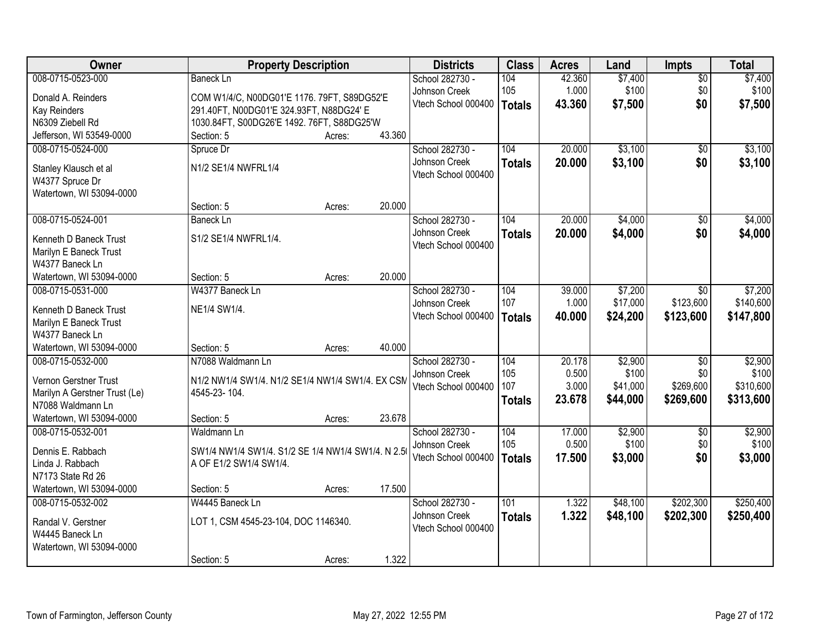| Owner                                         | <b>Property Description</b>                       |        |        | <b>Districts</b>                 | <b>Class</b>  | <b>Acres</b>    | Land     | <b>Impts</b>                 | <b>Total</b> |
|-----------------------------------------------|---------------------------------------------------|--------|--------|----------------------------------|---------------|-----------------|----------|------------------------------|--------------|
| 008-0715-0523-000                             | <b>Baneck Ln</b>                                  |        |        | School 282730 -                  | 104           | 42.360          | \$7,400  | $\overline{50}$              | \$7,400      |
| Donald A. Reinders                            | COM W1/4/C, N00DG01'E 1176. 79FT, S89DG52'E       |        |        | Johnson Creek                    | 105           | 1.000           | \$100    | \$0                          | \$100        |
| <b>Kay Reinders</b>                           | 291.40FT, N00DG01'E 324.93FT, N88DG24' E          |        |        | Vtech School 000400              | <b>Totals</b> | 43.360          | \$7,500  | \$0                          | \$7,500      |
| N6309 Ziebell Rd                              | 1030.84FT, S00DG26'E 1492. 76FT, S88DG25'W        |        |        |                                  |               |                 |          |                              |              |
| Jefferson, WI 53549-0000                      | Section: 5                                        | Acres: | 43.360 |                                  |               |                 |          |                              |              |
| 008-0715-0524-000                             | Spruce Dr                                         |        |        | School 282730 -                  | 104           | 20.000          | \$3,100  | $\overline{50}$              | \$3,100      |
|                                               | N1/2 SE1/4 NWFRL1/4                               |        |        | Johnson Creek                    | <b>Totals</b> | 20.000          | \$3,100  | \$0                          | \$3,100      |
| Stanley Klausch et al<br>W4377 Spruce Dr      |                                                   |        |        | Vtech School 000400              |               |                 |          |                              |              |
| Watertown, WI 53094-0000                      |                                                   |        |        |                                  |               |                 |          |                              |              |
|                                               | Section: 5                                        | Acres: | 20.000 |                                  |               |                 |          |                              |              |
| 008-0715-0524-001                             | <b>Baneck Ln</b>                                  |        |        | School 282730 -                  | 104           | 20.000          | \$4,000  | \$0                          | \$4,000      |
|                                               |                                                   |        |        | Johnson Creek                    | <b>Totals</b> | 20.000          | \$4,000  | \$0                          | \$4,000      |
| Kenneth D Baneck Trust                        | S1/2 SE1/4 NWFRL1/4.                              |        |        | Vtech School 000400              |               |                 |          |                              |              |
| Marilyn E Baneck Trust                        |                                                   |        |        |                                  |               |                 |          |                              |              |
| W4377 Baneck Ln                               |                                                   |        | 20.000 |                                  |               |                 |          |                              |              |
| Watertown, WI 53094-0000<br>008-0715-0531-000 | Section: 5<br>W4377 Baneck Ln                     | Acres: |        |                                  |               |                 | \$7,200  |                              | \$7,200      |
|                                               |                                                   |        |        | School 282730 -<br>Johnson Creek | 104<br>107    | 39.000<br>1.000 | \$17,000 | $\overline{50}$<br>\$123,600 | \$140,600    |
| Kenneth D Baneck Trust                        | NE1/4 SW1/4.                                      |        |        | Vtech School 000400              |               | 40.000          | \$24,200 | \$123,600                    | \$147,800    |
| Marilyn E Baneck Trust                        |                                                   |        |        |                                  | <b>Totals</b> |                 |          |                              |              |
| W4377 Baneck Ln                               |                                                   |        |        |                                  |               |                 |          |                              |              |
| Watertown, WI 53094-0000                      | Section: 5                                        | Acres: | 40.000 |                                  |               |                 |          |                              |              |
| 008-0715-0532-000                             | N7088 Waldmann Ln                                 |        |        | School 282730 -                  | 104           | 20.178          | \$2,900  | $\overline{50}$              | \$2,900      |
| Vernon Gerstner Trust                         | N1/2 NW1/4 SW1/4. N1/2 SE1/4 NW1/4 SW1/4. EX CSM  |        |        | Johnson Creek                    | 105           | 0.500           | \$100    | \$0                          | \$100        |
| Marilyn A Gerstner Trust (Le)                 | 4545-23-104.                                      |        |        | Vtech School 000400              | 107           | 3.000           | \$41,000 | \$269,600                    | \$310,600    |
| N7088 Waldmann Ln                             |                                                   |        |        |                                  | <b>Totals</b> | 23.678          | \$44,000 | \$269,600                    | \$313,600    |
| Watertown, WI 53094-0000                      | Section: 5                                        | Acres: | 23.678 |                                  |               |                 |          |                              |              |
| 008-0715-0532-001                             | Waldmann Ln                                       |        |        | School 282730 -                  | 104           | 17.000          | \$2,900  | $\overline{50}$              | \$2,900      |
| Dennis E. Rabbach                             | SW1/4 NW1/4 SW1/4. S1/2 SE 1/4 NW1/4 SW1/4. N 2.5 |        |        | Johnson Creek                    | 105           | 0.500           | \$100    | \$0                          | \$100        |
| Linda J. Rabbach                              | A OF E1/2 SW1/4 SW1/4.                            |        |        | Vtech School 000400              | <b>Totals</b> | 17.500          | \$3,000  | \$0                          | \$3,000      |
| N7173 State Rd 26                             |                                                   |        |        |                                  |               |                 |          |                              |              |
| Watertown, WI 53094-0000                      | Section: 5                                        | Acres: | 17.500 |                                  |               |                 |          |                              |              |
| 008-0715-0532-002                             | W4445 Baneck Ln                                   |        |        | School 282730 -                  | 101           | 1.322           | \$48,100 | \$202,300                    | \$250,400    |
|                                               |                                                   |        |        | Johnson Creek                    | <b>Totals</b> | 1.322           | \$48,100 | \$202,300                    | \$250,400    |
| Randal V. Gerstner                            | LOT 1, CSM 4545-23-104, DOC 1146340.              |        |        | Vtech School 000400              |               |                 |          |                              |              |
| W4445 Baneck Ln                               |                                                   |        |        |                                  |               |                 |          |                              |              |
| Watertown, WI 53094-0000                      |                                                   |        | 1.322  |                                  |               |                 |          |                              |              |
|                                               | Section: 5                                        | Acres: |        |                                  |               |                 |          |                              |              |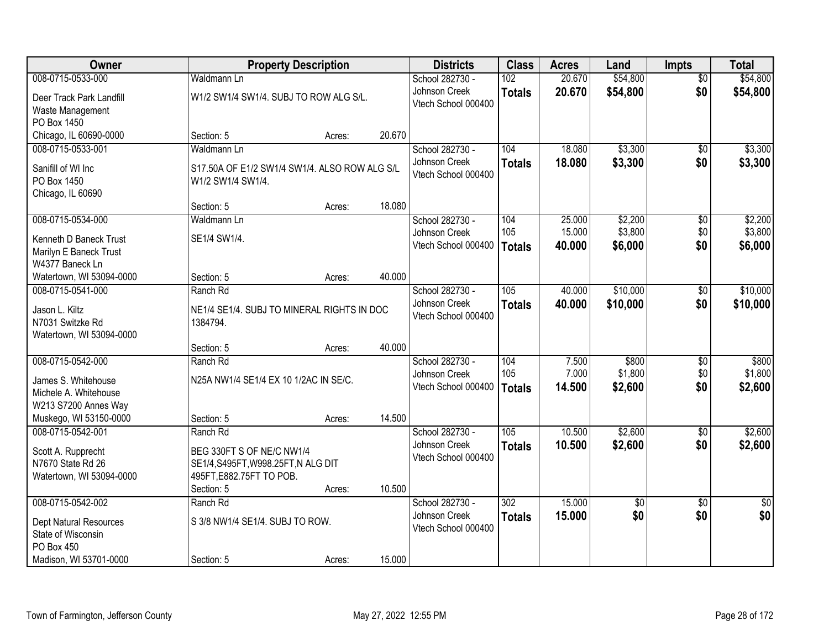| Owner                         |                                               | <b>Property Description</b> |        | <b>Districts</b>    | <b>Class</b>     | <b>Acres</b> | Land            | <b>Impts</b>    | <b>Total</b>    |
|-------------------------------|-----------------------------------------------|-----------------------------|--------|---------------------|------------------|--------------|-----------------|-----------------|-----------------|
| 008-0715-0533-000             | <b>Waldmann Ln</b>                            |                             |        | School 282730 -     | 102              | 20.670       | \$54,800        | $\overline{60}$ | \$54,800        |
| Deer Track Park Landfill      | W1/2 SW1/4 SW1/4. SUBJ TO ROW ALG S/L.        |                             |        | Johnson Creek       | <b>Totals</b>    | 20.670       | \$54,800        | \$0             | \$54,800        |
| Waste Management              |                                               |                             |        | Vtech School 000400 |                  |              |                 |                 |                 |
| PO Box 1450                   |                                               |                             |        |                     |                  |              |                 |                 |                 |
| Chicago, IL 60690-0000        | Section: 5                                    | Acres:                      | 20.670 |                     |                  |              |                 |                 |                 |
| 008-0715-0533-001             | Waldmann Ln                                   |                             |        | School 282730 -     | 104              | 18.080       | \$3,300         | $\overline{30}$ | \$3,300         |
| Sanifill of WI Inc            | S17.50A OF E1/2 SW1/4 SW1/4. ALSO ROW ALG S/L |                             |        | Johnson Creek       | <b>Totals</b>    | 18.080       | \$3,300         | \$0             | \$3,300         |
| PO Box 1450                   | W1/2 SW1/4 SW1/4.                             |                             |        | Vtech School 000400 |                  |              |                 |                 |                 |
| Chicago, IL 60690             |                                               |                             |        |                     |                  |              |                 |                 |                 |
|                               | Section: 5                                    | Acres:                      | 18.080 |                     |                  |              |                 |                 |                 |
| 008-0715-0534-000             | Waldmann Ln                                   |                             |        | School 282730 -     | 104              | 25.000       | \$2,200         | \$0             | \$2,200         |
| Kenneth D Baneck Trust        | SE1/4 SW1/4.                                  |                             |        | Johnson Creek       | 105              | 15.000       | \$3,800         | \$0             | \$3,800         |
| Marilyn E Baneck Trust        |                                               |                             |        | Vtech School 000400 | <b>Totals</b>    | 40.000       | \$6,000         | \$0             | \$6,000         |
| W4377 Baneck Ln               |                                               |                             |        |                     |                  |              |                 |                 |                 |
| Watertown, WI 53094-0000      | Section: 5                                    | Acres:                      | 40.000 |                     |                  |              |                 |                 |                 |
| 008-0715-0541-000             | Ranch Rd                                      |                             |        | School 282730 -     | 105              | 40.000       | \$10,000        | \$0             | \$10,000        |
| Jason L. Kiltz                | NE1/4 SE1/4. SUBJ TO MINERAL RIGHTS IN DOC    |                             |        | Johnson Creek       | <b>Totals</b>    | 40.000       | \$10,000        | \$0             | \$10,000        |
| N7031 Switzke Rd              | 1384794.                                      |                             |        | Vtech School 000400 |                  |              |                 |                 |                 |
| Watertown, WI 53094-0000      |                                               |                             |        |                     |                  |              |                 |                 |                 |
|                               | Section: 5                                    | Acres:                      | 40.000 |                     |                  |              |                 |                 |                 |
| 008-0715-0542-000             | Ranch Rd                                      |                             |        | School 282730 -     | 104              | 7.500        | \$800           | \$0             | \$800           |
| James S. Whitehouse           | N25A NW1/4 SE1/4 EX 10 1/2AC IN SE/C.         |                             |        | Johnson Creek       | 105              | 7.000        | \$1,800         | \$0             | \$1,800         |
| Michele A. Whitehouse         |                                               |                             |        | Vtech School 000400 | <b>Totals</b>    | 14.500       | \$2,600         | \$0             | \$2,600         |
| W213 S7200 Annes Way          |                                               |                             |        |                     |                  |              |                 |                 |                 |
| Muskego, WI 53150-0000        | Section: 5                                    | Acres:                      | 14.500 |                     |                  |              |                 |                 |                 |
| 008-0715-0542-001             | Ranch Rd                                      |                             |        | School 282730 -     | 105              | 10.500       | \$2,600         | $\sqrt{6}$      | \$2,600         |
| Scott A. Rupprecht            | BEG 330FT S OF NE/C NW1/4                     |                             |        | Johnson Creek       | <b>Totals</b>    | 10.500       | \$2,600         | \$0             | \$2,600         |
| N7670 State Rd 26             | SE1/4, S495FT, W998.25FT, N ALG DIT           |                             |        | Vtech School 000400 |                  |              |                 |                 |                 |
| Watertown, WI 53094-0000      | 495FT, E882.75FT TO POB.                      |                             |        |                     |                  |              |                 |                 |                 |
|                               | Section: 5                                    | Acres:                      | 10.500 |                     |                  |              |                 |                 |                 |
| 008-0715-0542-002             | Ranch Rd                                      |                             |        | School 282730 -     | $\overline{302}$ | 15,000       | $\overline{30}$ | $\overline{30}$ | $\overline{50}$ |
| <b>Dept Natural Resources</b> | S 3/8 NW1/4 SE1/4. SUBJ TO ROW.               |                             |        | Johnson Creek       | <b>Totals</b>    | 15.000       | \$0             | \$0             | \$0             |
| State of Wisconsin            |                                               |                             |        | Vtech School 000400 |                  |              |                 |                 |                 |
| PO Box 450                    |                                               |                             |        |                     |                  |              |                 |                 |                 |
| Madison, WI 53701-0000        | Section: 5                                    | Acres:                      | 15.000 |                     |                  |              |                 |                 |                 |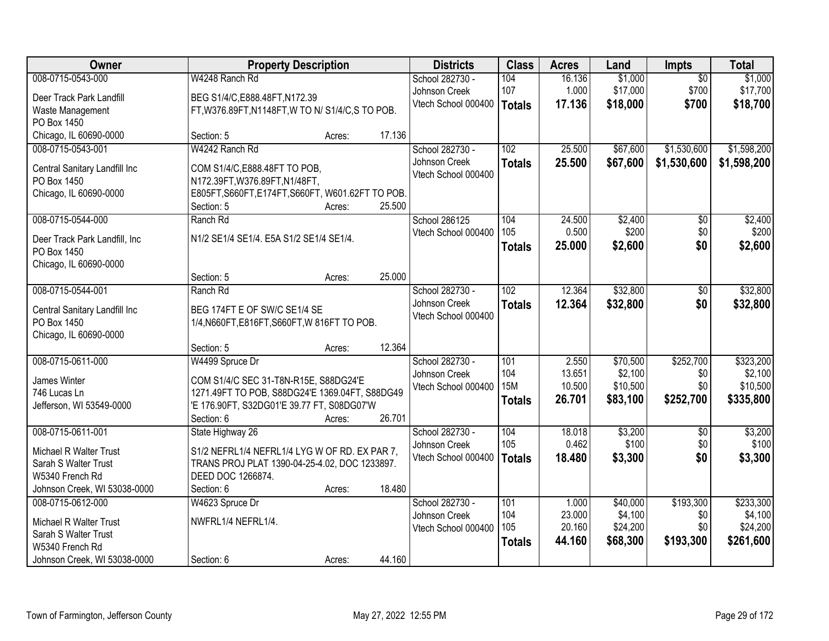| Owner                         | <b>Property Description</b>                       |        |        | <b>Districts</b>                     | <b>Class</b>  | <b>Acres</b>     | Land     | Impts            | <b>Total</b> |
|-------------------------------|---------------------------------------------------|--------|--------|--------------------------------------|---------------|------------------|----------|------------------|--------------|
| 008-0715-0543-000             | W4248 Ranch Rd                                    |        |        | School 282730 -                      | 104           | 16.136           | \$1,000  | $\overline{50}$  | \$1,000      |
| Deer Track Park Landfill      | BEG S1/4/C, E888.48FT, N172.39                    |        |        | Johnson Creek<br>Vtech School 000400 | 107           | 1.000            | \$17,000 | \$700            | \$17,700     |
| Waste Management              | FT, W376.89FT, N1148FT, W TO N/ S1/4/C, S TO POB. |        |        |                                      | <b>Totals</b> | 17.136           | \$18,000 | \$700            | \$18,700     |
| PO Box 1450                   |                                                   |        |        |                                      |               |                  |          |                  |              |
| Chicago, IL 60690-0000        | Section: 5                                        | Acres: | 17.136 |                                      |               |                  |          |                  |              |
| 008-0715-0543-001             | W4242 Ranch Rd                                    |        |        | School 282730 -                      | 102           | 25.500           | \$67,600 | \$1,530,600      | \$1,598,200  |
| Central Sanitary Landfill Inc | COM S1/4/C, E888.48FT TO POB,                     |        |        | Johnson Creek<br>Vtech School 000400 | <b>Totals</b> | 25.500           | \$67,600 | \$1,530,600      | \$1,598,200  |
| PO Box 1450                   | N172.39FT, W376.89FT, N1/48FT,                    |        |        |                                      |               |                  |          |                  |              |
| Chicago, IL 60690-0000        | E805FT, S660FT, E174FT, S660FT, W601.62FT TO POB. |        |        |                                      |               |                  |          |                  |              |
|                               | Section: 5                                        | Acres: | 25.500 |                                      |               |                  |          |                  |              |
| 008-0715-0544-000             | Ranch Rd                                          |        |        | School 286125                        | 104           | 24.500           | \$2,400  | $\overline{50}$  | \$2,400      |
| Deer Track Park Landfill, Inc | N1/2 SE1/4 SE1/4. E5A S1/2 SE1/4 SE1/4.           |        |        | Vtech School 000400                  | 105           | 0.500            | \$200    | \$0<br>\$0       | \$200        |
| PO Box 1450                   |                                                   |        |        |                                      | <b>Totals</b> | 25.000           | \$2,600  |                  | \$2,600      |
| Chicago, IL 60690-0000        |                                                   |        |        |                                      |               |                  |          |                  |              |
|                               | Section: 5                                        | Acres: | 25.000 |                                      |               |                  |          |                  |              |
| 008-0715-0544-001             | Ranch Rd                                          |        |        | School 282730 -                      | 102           | 12.364           | \$32,800 | \$0              | \$32,800     |
| Central Sanitary Landfill Inc | BEG 174FT E OF SW/C SE1/4 SE                      |        |        | Johnson Creek                        | <b>Totals</b> | 12.364           | \$32,800 | \$0              | \$32,800     |
| PO Box 1450                   | 1/4, N660FT, E816FT, S660FT, W816FT TO POB.       |        |        | Vtech School 000400                  |               |                  |          |                  |              |
| Chicago, IL 60690-0000        |                                                   |        |        |                                      |               |                  |          |                  |              |
|                               | Section: 5                                        | Acres: | 12.364 |                                      |               |                  |          |                  |              |
| 008-0715-0611-000             | W4499 Spruce Dr                                   |        |        | School 282730 -                      | 101           | 2.550            | \$70,500 | \$252,700        | \$323,200    |
| James Winter                  | COM S1/4/C SEC 31-T8N-R15E, S88DG24'E             |        |        | Johnson Creek                        | 104           | 13.651           | \$2,100  | \$0              | \$2,100      |
| 746 Lucas Ln                  | 1271.49FT TO POB, S88DG24'E 1369.04FT, S88DG49    |        |        | Vtech School 000400                  | <b>15M</b>    | 10.500<br>26.701 | \$10,500 | \$0<br>\$252,700 | \$10,500     |
| Jefferson, WI 53549-0000      | 'E 176.90FT, S32DG01'E 39.77 FT, S08DG07'W        |        |        |                                      | <b>Totals</b> |                  | \$83,100 |                  | \$335,800    |
|                               | Section: 6                                        | Acres: | 26.701 |                                      |               |                  |          |                  |              |
| 008-0715-0611-001             | State Highway 26                                  |        |        | School 282730 -                      | 104           | 18.018           | \$3,200  | $\sqrt{6}$       | \$3,200      |
| Michael R Walter Trust        | S1/2 NEFRL1/4 NEFRL1/4 LYG W OF RD. EX PAR 7,     |        |        | Johnson Creek                        | 105           | 0.462            | \$100    | \$0              | \$100        |
| Sarah S Walter Trust          | TRANS PROJ PLAT 1390-04-25-4.02, DOC 1233897.     |        |        | Vtech School 000400                  | <b>Totals</b> | 18.480           | \$3,300  | \$0              | \$3,300      |
| W5340 French Rd               | DEED DOC 1266874.                                 |        |        |                                      |               |                  |          |                  |              |
| Johnson Creek, WI 53038-0000  | Section: 6                                        | Acres: | 18.480 |                                      |               |                  |          |                  |              |
| 008-0715-0612-000             | W4623 Spruce Dr                                   |        |        | School 282730 -                      | 101           | 1.000            | \$40,000 | \$193,300        | \$233,300    |
| Michael R Walter Trust        | NWFRL1/4 NEFRL1/4.                                |        |        | Johnson Creek                        | 104           | 23.000           | \$4,100  | \$0              | \$4,100      |
| Sarah S Walter Trust          |                                                   |        |        | Vtech School 000400                  | 105           | 20.160           | \$24,200 | \$0              | \$24,200     |
| W5340 French Rd               |                                                   |        |        |                                      | <b>Totals</b> | 44.160           | \$68,300 | \$193,300        | \$261,600    |
| Johnson Creek, WI 53038-0000  | Section: 6                                        | Acres: | 44.160 |                                      |               |                  |          |                  |              |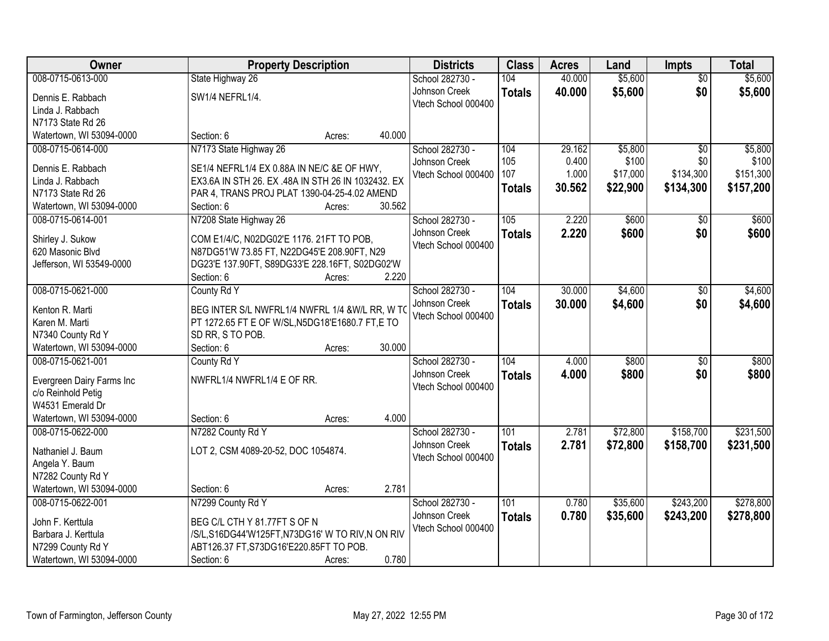| 008-0715-0613-000<br>104<br>40.000<br>\$5,600<br>State Highway 26<br>School 282730 -<br>$\overline{50}$<br>\$5,600<br>\$0<br>Johnson Creek<br>40.000<br>\$5,600<br><b>Totals</b><br>Dennis E. Rabbach<br>SW1/4 NEFRL1/4.<br>Vtech School 000400<br>Linda J. Rabbach<br>N7173 State Rd 26<br>40.000<br>Watertown, WI 53094-0000<br>Section: 6<br>Acres:<br>N7173 State Highway 26<br>School 282730 -<br>104<br>29.162<br>\$5,800<br>\$5,800<br>008-0715-0614-000<br>$\overline{50}$<br>105<br>\$100<br>0.400<br>\$100<br>\$0<br>Johnson Creek<br>Dennis E. Rabbach<br>SE1/4 NEFRL1/4 EX 0.88A IN NE/C &E OF HWY,<br>107<br>1.000<br>\$17,000<br>\$134,300<br>\$151,300<br>Vtech School 000400<br>EX3.6A IN STH 26. EX .48A IN STH 26 IN 1032432. EX<br>Linda J. Rabbach<br>30.562<br>\$22,900<br>\$134,300<br>\$157,200<br><b>Totals</b><br>N7173 State Rd 26<br>PAR 4, TRANS PROJ PLAT 1390-04-25-4.02 AMEND<br>30.562<br>Watertown, WI 53094-0000<br>Section: 6<br>Acres:<br>008-0715-0614-001<br>N7208 State Highway 26<br>School 282730 -<br>105<br>2.220<br>\$600<br>\$600<br>\$0<br>\$0<br>Johnson Creek<br>2.220<br>\$600<br>\$600<br><b>Totals</b><br>Shirley J. Sukow<br>COM E1/4/C, N02DG02'E 1176. 21FT TO POB,<br>Vtech School 000400<br>620 Masonic Blvd<br>N87DG51'W 73.85 FT, N22DG45'E 208.90FT, N29<br>Jefferson, WI 53549-0000<br>DG23'E 137.90FT, S89DG33'E 228.16FT, S02DG02'W<br>2.220<br>Section: 6<br>Acres:<br>008-0715-0621-000<br>30.000<br>\$4,600<br>\$4,600<br>County Rd Y<br>School 282730 -<br>104<br>$\sqrt[6]{3}$<br>Johnson Creek<br>\$0<br>30.000<br>\$4,600<br>\$4,600<br><b>Totals</b><br>BEG INTER S/L NWFRL1/4 NWFRL 1/4 &W/L RR, W TO<br>Kenton R. Marti<br>Vtech School 000400<br>Karen M. Marti<br>PT 1272.65 FT E OF W/SL, N5DG18'E1680.7 FT, E TO<br>SD RR, S TO POB.<br>N7340 County Rd Y<br>30.000<br>Watertown, WI 53094-0000<br>Section: 6<br>Acres:<br>104<br>\$800<br>008-0715-0621-001<br>4.000<br>$\overline{50}$<br>County Rd Y<br>School 282730 -<br>4.000<br>Johnson Creek<br>\$800<br>\$0<br>\$800<br><b>Totals</b><br>NWFRL1/4 NWFRL1/4 E OF RR.<br>Evergreen Dairy Farms Inc<br>Vtech School 000400<br>c/o Reinhold Petig<br>W4531 Emerald Dr<br>4.000<br>Watertown, WI 53094-0000<br>Section: 6<br>Acres:<br>101<br>\$72,800<br>\$158,700<br>008-0715-0622-000<br>N7282 County Rd Y<br>School 282730 -<br>2.781<br>Johnson Creek<br>2.781<br>\$72,800<br>\$158,700<br><b>Totals</b><br>LOT 2, CSM 4089-20-52, DOC 1054874.<br>Nathaniel J. Baum<br>Vtech School 000400<br>Angela Y. Baum<br>N7282 County Rd Y<br>Watertown, WI 53094-0000<br>2.781<br>Section: 6<br>Acres: | Owner             | <b>Property Description</b> | <b>Districts</b> | <b>Class</b> | <b>Acres</b> | Land     | <b>Impts</b> | <b>Total</b> |
|--------------------------------------------------------------------------------------------------------------------------------------------------------------------------------------------------------------------------------------------------------------------------------------------------------------------------------------------------------------------------------------------------------------------------------------------------------------------------------------------------------------------------------------------------------------------------------------------------------------------------------------------------------------------------------------------------------------------------------------------------------------------------------------------------------------------------------------------------------------------------------------------------------------------------------------------------------------------------------------------------------------------------------------------------------------------------------------------------------------------------------------------------------------------------------------------------------------------------------------------------------------------------------------------------------------------------------------------------------------------------------------------------------------------------------------------------------------------------------------------------------------------------------------------------------------------------------------------------------------------------------------------------------------------------------------------------------------------------------------------------------------------------------------------------------------------------------------------------------------------------------------------------------------------------------------------------------------------------------------------------------------------------------------------------------------------------------------------------------------------------------------------------------------------------------------------------------------------------------------------------------------------------------------------------------------------------------------------------------------------------------------------------------------------------------------------------------------------------------------------------------------------------------------------------------------------------------------------------------------------------------------|-------------------|-----------------------------|------------------|--------------|--------------|----------|--------------|--------------|
|                                                                                                                                                                                                                                                                                                                                                                                                                                                                                                                                                                                                                                                                                                                                                                                                                                                                                                                                                                                                                                                                                                                                                                                                                                                                                                                                                                                                                                                                                                                                                                                                                                                                                                                                                                                                                                                                                                                                                                                                                                                                                                                                                                                                                                                                                                                                                                                                                                                                                                                                                                                                                                      |                   |                             |                  |              |              | \$5,600  |              |              |
|                                                                                                                                                                                                                                                                                                                                                                                                                                                                                                                                                                                                                                                                                                                                                                                                                                                                                                                                                                                                                                                                                                                                                                                                                                                                                                                                                                                                                                                                                                                                                                                                                                                                                                                                                                                                                                                                                                                                                                                                                                                                                                                                                                                                                                                                                                                                                                                                                                                                                                                                                                                                                                      |                   |                             |                  |              |              |          |              |              |
|                                                                                                                                                                                                                                                                                                                                                                                                                                                                                                                                                                                                                                                                                                                                                                                                                                                                                                                                                                                                                                                                                                                                                                                                                                                                                                                                                                                                                                                                                                                                                                                                                                                                                                                                                                                                                                                                                                                                                                                                                                                                                                                                                                                                                                                                                                                                                                                                                                                                                                                                                                                                                                      |                   |                             |                  |              |              |          |              |              |
|                                                                                                                                                                                                                                                                                                                                                                                                                                                                                                                                                                                                                                                                                                                                                                                                                                                                                                                                                                                                                                                                                                                                                                                                                                                                                                                                                                                                                                                                                                                                                                                                                                                                                                                                                                                                                                                                                                                                                                                                                                                                                                                                                                                                                                                                                                                                                                                                                                                                                                                                                                                                                                      |                   |                             |                  |              |              |          |              |              |
|                                                                                                                                                                                                                                                                                                                                                                                                                                                                                                                                                                                                                                                                                                                                                                                                                                                                                                                                                                                                                                                                                                                                                                                                                                                                                                                                                                                                                                                                                                                                                                                                                                                                                                                                                                                                                                                                                                                                                                                                                                                                                                                                                                                                                                                                                                                                                                                                                                                                                                                                                                                                                                      |                   |                             |                  |              |              |          |              |              |
|                                                                                                                                                                                                                                                                                                                                                                                                                                                                                                                                                                                                                                                                                                                                                                                                                                                                                                                                                                                                                                                                                                                                                                                                                                                                                                                                                                                                                                                                                                                                                                                                                                                                                                                                                                                                                                                                                                                                                                                                                                                                                                                                                                                                                                                                                                                                                                                                                                                                                                                                                                                                                                      |                   |                             |                  |              |              |          |              |              |
|                                                                                                                                                                                                                                                                                                                                                                                                                                                                                                                                                                                                                                                                                                                                                                                                                                                                                                                                                                                                                                                                                                                                                                                                                                                                                                                                                                                                                                                                                                                                                                                                                                                                                                                                                                                                                                                                                                                                                                                                                                                                                                                                                                                                                                                                                                                                                                                                                                                                                                                                                                                                                                      |                   |                             |                  |              |              |          |              |              |
|                                                                                                                                                                                                                                                                                                                                                                                                                                                                                                                                                                                                                                                                                                                                                                                                                                                                                                                                                                                                                                                                                                                                                                                                                                                                                                                                                                                                                                                                                                                                                                                                                                                                                                                                                                                                                                                                                                                                                                                                                                                                                                                                                                                                                                                                                                                                                                                                                                                                                                                                                                                                                                      |                   |                             |                  |              |              |          |              |              |
|                                                                                                                                                                                                                                                                                                                                                                                                                                                                                                                                                                                                                                                                                                                                                                                                                                                                                                                                                                                                                                                                                                                                                                                                                                                                                                                                                                                                                                                                                                                                                                                                                                                                                                                                                                                                                                                                                                                                                                                                                                                                                                                                                                                                                                                                                                                                                                                                                                                                                                                                                                                                                                      |                   |                             |                  |              |              |          |              |              |
|                                                                                                                                                                                                                                                                                                                                                                                                                                                                                                                                                                                                                                                                                                                                                                                                                                                                                                                                                                                                                                                                                                                                                                                                                                                                                                                                                                                                                                                                                                                                                                                                                                                                                                                                                                                                                                                                                                                                                                                                                                                                                                                                                                                                                                                                                                                                                                                                                                                                                                                                                                                                                                      |                   |                             |                  |              |              |          |              |              |
|                                                                                                                                                                                                                                                                                                                                                                                                                                                                                                                                                                                                                                                                                                                                                                                                                                                                                                                                                                                                                                                                                                                                                                                                                                                                                                                                                                                                                                                                                                                                                                                                                                                                                                                                                                                                                                                                                                                                                                                                                                                                                                                                                                                                                                                                                                                                                                                                                                                                                                                                                                                                                                      |                   |                             |                  |              |              |          |              |              |
|                                                                                                                                                                                                                                                                                                                                                                                                                                                                                                                                                                                                                                                                                                                                                                                                                                                                                                                                                                                                                                                                                                                                                                                                                                                                                                                                                                                                                                                                                                                                                                                                                                                                                                                                                                                                                                                                                                                                                                                                                                                                                                                                                                                                                                                                                                                                                                                                                                                                                                                                                                                                                                      |                   |                             |                  |              |              |          |              |              |
|                                                                                                                                                                                                                                                                                                                                                                                                                                                                                                                                                                                                                                                                                                                                                                                                                                                                                                                                                                                                                                                                                                                                                                                                                                                                                                                                                                                                                                                                                                                                                                                                                                                                                                                                                                                                                                                                                                                                                                                                                                                                                                                                                                                                                                                                                                                                                                                                                                                                                                                                                                                                                                      |                   |                             |                  |              |              |          |              |              |
|                                                                                                                                                                                                                                                                                                                                                                                                                                                                                                                                                                                                                                                                                                                                                                                                                                                                                                                                                                                                                                                                                                                                                                                                                                                                                                                                                                                                                                                                                                                                                                                                                                                                                                                                                                                                                                                                                                                                                                                                                                                                                                                                                                                                                                                                                                                                                                                                                                                                                                                                                                                                                                      |                   |                             |                  |              |              |          |              |              |
|                                                                                                                                                                                                                                                                                                                                                                                                                                                                                                                                                                                                                                                                                                                                                                                                                                                                                                                                                                                                                                                                                                                                                                                                                                                                                                                                                                                                                                                                                                                                                                                                                                                                                                                                                                                                                                                                                                                                                                                                                                                                                                                                                                                                                                                                                                                                                                                                                                                                                                                                                                                                                                      |                   |                             |                  |              |              |          |              |              |
|                                                                                                                                                                                                                                                                                                                                                                                                                                                                                                                                                                                                                                                                                                                                                                                                                                                                                                                                                                                                                                                                                                                                                                                                                                                                                                                                                                                                                                                                                                                                                                                                                                                                                                                                                                                                                                                                                                                                                                                                                                                                                                                                                                                                                                                                                                                                                                                                                                                                                                                                                                                                                                      |                   |                             |                  |              |              |          |              |              |
|                                                                                                                                                                                                                                                                                                                                                                                                                                                                                                                                                                                                                                                                                                                                                                                                                                                                                                                                                                                                                                                                                                                                                                                                                                                                                                                                                                                                                                                                                                                                                                                                                                                                                                                                                                                                                                                                                                                                                                                                                                                                                                                                                                                                                                                                                                                                                                                                                                                                                                                                                                                                                                      |                   |                             |                  |              |              |          |              |              |
|                                                                                                                                                                                                                                                                                                                                                                                                                                                                                                                                                                                                                                                                                                                                                                                                                                                                                                                                                                                                                                                                                                                                                                                                                                                                                                                                                                                                                                                                                                                                                                                                                                                                                                                                                                                                                                                                                                                                                                                                                                                                                                                                                                                                                                                                                                                                                                                                                                                                                                                                                                                                                                      |                   |                             |                  |              |              |          |              |              |
| \$800<br>\$231,500<br>\$231,500                                                                                                                                                                                                                                                                                                                                                                                                                                                                                                                                                                                                                                                                                                                                                                                                                                                                                                                                                                                                                                                                                                                                                                                                                                                                                                                                                                                                                                                                                                                                                                                                                                                                                                                                                                                                                                                                                                                                                                                                                                                                                                                                                                                                                                                                                                                                                                                                                                                                                                                                                                                                      |                   |                             |                  |              |              |          |              |              |
|                                                                                                                                                                                                                                                                                                                                                                                                                                                                                                                                                                                                                                                                                                                                                                                                                                                                                                                                                                                                                                                                                                                                                                                                                                                                                                                                                                                                                                                                                                                                                                                                                                                                                                                                                                                                                                                                                                                                                                                                                                                                                                                                                                                                                                                                                                                                                                                                                                                                                                                                                                                                                                      |                   |                             |                  |              |              |          |              |              |
|                                                                                                                                                                                                                                                                                                                                                                                                                                                                                                                                                                                                                                                                                                                                                                                                                                                                                                                                                                                                                                                                                                                                                                                                                                                                                                                                                                                                                                                                                                                                                                                                                                                                                                                                                                                                                                                                                                                                                                                                                                                                                                                                                                                                                                                                                                                                                                                                                                                                                                                                                                                                                                      |                   |                             |                  |              |              |          |              |              |
|                                                                                                                                                                                                                                                                                                                                                                                                                                                                                                                                                                                                                                                                                                                                                                                                                                                                                                                                                                                                                                                                                                                                                                                                                                                                                                                                                                                                                                                                                                                                                                                                                                                                                                                                                                                                                                                                                                                                                                                                                                                                                                                                                                                                                                                                                                                                                                                                                                                                                                                                                                                                                                      |                   |                             |                  |              |              |          |              |              |
|                                                                                                                                                                                                                                                                                                                                                                                                                                                                                                                                                                                                                                                                                                                                                                                                                                                                                                                                                                                                                                                                                                                                                                                                                                                                                                                                                                                                                                                                                                                                                                                                                                                                                                                                                                                                                                                                                                                                                                                                                                                                                                                                                                                                                                                                                                                                                                                                                                                                                                                                                                                                                                      |                   |                             |                  |              |              |          |              |              |
|                                                                                                                                                                                                                                                                                                                                                                                                                                                                                                                                                                                                                                                                                                                                                                                                                                                                                                                                                                                                                                                                                                                                                                                                                                                                                                                                                                                                                                                                                                                                                                                                                                                                                                                                                                                                                                                                                                                                                                                                                                                                                                                                                                                                                                                                                                                                                                                                                                                                                                                                                                                                                                      |                   |                             |                  |              |              |          |              |              |
|                                                                                                                                                                                                                                                                                                                                                                                                                                                                                                                                                                                                                                                                                                                                                                                                                                                                                                                                                                                                                                                                                                                                                                                                                                                                                                                                                                                                                                                                                                                                                                                                                                                                                                                                                                                                                                                                                                                                                                                                                                                                                                                                                                                                                                                                                                                                                                                                                                                                                                                                                                                                                                      |                   |                             |                  |              |              |          |              |              |
|                                                                                                                                                                                                                                                                                                                                                                                                                                                                                                                                                                                                                                                                                                                                                                                                                                                                                                                                                                                                                                                                                                                                                                                                                                                                                                                                                                                                                                                                                                                                                                                                                                                                                                                                                                                                                                                                                                                                                                                                                                                                                                                                                                                                                                                                                                                                                                                                                                                                                                                                                                                                                                      |                   |                             |                  |              |              |          |              |              |
|                                                                                                                                                                                                                                                                                                                                                                                                                                                                                                                                                                                                                                                                                                                                                                                                                                                                                                                                                                                                                                                                                                                                                                                                                                                                                                                                                                                                                                                                                                                                                                                                                                                                                                                                                                                                                                                                                                                                                                                                                                                                                                                                                                                                                                                                                                                                                                                                                                                                                                                                                                                                                                      |                   |                             |                  |              |              |          |              |              |
|                                                                                                                                                                                                                                                                                                                                                                                                                                                                                                                                                                                                                                                                                                                                                                                                                                                                                                                                                                                                                                                                                                                                                                                                                                                                                                                                                                                                                                                                                                                                                                                                                                                                                                                                                                                                                                                                                                                                                                                                                                                                                                                                                                                                                                                                                                                                                                                                                                                                                                                                                                                                                                      |                   |                             |                  |              |              |          |              |              |
|                                                                                                                                                                                                                                                                                                                                                                                                                                                                                                                                                                                                                                                                                                                                                                                                                                                                                                                                                                                                                                                                                                                                                                                                                                                                                                                                                                                                                                                                                                                                                                                                                                                                                                                                                                                                                                                                                                                                                                                                                                                                                                                                                                                                                                                                                                                                                                                                                                                                                                                                                                                                                                      |                   |                             |                  |              |              |          |              |              |
|                                                                                                                                                                                                                                                                                                                                                                                                                                                                                                                                                                                                                                                                                                                                                                                                                                                                                                                                                                                                                                                                                                                                                                                                                                                                                                                                                                                                                                                                                                                                                                                                                                                                                                                                                                                                                                                                                                                                                                                                                                                                                                                                                                                                                                                                                                                                                                                                                                                                                                                                                                                                                                      |                   |                             |                  |              |              |          |              |              |
|                                                                                                                                                                                                                                                                                                                                                                                                                                                                                                                                                                                                                                                                                                                                                                                                                                                                                                                                                                                                                                                                                                                                                                                                                                                                                                                                                                                                                                                                                                                                                                                                                                                                                                                                                                                                                                                                                                                                                                                                                                                                                                                                                                                                                                                                                                                                                                                                                                                                                                                                                                                                                                      |                   |                             |                  |              |              |          |              |              |
|                                                                                                                                                                                                                                                                                                                                                                                                                                                                                                                                                                                                                                                                                                                                                                                                                                                                                                                                                                                                                                                                                                                                                                                                                                                                                                                                                                                                                                                                                                                                                                                                                                                                                                                                                                                                                                                                                                                                                                                                                                                                                                                                                                                                                                                                                                                                                                                                                                                                                                                                                                                                                                      |                   |                             |                  |              |              |          |              |              |
|                                                                                                                                                                                                                                                                                                                                                                                                                                                                                                                                                                                                                                                                                                                                                                                                                                                                                                                                                                                                                                                                                                                                                                                                                                                                                                                                                                                                                                                                                                                                                                                                                                                                                                                                                                                                                                                                                                                                                                                                                                                                                                                                                                                                                                                                                                                                                                                                                                                                                                                                                                                                                                      | 008-0715-0622-001 | N7299 County Rd Y           | School 282730 -  | 101          | 0.780        | \$35,600 | \$243,200    | \$278,800    |
| Johnson Creek<br>0.780<br>\$35,600<br>\$243,200<br>\$278,800<br><b>Totals</b><br>BEG C/L CTH Y 81.77FT S OF N<br>John F. Kerttula                                                                                                                                                                                                                                                                                                                                                                                                                                                                                                                                                                                                                                                                                                                                                                                                                                                                                                                                                                                                                                                                                                                                                                                                                                                                                                                                                                                                                                                                                                                                                                                                                                                                                                                                                                                                                                                                                                                                                                                                                                                                                                                                                                                                                                                                                                                                                                                                                                                                                                    |                   |                             |                  |              |              |          |              |              |
| Vtech School 000400<br>/S/L,S16DG44'W125FT,N73DG16' W TO RIV,N ON RIV<br>Barbara J. Kerttula                                                                                                                                                                                                                                                                                                                                                                                                                                                                                                                                                                                                                                                                                                                                                                                                                                                                                                                                                                                                                                                                                                                                                                                                                                                                                                                                                                                                                                                                                                                                                                                                                                                                                                                                                                                                                                                                                                                                                                                                                                                                                                                                                                                                                                                                                                                                                                                                                                                                                                                                         |                   |                             |                  |              |              |          |              |              |
| ABT126.37 FT, S73DG16'E220.85FT TO POB.<br>N7299 County Rd Y                                                                                                                                                                                                                                                                                                                                                                                                                                                                                                                                                                                                                                                                                                                                                                                                                                                                                                                                                                                                                                                                                                                                                                                                                                                                                                                                                                                                                                                                                                                                                                                                                                                                                                                                                                                                                                                                                                                                                                                                                                                                                                                                                                                                                                                                                                                                                                                                                                                                                                                                                                         |                   |                             |                  |              |              |          |              |              |
| 0.780<br>Watertown, WI 53094-0000<br>Section: 6<br>Acres:                                                                                                                                                                                                                                                                                                                                                                                                                                                                                                                                                                                                                                                                                                                                                                                                                                                                                                                                                                                                                                                                                                                                                                                                                                                                                                                                                                                                                                                                                                                                                                                                                                                                                                                                                                                                                                                                                                                                                                                                                                                                                                                                                                                                                                                                                                                                                                                                                                                                                                                                                                            |                   |                             |                  |              |              |          |              |              |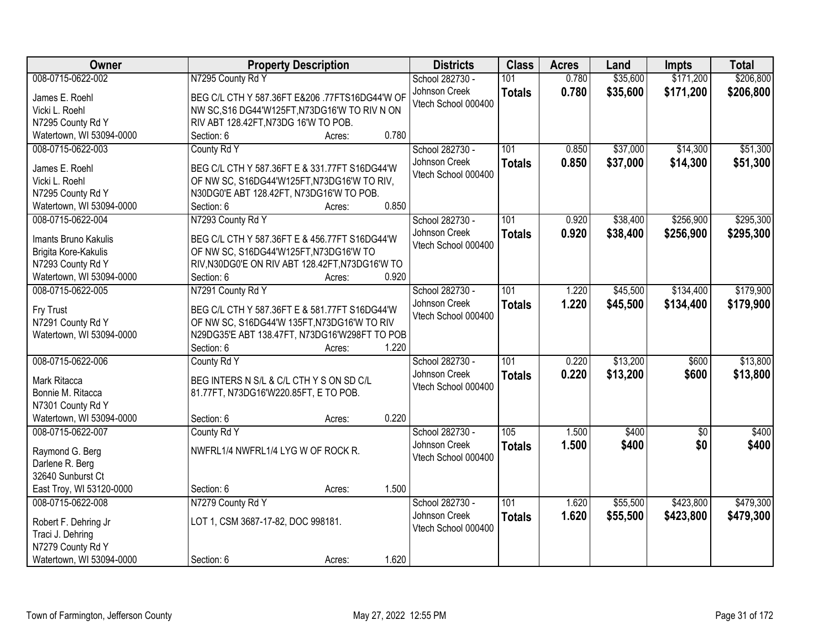| Owner                    | <b>Property Description</b>                     | <b>Districts</b>    | <b>Class</b>  | <b>Acres</b> | Land     | <b>Impts</b>    | <b>Total</b> |
|--------------------------|-------------------------------------------------|---------------------|---------------|--------------|----------|-----------------|--------------|
| 008-0715-0622-002        | N7295 County Rd Y                               | School 282730 -     | 101           | 0.780        | \$35,600 | \$171,200       | \$206,800    |
| James E. Roehl           | BEG C/L CTH Y 587.36FT E&206.77FTS16DG44'W OF   | Johnson Creek       | <b>Totals</b> | 0.780        | \$35,600 | \$171,200       | \$206,800    |
| Vicki L. Roehl           | NW SC, S16 DG44'W125FT, N73DG16'W TO RIV N ON   | Vtech School 000400 |               |              |          |                 |              |
| N7295 County Rd Y        | RIV ABT 128.42FT, N73DG 16'W TO POB.            |                     |               |              |          |                 |              |
| Watertown, WI 53094-0000 | 0.780<br>Section: 6<br>Acres:                   |                     |               |              |          |                 |              |
| 008-0715-0622-003        | County Rd Y                                     | School 282730 -     | 101           | 0.850        | \$37,000 | \$14,300        | \$51,300     |
|                          |                                                 | Johnson Creek       |               | 0.850        | \$37,000 | \$14,300        | \$51,300     |
| James E. Roehl           | BEG C/L CTH Y 587.36FT E & 331.77FT S16DG44'W   | Vtech School 000400 | <b>Totals</b> |              |          |                 |              |
| Vicki L. Roehl           | OF NW SC, S16DG44'W125FT, N73DG16'W TO RIV,     |                     |               |              |          |                 |              |
| N7295 County Rd Y        | N30DG0'E ABT 128.42FT, N73DG16'W TO POB.        |                     |               |              |          |                 |              |
| Watertown, WI 53094-0000 | 0.850<br>Section: 6<br>Acres:                   |                     |               |              |          |                 |              |
| 008-0715-0622-004        | N7293 County Rd Y                               | School 282730 -     | 101           | 0.920        | \$38,400 | \$256,900       | \$295,300    |
| Imants Bruno Kakulis     | BEG C/L CTH Y 587.36FT E & 456.77FT S16DG44'W   | Johnson Creek       | <b>Totals</b> | 0.920        | \$38,400 | \$256,900       | \$295,300    |
| Brigita Kore-Kakulis     | OF NW SC, S16DG44'W125FT, N73DG16'W TO          | Vtech School 000400 |               |              |          |                 |              |
| N7293 County Rd Y        | RIV, N30DG0'E ON RIV ABT 128.42FT, N73DG16'W TO |                     |               |              |          |                 |              |
| Watertown, WI 53094-0000 | Section: 6<br>0.920<br>Acres:                   |                     |               |              |          |                 |              |
| 008-0715-0622-005        | N7291 County Rd Y                               | School 282730 -     | 101           | 1.220        | \$45,500 | \$134,400       | \$179,900    |
|                          |                                                 | Johnson Creek       |               | 1.220        |          |                 |              |
| Fry Trust                | BEG C/L CTH Y 587.36FT E & 581.77FT S16DG44'W   | Vtech School 000400 | <b>Totals</b> |              | \$45,500 | \$134,400       | \$179,900    |
| N7291 County Rd Y        | OF NW SC, S16DG44'W 135FT, N73DG16'W TO RIV     |                     |               |              |          |                 |              |
| Watertown, WI 53094-0000 | N29DG35'E ABT 138.47FT, N73DG16'W298FT TO POB   |                     |               |              |          |                 |              |
|                          | 1.220<br>Section: 6<br>Acres:                   |                     |               |              |          |                 |              |
| 008-0715-0622-006        | County Rd Y                                     | School 282730 -     | 101           | 0.220        | \$13,200 | \$600           | \$13,800     |
| Mark Ritacca             | BEG INTERS N S/L & C/L CTH Y S ON SD C/L        | Johnson Creek       | <b>Totals</b> | 0.220        | \$13,200 | \$600           | \$13,800     |
| Bonnie M. Ritacca        | 81.77FT, N73DG16'W220.85FT, E TO POB.           | Vtech School 000400 |               |              |          |                 |              |
| N7301 County Rd Y        |                                                 |                     |               |              |          |                 |              |
| Watertown, WI 53094-0000 | 0.220<br>Section: 6<br>Acres:                   |                     |               |              |          |                 |              |
| 008-0715-0622-007        | County Rd Y                                     | School 282730 -     | 105           | 1.500        | \$400    | $\overline{50}$ | \$400        |
|                          |                                                 | Johnson Creek       | <b>Totals</b> | 1.500        | \$400    | \$0             | \$400        |
| Raymond G. Berg          | NWFRL1/4 NWFRL1/4 LYG W OF ROCK R.              | Vtech School 000400 |               |              |          |                 |              |
| Darlene R. Berg          |                                                 |                     |               |              |          |                 |              |
| 32640 Sunburst Ct        |                                                 |                     |               |              |          |                 |              |
| East Troy, WI 53120-0000 | 1.500<br>Section: 6<br>Acres:                   |                     |               |              |          |                 |              |
| 008-0715-0622-008        | N7279 County Rd Y                               | School 282730 -     | 101           | 1.620        | \$55,500 | \$423,800       | \$479,300    |
| Robert F. Dehring Jr     | LOT 1, CSM 3687-17-82, DOC 998181.              | Johnson Creek       | <b>Totals</b> | 1.620        | \$55,500 | \$423,800       | \$479,300    |
| Traci J. Dehring         |                                                 | Vtech School 000400 |               |              |          |                 |              |
| N7279 County Rd Y        |                                                 |                     |               |              |          |                 |              |
| Watertown, WI 53094-0000 | 1.620<br>Section: 6<br>Acres:                   |                     |               |              |          |                 |              |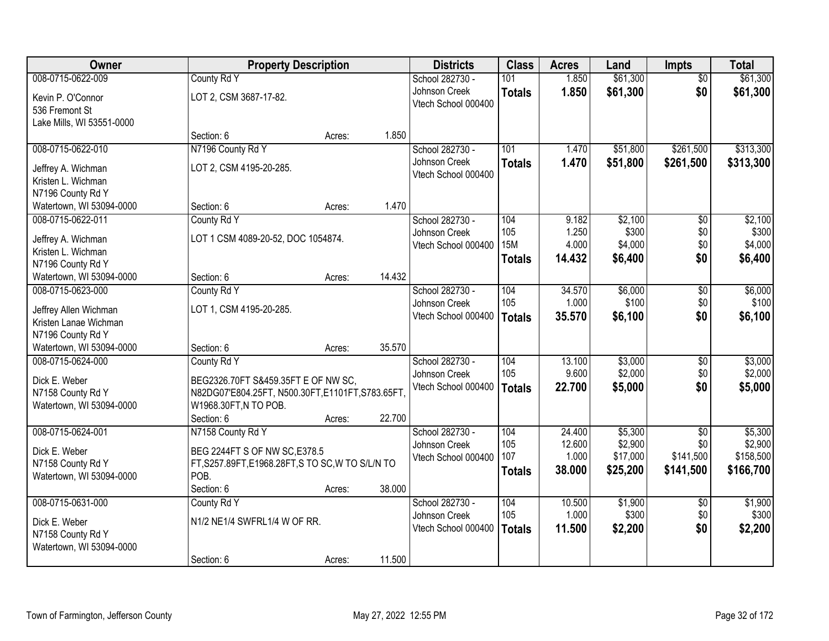| <b>Owner</b>                                                     |                                                   | <b>Property Description</b> |        | <b>Districts</b>                     | <b>Class</b>                       | <b>Acres</b>             | Land                        | <b>Impts</b>      | <b>Total</b>                |
|------------------------------------------------------------------|---------------------------------------------------|-----------------------------|--------|--------------------------------------|------------------------------------|--------------------------|-----------------------------|-------------------|-----------------------------|
| 008-0715-0622-009                                                | County Rd Y                                       |                             |        | School 282730 -                      | 101                                | 1.850                    | \$61,300                    | $\overline{50}$   | \$61,300                    |
| Kevin P. O'Connor<br>536 Fremont St<br>Lake Mills, WI 53551-0000 | LOT 2, CSM 3687-17-82.                            |                             |        | Johnson Creek<br>Vtech School 000400 | <b>Totals</b>                      | 1.850                    | \$61,300                    | \$0               | \$61,300                    |
|                                                                  | Section: 6                                        | Acres:                      | 1.850  |                                      |                                    |                          |                             |                   |                             |
| 008-0715-0622-010                                                | N7196 County Rd Y                                 |                             |        | School 282730 -                      | 101                                | 1.470                    | \$51,800                    | \$261,500         | \$313,300                   |
| Jeffrey A. Wichman<br>Kristen L. Wichman<br>N7196 County Rd Y    | LOT 2, CSM 4195-20-285.                           |                             |        | Johnson Creek<br>Vtech School 000400 | <b>Totals</b>                      | 1.470                    | \$51,800                    | \$261,500         | \$313,300                   |
| Watertown, WI 53094-0000                                         | Section: 6                                        | Acres:                      | 1.470  |                                      |                                    |                          |                             |                   |                             |
| 008-0715-0622-011                                                | County Rd Y                                       |                             |        | School 282730 -                      | 104                                | 9.182                    | \$2,100                     | \$0               | \$2,100                     |
| Jeffrey A. Wichman<br>Kristen L. Wichman                         | LOT 1 CSM 4089-20-52, DOC 1054874.                |                             |        | Johnson Creek<br>Vtech School 000400 | 105<br><b>15M</b><br><b>Totals</b> | 1.250<br>4.000<br>14.432 | \$300<br>\$4,000<br>\$6,400 | \$0<br>\$0<br>\$0 | \$300<br>\$4,000<br>\$6,400 |
| N7196 County Rd Y<br>Watertown, WI 53094-0000                    | Section: 6                                        | Acres:                      | 14.432 |                                      |                                    |                          |                             |                   |                             |
| 008-0715-0623-000                                                | County Rd Y                                       |                             |        | School 282730 -                      | 104                                | 34.570                   | \$6,000                     | \$0               | \$6,000                     |
| Jeffrey Allen Wichman<br>Kristen Lanae Wichman                   | LOT 1, CSM 4195-20-285.                           |                             |        | Johnson Creek<br>Vtech School 000400 | 105<br><b>Totals</b>               | 1.000<br>35.570          | \$100<br>\$6,100            | \$0<br>\$0        | \$100<br>\$6,100            |
| N7196 County Rd Y                                                |                                                   |                             |        |                                      |                                    |                          |                             |                   |                             |
| Watertown, WI 53094-0000                                         | Section: 6                                        | Acres:                      | 35.570 |                                      |                                    |                          |                             |                   |                             |
| 008-0715-0624-000                                                | County Rd Y                                       |                             |        | School 282730 -<br>Johnson Creek     | 104<br>105                         | 13.100<br>9.600          | \$3,000<br>\$2,000          | \$0<br>\$0        | \$3,000<br>\$2,000          |
| Dick E. Weber                                                    | BEG2326.70FT S&459.35FT E OF NW SC,               |                             |        | Vtech School 000400                  | <b>Totals</b>                      | 22.700                   | \$5,000                     | \$0               | \$5,000                     |
| N7158 County Rd Y                                                | N82DG07'E804.25FT, N500.30FT,E1101FT,S783.65FT    |                             |        |                                      |                                    |                          |                             |                   |                             |
| Watertown, WI 53094-0000                                         | W1968.30FT, N TO POB.                             |                             |        |                                      |                                    |                          |                             |                   |                             |
| 008-0715-0624-001                                                | Section: 6<br>N7158 County Rd Y                   | Acres:                      | 22.700 | School 282730 -                      | 104                                | 24.400                   | \$5,300                     | $\overline{50}$   | \$5,300                     |
|                                                                  |                                                   |                             |        | Johnson Creek                        | 105                                | 12.600                   | \$2,900                     | \$0               | \$2,900                     |
| Dick E. Weber                                                    | BEG 2244FT S OF NW SC, E378.5                     |                             |        | Vtech School 000400                  | 107                                | 1.000                    | \$17,000                    | \$141,500         | \$158,500                   |
| N7158 County Rd Y                                                | FT, S257.89FT, E1968.28FT, S TO SC, W TO S/L/N TO |                             |        |                                      | <b>Totals</b>                      | 38.000                   | \$25,200                    | \$141,500         | \$166,700                   |
| Watertown, WI 53094-0000                                         | POB.<br>Section: 6                                |                             | 38.000 |                                      |                                    |                          |                             |                   |                             |
| 008-0715-0631-000                                                | County Rd Y                                       | Acres:                      |        | School 282730 -                      | 104                                | 10.500                   | \$1,900                     | $\overline{50}$   | \$1,900                     |
|                                                                  |                                                   |                             |        | Johnson Creek                        | 105                                | 1.000                    | \$300                       | \$0               | \$300                       |
| Dick E. Weber                                                    | N1/2 NE1/4 SWFRL1/4 W OF RR.                      |                             |        | Vtech School 000400                  | <b>Totals</b>                      | 11.500                   | \$2,200                     | \$0               | \$2,200                     |
| N7158 County Rd Y<br>Watertown, WI 53094-0000                    |                                                   |                             |        |                                      |                                    |                          |                             |                   |                             |
|                                                                  | Section: 6                                        | Acres:                      | 11.500 |                                      |                                    |                          |                             |                   |                             |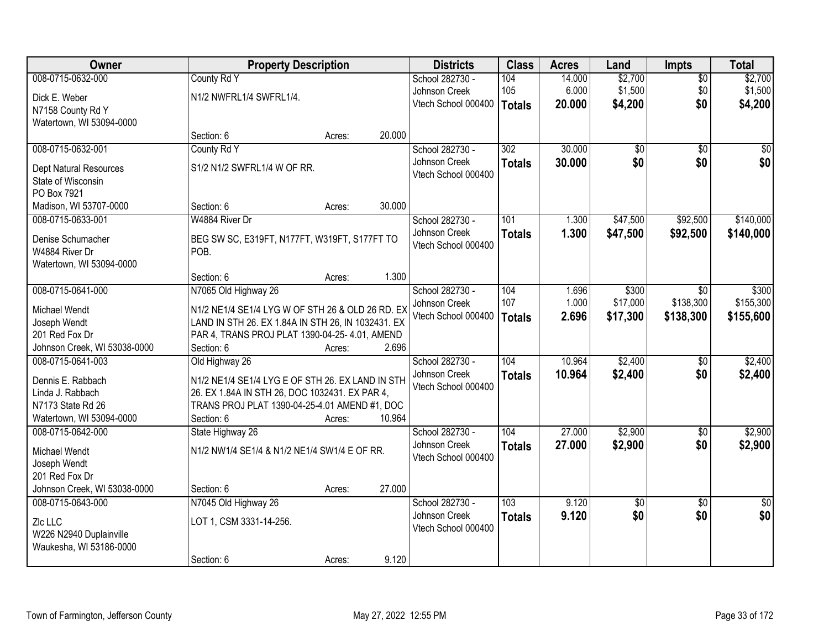| Owner                                         | <b>Property Description</b>                                                                            |        |        | <b>Districts</b>                 | <b>Class</b>  | <b>Acres</b> | Land            | Impts           | <b>Total</b>           |
|-----------------------------------------------|--------------------------------------------------------------------------------------------------------|--------|--------|----------------------------------|---------------|--------------|-----------------|-----------------|------------------------|
| 008-0715-0632-000                             | County Rd Y                                                                                            |        |        | School 282730 -                  | 104           | 14.000       | \$2,700         | $\overline{50}$ | \$2,700                |
| Dick E. Weber                                 | N1/2 NWFRL1/4 SWFRL1/4.                                                                                |        |        | Johnson Creek                    | 105           | 6.000        | \$1,500         | \$0             | \$1,500                |
| N7158 County Rd Y                             |                                                                                                        |        |        | Vtech School 000400              | <b>Totals</b> | 20.000       | \$4,200         | \$0             | \$4,200                |
| Watertown, WI 53094-0000                      |                                                                                                        |        |        |                                  |               |              |                 |                 |                        |
|                                               | Section: 6                                                                                             | Acres: | 20.000 |                                  |               |              |                 |                 |                        |
| 008-0715-0632-001                             | County Rd Y                                                                                            |        |        | School 282730 -                  | 302           | 30.000       | $\overline{50}$ | $\overline{50}$ | $\overline{50}$        |
| <b>Dept Natural Resources</b>                 | S1/2 N1/2 SWFRL1/4 W OF RR.                                                                            |        |        | Johnson Creek                    | <b>Totals</b> | 30.000       | \$0             | \$0             | \$0                    |
| State of Wisconsin                            |                                                                                                        |        |        | Vtech School 000400              |               |              |                 |                 |                        |
| PO Box 7921                                   |                                                                                                        |        |        |                                  |               |              |                 |                 |                        |
| Madison, WI 53707-0000                        | Section: 6                                                                                             | Acres: | 30.000 |                                  |               |              |                 |                 |                        |
| 008-0715-0633-001                             | W4884 River Dr                                                                                         |        |        | School 282730 -                  | 101           | 1.300        | \$47,500        | \$92,500        | \$140,000              |
| Denise Schumacher                             | BEG SW SC, E319FT, N177FT, W319FT, S177FT TO                                                           |        |        | Johnson Creek                    | <b>Totals</b> | 1.300        | \$47,500        | \$92,500        | \$140,000              |
| W4884 River Dr                                | POB.                                                                                                   |        |        | Vtech School 000400              |               |              |                 |                 |                        |
| Watertown, WI 53094-0000                      |                                                                                                        |        |        |                                  |               |              |                 |                 |                        |
|                                               | Section: 6                                                                                             | Acres: | 1.300  |                                  |               |              |                 |                 |                        |
| 008-0715-0641-000                             | N7065 Old Highway 26                                                                                   |        |        | School 282730 -                  | 104           | 1.696        | \$300           | $\sqrt{6}$      | \$300                  |
|                                               |                                                                                                        |        |        | Johnson Creek                    | 107           | 1.000        | \$17,000        | \$138,300       | \$155,300              |
| Michael Wendt<br>Joseph Wendt                 | N1/2 NE1/4 SE1/4 LYG W OF STH 26 & OLD 26 RD. EX<br>LAND IN STH 26. EX 1.84A IN STH 26, IN 1032431. EX |        |        | Vtech School 000400              | <b>Totals</b> | 2.696        | \$17,300        | \$138,300       | \$155,600              |
| 201 Red Fox Dr                                | PAR 4, TRANS PROJ PLAT 1390-04-25- 4.01, AMEND                                                         |        |        |                                  |               |              |                 |                 |                        |
| Johnson Creek, WI 53038-0000                  | Section: 6                                                                                             | Acres: | 2.696  |                                  |               |              |                 |                 |                        |
| 008-0715-0641-003                             | Old Highway 26                                                                                         |        |        | School 282730 -                  | 104           | 10.964       | \$2,400         | $\overline{50}$ | \$2,400                |
|                                               |                                                                                                        |        |        | Johnson Creek                    | <b>Totals</b> | 10.964       | \$2,400         | \$0             | \$2,400                |
| Dennis E. Rabbach                             | N1/2 NE1/4 SE1/4 LYG E OF STH 26. EX LAND IN STH                                                       |        |        | Vtech School 000400              |               |              |                 |                 |                        |
| Linda J. Rabbach                              | 26. EX 1.84A IN STH 26, DOC 1032431. EX PAR 4,                                                         |        |        |                                  |               |              |                 |                 |                        |
| N7173 State Rd 26<br>Watertown, WI 53094-0000 | TRANS PROJ PLAT 1390-04-25-4.01 AMEND #1, DOC<br>Section: 6                                            |        | 10.964 |                                  |               |              |                 |                 |                        |
| 008-0715-0642-000                             | State Highway 26                                                                                       | Acres: |        | School 282730 -                  | 104           | 27.000       | \$2,900         | $\overline{50}$ | \$2,900                |
|                                               |                                                                                                        |        |        | Johnson Creek                    | <b>Totals</b> | 27.000       | \$2,900         | \$0             | \$2,900                |
| Michael Wendt                                 | N1/2 NW1/4 SE1/4 & N1/2 NE1/4 SW1/4 E OF RR.                                                           |        |        | Vtech School 000400              |               |              |                 |                 |                        |
| Joseph Wendt                                  |                                                                                                        |        |        |                                  |               |              |                 |                 |                        |
| 201 Red Fox Dr                                |                                                                                                        |        |        |                                  |               |              |                 |                 |                        |
| Johnson Creek, WI 53038-0000                  | Section: 6                                                                                             | Acres: | 27.000 |                                  |               |              |                 |                 |                        |
| 008-0715-0643-000                             | N7045 Old Highway 26                                                                                   |        |        | School 282730 -<br>Johnson Creek | 103           | 9.120        | \$0<br>\$0      | $\overline{30}$ | $\overline{50}$<br>\$0 |
| Zlc LLC                                       | LOT 1, CSM 3331-14-256.                                                                                |        |        | Vtech School 000400              | <b>Totals</b> | 9.120        |                 | \$0             |                        |
| W226 N2940 Duplainville                       |                                                                                                        |        |        |                                  |               |              |                 |                 |                        |
| Waukesha, WI 53186-0000                       |                                                                                                        |        |        |                                  |               |              |                 |                 |                        |
|                                               | Section: 6                                                                                             | Acres: | 9.120  |                                  |               |              |                 |                 |                        |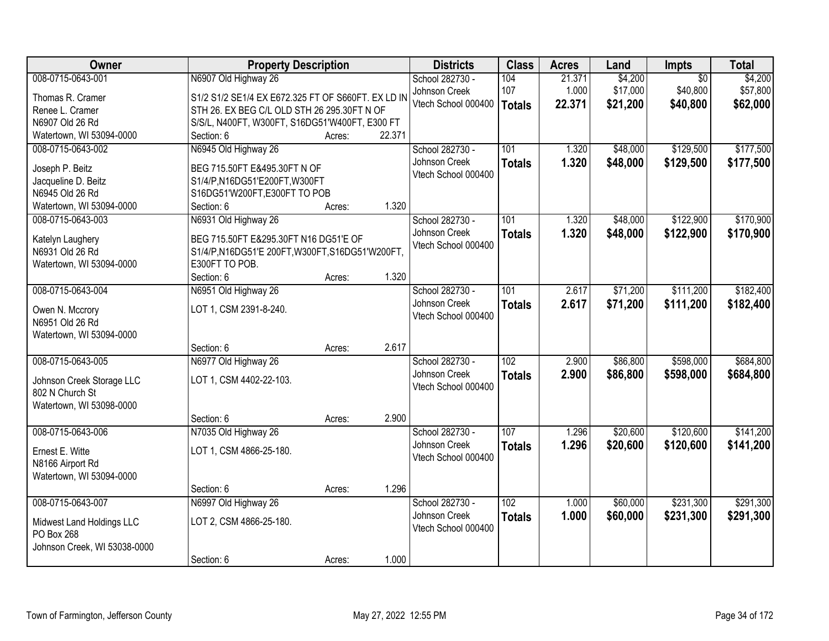| Owner                        | <b>Property Description</b>                        |        |        | <b>Districts</b>    | <b>Class</b>     | <b>Acres</b> | Land     | Impts           | <b>Total</b> |
|------------------------------|----------------------------------------------------|--------|--------|---------------------|------------------|--------------|----------|-----------------|--------------|
| 008-0715-0643-001            | N6907 Old Highway 26                               |        |        | School 282730 -     | 104              | 21.371       | \$4,200  | $\overline{50}$ | \$4,200      |
| Thomas R. Cramer             | S1/2 S1/2 SE1/4 EX E672.325 FT OF S660FT. EX LD IN |        |        | Johnson Creek       | 107              | 1.000        | \$17,000 | \$40,800        | \$57,800     |
| Renee L. Cramer              | STH 26. EX BEG C/L OLD STH 26 295.30FT N OF        |        |        | Vtech School 000400 | <b>Totals</b>    | 22.371       | \$21,200 | \$40,800        | \$62,000     |
| N6907 Old 26 Rd              | S/S/L, N400FT, W300FT, S16DG51'W400FT, E300 FT     |        |        |                     |                  |              |          |                 |              |
| Watertown, WI 53094-0000     | Section: 6                                         | Acres: | 22.371 |                     |                  |              |          |                 |              |
| 008-0715-0643-002            | N6945 Old Highway 26                               |        |        | School 282730 -     | 101              | 1.320        | \$48,000 | \$129,500       | \$177,500    |
|                              |                                                    |        |        | Johnson Creek       | <b>Totals</b>    | 1.320        | \$48,000 | \$129,500       | \$177,500    |
| Joseph P. Beitz              | BEG 715.50FT E&495.30FT N OF                       |        |        | Vtech School 000400 |                  |              |          |                 |              |
| Jacqueline D. Beitz          | S1/4/P,N16DG51'E200FT,W300FT                       |        |        |                     |                  |              |          |                 |              |
| N6945 Old 26 Rd              | S16DG51'W200FT,E300FT TO POB                       |        | 1.320  |                     |                  |              |          |                 |              |
| Watertown, WI 53094-0000     | Section: 6                                         | Acres: |        |                     |                  |              |          |                 |              |
| 008-0715-0643-003            | N6931 Old Highway 26                               |        |        | School 282730 -     | 101              | 1.320        | \$48,000 | \$122,900       | \$170,900    |
| Katelyn Laughery             | BEG 715.50FT E&295.30FT N16 DG51'E OF              |        |        | Johnson Creek       | <b>Totals</b>    | 1.320        | \$48,000 | \$122,900       | \$170,900    |
| N6931 Old 26 Rd              | S1/4/P, N16DG51'E 200FT, W300FT, S16DG51'W200FT,   |        |        | Vtech School 000400 |                  |              |          |                 |              |
| Watertown, WI 53094-0000     | E300FT TO POB.                                     |        |        |                     |                  |              |          |                 |              |
|                              | Section: 6                                         | Acres: | 1.320  |                     |                  |              |          |                 |              |
| 008-0715-0643-004            | N6951 Old Highway 26                               |        |        | School 282730 -     | 101              | 2.617        | \$71,200 | \$111,200       | \$182,400    |
| Owen N. Mccrory              | LOT 1, CSM 2391-8-240.                             |        |        | Johnson Creek       | <b>Totals</b>    | 2.617        | \$71,200 | \$111,200       | \$182,400    |
| N6951 Old 26 Rd              |                                                    |        |        | Vtech School 000400 |                  |              |          |                 |              |
| Watertown, WI 53094-0000     |                                                    |        |        |                     |                  |              |          |                 |              |
|                              | Section: 6                                         | Acres: | 2.617  |                     |                  |              |          |                 |              |
| 008-0715-0643-005            | N6977 Old Highway 26                               |        |        | School 282730 -     | $\overline{102}$ | 2.900        | \$86,800 | \$598,000       | \$684,800    |
|                              |                                                    |        |        | Johnson Creek       | <b>Totals</b>    | 2.900        | \$86,800 | \$598,000       | \$684,800    |
| Johnson Creek Storage LLC    | LOT 1, CSM 4402-22-103.                            |        |        | Vtech School 000400 |                  |              |          |                 |              |
| 802 N Church St              |                                                    |        |        |                     |                  |              |          |                 |              |
| Watertown, WI 53098-0000     |                                                    |        |        |                     |                  |              |          |                 |              |
|                              | Section: 6                                         | Acres: | 2.900  |                     |                  |              |          |                 |              |
| 008-0715-0643-006            | N7035 Old Highway 26                               |        |        | School 282730 -     | 107              | 1.296        | \$20,600 | \$120,600       | \$141,200    |
| Ernest E. Witte              | LOT 1, CSM 4866-25-180.                            |        |        | Johnson Creek       | <b>Totals</b>    | 1.296        | \$20,600 | \$120,600       | \$141,200    |
| N8166 Airport Rd             |                                                    |        |        | Vtech School 000400 |                  |              |          |                 |              |
| Watertown, WI 53094-0000     |                                                    |        |        |                     |                  |              |          |                 |              |
|                              | Section: 6                                         | Acres: | 1.296  |                     |                  |              |          |                 |              |
| 008-0715-0643-007            | N6997 Old Highway 26                               |        |        | School 282730 -     | 102              | 1.000        | \$60,000 | \$231,300       | \$291,300    |
|                              |                                                    |        |        | Johnson Creek       | <b>Totals</b>    | 1.000        | \$60,000 | \$231,300       | \$291,300    |
| Midwest Land Holdings LLC    | LOT 2, CSM 4866-25-180.                            |        |        | Vtech School 000400 |                  |              |          |                 |              |
| PO Box 268                   |                                                    |        |        |                     |                  |              |          |                 |              |
| Johnson Creek, WI 53038-0000 |                                                    |        | 1.000  |                     |                  |              |          |                 |              |
|                              | Section: 6                                         | Acres: |        |                     |                  |              |          |                 |              |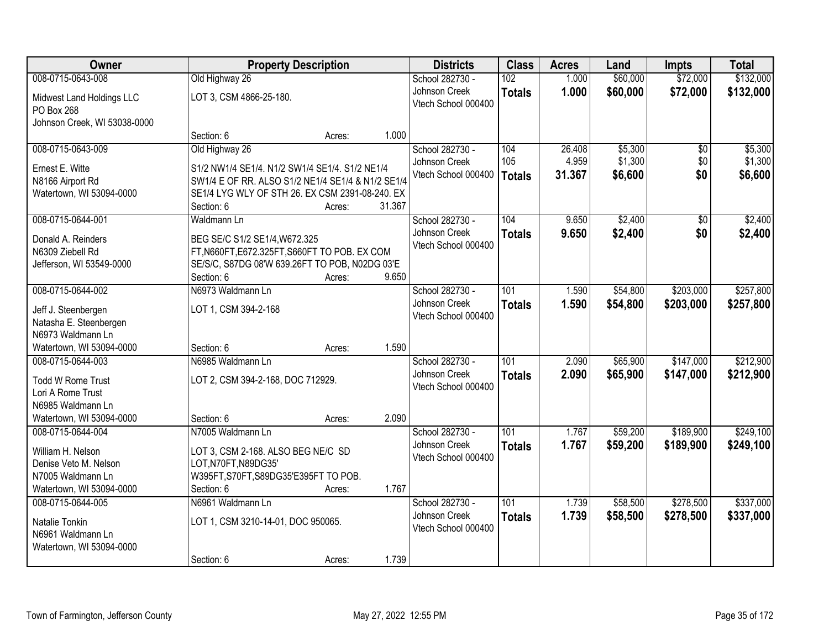| <b>Owner</b>                 | <b>Property Description</b>                       |        |        | <b>Districts</b>    | <b>Class</b>     | <b>Acres</b> | Land     | <b>Impts</b>    | <b>Total</b> |
|------------------------------|---------------------------------------------------|--------|--------|---------------------|------------------|--------------|----------|-----------------|--------------|
| 008-0715-0643-008            | Old Highway 26                                    |        |        | School 282730 -     | 102              | 1.000        | \$60,000 | \$72,000        | \$132,000    |
| Midwest Land Holdings LLC    | LOT 3, CSM 4866-25-180.                           |        |        | Johnson Creek       | <b>Totals</b>    | 1.000        | \$60,000 | \$72,000        | \$132,000    |
| PO Box 268                   |                                                   |        |        | Vtech School 000400 |                  |              |          |                 |              |
| Johnson Creek, WI 53038-0000 |                                                   |        |        |                     |                  |              |          |                 |              |
|                              | Section: 6                                        | Acres: | 1.000  |                     |                  |              |          |                 |              |
| 008-0715-0643-009            | Old Highway 26                                    |        |        | School 282730 -     | 104              | 26.408       | \$5,300  | $\overline{50}$ | \$5,300      |
| Ernest E. Witte              | S1/2 NW1/4 SE1/4. N1/2 SW1/4 SE1/4. S1/2 NE1/4    |        |        | Johnson Creek       | 105              | 4.959        | \$1,300  | \$0             | \$1,300      |
| N8166 Airport Rd             | SW1/4 E OF RR. ALSO S1/2 NE1/4 SE1/4 & N1/2 SE1/4 |        |        | Vtech School 000400 | <b>Totals</b>    | 31.367       | \$6,600  | \$0             | \$6,600      |
| Watertown, WI 53094-0000     | SE1/4 LYG WLY OF STH 26. EX CSM 2391-08-240. EX   |        |        |                     |                  |              |          |                 |              |
|                              | Section: 6                                        | Acres: | 31.367 |                     |                  |              |          |                 |              |
| 008-0715-0644-001            | Waldmann Ln                                       |        |        | School 282730 -     | 104              | 9.650        | \$2,400  | \$0             | \$2,400      |
| Donald A. Reinders           | BEG SE/C S1/2 SE1/4, W672.325                     |        |        | Johnson Creek       | <b>Totals</b>    | 9.650        | \$2,400  | \$0             | \$2,400      |
| N6309 Ziebell Rd             | FT, N660FT, E672.325FT, S660FT TO POB. EX COM     |        |        | Vtech School 000400 |                  |              |          |                 |              |
| Jefferson, WI 53549-0000     | SE/S/C, S87DG 08'W 639.26FT TO POB, N02DG 03'E    |        |        |                     |                  |              |          |                 |              |
|                              | Section: 6                                        | Acres: | 9.650  |                     |                  |              |          |                 |              |
| 008-0715-0644-002            | N6973 Waldmann Ln                                 |        |        | School 282730 -     | 101              | 1.590        | \$54,800 | \$203,000       | \$257,800    |
| Jeff J. Steenbergen          | LOT 1, CSM 394-2-168                              |        |        | Johnson Creek       | <b>Totals</b>    | 1.590        | \$54,800 | \$203,000       | \$257,800    |
| Natasha E. Steenbergen       |                                                   |        |        | Vtech School 000400 |                  |              |          |                 |              |
| N6973 Waldmann Ln            |                                                   |        |        |                     |                  |              |          |                 |              |
| Watertown, WI 53094-0000     | Section: 6                                        | Acres: | 1.590  |                     |                  |              |          |                 |              |
| 008-0715-0644-003            | N6985 Waldmann Ln                                 |        |        | School 282730 -     | 101              | 2.090        | \$65,900 | \$147,000       | \$212,900    |
| <b>Todd W Rome Trust</b>     | LOT 2, CSM 394-2-168, DOC 712929.                 |        |        | Johnson Creek       | <b>Totals</b>    | 2.090        | \$65,900 | \$147,000       | \$212,900    |
| Lori A Rome Trust            |                                                   |        |        | Vtech School 000400 |                  |              |          |                 |              |
| N6985 Waldmann Ln            |                                                   |        |        |                     |                  |              |          |                 |              |
| Watertown, WI 53094-0000     | Section: 6                                        | Acres: | 2.090  |                     |                  |              |          |                 |              |
| 008-0715-0644-004            | N7005 Waldmann Ln                                 |        |        | School 282730 -     | $\overline{101}$ | 1.767        | \$59,200 | \$189,900       | \$249,100    |
| William H. Nelson            | LOT 3, CSM 2-168. ALSO BEG NE/C SD                |        |        | Johnson Creek       | <b>Totals</b>    | 1.767        | \$59,200 | \$189,900       | \$249,100    |
| Denise Veto M. Nelson        | LOT, N70FT, N89DG35'                              |        |        | Vtech School 000400 |                  |              |          |                 |              |
| N7005 Waldmann Ln            | W395FT, S70FT, S89DG35'E395FT TO POB.             |        |        |                     |                  |              |          |                 |              |
| Watertown, WI 53094-0000     | Section: 6                                        | Acres: | 1.767  |                     |                  |              |          |                 |              |
| 008-0715-0644-005            | N6961 Waldmann Ln                                 |        |        | School 282730 -     | 101              | 1.739        | \$58,500 | \$278,500       | \$337,000    |
| Natalie Tonkin               | LOT 1, CSM 3210-14-01, DOC 950065.                |        |        | Johnson Creek       | <b>Totals</b>    | 1.739        | \$58,500 | \$278,500       | \$337,000    |
| N6961 Waldmann Ln            |                                                   |        |        | Vtech School 000400 |                  |              |          |                 |              |
| Watertown, WI 53094-0000     |                                                   |        |        |                     |                  |              |          |                 |              |
|                              | Section: 6                                        | Acres: | 1.739  |                     |                  |              |          |                 |              |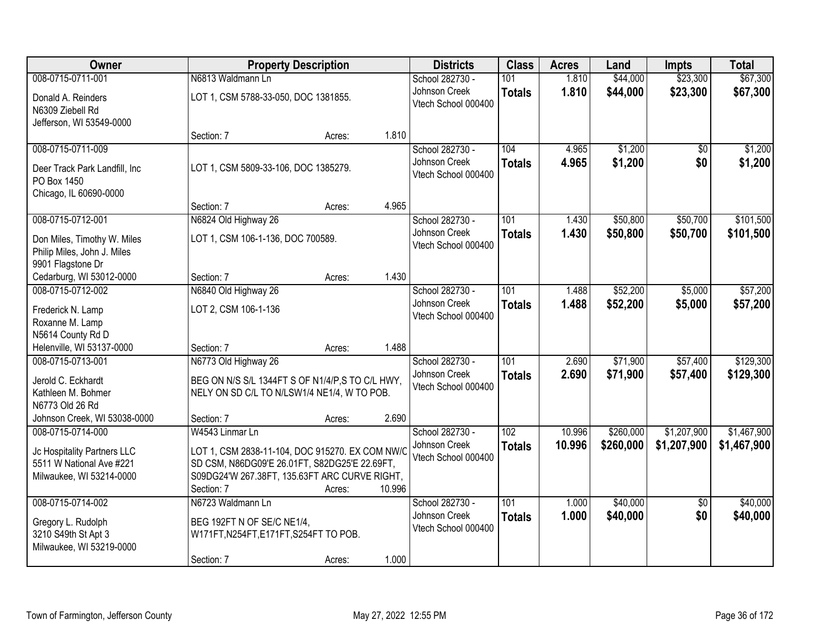| Owner                                                              |                                                             | <b>Property Description</b> |        | <b>Districts</b>                     | <b>Class</b>  | <b>Acres</b>     | Land      | <b>Impts</b>    | <b>Total</b> |
|--------------------------------------------------------------------|-------------------------------------------------------------|-----------------------------|--------|--------------------------------------|---------------|------------------|-----------|-----------------|--------------|
| 008-0715-0711-001                                                  | N6813 Waldmann Ln                                           |                             |        | School 282730 -                      | 101           | 1.810            | \$44,000  | \$23,300        | \$67,300     |
| Donald A. Reinders<br>N6309 Ziebell Rd<br>Jefferson, WI 53549-0000 | LOT 1, CSM 5788-33-050, DOC 1381855.                        |                             |        | Johnson Creek<br>Vtech School 000400 | <b>Totals</b> | 1.810            | \$44,000  | \$23,300        | \$67,300     |
|                                                                    | Section: 7                                                  | Acres:                      | 1.810  |                                      |               |                  |           |                 |              |
| 008-0715-0711-009                                                  |                                                             |                             |        | School 282730 -                      | 104           | 4.965            | \$1,200   | $\overline{50}$ | \$1,200      |
| Deer Track Park Landfill, Inc<br>PO Box 1450                       | LOT 1, CSM 5809-33-106, DOC 1385279.                        |                             |        | Johnson Creek<br>Vtech School 000400 | <b>Totals</b> | 4.965            | \$1,200   | \$0             | \$1,200      |
| Chicago, IL 60690-0000                                             | Section: 7                                                  | Acres:                      | 4.965  |                                      |               |                  |           |                 |              |
| 008-0715-0712-001                                                  | N6824 Old Highway 26                                        |                             |        | School 282730 -                      | 101           | 1.430            | \$50,800  | \$50,700        | \$101,500    |
| Don Miles, Timothy W. Miles<br>Philip Miles, John J. Miles         | LOT 1, CSM 106-1-136, DOC 700589.                           |                             |        | Johnson Creek<br>Vtech School 000400 | <b>Totals</b> | 1.430            | \$50,800  | \$50,700        | \$101,500    |
| 9901 Flagstone Dr<br>Cedarburg, WI 53012-0000                      | Section: 7                                                  | Acres:                      | 1.430  |                                      |               |                  |           |                 |              |
| 008-0715-0712-002                                                  | N6840 Old Highway 26                                        |                             |        | School 282730 -                      | 101           | 1.488            | \$52,200  | \$5,000         | \$57,200     |
| Frederick N. Lamp<br>Roxanne M. Lamp                               | LOT 2, CSM 106-1-136                                        |                             |        | Johnson Creek<br>Vtech School 000400 | <b>Totals</b> | 1.488            | \$52,200  | \$5,000         | \$57,200     |
| N5614 County Rd D                                                  |                                                             |                             |        |                                      |               |                  |           |                 |              |
| Helenville, WI 53137-0000                                          | Section: 7                                                  | Acres:                      | 1.488  |                                      |               |                  |           |                 |              |
| 008-0715-0713-001                                                  | N6773 Old Highway 26                                        |                             |        | School 282730 -                      | 101           | 2.690            | \$71,900  | \$57,400        | \$129,300    |
| Jerold C. Eckhardt                                                 | BEG ON N/S S/L 1344FT S OF N1/4/P, S TO C/L HWY,            |                             |        | Johnson Creek<br>Vtech School 000400 | <b>Totals</b> | 2.690            | \$71,900  | \$57,400        | \$129,300    |
| Kathleen M. Bohmer                                                 | NELY ON SD C/L TO N/LSW1/4 NE1/4, W TO POB.                 |                             |        |                                      |               |                  |           |                 |              |
| N6773 Old 26 Rd                                                    |                                                             |                             |        |                                      |               |                  |           |                 |              |
| Johnson Creek, WI 53038-0000<br>008-0715-0714-000                  | Section: 7<br>W4543 Linmar Ln                               | Acres:                      | 2.690  | School 282730 -                      | 102           |                  | \$260,000 | \$1,207,900     | \$1,467,900  |
|                                                                    |                                                             |                             |        | Johnson Creek                        | <b>Totals</b> | 10.996<br>10.996 | \$260,000 | \$1,207,900     | \$1,467,900  |
| Jc Hospitality Partners LLC                                        | LOT 1, CSM 2838-11-104, DOC 915270. EX COM NW/C             |                             |        | Vtech School 000400                  |               |                  |           |                 |              |
| 5511 W National Ave #221                                           | SD CSM, N86DG09'E 26.01FT, S82DG25'E 22.69FT,               |                             |        |                                      |               |                  |           |                 |              |
| Milwaukee, WI 53214-0000                                           | S09DG24'W 267.38FT, 135.63FT ARC CURVE RIGHT,<br>Section: 7 | Acres:                      | 10.996 |                                      |               |                  |           |                 |              |
| 008-0715-0714-002                                                  | N6723 Waldmann Ln                                           |                             |        | School 282730 -                      | 101           | 1.000            | \$40,000  | $\overline{50}$ | \$40,000     |
|                                                                    |                                                             |                             |        | Johnson Creek                        | <b>Totals</b> | 1.000            | \$40,000  | \$0             | \$40,000     |
| Gregory L. Rudolph                                                 | BEG 192FT N OF SE/C NE1/4,                                  |                             |        | Vtech School 000400                  |               |                  |           |                 |              |
| 3210 S49th St Apt 3<br>Milwaukee, WI 53219-0000                    | W171FT, N254FT, E171FT, S254FT TO POB.                      |                             |        |                                      |               |                  |           |                 |              |
|                                                                    | Section: 7                                                  | Acres:                      | 1.000  |                                      |               |                  |           |                 |              |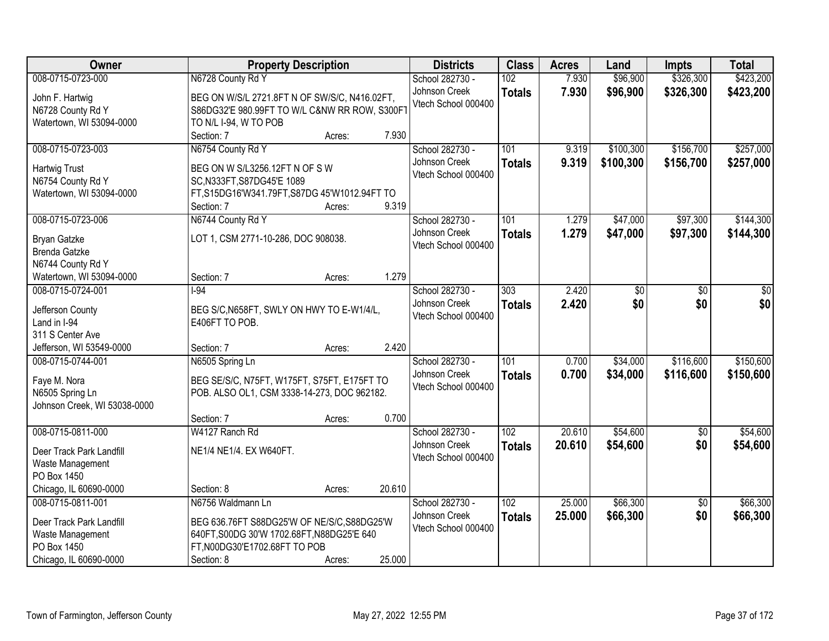| Owner                        |                                               | <b>Property Description</b> |        | <b>Districts</b>    | <b>Class</b>     | <b>Acres</b> | Land      | Impts           | <b>Total</b> |
|------------------------------|-----------------------------------------------|-----------------------------|--------|---------------------|------------------|--------------|-----------|-----------------|--------------|
| 008-0715-0723-000            | N6728 County Rd Y                             |                             |        | School 282730 -     | 102              | 7.930        | \$96,900  | \$326,300       | \$423,200    |
| John F. Hartwig              | BEG ON W/S/L 2721.8FT N OF SW/S/C, N416.02FT, |                             |        | Johnson Creek       | <b>Totals</b>    | 7.930        | \$96,900  | \$326,300       | \$423,200    |
| N6728 County Rd Y            | S86DG32'E 980.99FT TO W/L C&NW RR ROW, S300FT |                             |        | Vtech School 000400 |                  |              |           |                 |              |
| Watertown, WI 53094-0000     | TO N/L I-94, W TO POB                         |                             |        |                     |                  |              |           |                 |              |
|                              | Section: 7                                    | Acres:                      | 7.930  |                     |                  |              |           |                 |              |
| 008-0715-0723-003            | N6754 County Rd Y                             |                             |        | School 282730 -     | 101              | 9.319        | \$100,300 | \$156,700       | \$257,000    |
| <b>Hartwig Trust</b>         | BEG ON W S/L3256.12FT N OF S W                |                             |        | Johnson Creek       | <b>Totals</b>    | 9.319        | \$100,300 | \$156,700       | \$257,000    |
| N6754 County Rd Y            | SC, N333FT, S87DG45'E 1089                    |                             |        | Vtech School 000400 |                  |              |           |                 |              |
| Watertown, WI 53094-0000     | FT,S15DG16'W341.79FT,S87DG 45'W1012.94FT TO   |                             |        |                     |                  |              |           |                 |              |
|                              | Section: 7                                    | Acres:                      | 9.319  |                     |                  |              |           |                 |              |
| 008-0715-0723-006            | N6744 County Rd Y                             |                             |        | School 282730 -     | 101              | 1.279        | \$47,000  | \$97,300        | \$144,300    |
| <b>Bryan Gatzke</b>          | LOT 1, CSM 2771-10-286, DOC 908038.           |                             |        | Johnson Creek       | <b>Totals</b>    | 1.279        | \$47,000  | \$97,300        | \$144,300    |
| <b>Brenda Gatzke</b>         |                                               |                             |        | Vtech School 000400 |                  |              |           |                 |              |
| N6744 County Rd Y            |                                               |                             |        |                     |                  |              |           |                 |              |
| Watertown, WI 53094-0000     | Section: 7                                    | Acres:                      | 1.279  |                     |                  |              |           |                 |              |
| 008-0715-0724-001            | $-94$                                         |                             |        | School 282730 -     | $\overline{303}$ | 2.420        | \$0       | \$0             | \$0          |
| Jefferson County             | BEG S/C, N658FT, SWLY ON HWY TO E-W1/4/L,     |                             |        | Johnson Creek       | <b>Totals</b>    | 2.420        | \$0       | \$0             | \$0          |
| Land in I-94                 | E406FT TO POB.                                |                             |        | Vtech School 000400 |                  |              |           |                 |              |
| 311 S Center Ave             |                                               |                             |        |                     |                  |              |           |                 |              |
| Jefferson, WI 53549-0000     | Section: 7                                    | Acres:                      | 2.420  |                     |                  |              |           |                 |              |
| 008-0715-0744-001            | N6505 Spring Ln                               |                             |        | School 282730 -     | 101              | 0.700        | \$34,000  | \$116,600       | \$150,600    |
| Faye M. Nora                 | BEG SE/S/C, N75FT, W175FT, S75FT, E175FT TO   |                             |        | Johnson Creek       | <b>Totals</b>    | 0.700        | \$34,000  | \$116,600       | \$150,600    |
| N6505 Spring Ln              | POB. ALSO OL1, CSM 3338-14-273, DOC 962182.   |                             |        | Vtech School 000400 |                  |              |           |                 |              |
| Johnson Creek, WI 53038-0000 |                                               |                             |        |                     |                  |              |           |                 |              |
|                              | Section: 7                                    | Acres:                      | 0.700  |                     |                  |              |           |                 |              |
| 008-0715-0811-000            | W4127 Ranch Rd                                |                             |        | School 282730 -     | $\overline{102}$ | 20.610       | \$54,600  | $\overline{60}$ | \$54,600     |
| Deer Track Park Landfill     | NE1/4 NE1/4. EX W640FT.                       |                             |        | Johnson Creek       | <b>Totals</b>    | 20.610       | \$54,600  | \$0             | \$54,600     |
| Waste Management             |                                               |                             |        | Vtech School 000400 |                  |              |           |                 |              |
| PO Box 1450                  |                                               |                             |        |                     |                  |              |           |                 |              |
| Chicago, IL 60690-0000       | Section: 8                                    | Acres:                      | 20.610 |                     |                  |              |           |                 |              |
| 008-0715-0811-001            | N6756 Waldmann Ln                             |                             |        | School 282730 -     | 102              | 25.000       | \$66,300  | $\overline{50}$ | \$66,300     |
| Deer Track Park Landfill     | BEG 636.76FT S88DG25'W OF NE/S/C, S88DG25'W   |                             |        | Johnson Creek       | <b>Totals</b>    | 25.000       | \$66,300  | \$0             | \$66,300     |
| Waste Management             | 640FT, S00DG 30'W 1702.68FT, N88DG25'E 640    |                             |        | Vtech School 000400 |                  |              |           |                 |              |
| PO Box 1450                  | FT, N00DG30'E1702.68FT TO POB                 |                             |        |                     |                  |              |           |                 |              |
| Chicago, IL 60690-0000       | Section: 8                                    | Acres:                      | 25.000 |                     |                  |              |           |                 |              |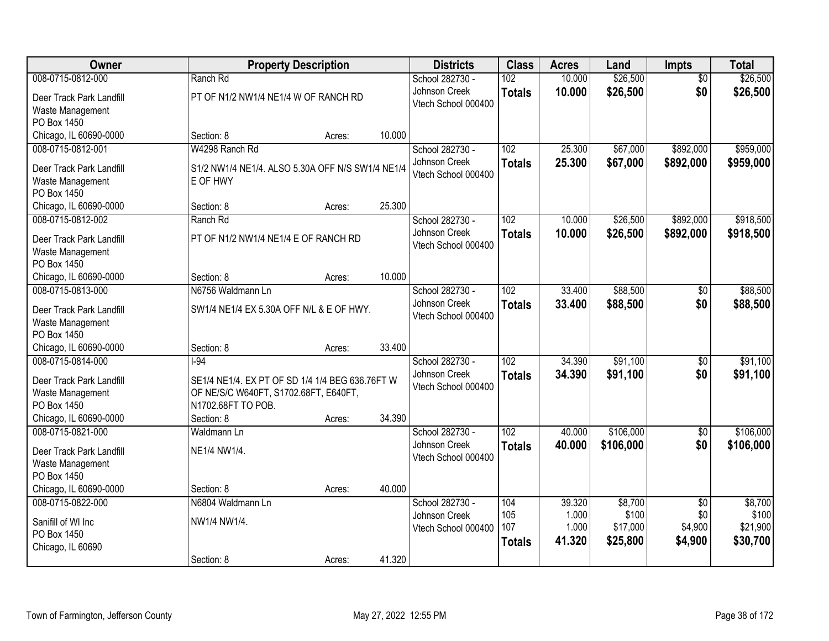| <b>Owner</b>                          | <b>Property Description</b>                      |        |        | <b>Districts</b>    | <b>Class</b>  | <b>Acres</b> | Land      | <b>Impts</b>    | <b>Total</b> |
|---------------------------------------|--------------------------------------------------|--------|--------|---------------------|---------------|--------------|-----------|-----------------|--------------|
| 008-0715-0812-000                     | Ranch Rd                                         |        |        | School 282730 -     | 102           | 10.000       | \$26,500  | $\overline{50}$ | \$26,500     |
| Deer Track Park Landfill              | PT OF N1/2 NW1/4 NE1/4 W OF RANCH RD             |        |        | Johnson Creek       | <b>Totals</b> | 10.000       | \$26,500  | \$0             | \$26,500     |
| Waste Management                      |                                                  |        |        | Vtech School 000400 |               |              |           |                 |              |
| PO Box 1450                           |                                                  |        |        |                     |               |              |           |                 |              |
| Chicago, IL 60690-0000                | Section: 8                                       | Acres: | 10.000 |                     |               |              |           |                 |              |
| 008-0715-0812-001                     | W4298 Ranch Rd                                   |        |        | School 282730 -     | 102           | 25.300       | \$67,000  | \$892,000       | \$959,000    |
| Deer Track Park Landfill              | S1/2 NW1/4 NE1/4. ALSO 5.30A OFF N/S SW1/4 NE1/4 |        |        | Johnson Creek       | <b>Totals</b> | 25.300       | \$67,000  | \$892,000       | \$959,000    |
| Waste Management                      | E OF HWY                                         |        |        | Vtech School 000400 |               |              |           |                 |              |
| PO Box 1450                           |                                                  |        |        |                     |               |              |           |                 |              |
| Chicago, IL 60690-0000                | Section: 8                                       | Acres: | 25.300 |                     |               |              |           |                 |              |
| 008-0715-0812-002                     | Ranch Rd                                         |        |        | School 282730 -     | 102           | 10.000       | \$26,500  | \$892,000       | \$918,500    |
|                                       |                                                  |        |        | Johnson Creek       | <b>Totals</b> | 10.000       | \$26,500  | \$892,000       | \$918,500    |
| Deer Track Park Landfill              | PT OF N1/2 NW1/4 NE1/4 E OF RANCH RD             |        |        | Vtech School 000400 |               |              |           |                 |              |
| Waste Management                      |                                                  |        |        |                     |               |              |           |                 |              |
| PO Box 1450<br>Chicago, IL 60690-0000 | Section: 8                                       |        | 10.000 |                     |               |              |           |                 |              |
| 008-0715-0813-000                     | N6756 Waldmann Ln                                | Acres: |        | School 282730 -     | 102           | 33.400       | \$88,500  | \$0             | \$88,500     |
|                                       |                                                  |        |        | Johnson Creek       |               |              |           |                 |              |
| Deer Track Park Landfill              | SW1/4 NE1/4 EX 5.30A OFF N/L & E OF HWY.         |        |        | Vtech School 000400 | <b>Totals</b> | 33.400       | \$88,500  | \$0             | \$88,500     |
| Waste Management                      |                                                  |        |        |                     |               |              |           |                 |              |
| PO Box 1450                           |                                                  |        |        |                     |               |              |           |                 |              |
| Chicago, IL 60690-0000                | Section: 8                                       | Acres: | 33.400 |                     |               |              |           |                 |              |
| 008-0715-0814-000                     | $-94$                                            |        |        | School 282730 -     | 102           | 34.390       | \$91,100  | \$0             | \$91,100     |
| Deer Track Park Landfill              | SE1/4 NE1/4. EX PT OF SD 1/4 1/4 BEG 636.76FT W  |        |        | Johnson Creek       | <b>Totals</b> | 34.390       | \$91,100  | \$0             | \$91,100     |
| Waste Management                      | OF NE/S/C W640FT, S1702.68FT, E640FT,            |        |        | Vtech School 000400 |               |              |           |                 |              |
| PO Box 1450                           | N1702.68FT TO POB.                               |        |        |                     |               |              |           |                 |              |
| Chicago, IL 60690-0000                | Section: 8                                       | Acres: | 34.390 |                     |               |              |           |                 |              |
| 008-0715-0821-000                     | Waldmann Ln                                      |        |        | School 282730 -     | 102           | 40.000       | \$106,000 | $\overline{60}$ | \$106,000    |
| Deer Track Park Landfill              | NE1/4 NW1/4.                                     |        |        | Johnson Creek       | <b>Totals</b> | 40.000       | \$106,000 | \$0             | \$106,000    |
| Waste Management                      |                                                  |        |        | Vtech School 000400 |               |              |           |                 |              |
| PO Box 1450                           |                                                  |        |        |                     |               |              |           |                 |              |
| Chicago, IL 60690-0000                | Section: 8                                       | Acres: | 40.000 |                     |               |              |           |                 |              |
| 008-0715-0822-000                     | N6804 Waldmann Ln                                |        |        | School 282730 -     | 104           | 39.320       | \$8,700   | $\overline{50}$ | \$8,700      |
|                                       |                                                  |        |        | Johnson Creek       | 105           | 1.000        | \$100     | \$0             | \$100        |
| Sanifill of WI Inc                    | NW1/4 NW1/4.                                     |        |        | Vtech School 000400 | 107           | 1.000        | \$17,000  | \$4,900         | \$21,900     |
| PO Box 1450                           |                                                  |        |        |                     | <b>Totals</b> | 41.320       | \$25,800  | \$4,900         | \$30,700     |
| Chicago, IL 60690                     | Section: 8                                       | Acres: | 41.320 |                     |               |              |           |                 |              |
|                                       |                                                  |        |        |                     |               |              |           |                 |              |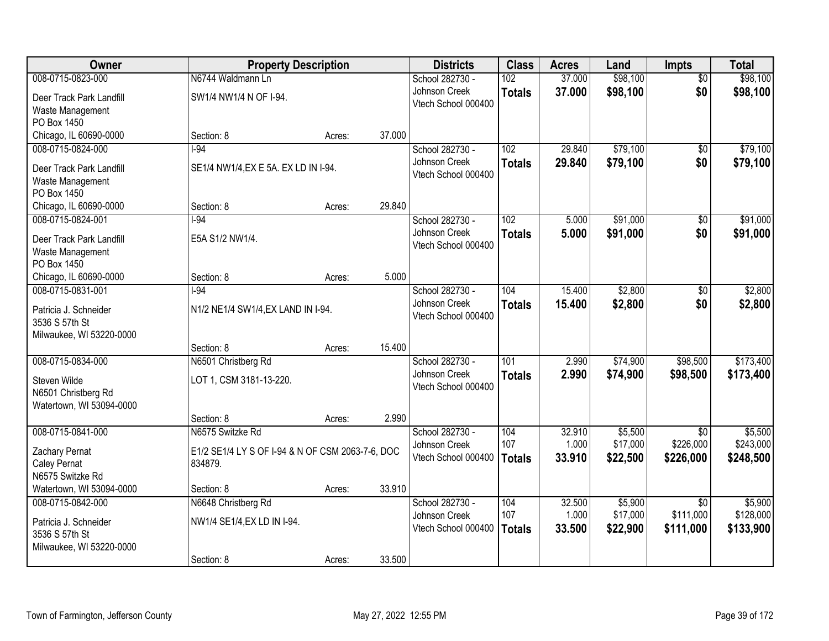| Owner                    | <b>Property Description</b>                      |        |        | <b>Districts</b>                     | <b>Class</b>  | <b>Acres</b> | Land     | <b>Impts</b>    | <b>Total</b> |
|--------------------------|--------------------------------------------------|--------|--------|--------------------------------------|---------------|--------------|----------|-----------------|--------------|
| 008-0715-0823-000        | N6744 Waldmann Ln                                |        |        | School 282730 -                      | 102           | 37.000       | \$98,100 | $\overline{50}$ | \$98,100     |
| Deer Track Park Landfill | SW1/4 NW1/4 N OF I-94.                           |        |        | Johnson Creek                        | <b>Totals</b> | 37.000       | \$98,100 | \$0             | \$98,100     |
| Waste Management         |                                                  |        |        | Vtech School 000400                  |               |              |          |                 |              |
| PO Box 1450              |                                                  |        |        |                                      |               |              |          |                 |              |
| Chicago, IL 60690-0000   | Section: 8                                       | Acres: | 37.000 |                                      |               |              |          |                 |              |
| 008-0715-0824-000        | $-94$                                            |        |        | School 282730 -                      | 102           | 29.840       | \$79,100 | \$0             | \$79,100     |
| Deer Track Park Landfill | SE1/4 NW1/4, EX E 5A. EX LD IN I-94.             |        |        | Johnson Creek                        | <b>Totals</b> | 29.840       | \$79,100 | \$0             | \$79,100     |
| Waste Management         |                                                  |        |        | Vtech School 000400                  |               |              |          |                 |              |
| PO Box 1450              |                                                  |        |        |                                      |               |              |          |                 |              |
| Chicago, IL 60690-0000   | Section: 8                                       | Acres: | 29.840 |                                      |               |              |          |                 |              |
| 008-0715-0824-001        | $1-94$                                           |        |        | School 282730 -                      | 102           | 5.000        | \$91,000 | $\overline{50}$ | \$91,000     |
| Deer Track Park Landfill | E5A S1/2 NW1/4.                                  |        |        | Johnson Creek                        | <b>Totals</b> | 5.000        | \$91,000 | \$0             | \$91,000     |
| Waste Management         |                                                  |        |        | Vtech School 000400                  |               |              |          |                 |              |
| PO Box 1450              |                                                  |        |        |                                      |               |              |          |                 |              |
| Chicago, IL 60690-0000   | Section: 8                                       | Acres: | 5.000  |                                      |               |              |          |                 |              |
| 008-0715-0831-001        | $-94$                                            |        |        | School 282730 -                      | 104           | 15.400       | \$2,800  | \$0             | \$2,800      |
| Patricia J. Schneider    | N1/2 NE1/4 SW1/4, EX LAND IN I-94.               |        |        | Johnson Creek                        | <b>Totals</b> | 15.400       | \$2,800  | \$0             | \$2,800      |
| 3536 S 57th St           |                                                  |        |        | Vtech School 000400                  |               |              |          |                 |              |
| Milwaukee, WI 53220-0000 |                                                  |        |        |                                      |               |              |          |                 |              |
|                          | Section: 8                                       | Acres: | 15.400 |                                      |               |              |          |                 |              |
| 008-0715-0834-000        | N6501 Christberg Rd                              |        |        | School 282730 -                      | 101           | 2.990        | \$74,900 | \$98,500        | \$173,400    |
| Steven Wilde             | LOT 1, CSM 3181-13-220.                          |        |        | Johnson Creek                        | <b>Totals</b> | 2.990        | \$74,900 | \$98,500        | \$173,400    |
| N6501 Christberg Rd      |                                                  |        |        | Vtech School 000400                  |               |              |          |                 |              |
| Watertown, WI 53094-0000 |                                                  |        |        |                                      |               |              |          |                 |              |
|                          | Section: 8                                       | Acres: | 2.990  |                                      |               |              |          |                 |              |
| 008-0715-0841-000        | N6575 Switzke Rd                                 |        |        | School 282730 -                      | 104           | 32.910       | \$5,500  | $\overline{50}$ | \$5,500      |
| Zachary Pernat           | E1/2 SE1/4 LY S OF I-94 & N OF CSM 2063-7-6, DOC |        |        | Johnson Creek                        | 107           | 1.000        | \$17,000 | \$226,000       | \$243,000    |
| Caley Pernat             | 834879.                                          |        |        | Vtech School 000400                  | <b>Totals</b> | 33.910       | \$22,500 | \$226,000       | \$248,500    |
| N6575 Switzke Rd         |                                                  |        |        |                                      |               |              |          |                 |              |
| Watertown, WI 53094-0000 | Section: 8                                       | Acres: | 33.910 |                                      |               |              |          |                 |              |
| 008-0715-0842-000        | N6648 Christberg Rd                              |        |        | School 282730 -                      | 104           | 32.500       | \$5,900  | $\overline{30}$ | \$5,900      |
| Patricia J. Schneider    | NW1/4 SE1/4, EX LD IN I-94.                      |        |        | Johnson Creek<br>Vtech School 000400 | 107           | 1.000        | \$17,000 | \$111,000       | \$128,000    |
| 3536 S 57th St           |                                                  |        |        |                                      | <b>Totals</b> | 33.500       | \$22,900 | \$111,000       | \$133,900    |
| Milwaukee, WI 53220-0000 |                                                  |        |        |                                      |               |              |          |                 |              |
|                          | Section: 8                                       | Acres: | 33.500 |                                      |               |              |          |                 |              |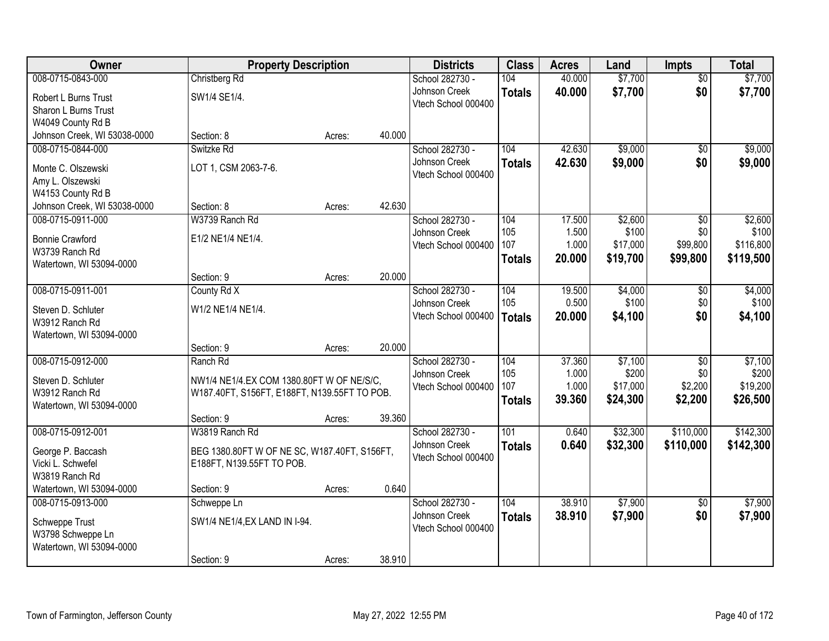| Owner                        | <b>Property Description</b>                  |        |        | <b>Districts</b>                     | <b>Class</b>     | <b>Acres</b>    | Land              | <b>Impts</b>           | <b>Total</b>       |
|------------------------------|----------------------------------------------|--------|--------|--------------------------------------|------------------|-----------------|-------------------|------------------------|--------------------|
| 008-0715-0843-000            | Christberg Rd                                |        |        | School 282730 -                      | 104              | 40.000          | \$7,700           | $\overline{50}$        | \$7,700            |
| Robert L Burns Trust         | SW1/4 SE1/4.                                 |        |        | Johnson Creek                        | <b>Totals</b>    | 40.000          | \$7,700           | \$0                    | \$7,700            |
| <b>Sharon L Burns Trust</b>  |                                              |        |        | Vtech School 000400                  |                  |                 |                   |                        |                    |
| W4049 County Rd B            |                                              |        |        |                                      |                  |                 |                   |                        |                    |
| Johnson Creek, WI 53038-0000 | Section: 8                                   | Acres: | 40.000 |                                      |                  |                 |                   |                        |                    |
| 008-0715-0844-000            | Switzke Rd                                   |        |        | School 282730 -                      | 104              | 42.630          | \$9,000           | $\overline{30}$        | \$9,000            |
| Monte C. Olszewski           | LOT 1, CSM 2063-7-6.                         |        |        | Johnson Creek                        | <b>Totals</b>    | 42.630          | \$9,000           | \$0                    | \$9,000            |
| Amy L. Olszewski             |                                              |        |        | Vtech School 000400                  |                  |                 |                   |                        |                    |
| W4153 County Rd B            |                                              |        |        |                                      |                  |                 |                   |                        |                    |
| Johnson Creek, WI 53038-0000 | Section: 8                                   | Acres: | 42.630 |                                      |                  |                 |                   |                        |                    |
| 008-0715-0911-000            | W3739 Ranch Rd                               |        |        | School 282730 -                      | 104              | 17.500          | \$2,600           | \$0                    | \$2,600            |
| <b>Bonnie Crawford</b>       | E1/2 NE1/4 NE1/4.                            |        |        | Johnson Creek<br>Vtech School 000400 | 105<br>107       | 1.500<br>1.000  | \$100<br>\$17,000 | \$0<br>\$99,800        | \$100<br>\$116,800 |
| W3739 Ranch Rd               |                                              |        |        |                                      | <b>Totals</b>    | 20.000          | \$19,700          | \$99,800               | \$119,500          |
| Watertown, WI 53094-0000     |                                              |        |        |                                      |                  |                 |                   |                        |                    |
|                              | Section: 9                                   | Acres: | 20.000 |                                      |                  |                 |                   |                        |                    |
| 008-0715-0911-001            | County Rd X                                  |        |        | School 282730 -                      | 104              | 19.500          | \$4,000           | \$0                    | \$4,000            |
| Steven D. Schluter           | W1/2 NE1/4 NE1/4.                            |        |        | Johnson Creek<br>Vtech School 000400 | 105              | 0.500<br>20.000 | \$100             | \$0<br>\$0             | \$100              |
| W3912 Ranch Rd               |                                              |        |        |                                      | <b>Totals</b>    |                 | \$4,100           |                        | \$4,100            |
| Watertown, WI 53094-0000     |                                              |        |        |                                      |                  |                 |                   |                        |                    |
|                              | Section: 9                                   | Acres: | 20.000 |                                      |                  |                 |                   |                        |                    |
| 008-0715-0912-000            | Ranch Rd                                     |        |        | School 282730 -                      | 104<br>105       | 37.360<br>1.000 | \$7,100<br>\$200  | $\overline{50}$<br>\$0 | \$7,100<br>\$200   |
| Steven D. Schluter           | NW1/4 NE1/4.EX COM 1380.80FT W OF NE/S/C.    |        |        | Johnson Creek<br>Vtech School 000400 | 107              | 1.000           | \$17,000          | \$2,200                | \$19,200           |
| W3912 Ranch Rd               | W187.40FT, S156FT, E188FT, N139.55FT TO POB. |        |        |                                      | <b>Totals</b>    | 39.360          | \$24,300          | \$2,200                | \$26,500           |
| Watertown, WI 53094-0000     |                                              |        |        |                                      |                  |                 |                   |                        |                    |
|                              | Section: 9                                   | Acres: | 39.360 |                                      |                  |                 |                   |                        |                    |
| 008-0715-0912-001            | W3819 Ranch Rd                               |        |        | School 282730 -                      | $\overline{101}$ | 0.640           | \$32,300          | \$110,000              | \$142,300          |
| George P. Baccash            | BEG 1380.80FT W OF NE SC, W187.40FT, S156FT, |        |        | Johnson Creek<br>Vtech School 000400 | <b>Totals</b>    | 0.640           | \$32,300          | \$110,000              | \$142,300          |
| Vicki L. Schwefel            | E188FT, N139.55FT TO POB.                    |        |        |                                      |                  |                 |                   |                        |                    |
| W3819 Ranch Rd               |                                              |        |        |                                      |                  |                 |                   |                        |                    |
| Watertown, WI 53094-0000     | Section: 9                                   | Acres: | 0.640  |                                      |                  |                 |                   |                        |                    |
| 008-0715-0913-000            | Schweppe Ln                                  |        |        | School 282730 -<br>Johnson Creek     | 104              | 38.910          | \$7,900           | $\overline{30}$        | \$7,900            |
| Schweppe Trust               | SW1/4 NE1/4, EX LAND IN I-94.                |        |        | Vtech School 000400                  | <b>Totals</b>    | 38.910          | \$7,900           | \$0                    | \$7,900            |
| W3798 Schweppe Ln            |                                              |        |        |                                      |                  |                 |                   |                        |                    |
| Watertown, WI 53094-0000     |                                              |        |        |                                      |                  |                 |                   |                        |                    |
|                              | Section: 9                                   | Acres: | 38.910 |                                      |                  |                 |                   |                        |                    |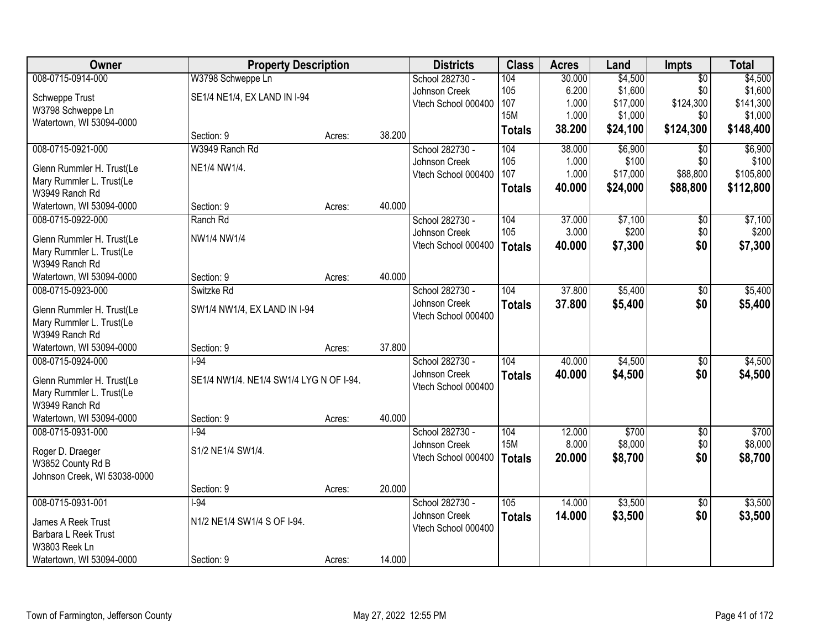| Owner                                                 | <b>Property Description</b>             |        |        | <b>Districts</b>                 | <b>Class</b>  | <b>Acres</b> | Land     | <b>Impts</b>    | <b>Total</b> |
|-------------------------------------------------------|-----------------------------------------|--------|--------|----------------------------------|---------------|--------------|----------|-----------------|--------------|
| 008-0715-0914-000                                     | W3798 Schweppe Ln                       |        |        | School 282730 -                  | 104           | 30.000       | \$4,500  | $\overline{50}$ | \$4,500      |
| Schweppe Trust                                        | SE1/4 NE1/4, EX LAND IN I-94            |        |        | Johnson Creek                    | 105           | 6.200        | \$1,600  | \$0             | \$1,600      |
| W3798 Schweppe Ln                                     |                                         |        |        | Vtech School 000400              | 107           | 1.000        | \$17,000 | \$124,300       | \$141,300    |
| Watertown, WI 53094-0000                              |                                         |        |        |                                  | <b>15M</b>    | 1.000        | \$1,000  | \$0             | \$1,000      |
|                                                       | Section: 9                              | Acres: | 38.200 |                                  | <b>Totals</b> | 38.200       | \$24,100 | \$124,300       | \$148,400    |
| 008-0715-0921-000                                     | W3949 Ranch Rd                          |        |        | School 282730 -                  | 104           | 38.000       | \$6,900  | \$0             | \$6,900      |
| Glenn Rummler H. Trust(Le                             | NE1/4 NW1/4.                            |        |        | Johnson Creek                    | 105           | 1.000        | \$100    | \$0             | \$100        |
| Mary Rummler L. Trust(Le                              |                                         |        |        | Vtech School 000400              | 107           | 1.000        | \$17,000 | \$88,800        | \$105,800    |
| W3949 Ranch Rd                                        |                                         |        |        |                                  | <b>Totals</b> | 40.000       | \$24,000 | \$88,800        | \$112,800    |
| Watertown, WI 53094-0000                              | Section: 9                              | Acres: | 40.000 |                                  |               |              |          |                 |              |
| 008-0715-0922-000                                     | Ranch Rd                                |        |        | School 282730 -                  | 104           | 37.000       | \$7,100  | \$0             | \$7,100      |
|                                                       | NW1/4 NW1/4                             |        |        | Johnson Creek                    | 105           | 3.000        | \$200    | \$0             | \$200        |
| Glenn Rummler H. Trust(Le<br>Mary Rummler L. Trust(Le |                                         |        |        | Vtech School 000400              | <b>Totals</b> | 40.000       | \$7,300  | \$0             | \$7,300      |
| W3949 Ranch Rd                                        |                                         |        |        |                                  |               |              |          |                 |              |
| Watertown, WI 53094-0000                              | Section: 9                              | Acres: | 40.000 |                                  |               |              |          |                 |              |
| 008-0715-0923-000                                     | Switzke Rd                              |        |        | School 282730 -                  | 104           | 37.800       | \$5,400  | \$0             | \$5,400      |
|                                                       |                                         |        |        | Johnson Creek                    | <b>Totals</b> | 37.800       | \$5,400  | \$0             | \$5,400      |
| Glenn Rummler H. Trust(Le                             | SW1/4 NW1/4, EX LAND IN I-94            |        |        | Vtech School 000400              |               |              |          |                 |              |
| Mary Rummler L. Trust(Le                              |                                         |        |        |                                  |               |              |          |                 |              |
| W3949 Ranch Rd                                        |                                         |        | 37.800 |                                  |               |              |          |                 |              |
| Watertown, WI 53094-0000                              | Section: 9<br>$-94$                     | Acres: |        |                                  | 104           |              |          |                 |              |
| 008-0715-0924-000                                     |                                         |        |        | School 282730 -<br>Johnson Creek |               | 40.000       | \$4,500  | $\overline{50}$ | \$4,500      |
| Glenn Rummler H. Trust(Le                             | SE1/4 NW1/4. NE1/4 SW1/4 LYG N OF I-94. |        |        | Vtech School 000400              | <b>Totals</b> | 40.000       | \$4,500  | \$0             | \$4,500      |
| Mary Rummler L. Trust(Le                              |                                         |        |        |                                  |               |              |          |                 |              |
| W3949 Ranch Rd                                        |                                         |        |        |                                  |               |              |          |                 |              |
| Watertown, WI 53094-0000                              | Section: 9                              | Acres: | 40.000 |                                  |               |              |          |                 |              |
| 008-0715-0931-000                                     | $1-94$                                  |        |        | School 282730 -                  | 104           | 12.000       | \$700    | $\overline{50}$ | \$700        |
| Roger D. Draeger                                      | S1/2 NE1/4 SW1/4.                       |        |        | Johnson Creek                    | <b>15M</b>    | 8.000        | \$8,000  | \$0             | \$8,000      |
| W3852 County Rd B                                     |                                         |        |        | Vtech School 000400              | <b>Totals</b> | 20.000       | \$8,700  | \$0             | \$8,700      |
| Johnson Creek, WI 53038-0000                          |                                         |        |        |                                  |               |              |          |                 |              |
|                                                       | Section: 9                              | Acres: | 20.000 |                                  |               |              |          |                 |              |
| 008-0715-0931-001                                     | $-94$                                   |        |        | School 282730 -                  | 105           | 14.000       | \$3,500  | $\overline{30}$ | \$3,500      |
| James A Reek Trust                                    | N1/2 NE1/4 SW1/4 S OF I-94.             |        |        | Johnson Creek                    | <b>Totals</b> | 14.000       | \$3,500  | \$0             | \$3,500      |
| Barbara L Reek Trust                                  |                                         |        |        | Vtech School 000400              |               |              |          |                 |              |
| W3803 Reek Ln                                         |                                         |        |        |                                  |               |              |          |                 |              |
| Watertown, WI 53094-0000                              | Section: 9                              | Acres: | 14.000 |                                  |               |              |          |                 |              |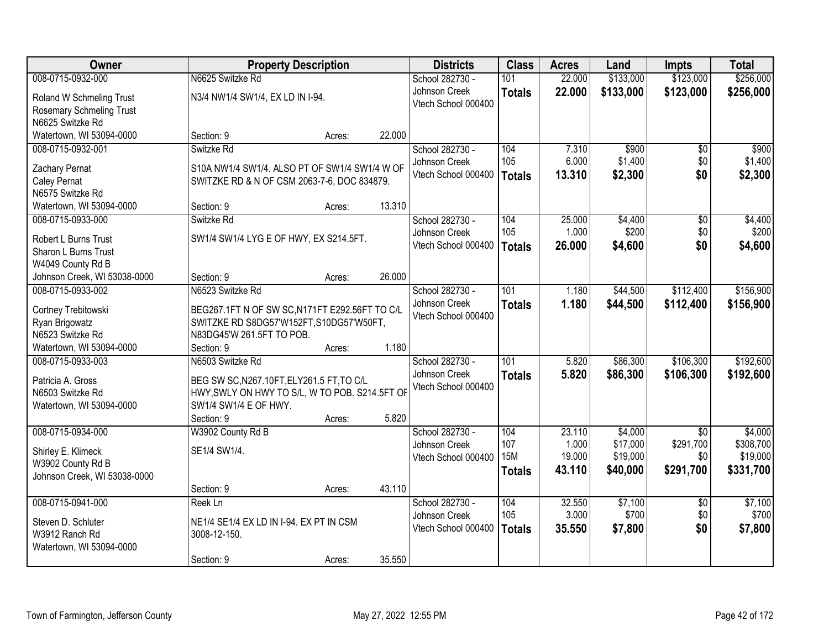| Owner                                               | <b>Property Description</b>                                           |        |        | <b>Districts</b>                     | <b>Class</b>  | <b>Acres</b>    | Land             | <b>Impts</b>           | <b>Total</b>     |
|-----------------------------------------------------|-----------------------------------------------------------------------|--------|--------|--------------------------------------|---------------|-----------------|------------------|------------------------|------------------|
| 008-0715-0932-000                                   | N6625 Switzke Rd                                                      |        |        | School 282730 -                      | 101           | 22.000          | \$133,000        | \$123,000              | \$256,000        |
| Roland W Schmeling Trust                            | N3/4 NW1/4 SW1/4, EX LD IN I-94.                                      |        |        | Johnson Creek                        | <b>Totals</b> | 22.000          | \$133,000        | \$123,000              | \$256,000        |
| <b>Rosemary Schmeling Trust</b>                     |                                                                       |        |        | Vtech School 000400                  |               |                 |                  |                        |                  |
| N6625 Switzke Rd                                    |                                                                       |        |        |                                      |               |                 |                  |                        |                  |
| Watertown, WI 53094-0000                            | Section: 9                                                            | Acres: | 22.000 |                                      |               |                 |                  |                        |                  |
| 008-0715-0932-001                                   | Switzke Rd                                                            |        |        | School 282730 -                      | 104           | 7.310           | \$900            | \$0                    | \$900            |
| Zachary Pernat                                      | S10A NW1/4 SW1/4. ALSO PT OF SW1/4 SW1/4 W OF                         |        |        | Johnson Creek                        | 105           | 6.000           | \$1,400          | \$0                    | \$1,400          |
| Caley Pernat                                        | SWITZKE RD & N OF CSM 2063-7-6, DOC 834879.                           |        |        | Vtech School 000400                  | <b>Totals</b> | 13.310          | \$2,300          | \$0                    | \$2,300          |
| N6575 Switzke Rd                                    |                                                                       |        |        |                                      |               |                 |                  |                        |                  |
| Watertown, WI 53094-0000                            | Section: 9                                                            | Acres: | 13.310 |                                      |               |                 |                  |                        |                  |
| 008-0715-0933-000                                   | Switzke Rd                                                            |        |        | School 282730 -                      | 104           | 25.000          | \$4,400          | \$0                    | \$4,400          |
|                                                     | SW1/4 SW1/4 LYG E OF HWY, EX S214.5FT.                                |        |        | Johnson Creek                        | 105           | 1.000           | \$200            | \$0                    | \$200            |
| <b>Robert L Burns Trust</b><br>Sharon L Burns Trust |                                                                       |        |        | Vtech School 000400                  | <b>Totals</b> | 26.000          | \$4,600          | \$0                    | \$4,600          |
| W4049 County Rd B                                   |                                                                       |        |        |                                      |               |                 |                  |                        |                  |
| Johnson Creek, WI 53038-0000                        | Section: 9                                                            | Acres: | 26.000 |                                      |               |                 |                  |                        |                  |
| 008-0715-0933-002                                   | N6523 Switzke Rd                                                      |        |        | School 282730 -                      | 101           | 1.180           | \$44,500         | \$112,400              | \$156,900        |
|                                                     |                                                                       |        |        | Johnson Creek                        | <b>Totals</b> | 1.180           | \$44,500         | \$112,400              | \$156,900        |
| Cortney Trebitowski                                 | BEG267.1FT N OF SW SC, N171FT E292.56FT TO C/L                        |        |        | Vtech School 000400                  |               |                 |                  |                        |                  |
| Ryan Brigowatz<br>N6523 Switzke Rd                  | SWITZKE RD S8DG57'W152FT, S10DG57'W50FT,<br>N83DG45'W 261.5FT TO POB. |        |        |                                      |               |                 |                  |                        |                  |
| Watertown, WI 53094-0000                            | Section: 9                                                            | Acres: | 1.180  |                                      |               |                 |                  |                        |                  |
| 008-0715-0933-003                                   | N6503 Switzke Rd                                                      |        |        | School 282730 -                      | 101           | 5.820           | \$86,300         | \$106,300              | \$192,600        |
|                                                     |                                                                       |        |        | Johnson Creek                        | <b>Totals</b> | 5.820           | \$86,300         | \$106,300              | \$192,600        |
| Patricia A. Gross                                   | BEG SW SC, N267.10FT, ELY261.5 FT, TO C/L                             |        |        | Vtech School 000400                  |               |                 |                  |                        |                  |
| N6503 Switzke Rd                                    | HWY, SWLY ON HWY TO S/L, W TO POB. S214.5FT OF                        |        |        |                                      |               |                 |                  |                        |                  |
| Watertown, WI 53094-0000                            | SW1/4 SW1/4 E OF HWY.                                                 |        | 5.820  |                                      |               |                 |                  |                        |                  |
| 008-0715-0934-000                                   | Section: 9<br>W3902 County Rd B                                       | Acres: |        | School 282730 -                      | 104           | 23.110          | \$4,000          | $\overline{50}$        | \$4,000          |
|                                                     |                                                                       |        |        | Johnson Creek                        | 107           | 1.000           | \$17,000         | \$291,700              | \$308,700        |
| Shirley E. Klimeck                                  | SE1/4 SW1/4.                                                          |        |        | Vtech School 000400                  | <b>15M</b>    | 19.000          | \$19,000         | \$0                    | \$19,000         |
| W3902 County Rd B                                   |                                                                       |        |        |                                      | <b>Totals</b> | 43.110          | \$40,000         | \$291,700              | \$331,700        |
| Johnson Creek, WI 53038-0000                        |                                                                       |        |        |                                      |               |                 |                  |                        |                  |
|                                                     | Section: 9                                                            | Acres: | 43.110 |                                      |               |                 |                  |                        |                  |
| 008-0715-0941-000                                   | Reek Ln                                                               |        |        | School 282730 -                      | 104<br>105    | 32.550<br>3.000 | \$7,100<br>\$700 | $\overline{50}$<br>\$0 | \$7,100<br>\$700 |
| Steven D. Schluter                                  | NE1/4 SE1/4 EX LD IN I-94. EX PT IN CSM                               |        |        | Johnson Creek<br>Vtech School 000400 |               |                 |                  | \$0                    |                  |
| W3912 Ranch Rd                                      | 3008-12-150.                                                          |        |        |                                      | <b>Totals</b> | 35.550          | \$7,800          |                        | \$7,800          |
| Watertown, WI 53094-0000                            |                                                                       |        |        |                                      |               |                 |                  |                        |                  |
|                                                     | Section: 9                                                            | Acres: | 35.550 |                                      |               |                 |                  |                        |                  |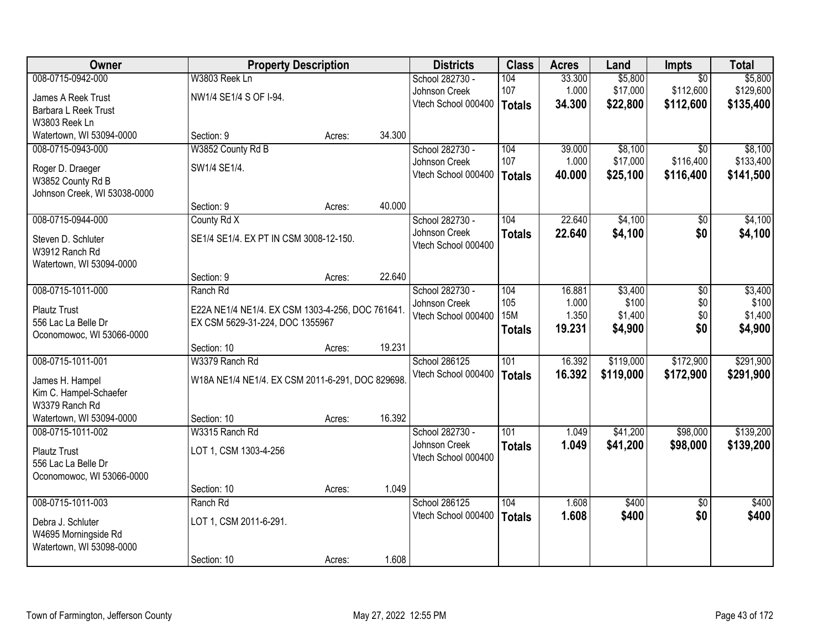| Owner                        | <b>Property Description</b>                      |        |        | <b>Districts</b>    | <b>Class</b>     | <b>Acres</b> | Land      | Impts           | <b>Total</b> |
|------------------------------|--------------------------------------------------|--------|--------|---------------------|------------------|--------------|-----------|-----------------|--------------|
| 008-0715-0942-000            | W3803 Reek Ln                                    |        |        | School 282730 -     | 104              | 33.300       | \$5,800   | $\overline{50}$ | \$5,800      |
| James A Reek Trust           | NW1/4 SE1/4 S OF I-94.                           |        |        | Johnson Creek       | 107              | 1.000        | \$17,000  | \$112,600       | \$129,600    |
| Barbara L Reek Trust         |                                                  |        |        | Vtech School 000400 | <b>Totals</b>    | 34.300       | \$22,800  | \$112,600       | \$135,400    |
| W3803 Reek Ln                |                                                  |        |        |                     |                  |              |           |                 |              |
| Watertown, WI 53094-0000     | Section: 9                                       | Acres: | 34.300 |                     |                  |              |           |                 |              |
| 008-0715-0943-000            | W3852 County Rd B                                |        |        | School 282730 -     | 104              | 39.000       | \$8,100   | $\overline{50}$ | \$8,100      |
| Roger D. Draeger             | SW1/4 SE1/4.                                     |        |        | Johnson Creek       | 107              | 1.000        | \$17,000  | \$116,400       | \$133,400    |
| W3852 County Rd B            |                                                  |        |        | Vtech School 000400 | <b>Totals</b>    | 40.000       | \$25,100  | \$116,400       | \$141,500    |
| Johnson Creek, WI 53038-0000 |                                                  |        |        |                     |                  |              |           |                 |              |
|                              | Section: 9                                       | Acres: | 40.000 |                     |                  |              |           |                 |              |
| 008-0715-0944-000            | County Rd X                                      |        |        | School 282730 -     | 104              | 22.640       | \$4,100   | \$0             | \$4,100      |
| Steven D. Schluter           | SE1/4 SE1/4. EX PT IN CSM 3008-12-150.           |        |        | Johnson Creek       | <b>Totals</b>    | 22.640       | \$4,100   | \$0             | \$4,100      |
| W3912 Ranch Rd               |                                                  |        |        | Vtech School 000400 |                  |              |           |                 |              |
| Watertown, WI 53094-0000     |                                                  |        |        |                     |                  |              |           |                 |              |
|                              | Section: 9                                       | Acres: | 22.640 |                     |                  |              |           |                 |              |
| 008-0715-1011-000            | Ranch Rd                                         |        |        | School 282730 -     | 104              | 16.881       | \$3,400   | \$0             | \$3,400      |
| <b>Plautz Trust</b>          | E22A NE1/4 NE1/4. EX CSM 1303-4-256, DOC 761641. |        |        | Johnson Creek       | 105              | 1.000        | \$100     | \$0             | \$100        |
| 556 Lac La Belle Dr          | EX CSM 5629-31-224, DOC 1355967                  |        |        | Vtech School 000400 | <b>15M</b>       | 1.350        | \$1,400   | \$0             | \$1,400      |
| Oconomowoc, WI 53066-0000    |                                                  |        |        |                     | <b>Totals</b>    | 19.231       | \$4,900   | \$0             | \$4,900      |
|                              | Section: 10                                      | Acres: | 19.231 |                     |                  |              |           |                 |              |
| 008-0715-1011-001            | W3379 Ranch Rd                                   |        |        | School 286125       | 101              | 16.392       | \$119,000 | \$172,900       | \$291,900    |
| James H. Hampel              | W18A NE1/4 NE1/4. EX CSM 2011-6-291, DOC 829698. |        |        | Vtech School 000400 | <b>Totals</b>    | 16.392       | \$119,000 | \$172,900       | \$291,900    |
| Kim C. Hampel-Schaefer       |                                                  |        |        |                     |                  |              |           |                 |              |
| W3379 Ranch Rd               |                                                  |        |        |                     |                  |              |           |                 |              |
| Watertown, WI 53094-0000     | Section: 10                                      | Acres: | 16.392 |                     |                  |              |           |                 |              |
| 008-0715-1011-002            | W3315 Ranch Rd                                   |        |        | School 282730 -     | $\overline{101}$ | 1.049        | \$41,200  | \$98,000        | \$139,200    |
| <b>Plautz Trust</b>          | LOT 1, CSM 1303-4-256                            |        |        | Johnson Creek       | <b>Totals</b>    | 1.049        | \$41,200  | \$98,000        | \$139,200    |
| 556 Lac La Belle Dr          |                                                  |        |        | Vtech School 000400 |                  |              |           |                 |              |
| Oconomowoc, WI 53066-0000    |                                                  |        |        |                     |                  |              |           |                 |              |
|                              | Section: 10                                      | Acres: | 1.049  |                     |                  |              |           |                 |              |
| 008-0715-1011-003            | Ranch Rd                                         |        |        | School 286125       | 104              | 1.608        | \$400     | $\overline{50}$ | \$400        |
| Debra J. Schluter            | LOT 1, CSM 2011-6-291.                           |        |        | Vtech School 000400 | <b>Totals</b>    | 1.608        | \$400     | \$0             | \$400        |
| W4695 Morningside Rd         |                                                  |        |        |                     |                  |              |           |                 |              |
| Watertown, WI 53098-0000     |                                                  |        |        |                     |                  |              |           |                 |              |
|                              | Section: 10                                      | Acres: | 1.608  |                     |                  |              |           |                 |              |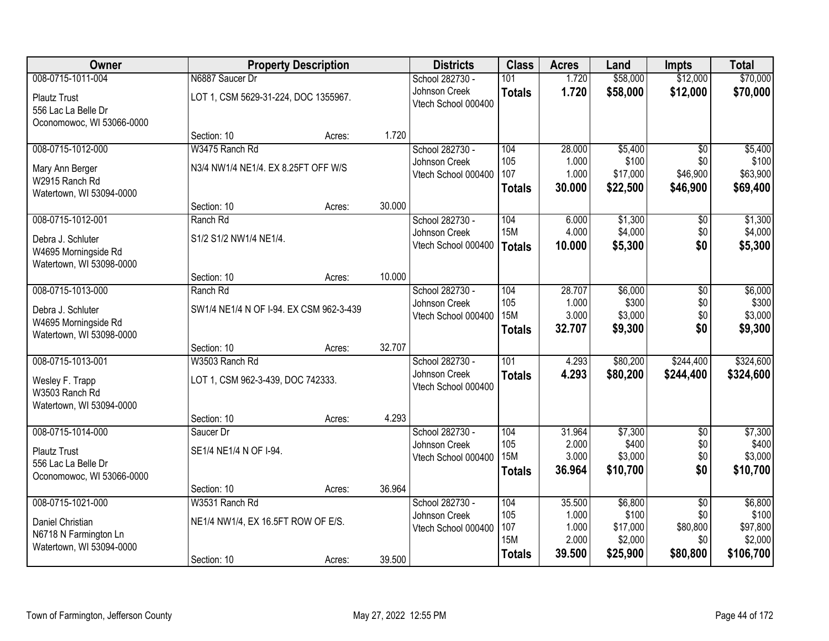| Owner                     |                                         | <b>Property Description</b> |        | <b>Districts</b>    | <b>Class</b>      | <b>Acres</b>    | Land                | <b>Impts</b>    | <b>Total</b>         |
|---------------------------|-----------------------------------------|-----------------------------|--------|---------------------|-------------------|-----------------|---------------------|-----------------|----------------------|
| 008-0715-1011-004         | N6887 Saucer Dr                         |                             |        | School 282730 -     | 101               | 1.720           | \$58,000            | \$12,000        | \$70,000             |
| <b>Plautz Trust</b>       | LOT 1, CSM 5629-31-224, DOC 1355967.    |                             |        | Johnson Creek       | <b>Totals</b>     | 1.720           | \$58,000            | \$12,000        | \$70,000             |
| 556 Lac La Belle Dr       |                                         |                             |        | Vtech School 000400 |                   |                 |                     |                 |                      |
| Oconomowoc, WI 53066-0000 |                                         |                             |        |                     |                   |                 |                     |                 |                      |
|                           | Section: 10                             | Acres:                      | 1.720  |                     |                   |                 |                     |                 |                      |
| 008-0715-1012-000         | W3475 Ranch Rd                          |                             |        | School 282730 -     | 104               | 28.000          | \$5,400             | $\overline{50}$ | \$5,400              |
| Mary Ann Berger           | N3/4 NW1/4 NE1/4. EX 8.25FT OFF W/S     |                             |        | Johnson Creek       | 105<br>107        | 1.000<br>1.000  | \$100<br>\$17,000   | \$0<br>\$46,900 | \$100<br>\$63,900    |
| W2915 Ranch Rd            |                                         |                             |        | Vtech School 000400 |                   | 30.000          |                     | \$46,900        | \$69,400             |
| Watertown, WI 53094-0000  |                                         |                             |        |                     | <b>Totals</b>     |                 | \$22,500            |                 |                      |
|                           | Section: 10                             | Acres:                      | 30.000 |                     |                   |                 |                     |                 |                      |
| 008-0715-1012-001         | Ranch Rd                                |                             |        | School 282730 -     | 104               | 6.000           | \$1,300             | \$0             | \$1,300              |
| Debra J. Schluter         | S1/2 S1/2 NW1/4 NE1/4.                  |                             |        | Johnson Creek       | <b>15M</b>        | 4.000           | \$4,000             | \$0             | \$4,000              |
| W4695 Morningside Rd      |                                         |                             |        | Vtech School 000400 | <b>Totals</b>     | 10.000          | \$5,300             | \$0             | \$5,300              |
| Watertown, WI 53098-0000  |                                         |                             |        |                     |                   |                 |                     |                 |                      |
|                           | Section: 10                             | Acres:                      | 10.000 |                     |                   |                 |                     |                 |                      |
| 008-0715-1013-000         | Ranch Rd                                |                             |        | School 282730 -     | 104               | 28.707          | \$6,000             | \$0             | \$6,000              |
| Debra J. Schluter         | SW1/4 NE1/4 N OF I-94. EX CSM 962-3-439 |                             |        | Johnson Creek       | 105               | 1.000           | \$300               | \$0             | \$300                |
| W4695 Morningside Rd      |                                         |                             |        | Vtech School 000400 | <b>15M</b>        | 3.000           | \$3,000             | \$0             | \$3,000              |
| Watertown, WI 53098-0000  |                                         |                             |        |                     | <b>Totals</b>     | 32.707          | \$9,300             | \$0             | \$9,300              |
|                           | Section: 10                             | Acres:                      | 32.707 |                     |                   |                 |                     |                 |                      |
| 008-0715-1013-001         | W3503 Ranch Rd                          |                             |        | School 282730 -     | 101               | 4.293           | \$80,200            | \$244,400       | \$324,600            |
| Wesley F. Trapp           | LOT 1, CSM 962-3-439, DOC 742333.       |                             |        | Johnson Creek       | <b>Totals</b>     | 4.293           | \$80,200            | \$244,400       | \$324,600            |
| W3503 Ranch Rd            |                                         |                             |        | Vtech School 000400 |                   |                 |                     |                 |                      |
| Watertown, WI 53094-0000  |                                         |                             |        |                     |                   |                 |                     |                 |                      |
|                           | Section: 10                             | Acres:                      | 4.293  |                     |                   |                 |                     |                 |                      |
| 008-0715-1014-000         | Saucer Dr                               |                             |        | School 282730 -     | 104               | 31.964          | \$7,300             | $\overline{60}$ | \$7,300              |
| <b>Plautz Trust</b>       | SE1/4 NE1/4 N OF I-94.                  |                             |        | Johnson Creek       | 105               | 2.000           | \$400               | \$0             | \$400                |
| 556 Lac La Belle Dr       |                                         |                             |        | Vtech School 000400 | <b>15M</b>        | 3.000<br>36.964 | \$3,000<br>\$10,700 | \$0<br>\$0      | \$3,000<br>\$10,700  |
| Oconomowoc, WI 53066-0000 |                                         |                             |        |                     | <b>Totals</b>     |                 |                     |                 |                      |
|                           | Section: 10                             | Acres:                      | 36.964 |                     |                   |                 |                     |                 |                      |
| 008-0715-1021-000         | W3531 Ranch Rd                          |                             |        | School 282730 -     | 104               | 35.500          | \$6,800             | $\overline{50}$ | \$6,800              |
| Daniel Christian          | NE1/4 NW1/4, EX 16.5FT ROW OF E/S.      |                             |        | Johnson Creek       | 105               | 1.000           | \$100               | \$0             | \$100                |
| N6718 N Farmington Ln     |                                         |                             |        | Vtech School 000400 | 107<br><b>15M</b> | 1.000<br>2.000  | \$17,000<br>\$2,000 | \$80,800        | \$97,800             |
| Watertown, WI 53094-0000  |                                         |                             |        |                     |                   | 39.500          | \$25,900            | \$0<br>\$80,800 | \$2,000<br>\$106,700 |
|                           | Section: 10                             | Acres:                      | 39.500 |                     | <b>Totals</b>     |                 |                     |                 |                      |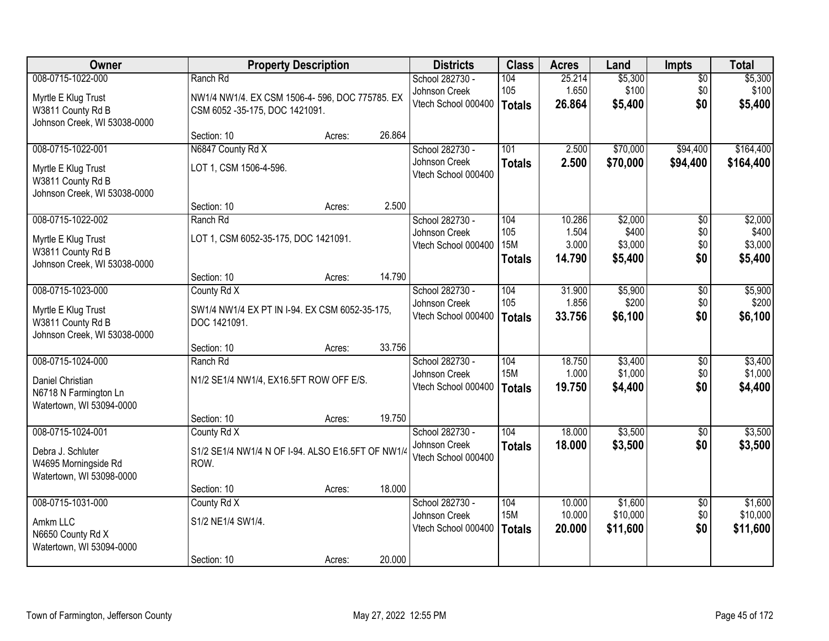| Owner                                                                                         |                                                                                               | <b>Property Description</b> |        | <b>Districts</b>                                        | <b>Class</b>                              | <b>Acres</b>                       | Land                                   | <b>Impts</b>                  | <b>Total</b>                           |
|-----------------------------------------------------------------------------------------------|-----------------------------------------------------------------------------------------------|-----------------------------|--------|---------------------------------------------------------|-------------------------------------------|------------------------------------|----------------------------------------|-------------------------------|----------------------------------------|
| 008-0715-1022-000<br>Myrtle E Klug Trust<br>W3811 County Rd B<br>Johnson Creek, WI 53038-0000 | Ranch Rd<br>NW1/4 NW1/4. EX CSM 1506-4- 596, DOC 775785. EX<br>CSM 6052 -35-175, DOC 1421091. |                             |        | School 282730 -<br>Johnson Creek<br>Vtech School 000400 | 104<br>105<br>Totals                      | 25.214<br>1.650<br>26.864          | \$5,300<br>\$100<br>\$5,400            | $\overline{50}$<br>\$0<br>\$0 | \$5,300<br>\$100<br>\$5,400            |
|                                                                                               | Section: 10                                                                                   | Acres:                      | 26.864 |                                                         |                                           |                                    |                                        |                               |                                        |
| 008-0715-1022-001<br>Myrtle E Klug Trust<br>W3811 County Rd B<br>Johnson Creek, WI 53038-0000 | N6847 County Rd X<br>LOT 1, CSM 1506-4-596.                                                   |                             |        | School 282730 -<br>Johnson Creek<br>Vtech School 000400 | 101<br><b>Totals</b>                      | 2.500<br>2.500                     | \$70,000<br>\$70,000                   | \$94,400<br>\$94,400          | \$164,400<br>\$164,400                 |
|                                                                                               | Section: 10                                                                                   | Acres:                      | 2.500  |                                                         |                                           |                                    |                                        |                               |                                        |
| 008-0715-1022-002<br>Myrtle E Klug Trust<br>W3811 County Rd B<br>Johnson Creek, WI 53038-0000 | Ranch Rd<br>LOT 1, CSM 6052-35-175, DOC 1421091.                                              |                             |        | School 282730 -<br>Johnson Creek<br>Vtech School 000400 | 104<br>105<br><b>15M</b><br><b>Totals</b> | 10.286<br>1.504<br>3.000<br>14.790 | \$2,000<br>\$400<br>\$3,000<br>\$5,400 | \$0<br>\$0<br>\$0<br>\$0      | \$2,000<br>\$400<br>\$3,000<br>\$5,400 |
|                                                                                               | Section: 10                                                                                   | Acres:                      | 14.790 |                                                         |                                           |                                    |                                        |                               |                                        |
| 008-0715-1023-000<br>Myrtle E Klug Trust<br>W3811 County Rd B<br>Johnson Creek, WI 53038-0000 | County Rd X<br>SW1/4 NW1/4 EX PT IN I-94. EX CSM 6052-35-175,<br>DOC 1421091.                 |                             |        | School 282730 -<br>Johnson Creek<br>Vtech School 000400 | 104<br>105<br><b>Totals</b>               | 31.900<br>1.856<br>33.756          | \$5,900<br>\$200<br>\$6,100            | \$0<br>\$0<br>\$0             | \$5,900<br>\$200<br>\$6,100            |
|                                                                                               | Section: 10                                                                                   | Acres:                      | 33.756 |                                                         |                                           |                                    |                                        |                               |                                        |
| 008-0715-1024-000<br>Daniel Christian<br>N6718 N Farmington Ln<br>Watertown, WI 53094-0000    | Ranch Rd<br>N1/2 SE1/4 NW1/4, EX16.5FT ROW OFF E/S.                                           |                             |        | School 282730 -<br>Johnson Creek<br>Vtech School 000400 | 104<br><b>15M</b><br><b>Totals</b>        | 18.750<br>1.000<br>19.750          | \$3,400<br>\$1,000<br>\$4,400          | $\overline{30}$<br>\$0<br>\$0 | \$3,400<br>\$1,000<br>\$4,400          |
|                                                                                               | Section: 10                                                                                   | Acres:                      | 19.750 |                                                         |                                           |                                    |                                        |                               |                                        |
| 008-0715-1024-001<br>Debra J. Schluter<br>W4695 Morningside Rd<br>Watertown, WI 53098-0000    | County Rd X<br>S1/2 SE1/4 NW1/4 N OF I-94. ALSO E16.5FT OF NW1/4<br>ROW.                      |                             |        | School 282730 -<br>Johnson Creek<br>Vtech School 000400 | 104<br><b>Totals</b>                      | 18.000<br>18.000                   | \$3,500<br>\$3,500                     | $\overline{60}$<br>\$0        | \$3,500<br>\$3,500                     |
|                                                                                               | Section: 10                                                                                   | Acres:                      | 18.000 |                                                         |                                           |                                    |                                        |                               |                                        |
| 008-0715-1031-000<br>Amkm LLC<br>N6650 County Rd X<br>Watertown, WI 53094-0000                | County Rd X<br>S1/2 NE1/4 SW1/4.<br>Section: 10                                               | Acres:                      | 20.000 | School 282730 -<br>Johnson Creek<br>Vtech School 000400 | 104<br><b>15M</b><br><b>Totals</b>        | 10.000<br>10.000<br>20.000         | \$1,600<br>\$10,000<br>\$11,600        | $\overline{50}$<br>\$0<br>\$0 | \$1,600<br>\$10,000<br>\$11,600        |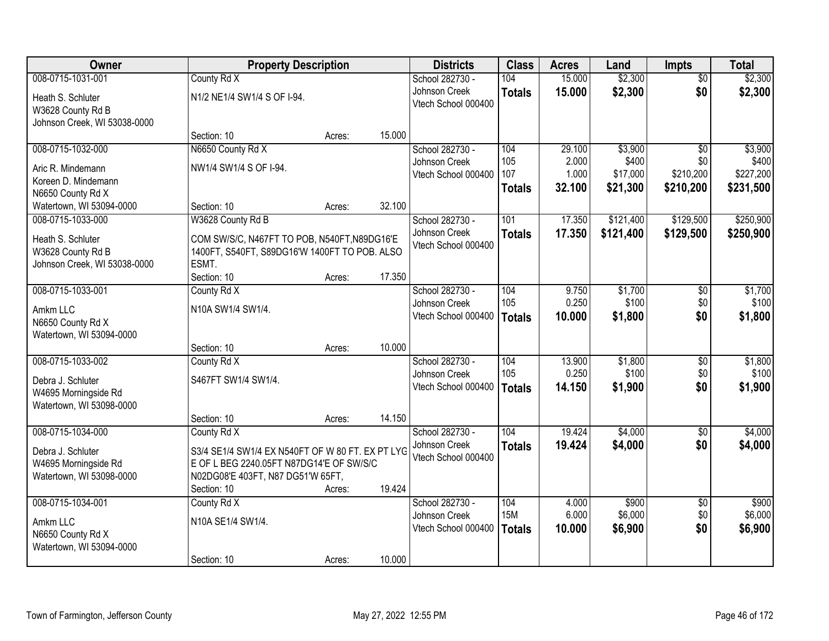| Owner                        | <b>Property Description</b>                      |        |        | <b>Districts</b>    | <b>Class</b>  | <b>Acres</b> | Land      | <b>Impts</b>    | <b>Total</b> |
|------------------------------|--------------------------------------------------|--------|--------|---------------------|---------------|--------------|-----------|-----------------|--------------|
| 008-0715-1031-001            | County Rd X                                      |        |        | School 282730 -     | 104           | 15.000       | \$2,300   | $\overline{50}$ | \$2,300      |
| Heath S. Schluter            | N1/2 NE1/4 SW1/4 S OF I-94.                      |        |        | Johnson Creek       | <b>Totals</b> | 15.000       | \$2,300   | \$0             | \$2,300      |
| W3628 County Rd B            |                                                  |        |        | Vtech School 000400 |               |              |           |                 |              |
| Johnson Creek, WI 53038-0000 |                                                  |        |        |                     |               |              |           |                 |              |
|                              | Section: 10                                      | Acres: | 15.000 |                     |               |              |           |                 |              |
| 008-0715-1032-000            | N6650 County Rd X                                |        |        | School 282730 -     | 104           | 29.100       | \$3,900   | $\overline{30}$ | \$3,900      |
| Aric R. Mindemann            | NW1/4 SW1/4 S OF I-94.                           |        |        | Johnson Creek       | 105           | 2.000        | \$400     | \$0             | \$400        |
| Koreen D. Mindemann          |                                                  |        |        | Vtech School 000400 | 107           | 1.000        | \$17,000  | \$210,200       | \$227,200    |
| N6650 County Rd X            |                                                  |        |        |                     | <b>Totals</b> | 32.100       | \$21,300  | \$210,200       | \$231,500    |
| Watertown, WI 53094-0000     | Section: 10                                      | Acres: | 32.100 |                     |               |              |           |                 |              |
| 008-0715-1033-000            | W3628 County Rd B                                |        |        | School 282730 -     | 101           | 17.350       | \$121,400 | \$129,500       | \$250,900    |
| Heath S. Schluter            | COM SW/S/C, N467FT TO POB, N540FT, N89DG16'E     |        |        | Johnson Creek       | <b>Totals</b> | 17.350       | \$121,400 | \$129,500       | \$250,900    |
| W3628 County Rd B            | 1400FT, S540FT, S89DG16'W 1400FT TO POB. ALSO    |        |        | Vtech School 000400 |               |              |           |                 |              |
| Johnson Creek, WI 53038-0000 | ESMT.                                            |        |        |                     |               |              |           |                 |              |
|                              | Section: 10                                      | Acres: | 17.350 |                     |               |              |           |                 |              |
| 008-0715-1033-001            | County Rd X                                      |        |        | School 282730 -     | 104           | 9.750        | \$1,700   | \$0             | \$1,700      |
| Amkm LLC                     | N10A SW1/4 SW1/4.                                |        |        | Johnson Creek       | 105           | 0.250        | \$100     | \$0             | \$100        |
| N6650 County Rd X            |                                                  |        |        | Vtech School 000400 | <b>Totals</b> | 10.000       | \$1,800   | \$0             | \$1,800      |
| Watertown, WI 53094-0000     |                                                  |        |        |                     |               |              |           |                 |              |
|                              | Section: 10                                      | Acres: | 10.000 |                     |               |              |           |                 |              |
| 008-0715-1033-002            | County Rd X                                      |        |        | School 282730 -     | 104           | 13.900       | \$1,800   | $\overline{50}$ | \$1,800      |
| Debra J. Schluter            | S467FT SW1/4 SW1/4.                              |        |        | Johnson Creek       | 105           | 0.250        | \$100     | \$0             | \$100        |
| W4695 Morningside Rd         |                                                  |        |        | Vtech School 000400 | <b>Totals</b> | 14.150       | \$1,900   | \$0             | \$1,900      |
| Watertown, WI 53098-0000     |                                                  |        |        |                     |               |              |           |                 |              |
|                              | Section: 10                                      | Acres: | 14.150 |                     |               |              |           |                 |              |
| 008-0715-1034-000            | County Rd X                                      |        |        | School 282730 -     | 104           | 19.424       | \$4,000   | \$0             | \$4,000      |
| Debra J. Schluter            | S3/4 SE1/4 SW1/4 EX N540FT OF W 80 FT. EX PT LYG |        |        | Johnson Creek       | <b>Totals</b> | 19.424       | \$4,000   | \$0             | \$4,000      |
| W4695 Morningside Rd         | E OF L BEG 2240.05FT N87DG14'E OF SW/S/C         |        |        | Vtech School 000400 |               |              |           |                 |              |
| Watertown, WI 53098-0000     | N02DG08'E 403FT, N87 DG51'W 65FT,                |        |        |                     |               |              |           |                 |              |
|                              | Section: 10                                      | Acres: | 19.424 |                     |               |              |           |                 |              |
| 008-0715-1034-001            | County Rd X                                      |        |        | School 282730 -     | 104           | 4.000        | \$900     | $\overline{50}$ | \$900        |
| Amkm LLC                     | N10A SE1/4 SW1/4.                                |        |        | Johnson Creek       | <b>15M</b>    | 6.000        | \$6,000   | \$0             | \$6,000      |
| N6650 County Rd X            |                                                  |        |        | Vtech School 000400 | <b>Totals</b> | 10.000       | \$6,900   | \$0             | \$6,900      |
| Watertown, WI 53094-0000     |                                                  |        |        |                     |               |              |           |                 |              |
|                              | Section: 10                                      | Acres: | 10.000 |                     |               |              |           |                 |              |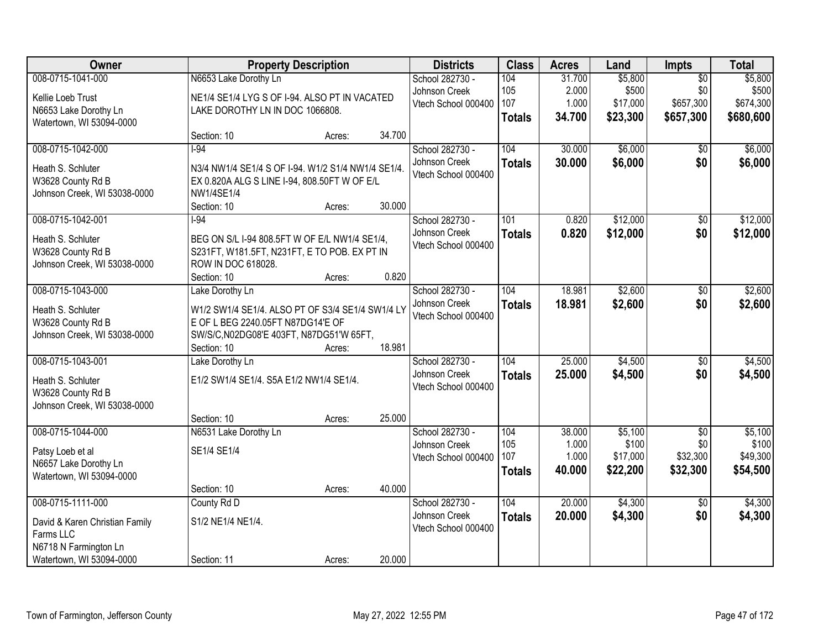| Owner                          |                                                    | <b>Property Description</b> |        | <b>Districts</b>    | <b>Class</b>  | <b>Acres</b> | Land     | Impts           | <b>Total</b> |
|--------------------------------|----------------------------------------------------|-----------------------------|--------|---------------------|---------------|--------------|----------|-----------------|--------------|
| 008-0715-1041-000              | N6653 Lake Dorothy Ln                              |                             |        | School 282730 -     | 104           | 31.700       | \$5,800  | $\overline{50}$ | \$5,800      |
| Kellie Loeb Trust              | NE1/4 SE1/4 LYG S OF I-94. ALSO PT IN VACATED      |                             |        | Johnson Creek       | 105           | 2.000        | \$500    | \$0             | \$500        |
| N6653 Lake Dorothy Ln          | LAKE DOROTHY LN IN DOC 1066808.                    |                             |        | Vtech School 000400 | 107           | 1.000        | \$17,000 | \$657,300       | \$674,300    |
| Watertown, WI 53094-0000       |                                                    |                             |        |                     | <b>Totals</b> | 34.700       | \$23,300 | \$657,300       | \$680,600    |
|                                | Section: 10                                        | Acres:                      | 34.700 |                     |               |              |          |                 |              |
| 008-0715-1042-000              | $1-94$                                             |                             |        | School 282730 -     | 104           | 30.000       | \$6,000  | \$0             | \$6,000      |
| Heath S. Schluter              | N3/4 NW1/4 SE1/4 S OF I-94. W1/2 S1/4 NW1/4 SE1/4. |                             |        | Johnson Creek       | <b>Totals</b> | 30.000       | \$6,000  | \$0             | \$6,000      |
| W3628 County Rd B              | EX 0.820A ALG S LINE I-94, 808.50FT W OF E/L       |                             |        | Vtech School 000400 |               |              |          |                 |              |
| Johnson Creek, WI 53038-0000   | NW1/4SE1/4                                         |                             |        |                     |               |              |          |                 |              |
|                                | Section: 10                                        | Acres:                      | 30.000 |                     |               |              |          |                 |              |
| 008-0715-1042-001              | $1-94$                                             |                             |        | School 282730 -     | 101           | 0.820        | \$12,000 | $\overline{50}$ | \$12,000     |
| Heath S. Schluter              | BEG ON S/L I-94 808.5FT W OF E/L NW1/4 SE1/4,      |                             |        | Johnson Creek       | <b>Totals</b> | 0.820        | \$12,000 | \$0             | \$12,000     |
| W3628 County Rd B              | S231FT, W181.5FT, N231FT, E TO POB. EX PT IN       |                             |        | Vtech School 000400 |               |              |          |                 |              |
| Johnson Creek, WI 53038-0000   | ROW IN DOC 618028.                                 |                             |        |                     |               |              |          |                 |              |
|                                | Section: 10                                        | Acres:                      | 0.820  |                     |               |              |          |                 |              |
| 008-0715-1043-000              | Lake Dorothy Ln                                    |                             |        | School 282730 -     | 104           | 18.981       | \$2,600  | \$0             | \$2,600      |
| Heath S. Schluter              | W1/2 SW1/4 SE1/4. ALSO PT OF S3/4 SE1/4 SW1/4 LY   |                             |        | Johnson Creek       | <b>Totals</b> | 18.981       | \$2,600  | \$0             | \$2,600      |
| W3628 County Rd B              | E OF L BEG 2240.05FT N87DG14'E OF                  |                             |        | Vtech School 000400 |               |              |          |                 |              |
| Johnson Creek, WI 53038-0000   | SW/S/C, N02DG08'E 403FT, N87DG51'W 65FT,           |                             |        |                     |               |              |          |                 |              |
|                                | Section: 10                                        | Acres:                      | 18.981 |                     |               |              |          |                 |              |
| 008-0715-1043-001              | Lake Dorothy Ln                                    |                             |        | School 282730 -     | 104           | 25.000       | \$4,500  | $\overline{50}$ | \$4,500      |
| Heath S. Schluter              | E1/2 SW1/4 SE1/4. S5A E1/2 NW1/4 SE1/4.            |                             |        | Johnson Creek       | <b>Totals</b> | 25,000       | \$4,500  | \$0             | \$4,500      |
| W3628 County Rd B              |                                                    |                             |        | Vtech School 000400 |               |              |          |                 |              |
| Johnson Creek, WI 53038-0000   |                                                    |                             |        |                     |               |              |          |                 |              |
|                                | Section: 10                                        | Acres:                      | 25.000 |                     |               |              |          |                 |              |
| 008-0715-1044-000              | N6531 Lake Dorothy Ln                              |                             |        | School 282730 -     | 104           | 38.000       | \$5,100  | $\overline{50}$ | \$5,100      |
| Patsy Loeb et al               | SE1/4 SE1/4                                        |                             |        | Johnson Creek       | 105           | 1.000        | \$100    | \$0             | \$100        |
| N6657 Lake Dorothy Ln          |                                                    |                             |        | Vtech School 000400 | 107           | 1.000        | \$17,000 | \$32,300        | \$49,300     |
| Watertown, WI 53094-0000       |                                                    |                             |        |                     | <b>Totals</b> | 40.000       | \$22,200 | \$32,300        | \$54,500     |
|                                | Section: 10                                        | Acres:                      | 40.000 |                     |               |              |          |                 |              |
| 008-0715-1111-000              | County Rd D                                        |                             |        | School 282730 -     | 104           | 20.000       | \$4,300  | $\overline{50}$ | \$4,300      |
| David & Karen Christian Family | S1/2 NE1/4 NE1/4.                                  |                             |        | Johnson Creek       | <b>Totals</b> | 20.000       | \$4,300  | \$0             | \$4,300      |
| Farms LLC                      |                                                    |                             |        | Vtech School 000400 |               |              |          |                 |              |
| N6718 N Farmington Ln          |                                                    |                             |        |                     |               |              |          |                 |              |
| Watertown, WI 53094-0000       | Section: 11                                        | Acres:                      | 20.000 |                     |               |              |          |                 |              |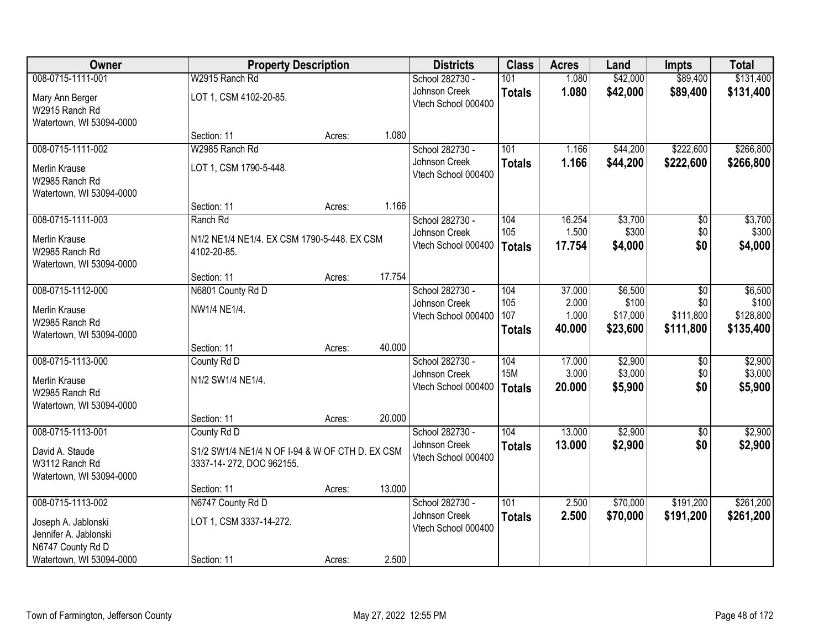| Owner                                  | <b>Property Description</b>                     |        |        | <b>Districts</b>                     | <b>Class</b>  | <b>Acres</b>    | Land             | <b>Impts</b> | <b>Total</b>     |
|----------------------------------------|-------------------------------------------------|--------|--------|--------------------------------------|---------------|-----------------|------------------|--------------|------------------|
| 008-0715-1111-001                      | W2915 Ranch Rd                                  |        |        | School 282730 -                      | 101           | 1.080           | \$42,000         | \$89,400     | \$131,400        |
| Mary Ann Berger                        | LOT 1, CSM 4102-20-85.                          |        |        | Johnson Creek                        | <b>Totals</b> | 1.080           | \$42,000         | \$89,400     | \$131,400        |
| W2915 Ranch Rd                         |                                                 |        |        | Vtech School 000400                  |               |                 |                  |              |                  |
| Watertown, WI 53094-0000               |                                                 |        |        |                                      |               |                 |                  |              |                  |
|                                        | Section: 11                                     | Acres: | 1.080  |                                      |               |                 |                  |              |                  |
| 008-0715-1111-002                      | W2985 Ranch Rd                                  |        |        | School 282730 -                      | 101           | 1.166           | \$44,200         | \$222,600    | \$266,800        |
| <b>Merlin Krause</b>                   | LOT 1, CSM 1790-5-448.                          |        |        | Johnson Creek<br>Vtech School 000400 | <b>Totals</b> | 1.166           | \$44,200         | \$222,600    | \$266,800        |
| W2985 Ranch Rd                         |                                                 |        |        |                                      |               |                 |                  |              |                  |
| Watertown, WI 53094-0000               |                                                 |        |        |                                      |               |                 |                  |              |                  |
|                                        | Section: 11                                     | Acres: | 1.166  |                                      |               |                 |                  |              |                  |
| 008-0715-1111-003                      | Ranch Rd                                        |        |        | School 282730 -<br>Johnson Creek     | 104<br>105    | 16.254<br>1.500 | \$3,700<br>\$300 | \$0<br>\$0   | \$3,700<br>\$300 |
| Merlin Krause                          | N1/2 NE1/4 NE1/4. EX CSM 1790-5-448. EX CSM     |        |        | Vtech School 000400                  | <b>Totals</b> | 17.754          | \$4,000          | \$0          | \$4,000          |
| W2985 Ranch Rd                         | 4102-20-85.                                     |        |        |                                      |               |                 |                  |              |                  |
| Watertown, WI 53094-0000               |                                                 |        | 17.754 |                                      |               |                 |                  |              |                  |
| 008-0715-1112-000                      | Section: 11<br>N6801 County Rd D                | Acres: |        | School 282730 -                      | 104           | 37.000          | \$6,500          | \$0          | \$6,500          |
|                                        |                                                 |        |        | Johnson Creek                        | 105           | 2.000           | \$100            | \$0          | \$100            |
| <b>Merlin Krause</b>                   | NW1/4 NE1/4.                                    |        |        | Vtech School 000400                  | 107           | 1.000           | \$17,000         | \$111,800    | \$128,800        |
| W2985 Ranch Rd                         |                                                 |        |        |                                      | <b>Totals</b> | 40.000          | \$23,600         | \$111,800    | \$135,400        |
| Watertown, WI 53094-0000               | Section: 11                                     | Acres: | 40.000 |                                      |               |                 |                  |              |                  |
| 008-0715-1113-000                      | County Rd D                                     |        |        | School 282730 -                      | 104           | 17.000          | \$2,900          | \$0          | \$2,900          |
|                                        |                                                 |        |        | Johnson Creek                        | <b>15M</b>    | 3.000           | \$3,000          | \$0          | \$3,000          |
| <b>Merlin Krause</b><br>W2985 Ranch Rd | N1/2 SW1/4 NE1/4.                               |        |        | Vtech School 000400                  | <b>Totals</b> | 20.000          | \$5,900          | \$0          | \$5,900          |
| Watertown, WI 53094-0000               |                                                 |        |        |                                      |               |                 |                  |              |                  |
|                                        | Section: 11                                     | Acres: | 20.000 |                                      |               |                 |                  |              |                  |
| 008-0715-1113-001                      | County Rd D                                     |        |        | School 282730 -                      | 104           | 13.000          | \$2,900          | $\sqrt{6}$   | \$2,900          |
| David A. Staude                        | S1/2 SW1/4 NE1/4 N OF I-94 & W OF CTH D. EX CSM |        |        | Johnson Creek                        | <b>Totals</b> | 13.000          | \$2,900          | \$0          | \$2,900          |
| W3112 Ranch Rd                         | 3337-14-272, DOC 962155.                        |        |        | Vtech School 000400                  |               |                 |                  |              |                  |
| Watertown, WI 53094-0000               |                                                 |        |        |                                      |               |                 |                  |              |                  |
|                                        | Section: 11                                     | Acres: | 13.000 |                                      |               |                 |                  |              |                  |
| 008-0715-1113-002                      | N6747 County Rd D                               |        |        | School 282730 -                      | 101           | 2.500           | \$70,000         | \$191,200    | \$261,200        |
| Joseph A. Jablonski                    | LOT 1, CSM 3337-14-272.                         |        |        | Johnson Creek                        | <b>Totals</b> | 2.500           | \$70,000         | \$191,200    | \$261,200        |
| Jennifer A. Jablonski                  |                                                 |        |        | Vtech School 000400                  |               |                 |                  |              |                  |
| N6747 County Rd D                      |                                                 |        |        |                                      |               |                 |                  |              |                  |
| Watertown, WI 53094-0000               | Section: 11                                     | Acres: | 2.500  |                                      |               |                 |                  |              |                  |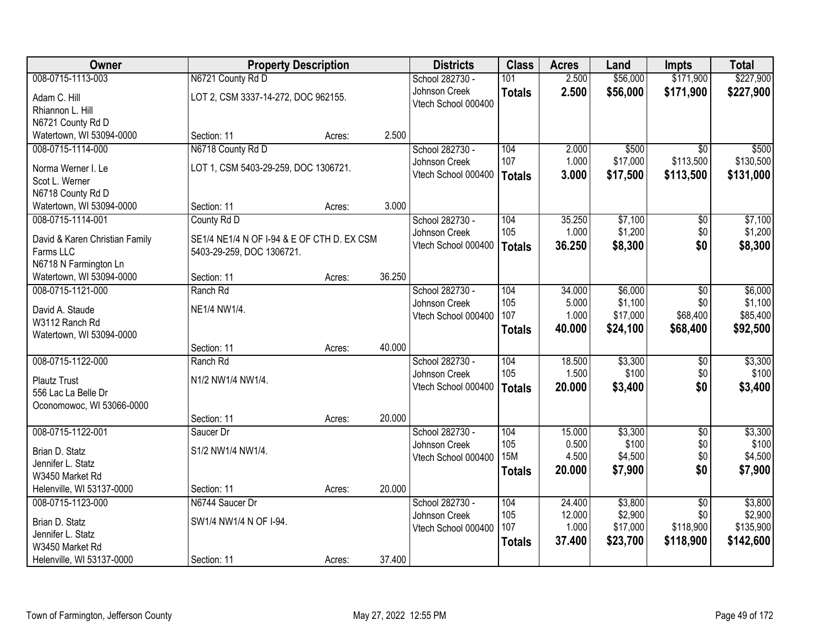| Owner                                       | <b>Property Description</b>                |        |        | <b>Districts</b>    | <b>Class</b>  | <b>Acres</b> | Land     | <b>Impts</b>    | <b>Total</b> |
|---------------------------------------------|--------------------------------------------|--------|--------|---------------------|---------------|--------------|----------|-----------------|--------------|
| 008-0715-1113-003                           | N6721 County Rd D                          |        |        | School 282730 -     | 101           | 2.500        | \$56,000 | \$171,900       | \$227,900    |
| Adam C. Hill                                | LOT 2, CSM 3337-14-272, DOC 962155.        |        |        | Johnson Creek       | <b>Totals</b> | 2.500        | \$56,000 | \$171,900       | \$227,900    |
| Rhiannon L. Hill                            |                                            |        |        | Vtech School 000400 |               |              |          |                 |              |
| N6721 County Rd D                           |                                            |        |        |                     |               |              |          |                 |              |
| Watertown, WI 53094-0000                    | Section: 11                                | Acres: | 2.500  |                     |               |              |          |                 |              |
| 008-0715-1114-000                           | N6718 County Rd D                          |        |        | School 282730 -     | 104           | 2.000        | \$500    | $\overline{30}$ | \$500        |
| Norma Werner I. Le                          | LOT 1, CSM 5403-29-259, DOC 1306721.       |        |        | Johnson Creek       | 107           | 1.000        | \$17,000 | \$113,500       | \$130,500    |
| Scot L. Werner                              |                                            |        |        | Vtech School 000400 | <b>Totals</b> | 3.000        | \$17,500 | \$113,500       | \$131,000    |
| N6718 County Rd D                           |                                            |        |        |                     |               |              |          |                 |              |
| Watertown, WI 53094-0000                    | Section: 11                                | Acres: | 3.000  |                     |               |              |          |                 |              |
| 008-0715-1114-001                           | County Rd D                                |        |        | School 282730 -     | 104           | 35.250       | \$7,100  | $\overline{50}$ | \$7,100      |
|                                             | SE1/4 NE1/4 N OF I-94 & E OF CTH D. EX CSM |        |        | Johnson Creek       | 105           | 1.000        | \$1,200  | \$0             | \$1,200      |
| David & Karen Christian Family<br>Farms LLC | 5403-29-259, DOC 1306721.                  |        |        | Vtech School 000400 | <b>Totals</b> | 36.250       | \$8,300  | \$0             | \$8,300      |
| N6718 N Farmington Ln                       |                                            |        |        |                     |               |              |          |                 |              |
| Watertown, WI 53094-0000                    | Section: 11                                | Acres: | 36.250 |                     |               |              |          |                 |              |
| 008-0715-1121-000                           | Ranch Rd                                   |        |        | School 282730 -     | 104           | 34.000       | \$6,000  | \$0             | \$6,000      |
|                                             |                                            |        |        | Johnson Creek       | 105           | 5.000        | \$1,100  | \$0             | \$1,100      |
| David A. Staude<br>W3112 Ranch Rd           | NE1/4 NW1/4.                               |        |        | Vtech School 000400 | 107           | 1.000        | \$17,000 | \$68,400        | \$85,400     |
| Watertown, WI 53094-0000                    |                                            |        |        |                     | <b>Totals</b> | 40.000       | \$24,100 | \$68,400        | \$92,500     |
|                                             | Section: 11                                | Acres: | 40.000 |                     |               |              |          |                 |              |
| 008-0715-1122-000                           | Ranch Rd                                   |        |        | School 282730 -     | 104           | 18.500       | \$3,300  | $\overline{50}$ | \$3,300      |
|                                             |                                            |        |        | Johnson Creek       | 105           | 1.500        | \$100    | \$0             | \$100        |
| <b>Plautz Trust</b><br>556 Lac La Belle Dr  | N1/2 NW1/4 NW1/4.                          |        |        | Vtech School 000400 | <b>Totals</b> | 20.000       | \$3,400  | \$0             | \$3,400      |
| Oconomowoc, WI 53066-0000                   |                                            |        |        |                     |               |              |          |                 |              |
|                                             | Section: 11                                | Acres: | 20.000 |                     |               |              |          |                 |              |
| 008-0715-1122-001                           | Saucer Dr                                  |        |        | School 282730 -     | 104           | 15.000       | \$3,300  | $\overline{60}$ | \$3,300      |
|                                             |                                            |        |        | Johnson Creek       | 105           | 0.500        | \$100    | \$0             | \$100        |
| Brian D. Statz<br>Jennifer L. Statz         | S1/2 NW1/4 NW1/4.                          |        |        | Vtech School 000400 | <b>15M</b>    | 4.500        | \$4,500  | \$0             | \$4,500      |
| W3450 Market Rd                             |                                            |        |        |                     | <b>Totals</b> | 20,000       | \$7,900  | \$0             | \$7,900      |
| Helenville, WI 53137-0000                   | Section: 11                                | Acres: | 20.000 |                     |               |              |          |                 |              |
| 008-0715-1123-000                           | N6744 Saucer Dr                            |        |        | School 282730 -     | 104           | 24.400       | \$3,800  | $\overline{50}$ | \$3,800      |
|                                             |                                            |        |        | Johnson Creek       | 105           | 12.000       | \$2,900  | \$0             | \$2,900      |
| Brian D. Statz                              | SW1/4 NW1/4 N OF I-94.                     |        |        | Vtech School 000400 | 107           | 1.000        | \$17,000 | \$118,900       | \$135,900    |
| Jennifer L. Statz<br>W3450 Market Rd        |                                            |        |        |                     | <b>Totals</b> | 37.400       | \$23,700 | \$118,900       | \$142,600    |
| Helenville, WI 53137-0000                   | Section: 11                                | Acres: | 37.400 |                     |               |              |          |                 |              |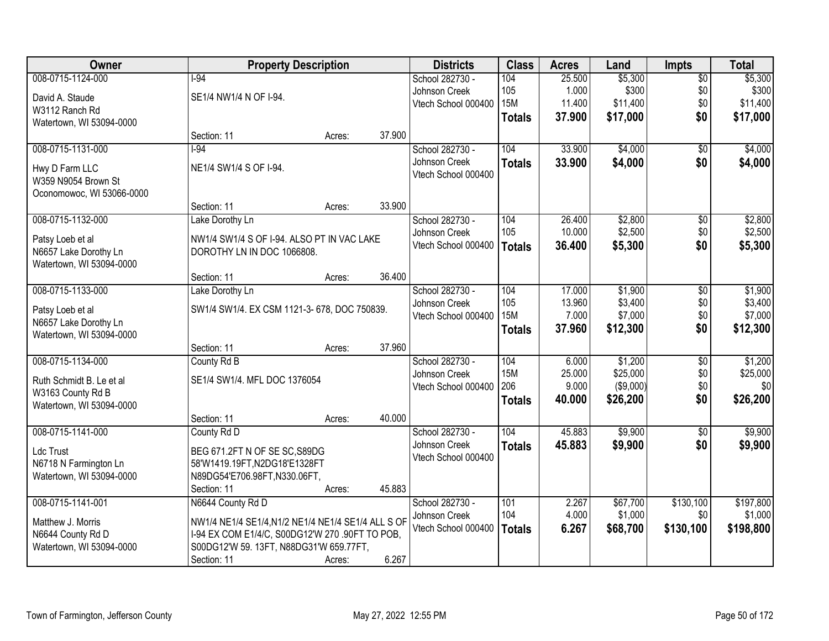| Owner                                     |                                                    | <b>Property Description</b> |        | <b>Districts</b>    | <b>Class</b>  | <b>Acres</b> | Land      | <b>Impts</b>    | <b>Total</b> |
|-------------------------------------------|----------------------------------------------------|-----------------------------|--------|---------------------|---------------|--------------|-----------|-----------------|--------------|
| 008-0715-1124-000                         | $1-94$                                             |                             |        | School 282730 -     | 104           | 25.500       | \$5,300   | $\overline{60}$ | \$5,300      |
| David A. Staude                           | SE1/4 NW1/4 N OF I-94.                             |                             |        | Johnson Creek       | 105           | 1.000        | \$300     | \$0             | \$300        |
| W3112 Ranch Rd                            |                                                    |                             |        | Vtech School 000400 | <b>15M</b>    | 11.400       | \$11,400  | \$0             | \$11,400     |
| Watertown, WI 53094-0000                  |                                                    |                             |        |                     | <b>Totals</b> | 37.900       | \$17,000  | \$0             | \$17,000     |
|                                           | Section: 11                                        | Acres:                      | 37.900 |                     |               |              |           |                 |              |
| 008-0715-1131-000                         | $1-94$                                             |                             |        | School 282730 -     | 104           | 33.900       | \$4,000   | $\overline{50}$ | \$4,000      |
| Hwy D Farm LLC                            | NE1/4 SW1/4 S OF I-94.                             |                             |        | Johnson Creek       | <b>Totals</b> | 33.900       | \$4,000   | \$0             | \$4,000      |
| W359 N9054 Brown St                       |                                                    |                             |        | Vtech School 000400 |               |              |           |                 |              |
| Oconomowoc, WI 53066-0000                 |                                                    |                             |        |                     |               |              |           |                 |              |
|                                           | Section: 11                                        | Acres:                      | 33.900 |                     |               |              |           |                 |              |
| 008-0715-1132-000                         | Lake Dorothy Ln                                    |                             |        | School 282730 -     | 104           | 26.400       | \$2,800   | \$0             | \$2,800      |
|                                           | NW1/4 SW1/4 S OF I-94. ALSO PT IN VAC LAKE         |                             |        | Johnson Creek       | 105           | 10.000       | \$2,500   | \$0             | \$2,500      |
| Patsy Loeb et al<br>N6657 Lake Dorothy Ln | DOROTHY LN IN DOC 1066808.                         |                             |        | Vtech School 000400 | <b>Totals</b> | 36.400       | \$5,300   | \$0             | \$5,300      |
| Watertown, WI 53094-0000                  |                                                    |                             |        |                     |               |              |           |                 |              |
|                                           | Section: 11                                        | Acres:                      | 36.400 |                     |               |              |           |                 |              |
| 008-0715-1133-000                         | Lake Dorothy Ln                                    |                             |        | School 282730 -     | 104           | 17.000       | \$1,900   | \$0             | \$1,900      |
|                                           |                                                    |                             |        | Johnson Creek       | 105           | 13.960       | \$3,400   | \$0             | \$3,400      |
| Patsy Loeb et al                          | SW1/4 SW1/4. EX CSM 1121-3-678, DOC 750839.        |                             |        | Vtech School 000400 | <b>15M</b>    | 7.000        | \$7,000   | \$0             | \$7,000      |
| N6657 Lake Dorothy Ln                     |                                                    |                             |        |                     | <b>Totals</b> | 37.960       | \$12,300  | \$0             | \$12,300     |
| Watertown, WI 53094-0000                  | Section: 11                                        | Acres:                      | 37.960 |                     |               |              |           |                 |              |
| 008-0715-1134-000                         | County Rd B                                        |                             |        | School 282730 -     | 104           | 6.000        | \$1,200   | \$0             | \$1,200      |
|                                           |                                                    |                             |        | Johnson Creek       | <b>15M</b>    | 25.000       | \$25,000  | \$0             | \$25,000     |
| Ruth Schmidt B. Le et al                  | SE1/4 SW1/4. MFL DOC 1376054                       |                             |        | Vtech School 000400 | 206           | 9.000        | (\$9,000) | \$0             | \$0          |
| W3163 County Rd B                         |                                                    |                             |        |                     | <b>Totals</b> | 40.000       | \$26,200  | \$0             | \$26,200     |
| Watertown, WI 53094-0000                  |                                                    |                             |        |                     |               |              |           |                 |              |
|                                           | Section: 11                                        | Acres:                      | 40.000 |                     |               |              |           |                 |              |
| 008-0715-1141-000                         | County Rd D                                        |                             |        | School 282730 -     | 104           | 45.883       | \$9,900   | $\overline{60}$ | \$9,900      |
| Ldc Trust                                 | BEG 671.2FT N OF SE SC, S89DG                      |                             |        | Johnson Creek       | <b>Totals</b> | 45.883       | \$9,900   | \$0             | \$9,900      |
| N6718 N Farmington Ln                     | 58'W1419.19FT,N2DG18'E1328FT                       |                             |        | Vtech School 000400 |               |              |           |                 |              |
| Watertown, WI 53094-0000                  | N89DG54'E706.98FT, N330.06FT,                      |                             |        |                     |               |              |           |                 |              |
|                                           | Section: 11                                        | Acres:                      | 45.883 |                     |               |              |           |                 |              |
| 008-0715-1141-001                         | N6644 County Rd D                                  |                             |        | School 282730 -     | 101           | 2.267        | \$67,700  | \$130,100       | \$197,800    |
| Matthew J. Morris                         | NW1/4 NE1/4 SE1/4, N1/2 NE1/4 NE1/4 SE1/4 ALL S OF |                             |        | Johnson Creek       | 104           | 4.000        | \$1,000   | \$0             | \$1,000      |
| N6644 County Rd D                         | I-94 EX COM E1/4/C, S00DG12'W 270 .90FT TO POB,    |                             |        | Vtech School 000400 | <b>Totals</b> | 6.267        | \$68,700  | \$130,100       | \$198,800    |
| Watertown, WI 53094-0000                  | S00DG12'W 59. 13FT, N88DG31'W 659.77FT,            |                             |        |                     |               |              |           |                 |              |
|                                           | Section: 11                                        | Acres:                      | 6.267  |                     |               |              |           |                 |              |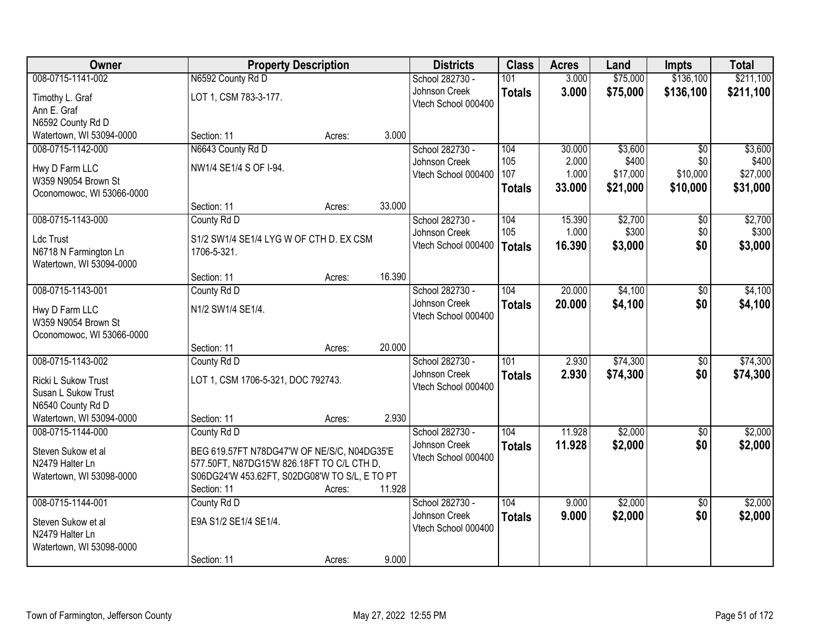| Owner                     |                                               | <b>Property Description</b> |        | <b>Districts</b>    | <b>Class</b>     | <b>Acres</b> | Land     | <b>Impts</b>    | <b>Total</b> |
|---------------------------|-----------------------------------------------|-----------------------------|--------|---------------------|------------------|--------------|----------|-----------------|--------------|
| 008-0715-1141-002         | N6592 County Rd D                             |                             |        | School 282730 -     | 101              | 3.000        | \$75,000 | \$136,100       | \$211,100    |
| Timothy L. Graf           | LOT 1, CSM 783-3-177.                         |                             |        | Johnson Creek       | <b>Totals</b>    | 3.000        | \$75,000 | \$136,100       | \$211,100    |
| Ann E. Graf               |                                               |                             |        | Vtech School 000400 |                  |              |          |                 |              |
| N6592 County Rd D         |                                               |                             |        |                     |                  |              |          |                 |              |
| Watertown, WI 53094-0000  | Section: 11                                   | Acres:                      | 3.000  |                     |                  |              |          |                 |              |
| 008-0715-1142-000         | N6643 County Rd D                             |                             |        | School 282730 -     | 104              | 30.000       | \$3,600  | $\overline{30}$ | \$3,600      |
| Hwy D Farm LLC            | NW1/4 SE1/4 S OF I-94.                        |                             |        | Johnson Creek       | 105              | 2.000        | \$400    | \$0             | \$400        |
| W359 N9054 Brown St       |                                               |                             |        | Vtech School 000400 | 107              | 1.000        | \$17,000 | \$10,000        | \$27,000     |
| Oconomowoc, WI 53066-0000 |                                               |                             |        |                     | <b>Totals</b>    | 33.000       | \$21,000 | \$10,000        | \$31,000     |
|                           | Section: 11                                   | Acres:                      | 33.000 |                     |                  |              |          |                 |              |
| 008-0715-1143-000         | County Rd D                                   |                             |        | School 282730 -     | 104              | 15.390       | \$2,700  | \$0             | \$2,700      |
| Ldc Trust                 | S1/2 SW1/4 SE1/4 LYG W OF CTH D. EX CSM       |                             |        | Johnson Creek       | 105              | 1.000        | \$300    | \$0             | \$300        |
| N6718 N Farmington Ln     | 1706-5-321.                                   |                             |        | Vtech School 000400 | <b>Totals</b>    | 16.390       | \$3,000  | \$0             | \$3,000      |
| Watertown, WI 53094-0000  |                                               |                             |        |                     |                  |              |          |                 |              |
|                           | Section: 11                                   | Acres:                      | 16.390 |                     |                  |              |          |                 |              |
| 008-0715-1143-001         | County Rd D                                   |                             |        | School 282730 -     | 104              | 20.000       | \$4,100  | \$0             | \$4,100      |
| Hwy D Farm LLC            | N1/2 SW1/4 SE1/4.                             |                             |        | Johnson Creek       | <b>Totals</b>    | 20.000       | \$4,100  | \$0             | \$4,100      |
| W359 N9054 Brown St       |                                               |                             |        | Vtech School 000400 |                  |              |          |                 |              |
| Oconomowoc, WI 53066-0000 |                                               |                             |        |                     |                  |              |          |                 |              |
|                           | Section: 11                                   | Acres:                      | 20.000 |                     |                  |              |          |                 |              |
| 008-0715-1143-002         | County Rd D                                   |                             |        | School 282730 -     | $\overline{101}$ | 2.930        | \$74,300 | \$0             | \$74,300     |
| Ricki L Sukow Trust       | LOT 1, CSM 1706-5-321, DOC 792743.            |                             |        | Johnson Creek       | <b>Totals</b>    | 2.930        | \$74,300 | \$0             | \$74,300     |
| Susan L Sukow Trust       |                                               |                             |        | Vtech School 000400 |                  |              |          |                 |              |
| N6540 County Rd D         |                                               |                             |        |                     |                  |              |          |                 |              |
| Watertown, WI 53094-0000  | Section: 11                                   | Acres:                      | 2.930  |                     |                  |              |          |                 |              |
| 008-0715-1144-000         | County Rd D                                   |                             |        | School 282730 -     | 104              | 11.928       | \$2,000  | \$0             | \$2,000      |
| Steven Sukow et al        | BEG 619.57FT N78DG47'W OF NE/S/C, N04DG35'E   |                             |        | Johnson Creek       | <b>Totals</b>    | 11.928       | \$2,000  | \$0             | \$2,000      |
| N2479 Halter Ln           | 577.50FT, N87DG15'W 826.18FT TO C/L CTH D,    |                             |        | Vtech School 000400 |                  |              |          |                 |              |
| Watertown, WI 53098-0000  | S06DG24'W 453.62FT, S02DG08'W TO S/L, E TO PT |                             |        |                     |                  |              |          |                 |              |
|                           | Section: 11                                   | Acres:                      | 11.928 |                     |                  |              |          |                 |              |
| 008-0715-1144-001         | County Rd D                                   |                             |        | School 282730 -     | 104              | 9.000        | \$2,000  | $\overline{50}$ | \$2,000      |
| Steven Sukow et al        | E9A S1/2 SE1/4 SE1/4.                         |                             |        | Johnson Creek       | <b>Totals</b>    | 9.000        | \$2,000  | \$0             | \$2,000      |
| N2479 Halter Ln           |                                               |                             |        | Vtech School 000400 |                  |              |          |                 |              |
| Watertown, WI 53098-0000  |                                               |                             |        |                     |                  |              |          |                 |              |
|                           | Section: 11                                   | Acres:                      | 9.000  |                     |                  |              |          |                 |              |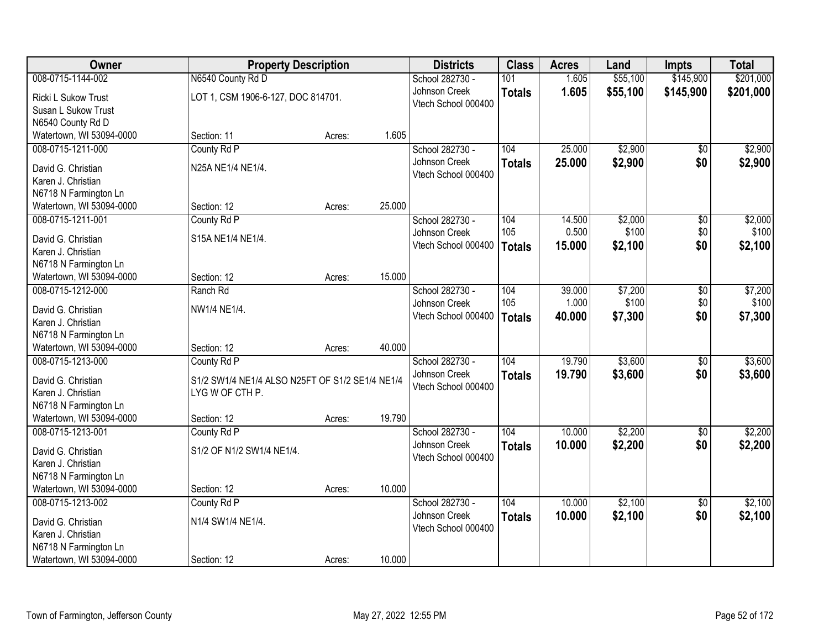| <b>Owner</b>             | <b>Property Description</b>                     |        |        | <b>Districts</b>    | <b>Class</b>  | <b>Acres</b> | Land     | <b>Impts</b>    | <b>Total</b> |
|--------------------------|-------------------------------------------------|--------|--------|---------------------|---------------|--------------|----------|-----------------|--------------|
| 008-0715-1144-002        | N6540 County Rd D                               |        |        | School 282730 -     | 101           | 1.605        | \$55,100 | \$145,900       | \$201,000    |
| Ricki L Sukow Trust      | LOT 1, CSM 1906-6-127, DOC 814701.              |        |        | Johnson Creek       | <b>Totals</b> | 1.605        | \$55,100 | \$145,900       | \$201,000    |
| Susan L Sukow Trust      |                                                 |        |        | Vtech School 000400 |               |              |          |                 |              |
| N6540 County Rd D        |                                                 |        |        |                     |               |              |          |                 |              |
| Watertown, WI 53094-0000 | Section: 11                                     | Acres: | 1.605  |                     |               |              |          |                 |              |
| 008-0715-1211-000        | County Rd P                                     |        |        | School 282730 -     | 104           | 25.000       | \$2,900  | $\overline{30}$ | \$2,900      |
| David G. Christian       | N25A NE1/4 NE1/4.                               |        |        | Johnson Creek       | <b>Totals</b> | 25.000       | \$2,900  | \$0             | \$2,900      |
| Karen J. Christian       |                                                 |        |        | Vtech School 000400 |               |              |          |                 |              |
| N6718 N Farmington Ln    |                                                 |        |        |                     |               |              |          |                 |              |
| Watertown, WI 53094-0000 | Section: 12                                     | Acres: | 25.000 |                     |               |              |          |                 |              |
| 008-0715-1211-001        | County Rd P                                     |        |        | School 282730 -     | 104           | 14.500       | \$2,000  | \$0             | \$2,000      |
| David G. Christian       | S15A NE1/4 NE1/4.                               |        |        | Johnson Creek       | 105           | 0.500        | \$100    | \$0             | \$100        |
| Karen J. Christian       |                                                 |        |        | Vtech School 000400 | <b>Totals</b> | 15.000       | \$2,100  | \$0             | \$2,100      |
| N6718 N Farmington Ln    |                                                 |        |        |                     |               |              |          |                 |              |
| Watertown, WI 53094-0000 | Section: 12                                     | Acres: | 15.000 |                     |               |              |          |                 |              |
| 008-0715-1212-000        | Ranch Rd                                        |        |        | School 282730 -     | 104           | 39.000       | \$7,200  | \$0             | \$7,200      |
| David G. Christian       | NW1/4 NE1/4.                                    |        |        | Johnson Creek       | 105           | 1.000        | \$100    | \$0             | \$100        |
| Karen J. Christian       |                                                 |        |        | Vtech School 000400 | <b>Totals</b> | 40.000       | \$7,300  | \$0             | \$7,300      |
| N6718 N Farmington Ln    |                                                 |        |        |                     |               |              |          |                 |              |
| Watertown, WI 53094-0000 | Section: 12                                     | Acres: | 40.000 |                     |               |              |          |                 |              |
| 008-0715-1213-000        | County Rd P                                     |        |        | School 282730 -     | 104           | 19.790       | \$3,600  | \$0             | \$3,600      |
| David G. Christian       | S1/2 SW1/4 NE1/4 ALSO N25FT OF S1/2 SE1/4 NE1/4 |        |        | Johnson Creek       | <b>Totals</b> | 19.790       | \$3,600  | \$0             | \$3,600      |
| Karen J. Christian       | LYG W OF CTH P.                                 |        |        | Vtech School 000400 |               |              |          |                 |              |
| N6718 N Farmington Ln    |                                                 |        |        |                     |               |              |          |                 |              |
| Watertown, WI 53094-0000 | Section: 12                                     | Acres: | 19.790 |                     |               |              |          |                 |              |
| 008-0715-1213-001        | County Rd P                                     |        |        | School 282730 -     | 104           | 10.000       | \$2,200  | $\sqrt{6}$      | \$2,200      |
| David G. Christian       | S1/2 OF N1/2 SW1/4 NE1/4.                       |        |        | Johnson Creek       | <b>Totals</b> | 10.000       | \$2,200  | \$0             | \$2,200      |
| Karen J. Christian       |                                                 |        |        | Vtech School 000400 |               |              |          |                 |              |
| N6718 N Farmington Ln    |                                                 |        |        |                     |               |              |          |                 |              |
| Watertown, WI 53094-0000 | Section: 12                                     | Acres: | 10.000 |                     |               |              |          |                 |              |
| 008-0715-1213-002        | County Rd P                                     |        |        | School 282730 -     | 104           | 10.000       | \$2,100  | $\overline{50}$ | \$2,100      |
| David G. Christian       | N1/4 SW1/4 NE1/4.                               |        |        | Johnson Creek       | <b>Totals</b> | 10.000       | \$2,100  | \$0             | \$2,100      |
| Karen J. Christian       |                                                 |        |        | Vtech School 000400 |               |              |          |                 |              |
| N6718 N Farmington Ln    |                                                 |        |        |                     |               |              |          |                 |              |
| Watertown, WI 53094-0000 | Section: 12                                     | Acres: | 10.000 |                     |               |              |          |                 |              |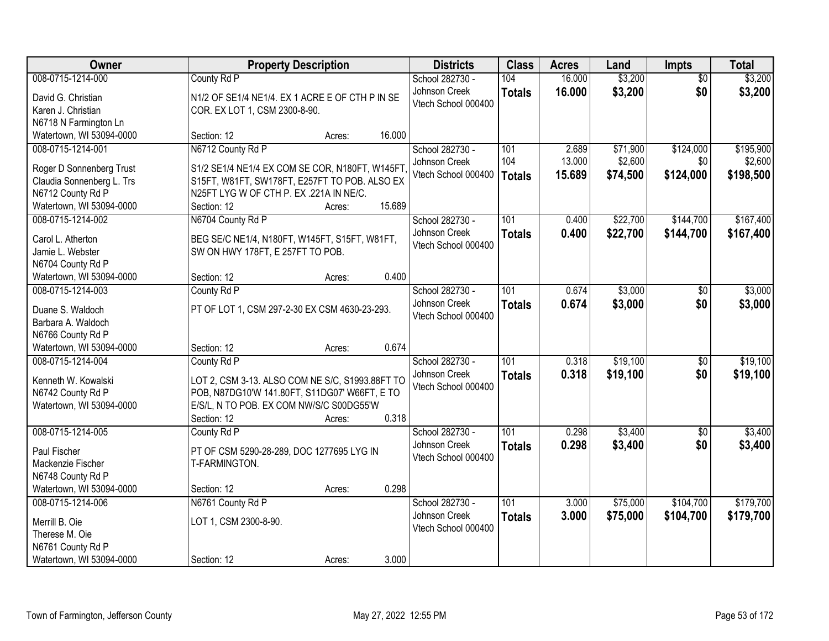| Owner                                  |                                                                                           | <b>Property Description</b> |        | <b>Districts</b>                 | <b>Class</b>     | <b>Acres</b>   | Land                 | <b>Impts</b>    | <b>Total</b> |
|----------------------------------------|-------------------------------------------------------------------------------------------|-----------------------------|--------|----------------------------------|------------------|----------------|----------------------|-----------------|--------------|
| 008-0715-1214-000                      | County Rd P                                                                               |                             |        | School 282730 -                  | 104              | 16.000         | \$3,200              | $\overline{50}$ | \$3,200      |
| David G. Christian                     | N1/2 OF SE1/4 NE1/4. EX 1 ACRE E OF CTH P IN SE                                           |                             |        | Johnson Creek                    | <b>Totals</b>    | 16.000         | \$3,200              | \$0             | \$3,200      |
| Karen J. Christian                     | COR. EX LOT 1, CSM 2300-8-90.                                                             |                             |        | Vtech School 000400              |                  |                |                      |                 |              |
| N6718 N Farmington Ln                  |                                                                                           |                             |        |                                  |                  |                |                      |                 |              |
| Watertown, WI 53094-0000               | Section: 12                                                                               | Acres:                      | 16.000 |                                  |                  |                |                      |                 |              |
| 008-0715-1214-001                      | N6712 County Rd P                                                                         |                             |        | School 282730 -                  | 101              | 2.689          | \$71,900             | \$124,000       | \$195,900    |
| Roger D Sonnenberg Trust               | S1/2 SE1/4 NE1/4 EX COM SE COR, N180FT, W145FT                                            |                             |        | Johnson Creek                    | 104              | 13.000         | \$2,600              | \$0             | \$2,600      |
| Claudia Sonnenberg L. Trs              | S15FT, W81FT, SW178FT, E257FT TO POB. ALSO EX                                             |                             |        | Vtech School 000400              | <b>Totals</b>    | 15.689         | \$74,500             | \$124,000       | \$198,500    |
| N6712 County Rd P                      | N25FT LYG W OF CTH P. EX.221A IN NE/C.                                                    |                             |        |                                  |                  |                |                      |                 |              |
| Watertown, WI 53094-0000               | Section: 12                                                                               | Acres:                      | 15.689 |                                  |                  |                |                      |                 |              |
| 008-0715-1214-002                      | N6704 County Rd P                                                                         |                             |        | School 282730 -                  | 101              | 0.400          | \$22,700             | \$144,700       | \$167,400    |
| Carol L. Atherton                      | BEG SE/C NE1/4, N180FT, W145FT, S15FT, W81FT,                                             |                             |        | Johnson Creek                    | <b>Totals</b>    | 0.400          | \$22,700             | \$144,700       | \$167,400    |
| Jamie L. Webster                       | SW ON HWY 178FT, E 257FT TO POB.                                                          |                             |        | Vtech School 000400              |                  |                |                      |                 |              |
| N6704 County Rd P                      |                                                                                           |                             |        |                                  |                  |                |                      |                 |              |
| Watertown, WI 53094-0000               | Section: 12                                                                               | Acres:                      | 0.400  |                                  |                  |                |                      |                 |              |
| 008-0715-1214-003                      | County Rd P                                                                               |                             |        | School 282730 -                  | 101              | 0.674          | \$3,000              | $\sqrt[6]{3}$   | \$3,000      |
|                                        |                                                                                           |                             |        | Johnson Creek                    | <b>Totals</b>    | 0.674          | \$3,000              | \$0             | \$3,000      |
| Duane S. Waldoch<br>Barbara A. Waldoch | PT OF LOT 1, CSM 297-2-30 EX CSM 4630-23-293.                                             |                             |        | Vtech School 000400              |                  |                |                      |                 |              |
| N6766 County Rd P                      |                                                                                           |                             |        |                                  |                  |                |                      |                 |              |
| Watertown, WI 53094-0000               | Section: 12                                                                               | Acres:                      | 0.674  |                                  |                  |                |                      |                 |              |
| 008-0715-1214-004                      | County Rd P                                                                               |                             |        | School 282730 -                  | 101              | 0.318          | \$19,100             | $\overline{50}$ | \$19,100     |
|                                        |                                                                                           |                             |        | Johnson Creek                    | <b>Totals</b>    | 0.318          | \$19,100             | \$0             | \$19,100     |
| Kenneth W. Kowalski                    | LOT 2, CSM 3-13. ALSO COM NE S/C, S1993.88FT TO                                           |                             |        | Vtech School 000400              |                  |                |                      |                 |              |
| N6742 County Rd P                      | POB, N87DG10'W 141.80FT, S11DG07' W66FT, E TO<br>E/S/L, N TO POB. EX COM NW/S/C S00DG55'W |                             |        |                                  |                  |                |                      |                 |              |
| Watertown, WI 53094-0000               | Section: 12                                                                               | Acres:                      | 0.318  |                                  |                  |                |                      |                 |              |
| 008-0715-1214-005                      | County Rd P                                                                               |                             |        | School 282730 -                  | $\overline{101}$ | 0.298          | \$3,400              | $\overline{50}$ | \$3,400      |
|                                        |                                                                                           |                             |        | Johnson Creek                    | <b>Totals</b>    | 0.298          | \$3,400              | \$0             | \$3,400      |
| Paul Fischer                           | PT OF CSM 5290-28-289, DOC 1277695 LYG IN                                                 |                             |        | Vtech School 000400              |                  |                |                      |                 |              |
| Mackenzie Fischer                      | T-FARMINGTON.                                                                             |                             |        |                                  |                  |                |                      |                 |              |
| N6748 County Rd P                      |                                                                                           |                             |        |                                  |                  |                |                      |                 |              |
| Watertown, WI 53094-0000               | Section: 12                                                                               | Acres:                      | 0.298  |                                  | 101              |                |                      |                 | \$179,700    |
| 008-0715-1214-006                      | N6761 County Rd P                                                                         |                             |        | School 282730 -<br>Johnson Creek |                  | 3.000<br>3.000 | \$75,000<br>\$75,000 | \$104,700       | \$179,700    |
| Merrill B. Oie                         | LOT 1, CSM 2300-8-90.                                                                     |                             |        | Vtech School 000400              | <b>Totals</b>    |                |                      | \$104,700       |              |
| Therese M. Oie                         |                                                                                           |                             |        |                                  |                  |                |                      |                 |              |
| N6761 County Rd P                      |                                                                                           |                             |        |                                  |                  |                |                      |                 |              |
| Watertown, WI 53094-0000               | Section: 12                                                                               | Acres:                      | 3.000  |                                  |                  |                |                      |                 |              |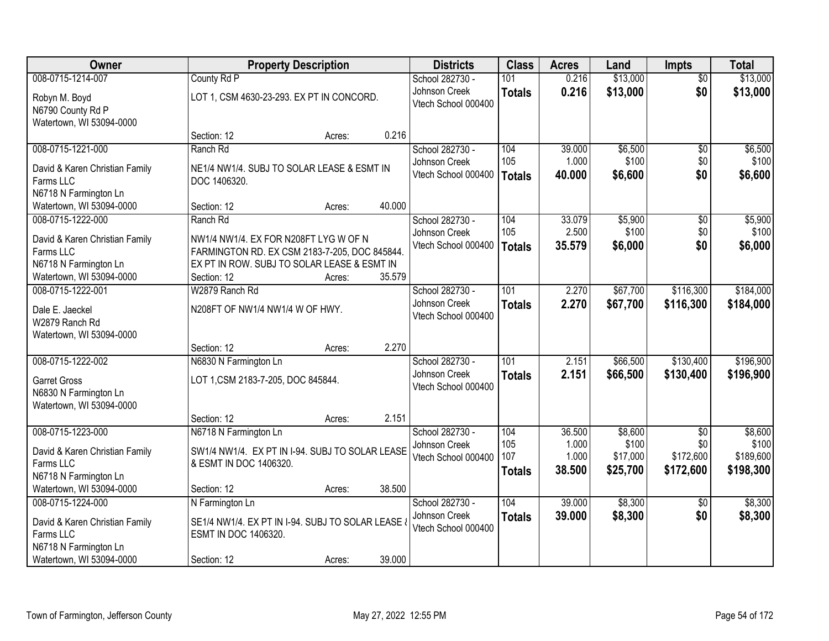| \$13,000<br>\$13,000<br>008-0715-1214-007<br>County Rd P<br>101<br>School 282730 -<br>0.216<br>$\overline{30}$<br>\$13,000<br>\$0<br>Johnson Creek<br>0.216<br>\$13,000<br><b>Totals</b><br>LOT 1, CSM 4630-23-293. EX PT IN CONCORD.<br>Robyn M. Boyd<br>Vtech School 000400<br>N6790 County Rd P<br>Watertown, WI 53094-0000<br>0.216<br>Section: 12<br>Acres:<br>008-0715-1221-000<br>School 282730 -<br>104<br>39.000<br>\$6,500<br>\$6,500<br>Ranch Rd<br>\$0<br>105<br>\$100<br>\$0<br>1.000<br>Johnson Creek<br>NE1/4 NW1/4. SUBJ TO SOLAR LEASE & ESMT IN<br>David & Karen Christian Family<br>Vtech School 000400<br>\$6,600<br>\$0<br>\$6,600<br>40.000<br><b>Totals</b><br>Farms LLC<br>DOC 1406320.<br>N6718 N Farmington Ln<br>40.000<br>Watertown, WI 53094-0000<br>Section: 12<br>Acres:<br>\$5,900<br>008-0715-1222-000<br>Ranch Rd<br>School 282730 -<br>104<br>33.079<br>$\overline{50}$<br>105<br>2.500<br>\$100<br>\$0<br>Johnson Creek<br>David & Karen Christian Family<br>NW1/4 NW1/4. EX FOR N208FT LYG W OF N<br>35.579<br>\$6,000<br>\$0<br>Vtech School 000400<br>\$6,000<br><b>Totals</b><br>Farms LLC<br>FARMINGTON RD. EX CSM 2183-7-205, DOC 845844.<br>EX PT IN ROW. SUBJ TO SOLAR LEASE & ESMT IN<br>N6718 N Farmington Ln<br>Watertown, WI 53094-0000<br>35.579<br>Section: 12<br>Acres:<br>101<br>2.270<br>\$67,700<br>\$116,300<br>008-0715-1222-001<br>W2879 Ranch Rd<br>School 282730 -<br>Johnson Creek<br>2.270<br>\$67,700<br>\$116,300<br>\$184,000<br><b>Totals</b><br>N208FT OF NW1/4 NW1/4 W OF HWY.<br>Dale E. Jaeckel<br>Vtech School 000400<br>W2879 Ranch Rd<br>Watertown, WI 53094-0000<br>2.270<br>Section: 12<br>Acres:<br>101<br>2.151<br>\$130,400<br>008-0715-1222-002<br>\$66,500<br>N6830 N Farmington Ln<br>School 282730 -<br>Johnson Creek<br>2.151<br>\$66,500<br>\$130,400<br>\$196,900<br><b>Totals</b><br>LOT 1, CSM 2183-7-205, DOC 845844.<br><b>Garret Gross</b><br>Vtech School 000400<br>N6830 N Farmington Ln<br>Watertown, WI 53094-0000<br>2.151<br>Section: 12<br>Acres:<br>\$8,600<br>008-0715-1223-000<br>N6718 N Farmington Ln<br>School 282730 -<br>104<br>36.500<br>$\sqrt{6}$<br>105<br>1.000<br>\$100<br>\$0<br>Johnson Creek<br>SW1/4 NW1/4. EX PT IN I-94. SUBJ TO SOLAR LEASE<br>David & Karen Christian Family<br>107<br>\$17,000<br>\$172,600<br>1.000<br>Vtech School 000400<br>Farms LLC<br>& ESMT IN DOC 1406320. | Owner | <b>Property Description</b> | <b>Districts</b> | <b>Class</b>  | <b>Acres</b> | Land     | <b>Impts</b> | <b>Total</b> |
|-----------------------------------------------------------------------------------------------------------------------------------------------------------------------------------------------------------------------------------------------------------------------------------------------------------------------------------------------------------------------------------------------------------------------------------------------------------------------------------------------------------------------------------------------------------------------------------------------------------------------------------------------------------------------------------------------------------------------------------------------------------------------------------------------------------------------------------------------------------------------------------------------------------------------------------------------------------------------------------------------------------------------------------------------------------------------------------------------------------------------------------------------------------------------------------------------------------------------------------------------------------------------------------------------------------------------------------------------------------------------------------------------------------------------------------------------------------------------------------------------------------------------------------------------------------------------------------------------------------------------------------------------------------------------------------------------------------------------------------------------------------------------------------------------------------------------------------------------------------------------------------------------------------------------------------------------------------------------------------------------------------------------------------------------------------------------------------------------------------------------------------------------------------------------------------------------------------------------------------------------------------------------------------------------------------------------------------------------------------------------------------------------------------|-------|-----------------------------|------------------|---------------|--------------|----------|--------------|--------------|
|                                                                                                                                                                                                                                                                                                                                                                                                                                                                                                                                                                                                                                                                                                                                                                                                                                                                                                                                                                                                                                                                                                                                                                                                                                                                                                                                                                                                                                                                                                                                                                                                                                                                                                                                                                                                                                                                                                                                                                                                                                                                                                                                                                                                                                                                                                                                                                                                           |       |                             |                  |               |              |          |              |              |
|                                                                                                                                                                                                                                                                                                                                                                                                                                                                                                                                                                                                                                                                                                                                                                                                                                                                                                                                                                                                                                                                                                                                                                                                                                                                                                                                                                                                                                                                                                                                                                                                                                                                                                                                                                                                                                                                                                                                                                                                                                                                                                                                                                                                                                                                                                                                                                                                           |       |                             |                  |               |              |          |              |              |
|                                                                                                                                                                                                                                                                                                                                                                                                                                                                                                                                                                                                                                                                                                                                                                                                                                                                                                                                                                                                                                                                                                                                                                                                                                                                                                                                                                                                                                                                                                                                                                                                                                                                                                                                                                                                                                                                                                                                                                                                                                                                                                                                                                                                                                                                                                                                                                                                           |       |                             |                  |               |              |          |              |              |
|                                                                                                                                                                                                                                                                                                                                                                                                                                                                                                                                                                                                                                                                                                                                                                                                                                                                                                                                                                                                                                                                                                                                                                                                                                                                                                                                                                                                                                                                                                                                                                                                                                                                                                                                                                                                                                                                                                                                                                                                                                                                                                                                                                                                                                                                                                                                                                                                           |       |                             |                  |               |              |          |              |              |
| \$100<br>\$5,900<br>\$100<br>\$184,000<br>\$196,900<br>\$8,600<br>\$100<br>\$189,600                                                                                                                                                                                                                                                                                                                                                                                                                                                                                                                                                                                                                                                                                                                                                                                                                                                                                                                                                                                                                                                                                                                                                                                                                                                                                                                                                                                                                                                                                                                                                                                                                                                                                                                                                                                                                                                                                                                                                                                                                                                                                                                                                                                                                                                                                                                      |       |                             |                  |               |              |          |              |              |
|                                                                                                                                                                                                                                                                                                                                                                                                                                                                                                                                                                                                                                                                                                                                                                                                                                                                                                                                                                                                                                                                                                                                                                                                                                                                                                                                                                                                                                                                                                                                                                                                                                                                                                                                                                                                                                                                                                                                                                                                                                                                                                                                                                                                                                                                                                                                                                                                           |       |                             |                  |               |              |          |              |              |
|                                                                                                                                                                                                                                                                                                                                                                                                                                                                                                                                                                                                                                                                                                                                                                                                                                                                                                                                                                                                                                                                                                                                                                                                                                                                                                                                                                                                                                                                                                                                                                                                                                                                                                                                                                                                                                                                                                                                                                                                                                                                                                                                                                                                                                                                                                                                                                                                           |       |                             |                  |               |              |          |              |              |
|                                                                                                                                                                                                                                                                                                                                                                                                                                                                                                                                                                                                                                                                                                                                                                                                                                                                                                                                                                                                                                                                                                                                                                                                                                                                                                                                                                                                                                                                                                                                                                                                                                                                                                                                                                                                                                                                                                                                                                                                                                                                                                                                                                                                                                                                                                                                                                                                           |       |                             |                  |               |              |          |              |              |
|                                                                                                                                                                                                                                                                                                                                                                                                                                                                                                                                                                                                                                                                                                                                                                                                                                                                                                                                                                                                                                                                                                                                                                                                                                                                                                                                                                                                                                                                                                                                                                                                                                                                                                                                                                                                                                                                                                                                                                                                                                                                                                                                                                                                                                                                                                                                                                                                           |       |                             |                  |               |              |          |              |              |
|                                                                                                                                                                                                                                                                                                                                                                                                                                                                                                                                                                                                                                                                                                                                                                                                                                                                                                                                                                                                                                                                                                                                                                                                                                                                                                                                                                                                                                                                                                                                                                                                                                                                                                                                                                                                                                                                                                                                                                                                                                                                                                                                                                                                                                                                                                                                                                                                           |       |                             |                  |               |              |          |              |              |
|                                                                                                                                                                                                                                                                                                                                                                                                                                                                                                                                                                                                                                                                                                                                                                                                                                                                                                                                                                                                                                                                                                                                                                                                                                                                                                                                                                                                                                                                                                                                                                                                                                                                                                                                                                                                                                                                                                                                                                                                                                                                                                                                                                                                                                                                                                                                                                                                           |       |                             |                  |               |              |          |              |              |
|                                                                                                                                                                                                                                                                                                                                                                                                                                                                                                                                                                                                                                                                                                                                                                                                                                                                                                                                                                                                                                                                                                                                                                                                                                                                                                                                                                                                                                                                                                                                                                                                                                                                                                                                                                                                                                                                                                                                                                                                                                                                                                                                                                                                                                                                                                                                                                                                           |       |                             |                  |               |              |          |              |              |
|                                                                                                                                                                                                                                                                                                                                                                                                                                                                                                                                                                                                                                                                                                                                                                                                                                                                                                                                                                                                                                                                                                                                                                                                                                                                                                                                                                                                                                                                                                                                                                                                                                                                                                                                                                                                                                                                                                                                                                                                                                                                                                                                                                                                                                                                                                                                                                                                           |       |                             |                  |               |              |          |              |              |
|                                                                                                                                                                                                                                                                                                                                                                                                                                                                                                                                                                                                                                                                                                                                                                                                                                                                                                                                                                                                                                                                                                                                                                                                                                                                                                                                                                                                                                                                                                                                                                                                                                                                                                                                                                                                                                                                                                                                                                                                                                                                                                                                                                                                                                                                                                                                                                                                           |       |                             |                  |               |              |          |              |              |
|                                                                                                                                                                                                                                                                                                                                                                                                                                                                                                                                                                                                                                                                                                                                                                                                                                                                                                                                                                                                                                                                                                                                                                                                                                                                                                                                                                                                                                                                                                                                                                                                                                                                                                                                                                                                                                                                                                                                                                                                                                                                                                                                                                                                                                                                                                                                                                                                           |       |                             |                  |               |              |          |              |              |
|                                                                                                                                                                                                                                                                                                                                                                                                                                                                                                                                                                                                                                                                                                                                                                                                                                                                                                                                                                                                                                                                                                                                                                                                                                                                                                                                                                                                                                                                                                                                                                                                                                                                                                                                                                                                                                                                                                                                                                                                                                                                                                                                                                                                                                                                                                                                                                                                           |       |                             |                  |               |              |          |              |              |
|                                                                                                                                                                                                                                                                                                                                                                                                                                                                                                                                                                                                                                                                                                                                                                                                                                                                                                                                                                                                                                                                                                                                                                                                                                                                                                                                                                                                                                                                                                                                                                                                                                                                                                                                                                                                                                                                                                                                                                                                                                                                                                                                                                                                                                                                                                                                                                                                           |       |                             |                  |               |              |          |              |              |
|                                                                                                                                                                                                                                                                                                                                                                                                                                                                                                                                                                                                                                                                                                                                                                                                                                                                                                                                                                                                                                                                                                                                                                                                                                                                                                                                                                                                                                                                                                                                                                                                                                                                                                                                                                                                                                                                                                                                                                                                                                                                                                                                                                                                                                                                                                                                                                                                           |       |                             |                  |               |              |          |              |              |
|                                                                                                                                                                                                                                                                                                                                                                                                                                                                                                                                                                                                                                                                                                                                                                                                                                                                                                                                                                                                                                                                                                                                                                                                                                                                                                                                                                                                                                                                                                                                                                                                                                                                                                                                                                                                                                                                                                                                                                                                                                                                                                                                                                                                                                                                                                                                                                                                           |       |                             |                  |               |              |          |              |              |
|                                                                                                                                                                                                                                                                                                                                                                                                                                                                                                                                                                                                                                                                                                                                                                                                                                                                                                                                                                                                                                                                                                                                                                                                                                                                                                                                                                                                                                                                                                                                                                                                                                                                                                                                                                                                                                                                                                                                                                                                                                                                                                                                                                                                                                                                                                                                                                                                           |       |                             |                  |               |              |          |              |              |
|                                                                                                                                                                                                                                                                                                                                                                                                                                                                                                                                                                                                                                                                                                                                                                                                                                                                                                                                                                                                                                                                                                                                                                                                                                                                                                                                                                                                                                                                                                                                                                                                                                                                                                                                                                                                                                                                                                                                                                                                                                                                                                                                                                                                                                                                                                                                                                                                           |       |                             |                  |               |              |          |              |              |
|                                                                                                                                                                                                                                                                                                                                                                                                                                                                                                                                                                                                                                                                                                                                                                                                                                                                                                                                                                                                                                                                                                                                                                                                                                                                                                                                                                                                                                                                                                                                                                                                                                                                                                                                                                                                                                                                                                                                                                                                                                                                                                                                                                                                                                                                                                                                                                                                           |       |                             |                  |               |              |          |              |              |
|                                                                                                                                                                                                                                                                                                                                                                                                                                                                                                                                                                                                                                                                                                                                                                                                                                                                                                                                                                                                                                                                                                                                                                                                                                                                                                                                                                                                                                                                                                                                                                                                                                                                                                                                                                                                                                                                                                                                                                                                                                                                                                                                                                                                                                                                                                                                                                                                           |       |                             |                  |               |              |          |              |              |
|                                                                                                                                                                                                                                                                                                                                                                                                                                                                                                                                                                                                                                                                                                                                                                                                                                                                                                                                                                                                                                                                                                                                                                                                                                                                                                                                                                                                                                                                                                                                                                                                                                                                                                                                                                                                                                                                                                                                                                                                                                                                                                                                                                                                                                                                                                                                                                                                           |       |                             |                  |               |              |          |              |              |
|                                                                                                                                                                                                                                                                                                                                                                                                                                                                                                                                                                                                                                                                                                                                                                                                                                                                                                                                                                                                                                                                                                                                                                                                                                                                                                                                                                                                                                                                                                                                                                                                                                                                                                                                                                                                                                                                                                                                                                                                                                                                                                                                                                                                                                                                                                                                                                                                           |       |                             |                  |               |              |          |              |              |
|                                                                                                                                                                                                                                                                                                                                                                                                                                                                                                                                                                                                                                                                                                                                                                                                                                                                                                                                                                                                                                                                                                                                                                                                                                                                                                                                                                                                                                                                                                                                                                                                                                                                                                                                                                                                                                                                                                                                                                                                                                                                                                                                                                                                                                                                                                                                                                                                           |       |                             |                  |               |              |          |              |              |
|                                                                                                                                                                                                                                                                                                                                                                                                                                                                                                                                                                                                                                                                                                                                                                                                                                                                                                                                                                                                                                                                                                                                                                                                                                                                                                                                                                                                                                                                                                                                                                                                                                                                                                                                                                                                                                                                                                                                                                                                                                                                                                                                                                                                                                                                                                                                                                                                           |       |                             |                  | <b>Totals</b> | 38,500       | \$25,700 | \$172,600    | \$198,300    |
| N6718 N Farmington Ln                                                                                                                                                                                                                                                                                                                                                                                                                                                                                                                                                                                                                                                                                                                                                                                                                                                                                                                                                                                                                                                                                                                                                                                                                                                                                                                                                                                                                                                                                                                                                                                                                                                                                                                                                                                                                                                                                                                                                                                                                                                                                                                                                                                                                                                                                                                                                                                     |       |                             |                  |               |              |          |              |              |
| Watertown, WI 53094-0000<br>38.500<br>Section: 12<br>Acres:<br>\$8,300<br>104<br>39.000                                                                                                                                                                                                                                                                                                                                                                                                                                                                                                                                                                                                                                                                                                                                                                                                                                                                                                                                                                                                                                                                                                                                                                                                                                                                                                                                                                                                                                                                                                                                                                                                                                                                                                                                                                                                                                                                                                                                                                                                                                                                                                                                                                                                                                                                                                                   |       |                             |                  |               |              |          |              |              |
| \$8,300<br>008-0715-1224-000<br>N Farmington Ln<br>School 282730 -<br>$\overline{30}$<br>\$8,300<br>\$0<br>\$8,300<br>Johnson Creek<br>39.000<br><b>Totals</b>                                                                                                                                                                                                                                                                                                                                                                                                                                                                                                                                                                                                                                                                                                                                                                                                                                                                                                                                                                                                                                                                                                                                                                                                                                                                                                                                                                                                                                                                                                                                                                                                                                                                                                                                                                                                                                                                                                                                                                                                                                                                                                                                                                                                                                            |       |                             |                  |               |              |          |              |              |
| SE1/4 NW1/4. EX PT IN I-94. SUBJ TO SOLAR LEASE<br>David & Karen Christian Family<br>Vtech School 000400                                                                                                                                                                                                                                                                                                                                                                                                                                                                                                                                                                                                                                                                                                                                                                                                                                                                                                                                                                                                                                                                                                                                                                                                                                                                                                                                                                                                                                                                                                                                                                                                                                                                                                                                                                                                                                                                                                                                                                                                                                                                                                                                                                                                                                                                                                  |       |                             |                  |               |              |          |              |              |
| Farms LLC<br>ESMT IN DOC 1406320.                                                                                                                                                                                                                                                                                                                                                                                                                                                                                                                                                                                                                                                                                                                                                                                                                                                                                                                                                                                                                                                                                                                                                                                                                                                                                                                                                                                                                                                                                                                                                                                                                                                                                                                                                                                                                                                                                                                                                                                                                                                                                                                                                                                                                                                                                                                                                                         |       |                             |                  |               |              |          |              |              |
| N6718 N Farmington Ln<br>39.000<br>Watertown, WI 53094-0000<br>Section: 12<br>Acres:                                                                                                                                                                                                                                                                                                                                                                                                                                                                                                                                                                                                                                                                                                                                                                                                                                                                                                                                                                                                                                                                                                                                                                                                                                                                                                                                                                                                                                                                                                                                                                                                                                                                                                                                                                                                                                                                                                                                                                                                                                                                                                                                                                                                                                                                                                                      |       |                             |                  |               |              |          |              |              |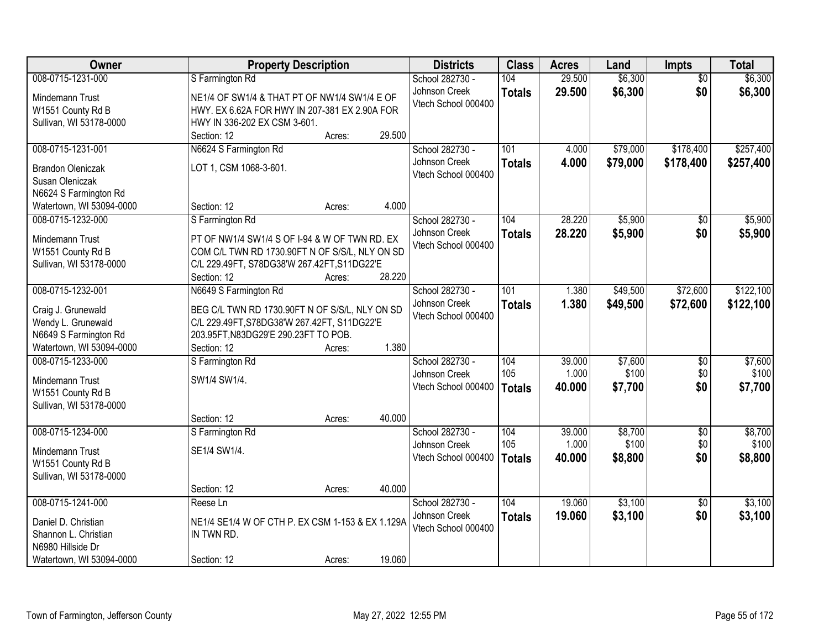| Owner                    | <b>Property Description</b>                      |        | <b>Districts</b>    | <b>Class</b>  | <b>Acres</b> | Land     | <b>Impts</b>    | <b>Total</b> |
|--------------------------|--------------------------------------------------|--------|---------------------|---------------|--------------|----------|-----------------|--------------|
| 008-0715-1231-000        | S Farmington Rd                                  |        | School 282730 -     | 104           | 29.500       | \$6,300  | $\overline{50}$ | \$6,300      |
| Mindemann Trust          | NE1/4 OF SW1/4 & THAT PT OF NW1/4 SW1/4 E OF     |        | Johnson Creek       | <b>Totals</b> | 29.500       | \$6,300  | \$0             | \$6,300      |
| W1551 County Rd B        | HWY. EX 6.62A FOR HWY IN 207-381 EX 2.90A FOR    |        | Vtech School 000400 |               |              |          |                 |              |
| Sullivan, WI 53178-0000  | HWY IN 336-202 EX CSM 3-601.                     |        |                     |               |              |          |                 |              |
|                          | Section: 12<br>Acres:                            | 29.500 |                     |               |              |          |                 |              |
| 008-0715-1231-001        | N6624 S Farmington Rd                            |        | School 282730 -     | 101           | 4.000        | \$79,000 | \$178,400       | \$257,400    |
| <b>Brandon Oleniczak</b> | LOT 1, CSM 1068-3-601.                           |        | Johnson Creek       | <b>Totals</b> | 4.000        | \$79,000 | \$178,400       | \$257,400    |
| Susan Oleniczak          |                                                  |        | Vtech School 000400 |               |              |          |                 |              |
| N6624 S Farmington Rd    |                                                  |        |                     |               |              |          |                 |              |
| Watertown, WI 53094-0000 | Section: 12<br>Acres:                            | 4.000  |                     |               |              |          |                 |              |
| 008-0715-1232-000        | S Farmington Rd                                  |        | School 282730 -     | 104           | 28.220       | \$5,900  | \$0             | \$5,900      |
|                          |                                                  |        | Johnson Creek       | <b>Totals</b> | 28.220       | \$5,900  | \$0             | \$5,900      |
| Mindemann Trust          | PT OF NW1/4 SW1/4 S OF I-94 & W OF TWN RD. EX    |        | Vtech School 000400 |               |              |          |                 |              |
| W1551 County Rd B        | COM C/L TWN RD 1730.90FT N OF S/S/L, NLY ON SD   |        |                     |               |              |          |                 |              |
| Sullivan, WI 53178-0000  | C/L 229.49FT, S78DG38'W 267.42FT, S11DG22'E      | 28.220 |                     |               |              |          |                 |              |
| 008-0715-1232-001        | Section: 12<br>Acres:                            |        | School 282730 -     | 101           | 1.380        | \$49,500 | \$72,600        | \$122,100    |
|                          | N6649 S Farmington Rd                            |        | Johnson Creek       |               |              |          |                 |              |
| Craig J. Grunewald       | BEG C/L TWN RD 1730.90FT N OF S/S/L, NLY ON SD   |        | Vtech School 000400 | <b>Totals</b> | 1.380        | \$49,500 | \$72,600        | \$122,100    |
| Wendy L. Grunewald       | C/L 229.49FT, S78DG38'W 267.42FT, S11DG22'E      |        |                     |               |              |          |                 |              |
| N6649 S Farmington Rd    | 203.95FT, N83DG29'E 290.23FT TO POB.             |        |                     |               |              |          |                 |              |
| Watertown, WI 53094-0000 | Section: 12<br>Acres:                            | 1.380  |                     |               |              |          |                 |              |
| 008-0715-1233-000        | S Farmington Rd                                  |        | School 282730 -     | 104           | 39.000       | \$7,600  | $\overline{50}$ | \$7,600      |
| Mindemann Trust          | SW1/4 SW1/4.                                     |        | Johnson Creek       | 105           | 1.000        | \$100    | \$0             | \$100        |
| W1551 County Rd B        |                                                  |        | Vtech School 000400 | <b>Totals</b> | 40.000       | \$7,700  | \$0             | \$7,700      |
| Sullivan, WI 53178-0000  |                                                  |        |                     |               |              |          |                 |              |
|                          | Section: 12<br>Acres:                            | 40.000 |                     |               |              |          |                 |              |
| 008-0715-1234-000        | S Farmington Rd                                  |        | School 282730 -     | 104           | 39.000       | \$8,700  | $\overline{50}$ | \$8,700      |
| Mindemann Trust          | SE1/4 SW1/4.                                     |        | Johnson Creek       | 105           | 1.000        | \$100    | \$0             | \$100        |
| W1551 County Rd B        |                                                  |        | Vtech School 000400 | <b>Totals</b> | 40.000       | \$8,800  | \$0             | \$8,800      |
| Sullivan, WI 53178-0000  |                                                  |        |                     |               |              |          |                 |              |
|                          | Section: 12<br>Acres:                            | 40.000 |                     |               |              |          |                 |              |
| 008-0715-1241-000        | Reese Ln                                         |        | School 282730 -     | 104           | 19.060       | \$3,100  | $\overline{30}$ | \$3,100      |
|                          |                                                  |        | Johnson Creek       | <b>Totals</b> | 19.060       | \$3,100  | \$0             | \$3,100      |
| Daniel D. Christian      | NE1/4 SE1/4 W OF CTH P. EX CSM 1-153 & EX 1.129A |        | Vtech School 000400 |               |              |          |                 |              |
| Shannon L. Christian     | IN TWN RD.                                       |        |                     |               |              |          |                 |              |
| N6980 Hillside Dr        |                                                  |        |                     |               |              |          |                 |              |
| Watertown, WI 53094-0000 | Section: 12<br>Acres:                            | 19.060 |                     |               |              |          |                 |              |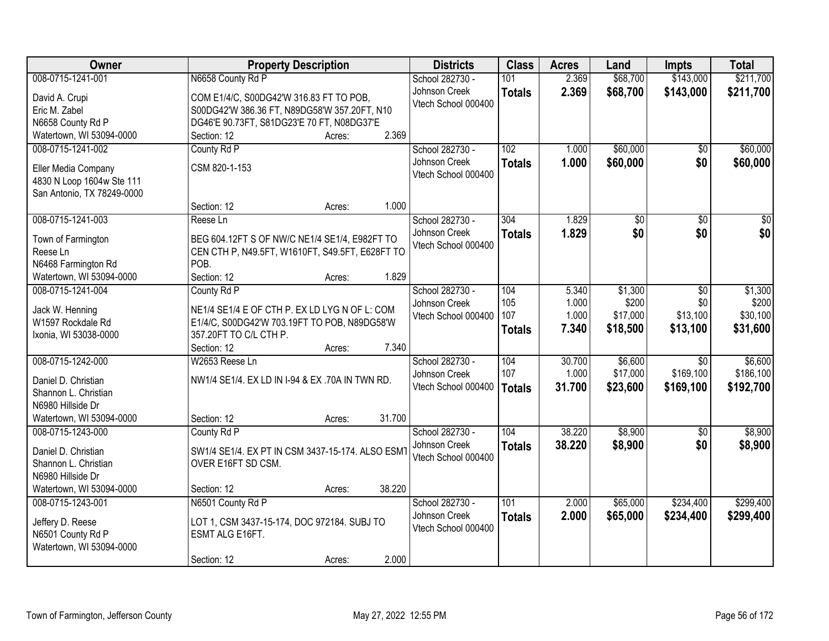| Owner                      | <b>Property Description</b>                      | <b>Districts</b>    | <b>Class</b>  | <b>Acres</b> | Land     | <b>Impts</b>    | <b>Total</b> |
|----------------------------|--------------------------------------------------|---------------------|---------------|--------------|----------|-----------------|--------------|
| 008-0715-1241-001          | N6658 County Rd P                                | School 282730 -     | 101           | 2.369        | \$68,700 | \$143,000       | \$211,700    |
| David A. Crupi             | COM E1/4/C, S00DG42'W 316.83 FT TO POB,          | Johnson Creek       | <b>Totals</b> | 2.369        | \$68,700 | \$143,000       | \$211,700    |
| Eric M. Zabel              | S00DG42'W 386.36 FT, N89DG58'W 357.20FT, N10     | Vtech School 000400 |               |              |          |                 |              |
| N6658 County Rd P          | DG46'E 90.73FT, S81DG23'E 70 FT, N08DG37'E       |                     |               |              |          |                 |              |
| Watertown, WI 53094-0000   | 2.369<br>Section: 12<br>Acres:                   |                     |               |              |          |                 |              |
| 008-0715-1241-002          | County Rd P                                      | School 282730 -     | 102           | 1.000        | \$60,000 | $\overline{50}$ | \$60,000     |
|                            |                                                  | Johnson Creek       | <b>Totals</b> | 1.000        | \$60,000 | \$0             | \$60,000     |
| Eller Media Company        | CSM 820-1-153                                    | Vtech School 000400 |               |              |          |                 |              |
| 4830 N Loop 1604w Ste 111  |                                                  |                     |               |              |          |                 |              |
| San Antonio, TX 78249-0000 | 1.000<br>Section: 12                             |                     |               |              |          |                 |              |
| 008-0715-1241-003          | Acres:<br>Reese Ln                               | School 282730 -     | 304           | 1.829        | \$0      | \$0             | \$0          |
|                            |                                                  | Johnson Creek       |               |              |          |                 |              |
| Town of Farmington         | BEG 604.12FT S OF NW/C NE1/4 SE1/4, E982FT TO    | Vtech School 000400 | <b>Totals</b> | 1.829        | \$0      | \$0             | \$0          |
| Reese Ln                   | CEN CTH P, N49.5FT, W1610FT, S49.5FT, E628FT TO  |                     |               |              |          |                 |              |
| N6468 Farmington Rd        | POB.                                             |                     |               |              |          |                 |              |
| Watertown, WI 53094-0000   | Section: 12<br>1.829<br>Acres:                   |                     |               |              |          |                 |              |
| 008-0715-1241-004          | County Rd P                                      | School 282730 -     | 104           | 5.340        | \$1,300  | $\overline{50}$ | \$1,300      |
| Jack W. Henning            | NE1/4 SE1/4 E OF CTH P. EX LD LYG N OF L: COM    | Johnson Creek       | 105           | 1.000        | \$200    | \$0             | \$200        |
| W1597 Rockdale Rd          | E1/4/C, S00DG42'W 703.19FT TO POB, N89DG58'W     | Vtech School 000400 | 107           | 1.000        | \$17,000 | \$13,100        | \$30,100     |
| Ixonia, WI 53038-0000      | 357.20FT TO C/L CTH P.                           |                     | <b>Totals</b> | 7.340        | \$18,500 | \$13,100        | \$31,600     |
|                            | 7.340<br>Section: 12<br>Acres:                   |                     |               |              |          |                 |              |
| 008-0715-1242-000          | W2653 Reese Ln                                   | School 282730 -     | 104           | 30.700       | \$6,600  | $\overline{30}$ | \$6,600      |
|                            |                                                  | Johnson Creek       | 107           | 1.000        | \$17,000 | \$169,100       | \$186,100    |
| Daniel D. Christian        | NW1/4 SE1/4. EX LD IN I-94 & EX .70A IN TWN RD.  | Vtech School 000400 | <b>Totals</b> | 31.700       | \$23,600 | \$169,100       | \$192,700    |
| Shannon L. Christian       |                                                  |                     |               |              |          |                 |              |
| N6980 Hillside Dr          |                                                  |                     |               |              |          |                 |              |
| Watertown, WI 53094-0000   | 31.700<br>Section: 12<br>Acres:                  |                     |               |              |          |                 |              |
| 008-0715-1243-000          | County Rd P                                      | School 282730 -     | 104           | 38.220       | \$8,900  | $\overline{50}$ | \$8,900      |
| Daniel D. Christian        | SW1/4 SE1/4. EX PT IN CSM 3437-15-174. ALSO ESM1 | Johnson Creek       | <b>Totals</b> | 38.220       | \$8,900  | \$0             | \$8,900      |
| Shannon L. Christian       | OVER E16FT SD CSM.                               | Vtech School 000400 |               |              |          |                 |              |
| N6980 Hillside Dr          |                                                  |                     |               |              |          |                 |              |
| Watertown, WI 53094-0000   | 38.220<br>Section: 12<br>Acres:                  |                     |               |              |          |                 |              |
| 008-0715-1243-001          | N6501 County Rd P                                | School 282730 -     | 101           | 2.000        | \$65,000 | \$234,400       | \$299,400    |
| Jeffery D. Reese           | LOT 1, CSM 3437-15-174, DOC 972184. SUBJ TO      | Johnson Creek       | <b>Totals</b> | 2.000        | \$65,000 | \$234,400       | \$299,400    |
| N6501 County Rd P          | ESMT ALG E16FT.                                  | Vtech School 000400 |               |              |          |                 |              |
| Watertown, WI 53094-0000   |                                                  |                     |               |              |          |                 |              |
|                            | 2.000<br>Section: 12<br>Acres:                   |                     |               |              |          |                 |              |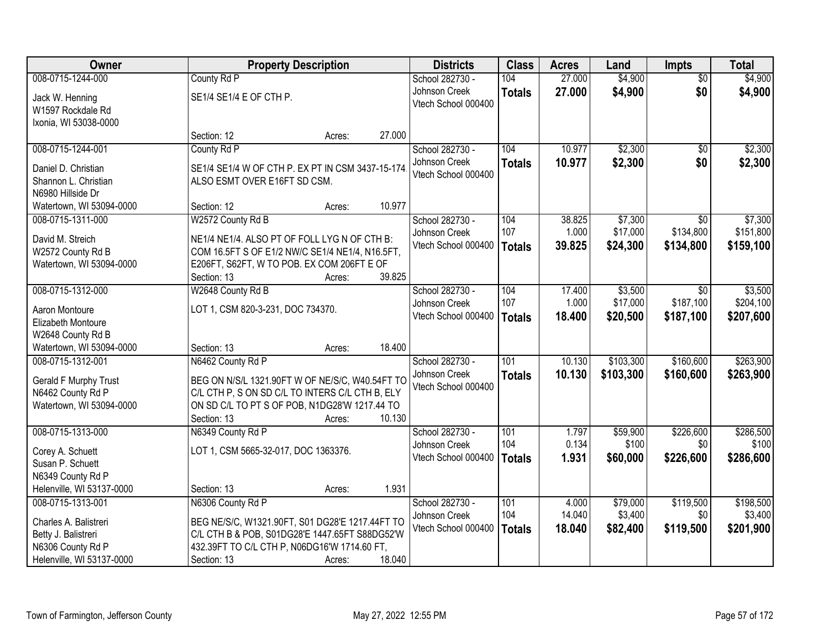| Owner                     |                                                  | <b>Property Description</b> |        | <b>Districts</b>    | <b>Class</b>     | <b>Acres</b> | Land      | <b>Impts</b>    | <b>Total</b> |
|---------------------------|--------------------------------------------------|-----------------------------|--------|---------------------|------------------|--------------|-----------|-----------------|--------------|
| 008-0715-1244-000         | County Rd P                                      |                             |        | School 282730 -     | 104              | 27.000       | \$4,900   | $\overline{50}$ | \$4,900      |
| Jack W. Henning           | SE1/4 SE1/4 E OF CTH P.                          |                             |        | Johnson Creek       | <b>Totals</b>    | 27.000       | \$4,900   | \$0             | \$4,900      |
| W1597 Rockdale Rd         |                                                  |                             |        | Vtech School 000400 |                  |              |           |                 |              |
| Ixonia, WI 53038-0000     |                                                  |                             |        |                     |                  |              |           |                 |              |
|                           | Section: 12                                      | Acres:                      | 27.000 |                     |                  |              |           |                 |              |
| 008-0715-1244-001         | County Rd P                                      |                             |        | School 282730 -     | 104              | 10.977       | \$2,300   | $\overline{50}$ | \$2,300      |
| Daniel D. Christian       | SE1/4 SE1/4 W OF CTH P. EX PT IN CSM 3437-15-174 |                             |        | Johnson Creek       | <b>Totals</b>    | 10.977       | \$2,300   | \$0             | \$2,300      |
| Shannon L. Christian      | ALSO ESMT OVER E16FT SD CSM.                     |                             |        | Vtech School 000400 |                  |              |           |                 |              |
| N6980 Hillside Dr         |                                                  |                             |        |                     |                  |              |           |                 |              |
| Watertown, WI 53094-0000  | Section: 12                                      | Acres:                      | 10.977 |                     |                  |              |           |                 |              |
| 008-0715-1311-000         | W2572 County Rd B                                |                             |        | School 282730 -     | 104              | 38.825       | \$7,300   | $\overline{30}$ | \$7,300      |
| David M. Streich          | NE1/4 NE1/4. ALSO PT OF FOLL LYG N OF CTH B:     |                             |        | Johnson Creek       | 107              | 1.000        | \$17,000  | \$134,800       | \$151,800    |
| W2572 County Rd B         | COM 16.5FT S OF E1/2 NW/C SE1/4 NE1/4, N16.5FT,  |                             |        | Vtech School 000400 | Totals           | 39.825       | \$24,300  | \$134,800       | \$159,100    |
| Watertown, WI 53094-0000  | E206FT, S62FT, W TO POB. EX COM 206FT E OF       |                             |        |                     |                  |              |           |                 |              |
|                           | Section: 13                                      | Acres:                      | 39.825 |                     |                  |              |           |                 |              |
| 008-0715-1312-000         | W2648 County Rd B                                |                             |        | School 282730 -     | 104              | 17.400       | \$3,500   | $\sqrt{6}$      | \$3,500      |
| Aaron Montoure            | LOT 1, CSM 820-3-231, DOC 734370.                |                             |        | Johnson Creek       | 107              | 1.000        | \$17,000  | \$187,100       | \$204,100    |
| Elizabeth Montoure        |                                                  |                             |        | Vtech School 000400 | Totals           | 18.400       | \$20,500  | \$187,100       | \$207,600    |
| W2648 County Rd B         |                                                  |                             |        |                     |                  |              |           |                 |              |
| Watertown, WI 53094-0000  | Section: 13                                      | Acres:                      | 18.400 |                     |                  |              |           |                 |              |
| 008-0715-1312-001         | N6462 County Rd P                                |                             |        | School 282730 -     | $\overline{101}$ | 10.130       | \$103,300 | \$160,600       | \$263,900    |
| Gerald F Murphy Trust     | BEG ON N/S/L 1321.90FT W OF NE/S/C, W40.54FT TO  |                             |        | Johnson Creek       | <b>Totals</b>    | 10.130       | \$103,300 | \$160,600       | \$263,900    |
| N6462 County Rd P         | C/L CTH P, S ON SD C/L TO INTERS C/L CTH B, ELY  |                             |        | Vtech School 000400 |                  |              |           |                 |              |
| Watertown, WI 53094-0000  | ON SD C/L TO PT S OF POB, N1DG28'W 1217.44 TO    |                             |        |                     |                  |              |           |                 |              |
|                           | Section: 13                                      | Acres:                      | 10.130 |                     |                  |              |           |                 |              |
| 008-0715-1313-000         | N6349 County Rd P                                |                             |        | School 282730 -     | 101              | 1.797        | \$59,900  | \$226,600       | \$286,500    |
| Corey A. Schuett          | LOT 1, CSM 5665-32-017, DOC 1363376.             |                             |        | Johnson Creek       | 104              | 0.134        | \$100     | \$0             | \$100        |
| Susan P. Schuett          |                                                  |                             |        | Vtech School 000400 | <b>Totals</b>    | 1.931        | \$60,000  | \$226,600       | \$286,600    |
| N6349 County Rd P         |                                                  |                             |        |                     |                  |              |           |                 |              |
| Helenville, WI 53137-0000 | Section: 13                                      | Acres:                      | 1.931  |                     |                  |              |           |                 |              |
| 008-0715-1313-001         | N6306 County Rd P                                |                             |        | School 282730 -     | 101              | 4.000        | \$79,000  | \$119,500       | \$198,500    |
| Charles A. Balistreri     | BEG NE/S/C, W1321.90FT, S01 DG28'E 1217.44FT TO  |                             |        | Johnson Creek       | 104              | 14.040       | \$3,400   | \$0             | \$3,400      |
| Betty J. Balistreri       | C/L CTH B & POB, S01DG28'E 1447.65FT S88DG52'W   |                             |        | Vtech School 000400 | <b>Totals</b>    | 18.040       | \$82,400  | \$119,500       | \$201,900    |
| N6306 County Rd P         | 432.39FT TO C/L CTH P, N06DG16'W 1714.60 FT,     |                             |        |                     |                  |              |           |                 |              |
| Helenville, WI 53137-0000 | Section: 13                                      | Acres:                      | 18.040 |                     |                  |              |           |                 |              |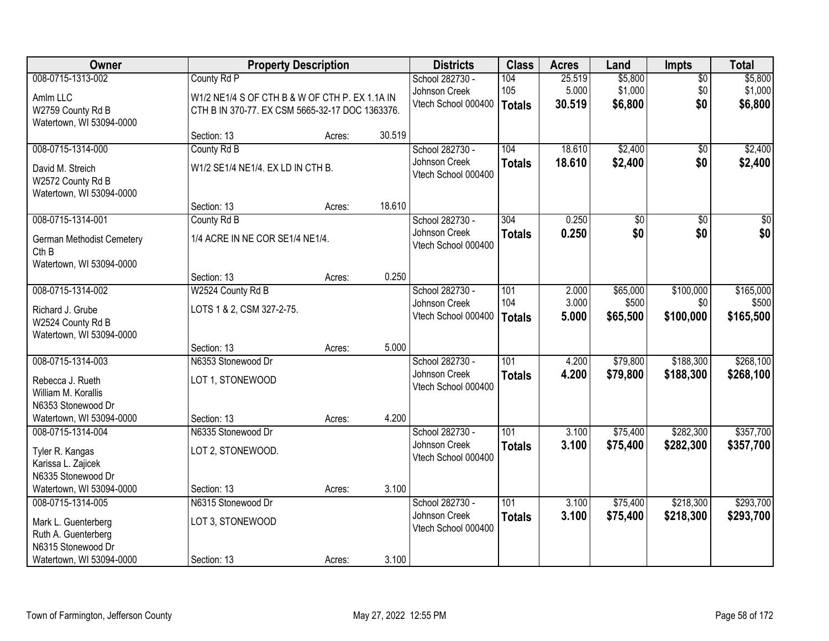| Owner                                                             |                                                                                                   | <b>Property Description</b> |        | <b>Districts</b>                     | <b>Class</b>         | <b>Acres</b>    | Land               | <b>Impts</b>    | <b>Total</b>       |
|-------------------------------------------------------------------|---------------------------------------------------------------------------------------------------|-----------------------------|--------|--------------------------------------|----------------------|-----------------|--------------------|-----------------|--------------------|
| 008-0715-1313-002                                                 | County Rd P                                                                                       |                             |        | School 282730 -                      | 104                  | 25.519          | \$5,800            | $\overline{50}$ | \$5,800            |
| Amlm LLC<br>W2759 County Rd B<br>Watertown, WI 53094-0000         | W1/2 NE1/4 S OF CTH B & W OF CTH P. EX 1.1A IN<br>CTH B IN 370-77. EX CSM 5665-32-17 DOC 1363376. |                             |        | Johnson Creek<br>Vtech School 000400 | 105<br><b>Totals</b> | 5.000<br>30.519 | \$1,000<br>\$6,800 | \$0<br>\$0      | \$1,000<br>\$6,800 |
|                                                                   | Section: 13                                                                                       | Acres:                      | 30.519 |                                      |                      |                 |                    |                 |                    |
| 008-0715-1314-000                                                 | County Rd B                                                                                       |                             |        | School 282730 -                      | 104                  | 18.610          | \$2,400            | $\overline{50}$ | \$2,400            |
| David M. Streich<br>W2572 County Rd B<br>Watertown, WI 53094-0000 | W1/2 SE1/4 NE1/4. EX LD IN CTH B.                                                                 |                             |        | Johnson Creek<br>Vtech School 000400 | <b>Totals</b>        | 18.610          | \$2,400            | \$0             | \$2,400            |
|                                                                   | Section: 13                                                                                       | Acres:                      | 18.610 |                                      |                      |                 |                    |                 |                    |
| 008-0715-1314-001                                                 | County Rd B                                                                                       |                             |        | School 282730 -                      | 304                  | 0.250           | $\overline{50}$    | $\overline{50}$ | $\overline{30}$    |
| German Methodist Cemetery<br>Cth B                                | 1/4 ACRE IN NE COR SE1/4 NE1/4.                                                                   |                             |        | Johnson Creek<br>Vtech School 000400 | <b>Totals</b>        | 0.250           | \$0                | \$0             | \$0                |
| Watertown, WI 53094-0000                                          | Section: 13                                                                                       | Acres:                      | 0.250  |                                      |                      |                 |                    |                 |                    |
| 008-0715-1314-002                                                 | W2524 County Rd B                                                                                 |                             |        | School 282730 -                      | 101                  | 2.000           | \$65,000           | \$100,000       | \$165,000          |
|                                                                   |                                                                                                   |                             |        | Johnson Creek                        | 104                  | 3.000           | \$500              | \$0             | \$500              |
| Richard J. Grube                                                  | LOTS 1 & 2, CSM 327-2-75.                                                                         |                             |        | Vtech School 000400                  | <b>Totals</b>        | 5.000           | \$65,500           | \$100,000       | \$165,500          |
| W2524 County Rd B<br>Watertown, WI 53094-0000                     |                                                                                                   |                             |        |                                      |                      |                 |                    |                 |                    |
|                                                                   | Section: 13                                                                                       | Acres:                      | 5.000  |                                      |                      |                 |                    |                 |                    |
| 008-0715-1314-003                                                 | N6353 Stonewood Dr                                                                                |                             |        | School 282730 -                      | 101                  | 4.200           | \$79,800           | \$188,300       | \$268,100          |
| Rebecca J. Rueth                                                  | LOT 1, STONEWOOD                                                                                  |                             |        | Johnson Creek                        | <b>Totals</b>        | 4.200           | \$79,800           | \$188,300       | \$268,100          |
| William M. Korallis                                               |                                                                                                   |                             |        | Vtech School 000400                  |                      |                 |                    |                 |                    |
| N6353 Stonewood Dr                                                |                                                                                                   |                             |        |                                      |                      |                 |                    |                 |                    |
| Watertown, WI 53094-0000                                          | Section: 13                                                                                       | Acres:                      | 4.200  |                                      |                      |                 |                    |                 |                    |
| 008-0715-1314-004                                                 | N6335 Stonewood Dr                                                                                |                             |        | School 282730 -                      | 101                  | 3.100           | \$75,400           | \$282,300       | \$357,700          |
| Tyler R. Kangas                                                   | LOT 2, STONEWOOD.                                                                                 |                             |        | Johnson Creek                        | <b>Totals</b>        | 3.100           | \$75,400           | \$282,300       | \$357,700          |
| Karissa L. Zajicek                                                |                                                                                                   |                             |        | Vtech School 000400                  |                      |                 |                    |                 |                    |
| N6335 Stonewood Dr                                                |                                                                                                   |                             |        |                                      |                      |                 |                    |                 |                    |
| Watertown, WI 53094-0000                                          | Section: 13                                                                                       | Acres:                      | 3.100  |                                      |                      |                 |                    |                 |                    |
| 008-0715-1314-005                                                 | N6315 Stonewood Dr                                                                                |                             |        | School 282730 -                      | 101                  | 3.100           | \$75,400           | \$218,300       | \$293,700          |
| Mark L. Guenterberg                                               | LOT 3, STONEWOOD                                                                                  |                             |        | Johnson Creek                        | <b>Totals</b>        | 3.100           | \$75,400           | \$218,300       | \$293,700          |
| Ruth A. Guenterberg                                               |                                                                                                   |                             |        | Vtech School 000400                  |                      |                 |                    |                 |                    |
| N6315 Stonewood Dr                                                |                                                                                                   |                             |        |                                      |                      |                 |                    |                 |                    |
| Watertown, WI 53094-0000                                          | Section: 13                                                                                       | Acres:                      | 3.100  |                                      |                      |                 |                    |                 |                    |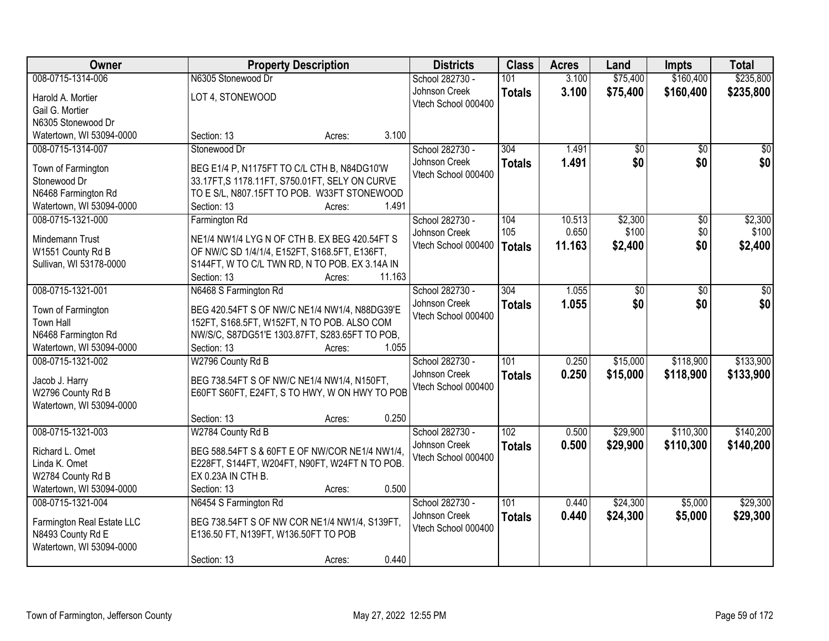| Owner                                        | <b>Property Description</b>                                                                    |        | <b>Districts</b>    | <b>Class</b>     | <b>Acres</b> | Land     | <b>Impts</b>    | <b>Total</b>    |
|----------------------------------------------|------------------------------------------------------------------------------------------------|--------|---------------------|------------------|--------------|----------|-----------------|-----------------|
| 008-0715-1314-006                            | N6305 Stonewood Dr                                                                             |        | School 282730 -     | 101              | 3.100        | \$75,400 | \$160,400       | \$235,800       |
| Harold A. Mortier                            | LOT 4, STONEWOOD                                                                               |        | Johnson Creek       | <b>Totals</b>    | 3.100        | \$75,400 | \$160,400       | \$235,800       |
| Gail G. Mortier                              |                                                                                                |        | Vtech School 000400 |                  |              |          |                 |                 |
| N6305 Stonewood Dr                           |                                                                                                |        |                     |                  |              |          |                 |                 |
| Watertown, WI 53094-0000                     | Section: 13<br>Acres:                                                                          | 3.100  |                     |                  |              |          |                 |                 |
| 008-0715-1314-007                            | Stonewood Dr                                                                                   |        | School 282730 -     | 304              | 1.491        | \$0      | $\overline{50}$ | $\overline{50}$ |
| Town of Farmington                           | BEG E1/4 P, N1175FT TO C/L CTH B, N84DG10'W                                                    |        | Johnson Creek       | <b>Totals</b>    | 1.491        | \$0      | \$0             | \$0             |
| Stonewood Dr                                 | 33.17FT, S 1178.11FT, S750.01FT, SELY ON CURVE                                                 |        | Vtech School 000400 |                  |              |          |                 |                 |
| N6468 Farmington Rd                          | TO E S/L, N807.15FT TO POB. W33FT STONEWOOD                                                    |        |                     |                  |              |          |                 |                 |
| Watertown, WI 53094-0000                     | Section: 13<br>Acres:                                                                          | 1.491  |                     |                  |              |          |                 |                 |
| 008-0715-1321-000                            | Farmington Rd                                                                                  |        | School 282730 -     | 104              | 10.513       | \$2,300  | \$0             | \$2,300         |
|                                              |                                                                                                |        | Johnson Creek       | 105              | 0.650        | \$100    | \$0             | \$100           |
| Mindemann Trust                              | NE1/4 NW1/4 LYG N OF CTH B. EX BEG 420.54FT S<br>OF NW/C SD 1/4/1/4, E152FT, S168.5FT, E136FT, |        | Vtech School 000400 | <b>Totals</b>    | 11.163       | \$2,400  | \$0             | \$2,400         |
| W1551 County Rd B<br>Sullivan, WI 53178-0000 | S144FT, W TO C/L TWN RD, N TO POB. EX 3.14A IN                                                 |        |                     |                  |              |          |                 |                 |
|                                              | Section: 13<br>Acres:                                                                          | 11.163 |                     |                  |              |          |                 |                 |
| 008-0715-1321-001                            | N6468 S Farmington Rd                                                                          |        | School 282730 -     | 304              | 1.055        | \$0      | $\overline{50}$ | \$0             |
|                                              |                                                                                                |        | Johnson Creek       | <b>Totals</b>    | 1.055        | \$0      | \$0             | \$0             |
| Town of Farmington                           | BEG 420.54FT S OF NW/C NE1/4 NW1/4, N88DG39'E                                                  |        | Vtech School 000400 |                  |              |          |                 |                 |
| Town Hall                                    | 152FT, S168.5FT, W152FT, N TO POB. ALSO COM                                                    |        |                     |                  |              |          |                 |                 |
| N6468 Farmington Rd                          | NW/S/C, S87DG51'E 1303.87FT, S283.65FT TO POB,                                                 |        |                     |                  |              |          |                 |                 |
| Watertown, WI 53094-0000                     | Section: 13<br>Acres:                                                                          | 1.055  |                     |                  |              |          |                 |                 |
| 008-0715-1321-002                            | W2796 County Rd B                                                                              |        | School 282730 -     | $\overline{101}$ | 0.250        | \$15,000 | \$118,900       | \$133,900       |
| Jacob J. Harry                               | BEG 738.54FT S OF NW/C NE1/4 NW1/4, N150FT,                                                    |        | Johnson Creek       | <b>Totals</b>    | 0.250        | \$15,000 | \$118,900       | \$133,900       |
| W2796 County Rd B                            | E60FT S60FT, E24FT, S TO HWY, W ON HWY TO POB                                                  |        | Vtech School 000400 |                  |              |          |                 |                 |
| Watertown, WI 53094-0000                     |                                                                                                |        |                     |                  |              |          |                 |                 |
|                                              | Section: 13<br>Acres:                                                                          | 0.250  |                     |                  |              |          |                 |                 |
| 008-0715-1321-003                            | W2784 County Rd B                                                                              |        | School 282730 -     | 102              | 0.500        | \$29,900 | \$110,300       | \$140,200       |
| Richard L. Omet                              | BEG 588.54FT S & 60FT E OF NW/COR NE1/4 NW1/4,                                                 |        | Johnson Creek       | <b>Totals</b>    | 0.500        | \$29,900 | \$110,300       | \$140,200       |
| Linda K. Omet                                | E228FT, S144FT, W204FT, N90FT, W24FT N TO POB.                                                 |        | Vtech School 000400 |                  |              |          |                 |                 |
| W2784 County Rd B                            | EX 0.23A IN CTH B.                                                                             |        |                     |                  |              |          |                 |                 |
| Watertown, WI 53094-0000                     | Section: 13<br>Acres:                                                                          | 0.500  |                     |                  |              |          |                 |                 |
| 008-0715-1321-004                            | N6454 S Farmington Rd                                                                          |        | School 282730 -     | 101              | 0.440        | \$24,300 | \$5,000         | \$29,300        |
| Farmington Real Estate LLC                   | BEG 738.54FT S OF NW COR NE1/4 NW1/4, S139FT,                                                  |        | Johnson Creek       | <b>Totals</b>    | 0.440        | \$24,300 | \$5,000         | \$29,300        |
| N8493 County Rd E                            | E136.50 FT, N139FT, W136.50FT TO POB                                                           |        | Vtech School 000400 |                  |              |          |                 |                 |
| Watertown, WI 53094-0000                     |                                                                                                |        |                     |                  |              |          |                 |                 |
|                                              | Section: 13<br>Acres:                                                                          | 0.440  |                     |                  |              |          |                 |                 |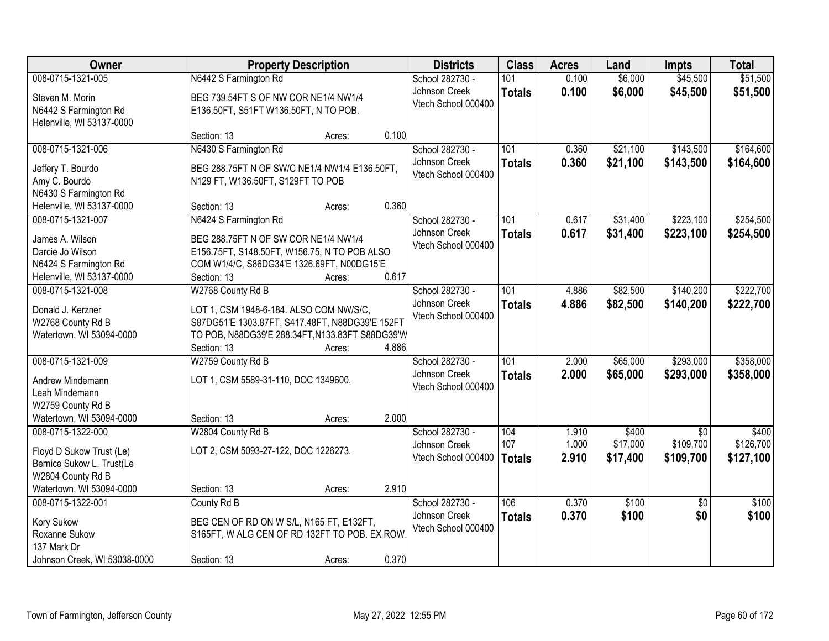| Owner                                         |                                                                                            | <b>Property Description</b> |       | <b>Districts</b>    | <b>Class</b>     | <b>Acres</b> | Land     | <b>Impts</b>    | <b>Total</b> |
|-----------------------------------------------|--------------------------------------------------------------------------------------------|-----------------------------|-------|---------------------|------------------|--------------|----------|-----------------|--------------|
| 008-0715-1321-005                             | N6442 S Farmington Rd                                                                      |                             |       | School 282730 -     | 101              | 0.100        | \$6,000  | \$45,500        | \$51,500     |
| Steven M. Morin                               | BEG 739.54FT S OF NW COR NE1/4 NW1/4                                                       |                             |       | Johnson Creek       | <b>Totals</b>    | 0.100        | \$6,000  | \$45,500        | \$51,500     |
| N6442 S Farmington Rd                         | E136.50FT, S51FT W136.50FT, N TO POB.                                                      |                             |       | Vtech School 000400 |                  |              |          |                 |              |
| Helenville, WI 53137-0000                     |                                                                                            |                             |       |                     |                  |              |          |                 |              |
|                                               | Section: 13                                                                                | Acres:                      | 0.100 |                     |                  |              |          |                 |              |
| 008-0715-1321-006                             | N6430 S Farmington Rd                                                                      |                             |       | School 282730 -     | 101              | 0.360        | \$21,100 | \$143,500       | \$164,600    |
| Jeffery T. Bourdo                             | BEG 288.75FT N OF SW/C NE1/4 NW1/4 E136.50FT,                                              |                             |       | Johnson Creek       | <b>Totals</b>    | 0.360        | \$21,100 | \$143,500       | \$164,600    |
| Amy C. Bourdo                                 | N129 FT, W136.50FT, S129FT TO POB                                                          |                             |       | Vtech School 000400 |                  |              |          |                 |              |
| N6430 S Farmington Rd                         |                                                                                            |                             |       |                     |                  |              |          |                 |              |
| Helenville, WI 53137-0000                     | Section: 13                                                                                | Acres:                      | 0.360 |                     |                  |              |          |                 |              |
| 008-0715-1321-007                             | N6424 S Farmington Rd                                                                      |                             |       | School 282730 -     | 101              | 0.617        | \$31,400 | \$223,100       | \$254,500    |
| James A. Wilson                               | BEG 288.75FT N OF SW COR NE1/4 NW1/4                                                       |                             |       | Johnson Creek       | <b>Totals</b>    | 0.617        | \$31,400 | \$223,100       | \$254,500    |
| Darcie Jo Wilson                              | E156.75FT, S148.50FT, W156.75, N TO POB ALSO                                               |                             |       | Vtech School 000400 |                  |              |          |                 |              |
| N6424 S Farmington Rd                         | COM W1/4/C, S86DG34'E 1326.69FT, N00DG15'E                                                 |                             |       |                     |                  |              |          |                 |              |
| Helenville, WI 53137-0000                     | Section: 13                                                                                | Acres:                      | 0.617 |                     |                  |              |          |                 |              |
| 008-0715-1321-008                             | W2768 County Rd B                                                                          |                             |       | School 282730 -     | 101              | 4.886        | \$82,500 | \$140,200       | \$222,700    |
| Donald J. Kerzner                             |                                                                                            |                             |       | Johnson Creek       | <b>Totals</b>    | 4.886        | \$82,500 | \$140,200       | \$222,700    |
| W2768 County Rd B                             | LOT 1, CSM 1948-6-184. ALSO COM NW/S/C,<br>S87DG51'E 1303.87FT, S417.48FT, N88DG39'E 152FT |                             |       | Vtech School 000400 |                  |              |          |                 |              |
| Watertown, WI 53094-0000                      | TO POB, N88DG39'E 288.34FT, N133.83FT S88DG39'W                                            |                             |       |                     |                  |              |          |                 |              |
|                                               | Section: 13                                                                                | Acres:                      | 4.886 |                     |                  |              |          |                 |              |
| 008-0715-1321-009                             | W2759 County Rd B                                                                          |                             |       | School 282730 -     | $\overline{101}$ | 2.000        | \$65,000 | \$293,000       | \$358,000    |
|                                               |                                                                                            |                             |       | Johnson Creek       | <b>Totals</b>    | 2.000        | \$65,000 | \$293,000       | \$358,000    |
| Andrew Mindemann<br>Leah Mindemann            | LOT 1, CSM 5589-31-110, DOC 1349600.                                                       |                             |       | Vtech School 000400 |                  |              |          |                 |              |
| W2759 County Rd B                             |                                                                                            |                             |       |                     |                  |              |          |                 |              |
| Watertown, WI 53094-0000                      | Section: 13                                                                                | Acres:                      | 2.000 |                     |                  |              |          |                 |              |
| 008-0715-1322-000                             | W2804 County Rd B                                                                          |                             |       | School 282730 -     | 104              | 1.910        | \$400    | $\sqrt{6}$      | \$400        |
|                                               |                                                                                            |                             |       | Johnson Creek       | 107              | 1.000        | \$17,000 | \$109,700       | \$126,700    |
| Floyd D Sukow Trust (Le)                      | LOT 2, CSM 5093-27-122, DOC 1226273.                                                       |                             |       | Vtech School 000400 | <b>Totals</b>    | 2.910        | \$17,400 | \$109,700       | \$127,100    |
| Bernice Sukow L. Trust(Le                     |                                                                                            |                             |       |                     |                  |              |          |                 |              |
| W2804 County Rd B<br>Watertown, WI 53094-0000 | Section: 13                                                                                | Acres:                      | 2.910 |                     |                  |              |          |                 |              |
| 008-0715-1322-001                             | County Rd B                                                                                |                             |       | School 282730 -     | 106              | 0.370        | \$100    | $\overline{50}$ | \$100        |
|                                               |                                                                                            |                             |       | Johnson Creek       | <b>Totals</b>    | 0.370        | \$100    | \$0             | \$100        |
| Kory Sukow                                    | BEG CEN OF RD ON W S/L, N165 FT, E132FT,                                                   |                             |       | Vtech School 000400 |                  |              |          |                 |              |
| Roxanne Sukow                                 | S165FT, W ALG CEN OF RD 132FT TO POB. EX ROW.                                              |                             |       |                     |                  |              |          |                 |              |
| 137 Mark Dr                                   |                                                                                            |                             | 0.370 |                     |                  |              |          |                 |              |
| Johnson Creek, WI 53038-0000                  | Section: 13                                                                                | Acres:                      |       |                     |                  |              |          |                 |              |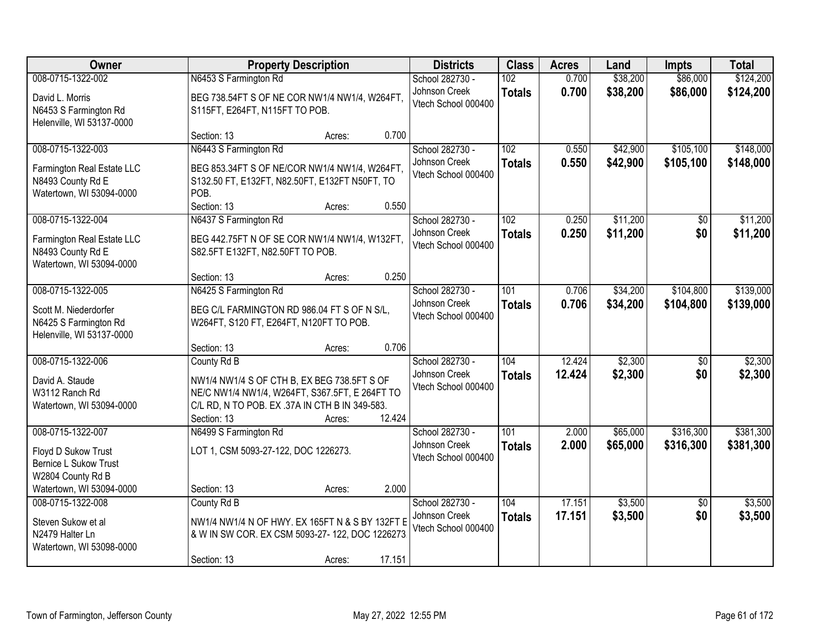| <b>Owner</b>                                                                                                              | <b>Property Description</b>                                                                                                                                                                          | <b>Districts</b>                                        | <b>Class</b>         | <b>Acres</b>     | Land                 | <b>Impts</b>           | <b>Total</b>           |
|---------------------------------------------------------------------------------------------------------------------------|------------------------------------------------------------------------------------------------------------------------------------------------------------------------------------------------------|---------------------------------------------------------|----------------------|------------------|----------------------|------------------------|------------------------|
| 008-0715-1322-002<br>David L. Morris<br>N6453 S Farmington Rd<br>Helenville, WI 53137-0000                                | N6453 S Farmington Rd<br>BEG 738.54FT S OF NE COR NW1/4 NW1/4, W264FT,<br>S115FT, E264FT, N115FT TO POB.                                                                                             | School 282730 -<br>Johnson Creek<br>Vtech School 000400 | 102<br><b>Totals</b> | 0.700<br>0.700   | \$38,200<br>\$38,200 | \$86,000<br>\$86,000   | \$124,200<br>\$124,200 |
| 008-0715-1322-003<br>Farmington Real Estate LLC<br>N8493 County Rd E<br>Watertown, WI 53094-0000                          | 0.700<br>Section: 13<br>Acres:<br>N6443 S Farmington Rd<br>BEG 853.34FT S OF NE/COR NW1/4 NW1/4, W264FT,<br>S132.50 FT, E132FT, N82.50FT, E132FT N50FT, TO<br>POB.<br>Section: 13<br>0.550<br>Acres: | School 282730 -<br>Johnson Creek<br>Vtech School 000400 | 102<br><b>Totals</b> | 0.550<br>0.550   | \$42,900<br>\$42,900 | \$105,100<br>\$105,100 | \$148,000<br>\$148,000 |
| 008-0715-1322-004<br>Farmington Real Estate LLC<br>N8493 County Rd E<br>Watertown, WI 53094-0000                          | N6437 S Farmington Rd<br>BEG 442.75FT N OF SE COR NW1/4 NW1/4, W132FT,<br>S82.5FT E132FT, N82.50FT TO POB.<br>0.250<br>Section: 13<br>Acres:                                                         | School 282730 -<br>Johnson Creek<br>Vtech School 000400 | 102<br><b>Totals</b> | 0.250<br>0.250   | \$11,200<br>\$11,200 | \$0<br>\$0             | \$11,200<br>\$11,200   |
| 008-0715-1322-005<br>Scott M. Niederdorfer<br>N6425 S Farmington Rd<br>Helenville, WI 53137-0000                          | N6425 S Farmington Rd<br>BEG C/L FARMINGTON RD 986.04 FT S OF N S/L,<br>W264FT, S120 FT, E264FT, N120FT TO POB.<br>0.706<br>Section: 13<br>Acres:                                                    | School 282730 -<br>Johnson Creek<br>Vtech School 000400 | 101<br><b>Totals</b> | 0.706<br>0.706   | \$34,200<br>\$34,200 | \$104,800<br>\$104,800 | \$139,000<br>\$139,000 |
| 008-0715-1322-006<br>David A. Staude<br>W3112 Ranch Rd<br>Watertown, WI 53094-0000                                        | County Rd B<br>NW1/4 NW1/4 S OF CTH B, EX BEG 738.5FT S OF<br>NE/C NW1/4 NW1/4, W264FT, S367.5FT, E 264FT TO<br>C/L RD, N TO POB. EX .37A IN CTH B IN 349-583.<br>12.424<br>Section: 13<br>Acres:    | School 282730 -<br>Johnson Creek<br>Vtech School 000400 | 104<br><b>Totals</b> | 12.424<br>12.424 | \$2,300<br>\$2,300   | $\overline{50}$<br>\$0 | \$2,300<br>\$2,300     |
| 008-0715-1322-007<br>Floyd D Sukow Trust<br><b>Bernice L Sukow Trust</b><br>W2804 County Rd B<br>Watertown, WI 53094-0000 | N6499 S Farmington Rd<br>LOT 1, CSM 5093-27-122, DOC 1226273.<br>2.000<br>Section: 13<br>Acres:                                                                                                      | School 282730 -<br>Johnson Creek<br>Vtech School 000400 | 101<br><b>Totals</b> | 2.000<br>2.000   | \$65,000<br>\$65,000 | \$316,300<br>\$316,300 | \$381,300<br>\$381,300 |
| 008-0715-1322-008<br>Steven Sukow et al<br>N2479 Halter Ln<br>Watertown, WI 53098-0000                                    | County Rd B<br>NW1/4 NW1/4 N OF HWY. EX 165FT N & S BY 132FT E<br>& W IN SW COR. EX CSM 5093-27-122, DOC 1226273<br>17.151<br>Section: 13<br>Acres:                                                  | School 282730 -<br>Johnson Creek<br>Vtech School 000400 | 104<br><b>Totals</b> | 17.151<br>17.151 | \$3,500<br>\$3,500   | $\overline{50}$<br>\$0 | \$3,500<br>\$3,500     |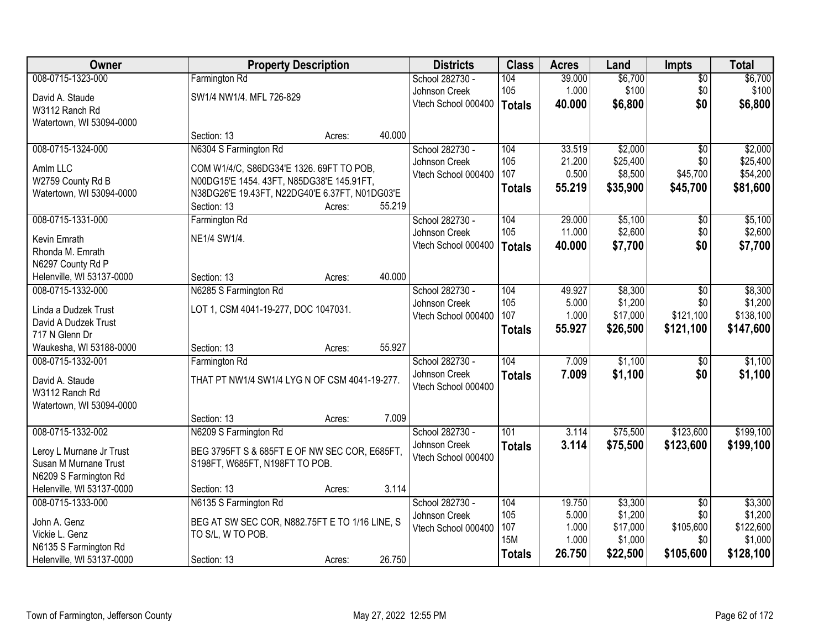| Owner                     |                                                | <b>Property Description</b> |        | <b>Districts</b>    | <b>Class</b>  | <b>Acres</b> | Land     | Impts           | <b>Total</b> |
|---------------------------|------------------------------------------------|-----------------------------|--------|---------------------|---------------|--------------|----------|-----------------|--------------|
| 008-0715-1323-000         | Farmington Rd                                  |                             |        | School 282730 -     | 104           | 39.000       | \$6,700  | $\overline{50}$ | \$6,700      |
| David A. Staude           | SW1/4 NW1/4. MFL 726-829                       |                             |        | Johnson Creek       | 105           | 1.000        | \$100    | \$0             | \$100        |
| W3112 Ranch Rd            |                                                |                             |        | Vtech School 000400 | Totals        | 40.000       | \$6,800  | \$0             | \$6,800      |
| Watertown, WI 53094-0000  |                                                |                             |        |                     |               |              |          |                 |              |
|                           | Section: 13                                    | Acres:                      | 40.000 |                     |               |              |          |                 |              |
| 008-0715-1324-000         | N6304 S Farmington Rd                          |                             |        | School 282730 -     | 104           | 33.519       | \$2,000  | $\overline{50}$ | \$2,000      |
| Amlm LLC                  | COM W1/4/C, S86DG34'E 1326. 69FT TO POB,       |                             |        | Johnson Creek       | 105           | 21.200       | \$25,400 | \$0             | \$25,400     |
| W2759 County Rd B         | N00DG15'E 1454. 43FT, N85DG38'E 145.91FT,      |                             |        | Vtech School 000400 | 107           | 0.500        | \$8,500  | \$45,700        | \$54,200     |
| Watertown, WI 53094-0000  | N38DG26'E 19.43FT, N22DG40'E 6.37FT, N01DG03'E |                             |        |                     | <b>Totals</b> | 55.219       | \$35,900 | \$45,700        | \$81,600     |
|                           | Section: 13                                    | Acres:                      | 55.219 |                     |               |              |          |                 |              |
| 008-0715-1331-000         | Farmington Rd                                  |                             |        | School 282730 -     | 104           | 29.000       | \$5,100  | \$0             | \$5,100      |
| Kevin Emrath              | NE1/4 SW1/4.                                   |                             |        | Johnson Creek       | 105           | 11.000       | \$2,600  | \$0             | \$2,600      |
| Rhonda M. Emrath          |                                                |                             |        | Vtech School 000400 | <b>Totals</b> | 40.000       | \$7,700  | \$0             | \$7,700      |
| N6297 County Rd P         |                                                |                             |        |                     |               |              |          |                 |              |
| Helenville, WI 53137-0000 | Section: 13                                    | Acres:                      | 40.000 |                     |               |              |          |                 |              |
| 008-0715-1332-000         | N6285 S Farmington Rd                          |                             |        | School 282730 -     | 104           | 49.927       | \$8,300  | \$0             | \$8,300      |
| Linda a Dudzek Trust      | LOT 1, CSM 4041-19-277, DOC 1047031.           |                             |        | Johnson Creek       | 105           | 5.000        | \$1,200  | \$0             | \$1,200      |
| David A Dudzek Trust      |                                                |                             |        | Vtech School 000400 | 107           | 1.000        | \$17,000 | \$121,100       | \$138,100    |
| 717 N Glenn Dr            |                                                |                             |        |                     | <b>Totals</b> | 55.927       | \$26,500 | \$121,100       | \$147,600    |
| Waukesha, WI 53188-0000   | Section: 13                                    | Acres:                      | 55.927 |                     |               |              |          |                 |              |
| 008-0715-1332-001         | Farmington Rd                                  |                             |        | School 282730 -     | 104           | 7.009        | \$1,100  | \$0             | \$1,100      |
| David A. Staude           | THAT PT NW1/4 SW1/4 LYG N OF CSM 4041-19-277.  |                             |        | Johnson Creek       | <b>Totals</b> | 7.009        | \$1,100  | \$0             | \$1,100      |
| W3112 Ranch Rd            |                                                |                             |        | Vtech School 000400 |               |              |          |                 |              |
| Watertown, WI 53094-0000  |                                                |                             |        |                     |               |              |          |                 |              |
|                           | Section: 13                                    | Acres:                      | 7.009  |                     |               |              |          |                 |              |
| 008-0715-1332-002         | N6209 S Farmington Rd                          |                             |        | School 282730 -     | 101           | 3.114        | \$75,500 | \$123,600       | \$199,100    |
| Leroy L Murnane Jr Trust  | BEG 3795FT S & 685FT E OF NW SEC COR, E685FT,  |                             |        | Johnson Creek       | <b>Totals</b> | 3.114        | \$75,500 | \$123,600       | \$199,100    |
| Susan M Murnane Trust     | S198FT, W685FT, N198FT TO POB.                 |                             |        | Vtech School 000400 |               |              |          |                 |              |
| N6209 S Farmington Rd     |                                                |                             |        |                     |               |              |          |                 |              |
| Helenville, WI 53137-0000 | Section: 13                                    | Acres:                      | 3.114  |                     |               |              |          |                 |              |
| 008-0715-1333-000         | N6135 S Farmington Rd                          |                             |        | School 282730 -     | 104           | 19.750       | \$3,300  | $\overline{50}$ | \$3,300      |
| John A. Genz              | BEG AT SW SEC COR, N882.75FT E TO 1/16 LINE, S |                             |        | Johnson Creek       | 105           | 5.000        | \$1,200  | \$0             | \$1,200      |
| Vickie L. Genz            | TO S/L, W TO POB.                              |                             |        | Vtech School 000400 | 107           | 1.000        | \$17,000 | \$105,600       | \$122,600    |
| N6135 S Farmington Rd     |                                                |                             |        |                     | <b>15M</b>    | 1.000        | \$1,000  | \$0             | \$1,000      |
| Helenville, WI 53137-0000 | Section: 13                                    | Acres:                      | 26.750 |                     | <b>Totals</b> | 26.750       | \$22,500 | \$105,600       | \$128,100    |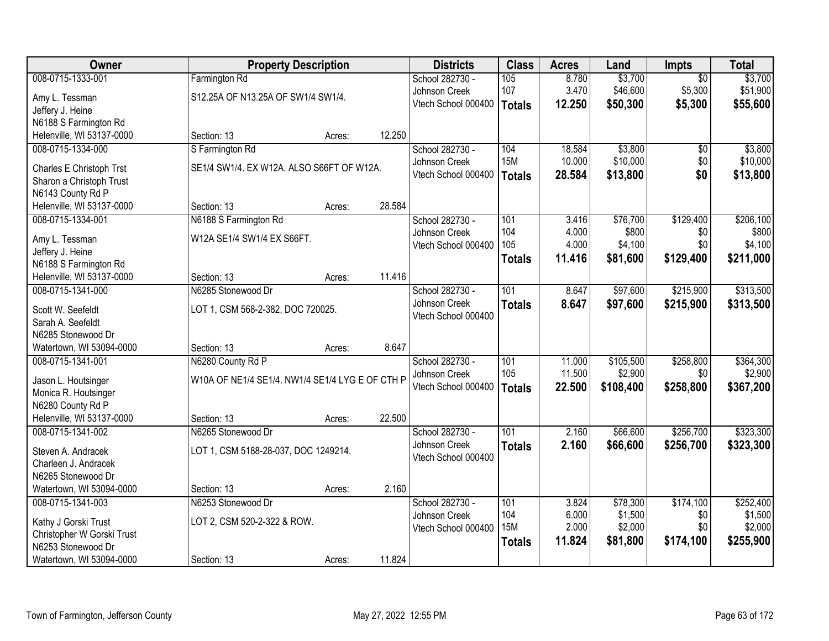| Owner                                          |                                                 | <b>Property Description</b> |        | <b>Districts</b>                     | <b>Class</b>  | <b>Acres</b> | Land      | Impts           | <b>Total</b> |
|------------------------------------------------|-------------------------------------------------|-----------------------------|--------|--------------------------------------|---------------|--------------|-----------|-----------------|--------------|
| 008-0715-1333-001                              | Farmington Rd                                   |                             |        | School 282730 -                      | 105           | 8.780        | \$3,700   | $\overline{50}$ | \$3,700      |
| Amy L. Tessman                                 | S12.25A OF N13.25A OF SW1/4 SW1/4.              |                             |        | Johnson Creek                        | 107           | 3.470        | \$46,600  | \$5,300         | \$51,900     |
| Jeffery J. Heine                               |                                                 |                             |        | Vtech School 000400                  | <b>Totals</b> | 12.250       | \$50,300  | \$5,300         | \$55,600     |
| N6188 S Farmington Rd                          |                                                 |                             |        |                                      |               |              |           |                 |              |
| Helenville, WI 53137-0000                      | Section: 13                                     | Acres:                      | 12.250 |                                      |               |              |           |                 |              |
| 008-0715-1334-000                              | S Farmington Rd                                 |                             |        | School 282730 -                      | 104           | 18.584       | \$3,800   | \$0             | \$3,800      |
| Charles E Christoph Trst                       | SE1/4 SW1/4. EX W12A. ALSO S66FT OF W12A.       |                             |        | Johnson Creek                        | <b>15M</b>    | 10.000       | \$10,000  | \$0             | \$10,000     |
| Sharon a Christoph Trust                       |                                                 |                             |        | Vtech School 000400                  | <b>Totals</b> | 28.584       | \$13,800  | \$0             | \$13,800     |
| N6143 County Rd P                              |                                                 |                             |        |                                      |               |              |           |                 |              |
| Helenville, WI 53137-0000                      | Section: 13                                     | Acres:                      | 28.584 |                                      |               |              |           |                 |              |
| 008-0715-1334-001                              | N6188 S Farmington Rd                           |                             |        | School 282730 -                      | 101           | 3.416        | \$76,700  | \$129,400       | \$206,100    |
|                                                |                                                 |                             |        | Johnson Creek                        | 104           | 4.000        | \$800     | \$0             | \$800        |
| Amy L. Tessman<br>Jeffery J. Heine             | W12A SE1/4 SW1/4 EX S66FT.                      |                             |        | Vtech School 000400                  | 105           | 4.000        | \$4,100   | \$0             | \$4,100      |
| N6188 S Farmington Rd                          |                                                 |                             |        |                                      | <b>Totals</b> | 11.416       | \$81,600  | \$129,400       | \$211,000    |
| Helenville, WI 53137-0000                      | Section: 13                                     | Acres:                      | 11.416 |                                      |               |              |           |                 |              |
| 008-0715-1341-000                              | N6285 Stonewood Dr                              |                             |        | School 282730 -                      | 101           | 8.647        | \$97,600  | \$215,900       | \$313,500    |
|                                                |                                                 |                             |        | Johnson Creek                        | <b>Totals</b> | 8.647        | \$97,600  | \$215,900       | \$313,500    |
| Scott W. Seefeldt                              | LOT 1, CSM 568-2-382, DOC 720025.               |                             |        | Vtech School 000400                  |               |              |           |                 |              |
| Sarah A. Seefeldt                              |                                                 |                             |        |                                      |               |              |           |                 |              |
| N6285 Stonewood Dr<br>Watertown, WI 53094-0000 | Section: 13                                     |                             | 8.647  |                                      |               |              |           |                 |              |
| 008-0715-1341-001                              | N6280 County Rd P                               | Acres:                      |        | School 282730 -                      | 101           | 11.000       | \$105,500 | \$258,800       | \$364,300    |
|                                                |                                                 |                             |        | Johnson Creek                        | 105           | 11.500       | \$2,900   | \$0             | \$2,900      |
| Jason L. Houtsinger                            | W10A OF NE1/4 SE1/4. NW1/4 SE1/4 LYG E OF CTH P |                             |        | Vtech School 000400                  | <b>Totals</b> | 22.500       | \$108,400 | \$258,800       | \$367,200    |
| Monica R. Houtsinger                           |                                                 |                             |        |                                      |               |              |           |                 |              |
| N6280 County Rd P                              |                                                 |                             |        |                                      |               |              |           |                 |              |
| Helenville, WI 53137-0000                      | Section: 13                                     | Acres:                      | 22.500 |                                      |               |              |           |                 |              |
| 008-0715-1341-002                              | N6265 Stonewood Dr                              |                             |        | School 282730 -                      | 101           | 2.160        | \$66,600  | \$256,700       | \$323,300    |
| Steven A. Andracek                             | LOT 1, CSM 5188-28-037, DOC 1249214.            |                             |        | Johnson Creek<br>Vtech School 000400 | <b>Totals</b> | 2.160        | \$66,600  | \$256,700       | \$323,300    |
| Charleen J. Andracek                           |                                                 |                             |        |                                      |               |              |           |                 |              |
| N6265 Stonewood Dr                             |                                                 |                             |        |                                      |               |              |           |                 |              |
| Watertown, WI 53094-0000                       | Section: 13                                     | Acres:                      | 2.160  |                                      |               |              |           |                 |              |
| 008-0715-1341-003                              | N6253 Stonewood Dr                              |                             |        | School 282730 -                      | 101           | 3.824        | \$78,300  | \$174,100       | \$252,400    |
| Kathy J Gorski Trust                           | LOT 2, CSM 520-2-322 & ROW.                     |                             |        | Johnson Creek                        | 104           | 6.000        | \$1,500   | \$0             | \$1,500      |
| Christopher W Gorski Trust                     |                                                 |                             |        | Vtech School 000400                  | <b>15M</b>    | 2.000        | \$2,000   | \$0             | \$2,000      |
| N6253 Stonewood Dr                             |                                                 |                             |        |                                      | <b>Totals</b> | 11.824       | \$81,800  | \$174,100       | \$255,900    |
| Watertown, WI 53094-0000                       | Section: 13                                     | Acres:                      | 11.824 |                                      |               |              |           |                 |              |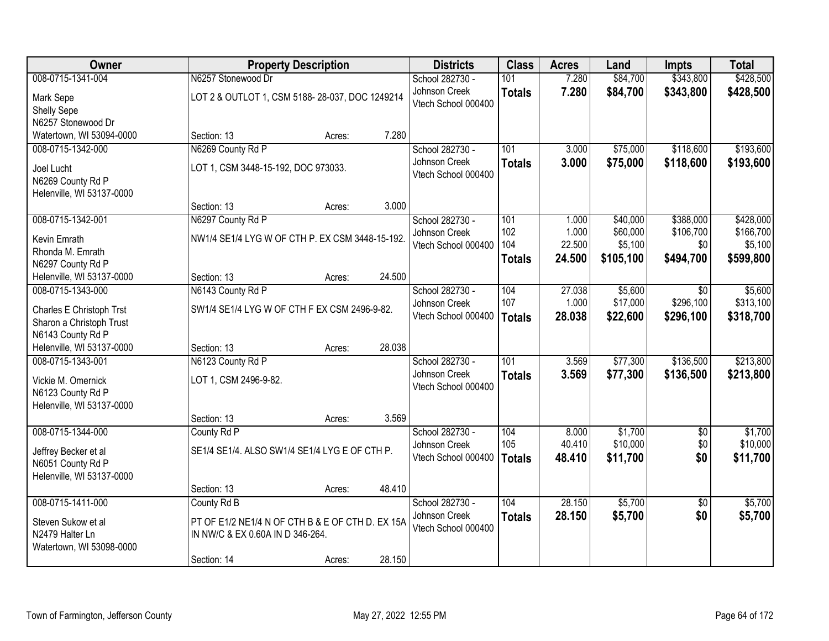| Owner                     |                                                  | <b>Property Description</b> |        | <b>Districts</b>    | <b>Class</b>  | <b>Acres</b> | Land      | <b>Impts</b>    | <b>Total</b> |
|---------------------------|--------------------------------------------------|-----------------------------|--------|---------------------|---------------|--------------|-----------|-----------------|--------------|
| 008-0715-1341-004         | N6257 Stonewood Dr                               |                             |        | School 282730 -     | 101           | 7.280        | \$84,700  | \$343,800       | \$428,500    |
| Mark Sepe                 | LOT 2 & OUTLOT 1, CSM 5188-28-037, DOC 1249214   |                             |        | Johnson Creek       | <b>Totals</b> | 7.280        | \$84,700  | \$343,800       | \$428,500    |
| Shelly Sepe               |                                                  |                             |        | Vtech School 000400 |               |              |           |                 |              |
| N6257 Stonewood Dr        |                                                  |                             |        |                     |               |              |           |                 |              |
| Watertown, WI 53094-0000  | Section: 13                                      | Acres:                      | 7.280  |                     |               |              |           |                 |              |
| 008-0715-1342-000         | N6269 County Rd P                                |                             |        | School 282730 -     | 101           | 3.000        | \$75,000  | \$118,600       | \$193,600    |
| Joel Lucht                | LOT 1, CSM 3448-15-192, DOC 973033.              |                             |        | Johnson Creek       | <b>Totals</b> | 3.000        | \$75,000  | \$118,600       | \$193,600    |
| N6269 County Rd P         |                                                  |                             |        | Vtech School 000400 |               |              |           |                 |              |
| Helenville, WI 53137-0000 |                                                  |                             |        |                     |               |              |           |                 |              |
|                           | Section: 13                                      | Acres:                      | 3.000  |                     |               |              |           |                 |              |
| 008-0715-1342-001         | N6297 County Rd P                                |                             |        | School 282730 -     | 101           | 1.000        | \$40,000  | \$388,000       | \$428,000    |
| Kevin Emrath              | NW1/4 SE1/4 LYG W OF CTH P. EX CSM 3448-15-192.  |                             |        | Johnson Creek       | 102           | 1.000        | \$60,000  | \$106,700       | \$166,700    |
| Rhonda M. Emrath          |                                                  |                             |        | Vtech School 000400 | 104           | 22.500       | \$5,100   | \$0             | \$5,100      |
| N6297 County Rd P         |                                                  |                             |        |                     | <b>Totals</b> | 24.500       | \$105,100 | \$494,700       | \$599,800    |
| Helenville, WI 53137-0000 | Section: 13                                      | Acres:                      | 24.500 |                     |               |              |           |                 |              |
| 008-0715-1343-000         | N6143 County Rd P                                |                             |        | School 282730 -     | 104           | 27.038       | \$5,600   | \$0             | \$5,600      |
| Charles E Christoph Trst  | SW1/4 SE1/4 LYG W OF CTH F EX CSM 2496-9-82.     |                             |        | Johnson Creek       | 107           | 1.000        | \$17,000  | \$296,100       | \$313,100    |
| Sharon a Christoph Trust  |                                                  |                             |        | Vtech School 000400 | <b>Totals</b> | 28.038       | \$22,600  | \$296,100       | \$318,700    |
| N6143 County Rd P         |                                                  |                             |        |                     |               |              |           |                 |              |
| Helenville, WI 53137-0000 | Section: 13                                      | Acres:                      | 28.038 |                     |               |              |           |                 |              |
| 008-0715-1343-001         | N6123 County Rd P                                |                             |        | School 282730 -     | 101           | 3.569        | \$77,300  | \$136,500       | \$213,800    |
| Vickie M. Omernick        | LOT 1, CSM 2496-9-82.                            |                             |        | Johnson Creek       | <b>Totals</b> | 3.569        | \$77,300  | \$136,500       | \$213,800    |
| N6123 County Rd P         |                                                  |                             |        | Vtech School 000400 |               |              |           |                 |              |
| Helenville, WI 53137-0000 |                                                  |                             |        |                     |               |              |           |                 |              |
|                           | Section: 13                                      | Acres:                      | 3.569  |                     |               |              |           |                 |              |
| 008-0715-1344-000         | County Rd P                                      |                             |        | School 282730 -     | 104           | 8.000        | \$1,700   | $\sqrt{6}$      | \$1,700      |
| Jeffrey Becker et al      | SE1/4 SE1/4. ALSO SW1/4 SE1/4 LYG E OF CTH P.    |                             |        | Johnson Creek       | 105           | 40.410       | \$10,000  | \$0             | \$10,000     |
| N6051 County Rd P         |                                                  |                             |        | Vtech School 000400 | <b>Totals</b> | 48.410       | \$11,700  | \$0             | \$11,700     |
| Helenville, WI 53137-0000 |                                                  |                             |        |                     |               |              |           |                 |              |
|                           | Section: 13                                      | Acres:                      | 48.410 |                     |               |              |           |                 |              |
| 008-0715-1411-000         | County Rd B                                      |                             |        | School 282730 -     | 104           | 28.150       | \$5,700   | $\overline{30}$ | \$5,700      |
| Steven Sukow et al        | PT OF E1/2 NE1/4 N OF CTH B & E OF CTH D. EX 15A |                             |        | Johnson Creek       | <b>Totals</b> | 28.150       | \$5,700   | \$0             | \$5,700      |
| N2479 Halter Ln           | IN NW/C & EX 0.60A IN D 346-264.                 |                             |        | Vtech School 000400 |               |              |           |                 |              |
| Watertown, WI 53098-0000  |                                                  |                             |        |                     |               |              |           |                 |              |
|                           | Section: 14                                      | Acres:                      | 28.150 |                     |               |              |           |                 |              |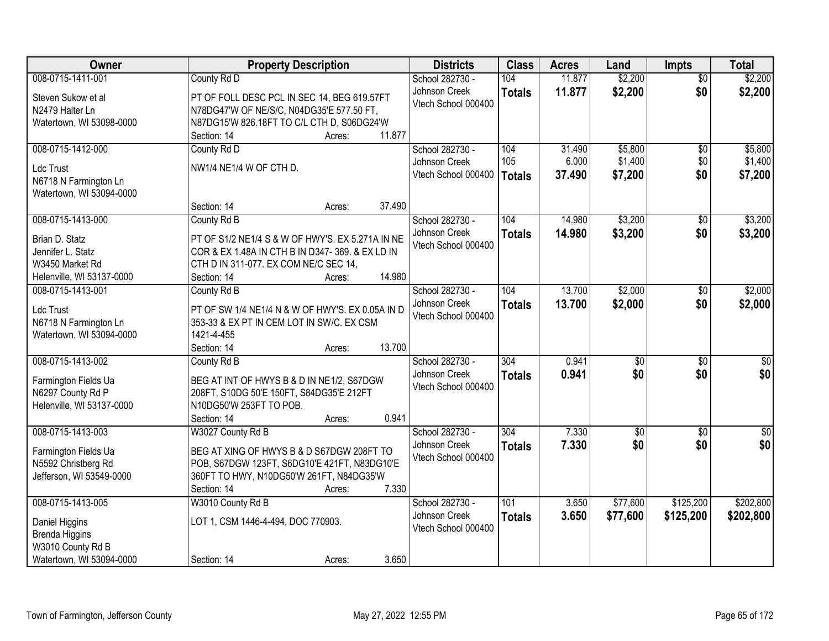| Owner                                                                                                         | <b>Property Description</b>                                                                                                                                                                  | <b>Districts</b>                                        | <b>Class</b>         | <b>Acres</b>              | Land                          | <b>Impts</b>                  | <b>Total</b>                  |
|---------------------------------------------------------------------------------------------------------------|----------------------------------------------------------------------------------------------------------------------------------------------------------------------------------------------|---------------------------------------------------------|----------------------|---------------------------|-------------------------------|-------------------------------|-------------------------------|
| 008-0715-1411-001<br>Steven Sukow et al<br>N2479 Halter Ln                                                    | County Rd D<br>PT OF FOLL DESC PCL IN SEC 14, BEG 619.57FT<br>N78DG47'W OF NE/S/C, N04DG35'E 577.50 FT,                                                                                      | School 282730 -<br>Johnson Creek<br>Vtech School 000400 | 104<br><b>Totals</b> | 11.877<br>11.877          | \$2,200<br>\$2,200            | $\overline{50}$<br>\$0        | \$2,200<br>\$2,200            |
| Watertown, WI 53098-0000                                                                                      | N87DG15'W 826.18FT TO C/L CTH D, S06DG24'W<br>11.877<br>Section: 14<br>Acres:                                                                                                                |                                                         |                      |                           |                               |                               |                               |
| 008-0715-1412-000<br>Ldc Trust<br>N6718 N Farmington Ln<br>Watertown, WI 53094-0000                           | County Rd D<br>NW1/4 NE1/4 W OF CTH D.                                                                                                                                                       | School 282730 -<br>Johnson Creek<br>Vtech School 000400 | 104<br>105<br>Totals | 31.490<br>6.000<br>37.490 | \$5,800<br>\$1,400<br>\$7,200 | $\overline{50}$<br>\$0<br>\$0 | \$5,800<br>\$1,400<br>\$7,200 |
| 008-0715-1413-000                                                                                             | 37.490<br>Section: 14<br>Acres:<br>County Rd B                                                                                                                                               | School 282730 -                                         | 104                  | 14.980                    | \$3,200                       | $\sqrt[6]{}$                  | \$3,200                       |
| Brian D. Statz<br>Jennifer L. Statz<br>W3450 Market Rd<br>Helenville, WI 53137-0000                           | PT OF S1/2 NE1/4 S & W OF HWY'S. EX 5.271A IN NE<br>COR & EX 1.48A IN CTH B IN D347-369. & EX LD IN<br>CTH D IN 311-077. EX COM NE/C SEC 14,<br>14.980<br>Section: 14<br>Acres:              | Johnson Creek<br>Vtech School 000400                    | <b>Totals</b>        | 14.980                    | \$3,200                       | \$0                           | \$3,200                       |
| 008-0715-1413-001<br>Ldc Trust<br>N6718 N Farmington Ln<br>Watertown, WI 53094-0000                           | County Rd B<br>PT OF SW 1/4 NE1/4 N & W OF HWY'S. EX 0.05A IN D<br>353-33 & EX PT IN CEM LOT IN SW/C. EX CSM<br>1421-4-455<br>13.700<br>Section: 14<br>Acres:                                | School 282730 -<br>Johnson Creek<br>Vtech School 000400 | 104<br><b>Totals</b> | 13.700<br>13.700          | \$2,000<br>\$2,000            | \$0<br>\$0                    | \$2,000<br>\$2,000            |
| 008-0715-1413-002<br>Farmington Fields Ua<br>N6297 County Rd P<br>Helenville, WI 53137-0000                   | County Rd B<br>BEG AT INT OF HWYS B & D IN NE1/2, S67DGW<br>208FT, S10DG 50'E 150FT, S84DG35'E 212FT<br>N10DG50'W 253FT TO POB.<br>0.941<br>Section: 14<br>Acres:                            | School 282730 -<br>Johnson Creek<br>Vtech School 000400 | 304<br><b>Totals</b> | 0.941<br>0.941            | $\overline{50}$<br>\$0        | \$0<br>\$0                    | $\overline{30}$<br>\$0        |
| 008-0715-1413-003<br>Farmington Fields Ua<br>N5592 Christberg Rd<br>Jefferson, WI 53549-0000                  | W3027 County Rd B<br>BEG AT XING OF HWYS B & D S67DGW 208FT TO<br>POB, S67DGW 123FT, S6DG10'E 421FT, N83DG10'E<br>360FT TO HWY, N10DG50'W 261FT, N84DG35'W<br>7.330<br>Section: 14<br>Acres: | School 282730 -<br>Johnson Creek<br>Vtech School 000400 | 304<br><b>Totals</b> | 7.330<br>7.330            | $\overline{50}$<br>\$0        | \$0<br>\$0                    | $\sqrt{50}$<br>\$0            |
| 008-0715-1413-005<br>Daniel Higgins<br><b>Brenda Higgins</b><br>W3010 County Rd B<br>Watertown, WI 53094-0000 | W3010 County Rd B<br>LOT 1, CSM 1446-4-494, DOC 770903.<br>3.650<br>Section: 14<br>Acres:                                                                                                    | School 282730 -<br>Johnson Creek<br>Vtech School 000400 | 101<br><b>Totals</b> | 3.650<br>3.650            | \$77,600<br>\$77,600          | \$125,200<br>\$125,200        | \$202,800<br>\$202,800        |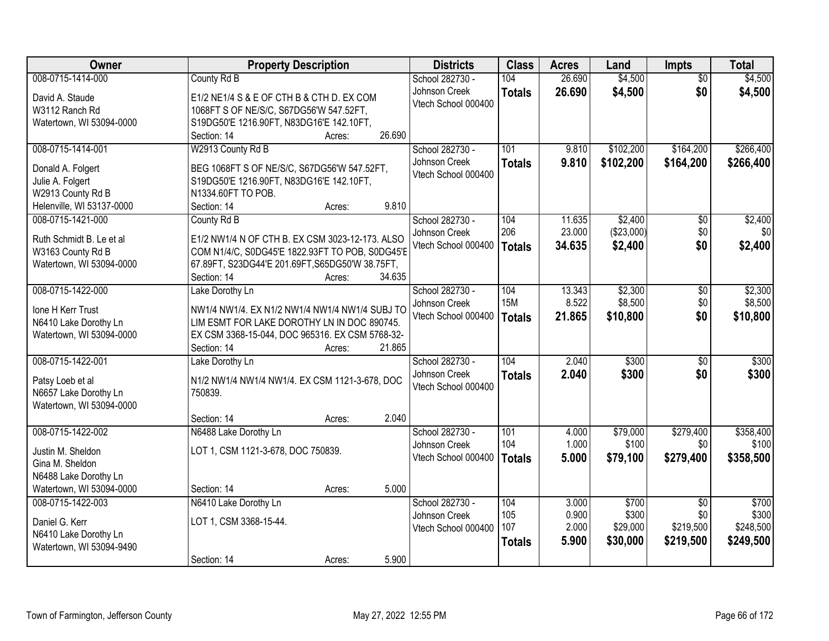| 008-0715-1414-000<br>104<br>26.690<br>\$4,500<br>County Rd B<br>School 282730 -<br>$\overline{50}$<br>\$0<br>Johnson Creek<br>26.690<br>\$4,500<br>\$4,500<br><b>Totals</b><br>David A. Staude<br>E1/2 NE1/4 S & E OF CTH B & CTH D. EX COM<br>Vtech School 000400<br>1068FT S OF NE/S/C, S67DG56'W 547.52FT,<br>W3112 Ranch Rd<br>Watertown, WI 53094-0000<br>S19DG50'E 1216.90FT, N83DG16'E 142.10FT,<br>26.690<br>Section: 14<br>Acres:<br>008-0715-1414-001<br>W2913 County Rd B<br>101<br>\$102,200<br>\$164,200<br>School 282730 -<br>9.810<br>\$102,200<br>Johnson Creek<br>9.810<br>\$164,200<br>\$266,400<br><b>Totals</b><br>BEG 1068FT S OF NE/S/C, S67DG56'W 547.52FT,<br>Donald A. Folgert<br>Vtech School 000400<br>S19DG50'E 1216.90FT, N83DG16'E 142.10FT,<br>Julie A. Folgert<br>W2913 County Rd B<br>N1334.60FT TO POB.<br>9.810<br>Helenville, WI 53137-0000<br>Section: 14<br>Acres:<br>\$2,400<br>008-0715-1421-000<br>School 282730 -<br>104<br>11.635<br>$\overline{50}$<br>\$2,400<br>County Rd B<br>206<br>\$0<br>23.000<br>(\$23,000)<br>Johnson Creek<br>E1/2 NW1/4 N OF CTH B. EX CSM 3023-12-173. ALSO<br>Ruth Schmidt B. Le et al<br>Vtech School 000400<br>34.635<br>\$2,400<br>\$0<br>\$2,400<br><b>Totals</b><br>COM N1/4/C, S0DG45'E 1822.93FT TO POB, S0DG45'E<br>W3163 County Rd B<br>67.89FT, S23DG44'E 201.69FT, S65DG50'W 38.75FT,<br>Watertown, WI 53094-0000<br>34.635<br>Section: 14<br>Acres:<br>008-0715-1422-000<br>\$2,300<br>School 282730 -<br>104<br>13.343<br>Lake Dorothy Ln<br>\$0<br><b>15M</b><br>8.522<br>\$8,500<br>\$0<br>Johnson Creek<br>NW1/4 NW1/4. EX N1/2 NW1/4 NW1/4 NW1/4 SUBJ TO<br>Ione H Kerr Trust<br>\$0<br>Vtech School 000400<br>21.865<br>\$10,800<br><b>Totals</b><br>LIM ESMT FOR LAKE DOROTHY LN IN DOC 890745.<br>N6410 Lake Dorothy Ln<br>Watertown, WI 53094-0000<br>EX CSM 3368-15-044, DOC 965316. EX CSM 5768-32-<br>21.865<br>Section: 14<br>Acres:<br>104<br>\$300<br>008-0715-1422-001<br>2.040<br>$\overline{30}$<br>School 282730 -<br>Lake Dorothy Ln<br>2.040<br>Johnson Creek<br>\$300<br>\$0<br>\$300<br><b>Totals</b><br>N1/2 NW1/4 NW1/4 NW1/4. EX CSM 1121-3-678, DOC<br>Patsy Loeb et al<br>Vtech School 000400<br>N6657 Lake Dorothy Ln<br>750839.<br>Watertown, WI 53094-0000<br>2.040<br>Section: 14<br>Acres:<br>\$279,400<br>008-0715-1422-002<br>N6488 Lake Dorothy Ln<br>School 282730 -<br>101<br>\$79,000<br>4.000<br>104<br>1.000<br>\$100<br>\$0<br>Johnson Creek<br>LOT 1, CSM 1121-3-678, DOC 750839.<br>Justin M. Sheldon<br>Vtech School 000400<br>5.000<br>\$279,400<br>\$358,500<br>\$79,100<br><b>Totals</b><br>Gina M. Sheldon<br>N6488 Lake Dorothy Ln<br>Watertown, WI 53094-0000<br>5.000<br>Section: 14<br>Acres:<br>N6410 Lake Dorothy Ln<br>School 282730 -<br>\$700<br>008-0715-1422-003<br>104<br>3.000<br>\$700<br>$\overline{30}$<br>105<br>0.900<br>\$300<br>\$0<br>\$300<br>Johnson Creek<br>LOT 1, CSM 3368-15-44.<br>Daniel G. Kerr | Owner | <b>Property Description</b> | <b>Districts</b> | <b>Class</b> | <b>Acres</b> | Land     | <b>Impts</b> | <b>Total</b> |
|---------------------------------------------------------------------------------------------------------------------------------------------------------------------------------------------------------------------------------------------------------------------------------------------------------------------------------------------------------------------------------------------------------------------------------------------------------------------------------------------------------------------------------------------------------------------------------------------------------------------------------------------------------------------------------------------------------------------------------------------------------------------------------------------------------------------------------------------------------------------------------------------------------------------------------------------------------------------------------------------------------------------------------------------------------------------------------------------------------------------------------------------------------------------------------------------------------------------------------------------------------------------------------------------------------------------------------------------------------------------------------------------------------------------------------------------------------------------------------------------------------------------------------------------------------------------------------------------------------------------------------------------------------------------------------------------------------------------------------------------------------------------------------------------------------------------------------------------------------------------------------------------------------------------------------------------------------------------------------------------------------------------------------------------------------------------------------------------------------------------------------------------------------------------------------------------------------------------------------------------------------------------------------------------------------------------------------------------------------------------------------------------------------------------------------------------------------------------------------------------------------------------------------------------------------------------------------------------------------------------------------------------------------------------------------------------------------------------------------------------------------------------------------------------------------------------------------------------------------------------------------------------------------------------------------------------------------------------|-------|-----------------------------|------------------|--------------|--------------|----------|--------------|--------------|
| \$10,800                                                                                                                                                                                                                                                                                                                                                                                                                                                                                                                                                                                                                                                                                                                                                                                                                                                                                                                                                                                                                                                                                                                                                                                                                                                                                                                                                                                                                                                                                                                                                                                                                                                                                                                                                                                                                                                                                                                                                                                                                                                                                                                                                                                                                                                                                                                                                                                                                                                                                                                                                                                                                                                                                                                                                                                                                                                                                                                                                            |       |                             |                  |              |              |          |              | \$4,500      |
|                                                                                                                                                                                                                                                                                                                                                                                                                                                                                                                                                                                                                                                                                                                                                                                                                                                                                                                                                                                                                                                                                                                                                                                                                                                                                                                                                                                                                                                                                                                                                                                                                                                                                                                                                                                                                                                                                                                                                                                                                                                                                                                                                                                                                                                                                                                                                                                                                                                                                                                                                                                                                                                                                                                                                                                                                                                                                                                                                                     |       |                             |                  |              |              |          |              |              |
|                                                                                                                                                                                                                                                                                                                                                                                                                                                                                                                                                                                                                                                                                                                                                                                                                                                                                                                                                                                                                                                                                                                                                                                                                                                                                                                                                                                                                                                                                                                                                                                                                                                                                                                                                                                                                                                                                                                                                                                                                                                                                                                                                                                                                                                                                                                                                                                                                                                                                                                                                                                                                                                                                                                                                                                                                                                                                                                                                                     |       |                             |                  |              |              |          |              |              |
|                                                                                                                                                                                                                                                                                                                                                                                                                                                                                                                                                                                                                                                                                                                                                                                                                                                                                                                                                                                                                                                                                                                                                                                                                                                                                                                                                                                                                                                                                                                                                                                                                                                                                                                                                                                                                                                                                                                                                                                                                                                                                                                                                                                                                                                                                                                                                                                                                                                                                                                                                                                                                                                                                                                                                                                                                                                                                                                                                                     |       |                             |                  |              |              |          |              |              |
| \$266,400<br>\$0<br>\$2,300<br>\$8,500                                                                                                                                                                                                                                                                                                                                                                                                                                                                                                                                                                                                                                                                                                                                                                                                                                                                                                                                                                                                                                                                                                                                                                                                                                                                                                                                                                                                                                                                                                                                                                                                                                                                                                                                                                                                                                                                                                                                                                                                                                                                                                                                                                                                                                                                                                                                                                                                                                                                                                                                                                                                                                                                                                                                                                                                                                                                                                                              |       |                             |                  |              |              |          |              |              |
|                                                                                                                                                                                                                                                                                                                                                                                                                                                                                                                                                                                                                                                                                                                                                                                                                                                                                                                                                                                                                                                                                                                                                                                                                                                                                                                                                                                                                                                                                                                                                                                                                                                                                                                                                                                                                                                                                                                                                                                                                                                                                                                                                                                                                                                                                                                                                                                                                                                                                                                                                                                                                                                                                                                                                                                                                                                                                                                                                                     |       |                             |                  |              |              |          |              |              |
|                                                                                                                                                                                                                                                                                                                                                                                                                                                                                                                                                                                                                                                                                                                                                                                                                                                                                                                                                                                                                                                                                                                                                                                                                                                                                                                                                                                                                                                                                                                                                                                                                                                                                                                                                                                                                                                                                                                                                                                                                                                                                                                                                                                                                                                                                                                                                                                                                                                                                                                                                                                                                                                                                                                                                                                                                                                                                                                                                                     |       |                             |                  |              |              |          |              |              |
|                                                                                                                                                                                                                                                                                                                                                                                                                                                                                                                                                                                                                                                                                                                                                                                                                                                                                                                                                                                                                                                                                                                                                                                                                                                                                                                                                                                                                                                                                                                                                                                                                                                                                                                                                                                                                                                                                                                                                                                                                                                                                                                                                                                                                                                                                                                                                                                                                                                                                                                                                                                                                                                                                                                                                                                                                                                                                                                                                                     |       |                             |                  |              |              |          |              |              |
|                                                                                                                                                                                                                                                                                                                                                                                                                                                                                                                                                                                                                                                                                                                                                                                                                                                                                                                                                                                                                                                                                                                                                                                                                                                                                                                                                                                                                                                                                                                                                                                                                                                                                                                                                                                                                                                                                                                                                                                                                                                                                                                                                                                                                                                                                                                                                                                                                                                                                                                                                                                                                                                                                                                                                                                                                                                                                                                                                                     |       |                             |                  |              |              |          |              |              |
|                                                                                                                                                                                                                                                                                                                                                                                                                                                                                                                                                                                                                                                                                                                                                                                                                                                                                                                                                                                                                                                                                                                                                                                                                                                                                                                                                                                                                                                                                                                                                                                                                                                                                                                                                                                                                                                                                                                                                                                                                                                                                                                                                                                                                                                                                                                                                                                                                                                                                                                                                                                                                                                                                                                                                                                                                                                                                                                                                                     |       |                             |                  |              |              |          |              |              |
|                                                                                                                                                                                                                                                                                                                                                                                                                                                                                                                                                                                                                                                                                                                                                                                                                                                                                                                                                                                                                                                                                                                                                                                                                                                                                                                                                                                                                                                                                                                                                                                                                                                                                                                                                                                                                                                                                                                                                                                                                                                                                                                                                                                                                                                                                                                                                                                                                                                                                                                                                                                                                                                                                                                                                                                                                                                                                                                                                                     |       |                             |                  |              |              |          |              |              |
|                                                                                                                                                                                                                                                                                                                                                                                                                                                                                                                                                                                                                                                                                                                                                                                                                                                                                                                                                                                                                                                                                                                                                                                                                                                                                                                                                                                                                                                                                                                                                                                                                                                                                                                                                                                                                                                                                                                                                                                                                                                                                                                                                                                                                                                                                                                                                                                                                                                                                                                                                                                                                                                                                                                                                                                                                                                                                                                                                                     |       |                             |                  |              |              |          |              |              |
|                                                                                                                                                                                                                                                                                                                                                                                                                                                                                                                                                                                                                                                                                                                                                                                                                                                                                                                                                                                                                                                                                                                                                                                                                                                                                                                                                                                                                                                                                                                                                                                                                                                                                                                                                                                                                                                                                                                                                                                                                                                                                                                                                                                                                                                                                                                                                                                                                                                                                                                                                                                                                                                                                                                                                                                                                                                                                                                                                                     |       |                             |                  |              |              |          |              |              |
|                                                                                                                                                                                                                                                                                                                                                                                                                                                                                                                                                                                                                                                                                                                                                                                                                                                                                                                                                                                                                                                                                                                                                                                                                                                                                                                                                                                                                                                                                                                                                                                                                                                                                                                                                                                                                                                                                                                                                                                                                                                                                                                                                                                                                                                                                                                                                                                                                                                                                                                                                                                                                                                                                                                                                                                                                                                                                                                                                                     |       |                             |                  |              |              |          |              |              |
|                                                                                                                                                                                                                                                                                                                                                                                                                                                                                                                                                                                                                                                                                                                                                                                                                                                                                                                                                                                                                                                                                                                                                                                                                                                                                                                                                                                                                                                                                                                                                                                                                                                                                                                                                                                                                                                                                                                                                                                                                                                                                                                                                                                                                                                                                                                                                                                                                                                                                                                                                                                                                                                                                                                                                                                                                                                                                                                                                                     |       |                             |                  |              |              |          |              |              |
|                                                                                                                                                                                                                                                                                                                                                                                                                                                                                                                                                                                                                                                                                                                                                                                                                                                                                                                                                                                                                                                                                                                                                                                                                                                                                                                                                                                                                                                                                                                                                                                                                                                                                                                                                                                                                                                                                                                                                                                                                                                                                                                                                                                                                                                                                                                                                                                                                                                                                                                                                                                                                                                                                                                                                                                                                                                                                                                                                                     |       |                             |                  |              |              |          |              |              |
| \$300<br>\$358,400<br>\$100                                                                                                                                                                                                                                                                                                                                                                                                                                                                                                                                                                                                                                                                                                                                                                                                                                                                                                                                                                                                                                                                                                                                                                                                                                                                                                                                                                                                                                                                                                                                                                                                                                                                                                                                                                                                                                                                                                                                                                                                                                                                                                                                                                                                                                                                                                                                                                                                                                                                                                                                                                                                                                                                                                                                                                                                                                                                                                                                         |       |                             |                  |              |              |          |              |              |
|                                                                                                                                                                                                                                                                                                                                                                                                                                                                                                                                                                                                                                                                                                                                                                                                                                                                                                                                                                                                                                                                                                                                                                                                                                                                                                                                                                                                                                                                                                                                                                                                                                                                                                                                                                                                                                                                                                                                                                                                                                                                                                                                                                                                                                                                                                                                                                                                                                                                                                                                                                                                                                                                                                                                                                                                                                                                                                                                                                     |       |                             |                  |              |              |          |              |              |
|                                                                                                                                                                                                                                                                                                                                                                                                                                                                                                                                                                                                                                                                                                                                                                                                                                                                                                                                                                                                                                                                                                                                                                                                                                                                                                                                                                                                                                                                                                                                                                                                                                                                                                                                                                                                                                                                                                                                                                                                                                                                                                                                                                                                                                                                                                                                                                                                                                                                                                                                                                                                                                                                                                                                                                                                                                                                                                                                                                     |       |                             |                  |              |              |          |              |              |
|                                                                                                                                                                                                                                                                                                                                                                                                                                                                                                                                                                                                                                                                                                                                                                                                                                                                                                                                                                                                                                                                                                                                                                                                                                                                                                                                                                                                                                                                                                                                                                                                                                                                                                                                                                                                                                                                                                                                                                                                                                                                                                                                                                                                                                                                                                                                                                                                                                                                                                                                                                                                                                                                                                                                                                                                                                                                                                                                                                     |       |                             |                  |              |              |          |              |              |
|                                                                                                                                                                                                                                                                                                                                                                                                                                                                                                                                                                                                                                                                                                                                                                                                                                                                                                                                                                                                                                                                                                                                                                                                                                                                                                                                                                                                                                                                                                                                                                                                                                                                                                                                                                                                                                                                                                                                                                                                                                                                                                                                                                                                                                                                                                                                                                                                                                                                                                                                                                                                                                                                                                                                                                                                                                                                                                                                                                     |       |                             |                  |              |              |          |              |              |
|                                                                                                                                                                                                                                                                                                                                                                                                                                                                                                                                                                                                                                                                                                                                                                                                                                                                                                                                                                                                                                                                                                                                                                                                                                                                                                                                                                                                                                                                                                                                                                                                                                                                                                                                                                                                                                                                                                                                                                                                                                                                                                                                                                                                                                                                                                                                                                                                                                                                                                                                                                                                                                                                                                                                                                                                                                                                                                                                                                     |       |                             |                  |              |              |          |              |              |
|                                                                                                                                                                                                                                                                                                                                                                                                                                                                                                                                                                                                                                                                                                                                                                                                                                                                                                                                                                                                                                                                                                                                                                                                                                                                                                                                                                                                                                                                                                                                                                                                                                                                                                                                                                                                                                                                                                                                                                                                                                                                                                                                                                                                                                                                                                                                                                                                                                                                                                                                                                                                                                                                                                                                                                                                                                                                                                                                                                     |       |                             |                  |              |              |          |              |              |
|                                                                                                                                                                                                                                                                                                                                                                                                                                                                                                                                                                                                                                                                                                                                                                                                                                                                                                                                                                                                                                                                                                                                                                                                                                                                                                                                                                                                                                                                                                                                                                                                                                                                                                                                                                                                                                                                                                                                                                                                                                                                                                                                                                                                                                                                                                                                                                                                                                                                                                                                                                                                                                                                                                                                                                                                                                                                                                                                                                     |       |                             |                  |              |              |          |              |              |
|                                                                                                                                                                                                                                                                                                                                                                                                                                                                                                                                                                                                                                                                                                                                                                                                                                                                                                                                                                                                                                                                                                                                                                                                                                                                                                                                                                                                                                                                                                                                                                                                                                                                                                                                                                                                                                                                                                                                                                                                                                                                                                                                                                                                                                                                                                                                                                                                                                                                                                                                                                                                                                                                                                                                                                                                                                                                                                                                                                     |       |                             |                  |              |              |          |              |              |
|                                                                                                                                                                                                                                                                                                                                                                                                                                                                                                                                                                                                                                                                                                                                                                                                                                                                                                                                                                                                                                                                                                                                                                                                                                                                                                                                                                                                                                                                                                                                                                                                                                                                                                                                                                                                                                                                                                                                                                                                                                                                                                                                                                                                                                                                                                                                                                                                                                                                                                                                                                                                                                                                                                                                                                                                                                                                                                                                                                     |       |                             |                  |              |              |          |              |              |
|                                                                                                                                                                                                                                                                                                                                                                                                                                                                                                                                                                                                                                                                                                                                                                                                                                                                                                                                                                                                                                                                                                                                                                                                                                                                                                                                                                                                                                                                                                                                                                                                                                                                                                                                                                                                                                                                                                                                                                                                                                                                                                                                                                                                                                                                                                                                                                                                                                                                                                                                                                                                                                                                                                                                                                                                                                                                                                                                                                     |       |                             |                  |              |              |          |              |              |
|                                                                                                                                                                                                                                                                                                                                                                                                                                                                                                                                                                                                                                                                                                                                                                                                                                                                                                                                                                                                                                                                                                                                                                                                                                                                                                                                                                                                                                                                                                                                                                                                                                                                                                                                                                                                                                                                                                                                                                                                                                                                                                                                                                                                                                                                                                                                                                                                                                                                                                                                                                                                                                                                                                                                                                                                                                                                                                                                                                     |       |                             |                  |              |              |          |              |              |
|                                                                                                                                                                                                                                                                                                                                                                                                                                                                                                                                                                                                                                                                                                                                                                                                                                                                                                                                                                                                                                                                                                                                                                                                                                                                                                                                                                                                                                                                                                                                                                                                                                                                                                                                                                                                                                                                                                                                                                                                                                                                                                                                                                                                                                                                                                                                                                                                                                                                                                                                                                                                                                                                                                                                                                                                                                                                                                                                                                     |       |                             |                  |              |              |          |              |              |
|                                                                                                                                                                                                                                                                                                                                                                                                                                                                                                                                                                                                                                                                                                                                                                                                                                                                                                                                                                                                                                                                                                                                                                                                                                                                                                                                                                                                                                                                                                                                                                                                                                                                                                                                                                                                                                                                                                                                                                                                                                                                                                                                                                                                                                                                                                                                                                                                                                                                                                                                                                                                                                                                                                                                                                                                                                                                                                                                                                     |       |                             |                  |              |              |          |              |              |
|                                                                                                                                                                                                                                                                                                                                                                                                                                                                                                                                                                                                                                                                                                                                                                                                                                                                                                                                                                                                                                                                                                                                                                                                                                                                                                                                                                                                                                                                                                                                                                                                                                                                                                                                                                                                                                                                                                                                                                                                                                                                                                                                                                                                                                                                                                                                                                                                                                                                                                                                                                                                                                                                                                                                                                                                                                                                                                                                                                     |       |                             |                  |              |              |          |              |              |
|                                                                                                                                                                                                                                                                                                                                                                                                                                                                                                                                                                                                                                                                                                                                                                                                                                                                                                                                                                                                                                                                                                                                                                                                                                                                                                                                                                                                                                                                                                                                                                                                                                                                                                                                                                                                                                                                                                                                                                                                                                                                                                                                                                                                                                                                                                                                                                                                                                                                                                                                                                                                                                                                                                                                                                                                                                                                                                                                                                     |       |                             |                  |              |              |          |              |              |
|                                                                                                                                                                                                                                                                                                                                                                                                                                                                                                                                                                                                                                                                                                                                                                                                                                                                                                                                                                                                                                                                                                                                                                                                                                                                                                                                                                                                                                                                                                                                                                                                                                                                                                                                                                                                                                                                                                                                                                                                                                                                                                                                                                                                                                                                                                                                                                                                                                                                                                                                                                                                                                                                                                                                                                                                                                                                                                                                                                     |       |                             |                  |              |              |          |              |              |
| Vtech School 000400<br>N6410 Lake Dorothy Ln                                                                                                                                                                                                                                                                                                                                                                                                                                                                                                                                                                                                                                                                                                                                                                                                                                                                                                                                                                                                                                                                                                                                                                                                                                                                                                                                                                                                                                                                                                                                                                                                                                                                                                                                                                                                                                                                                                                                                                                                                                                                                                                                                                                                                                                                                                                                                                                                                                                                                                                                                                                                                                                                                                                                                                                                                                                                                                                        |       |                             |                  | 107          | 2.000        | \$29,000 | \$219,500    | \$248,500    |
| 5.900<br>\$30,000<br>\$219,500<br>\$249,500<br><b>Totals</b><br>Watertown, WI 53094-9490                                                                                                                                                                                                                                                                                                                                                                                                                                                                                                                                                                                                                                                                                                                                                                                                                                                                                                                                                                                                                                                                                                                                                                                                                                                                                                                                                                                                                                                                                                                                                                                                                                                                                                                                                                                                                                                                                                                                                                                                                                                                                                                                                                                                                                                                                                                                                                                                                                                                                                                                                                                                                                                                                                                                                                                                                                                                            |       |                             |                  |              |              |          |              |              |
| 5.900<br>Section: 14<br>Acres:                                                                                                                                                                                                                                                                                                                                                                                                                                                                                                                                                                                                                                                                                                                                                                                                                                                                                                                                                                                                                                                                                                                                                                                                                                                                                                                                                                                                                                                                                                                                                                                                                                                                                                                                                                                                                                                                                                                                                                                                                                                                                                                                                                                                                                                                                                                                                                                                                                                                                                                                                                                                                                                                                                                                                                                                                                                                                                                                      |       |                             |                  |              |              |          |              |              |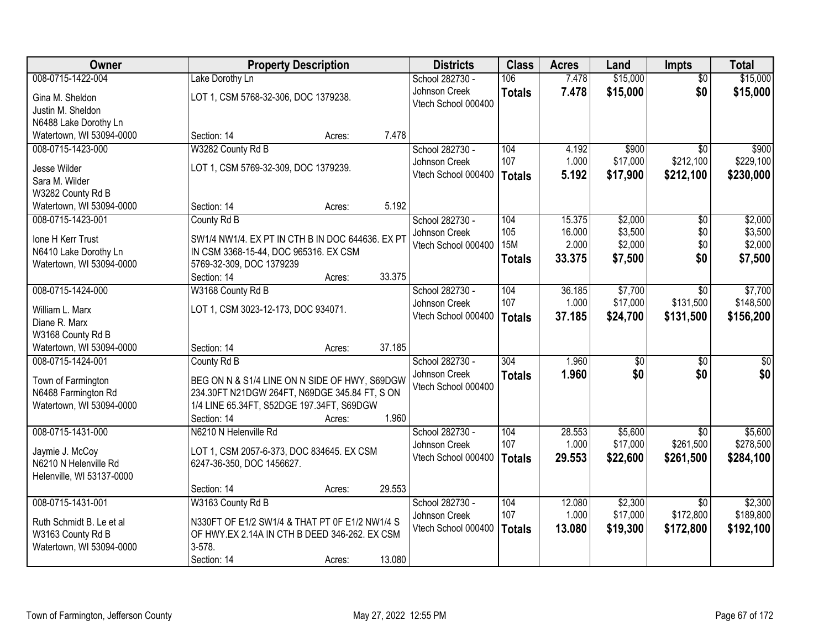| Owner                     |                                                  | <b>Property Description</b> |        | <b>Districts</b>    | <b>Class</b>  | <b>Acres</b> | Land     | <b>Impts</b>    | <b>Total</b>    |
|---------------------------|--------------------------------------------------|-----------------------------|--------|---------------------|---------------|--------------|----------|-----------------|-----------------|
| 008-0715-1422-004         | Lake Dorothy Ln                                  |                             |        | School 282730 -     | 106           | 7.478        | \$15,000 | $\overline{50}$ | \$15,000        |
| Gina M. Sheldon           | LOT 1, CSM 5768-32-306, DOC 1379238.             |                             |        | Johnson Creek       | <b>Totals</b> | 7.478        | \$15,000 | \$0             | \$15,000        |
| Justin M. Sheldon         |                                                  |                             |        | Vtech School 000400 |               |              |          |                 |                 |
| N6488 Lake Dorothy Ln     |                                                  |                             |        |                     |               |              |          |                 |                 |
| Watertown, WI 53094-0000  | Section: 14                                      | Acres:                      | 7.478  |                     |               |              |          |                 |                 |
| 008-0715-1423-000         | W3282 County Rd B                                |                             |        | School 282730 -     | 104           | 4.192        | \$900    | $\overline{50}$ | \$900           |
| Jesse Wilder              | LOT 1, CSM 5769-32-309, DOC 1379239.             |                             |        | Johnson Creek       | 107           | 1.000        | \$17,000 | \$212,100       | \$229,100       |
| Sara M. Wilder            |                                                  |                             |        | Vtech School 000400 | Totals        | 5.192        | \$17,900 | \$212,100       | \$230,000       |
| W3282 County Rd B         |                                                  |                             |        |                     |               |              |          |                 |                 |
| Watertown, WI 53094-0000  | Section: 14                                      | Acres:                      | 5.192  |                     |               |              |          |                 |                 |
| 008-0715-1423-001         | County Rd B                                      |                             |        | School 282730 -     | 104           | 15.375       | \$2,000  | \$0             | \$2,000         |
| Ione H Kerr Trust         | SW1/4 NW1/4. EX PT IN CTH B IN DOC 644636. EX PT |                             |        | Johnson Creek       | 105           | 16.000       | \$3,500  | \$0             | \$3,500         |
| N6410 Lake Dorothy Ln     | IN CSM 3368-15-44, DOC 965316. EX CSM            |                             |        | Vtech School 000400 | <b>15M</b>    | 2.000        | \$2,000  | \$0             | \$2,000         |
| Watertown, WI 53094-0000  | 5769-32-309, DOC 1379239                         |                             |        |                     | <b>Totals</b> | 33.375       | \$7,500  | \$0             | \$7,500         |
|                           | Section: 14                                      | Acres:                      | 33.375 |                     |               |              |          |                 |                 |
| 008-0715-1424-000         | W3168 County Rd B                                |                             |        | School 282730 -     | 104           | 36.185       | \$7,700  | \$0             | \$7,700         |
| William L. Marx           | LOT 1, CSM 3023-12-173, DOC 934071.              |                             |        | Johnson Creek       | 107           | 1.000        | \$17,000 | \$131,500       | \$148,500       |
| Diane R. Marx             |                                                  |                             |        | Vtech School 000400 | <b>Totals</b> | 37.185       | \$24,700 | \$131,500       | \$156,200       |
| W3168 County Rd B         |                                                  |                             |        |                     |               |              |          |                 |                 |
| Watertown, WI 53094-0000  | Section: 14                                      | Acres:                      | 37.185 |                     |               |              |          |                 |                 |
| 008-0715-1424-001         | County Rd B                                      |                             |        | School 282730 -     | 304           | 1.960        | \$0      | \$0             | $\overline{50}$ |
| Town of Farmington        | BEG ON N & S1/4 LINE ON N SIDE OF HWY, S69DGW    |                             |        | Johnson Creek       | <b>Totals</b> | 1.960        | \$0      | \$0             | \$0             |
| N6468 Farmington Rd       | 234.30FT N21DGW 264FT, N69DGE 345.84 FT, S ON    |                             |        | Vtech School 000400 |               |              |          |                 |                 |
| Watertown, WI 53094-0000  | 1/4 LINE 65.34FT, S52DGE 197.34FT, S69DGW        |                             |        |                     |               |              |          |                 |                 |
|                           | Section: 14                                      | Acres:                      | 1.960  |                     |               |              |          |                 |                 |
| 008-0715-1431-000         | N6210 N Helenville Rd                            |                             |        | School 282730 -     | 104           | 28.553       | \$5,600  | $\overline{50}$ | \$5,600         |
| Jaymie J. McCoy           | LOT 1, CSM 2057-6-373, DOC 834645. EX CSM        |                             |        | Johnson Creek       | 107           | 1.000        | \$17,000 | \$261,500       | \$278,500       |
| N6210 N Helenville Rd     | 6247-36-350, DOC 1456627.                        |                             |        | Vtech School 000400 | Totals        | 29.553       | \$22,600 | \$261,500       | \$284,100       |
| Helenville, WI 53137-0000 |                                                  |                             |        |                     |               |              |          |                 |                 |
|                           | Section: 14                                      | Acres:                      | 29.553 |                     |               |              |          |                 |                 |
| 008-0715-1431-001         | W3163 County Rd B                                |                             |        | School 282730 -     | 104           | 12.080       | \$2,300  | $\overline{30}$ | \$2,300         |
| Ruth Schmidt B. Le et al  | N330FT OF E1/2 SW1/4 & THAT PT OF E1/2 NW1/4 S   |                             |        | Johnson Creek       | 107           | 1.000        | \$17,000 | \$172,800       | \$189,800       |
| W3163 County Rd B         | OF HWY.EX 2.14A IN CTH B DEED 346-262. EX CSM    |                             |        | Vtech School 000400 | <b>Totals</b> | 13.080       | \$19,300 | \$172,800       | \$192,100       |
| Watertown, WI 53094-0000  | 3-578.                                           |                             |        |                     |               |              |          |                 |                 |
|                           | Section: 14                                      | Acres:                      | 13.080 |                     |               |              |          |                 |                 |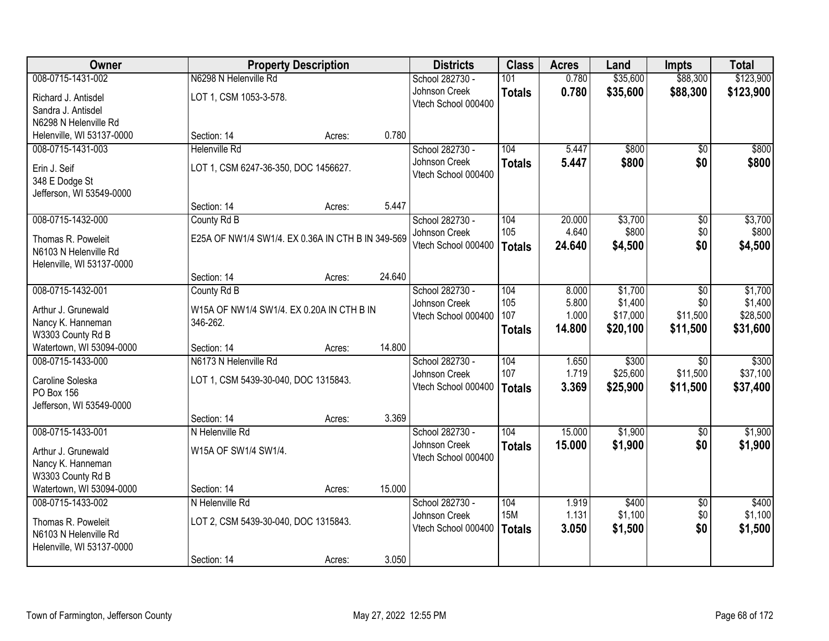| Owner                                  |                                                   | <b>Property Description</b> |        | <b>Districts</b>                     | <b>Class</b>  | <b>Acres</b>    | Land             | <b>Impts</b>    | <b>Total</b>     |
|----------------------------------------|---------------------------------------------------|-----------------------------|--------|--------------------------------------|---------------|-----------------|------------------|-----------------|------------------|
| 008-0715-1431-002                      | N6298 N Helenville Rd                             |                             |        | School 282730 -                      | 101           | 0.780           | \$35,600         | \$88,300        | \$123,900        |
| Richard J. Antisdel                    | LOT 1, CSM 1053-3-578.                            |                             |        | Johnson Creek                        | <b>Totals</b> | 0.780           | \$35,600         | \$88,300        | \$123,900        |
| Sandra J. Antisdel                     |                                                   |                             |        | Vtech School 000400                  |               |                 |                  |                 |                  |
| N6298 N Helenville Rd                  |                                                   |                             |        |                                      |               |                 |                  |                 |                  |
| Helenville, WI 53137-0000              | Section: 14                                       | Acres:                      | 0.780  |                                      |               |                 |                  |                 |                  |
| 008-0715-1431-003                      | <b>Helenville Rd</b>                              |                             |        | School 282730 -                      | 104           | 5.447           | \$800            | $\overline{50}$ | \$800            |
| Erin J. Seif                           | LOT 1, CSM 6247-36-350, DOC 1456627.              |                             |        | Johnson Creek<br>Vtech School 000400 | <b>Totals</b> | 5.447           | \$800            | \$0             | \$800            |
| 348 E Dodge St                         |                                                   |                             |        |                                      |               |                 |                  |                 |                  |
| Jefferson, WI 53549-0000               |                                                   |                             |        |                                      |               |                 |                  |                 |                  |
|                                        | Section: 14                                       | Acres:                      | 5.447  |                                      |               |                 |                  |                 |                  |
| 008-0715-1432-000                      | County Rd B                                       |                             |        | School 282730 -<br>Johnson Creek     | 104<br>105    | 20.000<br>4.640 | \$3,700<br>\$800 | \$0<br>\$0      | \$3,700<br>\$800 |
| Thomas R. Poweleit                     | E25A OF NW1/4 SW1/4. EX 0.36A IN CTH B IN 349-569 |                             |        | Vtech School 000400                  | <b>Totals</b> | 24.640          | \$4,500          | \$0             | \$4,500          |
| N6103 N Helenville Rd                  |                                                   |                             |        |                                      |               |                 |                  |                 |                  |
| Helenville, WI 53137-0000              | Section: 14                                       | Acres:                      | 24.640 |                                      |               |                 |                  |                 |                  |
| 008-0715-1432-001                      | County Rd B                                       |                             |        | School 282730 -                      | 104           | 8.000           | \$1,700          | \$0             | \$1,700          |
|                                        |                                                   |                             |        | Johnson Creek                        | 105           | 5.800           | \$1,400          | \$0             | \$1,400          |
| Arthur J. Grunewald                    | W15A OF NW1/4 SW1/4. EX 0.20A IN CTH B IN         |                             |        | Vtech School 000400                  | 107           | 1.000           | \$17,000         | \$11,500        | \$28,500         |
| Nancy K. Hanneman<br>W3303 County Rd B | 346-262.                                          |                             |        |                                      | <b>Totals</b> | 14.800          | \$20,100         | \$11,500        | \$31,600         |
| Watertown, WI 53094-0000               | Section: 14                                       | Acres:                      | 14.800 |                                      |               |                 |                  |                 |                  |
| 008-0715-1433-000                      | N6173 N Helenville Rd                             |                             |        | School 282730 -                      | 104           | 1.650           | \$300            | $\overline{30}$ | \$300            |
| Caroline Soleska                       | LOT 1, CSM 5439-30-040, DOC 1315843.              |                             |        | Johnson Creek                        | 107           | 1.719           | \$25,600         | \$11,500        | \$37,100         |
| PO Box 156                             |                                                   |                             |        | Vtech School 000400                  | <b>Totals</b> | 3.369           | \$25,900         | \$11,500        | \$37,400         |
| Jefferson, WI 53549-0000               |                                                   |                             |        |                                      |               |                 |                  |                 |                  |
|                                        | Section: 14                                       | Acres:                      | 3.369  |                                      |               |                 |                  |                 |                  |
| 008-0715-1433-001                      | N Helenville Rd                                   |                             |        | School 282730 -                      | 104           | 15.000          | \$1,900          | $\overline{50}$ | \$1,900          |
| Arthur J. Grunewald                    | W15A OF SW1/4 SW1/4.                              |                             |        | Johnson Creek                        | <b>Totals</b> | 15.000          | \$1,900          | \$0             | \$1,900          |
| Nancy K. Hanneman                      |                                                   |                             |        | Vtech School 000400                  |               |                 |                  |                 |                  |
| W3303 County Rd B                      |                                                   |                             |        |                                      |               |                 |                  |                 |                  |
| Watertown, WI 53094-0000               | Section: 14                                       | Acres:                      | 15.000 |                                      |               |                 |                  |                 |                  |
| 008-0715-1433-002                      | N Helenville Rd                                   |                             |        | School 282730 -                      | 104           | 1.919           | \$400            | $\overline{30}$ | \$400            |
| Thomas R. Poweleit                     | LOT 2, CSM 5439-30-040, DOC 1315843.              |                             |        | Johnson Creek                        | <b>15M</b>    | 1.131           | \$1,100          | \$0             | \$1,100          |
| N6103 N Helenville Rd                  |                                                   |                             |        | Vtech School 000400                  | <b>Totals</b> | 3.050           | \$1,500          | \$0             | \$1,500          |
| Helenville, WI 53137-0000              |                                                   |                             |        |                                      |               |                 |                  |                 |                  |
|                                        | Section: 14                                       | Acres:                      | 3.050  |                                      |               |                 |                  |                 |                  |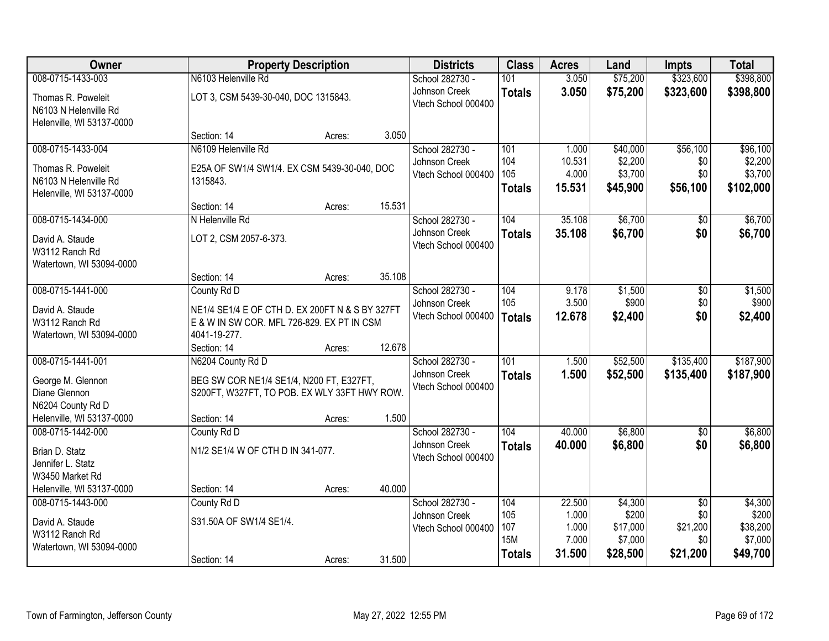| Owner                                          |                                                 | <b>Property Description</b> |        | <b>Districts</b>                     | <b>Class</b>  | <b>Acres</b>    | Land               | <b>Impts</b>    | <b>Total</b>       |
|------------------------------------------------|-------------------------------------------------|-----------------------------|--------|--------------------------------------|---------------|-----------------|--------------------|-----------------|--------------------|
| 008-0715-1433-003                              | N6103 Helenville Rd                             |                             |        | School 282730 -                      | 101           | 3.050           | \$75,200           | \$323,600       | \$398,800          |
| Thomas R. Poweleit                             | LOT 3, CSM 5439-30-040, DOC 1315843.            |                             |        | Johnson Creek                        | <b>Totals</b> | 3.050           | \$75,200           | \$323,600       | \$398,800          |
| N6103 N Helenville Rd                          |                                                 |                             |        | Vtech School 000400                  |               |                 |                    |                 |                    |
| Helenville, WI 53137-0000                      |                                                 |                             |        |                                      |               |                 |                    |                 |                    |
|                                                | Section: 14                                     | Acres:                      | 3.050  |                                      |               |                 |                    |                 |                    |
| 008-0715-1433-004                              | N6109 Helenville Rd                             |                             |        | School 282730 -                      | 101<br>104    | 1.000           | \$40,000           | \$56,100        | \$96,100           |
| Thomas R. Poweleit                             | E25A OF SW1/4 SW1/4. EX CSM 5439-30-040, DOC    |                             |        | Johnson Creek<br>Vtech School 000400 | 105           | 10.531<br>4.000 | \$2,200<br>\$3,700 | \$0<br>\$0      | \$2,200<br>\$3,700 |
| N6103 N Helenville Rd                          | 1315843.                                        |                             |        |                                      | <b>Totals</b> | 15.531          | \$45,900           | \$56,100        | \$102,000          |
| Helenville, WI 53137-0000                      |                                                 |                             |        |                                      |               |                 |                    |                 |                    |
|                                                | Section: 14                                     | Acres:                      | 15.531 |                                      |               |                 |                    |                 |                    |
| 008-0715-1434-000                              | N Helenville Rd                                 |                             |        | School 282730 -                      | 104           | 35.108          | \$6,700            | \$0             | \$6,700            |
| David A. Staude                                | LOT 2, CSM 2057-6-373.                          |                             |        | Johnson Creek<br>Vtech School 000400 | <b>Totals</b> | 35.108          | \$6,700            | \$0             | \$6,700            |
| W3112 Ranch Rd                                 |                                                 |                             |        |                                      |               |                 |                    |                 |                    |
| Watertown, WI 53094-0000                       |                                                 |                             |        |                                      |               |                 |                    |                 |                    |
| 008-0715-1441-000                              | Section: 14                                     | Acres:                      | 35.108 |                                      |               |                 |                    |                 |                    |
|                                                | County Rd D                                     |                             |        | School 282730 -<br>Johnson Creek     | 104<br>105    | 9.178<br>3.500  | \$1,500<br>\$900   | \$0<br>\$0      | \$1,500<br>\$900   |
| David A. Staude                                | NE1/4 SE1/4 E OF CTH D. EX 200FT N & S BY 327FT |                             |        | Vtech School 000400                  | <b>Totals</b> | 12.678          | \$2,400            | \$0             | \$2,400            |
| W3112 Ranch Rd                                 | E & W IN SW COR. MFL 726-829. EX PT IN CSM      |                             |        |                                      |               |                 |                    |                 |                    |
| Watertown, WI 53094-0000                       | 4041-19-277.                                    |                             | 12.678 |                                      |               |                 |                    |                 |                    |
| 008-0715-1441-001                              | Section: 14<br>N6204 County Rd D                | Acres:                      |        | School 282730 -                      | 101           | 1.500           | \$52,500           | \$135,400       | \$187,900          |
|                                                |                                                 |                             |        | Johnson Creek                        | <b>Totals</b> | 1.500           | \$52,500           | \$135,400       | \$187,900          |
| George M. Glennon                              | BEG SW COR NE1/4 SE1/4, N200 FT, E327FT,        |                             |        | Vtech School 000400                  |               |                 |                    |                 |                    |
| Diane Glennon                                  | S200FT, W327FT, TO POB. EX WLY 33FT HWY ROW.    |                             |        |                                      |               |                 |                    |                 |                    |
| N6204 County Rd D<br>Helenville, WI 53137-0000 | Section: 14                                     | Acres:                      | 1.500  |                                      |               |                 |                    |                 |                    |
| 008-0715-1442-000                              | County Rd D                                     |                             |        | School 282730 -                      | 104           | 40.000          | \$6,800            | $\sqrt{6}$      | \$6,800            |
|                                                |                                                 |                             |        | Johnson Creek                        | <b>Totals</b> | 40.000          | \$6,800            | \$0             | \$6,800            |
| Brian D. Statz                                 | N1/2 SE1/4 W OF CTH D IN 341-077.               |                             |        | Vtech School 000400                  |               |                 |                    |                 |                    |
| Jennifer L. Statz<br>W3450 Market Rd           |                                                 |                             |        |                                      |               |                 |                    |                 |                    |
| Helenville, WI 53137-0000                      | Section: 14                                     | Acres:                      | 40.000 |                                      |               |                 |                    |                 |                    |
| 008-0715-1443-000                              | County Rd D                                     |                             |        | School 282730 -                      | 104           | 22.500          | \$4,300            | $\overline{50}$ | \$4,300            |
|                                                | S31.50A OF SW1/4 SE1/4.                         |                             |        | Johnson Creek                        | 105           | 1.000           | \$200              | \$0             | \$200              |
| David A. Staude<br>W3112 Ranch Rd              |                                                 |                             |        | Vtech School 000400                  | 107           | 1.000           | \$17,000           | \$21,200        | \$38,200           |
| Watertown, WI 53094-0000                       |                                                 |                             |        |                                      | <b>15M</b>    | 7.000           | \$7,000            | \$0             | \$7,000            |
|                                                | Section: 14                                     | Acres:                      | 31.500 |                                      | <b>Totals</b> | 31.500          | \$28,500           | \$21,200        | \$49,700           |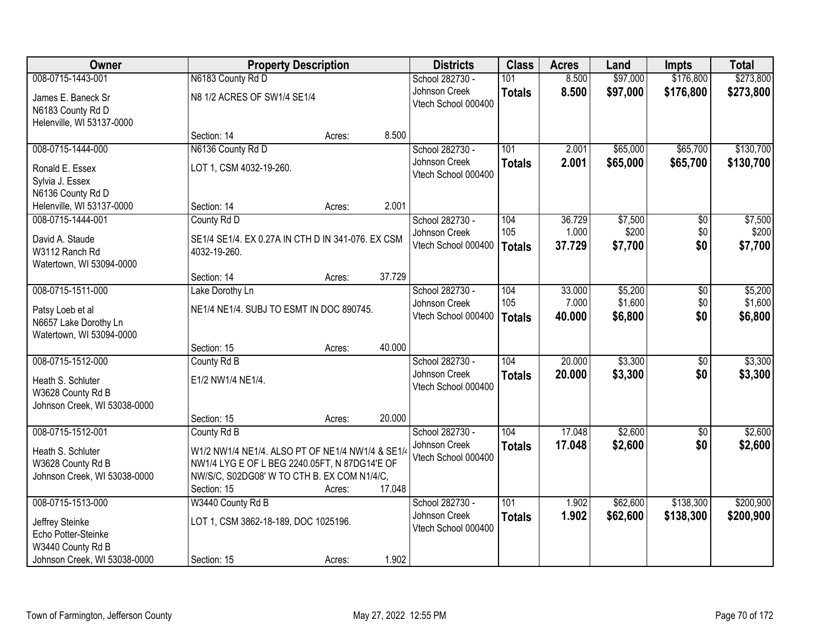| Owner                        |                                                   | <b>Property Description</b> |        | <b>Districts</b>    | <b>Class</b>  | <b>Acres</b> | Land     | <b>Impts</b>    | <b>Total</b> |
|------------------------------|---------------------------------------------------|-----------------------------|--------|---------------------|---------------|--------------|----------|-----------------|--------------|
| 008-0715-1443-001            | N6183 County Rd D                                 |                             |        | School 282730 -     | 101           | 8.500        | \$97,000 | \$176,800       | \$273,800    |
| James E. Baneck Sr           | N8 1/2 ACRES OF SW1/4 SE1/4                       |                             |        | Johnson Creek       | <b>Totals</b> | 8.500        | \$97,000 | \$176,800       | \$273,800    |
| N6183 County Rd D            |                                                   |                             |        | Vtech School 000400 |               |              |          |                 |              |
| Helenville, WI 53137-0000    |                                                   |                             |        |                     |               |              |          |                 |              |
|                              | Section: 14                                       | Acres:                      | 8.500  |                     |               |              |          |                 |              |
| 008-0715-1444-000            | N6136 County Rd D                                 |                             |        | School 282730 -     | 101           | 2.001        | \$65,000 | \$65,700        | \$130,700    |
| Ronald E. Essex              | LOT 1, CSM 4032-19-260.                           |                             |        | Johnson Creek       | <b>Totals</b> | 2.001        | \$65,000 | \$65,700        | \$130,700    |
| Sylvia J. Essex              |                                                   |                             |        | Vtech School 000400 |               |              |          |                 |              |
| N6136 County Rd D            |                                                   |                             |        |                     |               |              |          |                 |              |
| Helenville, WI 53137-0000    | Section: 14                                       | Acres:                      | 2.001  |                     |               |              |          |                 |              |
| 008-0715-1444-001            | County Rd D                                       |                             |        | School 282730 -     | 104           | 36.729       | \$7,500  | $\overline{50}$ | \$7,500      |
| David A. Staude              | SE1/4 SE1/4. EX 0.27A IN CTH D IN 341-076. EX CSM |                             |        | Johnson Creek       | 105           | 1.000        | \$200    | \$0             | \$200        |
| W3112 Ranch Rd               | 4032-19-260.                                      |                             |        | Vtech School 000400 | <b>Totals</b> | 37.729       | \$7,700  | \$0             | \$7,700      |
| Watertown, WI 53094-0000     |                                                   |                             |        |                     |               |              |          |                 |              |
|                              | Section: 14                                       | Acres:                      | 37.729 |                     |               |              |          |                 |              |
| 008-0715-1511-000            | Lake Dorothy Ln                                   |                             |        | School 282730 -     | 104           | 33.000       | \$5,200  | $\overline{50}$ | \$5,200      |
| Patsy Loeb et al             | NE1/4 NE1/4. SUBJ TO ESMT IN DOC 890745.          |                             |        | Johnson Creek       | 105           | 7.000        | \$1,600  | \$0             | \$1,600      |
| N6657 Lake Dorothy Ln        |                                                   |                             |        | Vtech School 000400 | <b>Totals</b> | 40.000       | \$6,800  | \$0             | \$6,800      |
| Watertown, WI 53094-0000     |                                                   |                             |        |                     |               |              |          |                 |              |
|                              | Section: 15                                       | Acres:                      | 40.000 |                     |               |              |          |                 |              |
| 008-0715-1512-000            | County Rd B                                       |                             |        | School 282730 -     | 104           | 20.000       | \$3,300  | \$0             | \$3,300      |
| Heath S. Schluter            | E1/2 NW1/4 NE1/4.                                 |                             |        | Johnson Creek       | <b>Totals</b> | 20.000       | \$3,300  | \$0             | \$3,300      |
| W3628 County Rd B            |                                                   |                             |        | Vtech School 000400 |               |              |          |                 |              |
| Johnson Creek, WI 53038-0000 |                                                   |                             |        |                     |               |              |          |                 |              |
|                              | Section: 15                                       | Acres:                      | 20.000 |                     |               |              |          |                 |              |
| 008-0715-1512-001            | County Rd B                                       |                             |        | School 282730 -     | 104           | 17.048       | \$2,600  | $\sqrt{6}$      | \$2,600      |
| Heath S. Schluter            | W1/2 NW1/4 NE1/4. ALSO PT OF NE1/4 NW1/4 & SE1/   |                             |        | Johnson Creek       | <b>Totals</b> | 17.048       | \$2,600  | \$0             | \$2,600      |
| W3628 County Rd B            | NW1/4 LYG E OF L BEG 2240.05FT, N 87DG14'E OF     |                             |        | Vtech School 000400 |               |              |          |                 |              |
| Johnson Creek, WI 53038-0000 | NW/S/C, S02DG08' W TO CTH B. EX COM N1/4/C,       |                             |        |                     |               |              |          |                 |              |
|                              | Section: 15                                       | Acres:                      | 17.048 |                     |               |              |          |                 |              |
| 008-0715-1513-000            | W3440 County Rd B                                 |                             |        | School 282730 -     | 101           | 1.902        | \$62,600 | \$138,300       | \$200,900    |
| Jeffrey Steinke              | LOT 1, CSM 3862-18-189, DOC 1025196.              |                             |        | Johnson Creek       | <b>Totals</b> | 1.902        | \$62,600 | \$138,300       | \$200,900    |
| Echo Potter-Steinke          |                                                   |                             |        | Vtech School 000400 |               |              |          |                 |              |
| W3440 County Rd B            |                                                   |                             |        |                     |               |              |          |                 |              |
| Johnson Creek, WI 53038-0000 | Section: 15                                       | Acres:                      | 1.902  |                     |               |              |          |                 |              |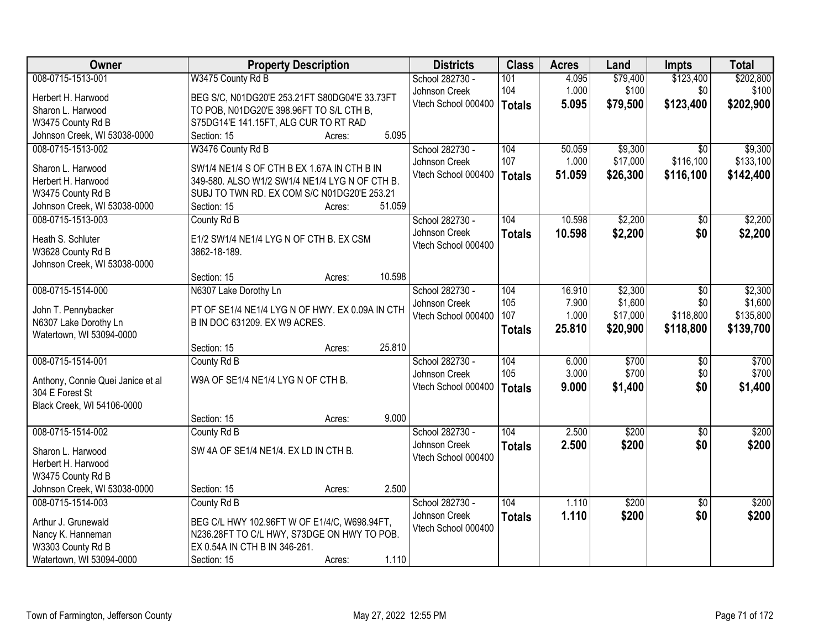| Owner                                                | <b>Property Description</b>                                                                   | <b>Districts</b>    | <b>Class</b>  | <b>Acres</b> | Land     | <b>Impts</b>    | <b>Total</b> |
|------------------------------------------------------|-----------------------------------------------------------------------------------------------|---------------------|---------------|--------------|----------|-----------------|--------------|
| 008-0715-1513-001                                    | W3475 County Rd B                                                                             | School 282730 -     | 101           | 4.095        | \$79,400 | \$123,400       | \$202,800    |
| Herbert H. Harwood                                   | BEG S/C, N01DG20'E 253.21FT S80DG04'E 33.73FT                                                 | Johnson Creek       | 104           | 1.000        | \$100    | \$0             | \$100        |
| Sharon L. Harwood                                    | TO POB, N01DG20'E 398.96FT TO S/L CTH B,                                                      | Vtech School 000400 | <b>Totals</b> | 5.095        | \$79,500 | \$123,400       | \$202,900    |
| W3475 County Rd B                                    | S75DG14'E 141.15FT, ALG CUR TO RT RAD                                                         |                     |               |              |          |                 |              |
| Johnson Creek, WI 53038-0000                         | 5.095<br>Section: 15<br>Acres:                                                                |                     |               |              |          |                 |              |
| 008-0715-1513-002                                    | W3476 County Rd B                                                                             | School 282730 -     | 104           | 50.059       | \$9,300  | $\overline{30}$ | \$9,300      |
|                                                      |                                                                                               | Johnson Creek       | 107           | 1.000        | \$17,000 | \$116,100       | \$133,100    |
| Sharon L. Harwood<br>Herbert H. Harwood              | SW1/4 NE1/4 S OF CTH B EX 1.67A IN CTH B IN<br>349-580. ALSO W1/2 SW1/4 NE1/4 LYG N OF CTH B. | Vtech School 000400 | <b>Totals</b> | 51.059       | \$26,300 | \$116,100       | \$142,400    |
| W3475 County Rd B                                    | SUBJ TO TWN RD. EX COM S/C N01DG20'E 253.21                                                   |                     |               |              |          |                 |              |
| Johnson Creek, WI 53038-0000                         | 51.059<br>Section: 15<br>Acres:                                                               |                     |               |              |          |                 |              |
| 008-0715-1513-003                                    | County Rd B                                                                                   | School 282730 -     | 104           | 10.598       | \$2,200  | \$0             | \$2,200      |
|                                                      |                                                                                               | Johnson Creek       | <b>Totals</b> | 10.598       | \$2,200  | \$0             | \$2,200      |
| Heath S. Schluter                                    | E1/2 SW1/4 NE1/4 LYG N OF CTH B. EX CSM                                                       | Vtech School 000400 |               |              |          |                 |              |
| W3628 County Rd B                                    | 3862-18-189.                                                                                  |                     |               |              |          |                 |              |
| Johnson Creek, WI 53038-0000                         |                                                                                               |                     |               |              |          |                 |              |
|                                                      | 10.598<br>Section: 15<br>Acres:                                                               |                     |               |              |          |                 |              |
| 008-0715-1514-000                                    | N6307 Lake Dorothy Ln                                                                         | School 282730 -     | 104           | 16.910       | \$2,300  | \$0             | \$2,300      |
| John T. Pennybacker                                  | PT OF SE1/4 NE1/4 LYG N OF HWY. EX 0.09A IN CTH                                               | Johnson Creek       | 105           | 7.900        | \$1,600  | \$0             | \$1,600      |
| N6307 Lake Dorothy Ln                                | B IN DOC 631209. EX W9 ACRES.                                                                 | Vtech School 000400 | 107           | 1.000        | \$17,000 | \$118,800       | \$135,800    |
| Watertown, WI 53094-0000                             |                                                                                               |                     | <b>Totals</b> | 25.810       | \$20,900 | \$118,800       | \$139,700    |
|                                                      | 25.810<br>Section: 15<br>Acres:                                                               |                     |               |              |          |                 |              |
| 008-0715-1514-001                                    | County Rd B                                                                                   | School 282730 -     | 104           | 6.000        | \$700    | $\overline{50}$ | \$700        |
|                                                      | W9A OF SE1/4 NE1/4 LYG N OF CTH B.                                                            | Johnson Creek       | 105           | 3.000        | \$700    | \$0             | \$700        |
| Anthony, Connie Quei Janice et al<br>304 E Forest St |                                                                                               | Vtech School 000400 | <b>Totals</b> | 9.000        | \$1,400  | \$0             | \$1,400      |
| Black Creek, WI 54106-0000                           |                                                                                               |                     |               |              |          |                 |              |
|                                                      | 9.000<br>Section: 15<br>Acres:                                                                |                     |               |              |          |                 |              |
| 008-0715-1514-002                                    | County Rd B                                                                                   | School 282730 -     | 104           | 2.500        | \$200    | $\overline{50}$ | \$200        |
|                                                      |                                                                                               | Johnson Creek       | <b>Totals</b> | 2.500        | \$200    | \$0             | \$200        |
| Sharon L. Harwood                                    | SW 4A OF SE1/4 NE1/4. EX LD IN CTH B.                                                         | Vtech School 000400 |               |              |          |                 |              |
| Herbert H. Harwood                                   |                                                                                               |                     |               |              |          |                 |              |
| W3475 County Rd B                                    |                                                                                               |                     |               |              |          |                 |              |
| Johnson Creek, WI 53038-0000                         | 2.500<br>Section: 15<br>Acres:                                                                |                     |               |              |          |                 |              |
| 008-0715-1514-003                                    | County Rd B                                                                                   | School 282730 -     | 104           | 1.110        | \$200    | $\overline{30}$ | \$200        |
| Arthur J. Grunewald                                  | BEG C/L HWY 102.96FT W OF E1/4/C, W698.94FT,                                                  | Johnson Creek       | <b>Totals</b> | 1.110        | \$200    | \$0             | \$200        |
| Nancy K. Hanneman                                    | N236.28FT TO C/L HWY, S73DGE ON HWY TO POB.                                                   | Vtech School 000400 |               |              |          |                 |              |
| W3303 County Rd B                                    | EX 0.54A IN CTH B IN 346-261.                                                                 |                     |               |              |          |                 |              |
| Watertown, WI 53094-0000                             | 1.110<br>Section: 15<br>Acres:                                                                |                     |               |              |          |                 |              |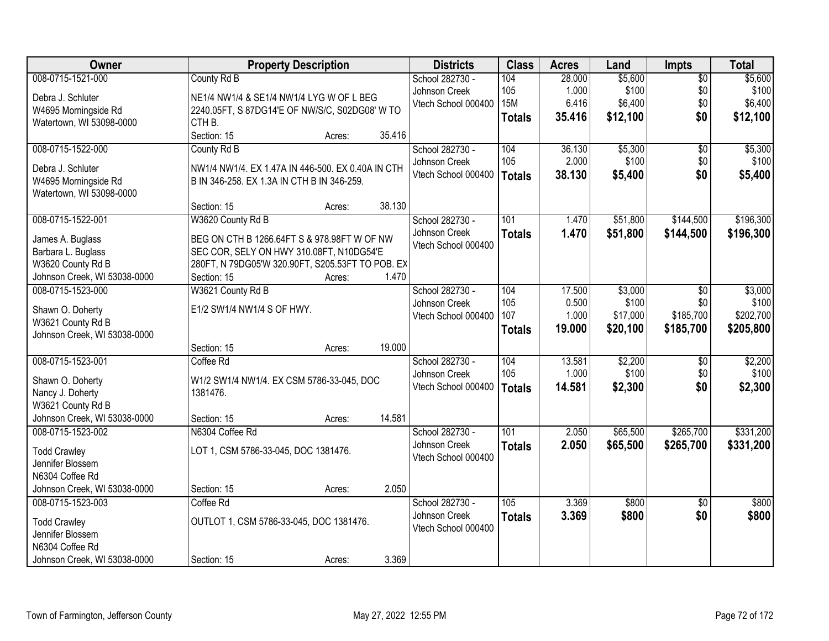| Owner                                   | <b>Property Description</b>                       | <b>Districts</b>    | <b>Class</b>  | <b>Acres</b> | Land     | Impts           | <b>Total</b> |
|-----------------------------------------|---------------------------------------------------|---------------------|---------------|--------------|----------|-----------------|--------------|
| 008-0715-1521-000                       | County Rd B                                       | School 282730 -     | 104           | 28.000       | \$5,600  | $\overline{50}$ | \$5,600      |
| Debra J. Schluter                       | NE1/4 NW1/4 & SE1/4 NW1/4 LYG W OF L BEG          | Johnson Creek       | 105           | 1.000        | \$100    | \$0             | \$100        |
| W4695 Morningside Rd                    | 2240.05FT, S 87DG14'E OF NW/S/C, S02DG08' W TO    | Vtech School 000400 | <b>15M</b>    | 6.416        | \$6,400  | \$0             | \$6,400      |
| Watertown, WI 53098-0000                | CTH <sub>B.</sub>                                 |                     | <b>Totals</b> | 35.416       | \$12,100 | \$0             | \$12,100     |
|                                         | Section: 15<br>35.416<br>Acres:                   |                     |               |              |          |                 |              |
| 008-0715-1522-000                       | County Rd B                                       | School 282730 -     | 104           | 36.130       | \$5,300  | $\overline{50}$ | \$5,300      |
| Debra J. Schluter                       | NW1/4 NW1/4. EX 1.47A IN 446-500. EX 0.40A IN CTH | Johnson Creek       | 105           | 2.000        | \$100    | \$0             | \$100        |
| W4695 Morningside Rd                    | B IN 346-258. EX 1.3A IN CTH B IN 346-259.        | Vtech School 000400 | <b>Totals</b> | 38.130       | \$5,400  | \$0             | \$5,400      |
| Watertown, WI 53098-0000                |                                                   |                     |               |              |          |                 |              |
|                                         | 38.130<br>Section: 15<br>Acres:                   |                     |               |              |          |                 |              |
| 008-0715-1522-001                       | W3620 County Rd B                                 | School 282730 -     | 101           | 1.470        | \$51,800 | \$144,500       | \$196,300    |
| James A. Buglass                        | BEG ON CTH B 1266.64FT S & 978.98FT W OF NW       | Johnson Creek       | <b>Totals</b> | 1.470        | \$51,800 | \$144,500       | \$196,300    |
| Barbara L. Buglass                      | SEC COR, SELY ON HWY 310.08FT, N10DG54'E          | Vtech School 000400 |               |              |          |                 |              |
| W3620 County Rd B                       | 280FT, N 79DG05'W 320.90FT, S205.53FT TO POB. EX  |                     |               |              |          |                 |              |
| Johnson Creek, WI 53038-0000            | Section: 15<br>1.470<br>Acres:                    |                     |               |              |          |                 |              |
| 008-0715-1523-000                       | W3621 County Rd B                                 | School 282730 -     | 104           | 17.500       | \$3,000  | \$0             | \$3,000      |
|                                         |                                                   | Johnson Creek       | 105           | 0.500        | \$100    | \$0             | \$100        |
| Shawn O. Doherty                        | E1/2 SW1/4 NW1/4 S OF HWY.                        | Vtech School 000400 | 107           | 1.000        | \$17,000 | \$185,700       | \$202,700    |
| W3621 County Rd B                       |                                                   |                     | <b>Totals</b> | 19.000       | \$20,100 | \$185,700       | \$205,800    |
| Johnson Creek, WI 53038-0000            |                                                   |                     |               |              |          |                 |              |
|                                         | 19.000<br>Section: 15<br>Acres:                   |                     |               |              |          |                 |              |
| 008-0715-1523-001                       | Coffee Rd                                         | School 282730 -     | 104           | 13.581       | \$2,200  | $\overline{50}$ | \$2,200      |
| Shawn O. Doherty                        | W1/2 SW1/4 NW1/4. EX CSM 5786-33-045, DOC         | Johnson Creek       | 105           | 1.000        | \$100    | \$0             | \$100        |
| Nancy J. Doherty                        | 1381476.                                          | Vtech School 000400 | <b>Totals</b> | 14.581       | \$2,300  | \$0             | \$2,300      |
| W3621 County Rd B                       |                                                   |                     |               |              |          |                 |              |
| Johnson Creek, WI 53038-0000            | 14.581<br>Section: 15<br>Acres:                   |                     |               |              |          |                 |              |
| 008-0715-1523-002                       | N6304 Coffee Rd                                   | School 282730 -     | 101           | 2.050        | \$65,500 | \$265,700       | \$331,200    |
| <b>Todd Crawley</b>                     | LOT 1, CSM 5786-33-045, DOC 1381476.              | Johnson Creek       | <b>Totals</b> | 2.050        | \$65,500 | \$265,700       | \$331,200    |
| Jennifer Blossem                        |                                                   | Vtech School 000400 |               |              |          |                 |              |
| N6304 Coffee Rd                         |                                                   |                     |               |              |          |                 |              |
| Johnson Creek, WI 53038-0000            | 2.050<br>Section: 15<br>Acres:                    |                     |               |              |          |                 |              |
| 008-0715-1523-003                       | Coffee Rd                                         | School 282730 -     | 105           | 3.369        | \$800    | $\overline{50}$ | \$800        |
|                                         |                                                   | Johnson Creek       | <b>Totals</b> | 3.369        | \$800    | \$0             | \$800        |
| <b>Todd Crawley</b><br>Jennifer Blossem | OUTLOT 1, CSM 5786-33-045, DOC 1381476.           | Vtech School 000400 |               |              |          |                 |              |
| N6304 Coffee Rd                         |                                                   |                     |               |              |          |                 |              |
| Johnson Creek, WI 53038-0000            | 3.369<br>Section: 15<br>Acres:                    |                     |               |              |          |                 |              |
|                                         |                                                   |                     |               |              |          |                 |              |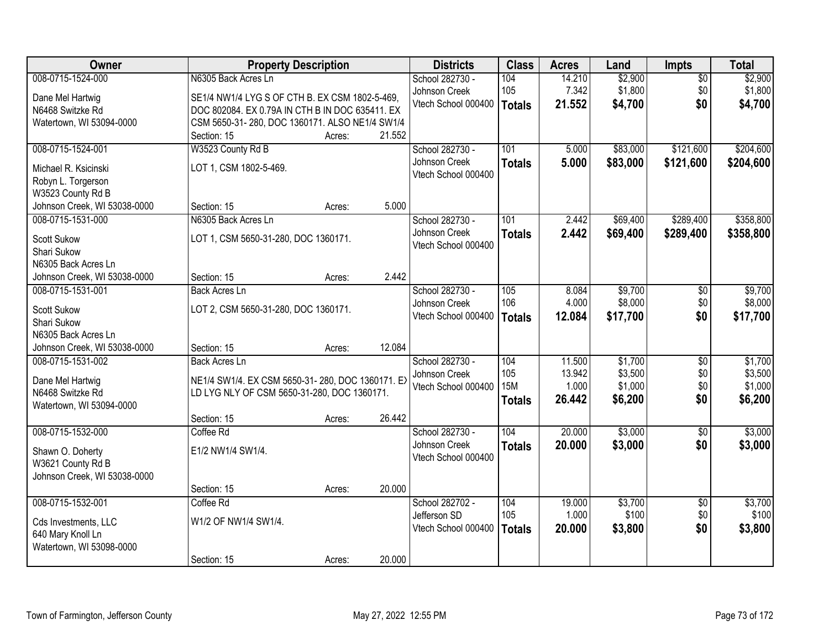| Owner                        | <b>Property Description</b>                      |        |        | <b>Districts</b>    | <b>Class</b>  | <b>Acres</b> | Land     | <b>Impts</b>    | <b>Total</b> |
|------------------------------|--------------------------------------------------|--------|--------|---------------------|---------------|--------------|----------|-----------------|--------------|
| 008-0715-1524-000            | N6305 Back Acres Ln                              |        |        | School 282730 -     | 104           | 14.210       | \$2,900  | $\overline{50}$ | \$2,900      |
| Dane Mel Hartwig             | SE1/4 NW1/4 LYG S OF CTH B. EX CSM 1802-5-469,   |        |        | Johnson Creek       | 105           | 7.342        | \$1,800  | \$0             | \$1,800      |
| N6468 Switzke Rd             | DOC 802084. EX 0.79A IN CTH B IN DOC 635411. EX  |        |        | Vtech School 000400 | <b>Totals</b> | 21.552       | \$4,700  | \$0             | \$4,700      |
| Watertown, WI 53094-0000     | CSM 5650-31-280, DOC 1360171. ALSO NE1/4 SW1/4   |        |        |                     |               |              |          |                 |              |
|                              | Section: 15                                      | Acres: | 21.552 |                     |               |              |          |                 |              |
| 008-0715-1524-001            | W3523 County Rd B                                |        |        | School 282730 -     | 101           | 5.000        | \$83,000 | \$121,600       | \$204,600    |
| Michael R. Ksicinski         | LOT 1, CSM 1802-5-469.                           |        |        | Johnson Creek       | <b>Totals</b> | 5.000        | \$83,000 | \$121,600       | \$204,600    |
| Robyn L. Torgerson           |                                                  |        |        | Vtech School 000400 |               |              |          |                 |              |
| W3523 County Rd B            |                                                  |        |        |                     |               |              |          |                 |              |
| Johnson Creek, WI 53038-0000 | Section: 15                                      | Acres: | 5.000  |                     |               |              |          |                 |              |
| 008-0715-1531-000            | N6305 Back Acres Ln                              |        |        | School 282730 -     | 101           | 2.442        | \$69,400 | \$289,400       | \$358,800    |
| <b>Scott Sukow</b>           | LOT 1, CSM 5650-31-280, DOC 1360171.             |        |        | Johnson Creek       | <b>Totals</b> | 2.442        | \$69,400 | \$289,400       | \$358,800    |
| Shari Sukow                  |                                                  |        |        | Vtech School 000400 |               |              |          |                 |              |
| N6305 Back Acres Ln          |                                                  |        |        |                     |               |              |          |                 |              |
| Johnson Creek, WI 53038-0000 | Section: 15                                      | Acres: | 2.442  |                     |               |              |          |                 |              |
| 008-0715-1531-001            | <b>Back Acres Ln</b>                             |        |        | School 282730 -     | 105           | 8.084        | \$9,700  | \$0             | \$9,700      |
| <b>Scott Sukow</b>           | LOT 2, CSM 5650-31-280, DOC 1360171.             |        |        | Johnson Creek       | 106           | 4.000        | \$8,000  | \$0             | \$8,000      |
| Shari Sukow                  |                                                  |        |        | Vtech School 000400 | <b>Totals</b> | 12.084       | \$17,700 | \$0             | \$17,700     |
| N6305 Back Acres Ln          |                                                  |        |        |                     |               |              |          |                 |              |
| Johnson Creek, WI 53038-0000 | Section: 15                                      | Acres: | 12.084 |                     |               |              |          |                 |              |
| 008-0715-1531-002            | <b>Back Acres Ln</b>                             |        |        | School 282730 -     | 104           | 11.500       | \$1,700  | $\overline{50}$ | \$1,700      |
| Dane Mel Hartwig             | NE1/4 SW1/4. EX CSM 5650-31-280, DOC 1360171. EX |        |        | Johnson Creek       | 105           | 13.942       | \$3,500  | \$0             | \$3,500      |
| N6468 Switzke Rd             | LD LYG NLY OF CSM 5650-31-280, DOC 1360171.      |        |        | Vtech School 000400 | <b>15M</b>    | 1.000        | \$1,000  | \$0             | \$1,000      |
| Watertown, WI 53094-0000     |                                                  |        |        |                     | <b>Totals</b> | 26.442       | \$6,200  | \$0             | \$6,200      |
|                              | Section: 15                                      | Acres: | 26.442 |                     |               |              |          |                 |              |
| 008-0715-1532-000            | Coffee Rd                                        |        |        | School 282730 -     | 104           | 20.000       | \$3,000  | $\overline{50}$ | \$3,000      |
| Shawn O. Doherty             | E1/2 NW1/4 SW1/4.                                |        |        | Johnson Creek       | <b>Totals</b> | 20.000       | \$3,000  | \$0             | \$3,000      |
| W3621 County Rd B            |                                                  |        |        | Vtech School 000400 |               |              |          |                 |              |
| Johnson Creek, WI 53038-0000 |                                                  |        |        |                     |               |              |          |                 |              |
|                              | Section: 15                                      | Acres: | 20.000 |                     |               |              |          |                 |              |
| 008-0715-1532-001            | Coffee Rd                                        |        |        | School 282702 -     | 104           | 19.000       | \$3,700  | $\overline{50}$ | \$3,700      |
| Cds Investments, LLC         | W1/2 OF NW1/4 SW1/4.                             |        |        | Jefferson SD        | 105           | 1.000        | \$100    | \$0             | \$100        |
| 640 Mary Knoll Ln            |                                                  |        |        | Vtech School 000400 | <b>Totals</b> | 20.000       | \$3,800  | \$0             | \$3,800      |
| Watertown, WI 53098-0000     |                                                  |        |        |                     |               |              |          |                 |              |
|                              | Section: 15                                      | Acres: | 20.000 |                     |               |              |          |                 |              |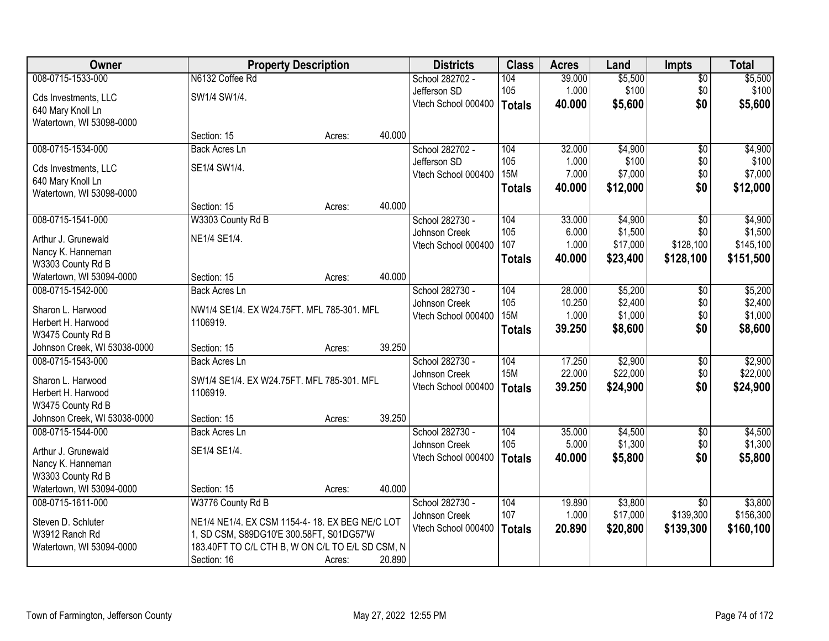| Owner                        |                                                  | <b>Property Description</b> |        | <b>Districts</b>    | <b>Class</b>  | <b>Acres</b> | Land     | <b>Impts</b>    | <b>Total</b> |
|------------------------------|--------------------------------------------------|-----------------------------|--------|---------------------|---------------|--------------|----------|-----------------|--------------|
| 008-0715-1533-000            | N6132 Coffee Rd                                  |                             |        | School 282702 -     | 104           | 39.000       | \$5,500  | \$0             | \$5,500      |
| Cds Investments, LLC         | SW1/4 SW1/4.                                     |                             |        | Jefferson SD        | 105           | 1.000        | \$100    | \$0             | \$100        |
| 640 Mary Knoll Ln            |                                                  |                             |        | Vtech School 000400 | Totals        | 40.000       | \$5,600  | \$0             | \$5,600      |
| Watertown, WI 53098-0000     |                                                  |                             |        |                     |               |              |          |                 |              |
|                              | Section: 15                                      | Acres:                      | 40.000 |                     |               |              |          |                 |              |
| 008-0715-1534-000            | <b>Back Acres Ln</b>                             |                             |        | School 282702 -     | 104           | 32.000       | \$4,900  | $\overline{50}$ | \$4,900      |
| Cds Investments, LLC         | SE1/4 SW1/4.                                     |                             |        | Jefferson SD        | 105           | 1.000        | \$100    | \$0             | \$100        |
| 640 Mary Knoll Ln            |                                                  |                             |        | Vtech School 000400 | <b>15M</b>    | 7.000        | \$7,000  | \$0             | \$7,000      |
| Watertown, WI 53098-0000     |                                                  |                             |        |                     | <b>Totals</b> | 40.000       | \$12,000 | \$0             | \$12,000     |
|                              | Section: 15                                      | Acres:                      | 40.000 |                     |               |              |          |                 |              |
| 008-0715-1541-000            | W3303 County Rd B                                |                             |        | School 282730 -     | 104           | 33.000       | \$4,900  | $\overline{50}$ | \$4,900      |
| Arthur J. Grunewald          | NE1/4 SE1/4.                                     |                             |        | Johnson Creek       | 105           | 6.000        | \$1,500  | \$0             | \$1,500      |
| Nancy K. Hanneman            |                                                  |                             |        | Vtech School 000400 | 107           | 1.000        | \$17,000 | \$128,100       | \$145,100    |
| W3303 County Rd B            |                                                  |                             |        |                     | <b>Totals</b> | 40.000       | \$23,400 | \$128,100       | \$151,500    |
| Watertown, WI 53094-0000     | Section: 15                                      | Acres:                      | 40.000 |                     |               |              |          |                 |              |
| 008-0715-1542-000            | <b>Back Acres Ln</b>                             |                             |        | School 282730 -     | 104           | 28.000       | \$5,200  | \$0             | \$5,200      |
| Sharon L. Harwood            | NW1/4 SE1/4. EX W24.75FT. MFL 785-301. MFL       |                             |        | Johnson Creek       | 105           | 10.250       | \$2,400  | \$0             | \$2,400      |
| Herbert H. Harwood           | 1106919.                                         |                             |        | Vtech School 000400 | <b>15M</b>    | 1.000        | \$1,000  | \$0             | \$1,000      |
| W3475 County Rd B            |                                                  |                             |        |                     | <b>Totals</b> | 39.250       | \$8,600  | \$0             | \$8,600      |
| Johnson Creek, WI 53038-0000 | Section: 15                                      | Acres:                      | 39.250 |                     |               |              |          |                 |              |
| 008-0715-1543-000            | Back Acres Ln                                    |                             |        | School 282730 -     | 104           | 17.250       | \$2,900  | \$0             | \$2,900      |
| Sharon L. Harwood            | SW1/4 SE1/4. EX W24.75FT. MFL 785-301. MFL       |                             |        | Johnson Creek       | <b>15M</b>    | 22.000       | \$22,000 | \$0             | \$22,000     |
| Herbert H. Harwood           | 1106919.                                         |                             |        | Vtech School 000400 | <b>Totals</b> | 39.250       | \$24,900 | \$0             | \$24,900     |
| W3475 County Rd B            |                                                  |                             |        |                     |               |              |          |                 |              |
| Johnson Creek, WI 53038-0000 | Section: 15                                      | Acres:                      | 39.250 |                     |               |              |          |                 |              |
| 008-0715-1544-000            | <b>Back Acres Ln</b>                             |                             |        | School 282730 -     | 104           | 35.000       | \$4,500  | $\overline{$0}$ | \$4,500      |
| Arthur J. Grunewald          | SE1/4 SE1/4.                                     |                             |        | Johnson Creek       | 105           | 5.000        | \$1,300  | \$0             | \$1,300      |
| Nancy K. Hanneman            |                                                  |                             |        | Vtech School 000400 | Totals        | 40.000       | \$5,800  | \$0             | \$5,800      |
| W3303 County Rd B            |                                                  |                             |        |                     |               |              |          |                 |              |
| Watertown, WI 53094-0000     | Section: 15                                      | Acres:                      | 40.000 |                     |               |              |          |                 |              |
| 008-0715-1611-000            | W3776 County Rd B                                |                             |        | School 282730 -     | 104           | 19.890       | \$3,800  | $\overline{30}$ | \$3,800      |
| Steven D. Schluter           | NE1/4 NE1/4. EX CSM 1154-4-18. EX BEG NE/C LOT   |                             |        | Johnson Creek       | 107           | 1.000        | \$17,000 | \$139,300       | \$156,300    |
| W3912 Ranch Rd               | 1, SD CSM, S89DG10'E 300.58FT, S01DG57'W         |                             |        | Vtech School 000400 | <b>Totals</b> | 20.890       | \$20,800 | \$139,300       | \$160,100    |
| Watertown, WI 53094-0000     | 183.40FT TO C/L CTH B, W ON C/L TO E/L SD CSM, N |                             |        |                     |               |              |          |                 |              |
|                              | Section: 16                                      | Acres:                      | 20.890 |                     |               |              |          |                 |              |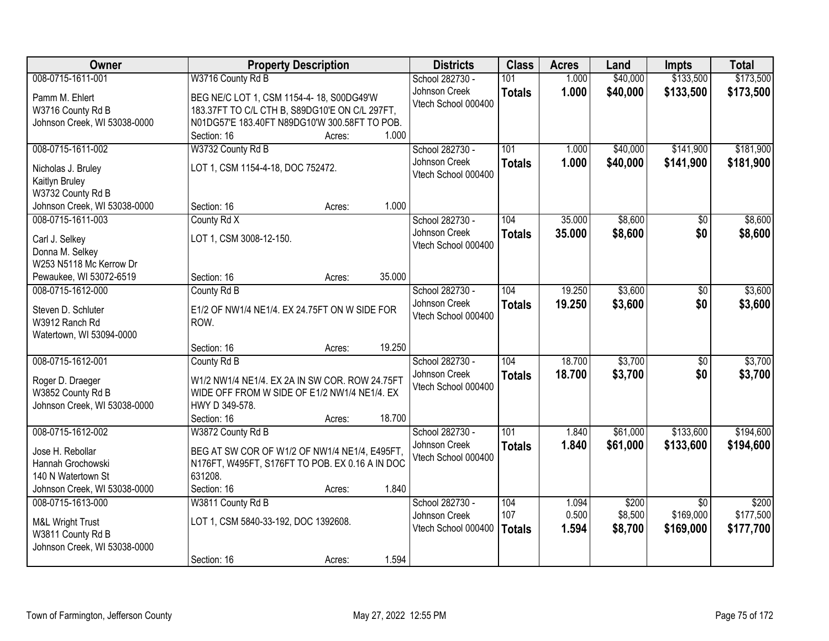| Owner                             | <b>Property Description</b>                     | <b>Districts</b>                     | <b>Class</b>  | <b>Acres</b> | Land     | <b>Impts</b>    | <b>Total</b> |
|-----------------------------------|-------------------------------------------------|--------------------------------------|---------------|--------------|----------|-----------------|--------------|
| 008-0715-1611-001                 | W3716 County Rd B                               | School 282730 -                      | 101           | 1.000        | \$40,000 | \$133,500       | \$173,500    |
| Pamm M. Ehlert                    | BEG NE/C LOT 1, CSM 1154-4-18, S00DG49'W        | Johnson Creek                        | <b>Totals</b> | 1.000        | \$40,000 | \$133,500       | \$173,500    |
| W3716 County Rd B                 | 183.37FT TO C/L CTH B, S89DG10'E ON C/L 297FT,  | Vtech School 000400                  |               |              |          |                 |              |
| Johnson Creek, WI 53038-0000      | N01DG57'E 183.40FT N89DG10'W 300.58FT TO POB.   |                                      |               |              |          |                 |              |
|                                   | Section: 16<br>1.000<br>Acres:                  |                                      |               |              |          |                 |              |
| 008-0715-1611-002                 | W3732 County Rd B                               | School 282730 -                      | 101           | 1.000        | \$40,000 | \$141,900       | \$181,900    |
| Nicholas J. Bruley                | LOT 1, CSM 1154-4-18, DOC 752472.               | Johnson Creek                        | <b>Totals</b> | 1.000        | \$40,000 | \$141,900       | \$181,900    |
| Kaitlyn Bruley                    |                                                 | Vtech School 000400                  |               |              |          |                 |              |
| W3732 County Rd B                 |                                                 |                                      |               |              |          |                 |              |
| Johnson Creek, WI 53038-0000      | 1.000<br>Section: 16<br>Acres:                  |                                      |               |              |          |                 |              |
| 008-0715-1611-003                 | County Rd X                                     | School 282730 -                      | 104           | 35.000       | \$8,600  | \$0             | \$8,600      |
|                                   |                                                 | Johnson Creek                        | <b>Totals</b> | 35.000       | \$8,600  | \$0             | \$8,600      |
| Carl J. Selkey<br>Donna M. Selkey | LOT 1, CSM 3008-12-150.                         | Vtech School 000400                  |               |              |          |                 |              |
| W253 N5118 Mc Kerrow Dr           |                                                 |                                      |               |              |          |                 |              |
| Pewaukee, WI 53072-6519           | Section: 16<br>35.000<br>Acres:                 |                                      |               |              |          |                 |              |
| 008-0715-1612-000                 | County Rd B                                     | School 282730 -                      | 104           | 19.250       | \$3,600  | \$0             | \$3,600      |
|                                   |                                                 | Johnson Creek                        | <b>Totals</b> | 19.250       | \$3,600  | \$0             | \$3,600      |
| Steven D. Schluter                | E1/2 OF NW1/4 NE1/4. EX 24.75FT ON W SIDE FOR   | Vtech School 000400                  |               |              |          |                 |              |
| W3912 Ranch Rd                    | ROW.                                            |                                      |               |              |          |                 |              |
| Watertown, WI 53094-0000          | 19.250<br>Section: 16<br>Acres:                 |                                      |               |              |          |                 |              |
| 008-0715-1612-001                 | County Rd B                                     | School 282730 -                      | 104           | 18.700       | \$3,700  | $\overline{50}$ | \$3,700      |
|                                   |                                                 | Johnson Creek                        | <b>Totals</b> | 18.700       | \$3,700  | \$0             | \$3,700      |
| Roger D. Draeger                  | W1/2 NW1/4 NE1/4. EX 2A IN SW COR. ROW 24.75FT  | Vtech School 000400                  |               |              |          |                 |              |
| W3852 County Rd B                 | WIDE OFF FROM W SIDE OF E1/2 NW1/4 NE1/4. EX    |                                      |               |              |          |                 |              |
| Johnson Creek, WI 53038-0000      | HWY D 349-578.                                  |                                      |               |              |          |                 |              |
|                                   | 18.700<br>Section: 16<br>Acres:                 |                                      |               |              |          |                 |              |
| 008-0715-1612-002                 | W3872 County Rd B                               | School 282730 -                      | 101           | 1.840        | \$61,000 | \$133,600       | \$194,600    |
| Jose H. Rebollar                  | BEG AT SW COR OF W1/2 OF NW1/4 NE1/4, E495FT,   | Johnson Creek<br>Vtech School 000400 | <b>Totals</b> | 1.840        | \$61,000 | \$133,600       | \$194,600    |
| Hannah Grochowski                 | N176FT, W495FT, S176FT TO POB. EX 0.16 A IN DOC |                                      |               |              |          |                 |              |
| 140 N Watertown St                | 631208.                                         |                                      |               |              |          |                 |              |
| Johnson Creek, WI 53038-0000      | 1.840<br>Section: 16<br>Acres:                  |                                      |               |              |          |                 |              |
| 008-0715-1613-000                 | W3811 County Rd B                               | School 282730 -                      | 104           | 1.094        | \$200    | $\overline{30}$ | \$200        |
| M&L Wright Trust                  | LOT 1, CSM 5840-33-192, DOC 1392608.            | Johnson Creek                        | 107           | 0.500        | \$8,500  | \$169,000       | \$177,500    |
| W3811 County Rd B                 |                                                 | Vtech School 000400                  | <b>Totals</b> | 1.594        | \$8,700  | \$169,000       | \$177,700    |
| Johnson Creek, WI 53038-0000      |                                                 |                                      |               |              |          |                 |              |
|                                   | 1.594<br>Section: 16<br>Acres:                  |                                      |               |              |          |                 |              |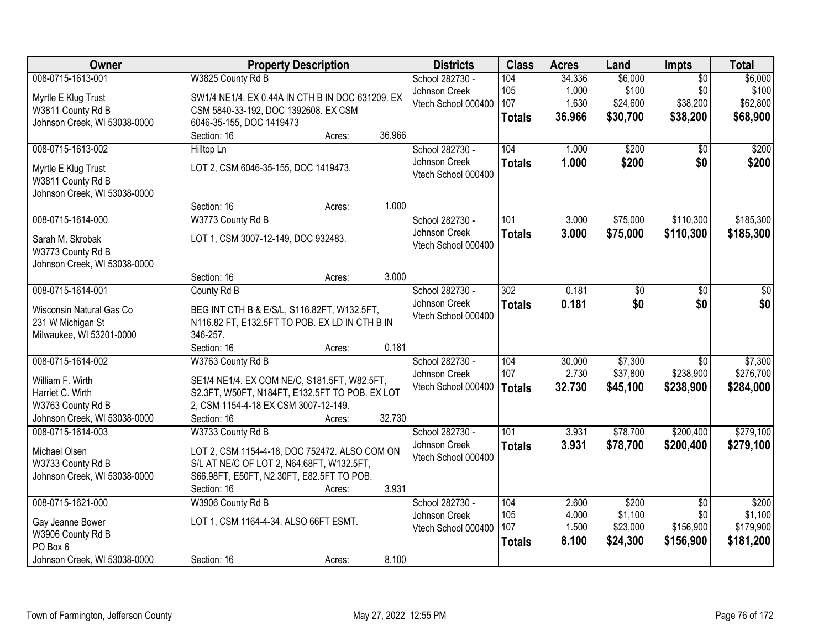| <b>Owner</b>                 | <b>Property Description</b>                      | <b>Districts</b>    | <b>Class</b>     | <b>Acres</b> | Land     | Impts           | <b>Total</b> |
|------------------------------|--------------------------------------------------|---------------------|------------------|--------------|----------|-----------------|--------------|
| 008-0715-1613-001            | W3825 County Rd B                                | School 282730 -     | 104              | 34.336       | \$6,000  | $\overline{50}$ | \$6,000      |
| Myrtle E Klug Trust          | SW1/4 NE1/4. EX 0.44A IN CTH B IN DOC 631209. EX | Johnson Creek       | 105              | 1.000        | \$100    | \$0             | \$100        |
| W3811 County Rd B            | CSM 5840-33-192, DOC 1392608. EX CSM             | Vtech School 000400 | 107              | 1.630        | \$24,600 | \$38,200        | \$62,800     |
| Johnson Creek, WI 53038-0000 | 6046-35-155, DOC 1419473                         |                     | <b>Totals</b>    | 36.966       | \$30,700 | \$38,200        | \$68,900     |
|                              | 36.966<br>Section: 16<br>Acres:                  |                     |                  |              |          |                 |              |
| 008-0715-1613-002            | Hilltop Ln                                       | School 282730 -     | 104              | 1.000        | \$200    | $\overline{50}$ | \$200        |
|                              |                                                  | Johnson Creek       | <b>Totals</b>    | 1.000        | \$200    | \$0             | \$200        |
| Myrtle E Klug Trust          | LOT 2, CSM 6046-35-155, DOC 1419473.             | Vtech School 000400 |                  |              |          |                 |              |
| W3811 County Rd B            |                                                  |                     |                  |              |          |                 |              |
| Johnson Creek, WI 53038-0000 |                                                  |                     |                  |              |          |                 |              |
|                              | 1.000<br>Section: 16<br>Acres:                   |                     |                  |              |          |                 |              |
| 008-0715-1614-000            | W3773 County Rd B                                | School 282730 -     | 101              | 3.000        | \$75,000 | \$110,300       | \$185,300    |
| Sarah M. Skrobak             | LOT 1, CSM 3007-12-149, DOC 932483.              | Johnson Creek       | <b>Totals</b>    | 3.000        | \$75,000 | \$110,300       | \$185,300    |
| W3773 County Rd B            |                                                  | Vtech School 000400 |                  |              |          |                 |              |
| Johnson Creek, WI 53038-0000 |                                                  |                     |                  |              |          |                 |              |
|                              | 3.000<br>Section: 16<br>Acres:                   |                     |                  |              |          |                 |              |
| 008-0715-1614-001            | County Rd B                                      | School 282730 -     | $\overline{302}$ | 0.181        | \$0      | \$0             | \$0          |
|                              |                                                  | Johnson Creek       | <b>Totals</b>    | 0.181        | \$0      | \$0             | \$0          |
| Wisconsin Natural Gas Co     | BEG INT CTH B & E/S/L, S116.82FT, W132.5FT,      | Vtech School 000400 |                  |              |          |                 |              |
| 231 W Michigan St            | N116.82 FT, E132.5FT TO POB. EX LD IN CTH B IN   |                     |                  |              |          |                 |              |
| Milwaukee, WI 53201-0000     | 346-257.                                         |                     |                  |              |          |                 |              |
|                              | Section: 16<br>0.181<br>Acres:                   |                     |                  |              |          |                 |              |
| 008-0715-1614-002            | W3763 County Rd B                                | School 282730 -     | 104              | 30.000       | \$7,300  | \$0             | \$7,300      |
| William F. Wirth             | SE1/4 NE1/4. EX COM NE/C, S181.5FT, W82.5FT,     | Johnson Creek       | 107              | 2.730        | \$37,800 | \$238,900       | \$276,700    |
| Harriet C. Wirth             | S2.3FT, W50FT, N184FT, E132.5FT TO POB. EX LOT   | Vtech School 000400 | <b>Totals</b>    | 32.730       | \$45,100 | \$238,900       | \$284,000    |
| W3763 County Rd B            | 2, CSM 1154-4-18 EX CSM 3007-12-149.             |                     |                  |              |          |                 |              |
| Johnson Creek, WI 53038-0000 | 32.730<br>Section: 16<br>Acres:                  |                     |                  |              |          |                 |              |
| 008-0715-1614-003            | W3733 County Rd B                                | School 282730 -     | 101              | 3.931        | \$78,700 | \$200,400       | \$279,100    |
| Michael Olsen                | LOT 2, CSM 1154-4-18, DOC 752472. ALSO COM ON    | Johnson Creek       | <b>Totals</b>    | 3.931        | \$78,700 | \$200,400       | \$279,100    |
| W3733 County Rd B            | S/L AT NE/C OF LOT 2, N64.68FT, W132.5FT,        | Vtech School 000400 |                  |              |          |                 |              |
| Johnson Creek, WI 53038-0000 | S66.98FT, E50FT, N2.30FT, E82.5FT TO POB.        |                     |                  |              |          |                 |              |
|                              | 3.931<br>Section: 16<br>Acres:                   |                     |                  |              |          |                 |              |
| 008-0715-1621-000            | W3906 County Rd B                                | School 282730 -     | 104              | 2.600        | \$200    | $\overline{50}$ | \$200        |
|                              |                                                  | Johnson Creek       | 105              | 4.000        | \$1,100  | \$0             | \$1,100      |
| Gay Jeanne Bower             | LOT 1, CSM 1164-4-34. ALSO 66FT ESMT.            | Vtech School 000400 | 107              | 1.500        | \$23,000 | \$156,900       | \$179,900    |
| W3906 County Rd B            |                                                  |                     |                  | 8.100        | \$24,300 | \$156,900       | \$181,200    |
| PO Box 6                     |                                                  |                     | <b>Totals</b>    |              |          |                 |              |
| Johnson Creek, WI 53038-0000 | 8.100<br>Section: 16<br>Acres:                   |                     |                  |              |          |                 |              |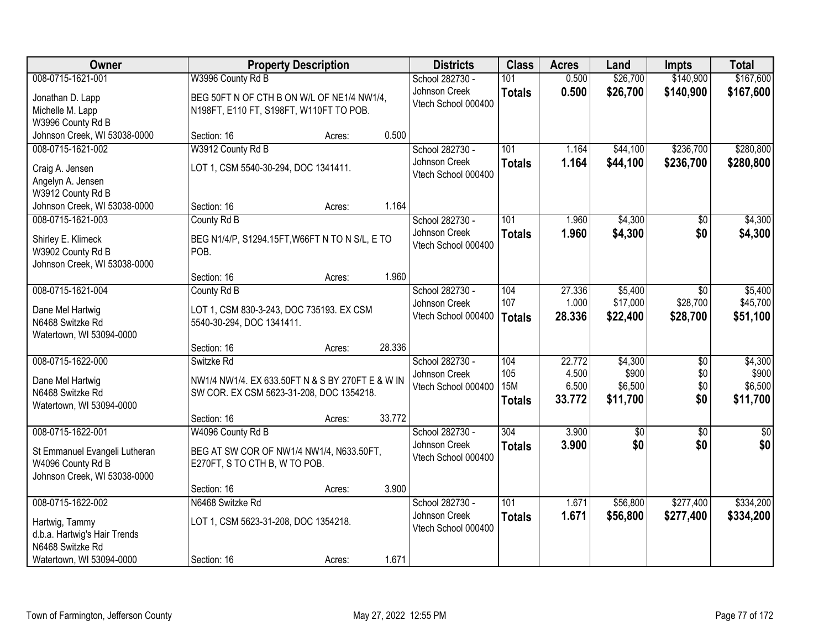| Owner                                                                                                   | <b>Property Description</b>                                                                                |                  | <b>Districts</b>                                        | <b>Class</b>                              | <b>Acres</b>                       | Land                                    | <b>Impts</b>             | <b>Total</b>                            |
|---------------------------------------------------------------------------------------------------------|------------------------------------------------------------------------------------------------------------|------------------|---------------------------------------------------------|-------------------------------------------|------------------------------------|-----------------------------------------|--------------------------|-----------------------------------------|
| 008-0715-1621-001                                                                                       | W3996 County Rd B                                                                                          |                  | School 282730 -                                         | 101                                       | 0.500                              | \$26,700                                | \$140,900                | \$167,600                               |
| Jonathan D. Lapp<br>Michelle M. Lapp<br>W3996 County Rd B                                               | BEG 50FT N OF CTH B ON W/L OF NE1/4 NW1/4,<br>N198FT, E110 FT, S198FT, W110FT TO POB.                      |                  | Johnson Creek<br>Vtech School 000400                    | <b>Totals</b>                             | 0.500                              | \$26,700                                | \$140,900                | \$167,600                               |
| Johnson Creek, WI 53038-0000                                                                            | Section: 16                                                                                                | 0.500<br>Acres:  |                                                         |                                           |                                    |                                         |                          |                                         |
| 008-0715-1621-002                                                                                       | W3912 County Rd B                                                                                          |                  | School 282730 -                                         | 101                                       | 1.164                              | \$44,100                                | \$236,700                | \$280,800                               |
| Craig A. Jensen<br>Angelyn A. Jensen<br>W3912 County Rd B                                               | LOT 1, CSM 5540-30-294, DOC 1341411.                                                                       |                  | Johnson Creek<br>Vtech School 000400                    | <b>Totals</b>                             | 1.164                              | \$44,100                                | \$236,700                | \$280,800                               |
| Johnson Creek, WI 53038-0000                                                                            | Section: 16                                                                                                | 1.164<br>Acres:  |                                                         |                                           |                                    |                                         |                          |                                         |
| 008-0715-1621-003                                                                                       | County Rd B                                                                                                |                  | School 282730 -                                         | 101                                       | 1.960                              | \$4,300                                 | \$0                      | \$4,300                                 |
| Shirley E. Klimeck<br>W3902 County Rd B<br>Johnson Creek, WI 53038-0000                                 | BEG N1/4/P, S1294.15FT, W66FT N TO N S/L, E TO<br>POB.                                                     |                  | Johnson Creek<br>Vtech School 000400                    | <b>Totals</b>                             | 1.960                              | \$4,300                                 | \$0                      | \$4,300                                 |
|                                                                                                         | Section: 16                                                                                                | 1.960<br>Acres:  |                                                         |                                           |                                    |                                         |                          |                                         |
| 008-0715-1621-004                                                                                       | County Rd B                                                                                                |                  | School 282730 -                                         | 104                                       | 27.336                             | \$5,400                                 | \$0                      | \$5,400                                 |
| Dane Mel Hartwig<br>N6468 Switzke Rd<br>Watertown, WI 53094-0000                                        | LOT 1, CSM 830-3-243, DOC 735193. EX CSM<br>5540-30-294, DOC 1341411.                                      |                  | Johnson Creek<br>Vtech School 000400                    | 107<br><b>Totals</b>                      | 1.000<br>28.336                    | \$17,000<br>\$22,400                    | \$28,700<br>\$28,700     | \$45,700<br>\$51,100                    |
|                                                                                                         | Section: 16                                                                                                | 28.336<br>Acres: |                                                         |                                           |                                    |                                         |                          |                                         |
| 008-0715-1622-000<br>Dane Mel Hartwig<br>N6468 Switzke Rd<br>Watertown, WI 53094-0000                   | Switzke Rd<br>NW1/4 NW1/4. EX 633.50FT N & S BY 270FT E & W IN<br>SW COR. EX CSM 5623-31-208, DOC 1354218. |                  | School 282730 -<br>Johnson Creek<br>Vtech School 000400 | 104<br>105<br><b>15M</b><br><b>Totals</b> | 22.772<br>4.500<br>6.500<br>33.772 | \$4,300<br>\$900<br>\$6,500<br>\$11,700 | \$0<br>\$0<br>\$0<br>\$0 | \$4,300<br>\$900<br>\$6,500<br>\$11,700 |
|                                                                                                         | Section: 16                                                                                                | 33.772<br>Acres: |                                                         |                                           |                                    |                                         |                          |                                         |
| 008-0715-1622-001<br>St Emmanuel Evangeli Lutheran<br>W4096 County Rd B<br>Johnson Creek, WI 53038-0000 | W4096 County Rd B<br>BEG AT SW COR OF NW1/4 NW1/4, N633.50FT,<br>E270FT, S TO CTH B, W TO POB.             |                  | School 282730 -<br>Johnson Creek<br>Vtech School 000400 | 304<br><b>Totals</b>                      | 3.900<br>3.900                     | $\overline{50}$<br>\$0                  | $\overline{50}$<br>\$0   | $\overline{\$0}$<br>\$0                 |
|                                                                                                         | Section: 16                                                                                                | 3.900<br>Acres:  |                                                         |                                           |                                    |                                         |                          |                                         |
| 008-0715-1622-002<br>Hartwig, Tammy<br>d.b.a. Hartwig's Hair Trends<br>N6468 Switzke Rd                 | N6468 Switzke Rd<br>LOT 1, CSM 5623-31-208, DOC 1354218.                                                   |                  | School 282730 -<br>Johnson Creek<br>Vtech School 000400 | $\overline{101}$<br><b>Totals</b>         | 1.671<br>1.671                     | \$56,800<br>\$56,800                    | \$277,400<br>\$277,400   | \$334,200<br>\$334,200                  |
| Watertown, WI 53094-0000                                                                                | Section: 16                                                                                                | 1.671<br>Acres:  |                                                         |                                           |                                    |                                         |                          |                                         |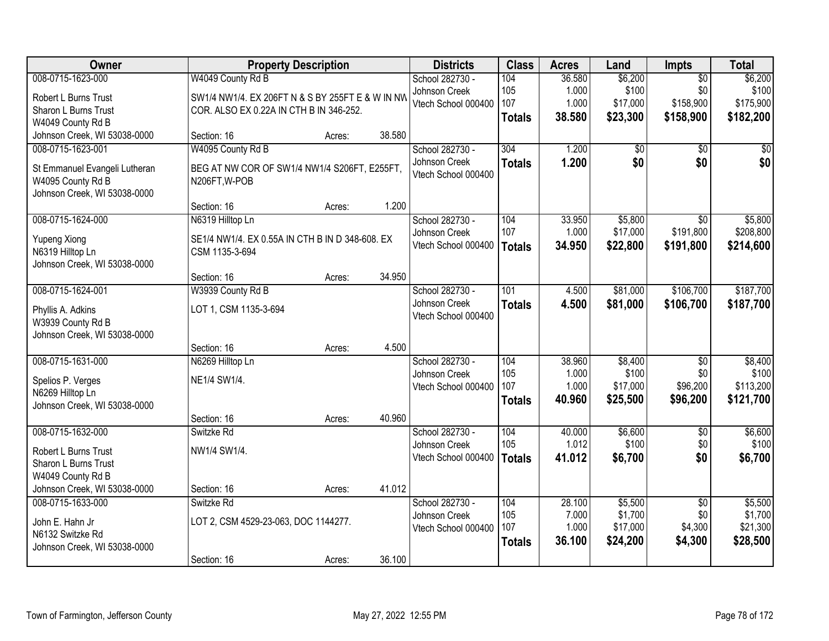| Owner                         |                                                  | <b>Property Description</b> |        | <b>Districts</b>    | <b>Class</b>  | <b>Acres</b> | Land            | <b>Impts</b>    | <b>Total</b> |
|-------------------------------|--------------------------------------------------|-----------------------------|--------|---------------------|---------------|--------------|-----------------|-----------------|--------------|
| 008-0715-1623-000             | W4049 County Rd B                                |                             |        | School 282730 -     | 104           | 36.580       | \$6,200         | $\overline{50}$ | \$6,200      |
| Robert L Burns Trust          | SW1/4 NW1/4. EX 206FT N & S BY 255FT E & W IN NW |                             |        | Johnson Creek       | 105           | 1.000        | \$100           | \$0             | \$100        |
| Sharon L Burns Trust          | COR. ALSO EX 0.22A IN CTH B IN 346-252.          |                             |        | Vtech School 000400 | 107           | 1.000        | \$17,000        | \$158,900       | \$175,900    |
| W4049 County Rd B             |                                                  |                             |        |                     | <b>Totals</b> | 38.580       | \$23,300        | \$158,900       | \$182,200    |
| Johnson Creek, WI 53038-0000  | Section: 16                                      | Acres:                      | 38.580 |                     |               |              |                 |                 |              |
| 008-0715-1623-001             | W4095 County Rd B                                |                             |        | School 282730 -     | 304           | 1.200        | $\overline{50}$ | $\overline{50}$ | \$0          |
| St Emmanuel Evangeli Lutheran | BEG AT NW COR OF SW1/4 NW1/4 S206FT, E255FT,     |                             |        | Johnson Creek       | <b>Totals</b> | 1.200        | \$0             | \$0             | \$0          |
| W4095 County Rd B             | N206FT, W-POB                                    |                             |        | Vtech School 000400 |               |              |                 |                 |              |
| Johnson Creek, WI 53038-0000  |                                                  |                             |        |                     |               |              |                 |                 |              |
|                               | Section: 16                                      | Acres:                      | 1.200  |                     |               |              |                 |                 |              |
| 008-0715-1624-000             | N6319 Hilltop Ln                                 |                             |        | School 282730 -     | 104           | 33.950       | \$5,800         | $\overline{30}$ | \$5,800      |
| <b>Yupeng Xiong</b>           | SE1/4 NW1/4. EX 0.55A IN CTH B IN D 348-608. EX  |                             |        | Johnson Creek       | 107           | 1.000        | \$17,000        | \$191,800       | \$208,800    |
| N6319 Hilltop Ln              | CSM 1135-3-694                                   |                             |        | Vtech School 000400 | <b>Totals</b> | 34.950       | \$22,800        | \$191,800       | \$214,600    |
| Johnson Creek, WI 53038-0000  |                                                  |                             |        |                     |               |              |                 |                 |              |
|                               | Section: 16                                      | Acres:                      | 34.950 |                     |               |              |                 |                 |              |
| 008-0715-1624-001             | W3939 County Rd B                                |                             |        | School 282730 -     | 101           | 4.500        | \$81,000        | \$106,700       | \$187,700    |
| Phyllis A. Adkins             | LOT 1, CSM 1135-3-694                            |                             |        | Johnson Creek       | <b>Totals</b> | 4.500        | \$81,000        | \$106,700       | \$187,700    |
| W3939 County Rd B             |                                                  |                             |        | Vtech School 000400 |               |              |                 |                 |              |
| Johnson Creek, WI 53038-0000  |                                                  |                             |        |                     |               |              |                 |                 |              |
|                               | Section: 16                                      | Acres:                      | 4.500  |                     |               |              |                 |                 |              |
| 008-0715-1631-000             | N6269 Hilltop Ln                                 |                             |        | School 282730 -     | 104           | 38.960       | \$8,400         | $\overline{50}$ | \$8,400      |
| Spelios P. Verges             | NE1/4 SW1/4.                                     |                             |        | Johnson Creek       | 105           | 1.000        | \$100           | \$0             | \$100        |
| N6269 Hilltop Ln              |                                                  |                             |        | Vtech School 000400 | 107           | 1.000        | \$17,000        | \$96,200        | \$113,200    |
| Johnson Creek, WI 53038-0000  |                                                  |                             |        |                     | <b>Totals</b> | 40.960       | \$25,500        | \$96,200        | \$121,700    |
|                               | Section: 16                                      | Acres:                      | 40.960 |                     |               |              |                 |                 |              |
| 008-0715-1632-000             | Switzke Rd                                       |                             |        | School 282730 -     | 104           | 40.000       | \$6,600         | $\overline{50}$ | \$6,600      |
| Robert L Burns Trust          | NW1/4 SW1/4.                                     |                             |        | Johnson Creek       | 105           | 1.012        | \$100           | \$0             | \$100        |
| Sharon L Burns Trust          |                                                  |                             |        | Vtech School 000400 | <b>Totals</b> | 41.012       | \$6,700         | \$0             | \$6,700      |
| W4049 County Rd B             |                                                  |                             |        |                     |               |              |                 |                 |              |
| Johnson Creek, WI 53038-0000  | Section: 16                                      | Acres:                      | 41.012 |                     |               |              |                 |                 |              |
| 008-0715-1633-000             | Switzke Rd                                       |                             |        | School 282730 -     | 104           | 28.100       | \$5,500         | $\overline{50}$ | \$5,500      |
| John E. Hahn Jr               | LOT 2, CSM 4529-23-063, DOC 1144277.             |                             |        | Johnson Creek       | 105           | 7.000        | \$1,700         | \$0             | \$1,700      |
| N6132 Switzke Rd              |                                                  |                             |        | Vtech School 000400 | 107           | 1.000        | \$17,000        | \$4,300         | \$21,300     |
| Johnson Creek, WI 53038-0000  |                                                  |                             |        |                     | <b>Totals</b> | 36.100       | \$24,200        | \$4,300         | \$28,500     |
|                               | Section: 16                                      | Acres:                      | 36.100 |                     |               |              |                 |                 |              |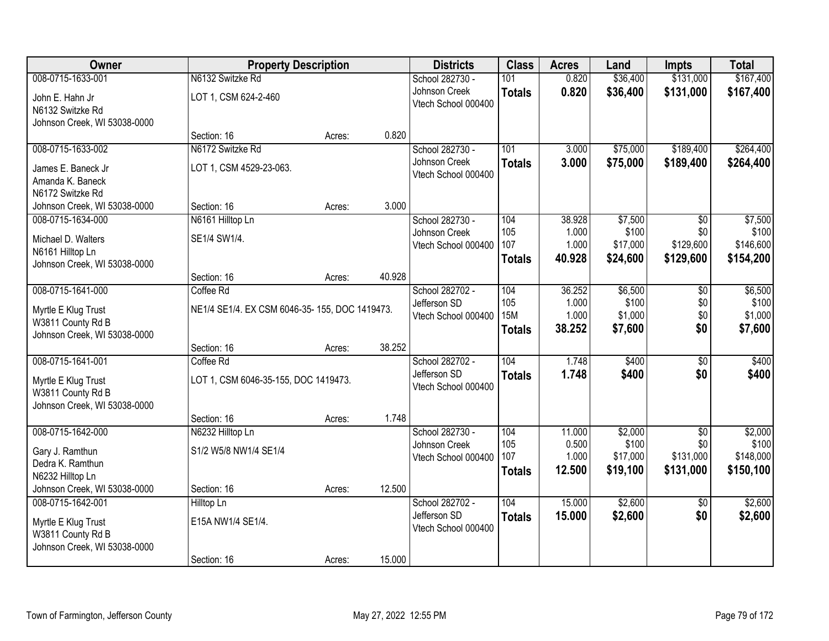| Owner                                             | <b>Property Description</b>                   |        |        | <b>Districts</b>                     | <b>Class</b>  | <b>Acres</b>    | Land             | <b>Impts</b>    | <b>Total</b>     |
|---------------------------------------------------|-----------------------------------------------|--------|--------|--------------------------------------|---------------|-----------------|------------------|-----------------|------------------|
| 008-0715-1633-001                                 | N6132 Switzke Rd                              |        |        | School 282730 -                      | 101           | 0.820           | \$36,400         | \$131,000       | \$167,400        |
| John E. Hahn Jr                                   | LOT 1, CSM 624-2-460                          |        |        | Johnson Creek                        | <b>Totals</b> | 0.820           | \$36,400         | \$131,000       | \$167,400        |
| N6132 Switzke Rd                                  |                                               |        |        | Vtech School 000400                  |               |                 |                  |                 |                  |
| Johnson Creek, WI 53038-0000                      |                                               |        |        |                                      |               |                 |                  |                 |                  |
|                                                   | Section: 16                                   | Acres: | 0.820  |                                      |               |                 |                  |                 |                  |
| 008-0715-1633-002                                 | N6172 Switzke Rd                              |        |        | School 282730 -                      | 101           | 3.000           | \$75,000         | \$189,400       | \$264,400        |
| James E. Baneck Jr                                | LOT 1, CSM 4529-23-063.                       |        |        | Johnson Creek<br>Vtech School 000400 | <b>Totals</b> | 3.000           | \$75,000         | \$189,400       | \$264,400        |
| Amanda K. Baneck                                  |                                               |        |        |                                      |               |                 |                  |                 |                  |
| N6172 Switzke Rd                                  |                                               |        |        |                                      |               |                 |                  |                 |                  |
| Johnson Creek, WI 53038-0000                      | Section: 16                                   | Acres: | 3.000  |                                      |               |                 |                  |                 |                  |
| 008-0715-1634-000                                 | N6161 Hilltop Ln                              |        |        | School 282730 -<br>Johnson Creek     | 104<br>105    | 38.928<br>1.000 | \$7,500<br>\$100 | \$0<br>\$0      | \$7,500<br>\$100 |
| Michael D. Walters                                | SE1/4 SW1/4.                                  |        |        | Vtech School 000400                  | 107           | 1.000           | \$17,000         | \$129,600       | \$146,600        |
| N6161 Hilltop Ln                                  |                                               |        |        |                                      | <b>Totals</b> | 40.928          | \$24,600         | \$129,600       | \$154,200        |
| Johnson Creek, WI 53038-0000                      | Section: 16                                   | Acres: | 40.928 |                                      |               |                 |                  |                 |                  |
| 008-0715-1641-000                                 | Coffee Rd                                     |        |        | School 282702 -                      | 104           | 36.252          | \$6,500          | \$0             | \$6,500          |
|                                                   |                                               |        |        | Jefferson SD                         | 105           | 1.000           | \$100            | \$0             | \$100            |
| Myrtle E Klug Trust                               | NE1/4 SE1/4. EX CSM 6046-35-155, DOC 1419473. |        |        | Vtech School 000400                  | <b>15M</b>    | 1.000           | \$1,000          | \$0             | \$1,000          |
| W3811 County Rd B<br>Johnson Creek, WI 53038-0000 |                                               |        |        |                                      | <b>Totals</b> | 38.252          | \$7,600          | \$0             | \$7,600          |
|                                                   | Section: 16                                   | Acres: | 38.252 |                                      |               |                 |                  |                 |                  |
| 008-0715-1641-001                                 | Coffee Rd                                     |        |        | School 282702 -                      | 104           | 1.748           | \$400            | $\overline{30}$ | \$400            |
|                                                   |                                               |        |        | Jefferson SD                         | <b>Totals</b> | 1.748           | \$400            | \$0             | \$400            |
| Myrtle E Klug Trust<br>W3811 County Rd B          | LOT 1, CSM 6046-35-155, DOC 1419473.          |        |        | Vtech School 000400                  |               |                 |                  |                 |                  |
| Johnson Creek, WI 53038-0000                      |                                               |        |        |                                      |               |                 |                  |                 |                  |
|                                                   | Section: 16                                   | Acres: | 1.748  |                                      |               |                 |                  |                 |                  |
| 008-0715-1642-000                                 | N6232 Hilltop Ln                              |        |        | School 282730 -                      | 104           | 11.000          | \$2,000          | $\overline{30}$ | \$2,000          |
| Gary J. Ramthun                                   | S1/2 W5/8 NW1/4 SE1/4                         |        |        | Johnson Creek                        | 105           | 0.500           | \$100            | \$0             | \$100            |
| Dedra K. Ramthun                                  |                                               |        |        | Vtech School 000400                  | 107           | 1.000           | \$17,000         | \$131,000       | \$148,000        |
| N6232 Hilltop Ln                                  |                                               |        |        |                                      | <b>Totals</b> | 12.500          | \$19,100         | \$131,000       | \$150,100        |
| Johnson Creek, WI 53038-0000                      | Section: 16                                   | Acres: | 12.500 |                                      |               |                 |                  |                 |                  |
| 008-0715-1642-001                                 | Hilltop Ln                                    |        |        | School 282702 -                      | 104           | 15.000          | \$2,600          | $\overline{30}$ | \$2,600          |
| Myrtle E Klug Trust                               | E15A NW1/4 SE1/4.                             |        |        | Jefferson SD                         | <b>Totals</b> | 15.000          | \$2,600          | \$0             | \$2,600          |
| W3811 County Rd B                                 |                                               |        |        | Vtech School 000400                  |               |                 |                  |                 |                  |
| Johnson Creek, WI 53038-0000                      |                                               |        |        |                                      |               |                 |                  |                 |                  |
|                                                   | Section: 16                                   | Acres: | 15.000 |                                      |               |                 |                  |                 |                  |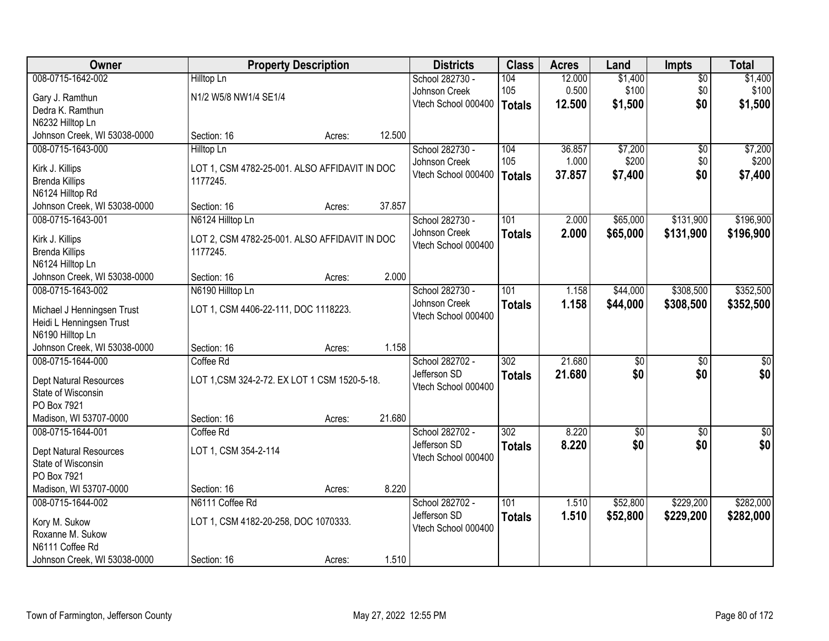| Owner                                     |                                               | <b>Property Description</b> |        | <b>Districts</b>                    | <b>Class</b>     | <b>Acres</b> | Land            | <b>Impts</b>    | <b>Total</b>    |
|-------------------------------------------|-----------------------------------------------|-----------------------------|--------|-------------------------------------|------------------|--------------|-----------------|-----------------|-----------------|
| 008-0715-1642-002                         | Hilltop Ln                                    |                             |        | School 282730 -                     | 104              | 12.000       | \$1,400         | $\overline{50}$ | \$1,400         |
| Gary J. Ramthun                           | N1/2 W5/8 NW1/4 SE1/4                         |                             |        | Johnson Creek                       | 105              | 0.500        | \$100           | \$0             | \$100           |
| Dedra K. Ramthun                          |                                               |                             |        | Vtech School 000400                 | Totals           | 12.500       | \$1,500         | \$0             | \$1,500         |
| N6232 Hilltop Ln                          |                                               |                             |        |                                     |                  |              |                 |                 |                 |
| Johnson Creek, WI 53038-0000              | Section: 16                                   | Acres:                      | 12.500 |                                     |                  |              |                 |                 |                 |
| 008-0715-1643-000                         | <b>Hilltop Ln</b>                             |                             |        | School 282730 -                     | 104              | 36.857       | \$7,200         | $\overline{50}$ | \$7,200         |
| Kirk J. Killips                           | LOT 1, CSM 4782-25-001. ALSO AFFIDAVIT IN DOC |                             |        | Johnson Creek                       | 105              | 1.000        | \$200           | \$0             | \$200           |
| <b>Brenda Killips</b>                     | 1177245.                                      |                             |        | Vtech School 000400                 | Totals           | 37.857       | \$7,400         | \$0             | \$7,400         |
| N6124 Hilltop Rd                          |                                               |                             |        |                                     |                  |              |                 |                 |                 |
| Johnson Creek, WI 53038-0000              | Section: 16                                   | Acres:                      | 37.857 |                                     |                  |              |                 |                 |                 |
| 008-0715-1643-001                         | N6124 Hilltop Ln                              |                             |        | School 282730 -                     | 101              | 2.000        | \$65,000        | \$131,900       | \$196,900       |
|                                           |                                               |                             |        | Johnson Creek                       | <b>Totals</b>    | 2.000        | \$65,000        | \$131,900       | \$196,900       |
| Kirk J. Killips                           | LOT 2, CSM 4782-25-001. ALSO AFFIDAVIT IN DOC |                             |        | Vtech School 000400                 |                  |              |                 |                 |                 |
| <b>Brenda Killips</b><br>N6124 Hilltop Ln | 1177245.                                      |                             |        |                                     |                  |              |                 |                 |                 |
| Johnson Creek, WI 53038-0000              | Section: 16                                   | Acres:                      | 2.000  |                                     |                  |              |                 |                 |                 |
| 008-0715-1643-002                         | N6190 Hilltop Ln                              |                             |        | School 282730 -                     | 101              | 1.158        | \$44,000        | \$308,500       | \$352,500       |
|                                           |                                               |                             |        | Johnson Creek                       | <b>Totals</b>    | 1.158        | \$44,000        | \$308,500       | \$352,500       |
| Michael J Henningsen Trust                | LOT 1, CSM 4406-22-111, DOC 1118223.          |                             |        | Vtech School 000400                 |                  |              |                 |                 |                 |
| Heidi L Henningsen Trust                  |                                               |                             |        |                                     |                  |              |                 |                 |                 |
| N6190 Hilltop Ln                          |                                               |                             |        |                                     |                  |              |                 |                 |                 |
| Johnson Creek, WI 53038-0000              | Section: 16                                   | Acres:                      | 1.158  |                                     |                  |              |                 |                 |                 |
| 008-0715-1644-000                         | Coffee Rd                                     |                             |        | School 282702 -                     | $\overline{302}$ | 21.680       | $\overline{50}$ | $\overline{30}$ | $\overline{30}$ |
| Dept Natural Resources                    | LOT 1, CSM 324-2-72. EX LOT 1 CSM 1520-5-18.  |                             |        | Jefferson SD<br>Vtech School 000400 | <b>Totals</b>    | 21.680       | \$0             | \$0             | \$0             |
| State of Wisconsin                        |                                               |                             |        |                                     |                  |              |                 |                 |                 |
| PO Box 7921                               |                                               |                             |        |                                     |                  |              |                 |                 |                 |
| Madison, WI 53707-0000                    | Section: 16                                   | Acres:                      | 21.680 |                                     |                  |              |                 |                 |                 |
| 008-0715-1644-001                         | Coffee Rd                                     |                             |        | School 282702 -                     | $\overline{302}$ | 8.220        | $\overline{50}$ | $\overline{30}$ | $\overline{50}$ |
| Dept Natural Resources                    | LOT 1, CSM 354-2-114                          |                             |        | Jefferson SD                        | <b>Totals</b>    | 8.220        | \$0             | \$0             | \$0             |
| State of Wisconsin                        |                                               |                             |        | Vtech School 000400                 |                  |              |                 |                 |                 |
| PO Box 7921                               |                                               |                             |        |                                     |                  |              |                 |                 |                 |
| Madison, WI 53707-0000                    | Section: 16                                   | Acres:                      | 8.220  |                                     |                  |              |                 |                 |                 |
| 008-0715-1644-002                         | N6111 Coffee Rd                               |                             |        | School 282702 -                     | 101              | 1.510        | \$52,800        | \$229,200       | \$282,000       |
| Kory M. Sukow                             | LOT 1, CSM 4182-20-258, DOC 1070333.          |                             |        | Jefferson SD                        | <b>Totals</b>    | 1.510        | \$52,800        | \$229,200       | \$282,000       |
| Roxanne M. Sukow                          |                                               |                             |        | Vtech School 000400                 |                  |              |                 |                 |                 |
| N6111 Coffee Rd                           |                                               |                             |        |                                     |                  |              |                 |                 |                 |
| Johnson Creek, WI 53038-0000              | Section: 16                                   | Acres:                      | 1.510  |                                     |                  |              |                 |                 |                 |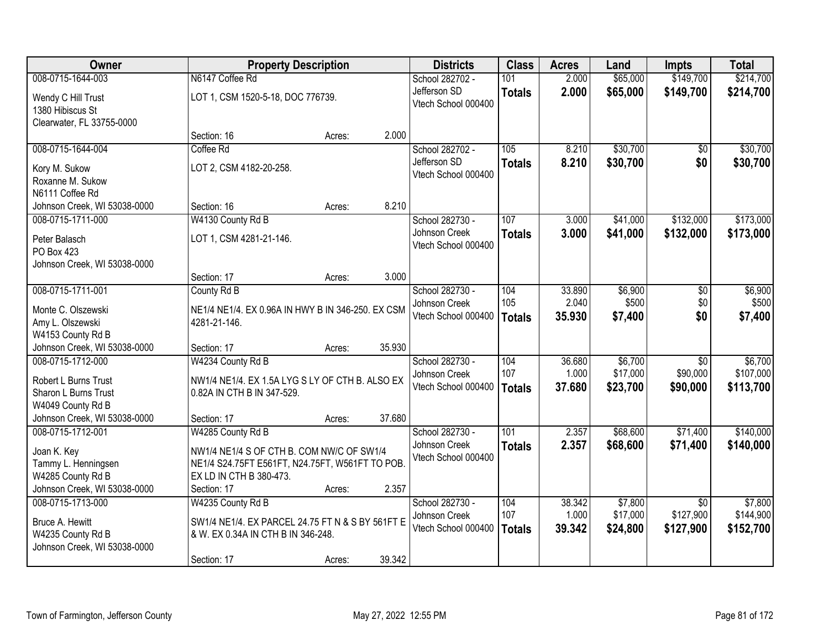| Owner                                  |                                                   | <b>Property Description</b> |        | <b>Districts</b>                    | <b>Class</b>  | <b>Acres</b> | Land     | <b>Impts</b>    | <b>Total</b> |
|----------------------------------------|---------------------------------------------------|-----------------------------|--------|-------------------------------------|---------------|--------------|----------|-----------------|--------------|
| 008-0715-1644-003                      | N6147 Coffee Rd                                   |                             |        | School 282702 -                     | 101           | 2.000        | \$65,000 | \$149,700       | \$214,700    |
| Wendy C Hill Trust<br>1380 Hibiscus St | LOT 1, CSM 1520-5-18, DOC 776739.                 |                             |        | Jefferson SD<br>Vtech School 000400 | <b>Totals</b> | 2.000        | \$65,000 | \$149,700       | \$214,700    |
| Clearwater, FL 33755-0000              |                                                   |                             |        |                                     |               |              |          |                 |              |
|                                        | Section: 16                                       | Acres:                      | 2.000  |                                     |               |              |          |                 |              |
| 008-0715-1644-004                      | Coffee Rd                                         |                             |        | School 282702 -                     | 105           | 8.210        | \$30,700 | $\overline{50}$ | \$30,700     |
| Kory M. Sukow                          | LOT 2, CSM 4182-20-258.                           |                             |        | Jefferson SD                        | <b>Totals</b> | 8.210        | \$30,700 | \$0             | \$30,700     |
| Roxanne M. Sukow                       |                                                   |                             |        | Vtech School 000400                 |               |              |          |                 |              |
| N6111 Coffee Rd                        |                                                   |                             |        |                                     |               |              |          |                 |              |
| Johnson Creek, WI 53038-0000           | Section: 16                                       | Acres:                      | 8.210  |                                     |               |              |          |                 |              |
| 008-0715-1711-000                      | W4130 County Rd B                                 |                             |        | School 282730 -                     | 107           | 3.000        | \$41,000 | \$132,000       | \$173,000    |
| Peter Balasch                          | LOT 1, CSM 4281-21-146.                           |                             |        | Johnson Creek                       | <b>Totals</b> | 3.000        | \$41,000 | \$132,000       | \$173,000    |
| PO Box 423                             |                                                   |                             |        | Vtech School 000400                 |               |              |          |                 |              |
| Johnson Creek, WI 53038-0000           |                                                   |                             |        |                                     |               |              |          |                 |              |
|                                        | Section: 17                                       | Acres:                      | 3.000  |                                     |               |              |          |                 |              |
| 008-0715-1711-001                      | County Rd B                                       |                             |        | School 282730 -                     | 104           | 33.890       | \$6,900  | \$0             | \$6,900      |
| Monte C. Olszewski                     | NE1/4 NE1/4. EX 0.96A IN HWY B IN 346-250. EX CSM |                             |        | Johnson Creek                       | 105           | 2.040        | \$500    | \$0             | \$500        |
| Amy L. Olszewski                       | 4281-21-146.                                      |                             |        | Vtech School 000400                 | <b>Totals</b> | 35.930       | \$7,400  | \$0             | \$7,400      |
| W4153 County Rd B                      |                                                   |                             |        |                                     |               |              |          |                 |              |
| Johnson Creek, WI 53038-0000           | Section: 17                                       | Acres:                      | 35.930 |                                     |               |              |          |                 |              |
| 008-0715-1712-000                      | W4234 County Rd B                                 |                             |        | School 282730 -                     | 104           | 36.680       | \$6,700  | $\overline{30}$ | \$6,700      |
| Robert L Burns Trust                   | NW1/4 NE1/4. EX 1.5A LYG S LY OF CTH B. ALSO EX   |                             |        | Johnson Creek                       | 107           | 1.000        | \$17,000 | \$90,000        | \$107,000    |
| Sharon L Burns Trust                   | 0.82A IN CTH B IN 347-529.                        |                             |        | Vtech School 000400                 | <b>Totals</b> | 37.680       | \$23,700 | \$90,000        | \$113,700    |
| W4049 County Rd B                      |                                                   |                             |        |                                     |               |              |          |                 |              |
| Johnson Creek, WI 53038-0000           | Section: 17                                       | Acres:                      | 37.680 |                                     |               |              |          |                 |              |
| 008-0715-1712-001                      | W4285 County Rd B                                 |                             |        | School 282730 -                     | 101           | 2.357        | \$68,600 | \$71,400        | \$140,000    |
| Joan K. Key                            | NW1/4 NE1/4 S OF CTH B. COM NW/C OF SW1/4         |                             |        | Johnson Creek                       | <b>Totals</b> | 2.357        | \$68,600 | \$71,400        | \$140,000    |
| Tammy L. Henningsen                    | NE1/4 S24.75FT E561FT, N24.75FT, W561FT TO POB.   |                             |        | Vtech School 000400                 |               |              |          |                 |              |
| W4285 County Rd B                      | EX LD IN CTH B 380-473.                           |                             |        |                                     |               |              |          |                 |              |
| Johnson Creek, WI 53038-0000           | Section: 17                                       | Acres:                      | 2.357  |                                     |               |              |          |                 |              |
| 008-0715-1713-000                      | W4235 County Rd B                                 |                             |        | School 282730 -                     | 104           | 38.342       | \$7,800  | $\overline{30}$ | \$7,800      |
| Bruce A. Hewitt                        | SW1/4 NE1/4. EX PARCEL 24.75 FT N & S BY 561FT E  |                             |        | Johnson Creek                       | 107           | 1.000        | \$17,000 | \$127,900       | \$144,900    |
| W4235 County Rd B                      | & W. EX 0.34A IN CTH B IN 346-248.                |                             |        | Vtech School 000400                 | <b>Totals</b> | 39.342       | \$24,800 | \$127,900       | \$152,700    |
| Johnson Creek, WI 53038-0000           |                                                   |                             |        |                                     |               |              |          |                 |              |
|                                        | Section: 17                                       | Acres:                      | 39.342 |                                     |               |              |          |                 |              |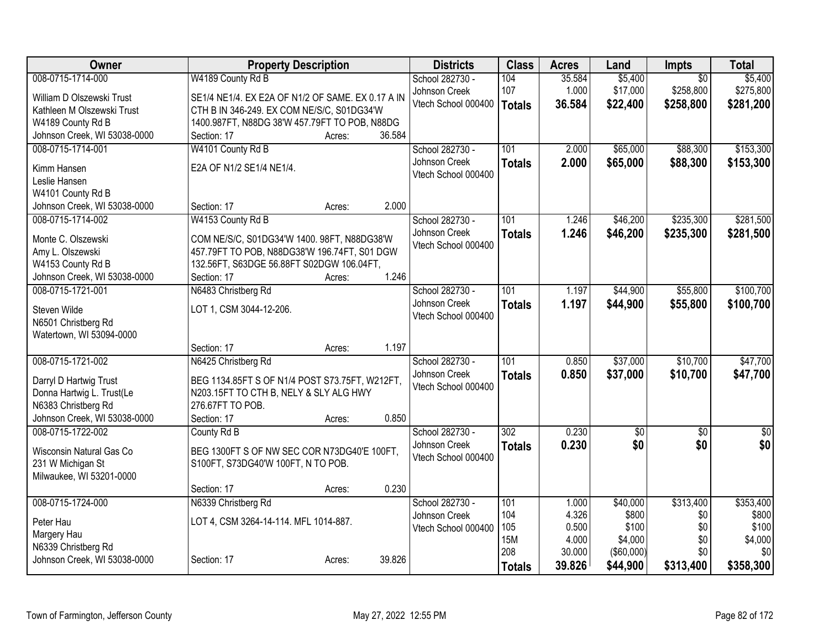| 008-0715-1714-000<br>W4189 County Rd B<br>School 282730 -<br>104<br>35.584<br>\$5,400<br>$\overline{50}$<br>\$17,000<br>107<br>1.000<br>\$258,800<br>Johnson Creek | \$5,400<br>\$275,800 |
|--------------------------------------------------------------------------------------------------------------------------------------------------------------------|----------------------|
|                                                                                                                                                                    |                      |
| SE1/4 NE1/4. EX E2A OF N1/2 OF SAME. EX 0.17 A IN<br>William D Olszewski Trust                                                                                     |                      |
| Vtech School 000400<br>36.584<br>\$22,400<br>\$258,800<br><b>Totals</b><br>CTH B IN 346-249. EX COM NE/S/C, S01DG34'W<br>Kathleen M Olszewski Trust                | \$281,200            |
| 1400.987FT, N88DG 38'W 457.79FT TO POB, N88DG<br>W4189 County Rd B                                                                                                 |                      |
| 36.584<br>Johnson Creek, WI 53038-0000<br>Section: 17<br>Acres:                                                                                                    |                      |
| \$88,300<br>008-0715-1714-001<br>W4101 County Rd B<br>101<br>2.000<br>\$65,000<br>School 282730 -                                                                  | \$153,300            |
| Johnson Creek<br>2.000<br>\$65,000<br>\$88,300<br><b>Totals</b>                                                                                                    | \$153,300            |
| E2A OF N1/2 SE1/4 NE1/4.<br>Kimm Hansen<br>Vtech School 000400                                                                                                     |                      |
| Leslie Hansen<br>W4101 County Rd B                                                                                                                                 |                      |
| 2.000<br>Johnson Creek, WI 53038-0000<br>Section: 17<br>Acres:                                                                                                     |                      |
| \$235,300<br>008-0715-1714-002<br>W4153 County Rd B<br>School 282730 -<br>101<br>\$46,200<br>1.246                                                                 | \$281,500            |
| Johnson Creek<br>1.246<br>\$46,200<br>\$235,300<br><b>Totals</b>                                                                                                   | \$281,500            |
| Monte C. Olszewski<br>COM NE/S/C, S01DG34'W 1400. 98FT, N88DG38'W<br>Vtech School 000400                                                                           |                      |
| 457.79FT TO POB, N88DG38'W 196.74FT, S01 DGW<br>Amy L. Olszewski                                                                                                   |                      |
| W4153 County Rd B<br>132.56FT, S63DGE 56.88FT S02DGW 106.04FT,                                                                                                     |                      |
| 1.246<br>Johnson Creek, WI 53038-0000<br>Section: 17<br>Acres:                                                                                                     |                      |
| 008-0715-1721-001<br>N6483 Christberg Rd<br>School 282730 -<br>101<br>\$44,900<br>\$55,800<br>1.197                                                                | \$100,700            |
| Johnson Creek<br>1.197<br>\$44,900<br>\$55,800<br><b>Totals</b><br>Steven Wilde<br>LOT 1, CSM 3044-12-206.                                                         | \$100,700            |
| Vtech School 000400<br>N6501 Christberg Rd                                                                                                                         |                      |
| Watertown, WI 53094-0000                                                                                                                                           |                      |
| Section: 17<br>1.197<br>Acres:                                                                                                                                     |                      |
| 008-0715-1721-002<br>101<br>\$37,000<br>\$10,700<br>School 282730 -<br>0.850<br>N6425 Christberg Rd                                                                | \$47,700             |
| 0.850<br>\$37,000<br>Johnson Creek<br>\$10,700<br><b>Totals</b><br>BEG 1134.85FT S OF N1/4 POST S73.75FT, W212FT,<br>Darryl D Hartwig Trust                        | \$47,700             |
| Vtech School 000400<br>Donna Hartwig L. Trust(Le<br>N203.15FT TO CTH B, NELY & SLY ALG HWY                                                                         |                      |
| N6383 Christberg Rd<br>276.67FT TO POB.                                                                                                                            |                      |
| 0.850<br>Johnson Creek, WI 53038-0000<br>Section: 17<br>Acres:                                                                                                     |                      |
| 008-0715-1722-002<br>$\overline{302}$<br>0.230<br>County Rd B<br>School 282730 -<br>$\sqrt{$0}$<br>$\overline{30}$                                                 | $\overline{50}$      |
| \$0<br>0.230<br>\$0<br>Johnson Creek<br><b>Totals</b>                                                                                                              | \$0                  |
| BEG 1300FT S OF NW SEC COR N73DG40'E 100FT,<br>Wisconsin Natural Gas Co<br>Vtech School 000400                                                                     |                      |
| 231 W Michigan St<br>S100FT, S73DG40'W 100FT, N TO POB.                                                                                                            |                      |
| Milwaukee, WI 53201-0000<br>0.230                                                                                                                                  |                      |
| Section: 17<br>Acres:                                                                                                                                              |                      |
| \$313,400<br>008-0715-1724-000<br>School 282730 -<br>101<br>\$40,000<br>N6339 Christberg Rd<br>1.000<br>\$800<br>104<br>4.326<br>Johnson Creek<br>\$0              | \$353,400<br>\$800   |
| LOT 4, CSM 3264-14-114. MFL 1014-887.<br>Peter Hau<br>\$100<br>105<br>0.500<br>\$0<br>Vtech School 000400                                                          | \$100                |
| Margery Hau<br><b>15M</b><br>4.000<br>\$4,000<br>\$0                                                                                                               | \$4,000              |
| N6339 Christberg Rd<br>208<br>30.000<br>\$0<br>$($ \$60,000) $ $                                                                                                   | \$0                  |
| 39.826<br>Johnson Creek, WI 53038-0000<br>Section: 17<br>Acres:<br>39.826<br>\$44,900<br>\$313,400<br><b>Totals</b>                                                | \$358,300            |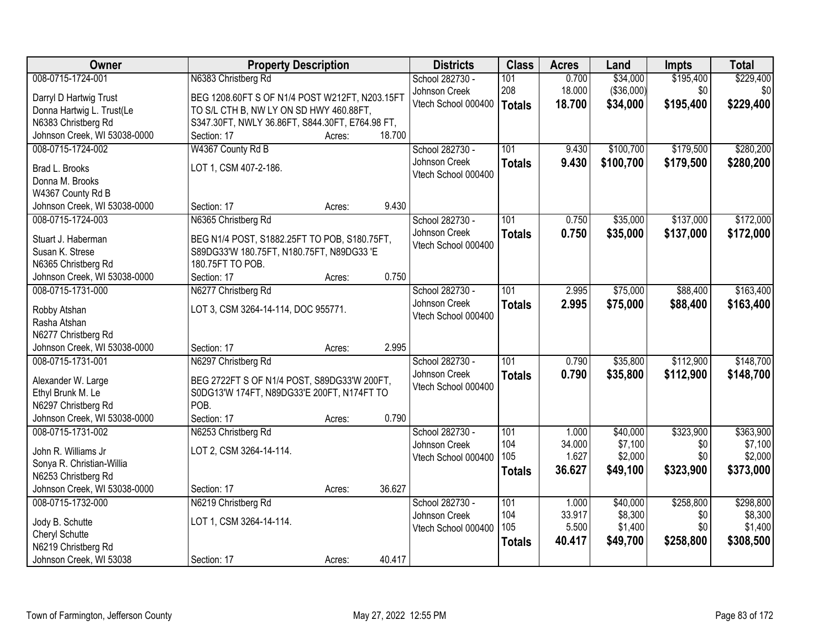| Owner                                             | <b>Property Description</b>                     |        |        | <b>Districts</b>    | <b>Class</b>  | <b>Acres</b> | Land       | <b>Impts</b> | <b>Total</b> |
|---------------------------------------------------|-------------------------------------------------|--------|--------|---------------------|---------------|--------------|------------|--------------|--------------|
| 008-0715-1724-001                                 | N6383 Christberg Rd                             |        |        | School 282730 -     | 101           | 0.700        | \$34,000   | \$195,400    | \$229,400    |
| Darryl D Hartwig Trust                            | BEG 1208.60FT S OF N1/4 POST W212FT, N203.15FT  |        |        | Johnson Creek       | 208           | 18.000       | (\$36,000) | \$0          | \$0          |
| Donna Hartwig L. Trust(Le                         | TO S/L CTH B, NW LY ON SD HWY 460.88FT,         |        |        | Vtech School 000400 | <b>Totals</b> | 18.700       | \$34,000   | \$195,400    | \$229,400    |
| N6383 Christberg Rd                               | S347.30FT, NWLY 36.86FT, S844.30FT, E764.98 FT, |        |        |                     |               |              |            |              |              |
| Johnson Creek, WI 53038-0000                      | Section: 17                                     | Acres: | 18.700 |                     |               |              |            |              |              |
| 008-0715-1724-002                                 | W4367 County Rd B                               |        |        | School 282730 -     | 101           | 9.430        | \$100,700  | \$179,500    | \$280,200    |
| Brad L. Brooks                                    | LOT 1, CSM 407-2-186.                           |        |        | Johnson Creek       | <b>Totals</b> | 9.430        | \$100,700  | \$179,500    | \$280,200    |
| Donna M. Brooks                                   |                                                 |        |        | Vtech School 000400 |               |              |            |              |              |
| W4367 County Rd B                                 |                                                 |        |        |                     |               |              |            |              |              |
| Johnson Creek, WI 53038-0000                      | Section: 17                                     | Acres: | 9.430  |                     |               |              |            |              |              |
| 008-0715-1724-003                                 | N6365 Christberg Rd                             |        |        | School 282730 -     | 101           | 0.750        | \$35,000   | \$137,000    | \$172,000    |
|                                                   |                                                 |        |        | Johnson Creek       | <b>Totals</b> | 0.750        | \$35,000   | \$137,000    | \$172,000    |
| Stuart J. Haberman                                | BEG N1/4 POST, S1882.25FT TO POB, S180.75FT,    |        |        | Vtech School 000400 |               |              |            |              |              |
| Susan K. Strese                                   | S89DG33'W 180.75FT, N180.75FT, N89DG33 'E       |        |        |                     |               |              |            |              |              |
| N6365 Christberg Rd                               | 180.75FT TO POB.                                |        | 0.750  |                     |               |              |            |              |              |
| Johnson Creek, WI 53038-0000<br>008-0715-1731-000 | Section: 17                                     | Acres: |        | School 282730 -     | 101           | 2.995        | \$75,000   | \$88,400     | \$163,400    |
|                                                   | N6277 Christberg Rd                             |        |        | Johnson Creek       |               |              |            |              |              |
| Robby Atshan                                      | LOT 3, CSM 3264-14-114, DOC 955771.             |        |        | Vtech School 000400 | <b>Totals</b> | 2.995        | \$75,000   | \$88,400     | \$163,400    |
| Rasha Atshan                                      |                                                 |        |        |                     |               |              |            |              |              |
| N6277 Christberg Rd                               |                                                 |        |        |                     |               |              |            |              |              |
| Johnson Creek, WI 53038-0000                      | Section: 17                                     | Acres: | 2.995  |                     |               |              |            |              |              |
| 008-0715-1731-001                                 | N6297 Christberg Rd                             |        |        | School 282730 -     | 101           | 0.790        | \$35,800   | \$112,900    | \$148,700    |
| Alexander W. Large                                | BEG 2722FT S OF N1/4 POST, S89DG33'W 200FT,     |        |        | Johnson Creek       | <b>Totals</b> | 0.790        | \$35,800   | \$112,900    | \$148,700    |
| Ethyl Brunk M. Le                                 | S0DG13'W 174FT, N89DG33'E 200FT, N174FT TO      |        |        | Vtech School 000400 |               |              |            |              |              |
| N6297 Christberg Rd                               | POB.                                            |        |        |                     |               |              |            |              |              |
| Johnson Creek, WI 53038-0000                      | Section: 17                                     | Acres: | 0.790  |                     |               |              |            |              |              |
| 008-0715-1731-002                                 | N6253 Christberg Rd                             |        |        | School 282730 -     | 101           | 1.000        | \$40,000   | \$323,900    | \$363,900    |
| John R. Williams Jr                               | LOT 2, CSM 3264-14-114.                         |        |        | Johnson Creek       | 104           | 34.000       | \$7,100    | \$0          | \$7,100      |
| Sonya R. Christian-Willia                         |                                                 |        |        | Vtech School 000400 | 105           | 1.627        | \$2,000    | \$0          | \$2,000      |
| N6253 Christberg Rd                               |                                                 |        |        |                     | <b>Totals</b> | 36.627       | \$49,100   | \$323,900    | \$373,000    |
| Johnson Creek, WI 53038-0000                      | Section: 17                                     | Acres: | 36.627 |                     |               |              |            |              |              |
| 008-0715-1732-000                                 | N6219 Christberg Rd                             |        |        | School 282730 -     | 101           | 1.000        | \$40,000   | \$258,800    | \$298,800    |
|                                                   |                                                 |        |        | Johnson Creek       | 104           | 33.917       | \$8,300    | \$0          | \$8,300      |
| Jody B. Schutte                                   | LOT 1, CSM 3264-14-114.                         |        |        | Vtech School 000400 | 105           | 5.500        | \$1,400    | \$0          | \$1,400      |
| Cheryl Schutte                                    |                                                 |        |        |                     | <b>Totals</b> | 40.417       | \$49,700   | \$258,800    | \$308,500    |
| N6219 Christberg Rd<br>Johnson Creek, WI 53038    | Section: 17                                     |        | 40.417 |                     |               |              |            |              |              |
|                                                   |                                                 | Acres: |        |                     |               |              |            |              |              |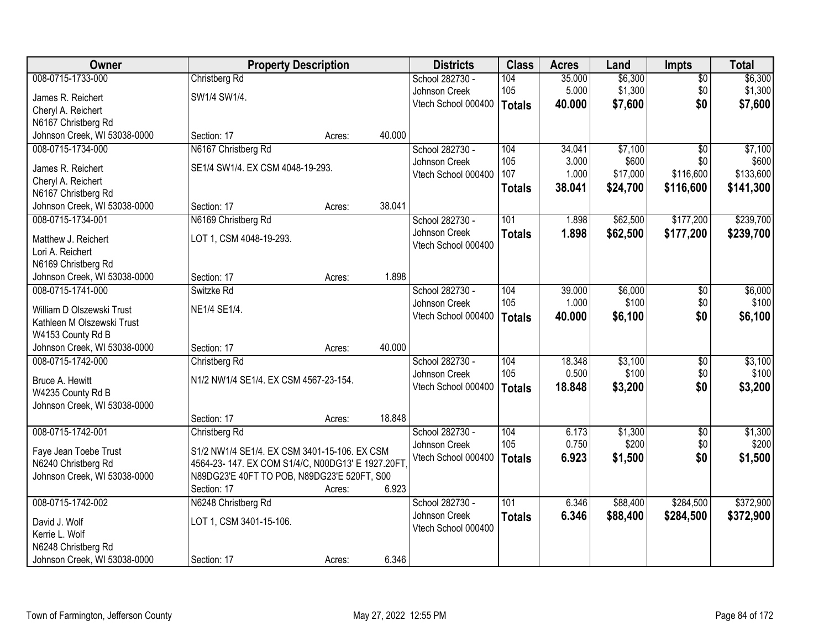| Owner                        |                                                  | <b>Property Description</b> |        | <b>Districts</b>    | <b>Class</b>  | <b>Acres</b> | Land     | Impts           | <b>Total</b> |
|------------------------------|--------------------------------------------------|-----------------------------|--------|---------------------|---------------|--------------|----------|-----------------|--------------|
| 008-0715-1733-000            | Christberg Rd                                    |                             |        | School 282730 -     | 104           | 35.000       | \$6,300  | $\overline{50}$ | \$6,300      |
| James R. Reichert            | SW1/4 SW1/4.                                     |                             |        | Johnson Creek       | 105           | 5.000        | \$1,300  | \$0             | \$1,300      |
| Cheryl A. Reichert           |                                                  |                             |        | Vtech School 000400 | <b>Totals</b> | 40.000       | \$7,600  | \$0             | \$7,600      |
| N6167 Christberg Rd          |                                                  |                             |        |                     |               |              |          |                 |              |
| Johnson Creek, WI 53038-0000 | Section: 17                                      | Acres:                      | 40.000 |                     |               |              |          |                 |              |
| 008-0715-1734-000            | N6167 Christberg Rd                              |                             |        | School 282730 -     | 104           | 34.041       | \$7,100  | $\overline{50}$ | \$7,100      |
| James R. Reichert            | SE1/4 SW1/4. EX CSM 4048-19-293.                 |                             |        | Johnson Creek       | 105           | 3.000        | \$600    | \$0             | \$600        |
| Cheryl A. Reichert           |                                                  |                             |        | Vtech School 000400 | 107           | 1.000        | \$17,000 | \$116,600       | \$133,600    |
| N6167 Christberg Rd          |                                                  |                             |        |                     | <b>Totals</b> | 38.041       | \$24,700 | \$116,600       | \$141,300    |
| Johnson Creek, WI 53038-0000 | Section: 17                                      | Acres:                      | 38.041 |                     |               |              |          |                 |              |
| 008-0715-1734-001            | N6169 Christberg Rd                              |                             |        | School 282730 -     | 101           | 1.898        | \$62,500 | \$177,200       | \$239,700    |
| Matthew J. Reichert          | LOT 1, CSM 4048-19-293.                          |                             |        | Johnson Creek       | <b>Totals</b> | 1.898        | \$62,500 | \$177,200       | \$239,700    |
| Lori A. Reichert             |                                                  |                             |        | Vtech School 000400 |               |              |          |                 |              |
| N6169 Christberg Rd          |                                                  |                             |        |                     |               |              |          |                 |              |
| Johnson Creek, WI 53038-0000 | Section: 17                                      | Acres:                      | 1.898  |                     |               |              |          |                 |              |
| 008-0715-1741-000            | Switzke Rd                                       |                             |        | School 282730 -     | 104           | 39.000       | \$6,000  | \$0             | \$6,000      |
| William D Olszewski Trust    | NE1/4 SE1/4.                                     |                             |        | Johnson Creek       | 105           | 1.000        | \$100    | \$0             | \$100        |
| Kathleen M Olszewski Trust   |                                                  |                             |        | Vtech School 000400 | <b>Totals</b> | 40.000       | \$6,100  | \$0             | \$6,100      |
| W4153 County Rd B            |                                                  |                             |        |                     |               |              |          |                 |              |
| Johnson Creek, WI 53038-0000 | Section: 17                                      | Acres:                      | 40.000 |                     |               |              |          |                 |              |
| 008-0715-1742-000            | Christberg Rd                                    |                             |        | School 282730 -     | 104           | 18.348       | \$3,100  | $\overline{50}$ | \$3,100      |
| Bruce A. Hewitt              | N1/2 NW1/4 SE1/4. EX CSM 4567-23-154.            |                             |        | Johnson Creek       | 105           | 0.500        | \$100    | \$0             | \$100        |
| W4235 County Rd B            |                                                  |                             |        | Vtech School 000400 | <b>Totals</b> | 18.848       | \$3,200  | \$0             | \$3,200      |
| Johnson Creek, WI 53038-0000 |                                                  |                             |        |                     |               |              |          |                 |              |
|                              | Section: 17                                      | Acres:                      | 18.848 |                     |               |              |          |                 |              |
| 008-0715-1742-001            | Christberg Rd                                    |                             |        | School 282730 -     | 104           | 6.173        | \$1,300  | $\sqrt{$0}$     | \$1,300      |
| Faye Jean Toebe Trust        | S1/2 NW1/4 SE1/4. EX CSM 3401-15-106. EX CSM     |                             |        | Johnson Creek       | 105           | 0.750        | \$200    | \$0             | \$200        |
| N6240 Christberg Rd          | 4564-23-147. EX COM S1/4/C, N00DG13' E 1927.20FT |                             |        | Vtech School 000400 | <b>Totals</b> | 6.923        | \$1,500  | \$0             | \$1,500      |
| Johnson Creek, WI 53038-0000 | N89DG23'E 40FT TO POB, N89DG23'E 520FT, S00      |                             |        |                     |               |              |          |                 |              |
|                              | Section: 17                                      | Acres:                      | 6.923  |                     |               |              |          |                 |              |
| 008-0715-1742-002            | N6248 Christberg Rd                              |                             |        | School 282730 -     | 101           | 6.346        | \$88,400 | \$284,500       | \$372,900    |
| David J. Wolf                | LOT 1, CSM 3401-15-106.                          |                             |        | Johnson Creek       | <b>Totals</b> | 6.346        | \$88,400 | \$284,500       | \$372,900    |
| Kerrie L. Wolf               |                                                  |                             |        | Vtech School 000400 |               |              |          |                 |              |
| N6248 Christberg Rd          |                                                  |                             |        |                     |               |              |          |                 |              |
| Johnson Creek, WI 53038-0000 | Section: 17                                      | Acres:                      | 6.346  |                     |               |              |          |                 |              |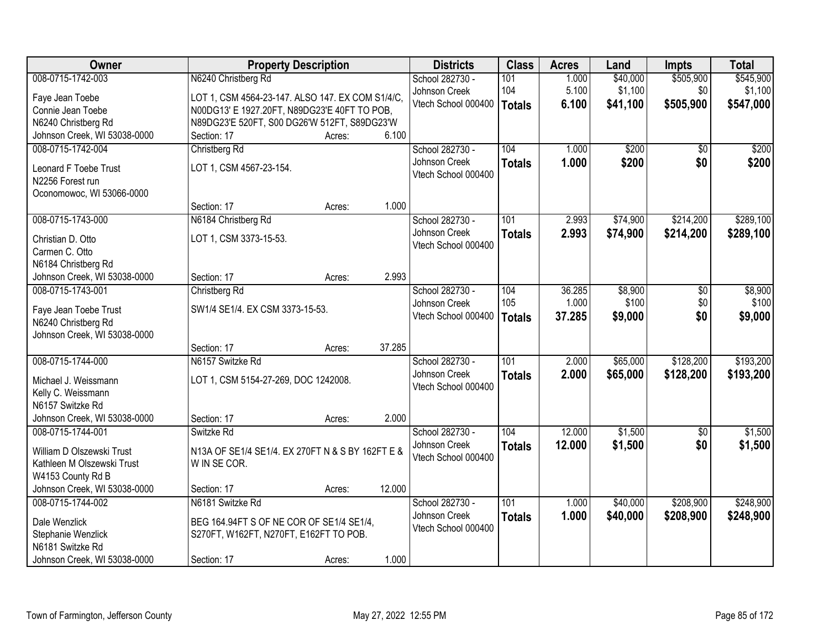| Owner                                             | <b>Property Description</b>                      |        |        | <b>Districts</b>    | <b>Class</b>  | <b>Acres</b> | Land     | <b>Impts</b> | <b>Total</b> |
|---------------------------------------------------|--------------------------------------------------|--------|--------|---------------------|---------------|--------------|----------|--------------|--------------|
| 008-0715-1742-003                                 | N6240 Christberg Rd                              |        |        | School 282730 -     | 101           | 1.000        | \$40,000 | \$505,900    | \$545,900    |
| Faye Jean Toebe                                   | LOT 1, CSM 4564-23-147. ALSO 147. EX COM S1/4/C, |        |        | Johnson Creek       | 104           | 5.100        | \$1,100  | \$0          | \$1,100      |
| Connie Jean Toebe                                 | N00DG13' E 1927.20FT, N89DG23'E 40FT TO POB,     |        |        | Vtech School 000400 | <b>Totals</b> | 6.100        | \$41,100 | \$505,900    | \$547,000    |
| N6240 Christberg Rd                               | N89DG23'E 520FT, S00 DG26'W 512FT, S89DG23'W     |        |        |                     |               |              |          |              |              |
| Johnson Creek, WI 53038-0000                      | Section: 17                                      | Acres: | 6.100  |                     |               |              |          |              |              |
| 008-0715-1742-004                                 | Christberg Rd                                    |        |        | School 282730 -     | 104           | 1.000        | \$200    | \$0          | \$200        |
| Leonard F Toebe Trust                             | LOT 1, CSM 4567-23-154.                          |        |        | Johnson Creek       | <b>Totals</b> | 1.000        | \$200    | \$0          | \$200        |
| N2256 Forest run                                  |                                                  |        |        | Vtech School 000400 |               |              |          |              |              |
| Oconomowoc, WI 53066-0000                         |                                                  |        |        |                     |               |              |          |              |              |
|                                                   | Section: 17                                      | Acres: | 1.000  |                     |               |              |          |              |              |
| 008-0715-1743-000                                 | N6184 Christberg Rd                              |        |        | School 282730 -     | 101           | 2.993        | \$74,900 | \$214,200    | \$289,100    |
|                                                   |                                                  |        |        | Johnson Creek       | <b>Totals</b> | 2.993        | \$74,900 | \$214,200    | \$289,100    |
| Christian D. Otto                                 | LOT 1, CSM 3373-15-53.                           |        |        | Vtech School 000400 |               |              |          |              |              |
| Carmen C. Otto                                    |                                                  |        |        |                     |               |              |          |              |              |
| N6184 Christberg Rd                               |                                                  |        | 2.993  |                     |               |              |          |              |              |
| Johnson Creek, WI 53038-0000<br>008-0715-1743-001 | Section: 17<br>Christberg Rd                     | Acres: |        | School 282730 -     | 104           | 36.285       | \$8,900  |              | \$8,900      |
|                                                   |                                                  |        |        | Johnson Creek       | 105           | 1.000        | \$100    | \$0<br>\$0   | \$100        |
| Faye Jean Toebe Trust                             | SW1/4 SE1/4. EX CSM 3373-15-53.                  |        |        | Vtech School 000400 |               | 37.285       | \$9,000  | \$0          | \$9,000      |
| N6240 Christberg Rd                               |                                                  |        |        |                     | <b>Totals</b> |              |          |              |              |
| Johnson Creek, WI 53038-0000                      |                                                  |        |        |                     |               |              |          |              |              |
|                                                   | Section: 17                                      | Acres: | 37.285 |                     |               |              |          |              |              |
| 008-0715-1744-000                                 | N6157 Switzke Rd                                 |        |        | School 282730 -     | 101           | 2.000        | \$65,000 | \$128,200    | \$193,200    |
| Michael J. Weissmann                              | LOT 1, CSM 5154-27-269, DOC 1242008.             |        |        | Johnson Creek       | <b>Totals</b> | 2.000        | \$65,000 | \$128,200    | \$193,200    |
| Kelly C. Weissmann                                |                                                  |        |        | Vtech School 000400 |               |              |          |              |              |
| N6157 Switzke Rd                                  |                                                  |        |        |                     |               |              |          |              |              |
| Johnson Creek, WI 53038-0000                      | Section: 17                                      | Acres: | 2.000  |                     |               |              |          |              |              |
| 008-0715-1744-001                                 | Switzke Rd                                       |        |        | School 282730 -     | 104           | 12.000       | \$1,500  | $\sqrt{6}$   | \$1,500      |
| William D Olszewski Trust                         | N13A OF SE1/4 SE1/4. EX 270FT N & S BY 162FT E & |        |        | Johnson Creek       | <b>Totals</b> | 12.000       | \$1,500  | \$0          | \$1,500      |
| Kathleen M Olszewski Trust                        | W IN SE COR.                                     |        |        | Vtech School 000400 |               |              |          |              |              |
| W4153 County Rd B                                 |                                                  |        |        |                     |               |              |          |              |              |
| Johnson Creek, WI 53038-0000                      | Section: 17                                      | Acres: | 12.000 |                     |               |              |          |              |              |
| 008-0715-1744-002                                 | N6181 Switzke Rd                                 |        |        | School 282730 -     | 101           | 1.000        | \$40,000 | \$208,900    | \$248,900    |
|                                                   |                                                  |        |        | Johnson Creek       | <b>Totals</b> | 1.000        | \$40,000 | \$208,900    | \$248,900    |
| Dale Wenzlick                                     | BEG 164.94FT S OF NE COR OF SE1/4 SE1/4,         |        |        | Vtech School 000400 |               |              |          |              |              |
| Stephanie Wenzlick<br>N6181 Switzke Rd            | S270FT, W162FT, N270FT, E162FT TO POB.           |        |        |                     |               |              |          |              |              |
| Johnson Creek, WI 53038-0000                      | Section: 17                                      | Acres: | 1.000  |                     |               |              |          |              |              |
|                                                   |                                                  |        |        |                     |               |              |          |              |              |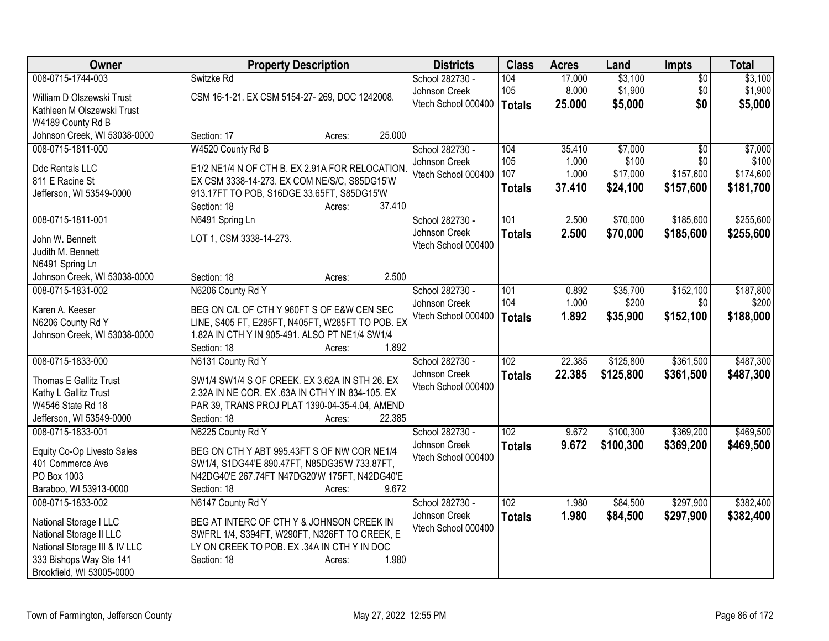| <b>Owner</b>                  | <b>Property Description</b>                             | <b>Districts</b>    | <b>Class</b>     | <b>Acres</b> | Land      | Impts           | <b>Total</b> |
|-------------------------------|---------------------------------------------------------|---------------------|------------------|--------------|-----------|-----------------|--------------|
| 008-0715-1744-003             | Switzke Rd                                              | School 282730 -     | 104              | 17.000       | \$3,100   | $\overline{50}$ | \$3,100      |
| William D Olszewski Trust     | CSM 16-1-21. EX CSM 5154-27-269, DOC 1242008.           | Johnson Creek       | 105              | 8.000        | \$1,900   | \$0             | \$1,900      |
| Kathleen M Olszewski Trust    |                                                         | Vtech School 000400 | <b>Totals</b>    | 25,000       | \$5,000   | \$0             | \$5,000      |
| W4189 County Rd B             |                                                         |                     |                  |              |           |                 |              |
| Johnson Creek, WI 53038-0000  | 25.000<br>Section: 17<br>Acres:                         |                     |                  |              |           |                 |              |
| 008-0715-1811-000             | W4520 County Rd B                                       | School 282730 -     | 104              | 35.410       | \$7,000   | $\overline{50}$ | \$7,000      |
| Ddc Rentals LLC               | E1/2 NE1/4 N OF CTH B. EX 2.91A FOR RELOCATION          | Johnson Creek       | 105              | 1.000        | \$100     | \$0             | \$100        |
| 811 E Racine St               | EX CSM 3338-14-273. EX COM NE/S/C, S85DG15'W            | Vtech School 000400 | 107              | 1.000        | \$17,000  | \$157,600       | \$174,600    |
| Jefferson, WI 53549-0000      | 913.17FT TO POB, S16DGE 33.65FT, S85DG15'W              |                     | <b>Totals</b>    | 37.410       | \$24,100  | \$157,600       | \$181,700    |
|                               | 37.410<br>Section: 18<br>Acres:                         |                     |                  |              |           |                 |              |
| 008-0715-1811-001             | N6491 Spring Ln                                         | School 282730 -     | 101              | 2.500        | \$70,000  | \$185,600       | \$255,600    |
| John W. Bennett               | LOT 1, CSM 3338-14-273.                                 | Johnson Creek       | <b>Totals</b>    | 2.500        | \$70,000  | \$185,600       | \$255,600    |
| Judith M. Bennett             |                                                         | Vtech School 000400 |                  |              |           |                 |              |
| N6491 Spring Ln               |                                                         |                     |                  |              |           |                 |              |
| Johnson Creek, WI 53038-0000  | 2.500<br>Section: 18<br>Acres:                          |                     |                  |              |           |                 |              |
| 008-0715-1831-002             | N6206 County Rd Y                                       | School 282730 -     | 101              | 0.892        | \$35,700  | \$152,100       | \$187,800    |
|                               |                                                         | Johnson Creek       | 104              | 1.000        | \$200     | \$0             | \$200        |
| Karen A. Keeser               | BEG ON C/L OF CTH Y 960FT S OF E&W CEN SEC              | Vtech School 000400 | <b>Totals</b>    | 1.892        | \$35,900  | \$152,100       | \$188,000    |
| N6206 County Rd Y             | LINE, S405 FT, E285FT, N405FT, W285FT TO POB. EX        |                     |                  |              |           |                 |              |
| Johnson Creek, WI 53038-0000  | 1.82A IN CTH Y IN 905-491. ALSO PT NE1/4 SW1/4<br>1.892 |                     |                  |              |           |                 |              |
| 008-0715-1833-000             | Section: 18<br>Acres:<br>N6131 County Rd Y              | School 282730 -     | $\overline{102}$ | 22.385       | \$125,800 | \$361,500       | \$487,300    |
|                               |                                                         | Johnson Creek       |                  |              |           |                 |              |
| Thomas E Gallitz Trust        | SW1/4 SW1/4 S OF CREEK. EX 3.62A IN STH 26. EX          | Vtech School 000400 | <b>Totals</b>    | 22.385       | \$125,800 | \$361,500       | \$487,300    |
| Kathy L Gallitz Trust         | 2.32A IN NE COR. EX .63A IN CTH Y IN 834-105. EX        |                     |                  |              |           |                 |              |
| W4546 State Rd 18             | PAR 39, TRANS PROJ PLAT 1390-04-35-4.04, AMEND          |                     |                  |              |           |                 |              |
| Jefferson, WI 53549-0000      | 22.385<br>Section: 18<br>Acres:                         |                     |                  |              |           |                 |              |
| 008-0715-1833-001             | N6225 County Rd Y                                       | School 282730 -     | 102              | 9.672        | \$100,300 | \$369,200       | \$469,500    |
| Equity Co-Op Livesto Sales    | BEG ON CTH Y ABT 995.43FT S OF NW COR NE1/4             | Johnson Creek       | <b>Totals</b>    | 9.672        | \$100,300 | \$369,200       | \$469,500    |
| 401 Commerce Ave              | SW1/4, S1DG44'E 890.47FT, N85DG35'W 733.87FT,           | Vtech School 000400 |                  |              |           |                 |              |
| PO Box 1003                   | N42DG40'E 267.74FT N47DG20'W 175FT, N42DG40'E           |                     |                  |              |           |                 |              |
| Baraboo, WI 53913-0000        | 9.672<br>Section: 18<br>Acres:                          |                     |                  |              |           |                 |              |
| 008-0715-1833-002             | N6147 County Rd Y                                       | School 282730 -     | $\overline{102}$ | 1.980        | \$84,500  | \$297,900       | \$382,400    |
| National Storage I LLC        | BEG AT INTERC OF CTH Y & JOHNSON CREEK IN               | Johnson Creek       | <b>Totals</b>    | 1.980        | \$84,500  | \$297,900       | \$382,400    |
| National Storage II LLC       | SWFRL 1/4, S394FT, W290FT, N326FT TO CREEK, E           | Vtech School 000400 |                  |              |           |                 |              |
| National Storage III & IV LLC | LY ON CREEK TO POB. EX .34A IN CTH Y IN DOC             |                     |                  |              |           |                 |              |
| 333 Bishops Way Ste 141       | 1.980<br>Section: 18<br>Acres:                          |                     |                  |              |           |                 |              |
| Brookfield, WI 53005-0000     |                                                         |                     |                  |              |           |                 |              |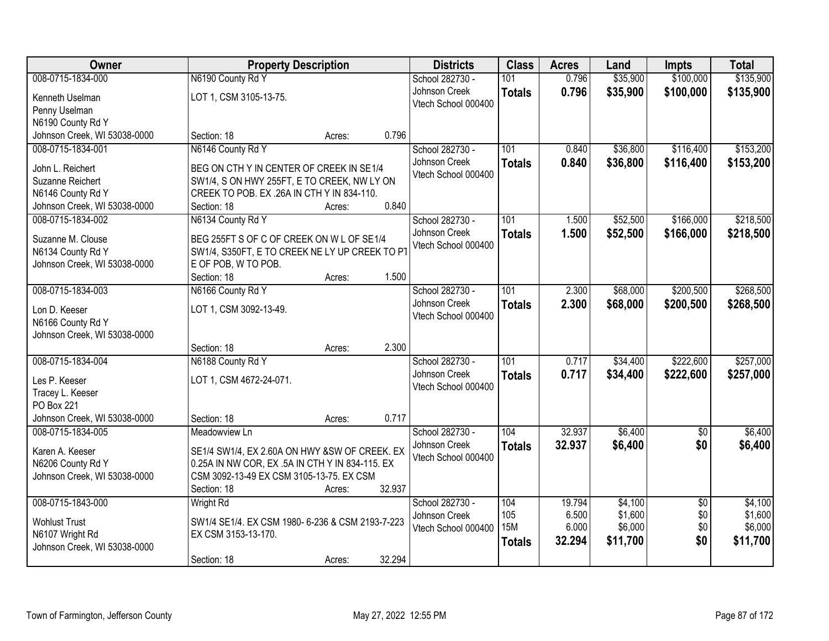| Owner                              | <b>Property Description</b>                      |        |        | <b>Districts</b>    | <b>Class</b>  | <b>Acres</b> | Land     | <b>Impts</b>           | <b>Total</b> |
|------------------------------------|--------------------------------------------------|--------|--------|---------------------|---------------|--------------|----------|------------------------|--------------|
| 008-0715-1834-000                  | N6190 County Rd Y                                |        |        | School 282730 -     | 101           | 0.796        | \$35,900 | \$100,000              | \$135,900    |
| Kenneth Uselman                    | LOT 1, CSM 3105-13-75.                           |        |        | Johnson Creek       | <b>Totals</b> | 0.796        | \$35,900 | \$100,000              | \$135,900    |
| Penny Uselman                      |                                                  |        |        | Vtech School 000400 |               |              |          |                        |              |
| N6190 County Rd Y                  |                                                  |        |        |                     |               |              |          |                        |              |
| Johnson Creek, WI 53038-0000       | Section: 18                                      | Acres: | 0.796  |                     |               |              |          |                        |              |
| 008-0715-1834-001                  | N6146 County Rd Y                                |        |        | School 282730 -     | 101           | 0.840        | \$36,800 | \$116,400              | \$153,200    |
| John L. Reichert                   | BEG ON CTH Y IN CENTER OF CREEK IN SE1/4         |        |        | Johnson Creek       | <b>Totals</b> | 0.840        | \$36,800 | \$116,400              | \$153,200    |
| Suzanne Reichert                   | SW1/4, S ON HWY 255FT, E TO CREEK, NW LY ON      |        |        | Vtech School 000400 |               |              |          |                        |              |
| N6146 County Rd Y                  | CREEK TO POB. EX .26A IN CTH Y IN 834-110.       |        |        |                     |               |              |          |                        |              |
| Johnson Creek, WI 53038-0000       | Section: 18                                      | Acres: | 0.840  |                     |               |              |          |                        |              |
| 008-0715-1834-002                  | N6134 County Rd Y                                |        |        | School 282730 -     | 101           | 1.500        | \$52,500 | \$166,000              | \$218,500    |
| Suzanne M. Clouse                  | BEG 255FT S OF C OF CREEK ON W L OF SE1/4        |        |        | Johnson Creek       | <b>Totals</b> | 1.500        | \$52,500 | \$166,000              | \$218,500    |
| N6134 County Rd Y                  | SW1/4, S350FT, E TO CREEK NE LY UP CREEK TO PT   |        |        | Vtech School 000400 |               |              |          |                        |              |
| Johnson Creek, WI 53038-0000       | E OF POB, W TO POB.                              |        |        |                     |               |              |          |                        |              |
|                                    | Section: 18                                      | Acres: | 1.500  |                     |               |              |          |                        |              |
| 008-0715-1834-003                  | N6166 County Rd Y                                |        |        | School 282730 -     | 101           | 2.300        | \$68,000 | \$200,500              | \$268,500    |
|                                    |                                                  |        |        | Johnson Creek       | <b>Totals</b> | 2.300        | \$68,000 | \$200,500              | \$268,500    |
| Lon D. Keeser<br>N6166 County Rd Y | LOT 1, CSM 3092-13-49.                           |        |        | Vtech School 000400 |               |              |          |                        |              |
| Johnson Creek, WI 53038-0000       |                                                  |        |        |                     |               |              |          |                        |              |
|                                    | Section: 18                                      | Acres: | 2.300  |                     |               |              |          |                        |              |
| 008-0715-1834-004                  | N6188 County Rd Y                                |        |        | School 282730 -     | 101           | 0.717        | \$34,400 | \$222,600              | \$257,000    |
|                                    |                                                  |        |        | Johnson Creek       | <b>Totals</b> | 0.717        | \$34,400 | \$222,600              | \$257,000    |
| Les P. Keeser                      | LOT 1, CSM 4672-24-071.                          |        |        | Vtech School 000400 |               |              |          |                        |              |
| Tracey L. Keeser<br>PO Box 221     |                                                  |        |        |                     |               |              |          |                        |              |
| Johnson Creek, WI 53038-0000       | Section: 18                                      | Acres: | 0.717  |                     |               |              |          |                        |              |
| 008-0715-1834-005                  | Meadowview Ln                                    |        |        | School 282730 -     | 104           | 32.937       | \$6,400  | $\overline{50}$        | \$6,400      |
|                                    |                                                  |        |        | Johnson Creek       | <b>Totals</b> | 32.937       | \$6,400  | \$0                    | \$6,400      |
| Karen A. Keeser                    | SE1/4 SW1/4, EX 2.60A ON HWY &SW OF CREEK. EX    |        |        | Vtech School 000400 |               |              |          |                        |              |
| N6206 County Rd Y                  | 0.25A IN NW COR, EX .5A IN CTH Y IN 834-115. EX  |        |        |                     |               |              |          |                        |              |
| Johnson Creek, WI 53038-0000       | CSM 3092-13-49 EX CSM 3105-13-75. EX CSM         |        | 32.937 |                     |               |              |          |                        |              |
| 008-0715-1843-000                  | Section: 18                                      | Acres: |        | School 282730 -     | 104           | 19.794       | \$4,100  |                        | \$4,100      |
|                                    | <b>Wright Rd</b>                                 |        |        | Johnson Creek       | 105           | 6.500        | \$1,600  | $\overline{50}$<br>\$0 | \$1,600      |
| <b>Wohlust Trust</b>               | SW1/4 SE1/4. EX CSM 1980- 6-236 & CSM 2193-7-223 |        |        | Vtech School 000400 | <b>15M</b>    | 6.000        | \$6,000  | \$0                    | \$6,000      |
| N6107 Wright Rd                    | EX CSM 3153-13-170.                              |        |        |                     | <b>Totals</b> | 32.294       | \$11,700 | \$0                    | \$11,700     |
| Johnson Creek, WI 53038-0000       |                                                  |        |        |                     |               |              |          |                        |              |
|                                    | Section: 18                                      | Acres: | 32.294 |                     |               |              |          |                        |              |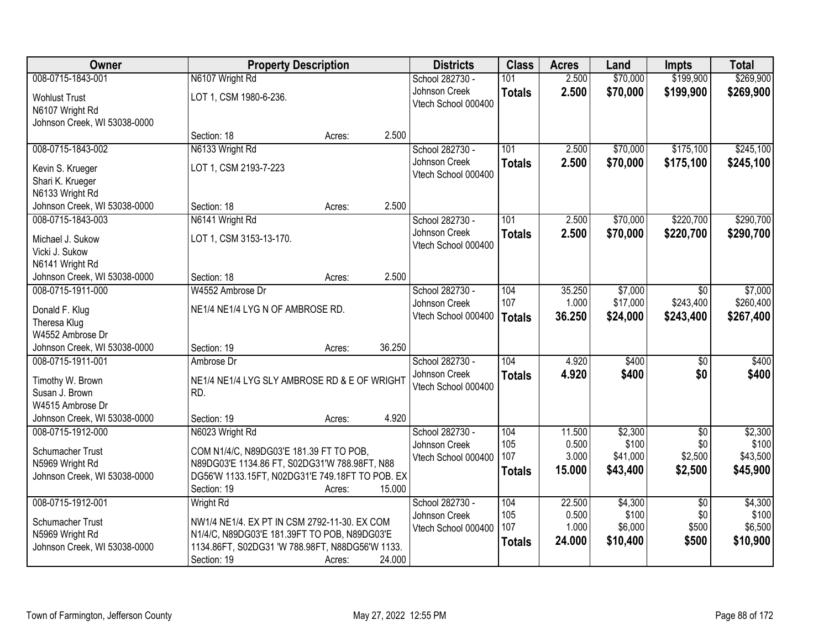| <b>Owner</b>                 | <b>Property Description</b>                     |        |        | <b>Districts</b>    | <b>Class</b>  | <b>Acres</b>    | Land     | <b>Impts</b>    | <b>Total</b> |
|------------------------------|-------------------------------------------------|--------|--------|---------------------|---------------|-----------------|----------|-----------------|--------------|
| 008-0715-1843-001            | N6107 Wright Rd                                 |        |        | School 282730 -     | 101           | 2.500           | \$70,000 | \$199,900       | \$269,900    |
| <b>Wohlust Trust</b>         | LOT 1, CSM 1980-6-236.                          |        |        | Johnson Creek       | <b>Totals</b> | 2.500           | \$70,000 | \$199,900       | \$269,900    |
| N6107 Wright Rd              |                                                 |        |        | Vtech School 000400 |               |                 |          |                 |              |
| Johnson Creek, WI 53038-0000 |                                                 |        |        |                     |               |                 |          |                 |              |
|                              | Section: 18                                     | Acres: | 2.500  |                     |               |                 |          |                 |              |
| 008-0715-1843-002            | N6133 Wright Rd                                 |        |        | School 282730 -     | 101           | 2.500           | \$70,000 | \$175,100       | \$245,100    |
| Kevin S. Krueger             | LOT 1, CSM 2193-7-223                           |        |        | Johnson Creek       | <b>Totals</b> | 2.500           | \$70,000 | \$175,100       | \$245,100    |
| Shari K. Krueger             |                                                 |        |        | Vtech School 000400 |               |                 |          |                 |              |
| N6133 Wright Rd              |                                                 |        |        |                     |               |                 |          |                 |              |
| Johnson Creek, WI 53038-0000 | Section: 18                                     | Acres: | 2.500  |                     |               |                 |          |                 |              |
| 008-0715-1843-003            | N6141 Wright Rd                                 |        |        | School 282730 -     | 101           | 2.500           | \$70,000 | \$220,700       | \$290,700    |
| Michael J. Sukow             | LOT 1, CSM 3153-13-170.                         |        |        | Johnson Creek       | <b>Totals</b> | 2.500           | \$70,000 | \$220,700       | \$290,700    |
| Vicki J. Sukow               |                                                 |        |        | Vtech School 000400 |               |                 |          |                 |              |
| N6141 Wright Rd              |                                                 |        |        |                     |               |                 |          |                 |              |
| Johnson Creek, WI 53038-0000 | Section: 18                                     | Acres: | 2.500  |                     |               |                 |          |                 |              |
| 008-0715-1911-000            | W4552 Ambrose Dr                                |        |        | School 282730 -     | 104           | 35.250          | \$7,000  | $\sqrt{6}$      | \$7,000      |
| Donald F. Klug               | NE1/4 NE1/4 LYG N OF AMBROSE RD.                |        |        | Johnson Creek       | 107           | 1.000           | \$17,000 | \$243,400       | \$260,400    |
| Theresa Klug                 |                                                 |        |        | Vtech School 000400 | <b>Totals</b> | 36.250          | \$24,000 | \$243,400       | \$267,400    |
| W4552 Ambrose Dr             |                                                 |        |        |                     |               |                 |          |                 |              |
| Johnson Creek, WI 53038-0000 | Section: 19                                     | Acres: | 36.250 |                     |               |                 |          |                 |              |
| 008-0715-1911-001            | Ambrose Dr                                      |        |        | School 282730 -     | 104           | 4.920           | \$400    | $\overline{50}$ | \$400        |
| Timothy W. Brown             | NE1/4 NE1/4 LYG SLY AMBROSE RD & E OF WRIGHT    |        |        | Johnson Creek       | <b>Totals</b> | 4.920           | \$400    | \$0             | \$400        |
| Susan J. Brown               | RD.                                             |        |        | Vtech School 000400 |               |                 |          |                 |              |
| W4515 Ambrose Dr             |                                                 |        |        |                     |               |                 |          |                 |              |
| Johnson Creek, WI 53038-0000 | Section: 19                                     | Acres: | 4.920  |                     |               |                 |          |                 |              |
| 008-0715-1912-000            | N6023 Wright Rd                                 |        |        | School 282730 -     | 104           | 11.500          | \$2,300  | $\overline{50}$ | \$2,300      |
| Schumacher Trust             | COM N1/4/C, N89DG03'E 181.39 FT TO POB,         |        |        | Johnson Creek       | 105           | 0.500           | \$100    | \$0             | \$100        |
| N5969 Wright Rd              | N89DG03'E 1134.86 FT, S02DG31'W 788.98FT, N88   |        |        | Vtech School 000400 | 107           | 3.000<br>15.000 | \$41,000 | \$2,500         | \$43,500     |
| Johnson Creek, WI 53038-0000 | DG56'W 1133.15FT, N02DG31'E 749.18FT TO POB. EX |        |        |                     | <b>Totals</b> |                 | \$43,400 | \$2,500         | \$45,900     |
|                              | Section: 19                                     | Acres: | 15.000 |                     |               |                 |          |                 |              |
| 008-0715-1912-001            | <b>Wright Rd</b>                                |        |        | School 282730 -     | 104           | 22.500          | \$4,300  | $\overline{30}$ | \$4,300      |
| Schumacher Trust             | NW1/4 NE1/4. EX PT IN CSM 2792-11-30. EX COM    |        |        | Johnson Creek       | 105           | 0.500           | \$100    | \$0             | \$100        |
| N5969 Wright Rd              | N1/4/C, N89DG03'E 181.39FT TO POB, N89DG03'E    |        |        | Vtech School 000400 | 107           | 1.000           | \$6,000  | \$500           | \$6,500      |
| Johnson Creek, WI 53038-0000 | 1134.86FT, S02DG31 'W 788.98FT, N88DG56'W 1133. |        |        |                     | <b>Totals</b> | 24.000          | \$10,400 | \$500           | \$10,900     |
|                              | Section: 19                                     | Acres: | 24.000 |                     |               |                 |          |                 |              |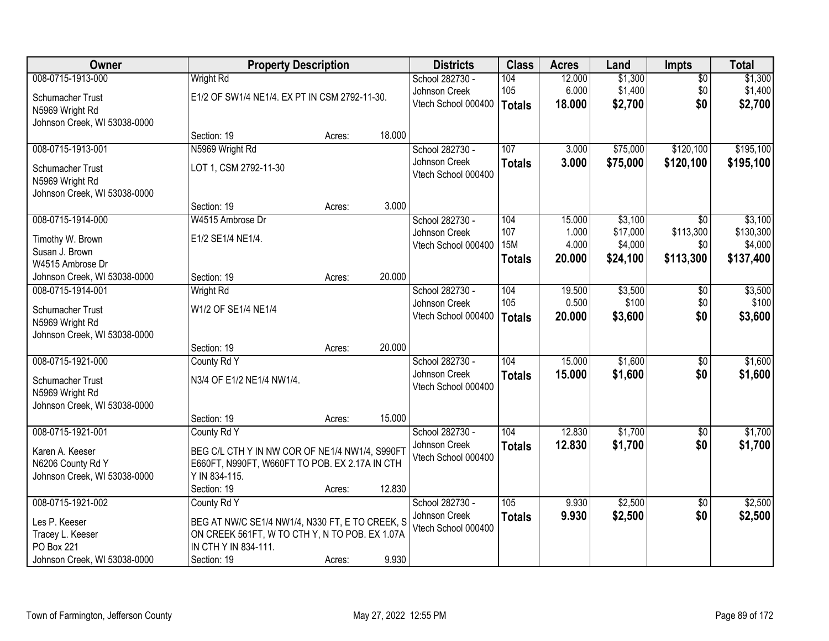| Owner                        | <b>Property Description</b>                     |        |        | <b>Districts</b>    | <b>Class</b>    | <b>Acres</b> | Land     | <b>Impts</b>    | <b>Total</b> |
|------------------------------|-------------------------------------------------|--------|--------|---------------------|-----------------|--------------|----------|-----------------|--------------|
| 008-0715-1913-000            | <b>Wright Rd</b>                                |        |        | School 282730 -     | 104             | 12.000       | \$1,300  | $\overline{50}$ | \$1,300      |
| Schumacher Trust             | E1/2 OF SW1/4 NE1/4. EX PT IN CSM 2792-11-30.   |        |        | Johnson Creek       | 105             | 6.000        | \$1,400  | \$0             | \$1,400      |
| N5969 Wright Rd              |                                                 |        |        | Vtech School 000400 | Totals          | 18.000       | \$2,700  | \$0             | \$2,700      |
| Johnson Creek, WI 53038-0000 |                                                 |        |        |                     |                 |              |          |                 |              |
|                              | Section: 19                                     | Acres: | 18.000 |                     |                 |              |          |                 |              |
| 008-0715-1913-001            | N5969 Wright Rd                                 |        |        | School 282730 -     | 107             | 3.000        | \$75,000 | \$120,100       | \$195,100    |
| <b>Schumacher Trust</b>      | LOT 1, CSM 2792-11-30                           |        |        | Johnson Creek       | <b>Totals</b>   | 3.000        | \$75,000 | \$120,100       | \$195,100    |
| N5969 Wright Rd              |                                                 |        |        | Vtech School 000400 |                 |              |          |                 |              |
| Johnson Creek, WI 53038-0000 |                                                 |        |        |                     |                 |              |          |                 |              |
|                              | Section: 19                                     | Acres: | 3.000  |                     |                 |              |          |                 |              |
| 008-0715-1914-000            | W4515 Ambrose Dr                                |        |        | School 282730 -     | 104             | 15.000       | \$3,100  | $\sqrt{50}$     | \$3,100      |
| Timothy W. Brown             | E1/2 SE1/4 NE1/4.                               |        |        | Johnson Creek       | 107             | 1.000        | \$17,000 | \$113,300       | \$130,300    |
| Susan J. Brown               |                                                 |        |        | Vtech School 000400 | 15 <sub>M</sub> | 4.000        | \$4,000  | \$0             | \$4,000      |
| W4515 Ambrose Dr             |                                                 |        |        |                     | <b>Totals</b>   | 20.000       | \$24,100 | \$113,300       | \$137,400    |
| Johnson Creek, WI 53038-0000 | Section: 19                                     | Acres: | 20.000 |                     |                 |              |          |                 |              |
| 008-0715-1914-001            | <b>Wright Rd</b>                                |        |        | School 282730 -     | 104             | 19.500       | \$3,500  | \$0             | \$3,500      |
| Schumacher Trust             | W1/2 OF SE1/4 NE1/4                             |        |        | Johnson Creek       | 105             | 0.500        | \$100    | \$0             | \$100        |
| N5969 Wright Rd              |                                                 |        |        | Vtech School 000400 | <b>Totals</b>   | 20.000       | \$3,600  | \$0             | \$3,600      |
| Johnson Creek, WI 53038-0000 |                                                 |        |        |                     |                 |              |          |                 |              |
|                              | Section: 19                                     | Acres: | 20.000 |                     |                 |              |          |                 |              |
| 008-0715-1921-000            | County Rd Y                                     |        |        | School 282730 -     | 104             | 15.000       | \$1,600  | $\overline{30}$ | \$1,600      |
| Schumacher Trust             | N3/4 OF E1/2 NE1/4 NW1/4.                       |        |        | Johnson Creek       | <b>Totals</b>   | 15.000       | \$1,600  | \$0             | \$1,600      |
| N5969 Wright Rd              |                                                 |        |        | Vtech School 000400 |                 |              |          |                 |              |
| Johnson Creek, WI 53038-0000 |                                                 |        |        |                     |                 |              |          |                 |              |
|                              | Section: 19                                     | Acres: | 15.000 |                     |                 |              |          |                 |              |
| 008-0715-1921-001            | County Rd Y                                     |        |        | School 282730 -     | 104             | 12.830       | \$1,700  | $\sqrt{6}$      | \$1,700      |
| Karen A. Keeser              | BEG C/L CTH Y IN NW COR OF NE1/4 NW1/4, S990FT  |        |        | Johnson Creek       | <b>Totals</b>   | 12.830       | \$1,700  | \$0             | \$1,700      |
| N6206 County Rd Y            | E660FT, N990FT, W660FT TO POB. EX 2.17A IN CTH  |        |        | Vtech School 000400 |                 |              |          |                 |              |
| Johnson Creek, WI 53038-0000 | Y IN 834-115.                                   |        |        |                     |                 |              |          |                 |              |
|                              | Section: 19                                     | Acres: | 12.830 |                     |                 |              |          |                 |              |
| 008-0715-1921-002            | County Rd Y                                     |        |        | School 282730 -     | 105             | 9.930        | \$2,500  | $\overline{30}$ | \$2,500      |
| Les P. Keeser                | BEG AT NW/C SE1/4 NW1/4, N330 FT, E TO CREEK, S |        |        | Johnson Creek       | <b>Totals</b>   | 9.930        | \$2,500  | \$0             | \$2,500      |
| Tracey L. Keeser             | ON CREEK 561FT, W TO CTH Y, N TO POB. EX 1.07A  |        |        | Vtech School 000400 |                 |              |          |                 |              |
| <b>PO Box 221</b>            | IN CTH Y IN 834-111.                            |        |        |                     |                 |              |          |                 |              |
| Johnson Creek, WI 53038-0000 | Section: 19                                     | Acres: | 9.930  |                     |                 |              |          |                 |              |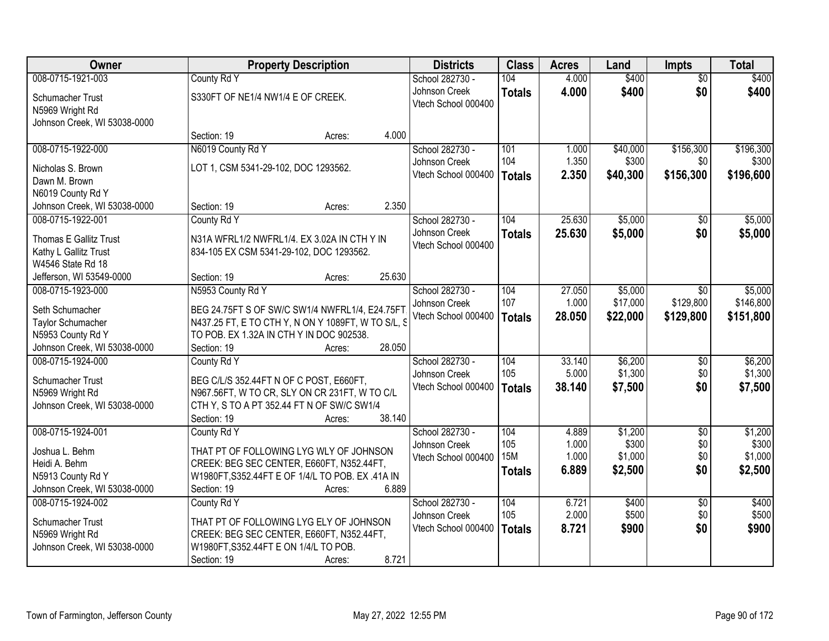| Owner                        | <b>Property Description</b>                        |        | <b>Districts</b>    | <b>Class</b>  | <b>Acres</b> | Land     | <b>Impts</b>    | <b>Total</b> |
|------------------------------|----------------------------------------------------|--------|---------------------|---------------|--------------|----------|-----------------|--------------|
| 008-0715-1921-003            | County Rd Y                                        |        | School 282730 -     | 104           | 4.000        | \$400    | $\overline{50}$ | \$400        |
| Schumacher Trust             | S330FT OF NE1/4 NW1/4 E OF CREEK.                  |        | Johnson Creek       | <b>Totals</b> | 4.000        | \$400    | \$0             | \$400        |
| N5969 Wright Rd              |                                                    |        | Vtech School 000400 |               |              |          |                 |              |
| Johnson Creek, WI 53038-0000 |                                                    |        |                     |               |              |          |                 |              |
|                              | Section: 19<br>Acres:                              | 4.000  |                     |               |              |          |                 |              |
| 008-0715-1922-000            | N6019 County Rd Y                                  |        | School 282730 -     | 101           | 1.000        | \$40,000 | \$156,300       | \$196,300    |
| Nicholas S. Brown            | LOT 1, CSM 5341-29-102, DOC 1293562.               |        | Johnson Creek       | 104           | 1.350        | \$300    | \$0             | \$300        |
| Dawn M. Brown                |                                                    |        | Vtech School 000400 | <b>Totals</b> | 2.350        | \$40,300 | \$156,300       | \$196,600    |
| N6019 County Rd Y            |                                                    |        |                     |               |              |          |                 |              |
| Johnson Creek, WI 53038-0000 | Section: 19<br>Acres:                              | 2.350  |                     |               |              |          |                 |              |
| 008-0715-1922-001            | County Rd Y                                        |        | School 282730 -     | 104           | 25.630       | \$5,000  | $\sqrt[6]{}$    | \$5,000      |
| Thomas E Gallitz Trust       | N31A WFRL1/2 NWFRL1/4. EX 3.02A IN CTH Y IN        |        | Johnson Creek       | <b>Totals</b> | 25.630       | \$5,000  | \$0             | \$5,000      |
| Kathy L Gallitz Trust        | 834-105 EX CSM 5341-29-102, DOC 1293562.           |        | Vtech School 000400 |               |              |          |                 |              |
| W4546 State Rd 18            |                                                    |        |                     |               |              |          |                 |              |
| Jefferson, WI 53549-0000     | Section: 19<br>Acres:                              | 25.630 |                     |               |              |          |                 |              |
| 008-0715-1923-000            | N5953 County Rd Y                                  |        | School 282730 -     | 104           | 27.050       | \$5,000  | $\overline{50}$ | \$5,000      |
| Seth Schumacher              | BEG 24.75FT S OF SW/C SW1/4 NWFRL1/4, E24.75FT     |        | Johnson Creek       | 107           | 1.000        | \$17,000 | \$129,800       | \$146,800    |
| Taylor Schumacher            | N437.25 FT, E TO CTH Y, N ON Y 1089FT, W TO S/L, S |        | Vtech School 000400 | Totals        | 28.050       | \$22,000 | \$129,800       | \$151,800    |
| N5953 County Rd Y            | TO POB. EX 1.32A IN CTH Y IN DOC 902538.           |        |                     |               |              |          |                 |              |
| Johnson Creek, WI 53038-0000 | Section: 19<br>Acres:                              | 28.050 |                     |               |              |          |                 |              |
| 008-0715-1924-000            | County Rd Y                                        |        | School 282730 -     | 104           | 33.140       | \$6,200  | \$0             | \$6,200      |
| Schumacher Trust             | BEG C/L/S 352.44FT N OF C POST, E660FT,            |        | Johnson Creek       | 105           | 5.000        | \$1,300  | \$0             | \$1,300      |
| N5969 Wright Rd              | N967.56FT, W TO CR, SLY ON CR 231FT, W TO C/L      |        | Vtech School 000400 | Totals        | 38.140       | \$7,500  | \$0             | \$7,500      |
| Johnson Creek, WI 53038-0000 | CTH Y, S TO A PT 352.44 FT N OF SW/C SW1/4         |        |                     |               |              |          |                 |              |
|                              | Section: 19<br>Acres:                              | 38.140 |                     |               |              |          |                 |              |
| 008-0715-1924-001            | County Rd Y                                        |        | School 282730 -     | 104           | 4.889        | \$1,200  | $\overline{50}$ | \$1,200      |
| Joshua L. Behm               | THAT PT OF FOLLOWING LYG WLY OF JOHNSON            |        | Johnson Creek       | 105           | 1.000        | \$300    | \$0             | \$300        |
| Heidi A. Behm                | CREEK: BEG SEC CENTER, E660FT, N352.44FT,          |        | Vtech School 000400 | <b>15M</b>    | 1.000        | \$1,000  | \$0             | \$1,000      |
| N5913 County Rd Y            | W1980FT, S352.44FT E OF 1/4/L TO POB. EX.41A IN    |        |                     | <b>Totals</b> | 6.889        | \$2,500  | \$0             | \$2,500      |
| Johnson Creek, WI 53038-0000 | Section: 19<br>Acres:                              | 6.889  |                     |               |              |          |                 |              |
| 008-0715-1924-002            | County Rd Y                                        |        | School 282730 -     | 104           | 6.721        | \$400    | $\overline{50}$ | \$400        |
| Schumacher Trust             | THAT PT OF FOLLOWING LYG ELY OF JOHNSON            |        | Johnson Creek       | 105           | 2.000        | \$500    | \$0             | \$500        |
| N5969 Wright Rd              | CREEK: BEG SEC CENTER, E660FT, N352.44FT,          |        | Vtech School 000400 | <b>Totals</b> | 8.721        | \$900    | \$0             | \$900        |
| Johnson Creek, WI 53038-0000 | W1980FT, S352.44FT E ON 1/4/L TO POB.              |        |                     |               |              |          |                 |              |
|                              | Section: 19<br>Acres:                              | 8.721  |                     |               |              |          |                 |              |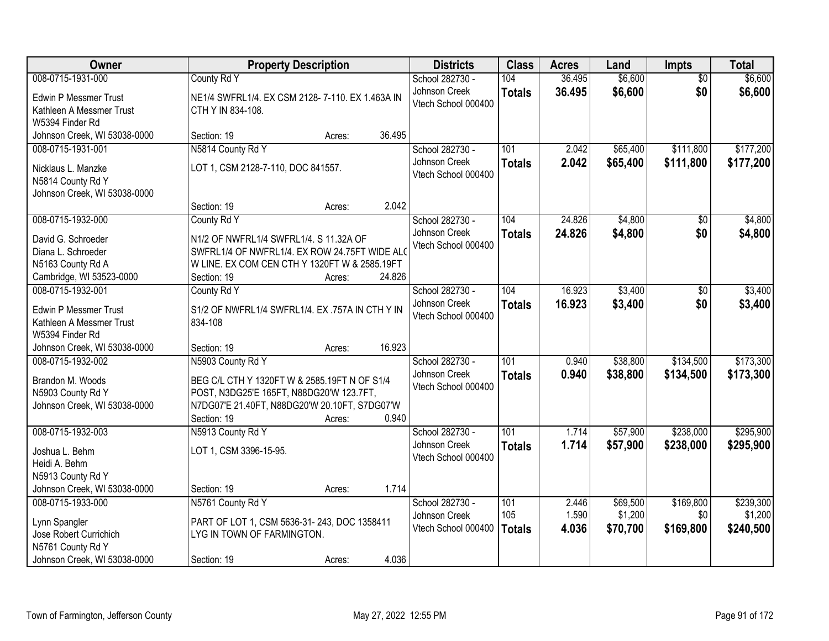| Owner                        | <b>Property Description</b>                     |        |        | <b>Districts</b>    | <b>Class</b>     | <b>Acres</b> | Land     | <b>Impts</b>    | <b>Total</b> |
|------------------------------|-------------------------------------------------|--------|--------|---------------------|------------------|--------------|----------|-----------------|--------------|
| 008-0715-1931-000            | County Rd Y                                     |        |        | School 282730 -     | 104              | 36.495       | \$6,600  | $\overline{50}$ | \$6,600      |
| <b>Edwin P Messmer Trust</b> | NE1/4 SWFRL1/4. EX CSM 2128-7-110. EX 1.463A IN |        |        | Johnson Creek       | <b>Totals</b>    | 36.495       | \$6,600  | \$0             | \$6,600      |
| Kathleen A Messmer Trust     | CTH Y IN 834-108.                               |        |        | Vtech School 000400 |                  |              |          |                 |              |
| W5394 Finder Rd              |                                                 |        |        |                     |                  |              |          |                 |              |
| Johnson Creek, WI 53038-0000 | Section: 19                                     | Acres: | 36.495 |                     |                  |              |          |                 |              |
| 008-0715-1931-001            | N5814 County Rd Y                               |        |        | School 282730 -     | 101              | 2.042        | \$65,400 | \$111,800       | \$177,200    |
| Nicklaus L. Manzke           | LOT 1, CSM 2128-7-110, DOC 841557.              |        |        | Johnson Creek       | <b>Totals</b>    | 2.042        | \$65,400 | \$111,800       | \$177,200    |
| N5814 County Rd Y            |                                                 |        |        | Vtech School 000400 |                  |              |          |                 |              |
| Johnson Creek, WI 53038-0000 |                                                 |        |        |                     |                  |              |          |                 |              |
|                              | Section: 19                                     | Acres: | 2.042  |                     |                  |              |          |                 |              |
| 008-0715-1932-000            | County Rd Y                                     |        |        | School 282730 -     | 104              | 24.826       | \$4,800  | \$0             | \$4,800      |
| David G. Schroeder           | N1/2 OF NWFRL1/4 SWFRL1/4. S 11.32A OF          |        |        | Johnson Creek       | <b>Totals</b>    | 24.826       | \$4,800  | \$0             | \$4,800      |
| Diana L. Schroeder           | SWFRL1/4 OF NWFRL1/4. EX ROW 24.75FT WIDE ALO   |        |        | Vtech School 000400 |                  |              |          |                 |              |
| N5163 County Rd A            | W LINE. EX COM CEN CTH Y 1320FT W & 2585.19FT   |        |        |                     |                  |              |          |                 |              |
| Cambridge, WI 53523-0000     | Section: 19                                     | Acres: | 24.826 |                     |                  |              |          |                 |              |
| 008-0715-1932-001            | County Rd Y                                     |        |        | School 282730 -     | 104              | 16.923       | \$3,400  | \$0             | \$3,400      |
| <b>Edwin P Messmer Trust</b> | S1/2 OF NWFRL1/4 SWFRL1/4. EX .757A IN CTH Y IN |        |        | Johnson Creek       | <b>Totals</b>    | 16.923       | \$3,400  | \$0             | \$3,400      |
| Kathleen A Messmer Trust     | 834-108                                         |        |        | Vtech School 000400 |                  |              |          |                 |              |
| W5394 Finder Rd              |                                                 |        |        |                     |                  |              |          |                 |              |
| Johnson Creek, WI 53038-0000 | Section: 19                                     | Acres: | 16.923 |                     |                  |              |          |                 |              |
| 008-0715-1932-002            | N5903 County Rd Y                               |        |        | School 282730 -     | 101              | 0.940        | \$38,800 | \$134,500       | \$173,300    |
| Brandon M. Woods             | BEG C/L CTH Y 1320FT W & 2585.19FT N OF S1/4    |        |        | Johnson Creek       | <b>Totals</b>    | 0.940        | \$38,800 | \$134,500       | \$173,300    |
| N5903 County Rd Y            | POST, N3DG25'E 165FT, N88DG20'W 123.7FT,        |        |        | Vtech School 000400 |                  |              |          |                 |              |
| Johnson Creek, WI 53038-0000 | N7DG07'E 21.40FT, N88DG20'W 20.10FT, S7DG07'W   |        |        |                     |                  |              |          |                 |              |
|                              | Section: 19                                     | Acres: | 0.940  |                     |                  |              |          |                 |              |
| 008-0715-1932-003            | N5913 County Rd Y                               |        |        | School 282730 -     | $\overline{101}$ | 1.714        | \$57,900 | \$238,000       | \$295,900    |
| Joshua L. Behm               | LOT 1, CSM 3396-15-95.                          |        |        | Johnson Creek       | <b>Totals</b>    | 1.714        | \$57,900 | \$238,000       | \$295,900    |
| Heidi A. Behm                |                                                 |        |        | Vtech School 000400 |                  |              |          |                 |              |
| N5913 County Rd Y            |                                                 |        |        |                     |                  |              |          |                 |              |
| Johnson Creek, WI 53038-0000 | Section: 19                                     | Acres: | 1.714  |                     |                  |              |          |                 |              |
| 008-0715-1933-000            | N5761 County Rd Y                               |        |        | School 282730 -     | 101              | 2.446        | \$69,500 | \$169,800       | \$239,300    |
| Lynn Spangler                | PART OF LOT 1, CSM 5636-31-243, DOC 1358411     |        |        | Johnson Creek       | 105              | 1.590        | \$1,200  | \$0             | \$1,200      |
| Jose Robert Currichich       | LYG IN TOWN OF FARMINGTON.                      |        |        | Vtech School 000400 | <b>Totals</b>    | 4.036        | \$70,700 | \$169,800       | \$240,500    |
| N5761 County Rd Y            |                                                 |        |        |                     |                  |              |          |                 |              |
| Johnson Creek, WI 53038-0000 | Section: 19                                     | Acres: | 4.036  |                     |                  |              |          |                 |              |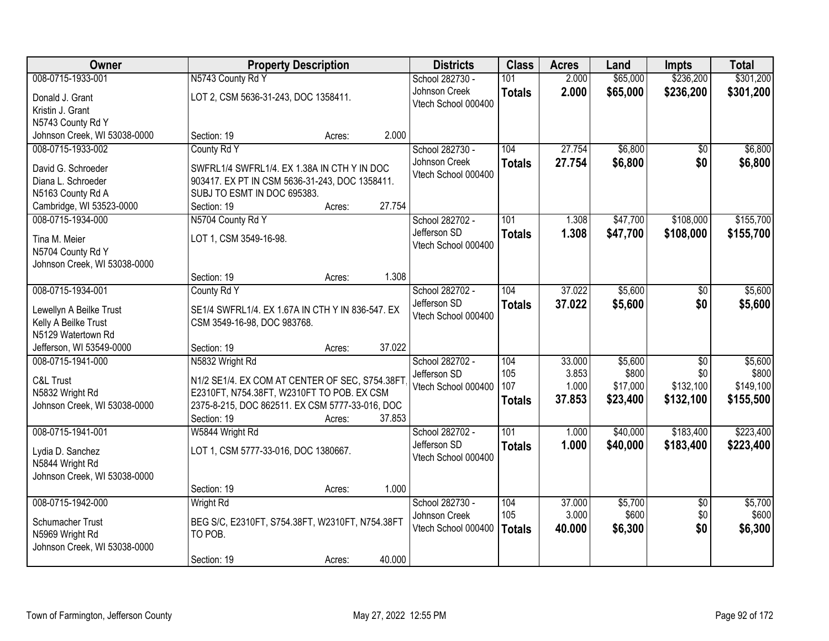| Owner                        | <b>Property Description</b>                                |        |        | <b>Districts</b>    | <b>Class</b>     | <b>Acres</b> | Land     | <b>Impts</b>    | <b>Total</b> |
|------------------------------|------------------------------------------------------------|--------|--------|---------------------|------------------|--------------|----------|-----------------|--------------|
| 008-0715-1933-001            | N5743 County Rd Y                                          |        |        | School 282730 -     | 101              | 2.000        | \$65,000 | \$236,200       | \$301,200    |
| Donald J. Grant              | LOT 2, CSM 5636-31-243, DOC 1358411.                       |        |        | Johnson Creek       | <b>Totals</b>    | 2.000        | \$65,000 | \$236,200       | \$301,200    |
| Kristin J. Grant             |                                                            |        |        | Vtech School 000400 |                  |              |          |                 |              |
| N5743 County Rd Y            |                                                            |        |        |                     |                  |              |          |                 |              |
| Johnson Creek, WI 53038-0000 | Section: 19                                                | Acres: | 2.000  |                     |                  |              |          |                 |              |
| 008-0715-1933-002            | County Rd Y                                                |        |        | School 282730 -     | 104              | 27.754       | \$6,800  | \$0             | \$6,800      |
| David G. Schroeder           | SWFRL1/4 SWFRL1/4. EX 1.38A IN CTH Y IN DOC                |        |        | Johnson Creek       | <b>Totals</b>    | 27.754       | \$6,800  | \$0             | \$6,800      |
| Diana L. Schroeder           | 903417. EX PT IN CSM 5636-31-243, DOC 1358411.             |        |        | Vtech School 000400 |                  |              |          |                 |              |
| N5163 County Rd A            | SUBJ TO ESMT IN DOC 695383.                                |        |        |                     |                  |              |          |                 |              |
| Cambridge, WI 53523-0000     | Section: 19                                                | Acres: | 27.754 |                     |                  |              |          |                 |              |
| 008-0715-1934-000            | N5704 County Rd Y                                          |        |        | School 282702 -     | 101              | 1.308        | \$47,700 | \$108,000       | \$155,700    |
| Tina M. Meier                | LOT 1, CSM 3549-16-98.                                     |        |        | Jefferson SD        | <b>Totals</b>    | 1.308        | \$47,700 | \$108,000       | \$155,700    |
| N5704 County Rd Y            |                                                            |        |        | Vtech School 000400 |                  |              |          |                 |              |
| Johnson Creek, WI 53038-0000 |                                                            |        |        |                     |                  |              |          |                 |              |
|                              | Section: 19                                                | Acres: | 1.308  |                     |                  |              |          |                 |              |
| 008-0715-1934-001            | County Rd Y                                                |        |        | School 282702 -     | 104              | 37.022       | \$5,600  | \$0             | \$5,600      |
| Lewellyn A Beilke Trust      | SE1/4 SWFRL1/4. EX 1.67A IN CTH Y IN 836-547. EX           |        |        | Jefferson SD        | <b>Totals</b>    | 37.022       | \$5,600  | \$0             | \$5,600      |
| Kelly A Beilke Trust         | CSM 3549-16-98, DOC 983768.                                |        |        | Vtech School 000400 |                  |              |          |                 |              |
| N5129 Watertown Rd           |                                                            |        |        |                     |                  |              |          |                 |              |
| Jefferson, WI 53549-0000     | Section: 19                                                | Acres: | 37.022 |                     |                  |              |          |                 |              |
| 008-0715-1941-000            | N5832 Wright Rd                                            |        |        | School 282702 -     | 104              | 33.000       | \$5,600  | $\overline{50}$ | \$5,600      |
| C&L Trust                    | N1/2 SE1/4. EX COM AT CENTER OF SEC, S754.38FT             |        |        | Jefferson SD        | 105              | 3.853        | \$800    | \$0             | \$800        |
| N5832 Wright Rd              | E2310FT, N754.38FT, W2310FT TO POB. EX CSM                 |        |        | Vtech School 000400 | 107              | 1.000        | \$17,000 | \$132,100       | \$149,100    |
| Johnson Creek, WI 53038-0000 | 2375-8-215, DOC 862511. EX CSM 5777-33-016, DOC            |        |        |                     | <b>Totals</b>    | 37.853       | \$23,400 | \$132,100       | \$155,500    |
|                              | Section: 19                                                | Acres: | 37.853 |                     |                  |              |          |                 |              |
| 008-0715-1941-001            | W5844 Wright Rd                                            |        |        | School 282702 -     | $\overline{101}$ | 1.000        | \$40,000 | \$183,400       | \$223,400    |
| Lydia D. Sanchez             | LOT 1, CSM 5777-33-016, DOC 1380667.                       |        |        | Jefferson SD        | <b>Totals</b>    | 1.000        | \$40,000 | \$183,400       | \$223,400    |
| N5844 Wright Rd              |                                                            |        |        | Vtech School 000400 |                  |              |          |                 |              |
| Johnson Creek, WI 53038-0000 |                                                            |        |        |                     |                  |              |          |                 |              |
|                              | Section: 19                                                | Acres: | 1.000  |                     |                  |              |          |                 |              |
| 008-0715-1942-000            | <b>Wright Rd</b>                                           |        |        | School 282730 -     | 104              | 37.000       | \$5,700  | $\overline{50}$ | \$5,700      |
| Schumacher Trust             |                                                            |        |        | Johnson Creek       | 105              | 3.000        | \$600    | \$0             | \$600        |
| N5969 Wright Rd              | BEG S/C, E2310FT, S754.38FT, W2310FT, N754.38FT<br>TO POB. |        |        | Vtech School 000400 | <b>Totals</b>    | 40.000       | \$6,300  | \$0             | \$6,300      |
| Johnson Creek, WI 53038-0000 |                                                            |        |        |                     |                  |              |          |                 |              |
|                              | Section: 19                                                | Acres: | 40.000 |                     |                  |              |          |                 |              |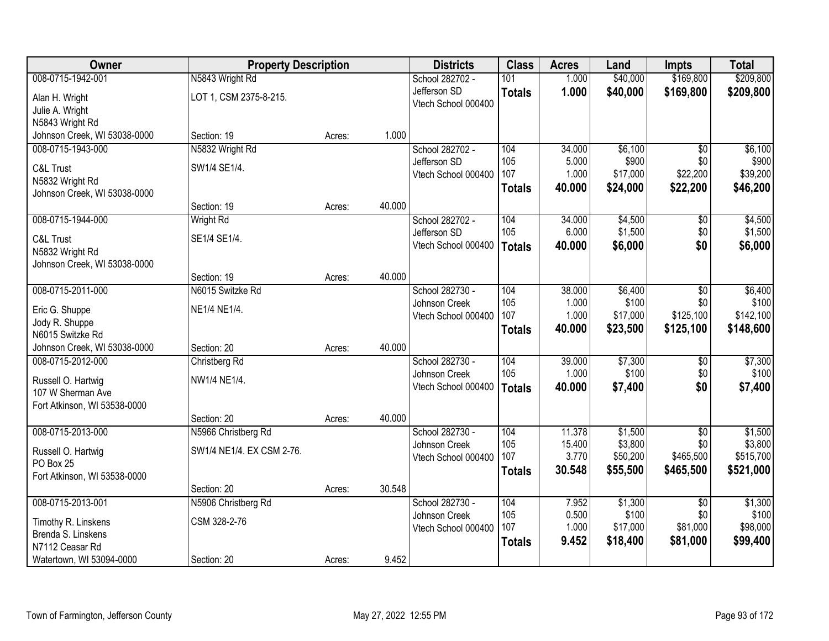| Owner                        | <b>Property Description</b> |        |        | <b>Districts</b>    | <b>Class</b>  | <b>Acres</b>    | Land                 | <b>Impts</b>     | <b>Total</b>           |
|------------------------------|-----------------------------|--------|--------|---------------------|---------------|-----------------|----------------------|------------------|------------------------|
| 008-0715-1942-001            | N5843 Wright Rd             |        |        | School 282702 -     | 101           | 1.000           | \$40,000             | \$169,800        | \$209,800              |
| Alan H. Wright               | LOT 1, CSM 2375-8-215.      |        |        | Jefferson SD        | <b>Totals</b> | 1.000           | \$40,000             | \$169,800        | \$209,800              |
| Julie A. Wright              |                             |        |        | Vtech School 000400 |               |                 |                      |                  |                        |
| N5843 Wright Rd              |                             |        |        |                     |               |                 |                      |                  |                        |
| Johnson Creek, WI 53038-0000 | Section: 19                 | Acres: | 1.000  |                     |               |                 |                      |                  |                        |
| 008-0715-1943-000            | N5832 Wright Rd             |        |        | School 282702 -     | 104           | 34.000          | \$6,100              | $\overline{50}$  | \$6,100                |
| C&L Trust                    | SW1/4 SE1/4.                |        |        | Jefferson SD        | 105           | 5.000           | \$900                | \$0              | \$900                  |
| N5832 Wright Rd              |                             |        |        | Vtech School 000400 | 107           | 1.000           | \$17,000             | \$22,200         | \$39,200               |
| Johnson Creek, WI 53038-0000 |                             |        |        |                     | <b>Totals</b> | 40.000          | \$24,000             | \$22,200         | \$46,200               |
|                              | Section: 19                 | Acres: | 40.000 |                     |               |                 |                      |                  |                        |
| 008-0715-1944-000            | <b>Wright Rd</b>            |        |        | School 282702 -     | 104           | 34.000          | \$4,500              | $\overline{50}$  | \$4,500                |
| C&L Trust                    | SE1/4 SE1/4.                |        |        | Jefferson SD        | 105           | 6.000           | \$1,500              | \$0              | \$1,500                |
| N5832 Wright Rd              |                             |        |        | Vtech School 000400 | <b>Totals</b> | 40.000          | \$6,000              | \$0              | \$6,000                |
| Johnson Creek, WI 53038-0000 |                             |        |        |                     |               |                 |                      |                  |                        |
|                              | Section: 19                 | Acres: | 40.000 |                     |               |                 |                      |                  |                        |
| 008-0715-2011-000            | N6015 Switzke Rd            |        |        | School 282730 -     | 104           | 38.000          | \$6,400              | \$0              | \$6,400                |
| Eric G. Shuppe               | NE1/4 NE1/4.                |        |        | Johnson Creek       | 105           | 1.000           | \$100                | \$0              | \$100                  |
| Jody R. Shuppe               |                             |        |        | Vtech School 000400 | 107           | 1.000           | \$17,000             | \$125,100        | \$142,100              |
| N6015 Switzke Rd             |                             |        |        |                     | <b>Totals</b> | 40.000          | \$23,500             | \$125,100        | \$148,600              |
| Johnson Creek, WI 53038-0000 | Section: 20                 | Acres: | 40.000 |                     |               |                 |                      |                  |                        |
| 008-0715-2012-000            | Christberg Rd               |        |        | School 282730 -     | 104           | 39.000          | \$7,300              | $\overline{50}$  | \$7,300                |
| Russell O. Hartwig           | NW1/4 NE1/4.                |        |        | Johnson Creek       | 105           | 1.000           | \$100                | \$0              | \$100                  |
| 107 W Sherman Ave            |                             |        |        | Vtech School 000400 | <b>Totals</b> | 40.000          | \$7,400              | \$0              | \$7,400                |
| Fort Atkinson, WI 53538-0000 |                             |        |        |                     |               |                 |                      |                  |                        |
|                              | Section: 20                 | Acres: | 40.000 |                     |               |                 |                      |                  |                        |
| 008-0715-2013-000            | N5966 Christberg Rd         |        |        | School 282730 -     | 104           | 11.378          | \$1,500              | $\overline{50}$  | \$1,500                |
| Russell O. Hartwig           | SW1/4 NE1/4. EX CSM 2-76.   |        |        | Johnson Creek       | 105<br>107    | 15.400<br>3.770 | \$3,800              | \$0<br>\$465,500 | \$3,800                |
| PO Box 25                    |                             |        |        | Vtech School 000400 |               | 30.548          | \$50,200<br>\$55,500 | \$465,500        | \$515,700<br>\$521,000 |
| Fort Atkinson, WI 53538-0000 |                             |        |        |                     | <b>Totals</b> |                 |                      |                  |                        |
|                              | Section: 20                 | Acres: | 30.548 |                     |               |                 |                      |                  |                        |
| 008-0715-2013-001            | N5906 Christberg Rd         |        |        | School 282730 -     | 104           | 7.952           | \$1,300              | $\overline{50}$  | \$1,300                |
| Timothy R. Linskens          | CSM 328-2-76                |        |        | Johnson Creek       | 105<br>107    | 0.500<br>1.000  | \$100<br>\$17,000    | \$0<br>\$81,000  | \$100<br>\$98,000      |
| Brenda S. Linskens           |                             |        |        | Vtech School 000400 |               | 9.452           | \$18,400             | \$81,000         | \$99,400               |
| N7112 Ceasar Rd              |                             |        |        |                     | <b>Totals</b> |                 |                      |                  |                        |
| Watertown, WI 53094-0000     | Section: 20                 | Acres: | 9.452  |                     |               |                 |                      |                  |                        |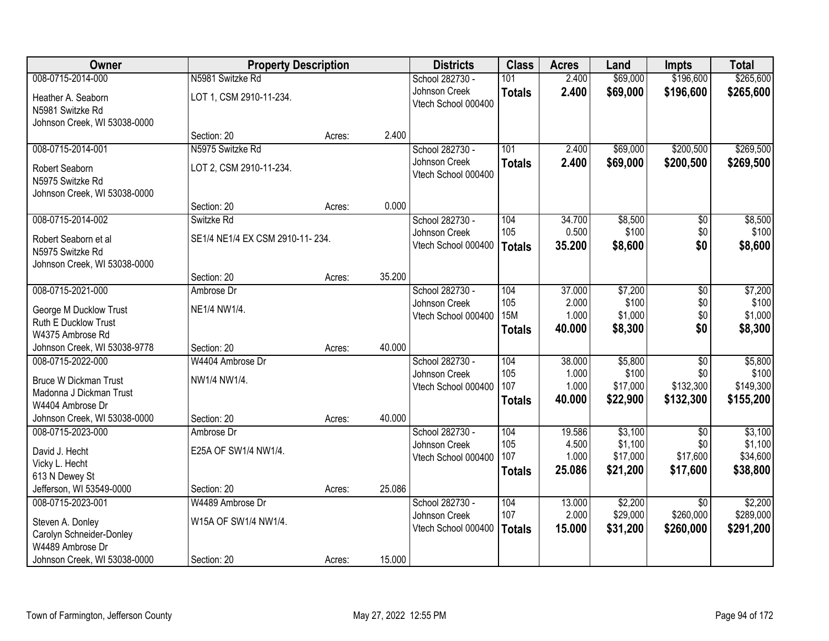| Owner                                                              | <b>Property Description</b>     |        |        | <b>Districts</b>                     | <b>Class</b>  | <b>Acres</b>    | Land                | <b>Impts</b>                 | <b>Total</b>         |
|--------------------------------------------------------------------|---------------------------------|--------|--------|--------------------------------------|---------------|-----------------|---------------------|------------------------------|----------------------|
| 008-0715-2014-000                                                  | N5981 Switzke Rd                |        |        | School 282730 -                      | 101           | 2.400           | \$69,000            | \$196,600                    | \$265,600            |
| Heather A. Seaborn<br>N5981 Switzke Rd                             | LOT 1, CSM 2910-11-234.         |        |        | Johnson Creek<br>Vtech School 000400 | <b>Totals</b> | 2.400           | \$69,000            | \$196,600                    | \$265,600            |
| Johnson Creek, WI 53038-0000                                       |                                 |        |        |                                      |               |                 |                     |                              |                      |
|                                                                    | Section: 20                     | Acres: | 2.400  |                                      |               |                 |                     |                              |                      |
| 008-0715-2014-001                                                  | N5975 Switzke Rd                |        |        | School 282730 -                      | 101           | 2.400           | \$69,000            | \$200,500                    | \$269,500            |
| Robert Seaborn<br>N5975 Switzke Rd<br>Johnson Creek, WI 53038-0000 | LOT 2, CSM 2910-11-234.         |        |        | Johnson Creek<br>Vtech School 000400 | <b>Totals</b> | 2.400           | \$69,000            | \$200,500                    | \$269,500            |
|                                                                    | Section: 20                     | Acres: | 0.000  |                                      |               |                 |                     |                              |                      |
| 008-0715-2014-002                                                  | Switzke Rd                      |        |        | School 282730 -                      | 104           | 34.700          | \$8,500             | \$0                          | \$8,500              |
| Robert Seaborn et al                                               | SE1/4 NE1/4 EX CSM 2910-11-234. |        |        | Johnson Creek                        | 105           | 0.500           | \$100               | \$0                          | \$100                |
| N5975 Switzke Rd                                                   |                                 |        |        | Vtech School 000400                  | <b>Totals</b> | 35.200          | \$8,600             | \$0                          | \$8,600              |
| Johnson Creek, WI 53038-0000                                       |                                 |        |        |                                      |               |                 |                     |                              |                      |
|                                                                    | Section: 20                     | Acres: | 35.200 |                                      |               |                 |                     |                              |                      |
| 008-0715-2021-000                                                  | Ambrose Dr                      |        |        | School 282730 -                      | 104           | 37.000          | \$7,200             | \$0                          | \$7,200              |
|                                                                    |                                 |        |        | Johnson Creek                        | 105           | 2.000           | \$100               | \$0                          | \$100                |
| George M Ducklow Trust<br>Ruth E Ducklow Trust                     | NE1/4 NW1/4.                    |        |        | Vtech School 000400                  | <b>15M</b>    | 1.000           | \$1,000             | \$0                          | \$1,000              |
| W4375 Ambrose Rd                                                   |                                 |        |        |                                      | <b>Totals</b> | 40.000          | \$8,300             | \$0                          | \$8,300              |
| Johnson Creek, WI 53038-9778                                       | Section: 20                     | Acres: | 40.000 |                                      |               |                 |                     |                              |                      |
| 008-0715-2022-000                                                  | W4404 Ambrose Dr                |        |        | School 282730 -                      | 104           | 38.000          | \$5,800             | $\overline{30}$              | \$5,800              |
|                                                                    |                                 |        |        | Johnson Creek                        | 105           | 1.000           | \$100               | \$0                          | \$100                |
| <b>Bruce W Dickman Trust</b>                                       | NW1/4 NW1/4.                    |        |        | Vtech School 000400                  | 107           | 1.000           | \$17,000            | \$132,300                    | \$149,300            |
| Madonna J Dickman Trust                                            |                                 |        |        |                                      | <b>Totals</b> | 40.000          | \$22,900            | \$132,300                    | \$155,200            |
| W4404 Ambrose Dr<br>Johnson Creek, WI 53038-0000                   | Section: 20                     | Acres: | 40.000 |                                      |               |                 |                     |                              |                      |
| 008-0715-2023-000                                                  | Ambrose Dr                      |        |        | School 282730 -                      | 104           | 19.586          | \$3,100             | $\overline{50}$              | \$3,100              |
|                                                                    |                                 |        |        | Johnson Creek                        | 105           | 4.500           | \$1,100             | \$0                          | \$1,100              |
| David J. Hecht                                                     | E25A OF SW1/4 NW1/4.            |        |        | Vtech School 000400                  | 107           | 1.000           | \$17,000            | \$17,600                     | \$34,600             |
| Vicky L. Hecht                                                     |                                 |        |        |                                      | <b>Totals</b> | 25.086          | \$21,200            | \$17,600                     | \$38,800             |
| 613 N Dewey St                                                     |                                 |        |        |                                      |               |                 |                     |                              |                      |
| Jefferson, WI 53549-0000                                           | Section: 20                     | Acres: | 25.086 |                                      |               |                 |                     |                              |                      |
| 008-0715-2023-001                                                  | W4489 Ambrose Dr                |        |        | School 282730 -                      | 104<br>107    | 13.000<br>2.000 | \$2,200<br>\$29,000 | $\overline{30}$<br>\$260,000 | \$2,200<br>\$289,000 |
| Steven A. Donley                                                   | W15A OF SW1/4 NW1/4.            |        |        | Johnson Creek<br>Vtech School 000400 |               | 15.000          |                     |                              |                      |
| Carolyn Schneider-Donley                                           |                                 |        |        |                                      | <b>Totals</b> |                 | \$31,200            | \$260,000                    | \$291,200            |
| W4489 Ambrose Dr                                                   |                                 |        |        |                                      |               |                 |                     |                              |                      |
| Johnson Creek, WI 53038-0000                                       | Section: 20                     | Acres: | 15.000 |                                      |               |                 |                     |                              |                      |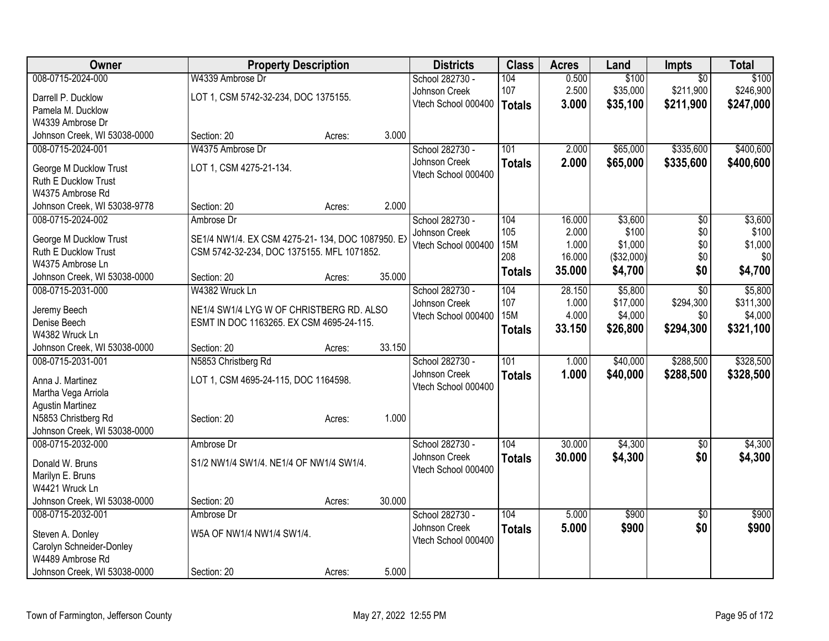| 008-0715-2024-000<br>\$100<br>W4339 Ambrose Dr<br>School 282730 -<br>104<br>0.500<br>\$100<br>$\overline{50}$<br>107<br>2.500<br>\$35,000<br>\$211,900<br>\$246,900<br>Johnson Creek<br>LOT 1, CSM 5742-32-234, DOC 1375155.<br>Darrell P. Ducklow<br>Vtech School 000400<br>\$35,100<br>\$211,900<br>3.000<br>\$247,000<br><b>Totals</b><br>Pamela M. Ducklow<br>W4339 Ambrose Dr<br>3.000<br>Johnson Creek, WI 53038-0000<br>Section: 20<br>Acres:<br>W4375 Ambrose Dr<br>101<br>\$65,000<br>\$335,600<br>008-0715-2024-001<br>School 282730 -<br>2.000<br>2.000<br>\$65,000<br>Johnson Creek<br>\$335,600<br><b>Totals</b><br>LOT 1, CSM 4275-21-134.<br>George M Ducklow Trust<br>Vtech School 000400<br>Ruth E Ducklow Trust<br>W4375 Ambrose Rd<br>2.000<br>Johnson Creek, WI 53038-9778<br>Section: 20<br>Acres:<br>\$3,600<br>\$3,600<br>008-0715-2024-002<br>Ambrose Dr<br>School 282730 -<br>104<br>16.000<br>\$0<br>2.000<br>105<br>\$100<br>\$0<br>Johnson Creek<br>George M Ducklow Trust<br>SE1/4 NW1/4. EX CSM 4275-21-134, DOC 1087950. EX<br>1.000<br>\$1,000<br>\$0<br><b>15M</b><br>Vtech School 000400<br><b>Ruth E Ducklow Trust</b><br>CSM 5742-32-234, DOC 1375155. MFL 1071852.<br>208<br>\$0<br>16.000<br>(\$32,000)<br>\$0<br>W4375 Ambrose Ln<br>35.000<br>\$4,700<br>\$0<br>\$4,700<br><b>Totals</b><br>35.000<br>Johnson Creek, WI 53038-0000<br>Section: 20<br>Acres:<br>008-0715-2031-000<br>W4382 Wruck Ln<br>School 282730 -<br>104<br>28.150<br>\$5,800<br>$\overline{30}$<br>\$5,800<br>107<br>\$294,300<br>\$311,300<br>1.000<br>\$17,000<br>Johnson Creek<br>NE1/4 SW1/4 LYG W OF CHRISTBERG RD. ALSO<br>Jeremy Beech<br><b>15M</b><br>4.000<br>\$4,000<br>\$0<br>Vtech School 000400<br>Denise Beech<br>ESMT IN DOC 1163265. EX CSM 4695-24-115.<br>33.150<br>\$26,800<br>\$294,300<br><b>Totals</b><br>W4382 Wruck Ln<br>33.150<br>Johnson Creek, WI 53038-0000<br>Section: 20<br>Acres:<br>008-0715-2031-001<br>N5853 Christberg Rd<br>101<br>\$40,000<br>\$288,500<br>School 282730 -<br>1.000<br>Johnson Creek<br>1.000<br>\$40,000<br>\$288,500<br><b>Totals</b><br>Anna J. Martinez<br>LOT 1, CSM 4695-24-115, DOC 1164598.<br>Vtech School 000400<br>Martha Vega Arriola<br><b>Agustin Martinez</b><br>1.000<br>N5853 Christberg Rd<br>Section: 20<br>Acres:<br>Johnson Creek, WI 53038-0000<br>008-0715-2032-000<br>104<br>30.000<br>\$4,300<br>$\overline{50}$<br>School 282730 -<br>Ambrose Dr<br>\$0<br>Johnson Creek<br>30.000<br>\$4,300<br><b>Totals</b><br>S1/2 NW1/4 SW1/4. NE1/4 OF NW1/4 SW1/4.<br>Donald W. Bruns<br>Vtech School 000400<br>Marilyn E. Bruns<br>W4421 Wruck Ln<br>30.000<br>Johnson Creek, WI 53038-0000<br>Section: 20<br>Acres:<br>008-0715-2032-001<br>104<br>\$900<br>\$900<br>School 282730 -<br>5.000<br>$\overline{30}$<br>Ambrose Dr<br>Johnson Creek<br>5.000<br>\$900<br>\$0<br><b>Totals</b><br>W5A OF NW1/4 NW1/4 SW1/4.<br>Steven A. Donley<br>Vtech School 000400<br>Carolyn Schneider-Donley | <b>Owner</b>     | <b>Property Description</b> |  | <b>Districts</b> | <b>Class</b> | <b>Acres</b> | Land | <b>Impts</b> | <b>Total</b> |
|--------------------------------------------------------------------------------------------------------------------------------------------------------------------------------------------------------------------------------------------------------------------------------------------------------------------------------------------------------------------------------------------------------------------------------------------------------------------------------------------------------------------------------------------------------------------------------------------------------------------------------------------------------------------------------------------------------------------------------------------------------------------------------------------------------------------------------------------------------------------------------------------------------------------------------------------------------------------------------------------------------------------------------------------------------------------------------------------------------------------------------------------------------------------------------------------------------------------------------------------------------------------------------------------------------------------------------------------------------------------------------------------------------------------------------------------------------------------------------------------------------------------------------------------------------------------------------------------------------------------------------------------------------------------------------------------------------------------------------------------------------------------------------------------------------------------------------------------------------------------------------------------------------------------------------------------------------------------------------------------------------------------------------------------------------------------------------------------------------------------------------------------------------------------------------------------------------------------------------------------------------------------------------------------------------------------------------------------------------------------------------------------------------------------------------------------------------------------------------------------------------------------------------------------------------------------------------------------------------------------------------------------------------------------------------------------------------------------------------------------------------------------------------------------------------------------------------------------------------------------------------------------------------------------------------------------------------------------------------------|------------------|-----------------------------|--|------------------|--------------|--------------|------|--------------|--------------|
|                                                                                                                                                                                                                                                                                                                                                                                                                                                                                                                                                                                                                                                                                                                                                                                                                                                                                                                                                                                                                                                                                                                                                                                                                                                                                                                                                                                                                                                                                                                                                                                                                                                                                                                                                                                                                                                                                                                                                                                                                                                                                                                                                                                                                                                                                                                                                                                                                                                                                                                                                                                                                                                                                                                                                                                                                                                                                                                                                                                      |                  |                             |  |                  |              |              |      |              |              |
|                                                                                                                                                                                                                                                                                                                                                                                                                                                                                                                                                                                                                                                                                                                                                                                                                                                                                                                                                                                                                                                                                                                                                                                                                                                                                                                                                                                                                                                                                                                                                                                                                                                                                                                                                                                                                                                                                                                                                                                                                                                                                                                                                                                                                                                                                                                                                                                                                                                                                                                                                                                                                                                                                                                                                                                                                                                                                                                                                                                      |                  |                             |  |                  |              |              |      |              |              |
|                                                                                                                                                                                                                                                                                                                                                                                                                                                                                                                                                                                                                                                                                                                                                                                                                                                                                                                                                                                                                                                                                                                                                                                                                                                                                                                                                                                                                                                                                                                                                                                                                                                                                                                                                                                                                                                                                                                                                                                                                                                                                                                                                                                                                                                                                                                                                                                                                                                                                                                                                                                                                                                                                                                                                                                                                                                                                                                                                                                      |                  |                             |  |                  |              |              |      |              |              |
| \$400,600<br>\$400,600<br>\$100<br>\$1,000<br>\$4,000<br>\$321,100<br>\$328,500<br>\$328,500<br>\$4,300<br>\$900                                                                                                                                                                                                                                                                                                                                                                                                                                                                                                                                                                                                                                                                                                                                                                                                                                                                                                                                                                                                                                                                                                                                                                                                                                                                                                                                                                                                                                                                                                                                                                                                                                                                                                                                                                                                                                                                                                                                                                                                                                                                                                                                                                                                                                                                                                                                                                                                                                                                                                                                                                                                                                                                                                                                                                                                                                                                     |                  |                             |  |                  |              |              |      |              |              |
|                                                                                                                                                                                                                                                                                                                                                                                                                                                                                                                                                                                                                                                                                                                                                                                                                                                                                                                                                                                                                                                                                                                                                                                                                                                                                                                                                                                                                                                                                                                                                                                                                                                                                                                                                                                                                                                                                                                                                                                                                                                                                                                                                                                                                                                                                                                                                                                                                                                                                                                                                                                                                                                                                                                                                                                                                                                                                                                                                                                      |                  |                             |  |                  |              |              |      |              |              |
|                                                                                                                                                                                                                                                                                                                                                                                                                                                                                                                                                                                                                                                                                                                                                                                                                                                                                                                                                                                                                                                                                                                                                                                                                                                                                                                                                                                                                                                                                                                                                                                                                                                                                                                                                                                                                                                                                                                                                                                                                                                                                                                                                                                                                                                                                                                                                                                                                                                                                                                                                                                                                                                                                                                                                                                                                                                                                                                                                                                      |                  |                             |  |                  |              |              |      |              |              |
|                                                                                                                                                                                                                                                                                                                                                                                                                                                                                                                                                                                                                                                                                                                                                                                                                                                                                                                                                                                                                                                                                                                                                                                                                                                                                                                                                                                                                                                                                                                                                                                                                                                                                                                                                                                                                                                                                                                                                                                                                                                                                                                                                                                                                                                                                                                                                                                                                                                                                                                                                                                                                                                                                                                                                                                                                                                                                                                                                                                      |                  |                             |  |                  |              |              |      |              |              |
|                                                                                                                                                                                                                                                                                                                                                                                                                                                                                                                                                                                                                                                                                                                                                                                                                                                                                                                                                                                                                                                                                                                                                                                                                                                                                                                                                                                                                                                                                                                                                                                                                                                                                                                                                                                                                                                                                                                                                                                                                                                                                                                                                                                                                                                                                                                                                                                                                                                                                                                                                                                                                                                                                                                                                                                                                                                                                                                                                                                      |                  |                             |  |                  |              |              |      |              |              |
|                                                                                                                                                                                                                                                                                                                                                                                                                                                                                                                                                                                                                                                                                                                                                                                                                                                                                                                                                                                                                                                                                                                                                                                                                                                                                                                                                                                                                                                                                                                                                                                                                                                                                                                                                                                                                                                                                                                                                                                                                                                                                                                                                                                                                                                                                                                                                                                                                                                                                                                                                                                                                                                                                                                                                                                                                                                                                                                                                                                      |                  |                             |  |                  |              |              |      |              |              |
|                                                                                                                                                                                                                                                                                                                                                                                                                                                                                                                                                                                                                                                                                                                                                                                                                                                                                                                                                                                                                                                                                                                                                                                                                                                                                                                                                                                                                                                                                                                                                                                                                                                                                                                                                                                                                                                                                                                                                                                                                                                                                                                                                                                                                                                                                                                                                                                                                                                                                                                                                                                                                                                                                                                                                                                                                                                                                                                                                                                      |                  |                             |  |                  |              |              |      |              |              |
|                                                                                                                                                                                                                                                                                                                                                                                                                                                                                                                                                                                                                                                                                                                                                                                                                                                                                                                                                                                                                                                                                                                                                                                                                                                                                                                                                                                                                                                                                                                                                                                                                                                                                                                                                                                                                                                                                                                                                                                                                                                                                                                                                                                                                                                                                                                                                                                                                                                                                                                                                                                                                                                                                                                                                                                                                                                                                                                                                                                      |                  |                             |  |                  |              |              |      |              |              |
|                                                                                                                                                                                                                                                                                                                                                                                                                                                                                                                                                                                                                                                                                                                                                                                                                                                                                                                                                                                                                                                                                                                                                                                                                                                                                                                                                                                                                                                                                                                                                                                                                                                                                                                                                                                                                                                                                                                                                                                                                                                                                                                                                                                                                                                                                                                                                                                                                                                                                                                                                                                                                                                                                                                                                                                                                                                                                                                                                                                      |                  |                             |  |                  |              |              |      |              |              |
|                                                                                                                                                                                                                                                                                                                                                                                                                                                                                                                                                                                                                                                                                                                                                                                                                                                                                                                                                                                                                                                                                                                                                                                                                                                                                                                                                                                                                                                                                                                                                                                                                                                                                                                                                                                                                                                                                                                                                                                                                                                                                                                                                                                                                                                                                                                                                                                                                                                                                                                                                                                                                                                                                                                                                                                                                                                                                                                                                                                      |                  |                             |  |                  |              |              |      |              |              |
|                                                                                                                                                                                                                                                                                                                                                                                                                                                                                                                                                                                                                                                                                                                                                                                                                                                                                                                                                                                                                                                                                                                                                                                                                                                                                                                                                                                                                                                                                                                                                                                                                                                                                                                                                                                                                                                                                                                                                                                                                                                                                                                                                                                                                                                                                                                                                                                                                                                                                                                                                                                                                                                                                                                                                                                                                                                                                                                                                                                      |                  |                             |  |                  |              |              |      |              |              |
|                                                                                                                                                                                                                                                                                                                                                                                                                                                                                                                                                                                                                                                                                                                                                                                                                                                                                                                                                                                                                                                                                                                                                                                                                                                                                                                                                                                                                                                                                                                                                                                                                                                                                                                                                                                                                                                                                                                                                                                                                                                                                                                                                                                                                                                                                                                                                                                                                                                                                                                                                                                                                                                                                                                                                                                                                                                                                                                                                                                      |                  |                             |  |                  |              |              |      |              |              |
|                                                                                                                                                                                                                                                                                                                                                                                                                                                                                                                                                                                                                                                                                                                                                                                                                                                                                                                                                                                                                                                                                                                                                                                                                                                                                                                                                                                                                                                                                                                                                                                                                                                                                                                                                                                                                                                                                                                                                                                                                                                                                                                                                                                                                                                                                                                                                                                                                                                                                                                                                                                                                                                                                                                                                                                                                                                                                                                                                                                      |                  |                             |  |                  |              |              |      |              |              |
|                                                                                                                                                                                                                                                                                                                                                                                                                                                                                                                                                                                                                                                                                                                                                                                                                                                                                                                                                                                                                                                                                                                                                                                                                                                                                                                                                                                                                                                                                                                                                                                                                                                                                                                                                                                                                                                                                                                                                                                                                                                                                                                                                                                                                                                                                                                                                                                                                                                                                                                                                                                                                                                                                                                                                                                                                                                                                                                                                                                      |                  |                             |  |                  |              |              |      |              |              |
|                                                                                                                                                                                                                                                                                                                                                                                                                                                                                                                                                                                                                                                                                                                                                                                                                                                                                                                                                                                                                                                                                                                                                                                                                                                                                                                                                                                                                                                                                                                                                                                                                                                                                                                                                                                                                                                                                                                                                                                                                                                                                                                                                                                                                                                                                                                                                                                                                                                                                                                                                                                                                                                                                                                                                                                                                                                                                                                                                                                      |                  |                             |  |                  |              |              |      |              |              |
|                                                                                                                                                                                                                                                                                                                                                                                                                                                                                                                                                                                                                                                                                                                                                                                                                                                                                                                                                                                                                                                                                                                                                                                                                                                                                                                                                                                                                                                                                                                                                                                                                                                                                                                                                                                                                                                                                                                                                                                                                                                                                                                                                                                                                                                                                                                                                                                                                                                                                                                                                                                                                                                                                                                                                                                                                                                                                                                                                                                      |                  |                             |  |                  |              |              |      |              |              |
| \$4,300                                                                                                                                                                                                                                                                                                                                                                                                                                                                                                                                                                                                                                                                                                                                                                                                                                                                                                                                                                                                                                                                                                                                                                                                                                                                                                                                                                                                                                                                                                                                                                                                                                                                                                                                                                                                                                                                                                                                                                                                                                                                                                                                                                                                                                                                                                                                                                                                                                                                                                                                                                                                                                                                                                                                                                                                                                                                                                                                                                              |                  |                             |  |                  |              |              |      |              |              |
|                                                                                                                                                                                                                                                                                                                                                                                                                                                                                                                                                                                                                                                                                                                                                                                                                                                                                                                                                                                                                                                                                                                                                                                                                                                                                                                                                                                                                                                                                                                                                                                                                                                                                                                                                                                                                                                                                                                                                                                                                                                                                                                                                                                                                                                                                                                                                                                                                                                                                                                                                                                                                                                                                                                                                                                                                                                                                                                                                                                      |                  |                             |  |                  |              |              |      |              |              |
|                                                                                                                                                                                                                                                                                                                                                                                                                                                                                                                                                                                                                                                                                                                                                                                                                                                                                                                                                                                                                                                                                                                                                                                                                                                                                                                                                                                                                                                                                                                                                                                                                                                                                                                                                                                                                                                                                                                                                                                                                                                                                                                                                                                                                                                                                                                                                                                                                                                                                                                                                                                                                                                                                                                                                                                                                                                                                                                                                                                      |                  |                             |  |                  |              |              |      |              |              |
|                                                                                                                                                                                                                                                                                                                                                                                                                                                                                                                                                                                                                                                                                                                                                                                                                                                                                                                                                                                                                                                                                                                                                                                                                                                                                                                                                                                                                                                                                                                                                                                                                                                                                                                                                                                                                                                                                                                                                                                                                                                                                                                                                                                                                                                                                                                                                                                                                                                                                                                                                                                                                                                                                                                                                                                                                                                                                                                                                                                      |                  |                             |  |                  |              |              |      |              |              |
|                                                                                                                                                                                                                                                                                                                                                                                                                                                                                                                                                                                                                                                                                                                                                                                                                                                                                                                                                                                                                                                                                                                                                                                                                                                                                                                                                                                                                                                                                                                                                                                                                                                                                                                                                                                                                                                                                                                                                                                                                                                                                                                                                                                                                                                                                                                                                                                                                                                                                                                                                                                                                                                                                                                                                                                                                                                                                                                                                                                      |                  |                             |  |                  |              |              |      |              |              |
|                                                                                                                                                                                                                                                                                                                                                                                                                                                                                                                                                                                                                                                                                                                                                                                                                                                                                                                                                                                                                                                                                                                                                                                                                                                                                                                                                                                                                                                                                                                                                                                                                                                                                                                                                                                                                                                                                                                                                                                                                                                                                                                                                                                                                                                                                                                                                                                                                                                                                                                                                                                                                                                                                                                                                                                                                                                                                                                                                                                      |                  |                             |  |                  |              |              |      |              |              |
|                                                                                                                                                                                                                                                                                                                                                                                                                                                                                                                                                                                                                                                                                                                                                                                                                                                                                                                                                                                                                                                                                                                                                                                                                                                                                                                                                                                                                                                                                                                                                                                                                                                                                                                                                                                                                                                                                                                                                                                                                                                                                                                                                                                                                                                                                                                                                                                                                                                                                                                                                                                                                                                                                                                                                                                                                                                                                                                                                                                      |                  |                             |  |                  |              |              |      |              |              |
|                                                                                                                                                                                                                                                                                                                                                                                                                                                                                                                                                                                                                                                                                                                                                                                                                                                                                                                                                                                                                                                                                                                                                                                                                                                                                                                                                                                                                                                                                                                                                                                                                                                                                                                                                                                                                                                                                                                                                                                                                                                                                                                                                                                                                                                                                                                                                                                                                                                                                                                                                                                                                                                                                                                                                                                                                                                                                                                                                                                      |                  |                             |  |                  |              |              |      |              |              |
|                                                                                                                                                                                                                                                                                                                                                                                                                                                                                                                                                                                                                                                                                                                                                                                                                                                                                                                                                                                                                                                                                                                                                                                                                                                                                                                                                                                                                                                                                                                                                                                                                                                                                                                                                                                                                                                                                                                                                                                                                                                                                                                                                                                                                                                                                                                                                                                                                                                                                                                                                                                                                                                                                                                                                                                                                                                                                                                                                                                      |                  |                             |  |                  |              |              |      |              |              |
|                                                                                                                                                                                                                                                                                                                                                                                                                                                                                                                                                                                                                                                                                                                                                                                                                                                                                                                                                                                                                                                                                                                                                                                                                                                                                                                                                                                                                                                                                                                                                                                                                                                                                                                                                                                                                                                                                                                                                                                                                                                                                                                                                                                                                                                                                                                                                                                                                                                                                                                                                                                                                                                                                                                                                                                                                                                                                                                                                                                      |                  |                             |  |                  |              |              |      |              |              |
|                                                                                                                                                                                                                                                                                                                                                                                                                                                                                                                                                                                                                                                                                                                                                                                                                                                                                                                                                                                                                                                                                                                                                                                                                                                                                                                                                                                                                                                                                                                                                                                                                                                                                                                                                                                                                                                                                                                                                                                                                                                                                                                                                                                                                                                                                                                                                                                                                                                                                                                                                                                                                                                                                                                                                                                                                                                                                                                                                                                      |                  |                             |  |                  |              |              |      |              |              |
|                                                                                                                                                                                                                                                                                                                                                                                                                                                                                                                                                                                                                                                                                                                                                                                                                                                                                                                                                                                                                                                                                                                                                                                                                                                                                                                                                                                                                                                                                                                                                                                                                                                                                                                                                                                                                                                                                                                                                                                                                                                                                                                                                                                                                                                                                                                                                                                                                                                                                                                                                                                                                                                                                                                                                                                                                                                                                                                                                                                      |                  |                             |  |                  |              |              |      |              |              |
|                                                                                                                                                                                                                                                                                                                                                                                                                                                                                                                                                                                                                                                                                                                                                                                                                                                                                                                                                                                                                                                                                                                                                                                                                                                                                                                                                                                                                                                                                                                                                                                                                                                                                                                                                                                                                                                                                                                                                                                                                                                                                                                                                                                                                                                                                                                                                                                                                                                                                                                                                                                                                                                                                                                                                                                                                                                                                                                                                                                      |                  |                             |  |                  |              |              |      |              |              |
|                                                                                                                                                                                                                                                                                                                                                                                                                                                                                                                                                                                                                                                                                                                                                                                                                                                                                                                                                                                                                                                                                                                                                                                                                                                                                                                                                                                                                                                                                                                                                                                                                                                                                                                                                                                                                                                                                                                                                                                                                                                                                                                                                                                                                                                                                                                                                                                                                                                                                                                                                                                                                                                                                                                                                                                                                                                                                                                                                                                      |                  |                             |  |                  |              |              |      |              |              |
|                                                                                                                                                                                                                                                                                                                                                                                                                                                                                                                                                                                                                                                                                                                                                                                                                                                                                                                                                                                                                                                                                                                                                                                                                                                                                                                                                                                                                                                                                                                                                                                                                                                                                                                                                                                                                                                                                                                                                                                                                                                                                                                                                                                                                                                                                                                                                                                                                                                                                                                                                                                                                                                                                                                                                                                                                                                                                                                                                                                      |                  |                             |  |                  |              |              |      |              |              |
|                                                                                                                                                                                                                                                                                                                                                                                                                                                                                                                                                                                                                                                                                                                                                                                                                                                                                                                                                                                                                                                                                                                                                                                                                                                                                                                                                                                                                                                                                                                                                                                                                                                                                                                                                                                                                                                                                                                                                                                                                                                                                                                                                                                                                                                                                                                                                                                                                                                                                                                                                                                                                                                                                                                                                                                                                                                                                                                                                                                      |                  |                             |  |                  |              |              |      |              |              |
|                                                                                                                                                                                                                                                                                                                                                                                                                                                                                                                                                                                                                                                                                                                                                                                                                                                                                                                                                                                                                                                                                                                                                                                                                                                                                                                                                                                                                                                                                                                                                                                                                                                                                                                                                                                                                                                                                                                                                                                                                                                                                                                                                                                                                                                                                                                                                                                                                                                                                                                                                                                                                                                                                                                                                                                                                                                                                                                                                                                      | W4489 Ambrose Rd |                             |  |                  |              |              |      |              |              |
| 5.000<br>Johnson Creek, WI 53038-0000<br>Section: 20<br>Acres:                                                                                                                                                                                                                                                                                                                                                                                                                                                                                                                                                                                                                                                                                                                                                                                                                                                                                                                                                                                                                                                                                                                                                                                                                                                                                                                                                                                                                                                                                                                                                                                                                                                                                                                                                                                                                                                                                                                                                                                                                                                                                                                                                                                                                                                                                                                                                                                                                                                                                                                                                                                                                                                                                                                                                                                                                                                                                                                       |                  |                             |  |                  |              |              |      |              |              |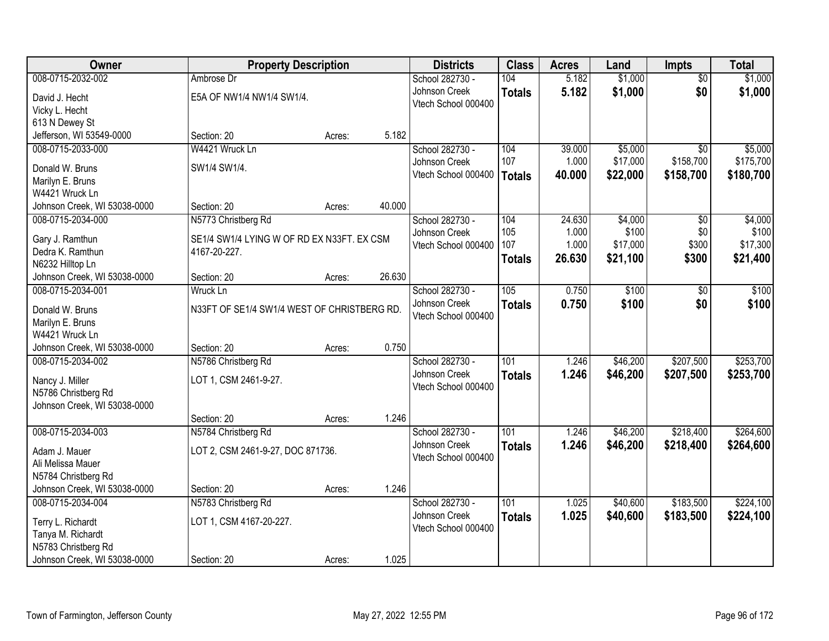| \$1,000<br>008-0715-2032-002<br>104<br>5.182<br>\$1,000<br>Ambrose Dr<br>School 282730 -<br>$\overline{50}$<br>\$0<br>Johnson Creek<br>5.182<br>\$1,000<br>\$1,000<br><b>Totals</b><br>E5A OF NW1/4 NW1/4 SW1/4.<br>David J. Hecht<br>Vtech School 000400<br>Vicky L. Hecht<br>613 N Dewey St<br>5.182<br>Jefferson, WI 53549-0000<br>Section: 20<br>Acres:<br>008-0715-2033-000<br>W4421 Wruck Ln<br>School 282730 -<br>104<br>39.000<br>\$5,000<br>\$5,000<br>$\overline{50}$<br>107<br>\$158,700<br>\$175,700<br>1.000<br>\$17,000<br>Johnson Creek<br>SW1/4 SW1/4.<br>Donald W. Bruns<br>Vtech School 000400<br>40.000<br>\$22,000<br>\$158,700<br>\$180,700<br><b>Totals</b><br>Marilyn E. Bruns<br>W4421 Wruck Ln<br>40.000<br>Johnson Creek, WI 53038-0000<br>Section: 20<br>Acres:<br>008-0715-2034-000<br>\$4,000<br>N5773 Christberg Rd<br>School 282730 -<br>104<br>24.630<br>\$0<br>105<br>\$100<br>\$0<br>1.000<br>Johnson Creek<br>SE1/4 SW1/4 LYING W OF RD EX N33FT. EX CSM<br>Gary J. Ramthun<br>107<br>1.000<br>\$17,000<br>\$300<br>Vtech School 000400<br>Dedra K. Ramthun<br>4167-20-227.<br>26.630<br>\$21,100<br>\$300<br>\$21,400<br><b>Totals</b><br>N6232 Hilltop Ln<br>26.630<br>Johnson Creek, WI 53038-0000<br>Section: 20<br>Acres:<br>School 282730 -<br>105<br>0.750<br>\$100<br>008-0715-2034-001<br>Wruck Ln<br>\$0<br>Johnson Creek<br>0.750<br>\$100<br>\$0<br>\$100<br><b>Totals</b><br>N33FT OF SE1/4 SW1/4 WEST OF CHRISTBERG RD.<br>Donald W. Bruns<br>Vtech School 000400<br>Marilyn E. Bruns<br>W4421 Wruck Ln<br>0.750<br>Johnson Creek, WI 53038-0000<br>Section: 20<br>Acres:<br>\$207,500<br>$\overline{101}$<br>\$46,200<br>008-0715-2034-002<br>N5786 Christberg Rd<br>School 282730 -<br>1.246<br>Johnson Creek<br>\$253,700<br>1.246<br>\$46,200<br>\$207,500<br><b>Totals</b><br>LOT 1, CSM 2461-9-27.<br>Nancy J. Miller |
|------------------------------------------------------------------------------------------------------------------------------------------------------------------------------------------------------------------------------------------------------------------------------------------------------------------------------------------------------------------------------------------------------------------------------------------------------------------------------------------------------------------------------------------------------------------------------------------------------------------------------------------------------------------------------------------------------------------------------------------------------------------------------------------------------------------------------------------------------------------------------------------------------------------------------------------------------------------------------------------------------------------------------------------------------------------------------------------------------------------------------------------------------------------------------------------------------------------------------------------------------------------------------------------------------------------------------------------------------------------------------------------------------------------------------------------------------------------------------------------------------------------------------------------------------------------------------------------------------------------------------------------------------------------------------------------------------------------------------------------------------------------------------------------------------------------------------------------------------------------------------|
|                                                                                                                                                                                                                                                                                                                                                                                                                                                                                                                                                                                                                                                                                                                                                                                                                                                                                                                                                                                                                                                                                                                                                                                                                                                                                                                                                                                                                                                                                                                                                                                                                                                                                                                                                                                                                                                                              |
|                                                                                                                                                                                                                                                                                                                                                                                                                                                                                                                                                                                                                                                                                                                                                                                                                                                                                                                                                                                                                                                                                                                                                                                                                                                                                                                                                                                                                                                                                                                                                                                                                                                                                                                                                                                                                                                                              |
|                                                                                                                                                                                                                                                                                                                                                                                                                                                                                                                                                                                                                                                                                                                                                                                                                                                                                                                                                                                                                                                                                                                                                                                                                                                                                                                                                                                                                                                                                                                                                                                                                                                                                                                                                                                                                                                                              |
|                                                                                                                                                                                                                                                                                                                                                                                                                                                                                                                                                                                                                                                                                                                                                                                                                                                                                                                                                                                                                                                                                                                                                                                                                                                                                                                                                                                                                                                                                                                                                                                                                                                                                                                                                                                                                                                                              |
|                                                                                                                                                                                                                                                                                                                                                                                                                                                                                                                                                                                                                                                                                                                                                                                                                                                                                                                                                                                                                                                                                                                                                                                                                                                                                                                                                                                                                                                                                                                                                                                                                                                                                                                                                                                                                                                                              |
| \$4,000                                                                                                                                                                                                                                                                                                                                                                                                                                                                                                                                                                                                                                                                                                                                                                                                                                                                                                                                                                                                                                                                                                                                                                                                                                                                                                                                                                                                                                                                                                                                                                                                                                                                                                                                                                                                                                                                      |
|                                                                                                                                                                                                                                                                                                                                                                                                                                                                                                                                                                                                                                                                                                                                                                                                                                                                                                                                                                                                                                                                                                                                                                                                                                                                                                                                                                                                                                                                                                                                                                                                                                                                                                                                                                                                                                                                              |
|                                                                                                                                                                                                                                                                                                                                                                                                                                                                                                                                                                                                                                                                                                                                                                                                                                                                                                                                                                                                                                                                                                                                                                                                                                                                                                                                                                                                                                                                                                                                                                                                                                                                                                                                                                                                                                                                              |
|                                                                                                                                                                                                                                                                                                                                                                                                                                                                                                                                                                                                                                                                                                                                                                                                                                                                                                                                                                                                                                                                                                                                                                                                                                                                                                                                                                                                                                                                                                                                                                                                                                                                                                                                                                                                                                                                              |
|                                                                                                                                                                                                                                                                                                                                                                                                                                                                                                                                                                                                                                                                                                                                                                                                                                                                                                                                                                                                                                                                                                                                                                                                                                                                                                                                                                                                                                                                                                                                                                                                                                                                                                                                                                                                                                                                              |
| \$100<br>\$17,300<br>\$100<br>\$253,700                                                                                                                                                                                                                                                                                                                                                                                                                                                                                                                                                                                                                                                                                                                                                                                                                                                                                                                                                                                                                                                                                                                                                                                                                                                                                                                                                                                                                                                                                                                                                                                                                                                                                                                                                                                                                                      |
|                                                                                                                                                                                                                                                                                                                                                                                                                                                                                                                                                                                                                                                                                                                                                                                                                                                                                                                                                                                                                                                                                                                                                                                                                                                                                                                                                                                                                                                                                                                                                                                                                                                                                                                                                                                                                                                                              |
|                                                                                                                                                                                                                                                                                                                                                                                                                                                                                                                                                                                                                                                                                                                                                                                                                                                                                                                                                                                                                                                                                                                                                                                                                                                                                                                                                                                                                                                                                                                                                                                                                                                                                                                                                                                                                                                                              |
|                                                                                                                                                                                                                                                                                                                                                                                                                                                                                                                                                                                                                                                                                                                                                                                                                                                                                                                                                                                                                                                                                                                                                                                                                                                                                                                                                                                                                                                                                                                                                                                                                                                                                                                                                                                                                                                                              |
|                                                                                                                                                                                                                                                                                                                                                                                                                                                                                                                                                                                                                                                                                                                                                                                                                                                                                                                                                                                                                                                                                                                                                                                                                                                                                                                                                                                                                                                                                                                                                                                                                                                                                                                                                                                                                                                                              |
|                                                                                                                                                                                                                                                                                                                                                                                                                                                                                                                                                                                                                                                                                                                                                                                                                                                                                                                                                                                                                                                                                                                                                                                                                                                                                                                                                                                                                                                                                                                                                                                                                                                                                                                                                                                                                                                                              |
|                                                                                                                                                                                                                                                                                                                                                                                                                                                                                                                                                                                                                                                                                                                                                                                                                                                                                                                                                                                                                                                                                                                                                                                                                                                                                                                                                                                                                                                                                                                                                                                                                                                                                                                                                                                                                                                                              |
|                                                                                                                                                                                                                                                                                                                                                                                                                                                                                                                                                                                                                                                                                                                                                                                                                                                                                                                                                                                                                                                                                                                                                                                                                                                                                                                                                                                                                                                                                                                                                                                                                                                                                                                                                                                                                                                                              |
|                                                                                                                                                                                                                                                                                                                                                                                                                                                                                                                                                                                                                                                                                                                                                                                                                                                                                                                                                                                                                                                                                                                                                                                                                                                                                                                                                                                                                                                                                                                                                                                                                                                                                                                                                                                                                                                                              |
|                                                                                                                                                                                                                                                                                                                                                                                                                                                                                                                                                                                                                                                                                                                                                                                                                                                                                                                                                                                                                                                                                                                                                                                                                                                                                                                                                                                                                                                                                                                                                                                                                                                                                                                                                                                                                                                                              |
|                                                                                                                                                                                                                                                                                                                                                                                                                                                                                                                                                                                                                                                                                                                                                                                                                                                                                                                                                                                                                                                                                                                                                                                                                                                                                                                                                                                                                                                                                                                                                                                                                                                                                                                                                                                                                                                                              |
|                                                                                                                                                                                                                                                                                                                                                                                                                                                                                                                                                                                                                                                                                                                                                                                                                                                                                                                                                                                                                                                                                                                                                                                                                                                                                                                                                                                                                                                                                                                                                                                                                                                                                                                                                                                                                                                                              |
| Vtech School 000400<br>N5786 Christberg Rd                                                                                                                                                                                                                                                                                                                                                                                                                                                                                                                                                                                                                                                                                                                                                                                                                                                                                                                                                                                                                                                                                                                                                                                                                                                                                                                                                                                                                                                                                                                                                                                                                                                                                                                                                                                                                                   |
| Johnson Creek, WI 53038-0000                                                                                                                                                                                                                                                                                                                                                                                                                                                                                                                                                                                                                                                                                                                                                                                                                                                                                                                                                                                                                                                                                                                                                                                                                                                                                                                                                                                                                                                                                                                                                                                                                                                                                                                                                                                                                                                 |
| 1.246<br>Section: 20<br>Acres:                                                                                                                                                                                                                                                                                                                                                                                                                                                                                                                                                                                                                                                                                                                                                                                                                                                                                                                                                                                                                                                                                                                                                                                                                                                                                                                                                                                                                                                                                                                                                                                                                                                                                                                                                                                                                                               |
| 101<br>\$218,400<br>\$264,600<br>008-0715-2034-003<br>School 282730 -<br>1.246<br>\$46,200<br>N5784 Christberg Rd                                                                                                                                                                                                                                                                                                                                                                                                                                                                                                                                                                                                                                                                                                                                                                                                                                                                                                                                                                                                                                                                                                                                                                                                                                                                                                                                                                                                                                                                                                                                                                                                                                                                                                                                                            |
| Johnson Creek<br>1.246<br>\$46,200<br>\$218,400<br>\$264,600<br><b>Totals</b>                                                                                                                                                                                                                                                                                                                                                                                                                                                                                                                                                                                                                                                                                                                                                                                                                                                                                                                                                                                                                                                                                                                                                                                                                                                                                                                                                                                                                                                                                                                                                                                                                                                                                                                                                                                                |
| LOT 2, CSM 2461-9-27, DOC 871736.<br>Adam J. Mauer<br>Vtech School 000400                                                                                                                                                                                                                                                                                                                                                                                                                                                                                                                                                                                                                                                                                                                                                                                                                                                                                                                                                                                                                                                                                                                                                                                                                                                                                                                                                                                                                                                                                                                                                                                                                                                                                                                                                                                                    |
| Ali Melissa Mauer<br>N5784 Christberg Rd                                                                                                                                                                                                                                                                                                                                                                                                                                                                                                                                                                                                                                                                                                                                                                                                                                                                                                                                                                                                                                                                                                                                                                                                                                                                                                                                                                                                                                                                                                                                                                                                                                                                                                                                                                                                                                     |
| 1.246<br>Johnson Creek, WI 53038-0000<br>Section: 20<br>Acres:                                                                                                                                                                                                                                                                                                                                                                                                                                                                                                                                                                                                                                                                                                                                                                                                                                                                                                                                                                                                                                                                                                                                                                                                                                                                                                                                                                                                                                                                                                                                                                                                                                                                                                                                                                                                               |
| \$183,500<br>\$224,100<br>008-0715-2034-004<br>N5783 Christberg Rd<br>School 282730 -<br>101<br>1.025<br>\$40,600                                                                                                                                                                                                                                                                                                                                                                                                                                                                                                                                                                                                                                                                                                                                                                                                                                                                                                                                                                                                                                                                                                                                                                                                                                                                                                                                                                                                                                                                                                                                                                                                                                                                                                                                                            |
| 1.025<br>Johnson Creek<br>\$40,600<br>\$224,100<br>\$183,500<br><b>Totals</b>                                                                                                                                                                                                                                                                                                                                                                                                                                                                                                                                                                                                                                                                                                                                                                                                                                                                                                                                                                                                                                                                                                                                                                                                                                                                                                                                                                                                                                                                                                                                                                                                                                                                                                                                                                                                |
| LOT 1, CSM 4167-20-227.<br>Terry L. Richardt<br>Vtech School 000400                                                                                                                                                                                                                                                                                                                                                                                                                                                                                                                                                                                                                                                                                                                                                                                                                                                                                                                                                                                                                                                                                                                                                                                                                                                                                                                                                                                                                                                                                                                                                                                                                                                                                                                                                                                                          |
| Tanya M. Richardt<br>N5783 Christberg Rd                                                                                                                                                                                                                                                                                                                                                                                                                                                                                                                                                                                                                                                                                                                                                                                                                                                                                                                                                                                                                                                                                                                                                                                                                                                                                                                                                                                                                                                                                                                                                                                                                                                                                                                                                                                                                                     |
| 1.025<br>Johnson Creek, WI 53038-0000<br>Section: 20<br>Acres:                                                                                                                                                                                                                                                                                                                                                                                                                                                                                                                                                                                                                                                                                                                                                                                                                                                                                                                                                                                                                                                                                                                                                                                                                                                                                                                                                                                                                                                                                                                                                                                                                                                                                                                                                                                                               |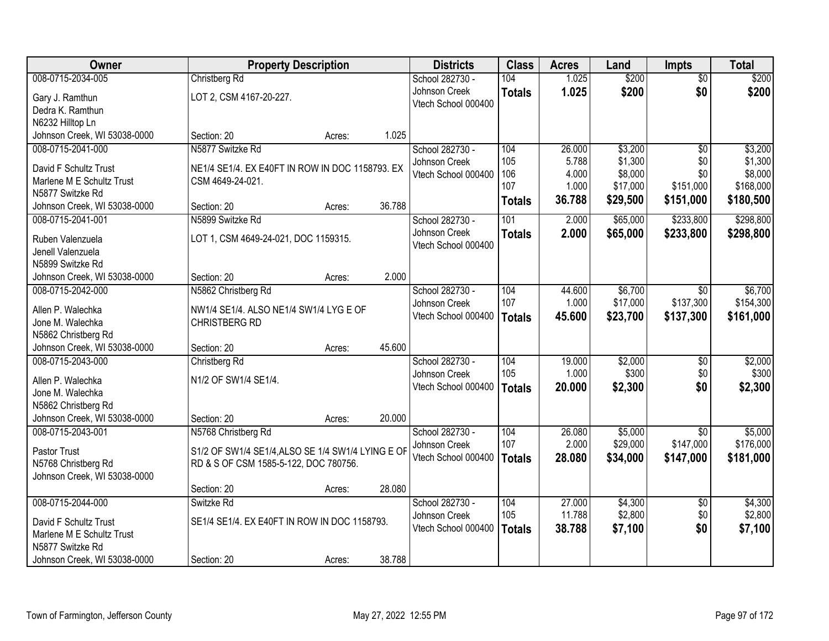| \$200<br>008-0715-2034-005<br>104<br>1.025<br>\$200<br>Christberg Rd<br>School 282730 -<br>$\overline{50}$<br>1.025<br>\$200<br>\$0<br>\$200<br>Johnson Creek<br><b>Totals</b><br>LOT 2, CSM 4167-20-227.<br>Gary J. Ramthun<br>Vtech School 000400<br>Dedra K. Ramthun<br>N6232 Hilltop Ln<br>1.025<br>Johnson Creek, WI 53038-0000<br>Section: 20<br>Acres:<br>008-0715-2041-000<br>N5877 Switzke Rd<br>\$3,200<br>School 282730 -<br>104<br>26.000<br>$\overline{50}$<br>\$3,200<br>105<br>5.788<br>\$1,300<br>\$0<br>Johnson Creek<br>NE1/4 SE1/4. EX E40FT IN ROW IN DOC 1158793. EX<br>David F Schultz Trust<br>106<br>4.000<br>\$8,000<br>\$0<br>Vtech School 000400<br>Marlene M E Schultz Trust<br>CSM 4649-24-021.<br>107<br>1.000<br>\$17,000<br>\$151,000<br>N5877 Switzke Rd<br>36.788<br>\$29,500<br>\$151,000<br><b>Totals</b><br>36.788<br>Johnson Creek, WI 53038-0000<br>Section: 20<br>Acres:<br>008-0715-2041-001<br>N5899 Switzke Rd<br>101<br>2.000<br>\$65,000<br>\$233,800<br>School 282730 -<br>Johnson Creek<br>\$233,800<br>2.000<br>\$65,000<br><b>Totals</b><br>LOT 1, CSM 4649-24-021, DOC 1159315.<br>Ruben Valenzuela<br>Vtech School 000400<br>Jenell Valenzuela<br>N5899 Switzke Rd<br>2.000<br>Johnson Creek, WI 53038-0000<br>Section: 20<br>Acres:<br>\$6,700<br>008-0715-2042-000<br>N5862 Christberg Rd<br>School 282730 -<br>104<br>44.600<br>$\sqrt{6}$<br>107<br>1.000<br>\$17,000<br>\$137,300<br>Johnson Creek<br>Allen P. Walechka<br>NW1/4 SE1/4. ALSO NE1/4 SW1/4 LYG E OF<br>Vtech School 000400<br>\$23,700<br>\$137,300<br>45.600<br>\$161,000<br><b>Totals</b><br>Jone M. Walechka<br>CHRISTBERG RD<br>N5862 Christberg Rd<br>45.600<br>Johnson Creek, WI 53038-0000<br>Section: 20<br>Acres:<br>\$2,000<br>008-0715-2043-000<br>104<br>19.000<br>$\overline{50}$<br>Christberg Rd<br>School 282730 -<br>105<br>1.000<br>\$300<br>\$0<br>Johnson Creek<br>N1/2 OF SW1/4 SE1/4.<br>Allen P. Walechka<br>20.000<br>\$2,300<br>\$0<br>\$2,300<br>Vtech School 000400<br><b>Totals</b><br>Jone M. Walechka<br>N5862 Christberg Rd<br>Johnson Creek, WI 53038-0000<br>20.000<br>Section: 20<br>Acres:<br>008-0715-2043-001<br>School 282730 -<br>104<br>26.080<br>\$5,000<br>N5768 Christberg Rd<br>$\overline{50}$<br>\$147,000<br>107<br>2.000<br>\$29,000<br>Johnson Creek<br>S1/2 OF SW1/4 SE1/4, ALSO SE 1/4 SW1/4 LYING E OF<br>Pastor Trust<br>Vtech School 000400<br>28,080<br>\$34,000<br>\$147,000<br><b>Totals</b><br>RD & S OF CSM 1585-5-122, DOC 780756.<br>N5768 Christberg Rd<br>Johnson Creek, WI 53038-0000<br>28.080<br>Section: 20<br>Acres:<br>008-0715-2044-000<br>27,000<br>\$4,300<br>Switzke Rd<br>School 282730 -<br>104<br>$\overline{50}$ | Owner | <b>Property Description</b> |  | <b>Districts</b> | <b>Class</b> | <b>Acres</b> | Land    | <b>Impts</b> | <b>Total</b> |
|---------------------------------------------------------------------------------------------------------------------------------------------------------------------------------------------------------------------------------------------------------------------------------------------------------------------------------------------------------------------------------------------------------------------------------------------------------------------------------------------------------------------------------------------------------------------------------------------------------------------------------------------------------------------------------------------------------------------------------------------------------------------------------------------------------------------------------------------------------------------------------------------------------------------------------------------------------------------------------------------------------------------------------------------------------------------------------------------------------------------------------------------------------------------------------------------------------------------------------------------------------------------------------------------------------------------------------------------------------------------------------------------------------------------------------------------------------------------------------------------------------------------------------------------------------------------------------------------------------------------------------------------------------------------------------------------------------------------------------------------------------------------------------------------------------------------------------------------------------------------------------------------------------------------------------------------------------------------------------------------------------------------------------------------------------------------------------------------------------------------------------------------------------------------------------------------------------------------------------------------------------------------------------------------------------------------------------------------------------------------------------------------------------------------------------------------------------------------------------------------------------------------------------------------------------------------------------------------------------------------------------------------------------------------------------------------------------------------|-------|-----------------------------|--|------------------|--------------|--------------|---------|--------------|--------------|
|                                                                                                                                                                                                                                                                                                                                                                                                                                                                                                                                                                                                                                                                                                                                                                                                                                                                                                                                                                                                                                                                                                                                                                                                                                                                                                                                                                                                                                                                                                                                                                                                                                                                                                                                                                                                                                                                                                                                                                                                                                                                                                                                                                                                                                                                                                                                                                                                                                                                                                                                                                                                                                                                                                                     |       |                             |  |                  |              |              |         |              |              |
|                                                                                                                                                                                                                                                                                                                                                                                                                                                                                                                                                                                                                                                                                                                                                                                                                                                                                                                                                                                                                                                                                                                                                                                                                                                                                                                                                                                                                                                                                                                                                                                                                                                                                                                                                                                                                                                                                                                                                                                                                                                                                                                                                                                                                                                                                                                                                                                                                                                                                                                                                                                                                                                                                                                     |       |                             |  |                  |              |              |         |              |              |
|                                                                                                                                                                                                                                                                                                                                                                                                                                                                                                                                                                                                                                                                                                                                                                                                                                                                                                                                                                                                                                                                                                                                                                                                                                                                                                                                                                                                                                                                                                                                                                                                                                                                                                                                                                                                                                                                                                                                                                                                                                                                                                                                                                                                                                                                                                                                                                                                                                                                                                                                                                                                                                                                                                                     |       |                             |  |                  |              |              |         |              |              |
|                                                                                                                                                                                                                                                                                                                                                                                                                                                                                                                                                                                                                                                                                                                                                                                                                                                                                                                                                                                                                                                                                                                                                                                                                                                                                                                                                                                                                                                                                                                                                                                                                                                                                                                                                                                                                                                                                                                                                                                                                                                                                                                                                                                                                                                                                                                                                                                                                                                                                                                                                                                                                                                                                                                     |       |                             |  |                  |              |              |         |              |              |
|                                                                                                                                                                                                                                                                                                                                                                                                                                                                                                                                                                                                                                                                                                                                                                                                                                                                                                                                                                                                                                                                                                                                                                                                                                                                                                                                                                                                                                                                                                                                                                                                                                                                                                                                                                                                                                                                                                                                                                                                                                                                                                                                                                                                                                                                                                                                                                                                                                                                                                                                                                                                                                                                                                                     |       |                             |  |                  |              |              |         |              |              |
| \$1,300<br>\$8,000<br>\$168,000<br>\$180,500<br>\$298,800<br>\$298,800<br>\$6,700<br>\$154,300<br>\$2,000<br>\$300<br>\$5,000<br>\$176,000<br>\$181,000<br>\$4,300                                                                                                                                                                                                                                                                                                                                                                                                                                                                                                                                                                                                                                                                                                                                                                                                                                                                                                                                                                                                                                                                                                                                                                                                                                                                                                                                                                                                                                                                                                                                                                                                                                                                                                                                                                                                                                                                                                                                                                                                                                                                                                                                                                                                                                                                                                                                                                                                                                                                                                                                                  |       |                             |  |                  |              |              |         |              |              |
|                                                                                                                                                                                                                                                                                                                                                                                                                                                                                                                                                                                                                                                                                                                                                                                                                                                                                                                                                                                                                                                                                                                                                                                                                                                                                                                                                                                                                                                                                                                                                                                                                                                                                                                                                                                                                                                                                                                                                                                                                                                                                                                                                                                                                                                                                                                                                                                                                                                                                                                                                                                                                                                                                                                     |       |                             |  |                  |              |              |         |              |              |
|                                                                                                                                                                                                                                                                                                                                                                                                                                                                                                                                                                                                                                                                                                                                                                                                                                                                                                                                                                                                                                                                                                                                                                                                                                                                                                                                                                                                                                                                                                                                                                                                                                                                                                                                                                                                                                                                                                                                                                                                                                                                                                                                                                                                                                                                                                                                                                                                                                                                                                                                                                                                                                                                                                                     |       |                             |  |                  |              |              |         |              |              |
|                                                                                                                                                                                                                                                                                                                                                                                                                                                                                                                                                                                                                                                                                                                                                                                                                                                                                                                                                                                                                                                                                                                                                                                                                                                                                                                                                                                                                                                                                                                                                                                                                                                                                                                                                                                                                                                                                                                                                                                                                                                                                                                                                                                                                                                                                                                                                                                                                                                                                                                                                                                                                                                                                                                     |       |                             |  |                  |              |              |         |              |              |
|                                                                                                                                                                                                                                                                                                                                                                                                                                                                                                                                                                                                                                                                                                                                                                                                                                                                                                                                                                                                                                                                                                                                                                                                                                                                                                                                                                                                                                                                                                                                                                                                                                                                                                                                                                                                                                                                                                                                                                                                                                                                                                                                                                                                                                                                                                                                                                                                                                                                                                                                                                                                                                                                                                                     |       |                             |  |                  |              |              |         |              |              |
|                                                                                                                                                                                                                                                                                                                                                                                                                                                                                                                                                                                                                                                                                                                                                                                                                                                                                                                                                                                                                                                                                                                                                                                                                                                                                                                                                                                                                                                                                                                                                                                                                                                                                                                                                                                                                                                                                                                                                                                                                                                                                                                                                                                                                                                                                                                                                                                                                                                                                                                                                                                                                                                                                                                     |       |                             |  |                  |              |              |         |              |              |
|                                                                                                                                                                                                                                                                                                                                                                                                                                                                                                                                                                                                                                                                                                                                                                                                                                                                                                                                                                                                                                                                                                                                                                                                                                                                                                                                                                                                                                                                                                                                                                                                                                                                                                                                                                                                                                                                                                                                                                                                                                                                                                                                                                                                                                                                                                                                                                                                                                                                                                                                                                                                                                                                                                                     |       |                             |  |                  |              |              |         |              |              |
|                                                                                                                                                                                                                                                                                                                                                                                                                                                                                                                                                                                                                                                                                                                                                                                                                                                                                                                                                                                                                                                                                                                                                                                                                                                                                                                                                                                                                                                                                                                                                                                                                                                                                                                                                                                                                                                                                                                                                                                                                                                                                                                                                                                                                                                                                                                                                                                                                                                                                                                                                                                                                                                                                                                     |       |                             |  |                  |              |              |         |              |              |
|                                                                                                                                                                                                                                                                                                                                                                                                                                                                                                                                                                                                                                                                                                                                                                                                                                                                                                                                                                                                                                                                                                                                                                                                                                                                                                                                                                                                                                                                                                                                                                                                                                                                                                                                                                                                                                                                                                                                                                                                                                                                                                                                                                                                                                                                                                                                                                                                                                                                                                                                                                                                                                                                                                                     |       |                             |  |                  |              |              |         |              |              |
|                                                                                                                                                                                                                                                                                                                                                                                                                                                                                                                                                                                                                                                                                                                                                                                                                                                                                                                                                                                                                                                                                                                                                                                                                                                                                                                                                                                                                                                                                                                                                                                                                                                                                                                                                                                                                                                                                                                                                                                                                                                                                                                                                                                                                                                                                                                                                                                                                                                                                                                                                                                                                                                                                                                     |       |                             |  |                  |              |              |         |              |              |
|                                                                                                                                                                                                                                                                                                                                                                                                                                                                                                                                                                                                                                                                                                                                                                                                                                                                                                                                                                                                                                                                                                                                                                                                                                                                                                                                                                                                                                                                                                                                                                                                                                                                                                                                                                                                                                                                                                                                                                                                                                                                                                                                                                                                                                                                                                                                                                                                                                                                                                                                                                                                                                                                                                                     |       |                             |  |                  |              |              |         |              |              |
|                                                                                                                                                                                                                                                                                                                                                                                                                                                                                                                                                                                                                                                                                                                                                                                                                                                                                                                                                                                                                                                                                                                                                                                                                                                                                                                                                                                                                                                                                                                                                                                                                                                                                                                                                                                                                                                                                                                                                                                                                                                                                                                                                                                                                                                                                                                                                                                                                                                                                                                                                                                                                                                                                                                     |       |                             |  |                  |              |              |         |              |              |
|                                                                                                                                                                                                                                                                                                                                                                                                                                                                                                                                                                                                                                                                                                                                                                                                                                                                                                                                                                                                                                                                                                                                                                                                                                                                                                                                                                                                                                                                                                                                                                                                                                                                                                                                                                                                                                                                                                                                                                                                                                                                                                                                                                                                                                                                                                                                                                                                                                                                                                                                                                                                                                                                                                                     |       |                             |  |                  |              |              |         |              |              |
|                                                                                                                                                                                                                                                                                                                                                                                                                                                                                                                                                                                                                                                                                                                                                                                                                                                                                                                                                                                                                                                                                                                                                                                                                                                                                                                                                                                                                                                                                                                                                                                                                                                                                                                                                                                                                                                                                                                                                                                                                                                                                                                                                                                                                                                                                                                                                                                                                                                                                                                                                                                                                                                                                                                     |       |                             |  |                  |              |              |         |              |              |
|                                                                                                                                                                                                                                                                                                                                                                                                                                                                                                                                                                                                                                                                                                                                                                                                                                                                                                                                                                                                                                                                                                                                                                                                                                                                                                                                                                                                                                                                                                                                                                                                                                                                                                                                                                                                                                                                                                                                                                                                                                                                                                                                                                                                                                                                                                                                                                                                                                                                                                                                                                                                                                                                                                                     |       |                             |  |                  |              |              |         |              |              |
|                                                                                                                                                                                                                                                                                                                                                                                                                                                                                                                                                                                                                                                                                                                                                                                                                                                                                                                                                                                                                                                                                                                                                                                                                                                                                                                                                                                                                                                                                                                                                                                                                                                                                                                                                                                                                                                                                                                                                                                                                                                                                                                                                                                                                                                                                                                                                                                                                                                                                                                                                                                                                                                                                                                     |       |                             |  |                  |              |              |         |              |              |
|                                                                                                                                                                                                                                                                                                                                                                                                                                                                                                                                                                                                                                                                                                                                                                                                                                                                                                                                                                                                                                                                                                                                                                                                                                                                                                                                                                                                                                                                                                                                                                                                                                                                                                                                                                                                                                                                                                                                                                                                                                                                                                                                                                                                                                                                                                                                                                                                                                                                                                                                                                                                                                                                                                                     |       |                             |  |                  |              |              |         |              |              |
|                                                                                                                                                                                                                                                                                                                                                                                                                                                                                                                                                                                                                                                                                                                                                                                                                                                                                                                                                                                                                                                                                                                                                                                                                                                                                                                                                                                                                                                                                                                                                                                                                                                                                                                                                                                                                                                                                                                                                                                                                                                                                                                                                                                                                                                                                                                                                                                                                                                                                                                                                                                                                                                                                                                     |       |                             |  |                  |              |              |         |              |              |
|                                                                                                                                                                                                                                                                                                                                                                                                                                                                                                                                                                                                                                                                                                                                                                                                                                                                                                                                                                                                                                                                                                                                                                                                                                                                                                                                                                                                                                                                                                                                                                                                                                                                                                                                                                                                                                                                                                                                                                                                                                                                                                                                                                                                                                                                                                                                                                                                                                                                                                                                                                                                                                                                                                                     |       |                             |  |                  |              |              |         |              |              |
|                                                                                                                                                                                                                                                                                                                                                                                                                                                                                                                                                                                                                                                                                                                                                                                                                                                                                                                                                                                                                                                                                                                                                                                                                                                                                                                                                                                                                                                                                                                                                                                                                                                                                                                                                                                                                                                                                                                                                                                                                                                                                                                                                                                                                                                                                                                                                                                                                                                                                                                                                                                                                                                                                                                     |       |                             |  |                  |              |              |         |              |              |
|                                                                                                                                                                                                                                                                                                                                                                                                                                                                                                                                                                                                                                                                                                                                                                                                                                                                                                                                                                                                                                                                                                                                                                                                                                                                                                                                                                                                                                                                                                                                                                                                                                                                                                                                                                                                                                                                                                                                                                                                                                                                                                                                                                                                                                                                                                                                                                                                                                                                                                                                                                                                                                                                                                                     |       |                             |  |                  |              |              |         |              |              |
|                                                                                                                                                                                                                                                                                                                                                                                                                                                                                                                                                                                                                                                                                                                                                                                                                                                                                                                                                                                                                                                                                                                                                                                                                                                                                                                                                                                                                                                                                                                                                                                                                                                                                                                                                                                                                                                                                                                                                                                                                                                                                                                                                                                                                                                                                                                                                                                                                                                                                                                                                                                                                                                                                                                     |       |                             |  |                  |              |              |         |              |              |
|                                                                                                                                                                                                                                                                                                                                                                                                                                                                                                                                                                                                                                                                                                                                                                                                                                                                                                                                                                                                                                                                                                                                                                                                                                                                                                                                                                                                                                                                                                                                                                                                                                                                                                                                                                                                                                                                                                                                                                                                                                                                                                                                                                                                                                                                                                                                                                                                                                                                                                                                                                                                                                                                                                                     |       |                             |  |                  |              |              |         |              |              |
|                                                                                                                                                                                                                                                                                                                                                                                                                                                                                                                                                                                                                                                                                                                                                                                                                                                                                                                                                                                                                                                                                                                                                                                                                                                                                                                                                                                                                                                                                                                                                                                                                                                                                                                                                                                                                                                                                                                                                                                                                                                                                                                                                                                                                                                                                                                                                                                                                                                                                                                                                                                                                                                                                                                     |       |                             |  |                  |              |              |         |              |              |
|                                                                                                                                                                                                                                                                                                                                                                                                                                                                                                                                                                                                                                                                                                                                                                                                                                                                                                                                                                                                                                                                                                                                                                                                                                                                                                                                                                                                                                                                                                                                                                                                                                                                                                                                                                                                                                                                                                                                                                                                                                                                                                                                                                                                                                                                                                                                                                                                                                                                                                                                                                                                                                                                                                                     |       |                             |  |                  |              |              |         |              |              |
|                                                                                                                                                                                                                                                                                                                                                                                                                                                                                                                                                                                                                                                                                                                                                                                                                                                                                                                                                                                                                                                                                                                                                                                                                                                                                                                                                                                                                                                                                                                                                                                                                                                                                                                                                                                                                                                                                                                                                                                                                                                                                                                                                                                                                                                                                                                                                                                                                                                                                                                                                                                                                                                                                                                     |       |                             |  |                  |              |              |         |              |              |
|                                                                                                                                                                                                                                                                                                                                                                                                                                                                                                                                                                                                                                                                                                                                                                                                                                                                                                                                                                                                                                                                                                                                                                                                                                                                                                                                                                                                                                                                                                                                                                                                                                                                                                                                                                                                                                                                                                                                                                                                                                                                                                                                                                                                                                                                                                                                                                                                                                                                                                                                                                                                                                                                                                                     |       |                             |  |                  |              |              |         |              |              |
|                                                                                                                                                                                                                                                                                                                                                                                                                                                                                                                                                                                                                                                                                                                                                                                                                                                                                                                                                                                                                                                                                                                                                                                                                                                                                                                                                                                                                                                                                                                                                                                                                                                                                                                                                                                                                                                                                                                                                                                                                                                                                                                                                                                                                                                                                                                                                                                                                                                                                                                                                                                                                                                                                                                     |       |                             |  |                  |              |              |         |              |              |
|                                                                                                                                                                                                                                                                                                                                                                                                                                                                                                                                                                                                                                                                                                                                                                                                                                                                                                                                                                                                                                                                                                                                                                                                                                                                                                                                                                                                                                                                                                                                                                                                                                                                                                                                                                                                                                                                                                                                                                                                                                                                                                                                                                                                                                                                                                                                                                                                                                                                                                                                                                                                                                                                                                                     |       |                             |  | Johnson Creek    | 105          | 11.788       | \$2,800 | \$0          | \$2,800      |
| SE1/4 SE1/4. EX E40FT IN ROW IN DOC 1158793.<br>David F Schultz Trust<br>\$0<br>Vtech School 000400<br>38.788<br>\$7,100<br>\$7,100<br><b>Totals</b>                                                                                                                                                                                                                                                                                                                                                                                                                                                                                                                                                                                                                                                                                                                                                                                                                                                                                                                                                                                                                                                                                                                                                                                                                                                                                                                                                                                                                                                                                                                                                                                                                                                                                                                                                                                                                                                                                                                                                                                                                                                                                                                                                                                                                                                                                                                                                                                                                                                                                                                                                                |       |                             |  |                  |              |              |         |              |              |
| Marlene M E Schultz Trust<br>N5877 Switzke Rd                                                                                                                                                                                                                                                                                                                                                                                                                                                                                                                                                                                                                                                                                                                                                                                                                                                                                                                                                                                                                                                                                                                                                                                                                                                                                                                                                                                                                                                                                                                                                                                                                                                                                                                                                                                                                                                                                                                                                                                                                                                                                                                                                                                                                                                                                                                                                                                                                                                                                                                                                                                                                                                                       |       |                             |  |                  |              |              |         |              |              |
| 38.788<br>Johnson Creek, WI 53038-0000<br>Section: 20<br>Acres:                                                                                                                                                                                                                                                                                                                                                                                                                                                                                                                                                                                                                                                                                                                                                                                                                                                                                                                                                                                                                                                                                                                                                                                                                                                                                                                                                                                                                                                                                                                                                                                                                                                                                                                                                                                                                                                                                                                                                                                                                                                                                                                                                                                                                                                                                                                                                                                                                                                                                                                                                                                                                                                     |       |                             |  |                  |              |              |         |              |              |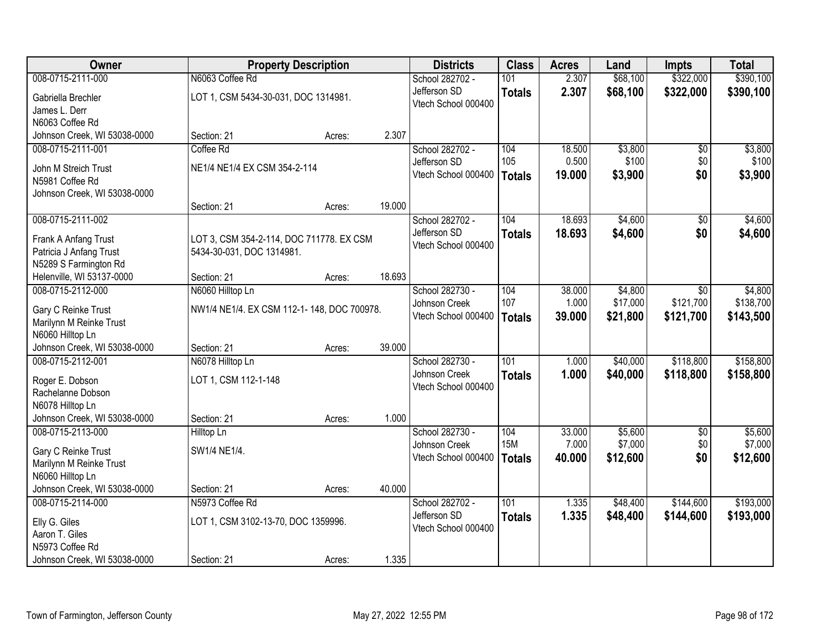| Owner                        |                                            | <b>Property Description</b> |        | <b>Districts</b>    | <b>Class</b>  | <b>Acres</b> | Land     | <b>Impts</b>    | <b>Total</b> |
|------------------------------|--------------------------------------------|-----------------------------|--------|---------------------|---------------|--------------|----------|-----------------|--------------|
| 008-0715-2111-000            | N6063 Coffee Rd                            |                             |        | School 282702 -     | 101           | 2.307        | \$68,100 | \$322,000       | \$390,100    |
| Gabriella Brechler           | LOT 1, CSM 5434-30-031, DOC 1314981.       |                             |        | Jefferson SD        | <b>Totals</b> | 2.307        | \$68,100 | \$322,000       | \$390,100    |
| James L. Derr                |                                            |                             |        | Vtech School 000400 |               |              |          |                 |              |
| N6063 Coffee Rd              |                                            |                             |        |                     |               |              |          |                 |              |
| Johnson Creek, WI 53038-0000 | Section: 21                                | Acres:                      | 2.307  |                     |               |              |          |                 |              |
| 008-0715-2111-001            | Coffee Rd                                  |                             |        | School 282702 -     | 104           | 18.500       | \$3,800  | \$0             | \$3,800      |
| John M Streich Trust         | NE1/4 NE1/4 EX CSM 354-2-114               |                             |        | Jefferson SD        | 105           | 0.500        | \$100    | \$0             | \$100        |
| N5981 Coffee Rd              |                                            |                             |        | Vtech School 000400 | <b>Totals</b> | 19.000       | \$3,900  | \$0             | \$3,900      |
| Johnson Creek, WI 53038-0000 |                                            |                             |        |                     |               |              |          |                 |              |
|                              | Section: 21                                | Acres:                      | 19.000 |                     |               |              |          |                 |              |
| 008-0715-2111-002            |                                            |                             |        | School 282702 -     | 104           | 18.693       | \$4,600  | \$0             | \$4,600      |
| Frank A Anfang Trust         | LOT 3, CSM 354-2-114, DOC 711778. EX CSM   |                             |        | Jefferson SD        | <b>Totals</b> | 18.693       | \$4,600  | \$0             | \$4,600      |
| Patricia J Anfang Trust      | 5434-30-031, DOC 1314981.                  |                             |        | Vtech School 000400 |               |              |          |                 |              |
| N5289 S Farmington Rd        |                                            |                             |        |                     |               |              |          |                 |              |
| Helenville, WI 53137-0000    | Section: 21                                | Acres:                      | 18.693 |                     |               |              |          |                 |              |
| 008-0715-2112-000            | N6060 Hilltop Ln                           |                             |        | School 282730 -     | 104           | 38.000       | \$4,800  | \$0             | \$4,800      |
| Gary C Reinke Trust          | NW1/4 NE1/4. EX CSM 112-1-148, DOC 700978. |                             |        | Johnson Creek       | 107           | 1.000        | \$17,000 | \$121,700       | \$138,700    |
| Marilynn M Reinke Trust      |                                            |                             |        | Vtech School 000400 | <b>Totals</b> | 39.000       | \$21,800 | \$121,700       | \$143,500    |
| N6060 Hilltop Ln             |                                            |                             |        |                     |               |              |          |                 |              |
| Johnson Creek, WI 53038-0000 | Section: 21                                | Acres:                      | 39.000 |                     |               |              |          |                 |              |
| 008-0715-2112-001            | N6078 Hilltop Ln                           |                             |        | School 282730 -     | 101           | 1.000        | \$40,000 | \$118,800       | \$158,800    |
| Roger E. Dobson              | LOT 1, CSM 112-1-148                       |                             |        | Johnson Creek       | <b>Totals</b> | 1.000        | \$40,000 | \$118,800       | \$158,800    |
| Rachelanne Dobson            |                                            |                             |        | Vtech School 000400 |               |              |          |                 |              |
| N6078 Hilltop Ln             |                                            |                             |        |                     |               |              |          |                 |              |
| Johnson Creek, WI 53038-0000 | Section: 21                                | Acres:                      | 1.000  |                     |               |              |          |                 |              |
| 008-0715-2113-000            | Hilltop Ln                                 |                             |        | School 282730 -     | 104           | 33.000       | \$5,600  | $\overline{50}$ | \$5,600      |
| Gary C Reinke Trust          | SW1/4 NE1/4.                               |                             |        | Johnson Creek       | <b>15M</b>    | 7.000        | \$7,000  | \$0             | \$7,000      |
| Marilynn M Reinke Trust      |                                            |                             |        | Vtech School 000400 | <b>Totals</b> | 40.000       | \$12,600 | \$0             | \$12,600     |
| N6060 Hilltop Ln             |                                            |                             |        |                     |               |              |          |                 |              |
| Johnson Creek, WI 53038-0000 | Section: 21                                | Acres:                      | 40.000 |                     |               |              |          |                 |              |
| 008-0715-2114-000            | N5973 Coffee Rd                            |                             |        | School 282702 -     | 101           | 1.335        | \$48,400 | \$144,600       | \$193,000    |
| Elly G. Giles                | LOT 1, CSM 3102-13-70, DOC 1359996.        |                             |        | Jefferson SD        | <b>Totals</b> | 1.335        | \$48,400 | \$144,600       | \$193,000    |
| Aaron T. Giles               |                                            |                             |        | Vtech School 000400 |               |              |          |                 |              |
| N5973 Coffee Rd              |                                            |                             |        |                     |               |              |          |                 |              |
| Johnson Creek, WI 53038-0000 | Section: 21                                | Acres:                      | 1.335  |                     |               |              |          |                 |              |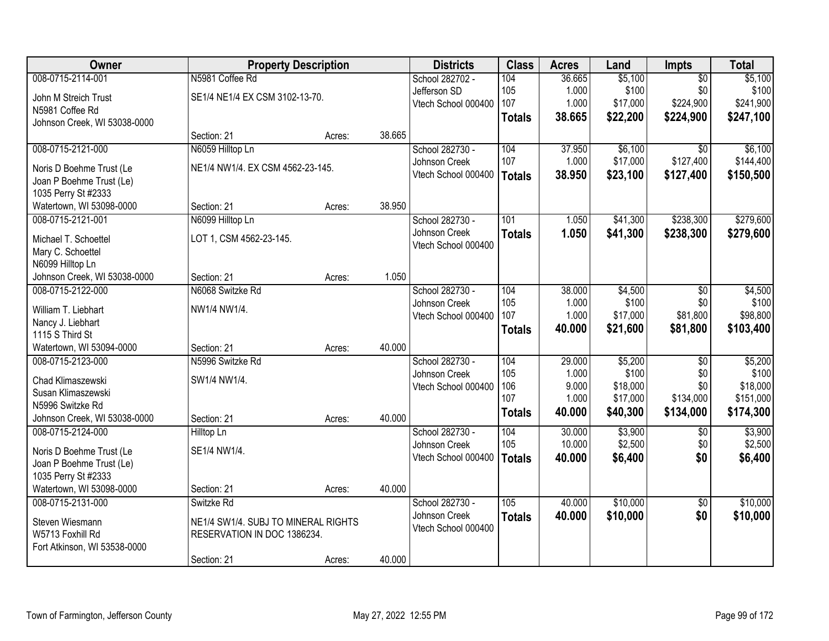| <b>Owner</b>                 | <b>Property Description</b>         |                  | <b>Districts</b>    | <b>Class</b>  | <b>Acres</b>   | Land              | <b>Impts</b>    | <b>Total</b>      |
|------------------------------|-------------------------------------|------------------|---------------------|---------------|----------------|-------------------|-----------------|-------------------|
| 008-0715-2114-001            | N5981 Coffee Rd                     |                  | School 282702 -     | 104           | 36.665         | \$5,100           | $\overline{50}$ | \$5,100           |
| John M Streich Trust         | SE1/4 NE1/4 EX CSM 3102-13-70.      |                  | Jefferson SD        | 105           | 1.000          | \$100             | \$0             | \$100             |
| N5981 Coffee Rd              |                                     |                  | Vtech School 000400 | 107           | 1.000          | \$17,000          | \$224,900       | \$241,900         |
| Johnson Creek, WI 53038-0000 |                                     |                  |                     | <b>Totals</b> | 38.665         | \$22,200          | \$224,900       | \$247,100         |
|                              | Section: 21                         | 38.665<br>Acres: |                     |               |                |                   |                 |                   |
| 008-0715-2121-000            | N6059 Hilltop Ln                    |                  | School 282730 -     | 104           | 37.950         | \$6,100           | $\overline{50}$ | \$6,100           |
| Noris D Boehme Trust (Le     | NE1/4 NW1/4. EX CSM 4562-23-145.    |                  | Johnson Creek       | 107           | 1.000          | \$17,000          | \$127,400       | \$144,400         |
| Joan P Boehme Trust (Le)     |                                     |                  | Vtech School 000400 | <b>Totals</b> | 38.950         | \$23,100          | \$127,400       | \$150,500         |
| 1035 Perry St #2333          |                                     |                  |                     |               |                |                   |                 |                   |
| Watertown, WI 53098-0000     | Section: 21                         | 38.950<br>Acres: |                     |               |                |                   |                 |                   |
| 008-0715-2121-001            | N6099 Hilltop Ln                    |                  | School 282730 -     | 101           | 1.050          | \$41,300          | \$238,300       | \$279,600         |
| Michael T. Schoettel         | LOT 1, CSM 4562-23-145.             |                  | Johnson Creek       | <b>Totals</b> | 1.050          | \$41,300          | \$238,300       | \$279,600         |
| Mary C. Schoettel            |                                     |                  | Vtech School 000400 |               |                |                   |                 |                   |
| N6099 Hilltop Ln             |                                     |                  |                     |               |                |                   |                 |                   |
| Johnson Creek, WI 53038-0000 | Section: 21                         | 1.050<br>Acres:  |                     |               |                |                   |                 |                   |
| 008-0715-2122-000            | N6068 Switzke Rd                    |                  | School 282730 -     | 104           | 38.000         | \$4,500           | \$0             | \$4,500           |
|                              |                                     |                  | Johnson Creek       | 105           | 1.000          | \$100             | \$0             | \$100             |
| William T. Liebhart          | NW1/4 NW1/4.                        |                  | Vtech School 000400 | 107           | 1.000          | \$17,000          | \$81,800        | \$98,800          |
| Nancy J. Liebhart            |                                     |                  |                     | <b>Totals</b> | 40.000         | \$21,600          | \$81,800        | \$103,400         |
| 1115 S Third St              |                                     |                  |                     |               |                |                   |                 |                   |
| Watertown, WI 53094-0000     | Section: 21                         | 40.000<br>Acres: |                     |               |                |                   |                 |                   |
| 008-0715-2123-000            | N5996 Switzke Rd                    |                  | School 282730 -     | 104           | 29.000         | \$5,200           | $\overline{50}$ | \$5,200           |
| Chad Klimaszewski            | SW1/4 NW1/4.                        |                  | Johnson Creek       | 105<br>106    | 1.000<br>9.000 | \$100<br>\$18,000 | \$0<br>\$0      | \$100<br>\$18,000 |
| Susan Klimaszewski           |                                     |                  | Vtech School 000400 | 107           | 1.000          | \$17,000          | \$134,000       | \$151,000         |
| N5996 Switzke Rd             |                                     |                  |                     | <b>Totals</b> | 40.000         | \$40,300          | \$134,000       | \$174,300         |
| Johnson Creek, WI 53038-0000 | Section: 21                         | 40.000<br>Acres: |                     |               |                |                   |                 |                   |
| 008-0715-2124-000            | Hilltop Ln                          |                  | School 282730 -     | 104           | 30.000         | \$3,900           | $\overline{50}$ | \$3,900           |
| Noris D Boehme Trust (Le     | SE1/4 NW1/4.                        |                  | Johnson Creek       | 105           | 10.000         | \$2,500           | \$0             | \$2,500           |
| Joan P Boehme Trust (Le)     |                                     |                  | Vtech School 000400 | <b>Totals</b> | 40.000         | \$6,400           | \$0             | \$6,400           |
| 1035 Perry St #2333          |                                     |                  |                     |               |                |                   |                 |                   |
| Watertown, WI 53098-0000     | Section: 21                         | 40.000<br>Acres: |                     |               |                |                   |                 |                   |
| 008-0715-2131-000            | Switzke Rd                          |                  | School 282730 -     | 105           | 40.000         | \$10,000          | $\overline{50}$ | \$10,000          |
| Steven Wiesmann              | NE1/4 SW1/4. SUBJ TO MINERAL RIGHTS |                  | Johnson Creek       | <b>Totals</b> | 40.000         | \$10,000          | \$0             | \$10,000          |
| W5713 Foxhill Rd             | RESERVATION IN DOC 1386234.         |                  | Vtech School 000400 |               |                |                   |                 |                   |
| Fort Atkinson, WI 53538-0000 |                                     |                  |                     |               |                |                   |                 |                   |
|                              | Section: 21                         | 40.000<br>Acres: |                     |               |                |                   |                 |                   |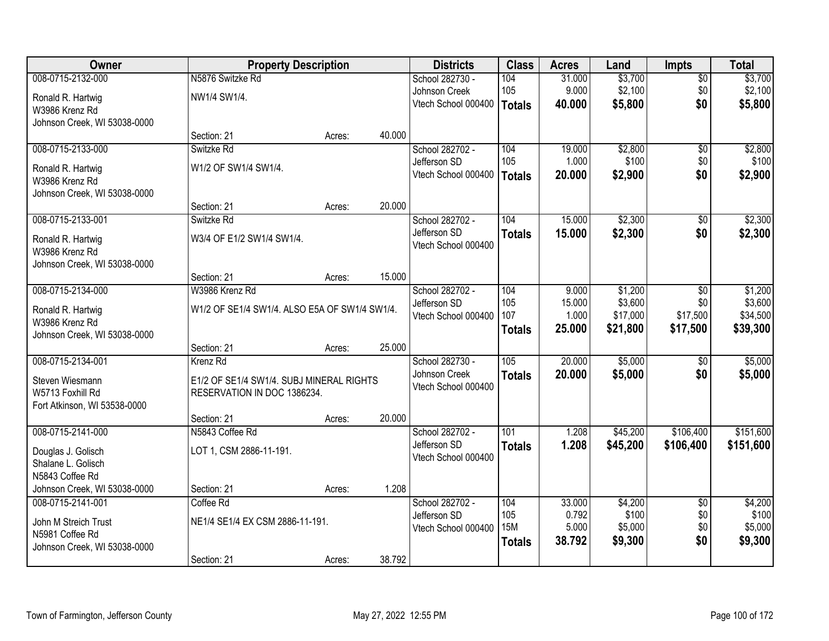| Owner                        |                                               | <b>Property Description</b> |        | <b>Districts</b>    | <b>Class</b>     | <b>Acres</b>    | Land               | <b>Impts</b>    | <b>Total</b>       |
|------------------------------|-----------------------------------------------|-----------------------------|--------|---------------------|------------------|-----------------|--------------------|-----------------|--------------------|
| 008-0715-2132-000            | N5876 Switzke Rd                              |                             |        | School 282730 -     | 104              | 31.000          | \$3,700            | $\overline{50}$ | \$3,700            |
| Ronald R. Hartwig            | NW1/4 SW1/4.                                  |                             |        | Johnson Creek       | 105              | 9.000           | \$2,100            | \$0             | \$2,100            |
| W3986 Krenz Rd               |                                               |                             |        | Vtech School 000400 | <b>Totals</b>    | 40.000          | \$5,800            | \$0             | \$5,800            |
| Johnson Creek, WI 53038-0000 |                                               |                             |        |                     |                  |                 |                    |                 |                    |
|                              | Section: 21                                   | Acres:                      | 40.000 |                     |                  |                 |                    |                 |                    |
| 008-0715-2133-000            | Switzke Rd                                    |                             |        | School 282702 -     | 104              | 19.000          | \$2,800            | $\overline{50}$ | \$2,800            |
| Ronald R. Hartwig            | W1/2 OF SW1/4 SW1/4.                          |                             |        | Jefferson SD        | 105              | 1.000           | \$100              | \$0             | \$100              |
| W3986 Krenz Rd               |                                               |                             |        | Vtech School 000400 | <b>Totals</b>    | 20.000          | \$2,900            | \$0             | \$2,900            |
| Johnson Creek, WI 53038-0000 |                                               |                             |        |                     |                  |                 |                    |                 |                    |
|                              | Section: 21                                   | Acres:                      | 20.000 |                     |                  |                 |                    |                 |                    |
| 008-0715-2133-001            | Switzke Rd                                    |                             |        | School 282702 -     | 104              | 15.000          | \$2,300            | $\sqrt{6}$      | \$2,300            |
| Ronald R. Hartwig            | W3/4 OF E1/2 SW1/4 SW1/4.                     |                             |        | Jefferson SD        | <b>Totals</b>    | 15.000          | \$2,300            | \$0             | \$2,300            |
| W3986 Krenz Rd               |                                               |                             |        | Vtech School 000400 |                  |                 |                    |                 |                    |
| Johnson Creek, WI 53038-0000 |                                               |                             |        |                     |                  |                 |                    |                 |                    |
|                              | Section: 21                                   | Acres:                      | 15.000 |                     |                  |                 |                    |                 |                    |
| 008-0715-2134-000            | W3986 Krenz Rd                                |                             |        | School 282702 -     | 104              | 9.000           | \$1,200            | \$0             | \$1,200            |
| Ronald R. Hartwig            | W1/2 OF SE1/4 SW1/4. ALSO E5A OF SW1/4 SW1/4. |                             |        | Jefferson SD        | 105              | 15.000          | \$3,600            | \$0             | \$3,600            |
| W3986 Krenz Rd               |                                               |                             |        | Vtech School 000400 | 107              | 1.000           | \$17,000           | \$17,500        | \$34,500           |
| Johnson Creek, WI 53038-0000 |                                               |                             |        |                     | <b>Totals</b>    | 25.000          | \$21,800           | \$17,500        | \$39,300           |
|                              | Section: 21                                   | Acres:                      | 25.000 |                     |                  |                 |                    |                 |                    |
| 008-0715-2134-001            | Krenz Rd                                      |                             |        | School 282730 -     | 105              | 20.000          | \$5,000            | $\overline{50}$ | \$5,000            |
| Steven Wiesmann              | E1/2 OF SE1/4 SW1/4. SUBJ MINERAL RIGHTS      |                             |        | Johnson Creek       | <b>Totals</b>    | 20.000          | \$5,000            | \$0             | \$5,000            |
| W5713 Foxhill Rd             | RESERVATION IN DOC 1386234.                   |                             |        | Vtech School 000400 |                  |                 |                    |                 |                    |
| Fort Atkinson, WI 53538-0000 |                                               |                             |        |                     |                  |                 |                    |                 |                    |
|                              | Section: 21                                   | Acres:                      | 20.000 |                     |                  |                 |                    |                 |                    |
| 008-0715-2141-000            | N5843 Coffee Rd                               |                             |        | School 282702 -     | $\overline{101}$ | 1.208           | \$45,200           | \$106,400       | \$151,600          |
| Douglas J. Golisch           | LOT 1, CSM 2886-11-191.                       |                             |        | Jefferson SD        | <b>Totals</b>    | 1.208           | \$45,200           | \$106,400       | \$151,600          |
| Shalane L. Golisch           |                                               |                             |        | Vtech School 000400 |                  |                 |                    |                 |                    |
| N5843 Coffee Rd              |                                               |                             |        |                     |                  |                 |                    |                 |                    |
| Johnson Creek, WI 53038-0000 | Section: 21                                   | Acres:                      | 1.208  |                     |                  |                 |                    |                 |                    |
| 008-0715-2141-001            | Coffee Rd                                     |                             |        | School 282702 -     | 104              | 33.000          | \$4,200            | $\overline{50}$ | \$4,200            |
| John M Streich Trust         | NE1/4 SE1/4 EX CSM 2886-11-191.               |                             |        | Jefferson SD        | 105              | 0.792           | \$100              | \$0             | \$100              |
| N5981 Coffee Rd              |                                               |                             |        | Vtech School 000400 | <b>15M</b>       | 5.000<br>38.792 | \$5,000<br>\$9,300 | \$0<br>\$0      | \$5,000<br>\$9,300 |
| Johnson Creek, WI 53038-0000 |                                               |                             |        |                     | <b>Totals</b>    |                 |                    |                 |                    |
|                              | Section: 21                                   | Acres:                      | 38.792 |                     |                  |                 |                    |                 |                    |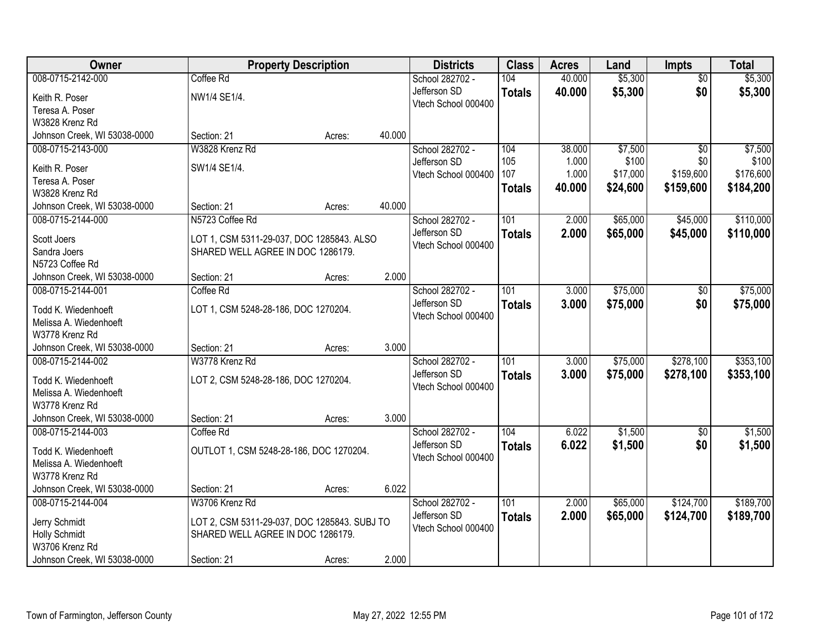| Owner                        |                                              | <b>Property Description</b> |        | <b>Districts</b>    | <b>Class</b>  | <b>Acres</b> | Land     | <b>Impts</b>    | <b>Total</b> |
|------------------------------|----------------------------------------------|-----------------------------|--------|---------------------|---------------|--------------|----------|-----------------|--------------|
| 008-0715-2142-000            | Coffee Rd                                    |                             |        | School 282702 -     | 104           | 40.000       | \$5,300  | $\overline{30}$ | \$5,300      |
| Keith R. Poser               | NW1/4 SE1/4.                                 |                             |        | Jefferson SD        | <b>Totals</b> | 40.000       | \$5,300  | \$0             | \$5,300      |
| Teresa A. Poser              |                                              |                             |        | Vtech School 000400 |               |              |          |                 |              |
| W3828 Krenz Rd               |                                              |                             |        |                     |               |              |          |                 |              |
| Johnson Creek, WI 53038-0000 | Section: 21                                  | Acres:                      | 40.000 |                     |               |              |          |                 |              |
| 008-0715-2143-000            | W3828 Krenz Rd                               |                             |        | School 282702 -     | 104           | 38.000       | \$7,500  | $\overline{50}$ | \$7,500      |
| Keith R. Poser               | SW1/4 SE1/4.                                 |                             |        | Jefferson SD        | 105           | 1.000        | \$100    | \$0             | \$100        |
| Teresa A. Poser              |                                              |                             |        | Vtech School 000400 | 107           | 1.000        | \$17,000 | \$159,600       | \$176,600    |
| W3828 Krenz Rd               |                                              |                             |        |                     | <b>Totals</b> | 40.000       | \$24,600 | \$159,600       | \$184,200    |
| Johnson Creek, WI 53038-0000 | Section: 21                                  | Acres:                      | 40.000 |                     |               |              |          |                 |              |
| 008-0715-2144-000            | N5723 Coffee Rd                              |                             |        | School 282702 -     | 101           | 2.000        | \$65,000 | \$45,000        | \$110,000    |
| Scott Joers                  | LOT 1, CSM 5311-29-037, DOC 1285843. ALSO    |                             |        | Jefferson SD        | <b>Totals</b> | 2.000        | \$65,000 | \$45,000        | \$110,000    |
| Sandra Joers                 | SHARED WELL AGREE IN DOC 1286179.            |                             |        | Vtech School 000400 |               |              |          |                 |              |
| N5723 Coffee Rd              |                                              |                             |        |                     |               |              |          |                 |              |
| Johnson Creek, WI 53038-0000 | Section: 21                                  | Acres:                      | 2.000  |                     |               |              |          |                 |              |
| 008-0715-2144-001            | Coffee Rd                                    |                             |        | School 282702 -     | 101           | 3.000        | \$75,000 | \$0             | \$75,000     |
| Todd K. Wiedenhoeft          | LOT 1, CSM 5248-28-186, DOC 1270204.         |                             |        | Jefferson SD        | <b>Totals</b> | 3.000        | \$75,000 | \$0             | \$75,000     |
| Melissa A. Wiedenhoeft       |                                              |                             |        | Vtech School 000400 |               |              |          |                 |              |
| W3778 Krenz Rd               |                                              |                             |        |                     |               |              |          |                 |              |
| Johnson Creek, WI 53038-0000 | Section: 21                                  | Acres:                      | 3.000  |                     |               |              |          |                 |              |
| 008-0715-2144-002            | W3778 Krenz Rd                               |                             |        | School 282702 -     | 101           | 3.000        | \$75,000 | \$278,100       | \$353,100    |
| Todd K. Wiedenhoeft          | LOT 2, CSM 5248-28-186, DOC 1270204.         |                             |        | Jefferson SD        | <b>Totals</b> | 3.000        | \$75,000 | \$278,100       | \$353,100    |
| Melissa A. Wiedenhoeft       |                                              |                             |        | Vtech School 000400 |               |              |          |                 |              |
| W3778 Krenz Rd               |                                              |                             |        |                     |               |              |          |                 |              |
| Johnson Creek, WI 53038-0000 | Section: 21                                  | Acres:                      | 3.000  |                     |               |              |          |                 |              |
| 008-0715-2144-003            | Coffee Rd                                    |                             |        | School 282702 -     | 104           | 6.022        | \$1,500  | $\sqrt{6}$      | \$1,500      |
| Todd K. Wiedenhoeft          | OUTLOT 1, CSM 5248-28-186, DOC 1270204.      |                             |        | Jefferson SD        | <b>Totals</b> | 6.022        | \$1,500  | \$0             | \$1,500      |
| Melissa A. Wiedenhoeft       |                                              |                             |        | Vtech School 000400 |               |              |          |                 |              |
| W3778 Krenz Rd               |                                              |                             |        |                     |               |              |          |                 |              |
| Johnson Creek, WI 53038-0000 | Section: 21                                  | Acres:                      | 6.022  |                     |               |              |          |                 |              |
| 008-0715-2144-004            | W3706 Krenz Rd                               |                             |        | School 282702 -     | 101           | 2.000        | \$65,000 | \$124,700       | \$189,700    |
| Jerry Schmidt                | LOT 2, CSM 5311-29-037, DOC 1285843. SUBJ TO |                             |        | Jefferson SD        | <b>Totals</b> | 2.000        | \$65,000 | \$124,700       | \$189,700    |
| <b>Holly Schmidt</b>         | SHARED WELL AGREE IN DOC 1286179.            |                             |        | Vtech School 000400 |               |              |          |                 |              |
| W3706 Krenz Rd               |                                              |                             |        |                     |               |              |          |                 |              |
| Johnson Creek, WI 53038-0000 | Section: 21                                  | Acres:                      | 2.000  |                     |               |              |          |                 |              |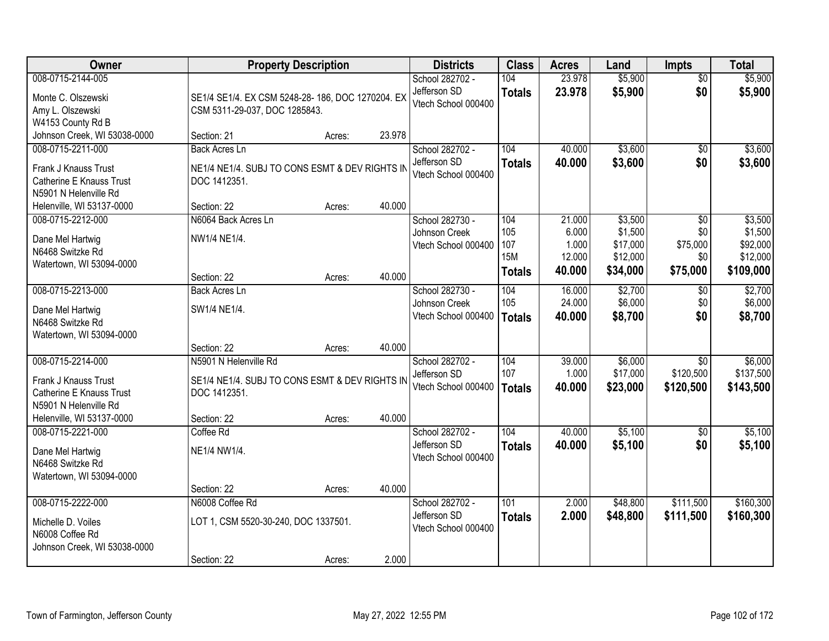| Owner                                                                                                                       |                                                                                                        | <b>Property Description</b> |        | <b>Districts</b>                                        | <b>Class</b>                                     | <b>Acres</b>                                 | Land                                                   | <b>Impts</b>                              | <b>Total</b>                                            |
|-----------------------------------------------------------------------------------------------------------------------------|--------------------------------------------------------------------------------------------------------|-----------------------------|--------|---------------------------------------------------------|--------------------------------------------------|----------------------------------------------|--------------------------------------------------------|-------------------------------------------|---------------------------------------------------------|
| 008-0715-2144-005<br>Monte C. Olszewski<br>Amy L. Olszewski<br>W4153 County Rd B                                            | SE1/4 SE1/4. EX CSM 5248-28-186, DOC 1270204. EX<br>CSM 5311-29-037, DOC 1285843.                      |                             |        | School 282702 -<br>Jefferson SD<br>Vtech School 000400  | 104<br><b>Totals</b>                             | 23.978<br>23.978                             | \$5,900<br>\$5,900                                     | $\overline{30}$<br>\$0                    | \$5,900<br>\$5,900                                      |
| Johnson Creek, WI 53038-0000                                                                                                | Section: 21                                                                                            | Acres:                      | 23.978 |                                                         |                                                  |                                              |                                                        |                                           |                                                         |
| 008-0715-2211-000<br>Frank J Knauss Trust<br>Catherine E Knauss Trust<br>N5901 N Helenville Rd                              | <b>Back Acres Ln</b><br>NE1/4 NE1/4. SUBJ TO CONS ESMT & DEV RIGHTS IN<br>DOC 1412351.                 |                             |        | School 282702 -<br>Jefferson SD<br>Vtech School 000400  | 104<br><b>Totals</b>                             | 40.000<br>40.000                             | \$3,600<br>\$3,600                                     | $\overline{50}$<br>\$0                    | \$3,600<br>\$3,600                                      |
| Helenville, WI 53137-0000                                                                                                   | Section: 22                                                                                            | Acres:                      | 40.000 |                                                         |                                                  |                                              |                                                        |                                           |                                                         |
| 008-0715-2212-000<br>Dane Mel Hartwig<br>N6468 Switzke Rd<br>Watertown, WI 53094-0000                                       | N6064 Back Acres Ln<br>NW1/4 NE1/4.                                                                    |                             | 40.000 | School 282730 -<br>Johnson Creek<br>Vtech School 000400 | 104<br>105<br>107<br><b>15M</b><br><b>Totals</b> | 21.000<br>6.000<br>1.000<br>12.000<br>40.000 | \$3,500<br>\$1,500<br>\$17,000<br>\$12,000<br>\$34,000 | \$0<br>\$0<br>\$75,000<br>\$0<br>\$75,000 | \$3,500<br>\$1,500<br>\$92,000<br>\$12,000<br>\$109,000 |
| 008-0715-2213-000                                                                                                           | Section: 22<br><b>Back Acres Ln</b>                                                                    | Acres:                      |        | School 282730 -                                         | 104                                              | 16.000                                       | \$2,700                                                | \$0                                       | \$2,700                                                 |
| Dane Mel Hartwig<br>N6468 Switzke Rd<br>Watertown, WI 53094-0000                                                            | SW1/4 NE1/4.                                                                                           |                             |        | Johnson Creek<br>Vtech School 000400                    | 105<br><b>Totals</b>                             | 24.000<br>40.000                             | \$6,000<br>\$8,700                                     | \$0<br>\$0                                | \$6,000<br>\$8,700                                      |
|                                                                                                                             | Section: 22                                                                                            | Acres:                      | 40.000 |                                                         |                                                  |                                              |                                                        |                                           |                                                         |
| 008-0715-2214-000<br>Frank J Knauss Trust<br>Catherine E Knauss Trust<br>N5901 N Helenville Rd<br>Helenville, WI 53137-0000 | N5901 N Helenville Rd<br>SE1/4 NE1/4. SUBJ TO CONS ESMT & DEV RIGHTS IN<br>DOC 1412351.<br>Section: 22 | Acres:                      | 40.000 | School 282702 -<br>Jefferson SD<br>Vtech School 000400  | 104<br>107<br><b>Totals</b>                      | 39.000<br>1.000<br>40.000                    | \$6,000<br>\$17,000<br>\$23,000                        | $\overline{30}$<br>\$120,500<br>\$120,500 | \$6,000<br>\$137,500<br>\$143,500                       |
| 008-0715-2221-000                                                                                                           | Coffee Rd                                                                                              |                             |        | School 282702 -                                         | 104                                              | 40.000                                       | \$5,100                                                | \$0                                       | \$5,100                                                 |
| Dane Mel Hartwig<br>N6468 Switzke Rd<br>Watertown, WI 53094-0000                                                            | NE1/4 NW1/4.                                                                                           |                             |        | Jefferson SD<br>Vtech School 000400                     | <b>Totals</b>                                    | 40.000                                       | \$5,100                                                | \$0                                       | \$5,100                                                 |
|                                                                                                                             | Section: 22                                                                                            | Acres:                      | 40.000 |                                                         |                                                  |                                              |                                                        |                                           |                                                         |
| 008-0715-2222-000<br>Michelle D. Voiles<br>N6008 Coffee Rd<br>Johnson Creek, WI 53038-0000                                  | N6008 Coffee Rd<br>LOT 1, CSM 5520-30-240, DOC 1337501.<br>Section: 22                                 | Acres:                      | 2.000  | School 282702 -<br>Jefferson SD<br>Vtech School 000400  | 101<br><b>Totals</b>                             | 2.000<br>2.000                               | \$48,800<br>\$48,800                                   | \$111,500<br>\$111,500                    | \$160,300<br>\$160,300                                  |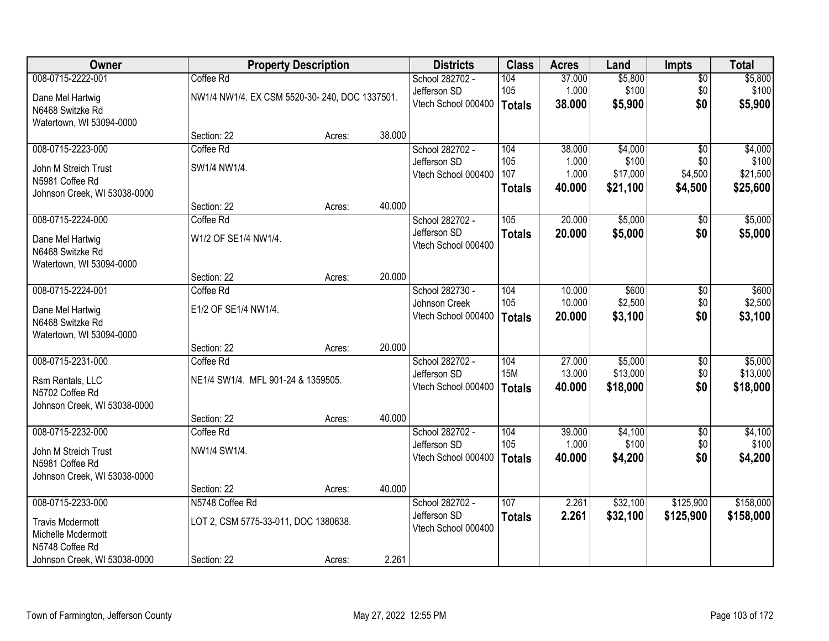| Owner                        |                                               | <b>Property Description</b> |        | <b>Districts</b>                    | <b>Class</b>  | <b>Acres</b> | Land     | <b>Impts</b>    | <b>Total</b> |
|------------------------------|-----------------------------------------------|-----------------------------|--------|-------------------------------------|---------------|--------------|----------|-----------------|--------------|
| 008-0715-2222-001            | Coffee Rd                                     |                             |        | School 282702 -                     | 104           | 37.000       | \$5,800  | $\overline{50}$ | \$5,800      |
| Dane Mel Hartwig             | NW1/4 NW1/4. EX CSM 5520-30-240, DOC 1337501. |                             |        | Jefferson SD                        | 105           | 1.000        | \$100    | \$0             | \$100        |
| N6468 Switzke Rd             |                                               |                             |        | Vtech School 000400                 | <b>Totals</b> | 38.000       | \$5,900  | \$0             | \$5,900      |
| Watertown, WI 53094-0000     |                                               |                             |        |                                     |               |              |          |                 |              |
|                              | Section: 22                                   | Acres:                      | 38.000 |                                     |               |              |          |                 |              |
| 008-0715-2223-000            | Coffee Rd                                     |                             |        | School 282702 -                     | 104           | 38.000       | \$4,000  | $\overline{50}$ | \$4,000      |
| John M Streich Trust         | SW1/4 NW1/4.                                  |                             |        | Jefferson SD                        | 105           | 1.000        | \$100    | \$0             | \$100        |
| N5981 Coffee Rd              |                                               |                             |        | Vtech School 000400                 | 107           | 1.000        | \$17,000 | \$4,500         | \$21,500     |
| Johnson Creek, WI 53038-0000 |                                               |                             |        |                                     | <b>Totals</b> | 40.000       | \$21,100 | \$4,500         | \$25,600     |
|                              | Section: 22                                   | Acres:                      | 40.000 |                                     |               |              |          |                 |              |
| 008-0715-2224-000            | Coffee Rd                                     |                             |        | School 282702 -                     | 105           | 20.000       | \$5,000  | \$0             | \$5,000      |
| Dane Mel Hartwig             | W1/2 OF SE1/4 NW1/4.                          |                             |        | Jefferson SD                        | <b>Totals</b> | 20.000       | \$5,000  | \$0             | \$5,000      |
| N6468 Switzke Rd             |                                               |                             |        | Vtech School 000400                 |               |              |          |                 |              |
| Watertown, WI 53094-0000     |                                               |                             |        |                                     |               |              |          |                 |              |
|                              | Section: 22                                   | Acres:                      | 20.000 |                                     |               |              |          |                 |              |
| 008-0715-2224-001            | Coffee Rd                                     |                             |        | School 282730 -                     | 104           | 10.000       | \$600    | \$0             | \$600        |
| Dane Mel Hartwig             | E1/2 OF SE1/4 NW1/4.                          |                             |        | Johnson Creek                       | 105           | 10.000       | \$2,500  | \$0             | \$2,500      |
| N6468 Switzke Rd             |                                               |                             |        | Vtech School 000400                 | <b>Totals</b> | 20.000       | \$3,100  | \$0             | \$3,100      |
| Watertown, WI 53094-0000     |                                               |                             |        |                                     |               |              |          |                 |              |
|                              | Section: 22                                   | Acres:                      | 20.000 |                                     |               |              |          |                 |              |
| 008-0715-2231-000            | Coffee Rd                                     |                             |        | School 282702 -                     | 104           | 27.000       | \$5,000  | \$0             | \$5,000      |
| Rsm Rentals, LLC             | NE1/4 SW1/4. MFL 901-24 & 1359505.            |                             |        | Jefferson SD                        | <b>15M</b>    | 13.000       | \$13,000 | \$0             | \$13,000     |
| N5702 Coffee Rd              |                                               |                             |        | Vtech School 000400                 | <b>Totals</b> | 40.000       | \$18,000 | \$0             | \$18,000     |
| Johnson Creek, WI 53038-0000 |                                               |                             |        |                                     |               |              |          |                 |              |
|                              | Section: 22                                   | Acres:                      | 40.000 |                                     |               |              |          |                 |              |
| 008-0715-2232-000            | Coffee Rd                                     |                             |        | School 282702 -                     | 104           | 39.000       | \$4,100  | $\sqrt{6}$      | \$4,100      |
| John M Streich Trust         | NW1/4 SW1/4.                                  |                             |        | Jefferson SD                        | 105           | 1.000        | \$100    | \$0             | \$100        |
| N5981 Coffee Rd              |                                               |                             |        | Vtech School 000400                 | <b>Totals</b> | 40.000       | \$4,200  | \$0             | \$4,200      |
| Johnson Creek, WI 53038-0000 |                                               |                             |        |                                     |               |              |          |                 |              |
|                              | Section: 22                                   | Acres:                      | 40.000 |                                     |               |              |          |                 |              |
| 008-0715-2233-000            | N5748 Coffee Rd                               |                             |        | School 282702 -                     | 107           | 2.261        | \$32,100 | \$125,900       | \$158,000    |
| <b>Travis Mcdermott</b>      | LOT 2, CSM 5775-33-011, DOC 1380638.          |                             |        | Jefferson SD<br>Vtech School 000400 | <b>Totals</b> | 2.261        | \$32,100 | \$125,900       | \$158,000    |
| Michelle Mcdermott           |                                               |                             |        |                                     |               |              |          |                 |              |
| N5748 Coffee Rd              |                                               |                             |        |                                     |               |              |          |                 |              |
| Johnson Creek, WI 53038-0000 | Section: 22                                   | Acres:                      | 2.261  |                                     |               |              |          |                 |              |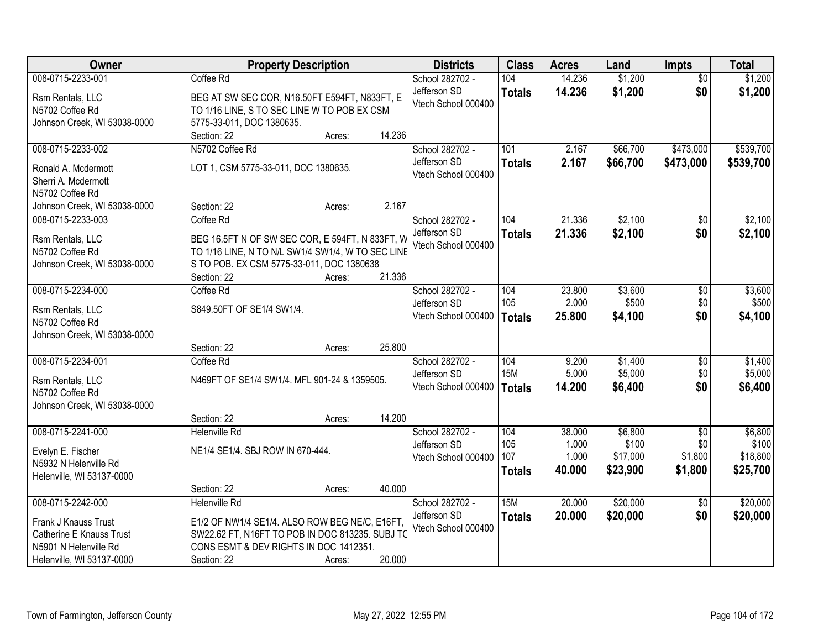| <b>Owner</b>                                     | <b>Property Description</b>                                                                       |        |        | <b>Districts</b>    | <b>Class</b>  | <b>Acres</b> | Land     | <b>Impts</b>    | <b>Total</b> |
|--------------------------------------------------|---------------------------------------------------------------------------------------------------|--------|--------|---------------------|---------------|--------------|----------|-----------------|--------------|
| 008-0715-2233-001                                | Coffee Rd                                                                                         |        |        | School 282702 -     | 104           | 14.236       | \$1,200  | $\overline{50}$ | \$1,200      |
| Rsm Rentals, LLC                                 | BEG AT SW SEC COR, N16.50FT E594FT, N833FT, E                                                     |        |        | Jefferson SD        | <b>Totals</b> | 14.236       | \$1,200  | \$0             | \$1,200      |
| N5702 Coffee Rd                                  | TO 1/16 LINE, S TO SEC LINE W TO POB EX CSM                                                       |        |        | Vtech School 000400 |               |              |          |                 |              |
| Johnson Creek, WI 53038-0000                     | 5775-33-011, DOC 1380635.                                                                         |        |        |                     |               |              |          |                 |              |
|                                                  | Section: 22                                                                                       | Acres: | 14.236 |                     |               |              |          |                 |              |
| 008-0715-2233-002                                | N5702 Coffee Rd                                                                                   |        |        | School 282702 -     | 101           | 2.167        | \$66,700 | \$473,000       | \$539,700    |
| Ronald A. Mcdermott                              | LOT 1, CSM 5775-33-011, DOC 1380635.                                                              |        |        | Jefferson SD        | <b>Totals</b> | 2.167        | \$66,700 | \$473,000       | \$539,700    |
| Sherri A. Mcdermott                              |                                                                                                   |        |        | Vtech School 000400 |               |              |          |                 |              |
| N5702 Coffee Rd                                  |                                                                                                   |        |        |                     |               |              |          |                 |              |
| Johnson Creek, WI 53038-0000                     | Section: 22                                                                                       | Acres: | 2.167  |                     |               |              |          |                 |              |
| 008-0715-2233-003                                | Coffee Rd                                                                                         |        |        | School 282702 -     | 104           | 21.336       | \$2,100  | \$0             | \$2,100      |
| Rsm Rentals, LLC                                 | BEG 16.5FT N OF SW SEC COR, E 594FT, N 833FT, W                                                   |        |        | Jefferson SD        | <b>Totals</b> | 21.336       | \$2,100  | \$0             | \$2,100      |
| N5702 Coffee Rd                                  | TO 1/16 LINE, N TO N/L SW1/4 SW1/4, W TO SEC LINE                                                 |        |        | Vtech School 000400 |               |              |          |                 |              |
| Johnson Creek, WI 53038-0000                     | S TO POB. EX CSM 5775-33-011, DOC 1380638                                                         |        |        |                     |               |              |          |                 |              |
|                                                  | Section: 22                                                                                       | Acres: | 21.336 |                     |               |              |          |                 |              |
| 008-0715-2234-000                                | Coffee Rd                                                                                         |        |        | School 282702 -     | 104           | 23.800       | \$3,600  | \$0             | \$3,600      |
| Rsm Rentals, LLC                                 | S849.50FT OF SE1/4 SW1/4.                                                                         |        |        | Jefferson SD        | 105           | 2.000        | \$500    | \$0             | \$500        |
| N5702 Coffee Rd                                  |                                                                                                   |        |        | Vtech School 000400 | <b>Totals</b> | 25.800       | \$4,100  | \$0             | \$4,100      |
| Johnson Creek, WI 53038-0000                     |                                                                                                   |        |        |                     |               |              |          |                 |              |
|                                                  | Section: 22                                                                                       | Acres: | 25.800 |                     |               |              |          |                 |              |
| 008-0715-2234-001                                | Coffee Rd                                                                                         |        |        | School 282702 -     | 104           | 9.200        | \$1,400  | \$0             | \$1,400      |
|                                                  |                                                                                                   |        |        | Jefferson SD        | <b>15M</b>    | 5.000        | \$5,000  | \$0             | \$5,000      |
| Rsm Rentals, LLC<br>N5702 Coffee Rd              | N469FT OF SE1/4 SW1/4. MFL 901-24 & 1359505.                                                      |        |        | Vtech School 000400 | Totals        | 14.200       | \$6,400  | \$0             | \$6,400      |
| Johnson Creek, WI 53038-0000                     |                                                                                                   |        |        |                     |               |              |          |                 |              |
|                                                  | Section: 22                                                                                       | Acres: | 14.200 |                     |               |              |          |                 |              |
| 008-0715-2241-000                                | Helenville Rd                                                                                     |        |        | School 282702 -     | 104           | 38.000       | \$6,800  | $\overline{50}$ | \$6,800      |
|                                                  | NE1/4 SE1/4. SBJ ROW IN 670-444.                                                                  |        |        | Jefferson SD        | 105           | 1.000        | \$100    | \$0             | \$100        |
| Evelyn E. Fischer<br>N5932 N Helenville Rd       |                                                                                                   |        |        | Vtech School 000400 | 107           | 1.000        | \$17,000 | \$1,800         | \$18,800     |
| Helenville, WI 53137-0000                        |                                                                                                   |        |        |                     | <b>Totals</b> | 40.000       | \$23,900 | \$1,800         | \$25,700     |
|                                                  | Section: 22                                                                                       | Acres: | 40.000 |                     |               |              |          |                 |              |
| 008-0715-2242-000                                | <b>Helenville Rd</b>                                                                              |        |        | School 282702 -     | 15M           | 20.000       | \$20,000 | $\overline{30}$ | \$20,000     |
|                                                  |                                                                                                   |        |        | Jefferson SD        | <b>Totals</b> | 20.000       | \$20,000 | \$0             | \$20,000     |
| Frank J Knauss Trust<br>Catherine E Knauss Trust | E1/2 OF NW1/4 SE1/4. ALSO ROW BEG NE/C, E16FT,<br>SW22.62 FT, N16FT TO POB IN DOC 813235. SUBJ TO |        |        | Vtech School 000400 |               |              |          |                 |              |
| N5901 N Helenville Rd                            | CONS ESMT & DEV RIGHTS IN DOC 1412351.                                                            |        |        |                     |               |              |          |                 |              |
| Helenville, WI 53137-0000                        | Section: 22                                                                                       | Acres: | 20.000 |                     |               |              |          |                 |              |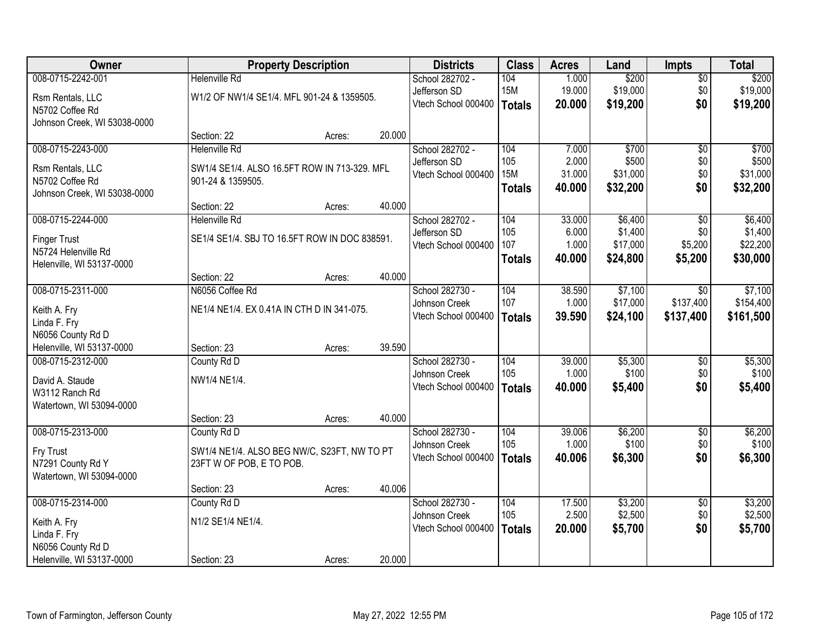| <b>Owner</b>                 |                                               | <b>Property Description</b> |        | <b>Districts</b>    | <b>Class</b>  | <b>Acres</b> | Land     | <b>Impts</b>    | <b>Total</b> |
|------------------------------|-----------------------------------------------|-----------------------------|--------|---------------------|---------------|--------------|----------|-----------------|--------------|
| 008-0715-2242-001            | <b>Helenville Rd</b>                          |                             |        | School 282702 -     | 104           | 1.000        | \$200    | $\overline{50}$ | \$200        |
| Rsm Rentals, LLC             | W1/2 OF NW1/4 SE1/4. MFL 901-24 & 1359505.    |                             |        | Jefferson SD        | <b>15M</b>    | 19.000       | \$19,000 | \$0             | \$19,000     |
| N5702 Coffee Rd              |                                               |                             |        | Vtech School 000400 | Totals        | 20.000       | \$19,200 | \$0             | \$19,200     |
| Johnson Creek, WI 53038-0000 |                                               |                             |        |                     |               |              |          |                 |              |
|                              | Section: 22                                   | Acres:                      | 20.000 |                     |               |              |          |                 |              |
| 008-0715-2243-000            | <b>Helenville Rd</b>                          |                             |        | School 282702 -     | 104           | 7.000        | \$700    | $\overline{50}$ | \$700        |
| Rsm Rentals, LLC             | SW1/4 SE1/4. ALSO 16.5FT ROW IN 713-329. MFL  |                             |        | Jefferson SD        | 105           | 2.000        | \$500    | \$0             | \$500        |
| N5702 Coffee Rd              | 901-24 & 1359505.                             |                             |        | Vtech School 000400 | <b>15M</b>    | 31.000       | \$31,000 | \$0             | \$31,000     |
| Johnson Creek, WI 53038-0000 |                                               |                             |        |                     | <b>Totals</b> | 40.000       | \$32,200 | \$0             | \$32,200     |
|                              | Section: 22                                   | Acres:                      | 40.000 |                     |               |              |          |                 |              |
| 008-0715-2244-000            | <b>Helenville Rd</b>                          |                             |        | School 282702 -     | 104           | 33.000       | \$6,400  | \$0             | \$6,400      |
| <b>Finger Trust</b>          | SE1/4 SE1/4. SBJ TO 16.5FT ROW IN DOC 838591. |                             |        | Jefferson SD        | 105           | 6.000        | \$1,400  | \$0             | \$1,400      |
| N5724 Helenville Rd          |                                               |                             |        | Vtech School 000400 | 107           | 1.000        | \$17,000 | \$5,200         | \$22,200     |
| Helenville, WI 53137-0000    |                                               |                             |        |                     | <b>Totals</b> | 40.000       | \$24,800 | \$5,200         | \$30,000     |
|                              | Section: 22                                   | Acres:                      | 40.000 |                     |               |              |          |                 |              |
| 008-0715-2311-000            | N6056 Coffee Rd                               |                             |        | School 282730 -     | 104           | 38.590       | \$7,100  | $\sqrt{6}$      | \$7,100      |
| Keith A. Fry                 | NE1/4 NE1/4. EX 0.41A IN CTH D IN 341-075.    |                             |        | Johnson Creek       | 107           | 1.000        | \$17,000 | \$137,400       | \$154,400    |
| Linda F. Fry                 |                                               |                             |        | Vtech School 000400 | <b>Totals</b> | 39.590       | \$24,100 | \$137,400       | \$161,500    |
| N6056 County Rd D            |                                               |                             |        |                     |               |              |          |                 |              |
| Helenville, WI 53137-0000    | Section: 23                                   | Acres:                      | 39.590 |                     |               |              |          |                 |              |
| 008-0715-2312-000            | County Rd D                                   |                             |        | School 282730 -     | 104           | 39.000       | \$5,300  | $\overline{30}$ | \$5,300      |
| David A. Staude              | NW1/4 NE1/4.                                  |                             |        | Johnson Creek       | 105           | 1.000        | \$100    | \$0             | \$100        |
| W3112 Ranch Rd               |                                               |                             |        | Vtech School 000400 | Totals        | 40.000       | \$5,400  | \$0             | \$5,400      |
| Watertown, WI 53094-0000     |                                               |                             |        |                     |               |              |          |                 |              |
|                              | Section: 23                                   | Acres:                      | 40.000 |                     |               |              |          |                 |              |
| 008-0715-2313-000            | County Rd D                                   |                             |        | School 282730 -     | 104           | 39.006       | \$6,200  | $\overline{60}$ | \$6,200      |
| Fry Trust                    | SW1/4 NE1/4. ALSO BEG NW/C, S23FT, NW TO PT   |                             |        | Johnson Creek       | 105           | 1.000        | \$100    | \$0             | \$100        |
| N7291 County Rd Y            | 23FT W OF POB, E TO POB.                      |                             |        | Vtech School 000400 | Totals        | 40.006       | \$6,300  | \$0             | \$6,300      |
| Watertown, WI 53094-0000     |                                               |                             |        |                     |               |              |          |                 |              |
|                              | Section: 23                                   | Acres:                      | 40.006 |                     |               |              |          |                 |              |
| 008-0715-2314-000            | County Rd D                                   |                             |        | School 282730 -     | 104           | 17.500       | \$3,200  | $\overline{50}$ | \$3,200      |
| Keith A. Fry                 | N1/2 SE1/4 NE1/4.                             |                             |        | Johnson Creek       | 105           | 2.500        | \$2,500  | \$0             | \$2,500      |
| Linda F. Fry                 |                                               |                             |        | Vtech School 000400 | <b>Totals</b> | 20.000       | \$5,700  | \$0             | \$5,700      |
| N6056 County Rd D            |                                               |                             |        |                     |               |              |          |                 |              |
| Helenville, WI 53137-0000    | Section: 23                                   | Acres:                      | 20.000 |                     |               |              |          |                 |              |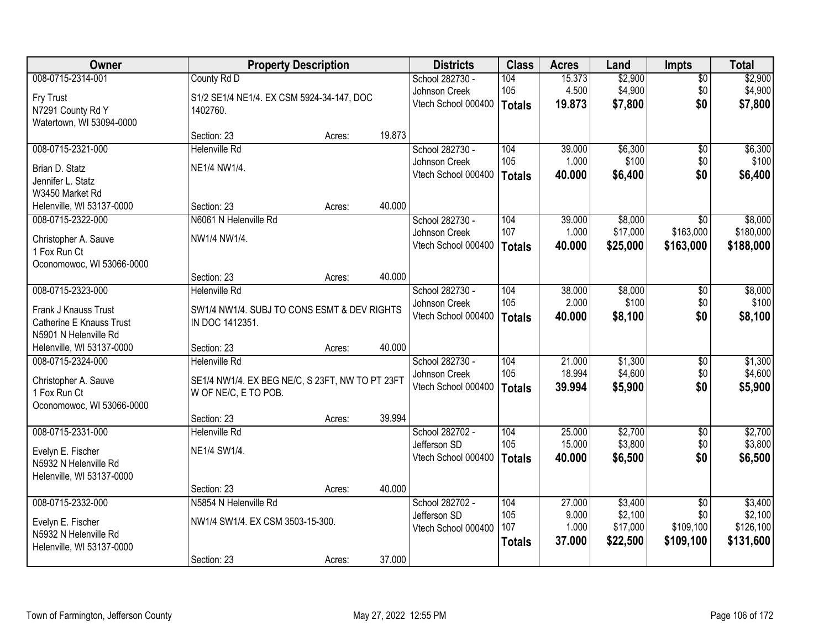| Owner                     |                                                 | <b>Property Description</b> |        | <b>Districts</b>    | <b>Class</b>  | <b>Acres</b> | Land     | <b>Impts</b>    | <b>Total</b> |
|---------------------------|-------------------------------------------------|-----------------------------|--------|---------------------|---------------|--------------|----------|-----------------|--------------|
| 008-0715-2314-001         | County Rd D                                     |                             |        | School 282730 -     | 104           | 15.373       | \$2,900  | $\overline{50}$ | \$2,900      |
| Fry Trust                 | S1/2 SE1/4 NE1/4. EX CSM 5924-34-147, DOC       |                             |        | Johnson Creek       | 105           | 4.500        | \$4,900  | \$0             | \$4,900      |
| N7291 County Rd Y         | 1402760.                                        |                             |        | Vtech School 000400 | <b>Totals</b> | 19.873       | \$7,800  | \$0             | \$7,800      |
| Watertown, WI 53094-0000  |                                                 |                             |        |                     |               |              |          |                 |              |
|                           | Section: 23                                     | Acres:                      | 19.873 |                     |               |              |          |                 |              |
| 008-0715-2321-000         | <b>Helenville Rd</b>                            |                             |        | School 282730 -     | 104           | 39.000       | \$6,300  | $\overline{50}$ | \$6,300      |
| Brian D. Statz            | NE1/4 NW1/4.                                    |                             |        | Johnson Creek       | 105           | 1.000        | \$100    | \$0             | \$100        |
| Jennifer L. Statz         |                                                 |                             |        | Vtech School 000400 | <b>Totals</b> | 40.000       | \$6,400  | \$0             | \$6,400      |
| W3450 Market Rd           |                                                 |                             |        |                     |               |              |          |                 |              |
| Helenville, WI 53137-0000 | Section: 23                                     | Acres:                      | 40.000 |                     |               |              |          |                 |              |
| 008-0715-2322-000         | N6061 N Helenville Rd                           |                             |        | School 282730 -     | 104           | 39.000       | \$8,000  | \$0             | \$8,000      |
| Christopher A. Sauve      | NW1/4 NW1/4.                                    |                             |        | Johnson Creek       | 107           | 1.000        | \$17,000 | \$163,000       | \$180,000    |
| 1 Fox Run Ct              |                                                 |                             |        | Vtech School 000400 | <b>Totals</b> | 40.000       | \$25,000 | \$163,000       | \$188,000    |
| Oconomowoc, WI 53066-0000 |                                                 |                             |        |                     |               |              |          |                 |              |
|                           | Section: 23                                     | Acres:                      | 40.000 |                     |               |              |          |                 |              |
| 008-0715-2323-000         | <b>Helenville Rd</b>                            |                             |        | School 282730 -     | 104           | 38.000       | \$8,000  | \$0             | \$8,000      |
| Frank J Knauss Trust      | SW1/4 NW1/4. SUBJ TO CONS ESMT & DEV RIGHTS     |                             |        | Johnson Creek       | 105           | 2.000        | \$100    | \$0             | \$100        |
| Catherine E Knauss Trust  | IN DOC 1412351.                                 |                             |        | Vtech School 000400 | <b>Totals</b> | 40.000       | \$8,100  | \$0             | \$8,100      |
| N5901 N Helenville Rd     |                                                 |                             |        |                     |               |              |          |                 |              |
| Helenville, WI 53137-0000 | Section: 23                                     | Acres:                      | 40.000 |                     |               |              |          |                 |              |
| 008-0715-2324-000         | <b>Helenville Rd</b>                            |                             |        | School 282730 -     | 104           | 21.000       | \$1,300  | \$0             | \$1,300      |
| Christopher A. Sauve      | SE1/4 NW1/4. EX BEG NE/C, S 23FT, NW TO PT 23FT |                             |        | Johnson Creek       | 105           | 18.994       | \$4,600  | \$0             | \$4,600      |
| 1 Fox Run Ct              | W OF NE/C, E TO POB.                            |                             |        | Vtech School 000400 | <b>Totals</b> | 39.994       | \$5,900  | \$0             | \$5,900      |
| Oconomowoc, WI 53066-0000 |                                                 |                             |        |                     |               |              |          |                 |              |
|                           | Section: 23                                     | Acres:                      | 39.994 |                     |               |              |          |                 |              |
| 008-0715-2331-000         | <b>Helenville Rd</b>                            |                             |        | School 282702 -     | 104           | 25.000       | \$2,700  | $\sqrt{6}$      | \$2,700      |
| Evelyn E. Fischer         | NE1/4 SW1/4.                                    |                             |        | Jefferson SD        | 105           | 15.000       | \$3,800  | \$0             | \$3,800      |
| N5932 N Helenville Rd     |                                                 |                             |        | Vtech School 000400 | <b>Totals</b> | 40.000       | \$6,500  | \$0             | \$6,500      |
| Helenville, WI 53137-0000 |                                                 |                             |        |                     |               |              |          |                 |              |
|                           | Section: 23                                     | Acres:                      | 40.000 |                     |               |              |          |                 |              |
| 008-0715-2332-000         | N5854 N Helenville Rd                           |                             |        | School 282702 -     | 104           | 27.000       | \$3,400  | $\overline{50}$ | \$3,400      |
| Evelyn E. Fischer         | NW1/4 SW1/4. EX CSM 3503-15-300.                |                             |        | Jefferson SD        | 105           | 9.000        | \$2,100  | \$0             | \$2,100      |
| N5932 N Helenville Rd     |                                                 |                             |        | Vtech School 000400 | 107           | 1.000        | \$17,000 | \$109,100       | \$126,100    |
| Helenville, WI 53137-0000 |                                                 |                             |        |                     | <b>Totals</b> | 37.000       | \$22,500 | \$109,100       | \$131,600    |
|                           | Section: 23                                     | Acres:                      | 37.000 |                     |               |              |          |                 |              |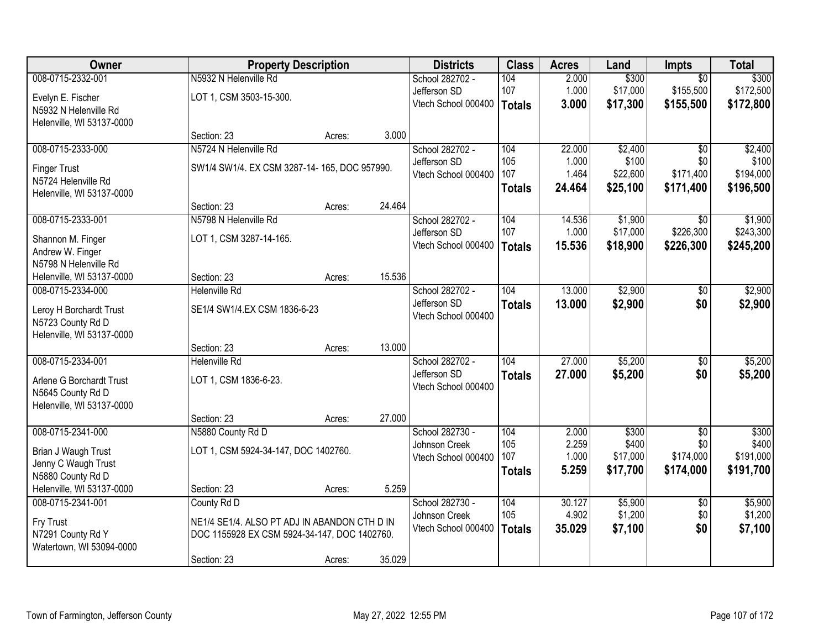| Owner                     |                                              | <b>Property Description</b> |        | <b>Districts</b>    | <b>Class</b>  | <b>Acres</b>   | Land              | Impts            | <b>Total</b>       |
|---------------------------|----------------------------------------------|-----------------------------|--------|---------------------|---------------|----------------|-------------------|------------------|--------------------|
| 008-0715-2332-001         | N5932 N Helenville Rd                        |                             |        | School 282702 -     | 104           | 2.000          | \$300             | $\overline{50}$  | \$300              |
| Evelyn E. Fischer         | LOT 1, CSM 3503-15-300.                      |                             |        | Jefferson SD        | 107           | 1.000          | \$17,000          | \$155,500        | \$172,500          |
| N5932 N Helenville Rd     |                                              |                             |        | Vtech School 000400 | <b>Totals</b> | 3.000          | \$17,300          | \$155,500        | \$172,800          |
| Helenville, WI 53137-0000 |                                              |                             |        |                     |               |                |                   |                  |                    |
|                           | Section: 23                                  | Acres:                      | 3.000  |                     |               |                |                   |                  |                    |
| 008-0715-2333-000         | N5724 N Helenville Rd                        |                             |        | School 282702 -     | 104           | 22,000         | \$2,400           | $\overline{50}$  | \$2,400            |
| <b>Finger Trust</b>       | SW1/4 SW1/4. EX CSM 3287-14-165, DOC 957990. |                             |        | Jefferson SD        | 105           | 1.000          | \$100             | \$0              | \$100              |
| N5724 Helenville Rd       |                                              |                             |        | Vtech School 000400 | 107           | 1.464          | \$22,600          | \$171,400        | \$194,000          |
| Helenville, WI 53137-0000 |                                              |                             |        |                     | <b>Totals</b> | 24.464         | \$25,100          | \$171,400        | \$196,500          |
|                           | Section: 23                                  | Acres:                      | 24.464 |                     |               |                |                   |                  |                    |
| 008-0715-2333-001         | N5798 N Helenville Rd                        |                             |        | School 282702 -     | 104           | 14.536         | \$1,900           | $\overline{50}$  | \$1,900            |
| Shannon M. Finger         | LOT 1, CSM 3287-14-165.                      |                             |        | Jefferson SD        | 107           | 1.000          | \$17,000          | \$226,300        | \$243,300          |
| Andrew W. Finger          |                                              |                             |        | Vtech School 000400 | <b>Totals</b> | 15.536         | \$18,900          | \$226,300        | \$245,200          |
| N5798 N Helenville Rd     |                                              |                             |        |                     |               |                |                   |                  |                    |
| Helenville, WI 53137-0000 | Section: 23                                  | Acres:                      | 15.536 |                     |               |                |                   |                  |                    |
| 008-0715-2334-000         | <b>Helenville Rd</b>                         |                             |        | School 282702 -     | 104           | 13.000         | \$2,900           | $\sqrt[6]{}$     | \$2,900            |
| Leroy H Borchardt Trust   | SE1/4 SW1/4.EX CSM 1836-6-23                 |                             |        | Jefferson SD        | <b>Totals</b> | 13.000         | \$2,900           | \$0              | \$2,900            |
| N5723 County Rd D         |                                              |                             |        | Vtech School 000400 |               |                |                   |                  |                    |
| Helenville, WI 53137-0000 |                                              |                             |        |                     |               |                |                   |                  |                    |
|                           | Section: 23                                  | Acres:                      | 13.000 |                     |               |                |                   |                  |                    |
| 008-0715-2334-001         | <b>Helenville Rd</b>                         |                             |        | School 282702 -     | 104           | 27.000         | \$5,200           | $\overline{50}$  | \$5,200            |
| Arlene G Borchardt Trust  | LOT 1, CSM 1836-6-23.                        |                             |        | Jefferson SD        | <b>Totals</b> | 27,000         | \$5,200           | \$0              | \$5,200            |
| N5645 County Rd D         |                                              |                             |        | Vtech School 000400 |               |                |                   |                  |                    |
| Helenville, WI 53137-0000 |                                              |                             |        |                     |               |                |                   |                  |                    |
|                           | Section: 23                                  | Acres:                      | 27.000 |                     |               |                |                   |                  |                    |
| 008-0715-2341-000         | N5880 County Rd D                            |                             |        | School 282730 -     | 104           | 2.000          | \$300             | $\overline{50}$  | \$300              |
| Brian J Waugh Trust       | LOT 1, CSM 5924-34-147, DOC 1402760.         |                             |        | Johnson Creek       | 105<br>107    | 2.259<br>1.000 | \$400<br>\$17,000 | \$0<br>\$174,000 | \$400<br>\$191,000 |
| Jenny C Waugh Trust       |                                              |                             |        | Vtech School 000400 |               | 5.259          | \$17,700          | \$174,000        | \$191,700          |
| N5880 County Rd D         |                                              |                             |        |                     | <b>Totals</b> |                |                   |                  |                    |
| Helenville, WI 53137-0000 | Section: 23                                  | Acres:                      | 5.259  |                     |               |                |                   |                  |                    |
| 008-0715-2341-001         | County Rd D                                  |                             |        | School 282730 -     | 104           | 30.127         | \$5,900           | $\overline{50}$  | \$5,900            |
| Fry Trust                 | NE1/4 SE1/4. ALSO PT ADJ IN ABANDON CTH D IN |                             |        | Johnson Creek       | 105           | 4.902          | \$1,200           | \$0              | \$1,200            |
| N7291 County Rd Y         | DOC 1155928 EX CSM 5924-34-147, DOC 1402760. |                             |        | Vtech School 000400 | <b>Totals</b> | 35.029         | \$7,100           | \$0              | \$7,100            |
| Watertown, WI 53094-0000  |                                              |                             |        |                     |               |                |                   |                  |                    |
|                           | Section: 23                                  | Acres:                      | 35.029 |                     |               |                |                   |                  |                    |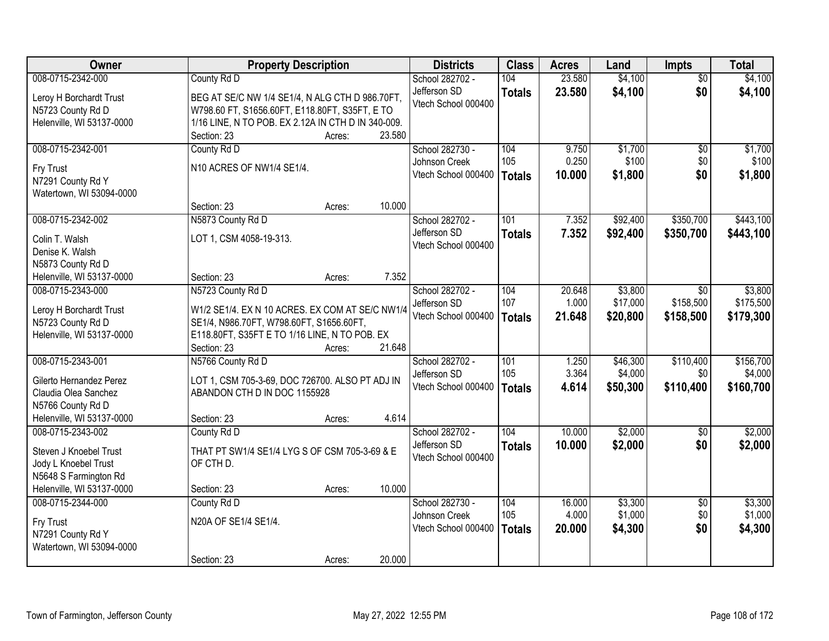| Owner                     | <b>Property Description</b>                                |        | <b>Districts</b>    | <b>Class</b>  | <b>Acres</b>    | Land     | <b>Impts</b>    | <b>Total</b>       |
|---------------------------|------------------------------------------------------------|--------|---------------------|---------------|-----------------|----------|-----------------|--------------------|
| 008-0715-2342-000         | County Rd D                                                |        | School 282702 -     | 104           | 23.580          | \$4,100  | $\overline{50}$ | \$4,100            |
| Leroy H Borchardt Trust   | BEG AT SE/C NW 1/4 SE1/4, N ALG CTH D 986.70FT,            |        | Jefferson SD        | <b>Totals</b> | 23.580          | \$4,100  | \$0             | \$4,100            |
| N5723 County Rd D         | W798.60 FT, S1656.60FT, E118.80FT, S35FT, E TO             |        | Vtech School 000400 |               |                 |          |                 |                    |
| Helenville, WI 53137-0000 | 1/16 LINE, N TO POB. EX 2.12A IN CTH D IN 340-009.         |        |                     |               |                 |          |                 |                    |
|                           | Section: 23<br>Acres:                                      | 23.580 |                     |               |                 |          |                 |                    |
| 008-0715-2342-001         | County Rd D                                                |        | School 282730 -     | 104           | 9.750           | \$1,700  | \$0             | \$1,700            |
|                           |                                                            |        | Johnson Creek       | 105           | 0.250           | \$100    | \$0             | \$100              |
| Fry Trust                 | N10 ACRES OF NW1/4 SE1/4.                                  |        | Vtech School 000400 | <b>Totals</b> | 10.000          | \$1,800  | \$0             | \$1,800            |
| N7291 County Rd Y         |                                                            |        |                     |               |                 |          |                 |                    |
| Watertown, WI 53094-0000  |                                                            |        |                     |               |                 |          |                 |                    |
|                           | Section: 23<br>Acres:                                      | 10.000 |                     |               |                 |          |                 |                    |
| 008-0715-2342-002         | N5873 County Rd D                                          |        | School 282702 -     | 101           | 7.352           | \$92,400 | \$350,700       | \$443,100          |
| Colin T. Walsh            | LOT 1, CSM 4058-19-313.                                    |        | Jefferson SD        | <b>Totals</b> | 7.352           | \$92,400 | \$350,700       | \$443,100          |
| Denise K. Walsh           |                                                            |        | Vtech School 000400 |               |                 |          |                 |                    |
| N5873 County Rd D         |                                                            |        |                     |               |                 |          |                 |                    |
| Helenville, WI 53137-0000 | Section: 23<br>Acres:                                      | 7.352  |                     |               |                 |          |                 |                    |
| 008-0715-2343-000         | N5723 County Rd D                                          |        | School 282702 -     | 104           | 20.648          | \$3,800  | \$0             | \$3,800            |
|                           |                                                            |        | Jefferson SD        | 107           | 1.000           | \$17,000 | \$158,500       | \$175,500          |
| Leroy H Borchardt Trust   | W1/2 SE1/4. EX N 10 ACRES. EX COM AT SE/C NW1/4            |        | Vtech School 000400 | <b>Totals</b> | 21.648          | \$20,800 | \$158,500       | \$179,300          |
| N5723 County Rd D         | SE1/4, N986.70FT, W798.60FT, S1656.60FT,                   |        |                     |               |                 |          |                 |                    |
| Helenville, WI 53137-0000 | E118.80FT, S35FT E TO 1/16 LINE, N TO POB. EX              |        |                     |               |                 |          |                 |                    |
|                           | Section: 23<br>Acres:                                      | 21.648 |                     |               |                 |          |                 |                    |
| 008-0715-2343-001         | N5766 County Rd D                                          |        | School 282702 -     | 101           | 1.250           | \$46,300 | \$110,400       | \$156,700          |
| Gilerto Hernandez Perez   | LOT 1, CSM 705-3-69, DOC 726700. ALSO PT ADJ IN            |        | Jefferson SD        | 105           | 3.364           | \$4,000  | \$0             | \$4,000            |
| Claudia Olea Sanchez      | ABANDON CTH D IN DOC 1155928                               |        | Vtech School 000400 | <b>Totals</b> | 4.614           | \$50,300 | \$110,400       | \$160,700          |
| N5766 County Rd D         |                                                            |        |                     |               |                 |          |                 |                    |
| Helenville, WI 53137-0000 | Section: 23<br>Acres:                                      | 4.614  |                     |               |                 |          |                 |                    |
| 008-0715-2343-002         | County Rd D                                                |        | School 282702 -     | 104           | 10.000          | \$2,000  | $\overline{60}$ | \$2,000            |
|                           |                                                            |        | Jefferson SD        | <b>Totals</b> | 10.000          | \$2,000  | \$0             | \$2,000            |
| Steven J Knoebel Trust    | THAT PT SW1/4 SE1/4 LYG S OF CSM 705-3-69 & E<br>OF CTH D. |        | Vtech School 000400 |               |                 |          |                 |                    |
| Jody L Knoebel Trust      |                                                            |        |                     |               |                 |          |                 |                    |
| N5648 S Farmington Rd     |                                                            | 10.000 |                     |               |                 |          |                 |                    |
| Helenville, WI 53137-0000 | Section: 23<br>Acres:                                      |        |                     |               |                 |          |                 |                    |
| 008-0715-2344-000         | County Rd D                                                |        | School 282730 -     | 104<br>105    | 16.000<br>4.000 | \$3,300  | $\overline{50}$ | \$3,300<br>\$1,000 |
| Fry Trust                 | N20A OF SE1/4 SE1/4.                                       |        | Johnson Creek       |               |                 | \$1,000  | \$0             |                    |
| N7291 County Rd Y         |                                                            |        | Vtech School 000400 | <b>Totals</b> | 20,000          | \$4,300  | \$0             | \$4,300            |
| Watertown, WI 53094-0000  |                                                            |        |                     |               |                 |          |                 |                    |
|                           | Section: 23<br>Acres:                                      | 20.000 |                     |               |                 |          |                 |                    |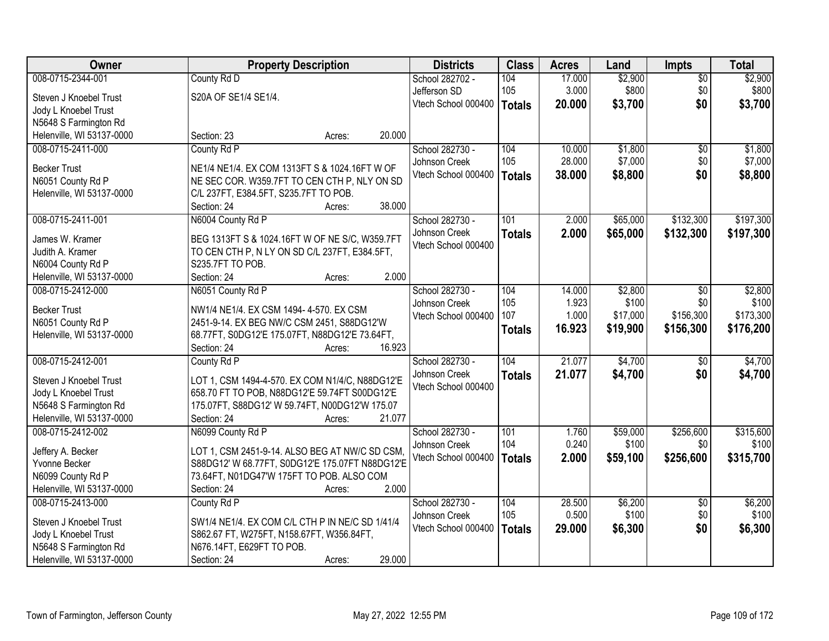| Owner                                          | <b>Property Description</b>                                       | <b>Districts</b>    | <b>Class</b>  | <b>Acres</b> | Land     | <b>Impts</b>    | <b>Total</b> |
|------------------------------------------------|-------------------------------------------------------------------|---------------------|---------------|--------------|----------|-----------------|--------------|
| 008-0715-2344-001                              | County Rd D                                                       | School 282702 -     | 104           | 17.000       | \$2,900  | $\overline{50}$ | \$2,900      |
| Steven J Knoebel Trust                         | S20A OF SE1/4 SE1/4.                                              | Jefferson SD        | 105           | 3.000        | \$800    | \$0             | \$800        |
| Jody L Knoebel Trust                           |                                                                   | Vtech School 000400 | Totals        | 20.000       | \$3,700  | \$0             | \$3,700      |
| N5648 S Farmington Rd                          |                                                                   |                     |               |              |          |                 |              |
| Helenville, WI 53137-0000                      | 20.000<br>Section: 23<br>Acres:                                   |                     |               |              |          |                 |              |
| 008-0715-2411-000                              | County Rd P                                                       | School 282730 -     | 104           | 10.000       | \$1,800  | \$0             | \$1,800      |
|                                                |                                                                   | Johnson Creek       | 105           | 28.000       | \$7,000  | \$0             | \$7,000      |
| <b>Becker Trust</b>                            | NE1/4 NE1/4. EX COM 1313FT S & 1024.16FT W OF                     | Vtech School 000400 | <b>Totals</b> | 38.000       | \$8,800  | \$0             | \$8,800      |
| N6051 County Rd P                              | NE SEC COR. W359.7FT TO CEN CTH P, NLY ON SD                      |                     |               |              |          |                 |              |
| Helenville, WI 53137-0000                      | C/L 237FT, E384.5FT, S235.7FT TO POB.                             |                     |               |              |          |                 |              |
|                                                | 38.000<br>Section: 24<br>Acres:                                   |                     |               |              |          |                 |              |
| 008-0715-2411-001                              | N6004 County Rd P                                                 | School 282730 -     | 101           | 2.000        | \$65,000 | \$132,300       | \$197,300    |
| James W. Kramer                                | BEG 1313FT S & 1024.16FT W OF NE S/C, W359.7FT                    | Johnson Creek       | <b>Totals</b> | 2.000        | \$65,000 | \$132,300       | \$197,300    |
| Judith A. Kramer                               |                                                                   | Vtech School 000400 |               |              |          |                 |              |
| N6004 County Rd P                              | TO CEN CTH P, N LY ON SD C/L 237FT, E384.5FT,<br>S235.7FT TO POB. |                     |               |              |          |                 |              |
|                                                | 2.000<br>Section: 24                                              |                     |               |              |          |                 |              |
| Helenville, WI 53137-0000<br>008-0715-2412-000 | Acres:                                                            |                     | 104           |              |          |                 |              |
|                                                | N6051 County Rd P                                                 | School 282730 -     |               | 14.000       | \$2,800  | \$0             | \$2,800      |
| <b>Becker Trust</b>                            | NW1/4 NE1/4. EX CSM 1494- 4-570. EX CSM                           | Johnson Creek       | 105           | 1.923        | \$100    | \$0             | \$100        |
| N6051 County Rd P                              | 2451-9-14. EX BEG NW/C CSM 2451, S88DG12'W                        | Vtech School 000400 | 107           | 1.000        | \$17,000 | \$156,300       | \$173,300    |
| Helenville, WI 53137-0000                      | 68.77FT, S0DG12'E 175.07FT, N88DG12'E 73.64FT,                    |                     | <b>Totals</b> | 16.923       | \$19,900 | \$156,300       | \$176,200    |
|                                                | 16.923<br>Section: 24<br>Acres:                                   |                     |               |              |          |                 |              |
| 008-0715-2412-001                              | County Rd P                                                       | School 282730 -     | 104           | 21.077       | \$4,700  | $\overline{50}$ | \$4,700      |
|                                                |                                                                   | Johnson Creek       | <b>Totals</b> | 21.077       | \$4,700  | \$0             | \$4,700      |
| Steven J Knoebel Trust                         | LOT 1, CSM 1494-4-570. EX COM N1/4/C, N88DG12'E                   | Vtech School 000400 |               |              |          |                 |              |
| Jody L Knoebel Trust                           | 658.70 FT TO POB, N88DG12'E 59.74FT S00DG12'E                     |                     |               |              |          |                 |              |
| N5648 S Farmington Rd                          | 175.07FT, S88DG12' W 59.74FT, N00DG12'W 175.07                    |                     |               |              |          |                 |              |
| Helenville, WI 53137-0000                      | 21.077<br>Section: 24<br>Acres:                                   |                     |               |              |          |                 |              |
| 008-0715-2412-002                              | N6099 County Rd P                                                 | School 282730 -     | 101           | 1.760        | \$59,000 | \$256,600       | \$315,600    |
| Jeffery A. Becker                              | LOT 1, CSM 2451-9-14. ALSO BEG AT NW/C SD CSM,                    | Johnson Creek       | 104           | 0.240        | \$100    | \$0             | \$100        |
| Yvonne Becker                                  | S88DG12' W 68.77FT, S0DG12'E 175.07FT N88DG12'E                   | Vtech School 000400 | Totals        | 2.000        | \$59,100 | \$256,600       | \$315,700    |
| N6099 County Rd P                              | 73.64FT, N01DG47'W 175FT TO POB. ALSO COM                         |                     |               |              |          |                 |              |
| Helenville, WI 53137-0000                      | 2.000<br>Section: 24<br>Acres:                                    |                     |               |              |          |                 |              |
| 008-0715-2413-000                              | County Rd P                                                       | School 282730 -     | 104           | 28.500       | \$6,200  | $\overline{30}$ | \$6,200      |
|                                                |                                                                   | Johnson Creek       | 105           | 0.500        | \$100    | \$0             | \$100        |
| Steven J Knoebel Trust                         | SW1/4 NE1/4. EX COM C/L CTH P IN NE/C SD 1/41/4                   | Vtech School 000400 | <b>Totals</b> | 29.000       | \$6,300  | \$0             | \$6,300      |
| Jody L Knoebel Trust                           | S862.67 FT, W275FT, N158.67FT, W356.84FT,                         |                     |               |              |          |                 |              |
| N5648 S Farmington Rd                          | N676.14FT, E629FT TO POB.                                         |                     |               |              |          |                 |              |
| Helenville, WI 53137-0000                      | 29.000<br>Section: 24<br>Acres:                                   |                     |               |              |          |                 |              |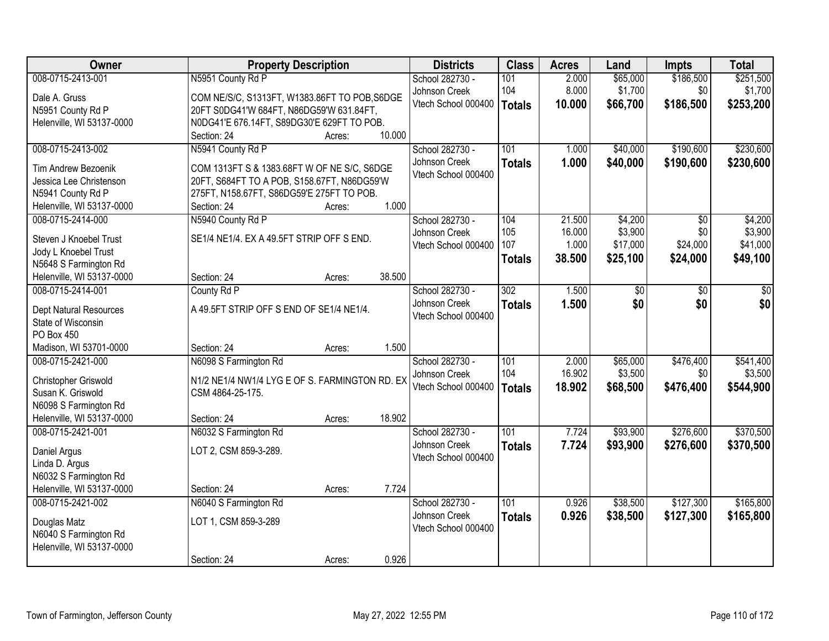| Owner                         | <b>Property Description</b>                    |        | <b>Districts</b>    | <b>Class</b>     | <b>Acres</b> | Land     | Impts     | <b>Total</b> |
|-------------------------------|------------------------------------------------|--------|---------------------|------------------|--------------|----------|-----------|--------------|
| 008-0715-2413-001             | N5951 County Rd P                              |        | School 282730 -     | 101              | 2.000        | \$65,000 | \$186,500 | \$251,500    |
| Dale A. Gruss                 | COM NE/S/C, S1313FT, W1383.86FT TO POB, S6DGE  |        | Johnson Creek       | 104              | 8.000        | \$1,700  | \$0       | \$1,700      |
| N5951 County Rd P             | 20FT S0DG41'W 684FT, N86DG59'W 631.84FT,       |        | Vtech School 000400 | <b>Totals</b>    | 10.000       | \$66,700 | \$186,500 | \$253,200    |
| Helenville, WI 53137-0000     | N0DG41'E 676.14FT, S89DG30'E 629FT TO POB.     |        |                     |                  |              |          |           |              |
|                               | Section: 24<br>Acres:                          | 10.000 |                     |                  |              |          |           |              |
| 008-0715-2413-002             | N5941 County Rd P                              |        | School 282730 -     | 101              | 1.000        | \$40,000 | \$190,600 | \$230,600    |
| Tim Andrew Bezoenik           | COM 1313FT S & 1383.68FT W OF NE S/C, S6DGE    |        | Johnson Creek       | <b>Totals</b>    | 1.000        | \$40,000 | \$190,600 | \$230,600    |
| Jessica Lee Christenson       | 20FT, S684FT TO A POB, S158.67FT, N86DG59'W    |        | Vtech School 000400 |                  |              |          |           |              |
| N5941 County Rd P             | 275FT, N158.67FT, S86DG59'E 275FT TO POB.      |        |                     |                  |              |          |           |              |
| Helenville, WI 53137-0000     | Section: 24<br>Acres:                          | 1.000  |                     |                  |              |          |           |              |
| 008-0715-2414-000             | N5940 County Rd P                              |        | School 282730 -     | 104              | 21.500       | \$4,200  | \$0       | \$4,200      |
|                               |                                                |        | Johnson Creek       | 105              | 16.000       | \$3,900  | \$0       | \$3,900      |
| Steven J Knoebel Trust        | SE1/4 NE1/4. EX A 49.5FT STRIP OFF S END.      |        | Vtech School 000400 | 107              | 1.000        | \$17,000 | \$24,000  | \$41,000     |
| Jody L Knoebel Trust          |                                                |        |                     | <b>Totals</b>    | 38.500       | \$25,100 | \$24,000  | \$49,100     |
| N5648 S Farmington Rd         |                                                |        |                     |                  |              |          |           |              |
| Helenville, WI 53137-0000     | Section: 24<br>Acres:                          | 38.500 |                     |                  |              |          |           |              |
| 008-0715-2414-001             | County Rd P                                    |        | School 282730 -     | $\overline{302}$ | 1.500        | \$0      | \$0       | \$0          |
| <b>Dept Natural Resources</b> | A 49.5FT STRIP OFF S END OF SE1/4 NE1/4.       |        | Johnson Creek       | <b>Totals</b>    | 1.500        | \$0      | \$0       | \$0          |
| State of Wisconsin            |                                                |        | Vtech School 000400 |                  |              |          |           |              |
| PO Box 450                    |                                                |        |                     |                  |              |          |           |              |
| Madison, WI 53701-0000        | Section: 24<br>Acres:                          | 1.500  |                     |                  |              |          |           |              |
| 008-0715-2421-000             | N6098 S Farmington Rd                          |        | School 282730 -     | 101              | 2.000        | \$65,000 | \$476,400 | \$541,400    |
| Christopher Griswold          | N1/2 NE1/4 NW1/4 LYG E OF S. FARMINGTON RD. EX |        | Johnson Creek       | 104              | 16.902       | \$3,500  | \$0       | \$3,500      |
| Susan K. Griswold             | CSM 4864-25-175.                               |        | Vtech School 000400 | <b>Totals</b>    | 18.902       | \$68,500 | \$476,400 | \$544,900    |
| N6098 S Farmington Rd         |                                                |        |                     |                  |              |          |           |              |
| Helenville, WI 53137-0000     | Section: 24<br>Acres:                          | 18.902 |                     |                  |              |          |           |              |
| 008-0715-2421-001             | N6032 S Farmington Rd                          |        | School 282730 -     | $\overline{101}$ | 7.724        | \$93,900 | \$276,600 | \$370,500    |
|                               |                                                |        | Johnson Creek       | <b>Totals</b>    | 7.724        | \$93,900 | \$276,600 | \$370,500    |
| Daniel Argus                  | LOT 2, CSM 859-3-289.                          |        | Vtech School 000400 |                  |              |          |           |              |
| Linda D. Argus                |                                                |        |                     |                  |              |          |           |              |
| N6032 S Farmington Rd         |                                                |        |                     |                  |              |          |           |              |
| Helenville, WI 53137-0000     | Section: 24<br>Acres:                          | 7.724  |                     |                  |              |          |           |              |
| 008-0715-2421-002             | N6040 S Farmington Rd                          |        | School 282730 -     | 101              | 0.926        | \$38,500 | \$127,300 | \$165,800    |
| Douglas Matz                  | LOT 1, CSM 859-3-289                           |        | Johnson Creek       | <b>Totals</b>    | 0.926        | \$38,500 | \$127,300 | \$165,800    |
| N6040 S Farmington Rd         |                                                |        | Vtech School 000400 |                  |              |          |           |              |
| Helenville, WI 53137-0000     |                                                |        |                     |                  |              |          |           |              |
|                               | Section: 24<br>Acres:                          | 0.926  |                     |                  |              |          |           |              |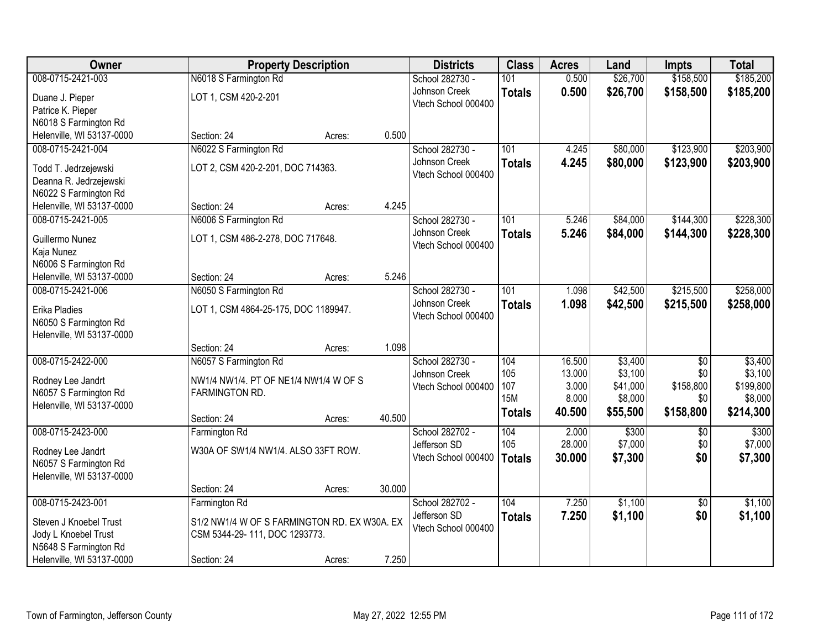| <b>Owner</b>                                       |                                              | <b>Property Description</b> |        | <b>Districts</b>    | <b>Class</b>  | <b>Acres</b> | Land     | <b>Impts</b>    | <b>Total</b> |
|----------------------------------------------------|----------------------------------------------|-----------------------------|--------|---------------------|---------------|--------------|----------|-----------------|--------------|
| 008-0715-2421-003                                  | N6018 S Farmington Rd                        |                             |        | School 282730 -     | 101           | 0.500        | \$26,700 | \$158,500       | \$185,200    |
| Duane J. Pieper                                    | LOT 1, CSM 420-2-201                         |                             |        | Johnson Creek       | <b>Totals</b> | 0.500        | \$26,700 | \$158,500       | \$185,200    |
| Patrice K. Pieper                                  |                                              |                             |        | Vtech School 000400 |               |              |          |                 |              |
| N6018 S Farmington Rd                              |                                              |                             |        |                     |               |              |          |                 |              |
| Helenville, WI 53137-0000                          | Section: 24                                  | Acres:                      | 0.500  |                     |               |              |          |                 |              |
| 008-0715-2421-004                                  | N6022 S Farmington Rd                        |                             |        | School 282730 -     | 101           | 4.245        | \$80,000 | \$123,900       | \$203,900    |
| Todd T. Jedrzejewski                               | LOT 2, CSM 420-2-201, DOC 714363.            |                             |        | Johnson Creek       | <b>Totals</b> | 4.245        | \$80,000 | \$123,900       | \$203,900    |
| Deanna R. Jedrzejewski                             |                                              |                             |        | Vtech School 000400 |               |              |          |                 |              |
| N6022 S Farmington Rd                              |                                              |                             |        |                     |               |              |          |                 |              |
| Helenville, WI 53137-0000                          | Section: 24                                  | Acres:                      | 4.245  |                     |               |              |          |                 |              |
| 008-0715-2421-005                                  | N6006 S Farmington Rd                        |                             |        | School 282730 -     | 101           | 5.246        | \$84,000 | \$144,300       | \$228,300    |
| Guillermo Nunez                                    | LOT 1, CSM 486-2-278, DOC 717648.            |                             |        | Johnson Creek       | <b>Totals</b> | 5.246        | \$84,000 | \$144,300       | \$228,300    |
| Kaja Nunez                                         |                                              |                             |        | Vtech School 000400 |               |              |          |                 |              |
| N6006 S Farmington Rd                              |                                              |                             |        |                     |               |              |          |                 |              |
| Helenville, WI 53137-0000                          | Section: 24                                  | Acres:                      | 5.246  |                     |               |              |          |                 |              |
| 008-0715-2421-006                                  | N6050 S Farmington Rd                        |                             |        | School 282730 -     | 101           | 1.098        | \$42,500 | \$215,500       | \$258,000    |
|                                                    |                                              |                             |        | Johnson Creek       | <b>Totals</b> | 1.098        | \$42,500 | \$215,500       | \$258,000    |
| Erika Pladies                                      | LOT 1, CSM 4864-25-175, DOC 1189947.         |                             |        | Vtech School 000400 |               |              |          |                 |              |
| N6050 S Farmington Rd<br>Helenville, WI 53137-0000 |                                              |                             |        |                     |               |              |          |                 |              |
|                                                    | Section: 24                                  | Acres:                      | 1.098  |                     |               |              |          |                 |              |
| 008-0715-2422-000                                  | N6057 S Farmington Rd                        |                             |        | School 282730 -     | 104           | 16.500       | \$3,400  | $\overline{50}$ | \$3,400      |
|                                                    |                                              |                             |        | Johnson Creek       | 105           | 13.000       | \$3,100  | \$0             | \$3,100      |
| Rodney Lee Jandrt                                  | NW1/4 NW1/4. PT OF NE1/4 NW1/4 W OF S        |                             |        | Vtech School 000400 | 107           | 3.000        | \$41,000 | \$158,800       | \$199,800    |
| N6057 S Farmington Rd<br>Helenville, WI 53137-0000 | FARMINGTON RD.                               |                             |        |                     | <b>15M</b>    | 8.000        | \$8,000  | \$0             | \$8,000      |
|                                                    | Section: 24                                  | Acres:                      | 40.500 |                     | <b>Totals</b> | 40.500       | \$55,500 | \$158,800       | \$214,300    |
| 008-0715-2423-000                                  | Farmington Rd                                |                             |        | School 282702 -     | 104           | 2.000        | \$300    | $\sqrt{6}$      | \$300        |
|                                                    |                                              |                             |        | Jefferson SD        | 105           | 28.000       | \$7,000  | \$0             | \$7,000      |
| Rodney Lee Jandrt                                  | W30A OF SW1/4 NW1/4. ALSO 33FT ROW.          |                             |        | Vtech School 000400 | <b>Totals</b> | 30.000       | \$7,300  | \$0             | \$7,300      |
| N6057 S Farmington Rd                              |                                              |                             |        |                     |               |              |          |                 |              |
| Helenville, WI 53137-0000                          |                                              |                             | 30.000 |                     |               |              |          |                 |              |
| 008-0715-2423-001                                  | Section: 24<br>Farmington Rd                 | Acres:                      |        | School 282702 -     | 104           | 7.250        | \$1,100  | $\overline{50}$ | \$1,100      |
|                                                    |                                              |                             |        | Jefferson SD        |               | 7.250        | \$1,100  | \$0             | \$1,100      |
| Steven J Knoebel Trust                             | S1/2 NW1/4 W OF S FARMINGTON RD. EX W30A. EX |                             |        | Vtech School 000400 | <b>Totals</b> |              |          |                 |              |
| Jody L Knoebel Trust                               | CSM 5344-29-111, DOC 1293773.                |                             |        |                     |               |              |          |                 |              |
| N5648 S Farmington Rd                              |                                              |                             |        |                     |               |              |          |                 |              |
| Helenville, WI 53137-0000                          | Section: 24                                  | Acres:                      | 7.250  |                     |               |              |          |                 |              |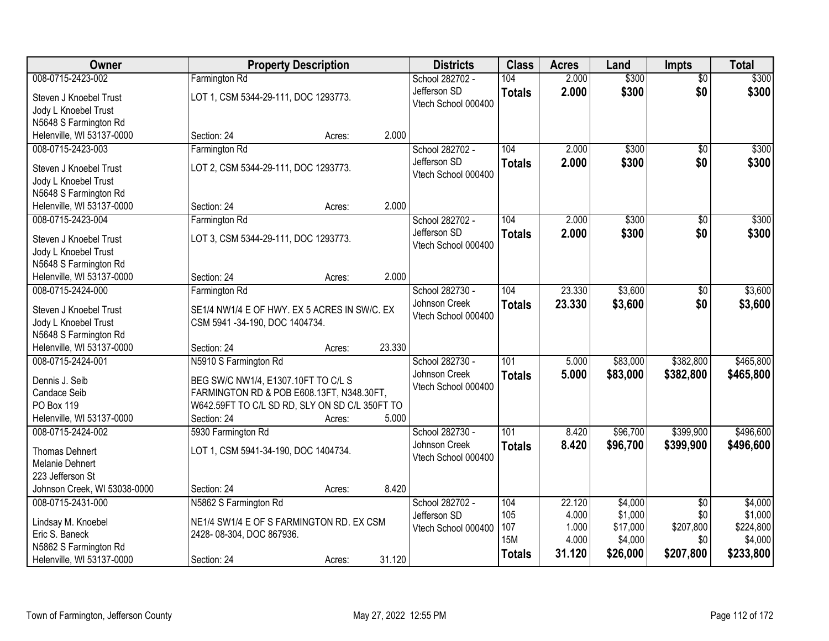| <b>Owner</b>                                   | <b>Property Description</b>                                                                 |                  | <b>Districts</b>    | <b>Class</b>  | <b>Acres</b> | Land     | <b>Impts</b>    | <b>Total</b> |
|------------------------------------------------|---------------------------------------------------------------------------------------------|------------------|---------------------|---------------|--------------|----------|-----------------|--------------|
| 008-0715-2423-002                              | Farmington Rd                                                                               |                  | School 282702 -     | 104           | 2.000        | \$300    | $\overline{50}$ | \$300        |
| Steven J Knoebel Trust                         | LOT 1, CSM 5344-29-111, DOC 1293773.                                                        |                  | Jefferson SD        | <b>Totals</b> | 2.000        | \$300    | \$0             | \$300        |
| Jody L Knoebel Trust                           |                                                                                             |                  | Vtech School 000400 |               |              |          |                 |              |
| N5648 S Farmington Rd                          |                                                                                             |                  |                     |               |              |          |                 |              |
| Helenville, WI 53137-0000                      | Section: 24                                                                                 | 2.000<br>Acres:  |                     |               |              |          |                 |              |
| 008-0715-2423-003                              | Farmington Rd                                                                               |                  | School 282702 -     | 104           | 2.000        | \$300    | $\overline{50}$ | \$300        |
| Steven J Knoebel Trust                         | LOT 2, CSM 5344-29-111, DOC 1293773.                                                        |                  | Jefferson SD        | <b>Totals</b> | 2.000        | \$300    | \$0             | \$300        |
| Jody L Knoebel Trust                           |                                                                                             |                  | Vtech School 000400 |               |              |          |                 |              |
| N5648 S Farmington Rd                          |                                                                                             |                  |                     |               |              |          |                 |              |
| Helenville, WI 53137-0000                      | Section: 24                                                                                 | 2.000<br>Acres:  |                     |               |              |          |                 |              |
| 008-0715-2423-004                              | Farmington Rd                                                                               |                  | School 282702 -     | 104           | 2.000        | \$300    | \$0             | \$300        |
| Steven J Knoebel Trust                         | LOT 3, CSM 5344-29-111, DOC 1293773.                                                        |                  | Jefferson SD        | <b>Totals</b> | 2.000        | \$300    | \$0             | \$300        |
| Jody L Knoebel Trust                           |                                                                                             |                  | Vtech School 000400 |               |              |          |                 |              |
| N5648 S Farmington Rd                          |                                                                                             |                  |                     |               |              |          |                 |              |
| Helenville, WI 53137-0000                      | Section: 24                                                                                 | 2.000<br>Acres:  |                     |               |              |          |                 |              |
| 008-0715-2424-000                              | Farmington Rd                                                                               |                  | School 282730 -     | 104           | 23.330       | \$3,600  | $\sqrt[6]{3}$   | \$3,600      |
|                                                |                                                                                             |                  | Johnson Creek       | <b>Totals</b> | 23.330       | \$3,600  | \$0             | \$3,600      |
| Steven J Knoebel Trust<br>Jody L Knoebel Trust | SE1/4 NW1/4 E OF HWY. EX 5 ACRES IN SW/C. EX<br>CSM 5941-34-190, DOC 1404734.               |                  | Vtech School 000400 |               |              |          |                 |              |
| N5648 S Farmington Rd                          |                                                                                             |                  |                     |               |              |          |                 |              |
| Helenville, WI 53137-0000                      | Section: 24                                                                                 | 23.330<br>Acres: |                     |               |              |          |                 |              |
| 008-0715-2424-001                              | N5910 S Farmington Rd                                                                       |                  | School 282730 -     | 101           | 5.000        | \$83,000 | \$382,800       | \$465,800    |
|                                                |                                                                                             |                  | Johnson Creek       | <b>Totals</b> | 5.000        | \$83,000 | \$382,800       | \$465,800    |
| Dennis J. Seib                                 | BEG SW/C NW1/4, E1307.10FT TO C/L S                                                         |                  | Vtech School 000400 |               |              |          |                 |              |
| Candace Seib<br>PO Box 119                     | FARMINGTON RD & POB E608.13FT, N348.30FT,<br>W642.59FT TO C/L SD RD, SLY ON SD C/L 350FT TO |                  |                     |               |              |          |                 |              |
| Helenville, WI 53137-0000                      | Section: 24                                                                                 | 5.000<br>Acres:  |                     |               |              |          |                 |              |
| 008-0715-2424-002                              | 5930 Farmington Rd                                                                          |                  | School 282730 -     | 101           | 8.420        | \$96,700 | \$399,900       | \$496,600    |
|                                                |                                                                                             |                  | Johnson Creek       | <b>Totals</b> | 8.420        | \$96,700 | \$399,900       | \$496,600    |
| <b>Thomas Dehnert</b>                          | LOT 1, CSM 5941-34-190, DOC 1404734.                                                        |                  | Vtech School 000400 |               |              |          |                 |              |
| Melanie Dehnert<br>223 Jefferson St            |                                                                                             |                  |                     |               |              |          |                 |              |
| Johnson Creek, WI 53038-0000                   | Section: 24                                                                                 | 8.420<br>Acres:  |                     |               |              |          |                 |              |
| 008-0715-2431-000                              | N5862 S Farmington Rd                                                                       |                  | School 282702 -     | 104           | 22.120       | \$4,000  | $\overline{30}$ | \$4,000      |
|                                                |                                                                                             |                  | Jefferson SD        | 105           | 4.000        | \$1,000  | \$0             | \$1,000      |
| Lindsay M. Knoebel                             | NE1/4 SW1/4 E OF S FARMINGTON RD. EX CSM                                                    |                  | Vtech School 000400 | 107           | 1.000        | \$17,000 | \$207,800       | \$224,800    |
| Eric S. Baneck                                 | 2428-08-304, DOC 867936.                                                                    |                  |                     | <b>15M</b>    | 4.000        | \$4,000  | \$0             | \$4,000      |
| N5862 S Farmington Rd                          |                                                                                             |                  |                     | <b>Totals</b> | 31.120       | \$26,000 | \$207,800       | \$233,800    |
| Helenville, WI 53137-0000                      | Section: 24                                                                                 | 31.120<br>Acres: |                     |               |              |          |                 |              |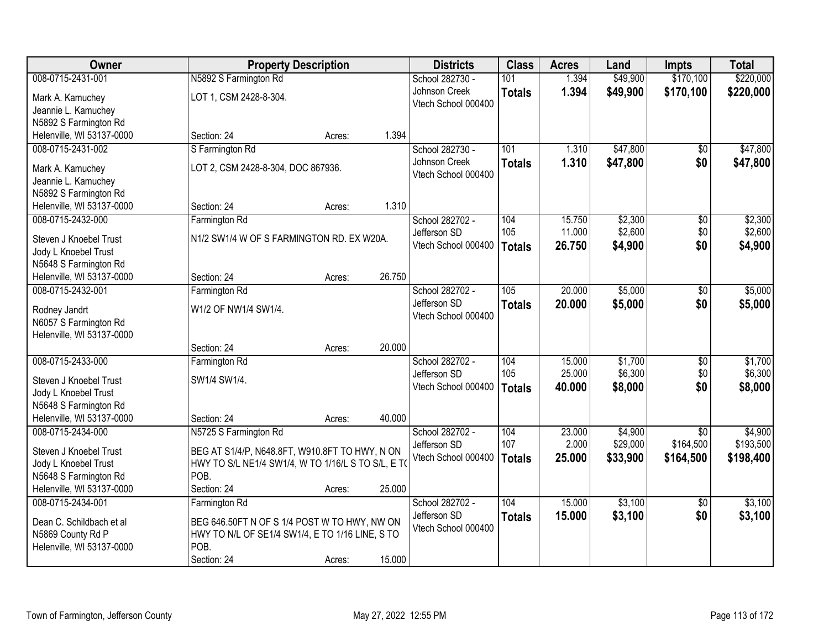| Owner                                        | <b>Property Description</b>                        |        |        | <b>Districts</b>    | <b>Class</b>  | <b>Acres</b> | Land     | <b>Impts</b>    | <b>Total</b> |
|----------------------------------------------|----------------------------------------------------|--------|--------|---------------------|---------------|--------------|----------|-----------------|--------------|
| 008-0715-2431-001                            | N5892 S Farmington Rd                              |        |        | School 282730 -     | 101           | 1.394        | \$49,900 | \$170,100       | \$220,000    |
| Mark A. Kamuchey                             | LOT 1, CSM 2428-8-304.                             |        |        | Johnson Creek       | <b>Totals</b> | 1.394        | \$49,900 | \$170,100       | \$220,000    |
| Jeannie L. Kamuchey                          |                                                    |        |        | Vtech School 000400 |               |              |          |                 |              |
| N5892 S Farmington Rd                        |                                                    |        |        |                     |               |              |          |                 |              |
| Helenville, WI 53137-0000                    | Section: 24                                        | Acres: | 1.394  |                     |               |              |          |                 |              |
| 008-0715-2431-002                            | S Farmington Rd                                    |        |        | School 282730 -     | 101           | 1.310        | \$47,800 | \$0             | \$47,800     |
|                                              |                                                    |        |        | Johnson Creek       | <b>Totals</b> | 1.310        | \$47,800 | \$0             | \$47,800     |
| Mark A. Kamuchey                             | LOT 2, CSM 2428-8-304, DOC 867936.                 |        |        | Vtech School 000400 |               |              |          |                 |              |
| Jeannie L. Kamuchey<br>N5892 S Farmington Rd |                                                    |        |        |                     |               |              |          |                 |              |
| Helenville, WI 53137-0000                    | Section: 24                                        | Acres: | 1.310  |                     |               |              |          |                 |              |
| 008-0715-2432-000                            | Farmington Rd                                      |        |        | School 282702 -     | 104           | 15.750       | \$2,300  | \$0             | \$2,300      |
|                                              |                                                    |        |        | Jefferson SD        | 105           | 11.000       | \$2,600  | \$0             | \$2,600      |
| Steven J Knoebel Trust                       | N1/2 SW1/4 W OF S FARMINGTON RD. EX W20A.          |        |        | Vtech School 000400 | <b>Totals</b> | 26.750       | \$4,900  | \$0             | \$4,900      |
| Jody L Knoebel Trust                         |                                                    |        |        |                     |               |              |          |                 |              |
| N5648 S Farmington Rd                        |                                                    |        |        |                     |               |              |          |                 |              |
| Helenville, WI 53137-0000                    | Section: 24                                        | Acres: | 26.750 |                     |               |              |          |                 |              |
| 008-0715-2432-001                            | Farmington Rd                                      |        |        | School 282702 -     | 105           | 20.000       | \$5,000  | $\sqrt[6]{3}$   | \$5,000      |
| Rodney Jandrt                                | W1/2 OF NW1/4 SW1/4.                               |        |        | Jefferson SD        | <b>Totals</b> | 20.000       | \$5,000  | \$0             | \$5,000      |
| N6057 S Farmington Rd                        |                                                    |        |        | Vtech School 000400 |               |              |          |                 |              |
| Helenville, WI 53137-0000                    |                                                    |        |        |                     |               |              |          |                 |              |
|                                              | Section: 24                                        | Acres: | 20.000 |                     |               |              |          |                 |              |
| 008-0715-2433-000                            | Farmington Rd                                      |        |        | School 282702 -     | 104           | 15.000       | \$1,700  | $\overline{50}$ | \$1,700      |
| Steven J Knoebel Trust                       | SW1/4 SW1/4.                                       |        |        | Jefferson SD        | 105           | 25.000       | \$6,300  | \$0             | \$6,300      |
| Jody L Knoebel Trust                         |                                                    |        |        | Vtech School 000400 | <b>Totals</b> | 40,000       | \$8,000  | \$0             | \$8,000      |
| N5648 S Farmington Rd                        |                                                    |        |        |                     |               |              |          |                 |              |
| Helenville, WI 53137-0000                    | Section: 24                                        | Acres: | 40.000 |                     |               |              |          |                 |              |
| 008-0715-2434-000                            | N5725 S Farmington Rd                              |        |        | School 282702 -     | 104           | 23.000       | \$4,900  | $\overline{50}$ | \$4,900      |
|                                              |                                                    |        |        | Jefferson SD        | 107           | 2.000        | \$29,000 | \$164,500       | \$193,500    |
| Steven J Knoebel Trust                       | BEG AT S1/4/P, N648.8FT, W910.8FT TO HWY, N ON     |        |        | Vtech School 000400 | <b>Totals</b> | 25.000       | \$33,900 | \$164,500       | \$198,400    |
| Jody L Knoebel Trust                         | HWY TO S/L NE1/4 SW1/4, W TO 1/16/L S TO S/L, E T( |        |        |                     |               |              |          |                 |              |
| N5648 S Farmington Rd                        | POB.                                               |        |        |                     |               |              |          |                 |              |
| Helenville, WI 53137-0000                    | Section: 24                                        | Acres: | 25.000 |                     |               |              |          |                 |              |
| 008-0715-2434-001                            | Farmington Rd                                      |        |        | School 282702 -     | 104           | 15.000       | \$3,100  | $\overline{50}$ | \$3,100      |
| Dean C. Schildbach et al                     | BEG 646.50FT N OF S 1/4 POST W TO HWY, NW ON       |        |        | Jefferson SD        | <b>Totals</b> | 15.000       | \$3,100  | \$0             | \$3,100      |
| N5869 County Rd P                            | HWY TO N/L OF SE1/4 SW1/4, E TO 1/16 LINE, S TO    |        |        | Vtech School 000400 |               |              |          |                 |              |
| Helenville, WI 53137-0000                    | POB.                                               |        |        |                     |               |              |          |                 |              |
|                                              | Section: 24                                        | Acres: | 15.000 |                     |               |              |          |                 |              |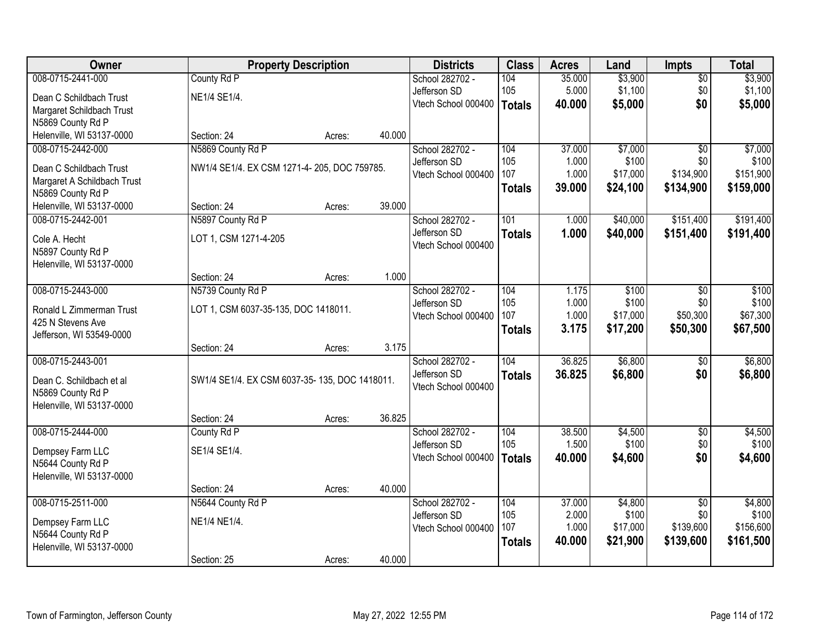| Owner                       |                                               | <b>Property Description</b> |        | <b>Districts</b>    | <b>Class</b>  | <b>Acres</b> | Land     | Impts           | <b>Total</b> |
|-----------------------------|-----------------------------------------------|-----------------------------|--------|---------------------|---------------|--------------|----------|-----------------|--------------|
| 008-0715-2441-000           | County Rd P                                   |                             |        | School 282702 -     | 104           | 35.000       | \$3,900  | $\overline{50}$ | \$3,900      |
| Dean C Schildbach Trust     | NE1/4 SE1/4.                                  |                             |        | Jefferson SD        | 105           | 5.000        | \$1,100  | \$0             | \$1,100      |
| Margaret Schildbach Trust   |                                               |                             |        | Vtech School 000400 | <b>Totals</b> | 40.000       | \$5,000  | \$0             | \$5,000      |
| N5869 County Rd P           |                                               |                             |        |                     |               |              |          |                 |              |
| Helenville, WI 53137-0000   | Section: 24                                   | Acres:                      | 40.000 |                     |               |              |          |                 |              |
| 008-0715-2442-000           | N5869 County Rd P                             |                             |        | School 282702 -     | 104           | 37.000       | \$7,000  | $\overline{50}$ | \$7,000      |
| Dean C Schildbach Trust     | NW1/4 SE1/4. EX CSM 1271-4-205, DOC 759785.   |                             |        | Jefferson SD        | 105           | 1.000        | \$100    | \$0             | \$100        |
| Margaret A Schildbach Trust |                                               |                             |        | Vtech School 000400 | 107           | 1.000        | \$17,000 | \$134,900       | \$151,900    |
| N5869 County Rd P           |                                               |                             |        |                     | <b>Totals</b> | 39.000       | \$24,100 | \$134,900       | \$159,000    |
| Helenville, WI 53137-0000   | Section: 24                                   | Acres:                      | 39.000 |                     |               |              |          |                 |              |
| 008-0715-2442-001           | N5897 County Rd P                             |                             |        | School 282702 -     | 101           | 1.000        | \$40,000 | \$151,400       | \$191,400    |
| Cole A. Hecht               | LOT 1, CSM 1271-4-205                         |                             |        | Jefferson SD        | <b>Totals</b> | 1.000        | \$40,000 | \$151,400       | \$191,400    |
| N5897 County Rd P           |                                               |                             |        | Vtech School 000400 |               |              |          |                 |              |
| Helenville, WI 53137-0000   |                                               |                             |        |                     |               |              |          |                 |              |
|                             | Section: 24                                   | Acres:                      | 1.000  |                     |               |              |          |                 |              |
| 008-0715-2443-000           | N5739 County Rd P                             |                             |        | School 282702 -     | 104           | 1.175        | \$100    | \$0             | \$100        |
| Ronald L Zimmerman Trust    | LOT 1, CSM 6037-35-135, DOC 1418011.          |                             |        | Jefferson SD        | 105           | 1.000        | \$100    | \$0             | \$100        |
| 425 N Stevens Ave           |                                               |                             |        | Vtech School 000400 | 107           | 1.000        | \$17,000 | \$50,300        | \$67,300     |
| Jefferson, WI 53549-0000    |                                               |                             |        |                     | <b>Totals</b> | 3.175        | \$17,200 | \$50,300        | \$67,500     |
|                             | Section: 24                                   | Acres:                      | 3.175  |                     |               |              |          |                 |              |
| 008-0715-2443-001           |                                               |                             |        | School 282702 -     | 104           | 36.825       | \$6,800  | $\overline{50}$ | \$6,800      |
| Dean C. Schildbach et al    | SW1/4 SE1/4. EX CSM 6037-35-135, DOC 1418011. |                             |        | Jefferson SD        | <b>Totals</b> | 36.825       | \$6,800  | \$0             | \$6,800      |
| N5869 County Rd P           |                                               |                             |        | Vtech School 000400 |               |              |          |                 |              |
| Helenville, WI 53137-0000   |                                               |                             |        |                     |               |              |          |                 |              |
|                             | Section: 24                                   | Acres:                      | 36.825 |                     |               |              |          |                 |              |
| 008-0715-2444-000           | County Rd P                                   |                             |        | School 282702 -     | 104           | 38.500       | \$4,500  | $\overline{60}$ | \$4,500      |
| Dempsey Farm LLC            | SE1/4 SE1/4.                                  |                             |        | Jefferson SD        | 105           | 1.500        | \$100    | \$0             | \$100        |
| N5644 County Rd P           |                                               |                             |        | Vtech School 000400 | <b>Totals</b> | 40.000       | \$4,600  | \$0             | \$4,600      |
| Helenville, WI 53137-0000   |                                               |                             |        |                     |               |              |          |                 |              |
|                             | Section: 24                                   | Acres:                      | 40.000 |                     |               |              |          |                 |              |
| 008-0715-2511-000           | N5644 County Rd P                             |                             |        | School 282702 -     | 104           | 37.000       | \$4,800  | $\overline{50}$ | \$4,800      |
| Dempsey Farm LLC            | NE1/4 NE1/4.                                  |                             |        | Jefferson SD        | 105           | 2.000        | \$100    | \$0             | \$100        |
| N5644 County Rd P           |                                               |                             |        | Vtech School 000400 | 107           | 1.000        | \$17,000 | \$139,600       | \$156,600    |
| Helenville, WI 53137-0000   |                                               |                             |        |                     | <b>Totals</b> | 40.000       | \$21,900 | \$139,600       | \$161,500    |
|                             | Section: 25                                   | Acres:                      | 40.000 |                     |               |              |          |                 |              |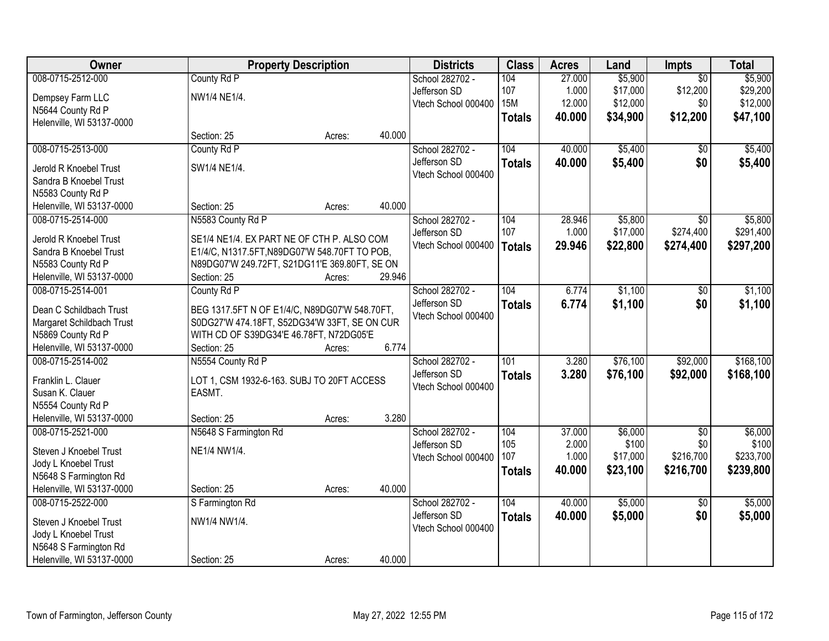| Owner                                         | <b>Property Description</b>                   |        |        | <b>Districts</b>    | <b>Class</b>  | <b>Acres</b> | Land     | <b>Impts</b>    | <b>Total</b> |
|-----------------------------------------------|-----------------------------------------------|--------|--------|---------------------|---------------|--------------|----------|-----------------|--------------|
| 008-0715-2512-000                             | County Rd P                                   |        |        | School 282702 -     | 104           | 27.000       | \$5,900  | $\overline{50}$ | \$5,900      |
| Dempsey Farm LLC                              | NW1/4 NE1/4.                                  |        |        | Jefferson SD        | 107           | 1.000        | \$17,000 | \$12,200        | \$29,200     |
| N5644 County Rd P                             |                                               |        |        | Vtech School 000400 | <b>15M</b>    | 12.000       | \$12,000 | \$0             | \$12,000     |
| Helenville, WI 53137-0000                     |                                               |        |        |                     | <b>Totals</b> | 40.000       | \$34,900 | \$12,200        | \$47,100     |
|                                               | Section: 25                                   | Acres: | 40.000 |                     |               |              |          |                 |              |
| 008-0715-2513-000                             | County Rd P                                   |        |        | School 282702 -     | 104           | 40.000       | \$5,400  | \$0             | \$5,400      |
|                                               |                                               |        |        | Jefferson SD        | <b>Totals</b> | 40.000       | \$5,400  | \$0             | \$5,400      |
| Jerold R Knoebel Trust                        | SW1/4 NE1/4.                                  |        |        | Vtech School 000400 |               |              |          |                 |              |
| Sandra B Knoebel Trust                        |                                               |        |        |                     |               |              |          |                 |              |
| N5583 County Rd P                             |                                               |        |        |                     |               |              |          |                 |              |
| Helenville, WI 53137-0000                     | Section: 25                                   | Acres: | 40.000 |                     |               |              |          |                 |              |
| 008-0715-2514-000                             | N5583 County Rd P                             |        |        | School 282702 -     | 104           | 28.946       | \$5,800  | \$0             | \$5,800      |
| Jerold R Knoebel Trust                        | SE1/4 NE1/4. EX PART NE OF CTH P. ALSO COM    |        |        | Jefferson SD        | 107           | 1.000        | \$17,000 | \$274,400       | \$291,400    |
| Sandra B Knoebel Trust                        | E1/4/C, N1317.5FT, N89DG07'W 548.70FT TO POB, |        |        | Vtech School 000400 | <b>Totals</b> | 29.946       | \$22,800 | \$274,400       | \$297,200    |
| N5583 County Rd P                             | N89DG07'W 249.72FT, S21DG11'E 369.80FT, SE ON |        |        |                     |               |              |          |                 |              |
| Helenville, WI 53137-0000                     | Section: 25                                   | Acres: | 29.946 |                     |               |              |          |                 |              |
| 008-0715-2514-001                             | County Rd P                                   |        |        | School 282702 -     | 104           | 6.774        | \$1,100  | \$0             | \$1,100      |
|                                               |                                               |        |        | Jefferson SD        | <b>Totals</b> | 6.774        | \$1,100  | \$0             | \$1,100      |
| Dean C Schildbach Trust                       | BEG 1317.5FT N OF E1/4/C, N89DG07'W 548.70FT, |        |        | Vtech School 000400 |               |              |          |                 |              |
| Margaret Schildbach Trust                     | S0DG27'W 474.18FT, S52DG34'W 33FT, SE ON CUR  |        |        |                     |               |              |          |                 |              |
| N5869 County Rd P                             | WITH CD OF S39DG34'E 46.78FT, N72DG05'E       |        |        |                     |               |              |          |                 |              |
| Helenville, WI 53137-0000                     | Section: 25                                   | Acres: | 6.774  |                     |               |              |          |                 |              |
| 008-0715-2514-002                             | N5554 County Rd P                             |        |        | School 282702 -     | 101           | 3.280        | \$76,100 | \$92,000        | \$168,100    |
| Franklin L. Clauer                            | LOT 1, CSM 1932-6-163. SUBJ TO 20FT ACCESS    |        |        | Jefferson SD        | <b>Totals</b> | 3.280        | \$76,100 | \$92,000        | \$168,100    |
| Susan K. Clauer                               | EASMT.                                        |        |        | Vtech School 000400 |               |              |          |                 |              |
| N5554 County Rd P                             |                                               |        |        |                     |               |              |          |                 |              |
| Helenville, WI 53137-0000                     | Section: 25                                   | Acres: | 3.280  |                     |               |              |          |                 |              |
| 008-0715-2521-000                             | N5648 S Farmington Rd                         |        |        | School 282702 -     | 104           | 37.000       | \$6,000  | $\overline{50}$ | \$6,000      |
|                                               |                                               |        |        | Jefferson SD        | 105           | 2.000        | \$100    | \$0             | \$100        |
| Steven J Knoebel Trust                        | NE1/4 NW1/4.                                  |        |        | Vtech School 000400 | 107           | 1.000        | \$17,000 | \$216,700       | \$233,700    |
| Jody L Knoebel Trust                          |                                               |        |        |                     | <b>Totals</b> | 40.000       | \$23,100 | \$216,700       | \$239,800    |
| N5648 S Farmington Rd                         |                                               |        |        |                     |               |              |          |                 |              |
| Helenville, WI 53137-0000                     | Section: 25                                   | Acres: | 40.000 |                     |               |              |          |                 |              |
| 008-0715-2522-000                             | S Farmington Rd                               |        |        | School 282702 -     | 104           | 40.000       | \$5,000  | $\overline{50}$ | \$5,000      |
| Steven J Knoebel Trust                        | NW1/4 NW1/4.                                  |        |        | Jefferson SD        | <b>Totals</b> | 40.000       | \$5,000  | \$0             | \$5,000      |
|                                               |                                               |        |        | Vtech School 000400 |               |              |          |                 |              |
| Jody L Knoebel Trust<br>N5648 S Farmington Rd |                                               |        |        |                     |               |              |          |                 |              |
|                                               |                                               |        | 40.000 |                     |               |              |          |                 |              |
| Helenville, WI 53137-0000                     | Section: 25                                   | Acres: |        |                     |               |              |          |                 |              |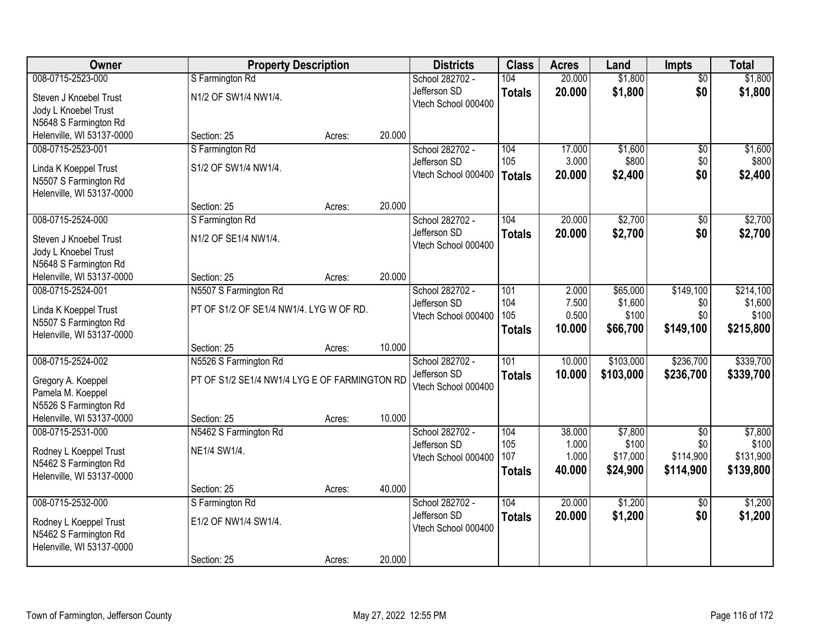| <b>Owner</b>              | <b>Property Description</b>                   |        |        | <b>Districts</b>                    | <b>Class</b>  | <b>Acres</b>   | Land              | <b>Impts</b>     | <b>Total</b>       |
|---------------------------|-----------------------------------------------|--------|--------|-------------------------------------|---------------|----------------|-------------------|------------------|--------------------|
| 008-0715-2523-000         | S Farmington Rd                               |        |        | School 282702 -                     | 104           | 20.000         | \$1,800           | \$0              | \$1,800            |
| Steven J Knoebel Trust    | N1/2 OF SW1/4 NW1/4.                          |        |        | Jefferson SD                        | <b>Totals</b> | 20.000         | \$1,800           | \$0              | \$1,800            |
| Jody L Knoebel Trust      |                                               |        |        | Vtech School 000400                 |               |                |                   |                  |                    |
| N5648 S Farmington Rd     |                                               |        |        |                                     |               |                |                   |                  |                    |
| Helenville, WI 53137-0000 | Section: 25                                   | Acres: | 20.000 |                                     |               |                |                   |                  |                    |
| 008-0715-2523-001         | S Farmington Rd                               |        |        | School 282702 -                     | 104           | 17.000         | \$1,600           | \$0              | \$1,600            |
| Linda K Koeppel Trust     | S1/2 OF SW1/4 NW1/4.                          |        |        | Jefferson SD                        | 105           | 3.000          | \$800             | \$0              | \$800              |
| N5507 S Farmington Rd     |                                               |        |        | Vtech School 000400                 | <b>Totals</b> | 20.000         | \$2,400           | \$0              | \$2,400            |
| Helenville, WI 53137-0000 |                                               |        |        |                                     |               |                |                   |                  |                    |
|                           | Section: 25                                   | Acres: | 20.000 |                                     |               |                |                   |                  |                    |
| 008-0715-2524-000         | S Farmington Rd                               |        |        | School 282702 -                     | 104           | 20.000         | \$2,700           | \$0              | \$2,700            |
| Steven J Knoebel Trust    | N1/2 OF SE1/4 NW1/4.                          |        |        | Jefferson SD                        | <b>Totals</b> | 20.000         | \$2,700           | \$0              | \$2,700            |
| Jody L Knoebel Trust      |                                               |        |        | Vtech School 000400                 |               |                |                   |                  |                    |
| N5648 S Farmington Rd     |                                               |        |        |                                     |               |                |                   |                  |                    |
| Helenville, WI 53137-0000 | Section: 25                                   | Acres: | 20.000 |                                     |               |                |                   |                  |                    |
| 008-0715-2524-001         | N5507 S Farmington Rd                         |        |        | School 282702 -                     | 101           | 2.000          | \$65,000          | \$149,100        | \$214,100          |
| Linda K Koeppel Trust     | PT OF S1/2 OF SE1/4 NW1/4. LYG W OF RD.       |        |        | Jefferson SD                        | 104           | 7.500          | \$1,600           | \$0              | \$1,600            |
| N5507 S Farmington Rd     |                                               |        |        | Vtech School 000400                 | 105           | 0.500          | \$100             | \$0              | \$100              |
| Helenville, WI 53137-0000 |                                               |        |        |                                     | <b>Totals</b> | 10.000         | \$66,700          | \$149,100        | \$215,800          |
|                           | Section: 25                                   | Acres: | 10.000 |                                     |               |                |                   |                  |                    |
| 008-0715-2524-002         | N5526 S Farmington Rd                         |        |        | School 282702 -                     | 101           | 10.000         | \$103,000         | \$236,700        | \$339,700          |
| Gregory A. Koeppel        | PT OF S1/2 SE1/4 NW1/4 LYG E OF FARMINGTON RD |        |        | Jefferson SD                        | <b>Totals</b> | 10.000         | \$103,000         | \$236,700        | \$339,700          |
| Pamela M. Koeppel         |                                               |        |        | Vtech School 000400                 |               |                |                   |                  |                    |
| N5526 S Farmington Rd     |                                               |        |        |                                     |               |                |                   |                  |                    |
| Helenville, WI 53137-0000 | Section: 25                                   | Acres: | 10.000 |                                     |               |                |                   |                  |                    |
| 008-0715-2531-000         | N5462 S Farmington Rd                         |        |        | School 282702 -                     | 104           | 38.000         | \$7,800           | $\overline{50}$  | \$7,800            |
| Rodney L Koeppel Trust    | NE1/4 SW1/4.                                  |        |        | Jefferson SD<br>Vtech School 000400 | 105<br>107    | 1.000<br>1.000 | \$100<br>\$17,000 | \$0<br>\$114,900 | \$100<br>\$131,900 |
| N5462 S Farmington Rd     |                                               |        |        |                                     | <b>Totals</b> | 40.000         | \$24,900          | \$114,900        | \$139,800          |
| Helenville, WI 53137-0000 |                                               |        |        |                                     |               |                |                   |                  |                    |
|                           | Section: 25                                   | Acres: | 40.000 |                                     |               |                |                   |                  |                    |
| 008-0715-2532-000         | S Farmington Rd                               |        |        | School 282702 -                     | 104           | 20.000         | \$1,200           | $\overline{30}$  | \$1,200            |
| Rodney L Koeppel Trust    | E1/2 OF NW1/4 SW1/4.                          |        |        | Jefferson SD<br>Vtech School 000400 | <b>Totals</b> | 20.000         | \$1,200           | \$0              | \$1,200            |
| N5462 S Farmington Rd     |                                               |        |        |                                     |               |                |                   |                  |                    |
| Helenville, WI 53137-0000 |                                               |        |        |                                     |               |                |                   |                  |                    |
|                           | Section: 25                                   | Acres: | 20.000 |                                     |               |                |                   |                  |                    |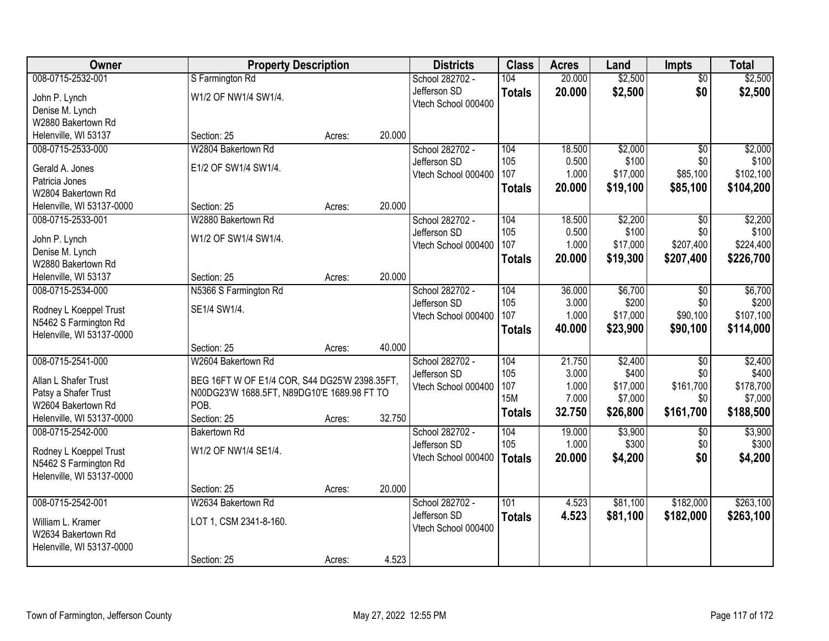| Owner                                      | <b>Property Description</b>                   |        |        | <b>Districts</b>    | <b>Class</b>      | <b>Acres</b>   | Land                | <b>Impts</b>     | <b>Total</b>         |
|--------------------------------------------|-----------------------------------------------|--------|--------|---------------------|-------------------|----------------|---------------------|------------------|----------------------|
| 008-0715-2532-001                          | S Farmington Rd                               |        |        | School 282702 -     | 104               | 20.000         | \$2,500             | $\overline{50}$  | \$2,500              |
| John P. Lynch                              | W1/2 OF NW1/4 SW1/4.                          |        |        | Jefferson SD        | <b>Totals</b>     | 20.000         | \$2,500             | \$0              | \$2,500              |
| Denise M. Lynch                            |                                               |        |        | Vtech School 000400 |                   |                |                     |                  |                      |
| W2880 Bakertown Rd                         |                                               |        |        |                     |                   |                |                     |                  |                      |
| Helenville, WI 53137                       | Section: 25                                   | Acres: | 20.000 |                     |                   |                |                     |                  |                      |
| 008-0715-2533-000                          | W2804 Bakertown Rd                            |        |        | School 282702 -     | 104               | 18.500         | \$2,000             | $\overline{50}$  | \$2,000              |
| Gerald A. Jones                            | E1/2 OF SW1/4 SW1/4.                          |        |        | Jefferson SD        | 105               | 0.500          | \$100               | \$0              | \$100                |
| Patricia Jones                             |                                               |        |        | Vtech School 000400 | 107               | 1.000          | \$17,000            | \$85,100         | \$102,100            |
| W2804 Bakertown Rd                         |                                               |        |        |                     | <b>Totals</b>     | 20.000         | \$19,100            | \$85,100         | \$104,200            |
| Helenville, WI 53137-0000                  | Section: 25                                   | Acres: | 20.000 |                     |                   |                |                     |                  |                      |
| 008-0715-2533-001                          | W2880 Bakertown Rd                            |        |        | School 282702 -     | 104               | 18.500         | \$2,200             | \$0              | \$2,200              |
|                                            |                                               |        |        | Jefferson SD        | 105               | 0.500          | \$100               | \$0              | \$100                |
| John P. Lynch                              | W1/2 OF SW1/4 SW1/4.                          |        |        | Vtech School 000400 | 107               | 1.000          | \$17,000            | \$207,400        | \$224,400            |
| Denise M. Lynch                            |                                               |        |        |                     | <b>Totals</b>     | 20,000         | \$19,300            | \$207,400        | \$226,700            |
| W2880 Bakertown Rd<br>Helenville, WI 53137 | Section: 25                                   | Acres: | 20.000 |                     |                   |                |                     |                  |                      |
| 008-0715-2534-000                          | N5366 S Farmington Rd                         |        |        | School 282702 -     | 104               | 36.000         | \$6,700             | $\sqrt{6}$       | \$6,700              |
|                                            |                                               |        |        | Jefferson SD        | 105               | 3.000          | \$200               | \$0              | \$200                |
| Rodney L Koeppel Trust                     | SE1/4 SW1/4.                                  |        |        | Vtech School 000400 | 107               | 1.000          | \$17,000            | \$90,100         | \$107,100            |
| N5462 S Farmington Rd                      |                                               |        |        |                     | <b>Totals</b>     | 40.000         | \$23,900            | \$90,100         | \$114,000            |
| Helenville, WI 53137-0000                  |                                               |        |        |                     |                   |                |                     |                  |                      |
|                                            | Section: 25                                   | Acres: | 40.000 |                     |                   |                |                     |                  |                      |
| 008-0715-2541-000                          | W2604 Bakertown Rd                            |        |        | School 282702 -     | 104               | 21.750         | \$2,400             | $\overline{50}$  | \$2,400              |
| Allan L Shafer Trust                       | BEG 16FT W OF E1/4 COR, S44 DG25'W 2398.35FT, |        |        | Jefferson SD        | 105               | 3.000          | \$400               | \$0              | \$400                |
| Patsy a Shafer Trust                       | N00DG23'W 1688.5FT, N89DG10'E 1689.98 FT TO   |        |        | Vtech School 000400 | 107<br><b>15M</b> | 1.000<br>7.000 | \$17,000<br>\$7,000 | \$161,700<br>\$0 | \$178,700<br>\$7,000 |
| W2604 Bakertown Rd                         | POB.                                          |        |        |                     |                   |                | \$26,800            |                  |                      |
| Helenville, WI 53137-0000                  | Section: 25                                   | Acres: | 32.750 |                     | <b>Totals</b>     | 32.750         |                     | \$161,700        | \$188,500            |
| 008-0715-2542-000                          | <b>Bakertown Rd</b>                           |        |        | School 282702 -     | 104               | 19.000         | \$3,900             | \$0              | \$3,900              |
| Rodney L Koeppel Trust                     | W1/2 OF NW1/4 SE1/4.                          |        |        | Jefferson SD        | 105               | 1.000          | \$300               | \$0              | \$300                |
| N5462 S Farmington Rd                      |                                               |        |        | Vtech School 000400 | Totals            | 20.000         | \$4,200             | \$0              | \$4,200              |
| Helenville, WI 53137-0000                  |                                               |        |        |                     |                   |                |                     |                  |                      |
|                                            | Section: 25                                   | Acres: | 20.000 |                     |                   |                |                     |                  |                      |
| 008-0715-2542-001                          | W2634 Bakertown Rd                            |        |        | School 282702 -     | 101               | 4.523          | \$81,100            | \$182,000        | \$263,100            |
| William L. Kramer                          | LOT 1, CSM 2341-8-160.                        |        |        | Jefferson SD        | <b>Totals</b>     | 4.523          | \$81,100            | \$182,000        | \$263,100            |
| W2634 Bakertown Rd                         |                                               |        |        | Vtech School 000400 |                   |                |                     |                  |                      |
| Helenville, WI 53137-0000                  |                                               |        |        |                     |                   |                |                     |                  |                      |
|                                            | Section: 25                                   | Acres: | 4.523  |                     |                   |                |                     |                  |                      |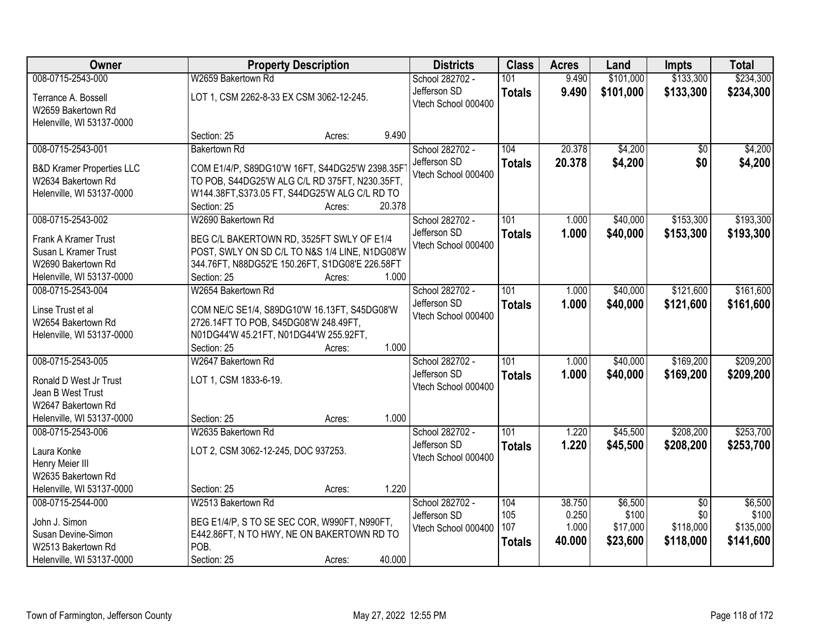| Owner                                                                  |                                                                                                  | <b>Property Description</b> |        | <b>Districts</b>                    | <b>Class</b>         | <b>Acres</b>     | Land               | <b>Impts</b>           | <b>Total</b>       |
|------------------------------------------------------------------------|--------------------------------------------------------------------------------------------------|-----------------------------|--------|-------------------------------------|----------------------|------------------|--------------------|------------------------|--------------------|
| 008-0715-2543-000                                                      | W2659 Bakertown Rd                                                                               |                             |        | School 282702 -                     | 101                  | 9.490            | \$101,000          | \$133,300              | \$234,300          |
| Terrance A. Bossell<br>W2659 Bakertown Rd<br>Helenville, WI 53137-0000 | LOT 1, CSM 2262-8-33 EX CSM 3062-12-245.                                                         |                             |        | Jefferson SD<br>Vtech School 000400 | <b>Totals</b>        | 9.490            | \$101,000          | \$133,300              | \$234,300          |
|                                                                        | Section: 25                                                                                      | Acres:                      | 9.490  |                                     |                      |                  |                    |                        |                    |
| 008-0715-2543-001                                                      | <b>Bakertown Rd</b>                                                                              |                             |        | School 282702 -<br>Jefferson SD     | 104<br><b>Totals</b> | 20.378<br>20.378 | \$4,200<br>\$4,200 | $\overline{50}$<br>\$0 | \$4,200<br>\$4,200 |
| <b>B&amp;D Kramer Properties LLC</b><br>W2634 Bakertown Rd             | COM E1/4/P, S89DG10'W 16FT, S44DG25'W 2398.35F<br>TO POB, S44DG25'W ALG C/L RD 375FT, N230.35FT, |                             |        | Vtech School 000400                 |                      |                  |                    |                        |                    |
| Helenville, WI 53137-0000                                              | W144.38FT, S373.05 FT, S44DG25'W ALG C/L RD TO                                                   |                             |        |                                     |                      |                  |                    |                        |                    |
|                                                                        | Section: 25                                                                                      | Acres:                      | 20.378 |                                     |                      |                  |                    |                        |                    |
| 008-0715-2543-002                                                      | W2690 Bakertown Rd                                                                               |                             |        | School 282702 -                     | 101                  | 1.000            | \$40,000           | \$153,300              | \$193,300          |
| Frank A Kramer Trust                                                   | BEG C/L BAKERTOWN RD, 3525FT SWLY OF E1/4                                                        |                             |        | Jefferson SD                        | <b>Totals</b>        | 1.000            | \$40,000           | \$153,300              | \$193,300          |
| Susan L Kramer Trust                                                   | POST, SWLY ON SD C/L TO N&S 1/4 LINE, N1DG08'W                                                   |                             |        | Vtech School 000400                 |                      |                  |                    |                        |                    |
| W2690 Bakertown Rd                                                     | 344.76FT, N88DG52'E 150.26FT, S1DG08'E 226.58FT                                                  |                             |        |                                     |                      |                  |                    |                        |                    |
| Helenville, WI 53137-0000                                              | Section: 25                                                                                      | Acres:                      | 1.000  |                                     |                      |                  |                    |                        |                    |
| 008-0715-2543-004                                                      | W2654 Bakertown Rd                                                                               |                             |        | School 282702 -                     | 101                  | 1.000            | \$40,000           | \$121,600              | \$161,600          |
| Linse Trust et al                                                      | COM NE/C SE1/4, S89DG10'W 16.13FT, S45DG08'W                                                     |                             |        | Jefferson SD<br>Vtech School 000400 | <b>Totals</b>        | 1.000            | \$40,000           | \$121,600              | \$161,600          |
| W2654 Bakertown Rd                                                     | 2726.14FT TO POB, S45DG08'W 248.49FT,                                                            |                             |        |                                     |                      |                  |                    |                        |                    |
| Helenville, WI 53137-0000                                              | N01DG44'W 45.21FT, N01DG44'W 255.92FT,                                                           |                             |        |                                     |                      |                  |                    |                        |                    |
|                                                                        | Section: 25                                                                                      | Acres:                      | 1.000  |                                     |                      |                  |                    |                        |                    |
| 008-0715-2543-005                                                      | W2647 Bakertown Rd                                                                               |                             |        | School 282702 -                     | 101                  | 1.000            | \$40,000           | \$169,200              | \$209,200          |
| Ronald D West Jr Trust                                                 | LOT 1, CSM 1833-6-19.                                                                            |                             |        | Jefferson SD<br>Vtech School 000400 | <b>Totals</b>        | 1.000            | \$40,000           | \$169,200              | \$209,200          |
| Jean B West Trust                                                      |                                                                                                  |                             |        |                                     |                      |                  |                    |                        |                    |
| W2647 Bakertown Rd                                                     |                                                                                                  |                             |        |                                     |                      |                  |                    |                        |                    |
| Helenville, WI 53137-0000                                              | Section: 25                                                                                      | Acres:                      | 1.000  |                                     |                      |                  |                    |                        |                    |
| 008-0715-2543-006                                                      | W2635 Bakertown Rd                                                                               |                             |        | School 282702 -                     | 101                  | 1.220            | \$45,500           | \$208,200              | \$253,700          |
| Laura Konke                                                            | LOT 2, CSM 3062-12-245, DOC 937253.                                                              |                             |        | Jefferson SD<br>Vtech School 000400 | <b>Totals</b>        | 1.220            | \$45,500           | \$208,200              | \$253,700          |
| Henry Meier III                                                        |                                                                                                  |                             |        |                                     |                      |                  |                    |                        |                    |
| W2635 Bakertown Rd                                                     |                                                                                                  |                             |        |                                     |                      |                  |                    |                        |                    |
| Helenville, WI 53137-0000                                              | Section: 25                                                                                      | Acres:                      | 1.220  |                                     |                      |                  |                    |                        |                    |
| 008-0715-2544-000                                                      | W2513 Bakertown Rd                                                                               |                             |        | School 282702 -                     | 104                  | 38.750           | \$6,500            | $\overline{30}$        | \$6,500            |
| John J. Simon                                                          | BEG E1/4/P, S TO SE SEC COR, W990FT, N990FT,                                                     |                             |        | Jefferson SD                        | 105<br>107           | 0.250<br>1.000   | \$100<br>\$17,000  | \$0<br>\$118,000       | \$100<br>\$135,000 |
| Susan Devine-Simon                                                     | E442.86FT, N TO HWY, NE ON BAKERTOWN RD TO                                                       |                             |        | Vtech School 000400                 |                      | 40.000           | \$23,600           | \$118,000              | \$141,600          |
| W2513 Bakertown Rd                                                     | POB.                                                                                             |                             |        |                                     | <b>Totals</b>        |                  |                    |                        |                    |
| Helenville, WI 53137-0000                                              | Section: 25                                                                                      | Acres:                      | 40.000 |                                     |                      |                  |                    |                        |                    |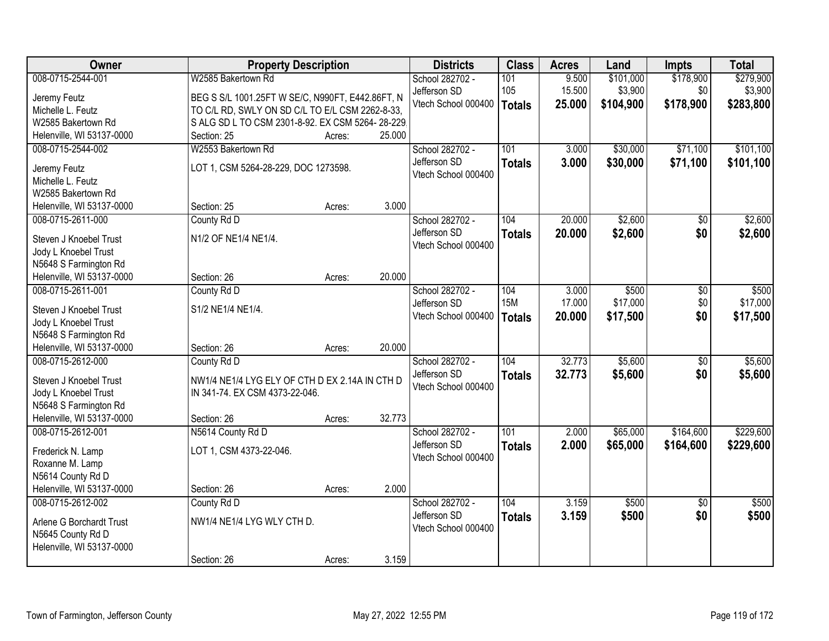| Owner                                          | <b>Property Description</b>                      |        |        | <b>Districts</b>    | <b>Class</b>  | <b>Acres</b> | Land      | <b>Impts</b>    | <b>Total</b> |
|------------------------------------------------|--------------------------------------------------|--------|--------|---------------------|---------------|--------------|-----------|-----------------|--------------|
| 008-0715-2544-001                              | W2585 Bakertown Rd                               |        |        | School 282702 -     | 101           | 9.500        | \$101,000 | \$178,900       | \$279,900    |
| Jeremy Feutz                                   | BEG S S/L 1001.25FT W SE/C, N990FT, E442.86FT, N |        |        | Jefferson SD        | 105           | 15.500       | \$3,900   | \$0             | \$3,900      |
| Michelle L. Feutz                              | TO C/L RD, SWLY ON SD C/L TO E/L CSM 2262-8-33,  |        |        | Vtech School 000400 | <b>Totals</b> | 25.000       | \$104,900 | \$178,900       | \$283,800    |
| W2585 Bakertown Rd                             | S ALG SD L TO CSM 2301-8-92. EX CSM 5264-28-229. |        |        |                     |               |              |           |                 |              |
| Helenville, WI 53137-0000                      | Section: 25                                      | Acres: | 25.000 |                     |               |              |           |                 |              |
| 008-0715-2544-002                              | W2553 Bakertown Rd                               |        |        | School 282702 -     | 101           | 3.000        | \$30,000  | \$71,100        | \$101,100    |
|                                                | LOT 1, CSM 5264-28-229, DOC 1273598.             |        |        | Jefferson SD        | <b>Totals</b> | 3.000        | \$30,000  | \$71,100        | \$101,100    |
| Jeremy Feutz<br>Michelle L. Feutz              |                                                  |        |        | Vtech School 000400 |               |              |           |                 |              |
| W2585 Bakertown Rd                             |                                                  |        |        |                     |               |              |           |                 |              |
| Helenville, WI 53137-0000                      | Section: 25                                      | Acres: | 3.000  |                     |               |              |           |                 |              |
| 008-0715-2611-000                              | County Rd D                                      |        |        | School 282702 -     | 104           | 20.000       | \$2,600   | $\overline{50}$ | \$2,600      |
|                                                |                                                  |        |        | Jefferson SD        | <b>Totals</b> | 20.000       | \$2,600   | \$0             | \$2,600      |
| Steven J Knoebel Trust                         | N1/2 OF NE1/4 NE1/4.                             |        |        | Vtech School 000400 |               |              |           |                 |              |
| Jody L Knoebel Trust                           |                                                  |        |        |                     |               |              |           |                 |              |
| N5648 S Farmington Rd                          |                                                  |        | 20.000 |                     |               |              |           |                 |              |
| Helenville, WI 53137-0000<br>008-0715-2611-001 | Section: 26<br>County Rd D                       | Acres: |        | School 282702 -     | 104           | 3.000        | \$500     |                 | \$500        |
|                                                |                                                  |        |        | Jefferson SD        | <b>15M</b>    | 17.000       | \$17,000  | \$0<br>\$0      | \$17,000     |
| Steven J Knoebel Trust                         | S1/2 NE1/4 NE1/4.                                |        |        | Vtech School 000400 |               | 20.000       | \$17,500  | \$0             | \$17,500     |
| Jody L Knoebel Trust                           |                                                  |        |        |                     | <b>Totals</b> |              |           |                 |              |
| N5648 S Farmington Rd                          |                                                  |        |        |                     |               |              |           |                 |              |
| Helenville, WI 53137-0000                      | Section: 26                                      | Acres: | 20.000 |                     |               |              |           |                 |              |
| 008-0715-2612-000                              | County Rd D                                      |        |        | School 282702 -     | 104           | 32.773       | \$5,600   | $\overline{50}$ | \$5,600      |
| Steven J Knoebel Trust                         | NW1/4 NE1/4 LYG ELY OF CTH D EX 2.14A IN CTH D   |        |        | Jefferson SD        | <b>Totals</b> | 32.773       | \$5,600   | \$0             | \$5,600      |
| Jody L Knoebel Trust                           | IN 341-74. EX CSM 4373-22-046.                   |        |        | Vtech School 000400 |               |              |           |                 |              |
| N5648 S Farmington Rd                          |                                                  |        |        |                     |               |              |           |                 |              |
| Helenville, WI 53137-0000                      | Section: 26                                      | Acres: | 32.773 |                     |               |              |           |                 |              |
| 008-0715-2612-001                              | N5614 County Rd D                                |        |        | School 282702 -     | 101           | 2.000        | \$65,000  | \$164,600       | \$229,600    |
| Frederick N. Lamp                              | LOT 1, CSM 4373-22-046.                          |        |        | Jefferson SD        | <b>Totals</b> | 2.000        | \$65,000  | \$164,600       | \$229,600    |
| Roxanne M. Lamp                                |                                                  |        |        | Vtech School 000400 |               |              |           |                 |              |
| N5614 County Rd D                              |                                                  |        |        |                     |               |              |           |                 |              |
| Helenville, WI 53137-0000                      | Section: 26                                      | Acres: | 2.000  |                     |               |              |           |                 |              |
| 008-0715-2612-002                              | County Rd D                                      |        |        | School 282702 -     | 104           | 3.159        | \$500     | $\overline{50}$ | \$500        |
|                                                |                                                  |        |        | Jefferson SD        | <b>Totals</b> | 3.159        | \$500     | \$0             | \$500        |
| Arlene G Borchardt Trust                       | NW1/4 NE1/4 LYG WLY CTH D.                       |        |        | Vtech School 000400 |               |              |           |                 |              |
| N5645 County Rd D<br>Helenville, WI 53137-0000 |                                                  |        |        |                     |               |              |           |                 |              |
|                                                | Section: 26                                      | Acres: | 3.159  |                     |               |              |           |                 |              |
|                                                |                                                  |        |        |                     |               |              |           |                 |              |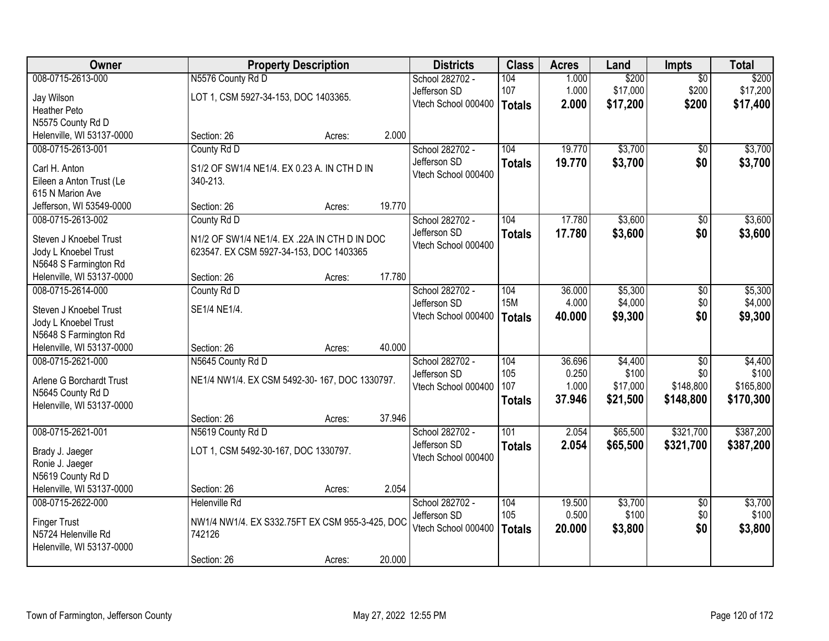| Owner                     |                                                 | <b>Property Description</b> |        | <b>Districts</b>    | <b>Class</b>     | <b>Acres</b> | Land     | <b>Impts</b>    | <b>Total</b> |
|---------------------------|-------------------------------------------------|-----------------------------|--------|---------------------|------------------|--------------|----------|-----------------|--------------|
| 008-0715-2613-000         | N5576 County Rd D                               |                             |        | School 282702 -     | 104              | 1.000        | \$200    | $\overline{50}$ | \$200        |
| Jay Wilson                | LOT 1, CSM 5927-34-153, DOC 1403365.            |                             |        | Jefferson SD        | 107              | 1.000        | \$17,000 | \$200           | \$17,200     |
| <b>Heather Peto</b>       |                                                 |                             |        | Vtech School 000400 | <b>Totals</b>    | 2.000        | \$17,200 | \$200           | \$17,400     |
| N5575 County Rd D         |                                                 |                             |        |                     |                  |              |          |                 |              |
| Helenville, WI 53137-0000 | Section: 26                                     | Acres:                      | 2.000  |                     |                  |              |          |                 |              |
| 008-0715-2613-001         | County Rd D                                     |                             |        | School 282702 -     | 104              | 19.770       | \$3,700  | \$0             | \$3,700      |
| Carl H. Anton             | S1/2 OF SW1/4 NE1/4. EX 0.23 A. IN CTH D IN     |                             |        | Jefferson SD        | <b>Totals</b>    | 19.770       | \$3,700  | \$0             | \$3,700      |
| Eileen a Anton Trust (Le  | 340-213.                                        |                             |        | Vtech School 000400 |                  |              |          |                 |              |
| 615 N Marion Ave          |                                                 |                             |        |                     |                  |              |          |                 |              |
| Jefferson, WI 53549-0000  | Section: 26                                     | Acres:                      | 19.770 |                     |                  |              |          |                 |              |
| 008-0715-2613-002         | County Rd D                                     |                             |        | School 282702 -     | 104              | 17.780       | \$3,600  | \$0             | \$3,600      |
| Steven J Knoebel Trust    | N1/2 OF SW1/4 NE1/4. EX .22A IN CTH D IN DOC    |                             |        | Jefferson SD        | <b>Totals</b>    | 17.780       | \$3,600  | \$0             | \$3,600      |
| Jody L Knoebel Trust      | 623547. EX CSM 5927-34-153, DOC 1403365         |                             |        | Vtech School 000400 |                  |              |          |                 |              |
| N5648 S Farmington Rd     |                                                 |                             |        |                     |                  |              |          |                 |              |
| Helenville, WI 53137-0000 | Section: 26                                     | Acres:                      | 17.780 |                     |                  |              |          |                 |              |
| 008-0715-2614-000         | County Rd D                                     |                             |        | School 282702 -     | 104              | 36.000       | \$5,300  | \$0             | \$5,300      |
| Steven J Knoebel Trust    | SE1/4 NE1/4.                                    |                             |        | Jefferson SD        | <b>15M</b>       | 4.000        | \$4,000  | \$0             | \$4,000      |
| Jody L Knoebel Trust      |                                                 |                             |        | Vtech School 000400 | <b>Totals</b>    | 40.000       | \$9,300  | \$0             | \$9,300      |
| N5648 S Farmington Rd     |                                                 |                             |        |                     |                  |              |          |                 |              |
| Helenville, WI 53137-0000 | Section: 26                                     | Acres:                      | 40.000 |                     |                  |              |          |                 |              |
| 008-0715-2621-000         | N5645 County Rd D                               |                             |        | School 282702 -     | 104              | 36.696       | \$4,400  | $\overline{50}$ | \$4,400      |
| Arlene G Borchardt Trust  | NE1/4 NW1/4. EX CSM 5492-30-167, DOC 1330797.   |                             |        | Jefferson SD        | 105              | 0.250        | \$100    | \$0             | \$100        |
| N5645 County Rd D         |                                                 |                             |        | Vtech School 000400 | 107              | 1.000        | \$17,000 | \$148,800       | \$165,800    |
| Helenville, WI 53137-0000 |                                                 |                             |        |                     | <b>Totals</b>    | 37.946       | \$21,500 | \$148,800       | \$170,300    |
|                           | Section: 26                                     | Acres:                      | 37.946 |                     |                  |              |          |                 |              |
| 008-0715-2621-001         | N5619 County Rd D                               |                             |        | School 282702 -     | $\overline{101}$ | 2.054        | \$65,500 | \$321,700       | \$387,200    |
| Brady J. Jaeger           | LOT 1, CSM 5492-30-167, DOC 1330797.            |                             |        | Jefferson SD        | <b>Totals</b>    | 2.054        | \$65,500 | \$321,700       | \$387,200    |
| Ronie J. Jaeger           |                                                 |                             |        | Vtech School 000400 |                  |              |          |                 |              |
| N5619 County Rd D         |                                                 |                             |        |                     |                  |              |          |                 |              |
| Helenville, WI 53137-0000 | Section: 26                                     | Acres:                      | 2.054  |                     |                  |              |          |                 |              |
| 008-0715-2622-000         | <b>Helenville Rd</b>                            |                             |        | School 282702 -     | 104              | 19.500       | \$3,700  | $\overline{30}$ | \$3,700      |
| <b>Finger Trust</b>       | NW1/4 NW1/4. EX S332.75FT EX CSM 955-3-425, DOC |                             |        | Jefferson SD        | 105              | 0.500        | \$100    | \$0             | \$100        |
| N5724 Helenville Rd       | 742126                                          |                             |        | Vtech School 000400 | <b>Totals</b>    | 20,000       | \$3,800  | \$0             | \$3,800      |
| Helenville, WI 53137-0000 |                                                 |                             |        |                     |                  |              |          |                 |              |
|                           | Section: 26                                     | Acres:                      | 20.000 |                     |                  |              |          |                 |              |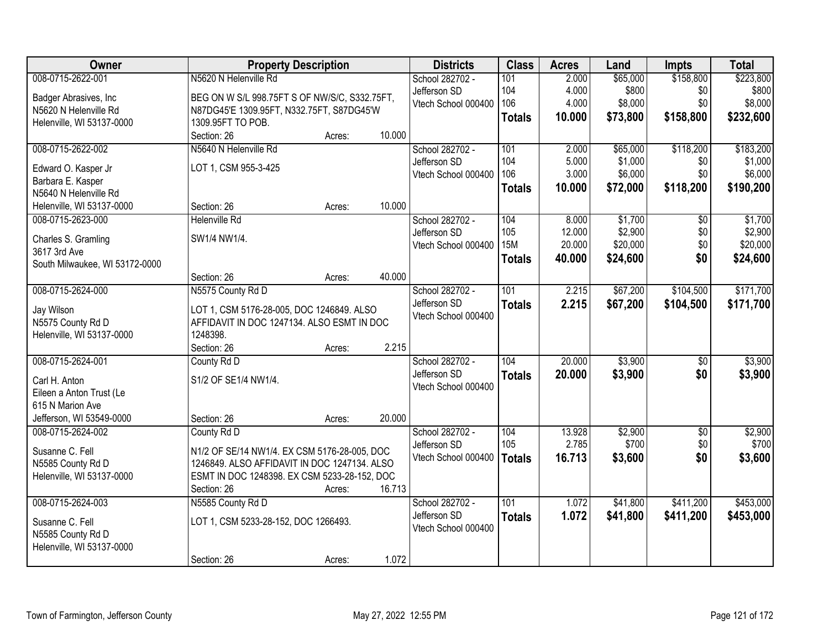| Owner                          | <b>Property Description</b>                   |        |        | <b>Districts</b>    | <b>Class</b>  | <b>Acres</b> | Land     | <b>Impts</b>    | <b>Total</b> |
|--------------------------------|-----------------------------------------------|--------|--------|---------------------|---------------|--------------|----------|-----------------|--------------|
| 008-0715-2622-001              | N5620 N Helenville Rd                         |        |        | School 282702 -     | 101           | 2.000        | \$65,000 | \$158,800       | \$223,800    |
| Badger Abrasives, Inc          | BEG ON W S/L 998.75FT S OF NW/S/C, S332.75FT, |        |        | Jefferson SD        | 104           | 4.000        | \$800    | \$0             | \$800        |
| N5620 N Helenville Rd          | N87DG45'E 1309.95FT, N332.75FT, S87DG45'W     |        |        | Vtech School 000400 | 106           | 4.000        | \$8,000  | \$0             | \$8,000      |
| Helenville, WI 53137-0000      | 1309.95FT TO POB.                             |        |        |                     | <b>Totals</b> | 10.000       | \$73,800 | \$158,800       | \$232,600    |
|                                | Section: 26                                   | Acres: | 10.000 |                     |               |              |          |                 |              |
| 008-0715-2622-002              | N5640 N Helenville Rd                         |        |        | School 282702 -     | 101           | 2.000        | \$65,000 | \$118,200       | \$183,200    |
|                                |                                               |        |        | Jefferson SD        | 104           | 5.000        | \$1,000  | \$0             | \$1,000      |
| Edward O. Kasper Jr            | LOT 1, CSM 955-3-425                          |        |        | Vtech School 000400 | 106           | 3.000        | \$6,000  | \$0             | \$6,000      |
| Barbara E. Kasper              |                                               |        |        |                     | <b>Totals</b> | 10.000       | \$72,000 | \$118,200       | \$190,200    |
| N5640 N Helenville Rd          |                                               |        | 10.000 |                     |               |              |          |                 |              |
| Helenville, WI 53137-0000      | Section: 26                                   | Acres: |        |                     |               |              |          |                 |              |
| 008-0715-2623-000              | <b>Helenville Rd</b>                          |        |        | School 282702 -     | 104           | 8.000        | \$1,700  | \$0             | \$1,700      |
| Charles S. Gramling            | SW1/4 NW1/4.                                  |        |        | Jefferson SD        | 105           | 12.000       | \$2,900  | \$0             | \$2,900      |
| 3617 3rd Ave                   |                                               |        |        | Vtech School 000400 | <b>15M</b>    | 20.000       | \$20,000 | \$0             | \$20,000     |
| South Milwaukee, WI 53172-0000 |                                               |        |        |                     | <b>Totals</b> | 40.000       | \$24,600 | \$0             | \$24,600     |
|                                | Section: 26                                   | Acres: | 40.000 |                     |               |              |          |                 |              |
| 008-0715-2624-000              | N5575 County Rd D                             |        |        | School 282702 -     | 101           | 2.215        | \$67,200 | \$104,500       | \$171,700    |
| Jay Wilson                     | LOT 1, CSM 5176-28-005, DOC 1246849. ALSO     |        |        | Jefferson SD        | <b>Totals</b> | 2.215        | \$67,200 | \$104,500       | \$171,700    |
| N5575 County Rd D              | AFFIDAVIT IN DOC 1247134. ALSO ESMT IN DOC    |        |        | Vtech School 000400 |               |              |          |                 |              |
| Helenville, WI 53137-0000      | 1248398.                                      |        |        |                     |               |              |          |                 |              |
|                                | Section: 26                                   | Acres: | 2.215  |                     |               |              |          |                 |              |
| 008-0715-2624-001              | County Rd D                                   |        |        | School 282702 -     | 104           | 20.000       | \$3,900  | $\overline{50}$ | \$3,900      |
|                                |                                               |        |        | Jefferson SD        | <b>Totals</b> | 20.000       | \$3,900  | \$0             | \$3,900      |
| Carl H. Anton                  | S1/2 OF SE1/4 NW1/4.                          |        |        | Vtech School 000400 |               |              |          |                 |              |
| Eileen a Anton Trust (Le       |                                               |        |        |                     |               |              |          |                 |              |
| 615 N Marion Ave               |                                               |        |        |                     |               |              |          |                 |              |
| Jefferson, WI 53549-0000       | Section: 26                                   | Acres: | 20.000 |                     |               |              |          |                 |              |
| 008-0715-2624-002              | County Rd D                                   |        |        | School 282702 -     | 104           | 13.928       | \$2,900  | $\sqrt{$0}$     | \$2,900      |
| Susanne C. Fell                | N1/2 OF SE/14 NW1/4. EX CSM 5176-28-005, DOC  |        |        | Jefferson SD        | 105           | 2.785        | \$700    | \$0             | \$700        |
| N5585 County Rd D              | 1246849. ALSO AFFIDAVIT IN DOC 1247134. ALSO  |        |        | Vtech School 000400 | <b>Totals</b> | 16.713       | \$3,600  | \$0             | \$3,600      |
| Helenville, WI 53137-0000      | ESMT IN DOC 1248398. EX CSM 5233-28-152, DOC  |        |        |                     |               |              |          |                 |              |
|                                | Section: 26                                   | Acres: | 16.713 |                     |               |              |          |                 |              |
| 008-0715-2624-003              | N5585 County Rd D                             |        |        | School 282702 -     | 101           | 1.072        | \$41,800 | \$411,200       | \$453,000    |
|                                |                                               |        |        | Jefferson SD        | <b>Totals</b> | 1.072        | \$41,800 | \$411,200       | \$453,000    |
| Susanne C. Fell                | LOT 1, CSM 5233-28-152, DOC 1266493.          |        |        | Vtech School 000400 |               |              |          |                 |              |
| N5585 County Rd D              |                                               |        |        |                     |               |              |          |                 |              |
| Helenville, WI 53137-0000      |                                               |        |        |                     |               |              |          |                 |              |
|                                | Section: 26                                   | Acres: | 1.072  |                     |               |              |          |                 |              |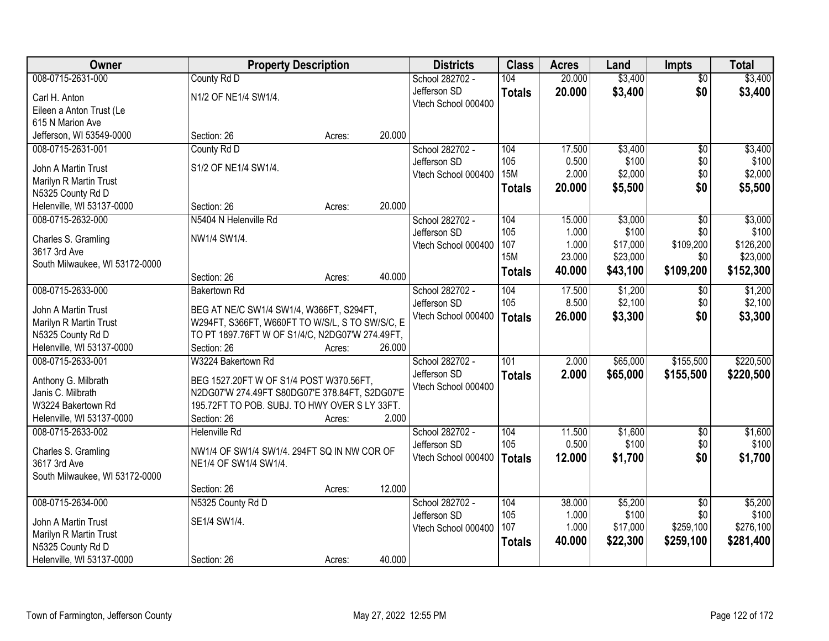| Owner                          | <b>Property Description</b>                     |        |        | <b>Districts</b>                    | <b>Class</b>  | <b>Acres</b>   | Land             | <b>Impts</b>           | <b>Total</b>     |
|--------------------------------|-------------------------------------------------|--------|--------|-------------------------------------|---------------|----------------|------------------|------------------------|------------------|
| 008-0715-2631-000              | County Rd D                                     |        |        | School 282702 -                     | 104           | 20.000         | \$3,400          | $\overline{50}$        | \$3,400          |
| Carl H. Anton                  | N1/2 OF NE1/4 SW1/4.                            |        |        | Jefferson SD                        | <b>Totals</b> | 20.000         | \$3,400          | \$0                    | \$3,400          |
| Eileen a Anton Trust (Le       |                                                 |        |        | Vtech School 000400                 |               |                |                  |                        |                  |
| 615 N Marion Ave               |                                                 |        |        |                                     |               |                |                  |                        |                  |
| Jefferson, WI 53549-0000       | Section: 26                                     | Acres: | 20.000 |                                     |               |                |                  |                        |                  |
| 008-0715-2631-001              | County Rd D                                     |        |        | School 282702 -                     | 104           | 17.500         | \$3,400          | $\overline{50}$        | \$3,400          |
|                                |                                                 |        |        | Jefferson SD                        | 105           | 0.500          | \$100            | \$0                    | \$100            |
| John A Martin Trust            | S1/2 OF NE1/4 SW1/4.                            |        |        | Vtech School 000400                 | <b>15M</b>    | 2.000          | \$2,000          | \$0                    | \$2,000          |
| Marilyn R Martin Trust         |                                                 |        |        |                                     | <b>Totals</b> | 20.000         | \$5,500          | \$0                    | \$5,500          |
| N5325 County Rd D              |                                                 |        | 20.000 |                                     |               |                |                  |                        |                  |
| Helenville, WI 53137-0000      | Section: 26<br>N5404 N Helenville Rd            | Acres: |        |                                     |               |                |                  |                        |                  |
| 008-0715-2632-000              |                                                 |        |        | School 282702 -                     | 104<br>105    | 15.000         | \$3,000<br>\$100 | $\overline{50}$<br>\$0 | \$3,000<br>\$100 |
| Charles S. Gramling            | NW1/4 SW1/4.                                    |        |        | Jefferson SD<br>Vtech School 000400 | 107           | 1.000<br>1.000 | \$17,000         | \$109,200              | \$126,200        |
| 3617 3rd Ave                   |                                                 |        |        |                                     | <b>15M</b>    | 23.000         | \$23,000         | \$0                    | \$23,000         |
| South Milwaukee, WI 53172-0000 |                                                 |        |        |                                     |               | 40.000         | \$43,100         | \$109,200              |                  |
|                                | Section: 26                                     | Acres: | 40.000 |                                     | <b>Totals</b> |                |                  |                        | \$152,300        |
| 008-0715-2633-000              | <b>Bakertown Rd</b>                             |        |        | School 282702 -                     | 104           | 17.500         | \$1,200          | \$0                    | \$1,200          |
| John A Martin Trust            | BEG AT NE/C SW1/4 SW1/4, W366FT, S294FT,        |        |        | Jefferson SD                        | 105           | 8.500          | \$2,100          | \$0                    | \$2,100          |
| Marilyn R Martin Trust         | W294FT, S366FT, W660FT TO W/S/L, S TO SW/S/C, E |        |        | Vtech School 000400                 | <b>Totals</b> | 26.000         | \$3,300          | \$0                    | \$3,300          |
| N5325 County Rd D              | TO PT 1897.76FT W OF S1/4/C, N2DG07'W 274.49FT, |        |        |                                     |               |                |                  |                        |                  |
| Helenville, WI 53137-0000      | Section: 26                                     | Acres: | 26.000 |                                     |               |                |                  |                        |                  |
| 008-0715-2633-001              | W3224 Bakertown Rd                              |        |        |                                     | 101           | 2.000          | \$65,000         | \$155,500              | \$220,500        |
|                                |                                                 |        |        | School 282702 -<br>Jefferson SD     |               | 2.000          |                  |                        |                  |
| Anthony G. Milbrath            | BEG 1527.20FT W OF S1/4 POST W370.56FT,         |        |        | Vtech School 000400                 | <b>Totals</b> |                | \$65,000         | \$155,500              | \$220,500        |
| Janis C. Milbrath              | N2DG07'W 274.49FT S80DG07'E 378.84FT, S2DG07'E  |        |        |                                     |               |                |                  |                        |                  |
| W3224 Bakertown Rd             | 195.72FT TO POB. SUBJ. TO HWY OVER S LY 33FT.   |        |        |                                     |               |                |                  |                        |                  |
| Helenville, WI 53137-0000      | Section: 26                                     | Acres: | 2.000  |                                     |               |                |                  |                        |                  |
| 008-0715-2633-002              | Helenville Rd                                   |        |        | School 282702 -                     | 104           | 11.500         | \$1,600          | $\sqrt{6}$             | \$1,600          |
| Charles S. Gramling            | NW1/4 OF SW1/4 SW1/4. 294FT SQ IN NW COR OF     |        |        | Jefferson SD                        | 105           | 0.500          | \$100            | \$0                    | \$100            |
| 3617 3rd Ave                   | NE1/4 OF SW1/4 SW1/4.                           |        |        | Vtech School 000400                 | <b>Totals</b> | 12.000         | \$1,700          | \$0                    | \$1,700          |
| South Milwaukee, WI 53172-0000 |                                                 |        |        |                                     |               |                |                  |                        |                  |
|                                | Section: 26                                     | Acres: | 12.000 |                                     |               |                |                  |                        |                  |
| 008-0715-2634-000              | N5325 County Rd D                               |        |        | School 282702 -                     | 104           | 38.000         | \$5,200          | $\overline{50}$        | \$5,200          |
|                                |                                                 |        |        | Jefferson SD                        | 105           | 1.000          | \$100            | \$0                    | \$100            |
| John A Martin Trust            | SE1/4 SW1/4.                                    |        |        | Vtech School 000400                 | 107           | 1.000          | \$17,000         | \$259,100              | \$276,100        |
| Marilyn R Martin Trust         |                                                 |        |        |                                     | <b>Totals</b> | 40.000         | \$22,300         | \$259,100              | \$281,400        |
| N5325 County Rd D              |                                                 |        |        |                                     |               |                |                  |                        |                  |
| Helenville, WI 53137-0000      | Section: 26                                     | Acres: | 40.000 |                                     |               |                |                  |                        |                  |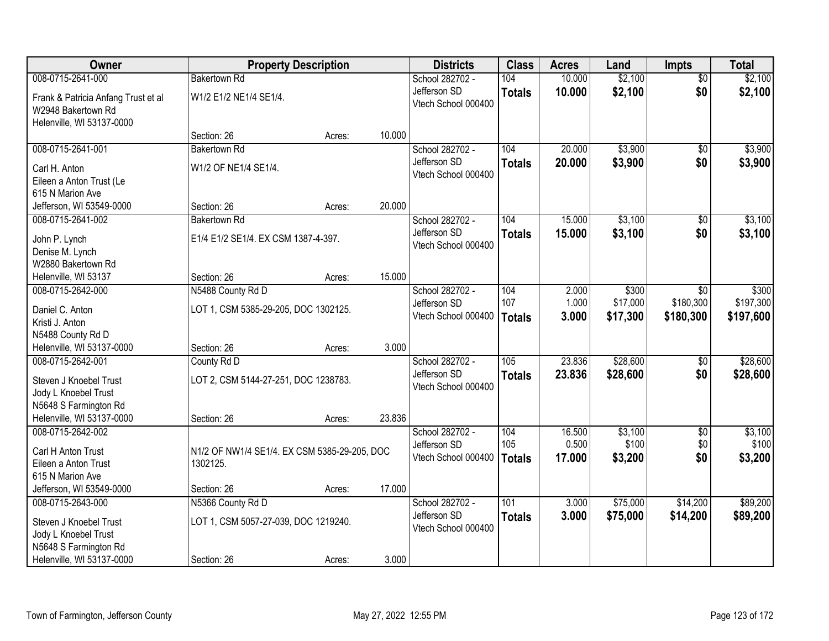| Owner                                          | <b>Property Description</b>                  |        | <b>Districts</b> | <b>Class</b>                        | <b>Acres</b>  | Land   | <b>Impts</b> | <b>Total</b>    |           |
|------------------------------------------------|----------------------------------------------|--------|------------------|-------------------------------------|---------------|--------|--------------|-----------------|-----------|
| 008-0715-2641-000                              | <b>Bakertown Rd</b>                          |        |                  | School 282702 -                     | 104           | 10.000 | \$2,100      | $\overline{30}$ | \$2,100   |
| Frank & Patricia Anfang Trust et al            | W1/2 E1/2 NE1/4 SE1/4.                       |        |                  | Jefferson SD<br>Vtech School 000400 | <b>Totals</b> | 10.000 | \$2,100      | \$0             | \$2,100   |
| W2948 Bakertown Rd                             |                                              |        |                  |                                     |               |        |              |                 |           |
| Helenville, WI 53137-0000                      |                                              |        |                  |                                     |               |        |              |                 |           |
|                                                | Section: 26                                  | Acres: | 10.000           |                                     |               |        |              |                 |           |
| 008-0715-2641-001                              | <b>Bakertown Rd</b>                          |        |                  | School 282702 -                     | 104           | 20.000 | \$3,900      | $\overline{50}$ | \$3,900   |
| Carl H. Anton                                  | W1/2 OF NE1/4 SE1/4.                         |        |                  | Jefferson SD<br>Vtech School 000400 | <b>Totals</b> | 20.000 | \$3,900      | \$0             | \$3,900   |
| Eileen a Anton Trust (Le                       |                                              |        |                  |                                     |               |        |              |                 |           |
| 615 N Marion Ave                               |                                              |        |                  |                                     |               |        |              |                 |           |
| Jefferson, WI 53549-0000                       | Section: 26                                  | Acres: | 20.000           |                                     |               |        |              |                 |           |
| 008-0715-2641-002                              | <b>Bakertown Rd</b>                          |        |                  | School 282702 -                     | 104           | 15.000 | \$3,100      | \$0             | \$3,100   |
| John P. Lynch                                  | E1/4 E1/2 SE1/4. EX CSM 1387-4-397.          |        |                  | Jefferson SD                        | <b>Totals</b> | 15.000 | \$3,100      | \$0             | \$3,100   |
| Denise M. Lynch                                |                                              |        |                  | Vtech School 000400                 |               |        |              |                 |           |
| W2880 Bakertown Rd                             |                                              |        |                  |                                     |               |        |              |                 |           |
| Helenville, WI 53137                           | Section: 26                                  | Acres: | 15.000           |                                     |               |        |              |                 |           |
| 008-0715-2642-000                              | N5488 County Rd D                            |        |                  | School 282702 -                     | 104           | 2.000  | \$300        | $\overline{50}$ | \$300     |
| Daniel C. Anton                                | LOT 1, CSM 5385-29-205, DOC 1302125.         |        |                  | Jefferson SD                        | 107           | 1.000  | \$17,000     | \$180,300       | \$197,300 |
| Kristi J. Anton                                |                                              |        |                  | Vtech School 000400                 | <b>Totals</b> | 3.000  | \$17,300     | \$180,300       | \$197,600 |
| N5488 County Rd D                              |                                              |        |                  |                                     |               |        |              |                 |           |
| Helenville, WI 53137-0000                      | Section: 26                                  | Acres: | 3.000            |                                     |               |        |              |                 |           |
| 008-0715-2642-001                              | County Rd D                                  |        |                  | School 282702 -                     | 105           | 23.836 | \$28,600     | $\overline{50}$ | \$28,600  |
|                                                |                                              |        |                  | Jefferson SD                        | <b>Totals</b> | 23.836 | \$28,600     | \$0             | \$28,600  |
| Steven J Knoebel Trust<br>Jody L Knoebel Trust | LOT 2, CSM 5144-27-251, DOC 1238783.         |        |                  | Vtech School 000400                 |               |        |              |                 |           |
| N5648 S Farmington Rd                          |                                              |        |                  |                                     |               |        |              |                 |           |
| Helenville, WI 53137-0000                      | Section: 26                                  | Acres: | 23.836           |                                     |               |        |              |                 |           |
| 008-0715-2642-002                              |                                              |        |                  | School 282702 -                     | 104           | 16.500 | \$3,100      | $\overline{50}$ | \$3,100   |
|                                                |                                              |        |                  | Jefferson SD                        | 105           | 0.500  | \$100        | \$0             | \$100     |
| Carl H Anton Trust                             | N1/2 OF NW1/4 SE1/4. EX CSM 5385-29-205, DOC |        |                  | Vtech School 000400                 | <b>Totals</b> | 17.000 | \$3,200      | \$0             | \$3,200   |
| Eileen a Anton Trust                           | 1302125.                                     |        |                  |                                     |               |        |              |                 |           |
| 615 N Marion Ave<br>Jefferson, WI 53549-0000   | Section: 26                                  |        | 17.000           |                                     |               |        |              |                 |           |
| 008-0715-2643-000                              | N5366 County Rd D                            | Acres: |                  | School 282702 -                     | 101           | 3.000  | \$75,000     | \$14,200        | \$89,200  |
|                                                |                                              |        |                  | Jefferson SD                        | <b>Totals</b> | 3.000  | \$75,000     | \$14,200        | \$89,200  |
| Steven J Knoebel Trust                         | LOT 1, CSM 5057-27-039, DOC 1219240.         |        |                  | Vtech School 000400                 |               |        |              |                 |           |
| Jody L Knoebel Trust                           |                                              |        |                  |                                     |               |        |              |                 |           |
| N5648 S Farmington Rd                          |                                              |        |                  |                                     |               |        |              |                 |           |
| Helenville, WI 53137-0000                      | Section: 26                                  | Acres: | 3.000            |                                     |               |        |              |                 |           |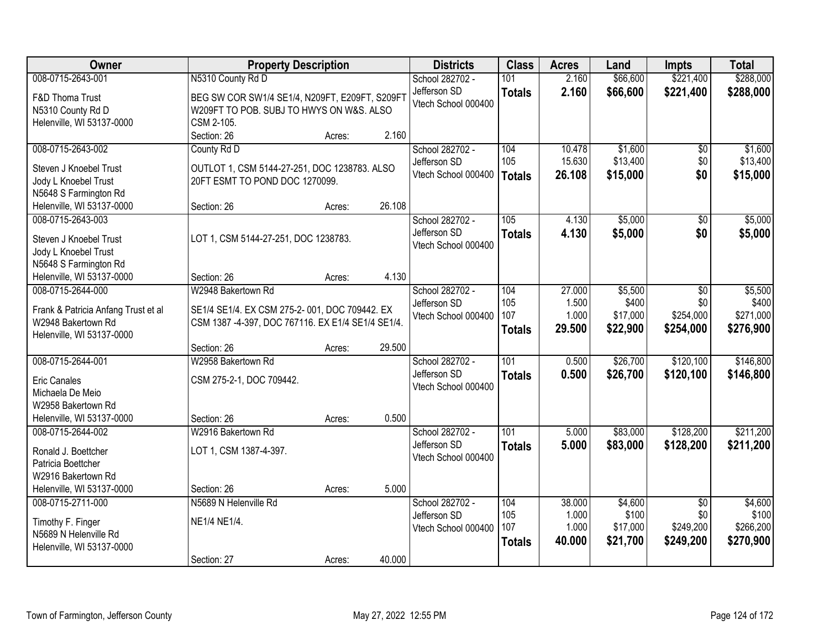| Owner                               | <b>Property Description</b>                       |        |        | <b>Districts</b>                | <b>Class</b>  | <b>Acres</b> | Land     | <b>Impts</b>    | <b>Total</b> |
|-------------------------------------|---------------------------------------------------|--------|--------|---------------------------------|---------------|--------------|----------|-----------------|--------------|
| 008-0715-2643-001                   | N5310 County Rd D                                 |        |        | School 282702 -                 | 101           | 2.160        | \$66,600 | \$221,400       | \$288,000    |
| F&D Thoma Trust                     | BEG SW COR SW1/4 SE1/4, N209FT, E209FT, S209FT    |        |        | Jefferson SD                    | <b>Totals</b> | 2.160        | \$66,600 | \$221,400       | \$288,000    |
| N5310 County Rd D                   | W209FT TO POB. SUBJ TO HWYS ON W&S. ALSO          |        |        | Vtech School 000400             |               |              |          |                 |              |
| Helenville, WI 53137-0000           | CSM 2-105.                                        |        |        |                                 |               |              |          |                 |              |
|                                     | Section: 26                                       | Acres: | 2.160  |                                 |               |              |          |                 |              |
| 008-0715-2643-002                   | County Rd D                                       |        |        | School 282702 -                 | 104           | 10.478       | \$1,600  | \$0             | \$1,600      |
| Steven J Knoebel Trust              | OUTLOT 1, CSM 5144-27-251, DOC 1238783. ALSO      |        |        | Jefferson SD                    | 105           | 15.630       | \$13,400 | \$0             | \$13,400     |
| Jody L Knoebel Trust                | 20FT ESMT TO POND DOC 1270099.                    |        |        | Vtech School 000400             | <b>Totals</b> | 26.108       | \$15,000 | \$0             | \$15,000     |
| N5648 S Farmington Rd               |                                                   |        |        |                                 |               |              |          |                 |              |
| Helenville, WI 53137-0000           | Section: 26                                       | Acres: | 26.108 |                                 |               |              |          |                 |              |
| 008-0715-2643-003                   |                                                   |        |        | School 282702 -                 | 105           | 4.130        | \$5,000  | $\overline{50}$ | \$5,000      |
| Steven J Knoebel Trust              | LOT 1, CSM 5144-27-251, DOC 1238783.              |        |        | Jefferson SD                    | <b>Totals</b> | 4.130        | \$5,000  | \$0             | \$5,000      |
| Jody L Knoebel Trust                |                                                   |        |        | Vtech School 000400             |               |              |          |                 |              |
| N5648 S Farmington Rd               |                                                   |        |        |                                 |               |              |          |                 |              |
| Helenville, WI 53137-0000           | Section: 26                                       | Acres: | 4.130  |                                 |               |              |          |                 |              |
| 008-0715-2644-000                   | W2948 Bakertown Rd                                |        |        | School 282702 -                 | 104           | 27.000       | \$5,500  | \$0             | \$5,500      |
|                                     |                                                   |        |        | Jefferson SD                    | 105           | 1.500        | \$400    | \$0             | \$400        |
| Frank & Patricia Anfang Trust et al | SE1/4 SE1/4. EX CSM 275-2-001, DOC 709442. EX     |        |        | Vtech School 000400             | 107           | 1.000        | \$17,000 | \$254,000       | \$271,000    |
| W2948 Bakertown Rd                  | CSM 1387 -4-397, DOC 767116. EX E1/4 SE1/4 SE1/4. |        |        |                                 | <b>Totals</b> | 29.500       | \$22,900 | \$254,000       | \$276,900    |
| Helenville, WI 53137-0000           |                                                   |        |        |                                 |               |              |          |                 |              |
|                                     | Section: 26<br>W2958 Bakertown Rd                 | Acres: | 29.500 |                                 | 101           | 0.500        | \$26,700 | \$120,100       | \$146,800    |
| 008-0715-2644-001                   |                                                   |        |        | School 282702 -<br>Jefferson SD |               |              |          |                 |              |
| <b>Eric Canales</b>                 | CSM 275-2-1, DOC 709442.                          |        |        | Vtech School 000400             | <b>Totals</b> | 0.500        | \$26,700 | \$120,100       | \$146,800    |
| Michaela De Meio                    |                                                   |        |        |                                 |               |              |          |                 |              |
| W2958 Bakertown Rd                  |                                                   |        |        |                                 |               |              |          |                 |              |
| Helenville, WI 53137-0000           | Section: 26                                       | Acres: | 0.500  |                                 |               |              |          |                 |              |
| 008-0715-2644-002                   | W2916 Bakertown Rd                                |        |        | School 282702 -                 | 101           | 5.000        | \$83,000 | \$128,200       | \$211,200    |
| Ronald J. Boettcher                 | LOT 1, CSM 1387-4-397.                            |        |        | Jefferson SD                    | <b>Totals</b> | 5.000        | \$83,000 | \$128,200       | \$211,200    |
| Patricia Boettcher                  |                                                   |        |        | Vtech School 000400             |               |              |          |                 |              |
| W2916 Bakertown Rd                  |                                                   |        |        |                                 |               |              |          |                 |              |
| Helenville, WI 53137-0000           | Section: 26                                       | Acres: | 5.000  |                                 |               |              |          |                 |              |
| 008-0715-2711-000                   | N5689 N Helenville Rd                             |        |        | School 282702 -                 | 104           | 38.000       | \$4,600  | $\overline{50}$ | \$4,600      |
| Timothy F. Finger                   | NE1/4 NE1/4.                                      |        |        | Jefferson SD                    | 105           | 1.000        | \$100    | \$0             | \$100        |
| N5689 N Helenville Rd               |                                                   |        |        | Vtech School 000400             | 107           | 1.000        | \$17,000 | \$249,200       | \$266,200    |
| Helenville, WI 53137-0000           |                                                   |        |        |                                 | <b>Totals</b> | 40.000       | \$21,700 | \$249,200       | \$270,900    |
|                                     | Section: 27                                       | Acres: | 40.000 |                                 |               |              |          |                 |              |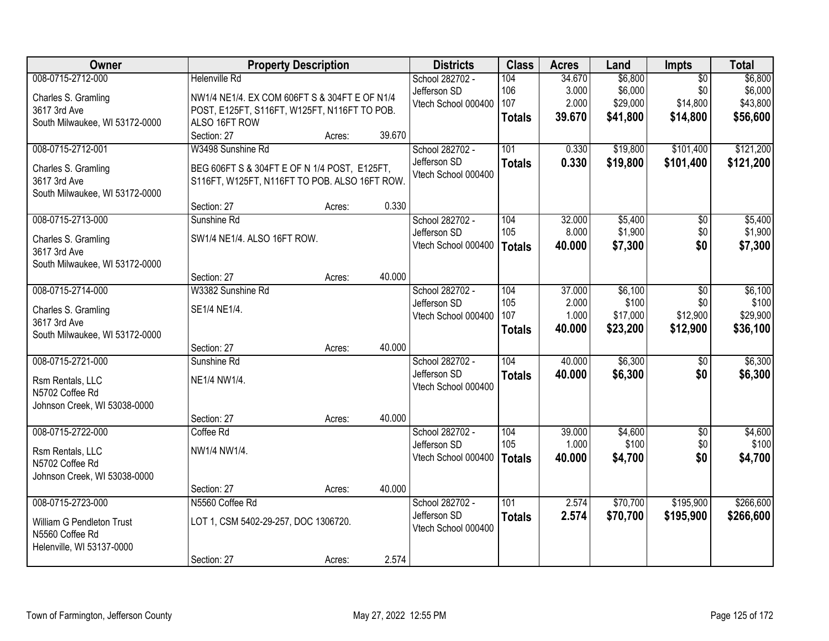| 008-0715-2712-000<br>\$6,800<br><b>Helenville Rd</b><br>School 282702 -<br>104<br>34.670<br>$\overline{50}$                          | \$6,800   |
|--------------------------------------------------------------------------------------------------------------------------------------|-----------|
| \$6,000<br>3.000<br>\$0<br>Jefferson SD<br>106<br>Charles S. Gramling<br>NW1/4 NE1/4. EX COM 606FT S & 304FT E OF N1/4               | \$6,000   |
| \$14,800<br>107<br>2.000<br>\$29,000<br>Vtech School 000400<br>3617 3rd Ave<br>POST, E125FT, S116FT, W125FT, N116FT TO POB.          | \$43,800  |
| 39.670<br>\$41,800<br>\$14,800<br><b>Totals</b><br>South Milwaukee, WI 53172-0000<br>ALSO 16FT ROW                                   | \$56,600  |
| 39.670<br>Section: 27<br>Acres:                                                                                                      |           |
| 008-0715-2712-001<br>101<br>\$19,800<br>\$101,400<br>W3498 Sunshine Rd<br>School 282702 -<br>0.330                                   | \$121,200 |
| 0.330<br>Jefferson SD<br>\$19,800<br>\$101,400<br><b>Totals</b>                                                                      | \$121,200 |
| Charles S. Gramling<br>BEG 606FT S & 304FT E OF N 1/4 POST, E125FT,<br>Vtech School 000400<br>3617 3rd Ave                           |           |
| S116FT, W125FT, N116FT TO POB. ALSO 16FT ROW.<br>South Milwaukee, WI 53172-0000                                                      |           |
| Section: 27<br>0.330<br>Acres:                                                                                                       |           |
| 008-0715-2713-000<br>\$5,400<br>Sunshine Rd<br>School 282702 -<br>104<br>32.000<br>\$0                                               | \$5,400   |
| 105<br>\$1,900<br>\$0<br>8.000<br>Jefferson SD                                                                                       | \$1,900   |
| SW1/4 NE1/4. ALSO 16FT ROW.<br>Charles S. Gramling<br>Vtech School 000400<br>\$7,300<br>\$0<br>40.000<br><b>Totals</b>               | \$7,300   |
| 3617 3rd Ave                                                                                                                         |           |
| South Milwaukee, WI 53172-0000<br>40.000<br>Section: 27<br>Acres:                                                                    |           |
| 008-0715-2714-000<br>37.000<br>\$6,100<br>W3382 Sunshine Rd<br>School 282702 -<br>104<br>\$0                                         | \$6,100   |
| 105<br>2.000<br>\$100<br>\$0<br>Jefferson SD                                                                                         | \$100     |
| SE1/4 NE1/4.<br>Charles S. Gramling<br>1.000<br>\$17,000<br>\$12,900<br>107<br>Vtech School 000400                                   | \$29,900  |
| 3617 3rd Ave<br>\$23,200<br>40.000<br>\$12,900<br><b>Totals</b>                                                                      | \$36,100  |
| South Milwaukee, WI 53172-0000                                                                                                       |           |
| 40.000<br>Section: 27<br>Acres:                                                                                                      |           |
| 008-0715-2721-000<br>104<br>\$6,300<br>Sunshine Rd<br>40.000<br>\$0<br>School 282702 -                                               | \$6,300   |
| \$6,300<br>Jefferson SD<br>40.000<br>\$0<br><b>Totals</b><br>NE1/4 NW1/4.<br>Rsm Rentals, LLC                                        | \$6,300   |
| Vtech School 000400<br>N5702 Coffee Rd                                                                                               |           |
| Johnson Creek, WI 53038-0000                                                                                                         |           |
| 40.000<br>Section: 27<br>Acres:                                                                                                      |           |
| 008-0715-2722-000<br>School 282702 -<br>104<br>39.000<br>\$4,600<br>$\overline{50}$<br>Coffee Rd                                     | \$4,600   |
| \$100<br>\$0<br>105<br>1.000<br>Jefferson SD<br>NW1/4 NW1/4.<br>Rsm Rentals, LLC                                                     | \$100     |
| Vtech School 000400<br>\$4,700<br>\$0<br>40.000<br><b>Totals</b><br>N5702 Coffee Rd                                                  | \$4,700   |
| Johnson Creek, WI 53038-0000                                                                                                         |           |
| 40.000<br>Section: 27<br>Acres:                                                                                                      |           |
| 008-0715-2723-000<br>\$195,900<br>N5560 Coffee Rd<br>School 282702 -<br>101<br>2.574<br>\$70,700                                     | \$266,600 |
| Jefferson SD<br>2.574<br>\$70,700<br>\$195,900<br><b>Totals</b><br>LOT 1, CSM 5402-29-257, DOC 1306720.<br>William G Pendleton Trust | \$266,600 |
| Vtech School 000400<br>N5560 Coffee Rd                                                                                               |           |
| Helenville, WI 53137-0000                                                                                                            |           |
| 2.574<br>Section: 27<br>Acres:                                                                                                       |           |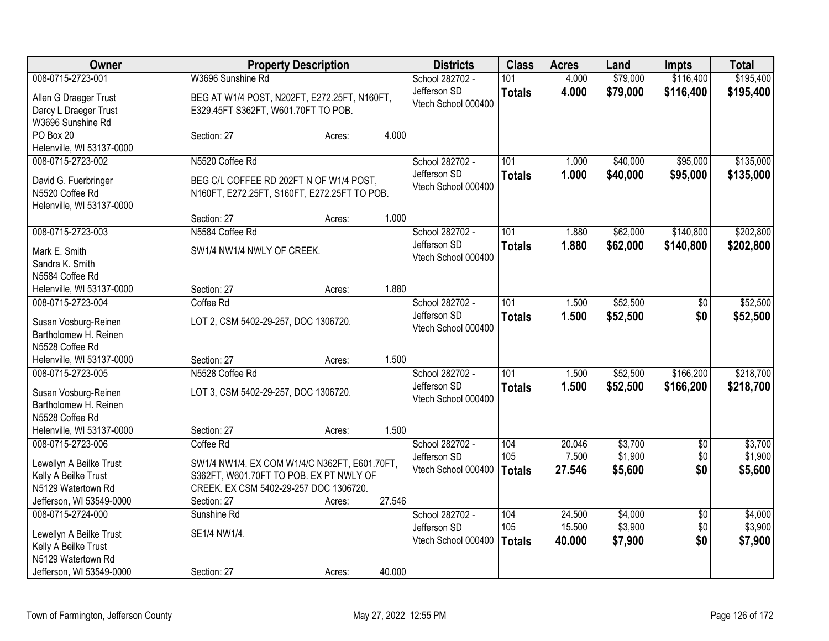| Owner                     |                                               | <b>Property Description</b> |        |                     | <b>Class</b>  | <b>Acres</b> | Land     | <b>Impts</b>    | <b>Total</b> |
|---------------------------|-----------------------------------------------|-----------------------------|--------|---------------------|---------------|--------------|----------|-----------------|--------------|
| 008-0715-2723-001         | W3696 Sunshine Rd                             |                             |        | School 282702 -     | 101           | 4.000        | \$79,000 | \$116,400       | \$195,400    |
| Allen G Draeger Trust     | BEG AT W1/4 POST, N202FT, E272.25FT, N160FT,  |                             |        | Jefferson SD        | <b>Totals</b> | 4.000        | \$79,000 | \$116,400       | \$195,400    |
| Darcy L Draeger Trust     | E329.45FT S362FT, W601.70FT TO POB.           |                             |        | Vtech School 000400 |               |              |          |                 |              |
| W3696 Sunshine Rd         |                                               |                             |        |                     |               |              |          |                 |              |
| PO Box 20                 | Section: 27                                   | Acres:                      | 4.000  |                     |               |              |          |                 |              |
| Helenville, WI 53137-0000 |                                               |                             |        |                     |               |              |          |                 |              |
| 008-0715-2723-002         | N5520 Coffee Rd                               |                             |        | School 282702 -     | 101           | 1.000        | \$40,000 | \$95,000        | \$135,000    |
| David G. Fuerbringer      | BEG C/L COFFEE RD 202FT N OF W1/4 POST,       |                             |        | Jefferson SD        | <b>Totals</b> | 1.000        | \$40,000 | \$95,000        | \$135,000    |
| N5520 Coffee Rd           | N160FT, E272.25FT, S160FT, E272.25FT TO POB.  |                             |        | Vtech School 000400 |               |              |          |                 |              |
| Helenville, WI 53137-0000 |                                               |                             |        |                     |               |              |          |                 |              |
|                           | Section: 27                                   | Acres:                      | 1.000  |                     |               |              |          |                 |              |
| 008-0715-2723-003         | N5584 Coffee Rd                               |                             |        | School 282702 -     | 101           | 1.880        | \$62,000 | \$140,800       | \$202,800    |
| Mark E. Smith             | SW1/4 NW1/4 NWLY OF CREEK.                    |                             |        | Jefferson SD        | <b>Totals</b> | 1.880        | \$62,000 | \$140,800       | \$202,800    |
| Sandra K. Smith           |                                               |                             |        | Vtech School 000400 |               |              |          |                 |              |
| N5584 Coffee Rd           |                                               |                             |        |                     |               |              |          |                 |              |
| Helenville, WI 53137-0000 | Section: 27                                   | Acres:                      | 1.880  |                     |               |              |          |                 |              |
| 008-0715-2723-004         | Coffee Rd                                     |                             |        | School 282702 -     | 101           | 1.500        | \$52,500 | \$0             | \$52,500     |
|                           |                                               |                             |        | Jefferson SD        | <b>Totals</b> | 1.500        | \$52,500 | \$0             | \$52,500     |
| Susan Vosburg-Reinen      | LOT 2, CSM 5402-29-257, DOC 1306720.          |                             |        | Vtech School 000400 |               |              |          |                 |              |
| Bartholomew H. Reinen     |                                               |                             |        |                     |               |              |          |                 |              |
| N5528 Coffee Rd           |                                               |                             |        |                     |               |              |          |                 |              |
| Helenville, WI 53137-0000 | Section: 27                                   | Acres:                      | 1.500  |                     |               |              |          |                 |              |
| 008-0715-2723-005         | N5528 Coffee Rd                               |                             |        | School 282702 -     | 101           | 1.500        | \$52,500 | \$166,200       | \$218,700    |
| Susan Vosburg-Reinen      | LOT 3, CSM 5402-29-257, DOC 1306720.          |                             |        | Jefferson SD        | <b>Totals</b> | 1.500        | \$52,500 | \$166,200       | \$218,700    |
| Bartholomew H. Reinen     |                                               |                             |        | Vtech School 000400 |               |              |          |                 |              |
| N5528 Coffee Rd           |                                               |                             |        |                     |               |              |          |                 |              |
| Helenville, WI 53137-0000 | Section: 27                                   | Acres:                      | 1.500  |                     |               |              |          |                 |              |
| 008-0715-2723-006         | Coffee Rd                                     |                             |        | School 282702 -     | 104           | 20.046       | \$3,700  | $\overline{50}$ | \$3,700      |
| Lewellyn A Beilke Trust   | SW1/4 NW1/4. EX COM W1/4/C N362FT, E601.70FT, |                             |        | Jefferson SD        | 105           | 7.500        | \$1,900  | \$0             | \$1,900      |
| Kelly A Beilke Trust      | S362FT, W601.70FT TO POB. EX PT NWLY OF       |                             |        | Vtech School 000400 | <b>Totals</b> | 27.546       | \$5,600  | \$0             | \$5,600      |
| N5129 Watertown Rd        | CREEK. EX CSM 5402-29-257 DOC 1306720.        |                             |        |                     |               |              |          |                 |              |
| Jefferson, WI 53549-0000  | Section: 27                                   | Acres:                      | 27.546 |                     |               |              |          |                 |              |
| 008-0715-2724-000         | Sunshine Rd                                   |                             |        | School 282702 -     | 104           | 24.500       | \$4,000  | $\overline{50}$ | \$4,000      |
|                           |                                               |                             |        | Jefferson SD        | 105           | 15.500       | \$3,900  | \$0             | \$3,900      |
| Lewellyn A Beilke Trust   | SE1/4 NW1/4.                                  |                             |        | Vtech School 000400 | <b>Totals</b> | 40.000       | \$7,900  | \$0             | \$7,900      |
| Kelly A Beilke Trust      |                                               |                             |        |                     |               |              |          |                 |              |
| N5129 Watertown Rd        |                                               |                             |        |                     |               |              |          |                 |              |
| Jefferson, WI 53549-0000  | Section: 27                                   | Acres:                      | 40.000 |                     |               |              |          |                 |              |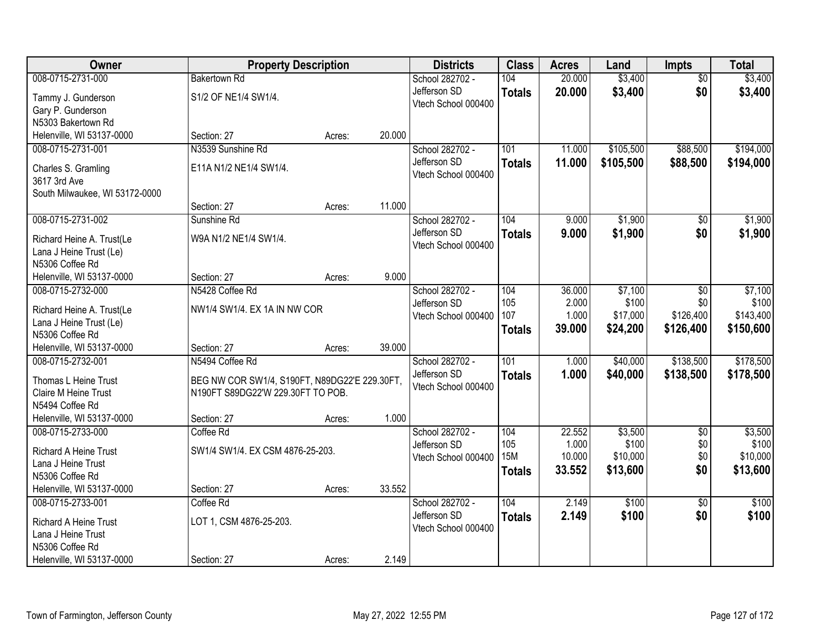| Owner                          |                                               | <b>Property Description</b> |        | <b>Districts</b>    | <b>Class</b>  | <b>Acres</b> | Land      | <b>Impts</b>    | <b>Total</b> |
|--------------------------------|-----------------------------------------------|-----------------------------|--------|---------------------|---------------|--------------|-----------|-----------------|--------------|
| 008-0715-2731-000              | <b>Bakertown Rd</b>                           |                             |        | School 282702 -     | 104           | 20.000       | \$3,400   | $\overline{50}$ | \$3,400      |
| Tammy J. Gunderson             | S1/2 OF NE1/4 SW1/4.                          |                             |        | Jefferson SD        | <b>Totals</b> | 20.000       | \$3,400   | \$0             | \$3,400      |
| Gary P. Gunderson              |                                               |                             |        | Vtech School 000400 |               |              |           |                 |              |
| N5303 Bakertown Rd             |                                               |                             |        |                     |               |              |           |                 |              |
| Helenville, WI 53137-0000      | Section: 27                                   | Acres:                      | 20.000 |                     |               |              |           |                 |              |
| 008-0715-2731-001              | N3539 Sunshine Rd                             |                             |        | School 282702 -     | 101           | 11.000       | \$105,500 | \$88,500        | \$194,000    |
| Charles S. Gramling            | E11A N1/2 NE1/4 SW1/4.                        |                             |        | Jefferson SD        | <b>Totals</b> | 11.000       | \$105,500 | \$88,500        | \$194,000    |
| 3617 3rd Ave                   |                                               |                             |        | Vtech School 000400 |               |              |           |                 |              |
| South Milwaukee, WI 53172-0000 |                                               |                             |        |                     |               |              |           |                 |              |
|                                | Section: 27                                   | Acres:                      | 11.000 |                     |               |              |           |                 |              |
| 008-0715-2731-002              | Sunshine Rd                                   |                             |        | School 282702 -     | 104           | 9.000        | \$1,900   | \$0             | \$1,900      |
| Richard Heine A. Trust(Le      | W9A N1/2 NE1/4 SW1/4.                         |                             |        | Jefferson SD        | <b>Totals</b> | 9.000        | \$1,900   | \$0             | \$1,900      |
| Lana J Heine Trust (Le)        |                                               |                             |        | Vtech School 000400 |               |              |           |                 |              |
| N5306 Coffee Rd                |                                               |                             |        |                     |               |              |           |                 |              |
| Helenville, WI 53137-0000      | Section: 27                                   | Acres:                      | 9.000  |                     |               |              |           |                 |              |
| 008-0715-2732-000              | N5428 Coffee Rd                               |                             |        | School 282702 -     | 104           | 36.000       | \$7,100   | \$0             | \$7,100      |
| Richard Heine A. Trust(Le      | NW1/4 SW1/4. EX 1A IN NW COR                  |                             |        | Jefferson SD        | 105           | 2.000        | \$100     | \$0             | \$100        |
| Lana J Heine Trust (Le)        |                                               |                             |        | Vtech School 000400 | 107           | 1.000        | \$17,000  | \$126,400       | \$143,400    |
| N5306 Coffee Rd                |                                               |                             |        |                     | <b>Totals</b> | 39.000       | \$24,200  | \$126,400       | \$150,600    |
| Helenville, WI 53137-0000      | Section: 27                                   | Acres:                      | 39.000 |                     |               |              |           |                 |              |
| 008-0715-2732-001              | N5494 Coffee Rd                               |                             |        | School 282702 -     | 101           | 1.000        | \$40,000  | \$138,500       | \$178,500    |
| Thomas L Heine Trust           | BEG NW COR SW1/4, S190FT, N89DG22'E 229.30FT, |                             |        | Jefferson SD        | <b>Totals</b> | 1.000        | \$40,000  | \$138,500       | \$178,500    |
| Claire M Heine Trust           | N190FT S89DG22'W 229.30FT TO POB.             |                             |        | Vtech School 000400 |               |              |           |                 |              |
| N5494 Coffee Rd                |                                               |                             |        |                     |               |              |           |                 |              |
| Helenville, WI 53137-0000      | Section: 27                                   | Acres:                      | 1.000  |                     |               |              |           |                 |              |
| 008-0715-2733-000              | Coffee Rd                                     |                             |        | School 282702 -     | 104           | 22.552       | \$3,500   | $\overline{50}$ | \$3,500      |
| <b>Richard A Heine Trust</b>   | SW1/4 SW1/4. EX CSM 4876-25-203.              |                             |        | Jefferson SD        | 105           | 1.000        | \$100     | \$0             | \$100        |
| Lana J Heine Trust             |                                               |                             |        | Vtech School 000400 | 15M           | 10.000       | \$10,000  | \$0             | \$10,000     |
| N5306 Coffee Rd                |                                               |                             |        |                     | <b>Totals</b> | 33.552       | \$13,600  | \$0             | \$13,600     |
| Helenville, WI 53137-0000      | Section: 27                                   | Acres:                      | 33.552 |                     |               |              |           |                 |              |
| 008-0715-2733-001              | Coffee Rd                                     |                             |        | School 282702 -     | 104           | 2.149        | \$100     | $\overline{30}$ | \$100        |
| <b>Richard A Heine Trust</b>   | LOT 1, CSM 4876-25-203.                       |                             |        | Jefferson SD        | <b>Totals</b> | 2.149        | \$100     | \$0             | \$100        |
| Lana J Heine Trust             |                                               |                             |        | Vtech School 000400 |               |              |           |                 |              |
| N5306 Coffee Rd                |                                               |                             |        |                     |               |              |           |                 |              |
| Helenville, WI 53137-0000      | Section: 27                                   | Acres:                      | 2.149  |                     |               |              |           |                 |              |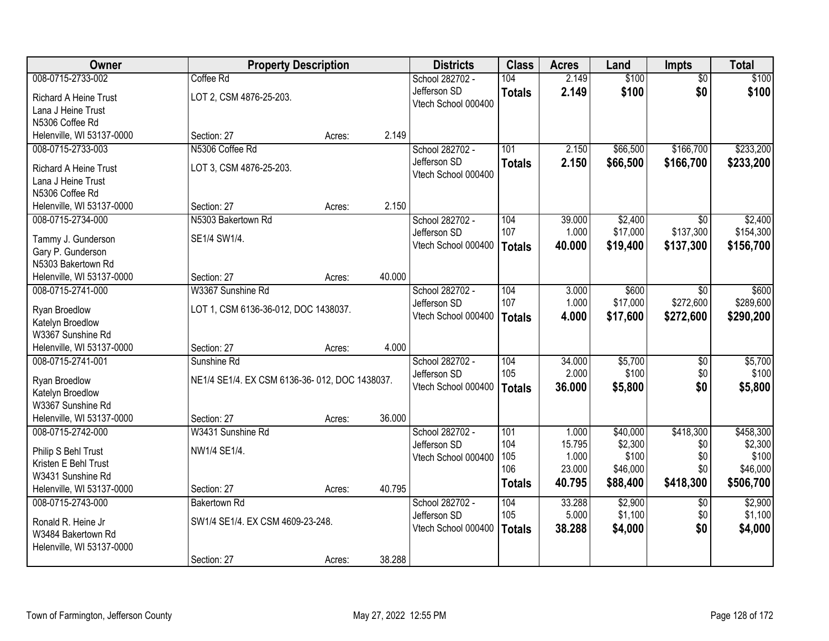| Owner                        | <b>Property Description</b>                   |        |        | <b>Districts</b>    | <b>Class</b>  | <b>Acres</b>    | Land              | <b>Impts</b>    | <b>Total</b>      |
|------------------------------|-----------------------------------------------|--------|--------|---------------------|---------------|-----------------|-------------------|-----------------|-------------------|
| 008-0715-2733-002            | Coffee Rd                                     |        |        | School 282702 -     | 104           | 2.149           | \$100             | $\overline{50}$ | \$100             |
| <b>Richard A Heine Trust</b> | LOT 2, CSM 4876-25-203.                       |        |        | Jefferson SD        | <b>Totals</b> | 2.149           | \$100             | \$0             | \$100             |
| Lana J Heine Trust           |                                               |        |        | Vtech School 000400 |               |                 |                   |                 |                   |
| N5306 Coffee Rd              |                                               |        |        |                     |               |                 |                   |                 |                   |
| Helenville, WI 53137-0000    | Section: 27                                   | Acres: | 2.149  |                     |               |                 |                   |                 |                   |
| 008-0715-2733-003            | N5306 Coffee Rd                               |        |        | School 282702 -     | 101           | 2.150           | \$66,500          | \$166,700       | \$233,200         |
| <b>Richard A Heine Trust</b> | LOT 3, CSM 4876-25-203.                       |        |        | Jefferson SD        | <b>Totals</b> | 2.150           | \$66,500          | \$166,700       | \$233,200         |
| Lana J Heine Trust           |                                               |        |        | Vtech School 000400 |               |                 |                   |                 |                   |
| N5306 Coffee Rd              |                                               |        |        |                     |               |                 |                   |                 |                   |
| Helenville, WI 53137-0000    | Section: 27                                   | Acres: | 2.150  |                     |               |                 |                   |                 |                   |
| 008-0715-2734-000            | N5303 Bakertown Rd                            |        |        | School 282702 -     | 104           | 39.000          | \$2,400           | \$0             | \$2,400           |
| Tammy J. Gunderson           | SE1/4 SW1/4.                                  |        |        | Jefferson SD        | 107           | 1.000           | \$17,000          | \$137,300       | \$154,300         |
| Gary P. Gunderson            |                                               |        |        | Vtech School 000400 | <b>Totals</b> | 40.000          | \$19,400          | \$137,300       | \$156,700         |
| N5303 Bakertown Rd           |                                               |        |        |                     |               |                 |                   |                 |                   |
| Helenville, WI 53137-0000    | Section: 27                                   | Acres: | 40.000 |                     |               |                 |                   |                 |                   |
| 008-0715-2741-000            | W3367 Sunshine Rd                             |        |        | School 282702 -     | 104           | 3.000           | \$600             | $\sqrt{6}$      | \$600             |
| Ryan Broedlow                | LOT 1, CSM 6136-36-012, DOC 1438037.          |        |        | Jefferson SD        | 107           | 1.000           | \$17,000          | \$272,600       | \$289,600         |
| Katelyn Broedlow             |                                               |        |        | Vtech School 000400 | <b>Totals</b> | 4.000           | \$17,600          | \$272,600       | \$290,200         |
| W3367 Sunshine Rd            |                                               |        |        |                     |               |                 |                   |                 |                   |
| Helenville, WI 53137-0000    | Section: 27                                   | Acres: | 4.000  |                     |               |                 |                   |                 |                   |
| 008-0715-2741-001            | Sunshine Rd                                   |        |        | School 282702 -     | 104           | 34.000          | \$5,700           | $\overline{50}$ | \$5,700           |
| Ryan Broedlow                | NE1/4 SE1/4. EX CSM 6136-36-012, DOC 1438037. |        |        | Jefferson SD        | 105           | 2.000           | \$100             | \$0             | \$100             |
| Katelyn Broedlow             |                                               |        |        | Vtech School 000400 | <b>Totals</b> | 36.000          | \$5,800           | \$0             | \$5,800           |
| W3367 Sunshine Rd            |                                               |        |        |                     |               |                 |                   |                 |                   |
| Helenville, WI 53137-0000    | Section: 27                                   | Acres: | 36.000 |                     |               |                 |                   |                 |                   |
| 008-0715-2742-000            | W3431 Sunshine Rd                             |        |        | School 282702 -     | 101           | 1.000           | \$40,000          | \$418,300       | \$458,300         |
| Philip S Behl Trust          | NW1/4 SE1/4.                                  |        |        | Jefferson SD        | 104           | 15.795          | \$2,300           | \$0             | \$2,300           |
| Kristen E Behl Trust         |                                               |        |        | Vtech School 000400 | 105<br>106    | 1.000<br>23.000 | \$100<br>\$46,000 | \$0<br>\$0      | \$100<br>\$46,000 |
| W3431 Sunshine Rd            |                                               |        |        |                     |               | 40.795          | \$88,400          | \$418,300       | \$506,700         |
| Helenville, WI 53137-0000    | Section: 27                                   | Acres: | 40.795 |                     | <b>Totals</b> |                 |                   |                 |                   |
| 008-0715-2743-000            | <b>Bakertown Rd</b>                           |        |        | School 282702 -     | 104           | 33.288          | \$2,900           | $\overline{50}$ | \$2,900           |
| Ronald R. Heine Jr           | SW1/4 SE1/4. EX CSM 4609-23-248.              |        |        | Jefferson SD        | 105           | 5.000           | \$1,100           | \$0             | \$1,100           |
| W3484 Bakertown Rd           |                                               |        |        | Vtech School 000400 | <b>Totals</b> | 38.288          | \$4,000           | \$0             | \$4,000           |
| Helenville, WI 53137-0000    |                                               |        |        |                     |               |                 |                   |                 |                   |
|                              | Section: 27                                   | Acres: | 38.288 |                     |               |                 |                   |                 |                   |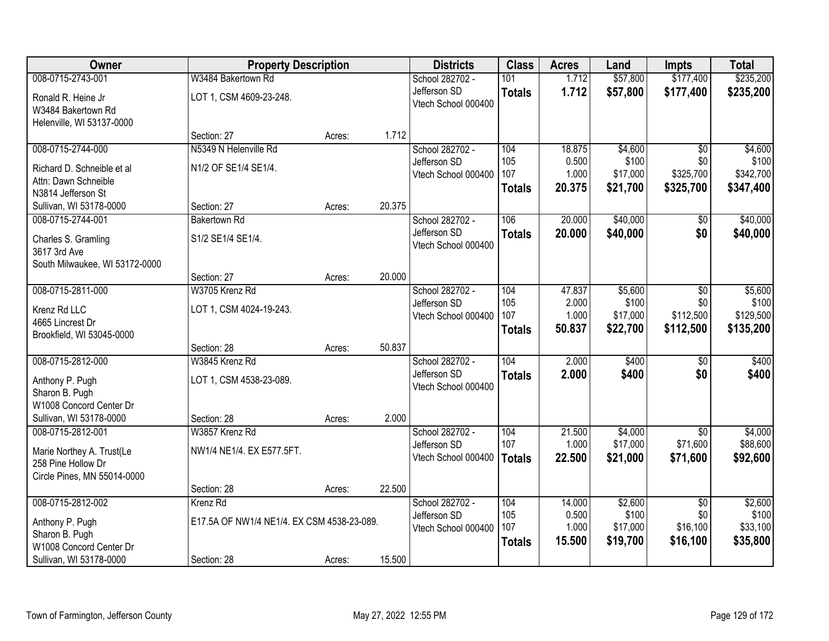| Owner                          | <b>Property Description</b>                |        | <b>Districts</b> | <b>Class</b>                        | <b>Acres</b>  | Land            | <b>Impts</b>      | <b>Total</b>    |                   |
|--------------------------------|--------------------------------------------|--------|------------------|-------------------------------------|---------------|-----------------|-------------------|-----------------|-------------------|
| 008-0715-2743-001              | W3484 Bakertown Rd                         |        |                  | School 282702 -                     | 101           | 1.712           | \$57,800          | \$177,400       | \$235,200         |
| Ronald R. Heine Jr             | LOT 1, CSM 4609-23-248.                    |        |                  | Jefferson SD                        | <b>Totals</b> | 1.712           | \$57,800          | \$177,400       | \$235,200         |
| W3484 Bakertown Rd             |                                            |        |                  | Vtech School 000400                 |               |                 |                   |                 |                   |
| Helenville, WI 53137-0000      |                                            |        |                  |                                     |               |                 |                   |                 |                   |
|                                | Section: 27                                | Acres: | 1.712            |                                     |               |                 |                   |                 |                   |
| 008-0715-2744-000              | N5349 N Helenville Rd                      |        |                  | School 282702 -                     | 104           | 18.875          | \$4,600           | $\overline{30}$ | \$4,600           |
| Richard D. Schneible et al     | N1/2 OF SE1/4 SE1/4.                       |        |                  | Jefferson SD                        | 105           | 0.500           | \$100             | \$0             | \$100             |
| Attn: Dawn Schneible           |                                            |        |                  | Vtech School 000400                 | 107           | 1.000           | \$17,000          | \$325,700       | \$342,700         |
| N3814 Jefferson St             |                                            |        |                  |                                     | <b>Totals</b> | 20.375          | \$21,700          | \$325,700       | \$347,400         |
| Sullivan, WI 53178-0000        | Section: 27                                | Acres: | 20.375           |                                     |               |                 |                   |                 |                   |
| 008-0715-2744-001              | <b>Bakertown Rd</b>                        |        |                  | School 282702 -                     | 106           | 20.000          | \$40,000          | \$0             | \$40,000          |
| Charles S. Gramling            | S1/2 SE1/4 SE1/4.                          |        |                  | Jefferson SD                        | <b>Totals</b> | 20.000          | \$40,000          | \$0             | \$40,000          |
| 3617 3rd Ave                   |                                            |        |                  | Vtech School 000400                 |               |                 |                   |                 |                   |
| South Milwaukee, WI 53172-0000 |                                            |        |                  |                                     |               |                 |                   |                 |                   |
|                                | Section: 27                                | Acres: | 20.000           |                                     |               |                 |                   |                 |                   |
| 008-0715-2811-000              | W3705 Krenz Rd                             |        |                  | School 282702 -                     | 104           | 47.837          | \$5,600           | \$0             | \$5,600           |
| Krenz Rd LLC                   | LOT 1, CSM 4024-19-243.                    |        |                  | Jefferson SD                        | 105           | 2.000           | \$100             | \$0             | \$100             |
| 4665 Lincrest Dr               |                                            |        |                  | Vtech School 000400                 | 107           | 1.000<br>50.837 | \$17,000          | \$112,500       | \$129,500         |
| Brookfield, WI 53045-0000      |                                            |        |                  |                                     | <b>Totals</b> |                 | \$22,700          | \$112,500       | \$135,200         |
|                                | Section: 28                                | Acres: | 50.837           |                                     |               |                 |                   |                 |                   |
| 008-0715-2812-000              | W3845 Krenz Rd                             |        |                  | School 282702 -                     | 104           | 2.000           | \$400             | $\overline{50}$ | \$400             |
| Anthony P. Pugh                | LOT 1, CSM 4538-23-089.                    |        |                  | Jefferson SD                        | <b>Totals</b> | 2.000           | \$400             | \$0             | \$400             |
| Sharon B. Pugh                 |                                            |        |                  | Vtech School 000400                 |               |                 |                   |                 |                   |
| W1008 Concord Center Dr        |                                            |        |                  |                                     |               |                 |                   |                 |                   |
| Sullivan, WI 53178-0000        | Section: 28                                | Acres: | 2.000            |                                     |               |                 |                   |                 |                   |
| 008-0715-2812-001              | W3857 Krenz Rd                             |        |                  | School 282702 -                     | 104           | 21.500          | \$4,000           | $\overline{50}$ | \$4,000           |
| Marie Northey A. Trust(Le      | NW1/4 NE1/4. EX E577.5FT.                  |        |                  | Jefferson SD<br>Vtech School 000400 | 107           | 1.000           | \$17,000          | \$71,600        | \$88,600          |
| 258 Pine Hollow Dr             |                                            |        |                  |                                     | <b>Totals</b> | 22,500          | \$21,000          | \$71,600        | \$92,600          |
| Circle Pines, MN 55014-0000    |                                            |        |                  |                                     |               |                 |                   |                 |                   |
|                                | Section: 28                                | Acres: | 22.500           |                                     |               |                 |                   |                 |                   |
| 008-0715-2812-002              | Krenz Rd                                   |        |                  | School 282702 -                     | 104           | 14.000          | \$2,600           | $\overline{50}$ | \$2,600           |
| Anthony P. Pugh                | E17.5A OF NW1/4 NE1/4. EX CSM 4538-23-089. |        |                  | Jefferson SD<br>Vtech School 000400 | 105<br>107    | 0.500<br>1.000  | \$100<br>\$17,000 | \$0<br>\$16,100 | \$100<br>\$33,100 |
| Sharon B. Pugh                 |                                            |        |                  |                                     | <b>Totals</b> | 15.500          | \$19,700          | \$16,100        | \$35,800          |
| W1008 Concord Center Dr        |                                            |        |                  |                                     |               |                 |                   |                 |                   |
| Sullivan, WI 53178-0000        | Section: 28                                | Acres: | 15.500           |                                     |               |                 |                   |                 |                   |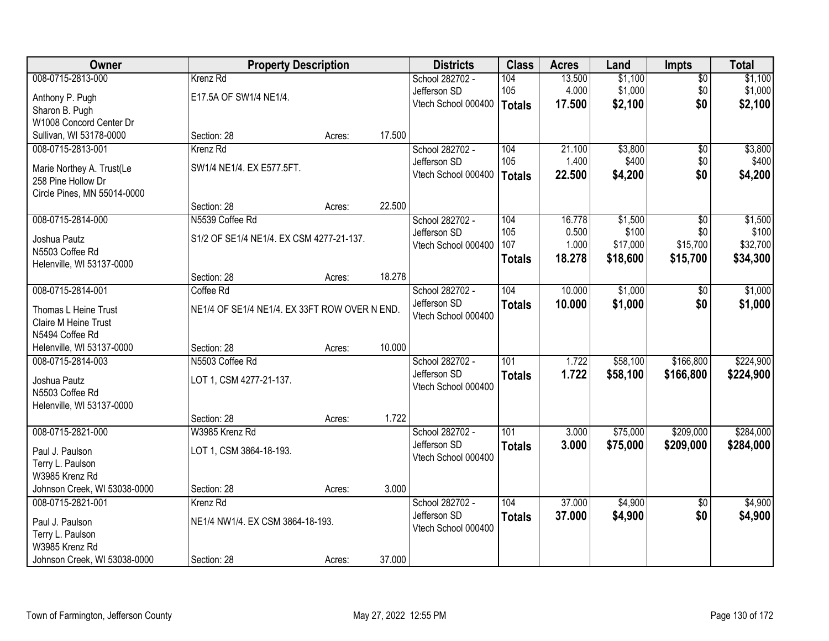| Owner                        | <b>Property Description</b>                   |        |        | <b>Districts</b>    | <b>Class</b>  | <b>Acres</b> | Land     | <b>Impts</b>    | <b>Total</b> |
|------------------------------|-----------------------------------------------|--------|--------|---------------------|---------------|--------------|----------|-----------------|--------------|
| 008-0715-2813-000            | Krenz Rd                                      |        |        | School 282702 -     | 104           | 13.500       | \$1,100  | $\overline{50}$ | \$1,100      |
| Anthony P. Pugh              | E17.5A OF SW1/4 NE1/4.                        |        |        | Jefferson SD        | 105           | 4.000        | \$1,000  | \$0             | \$1,000      |
| Sharon B. Pugh               |                                               |        |        | Vtech School 000400 | <b>Totals</b> | 17.500       | \$2,100  | \$0             | \$2,100      |
| W1008 Concord Center Dr      |                                               |        |        |                     |               |              |          |                 |              |
| Sullivan, WI 53178-0000      | Section: 28                                   | Acres: | 17.500 |                     |               |              |          |                 |              |
| 008-0715-2813-001            | Krenz Rd                                      |        |        | School 282702 -     | 104           | 21.100       | \$3,800  | \$0             | \$3,800      |
| Marie Northey A. Trust(Le    | SW1/4 NE1/4. EX E577.5FT.                     |        |        | Jefferson SD        | 105           | 1.400        | \$400    | \$0             | \$400        |
| 258 Pine Hollow Dr           |                                               |        |        | Vtech School 000400 | <b>Totals</b> | 22.500       | \$4,200  | \$0             | \$4,200      |
| Circle Pines, MN 55014-0000  |                                               |        |        |                     |               |              |          |                 |              |
|                              | Section: 28                                   | Acres: | 22.500 |                     |               |              |          |                 |              |
| 008-0715-2814-000            | N5539 Coffee Rd                               |        |        | School 282702 -     | 104           | 16.778       | \$1,500  | $\overline{50}$ | \$1,500      |
| Joshua Pautz                 | S1/2 OF SE1/4 NE1/4. EX CSM 4277-21-137.      |        |        | Jefferson SD        | 105           | 0.500        | \$100    | \$0             | \$100        |
| N5503 Coffee Rd              |                                               |        |        | Vtech School 000400 | 107           | 1.000        | \$17,000 | \$15,700        | \$32,700     |
| Helenville, WI 53137-0000    |                                               |        |        |                     | <b>Totals</b> | 18.278       | \$18,600 | \$15,700        | \$34,300     |
|                              | Section: 28                                   | Acres: | 18.278 |                     |               |              |          |                 |              |
| 008-0715-2814-001            | Coffee Rd                                     |        |        | School 282702 -     | 104           | 10.000       | \$1,000  | $\sqrt[6]{}$    | \$1,000      |
| Thomas L Heine Trust         | NE1/4 OF SE1/4 NE1/4. EX 33FT ROW OVER N END. |        |        | Jefferson SD        | <b>Totals</b> | 10.000       | \$1,000  | \$0             | \$1,000      |
| Claire M Heine Trust         |                                               |        |        | Vtech School 000400 |               |              |          |                 |              |
| N5494 Coffee Rd              |                                               |        |        |                     |               |              |          |                 |              |
| Helenville, WI 53137-0000    | Section: 28                                   | Acres: | 10.000 |                     |               |              |          |                 |              |
| 008-0715-2814-003            | N5503 Coffee Rd                               |        |        | School 282702 -     | 101           | 1.722        | \$58,100 | \$166,800       | \$224,900    |
| Joshua Pautz                 | LOT 1, CSM 4277-21-137.                       |        |        | Jefferson SD        | <b>Totals</b> | 1.722        | \$58,100 | \$166,800       | \$224,900    |
| N5503 Coffee Rd              |                                               |        |        | Vtech School 000400 |               |              |          |                 |              |
| Helenville, WI 53137-0000    |                                               |        |        |                     |               |              |          |                 |              |
|                              | Section: 28                                   | Acres: | 1.722  |                     |               |              |          |                 |              |
| 008-0715-2821-000            | W3985 Krenz Rd                                |        |        | School 282702 -     | 101           | 3.000        | \$75,000 | \$209,000       | \$284,000    |
| Paul J. Paulson              | LOT 1, CSM 3864-18-193.                       |        |        | Jefferson SD        | <b>Totals</b> | 3.000        | \$75,000 | \$209,000       | \$284,000    |
| Terry L. Paulson             |                                               |        |        | Vtech School 000400 |               |              |          |                 |              |
| W3985 Krenz Rd               |                                               |        |        |                     |               |              |          |                 |              |
| Johnson Creek, WI 53038-0000 | Section: 28                                   | Acres: | 3.000  |                     |               |              |          |                 |              |
| 008-0715-2821-001            | Krenz Rd                                      |        |        | School 282702 -     | 104           | 37.000       | \$4,900  | $\overline{50}$ | \$4,900      |
| Paul J. Paulson              | NE1/4 NW1/4. EX CSM 3864-18-193.              |        |        | Jefferson SD        | <b>Totals</b> | 37.000       | \$4,900  | \$0             | \$4,900      |
| Terry L. Paulson             |                                               |        |        | Vtech School 000400 |               |              |          |                 |              |
| W3985 Krenz Rd               |                                               |        |        |                     |               |              |          |                 |              |
| Johnson Creek, WI 53038-0000 | Section: 28                                   | Acres: | 37.000 |                     |               |              |          |                 |              |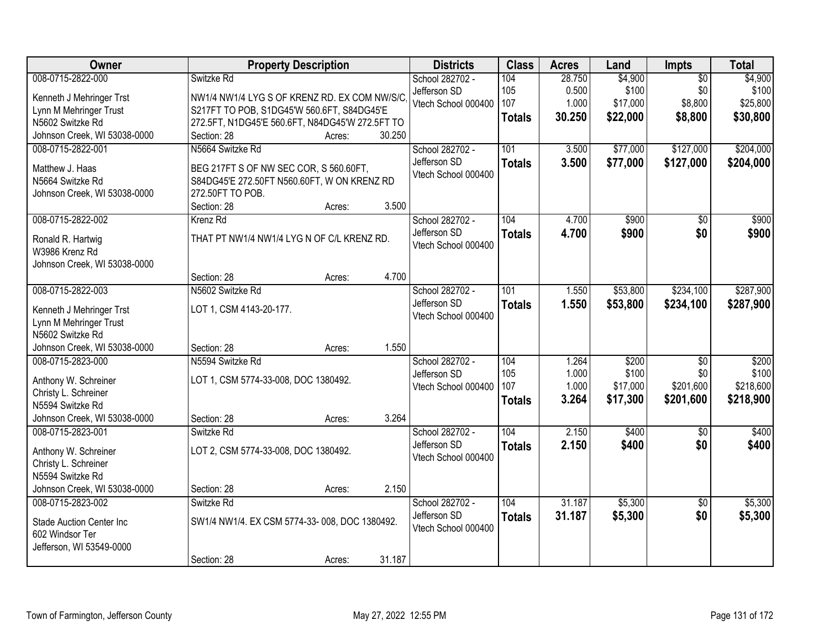| Owner                           | <b>Property Description</b>                     |        |        | <b>Districts</b>                    | <b>Class</b>  | <b>Acres</b> | Land     | <b>Impts</b>    | <b>Total</b> |
|---------------------------------|-------------------------------------------------|--------|--------|-------------------------------------|---------------|--------------|----------|-----------------|--------------|
| 008-0715-2822-000               | Switzke Rd                                      |        |        | School 282702 -                     | 104           | 28.750       | \$4,900  | $\overline{50}$ | \$4,900      |
| Kenneth J Mehringer Trst        | NW1/4 NW1/4 LYG S OF KRENZ RD. EX COM NW/S/C    |        |        | Jefferson SD                        | 105           | 0.500        | \$100    | \$0             | \$100        |
| Lynn M Mehringer Trust          | S217FT TO POB, S1DG45'W 560.6FT, S84DG45'E      |        |        | Vtech School 000400                 | 107           | 1.000        | \$17,000 | \$8,800         | \$25,800     |
| N5602 Switzke Rd                | 272.5FT, N1DG45'E 560.6FT, N84DG45'W 272.5FT TO |        |        |                                     | <b>Totals</b> | 30.250       | \$22,000 | \$8,800         | \$30,800     |
| Johnson Creek, WI 53038-0000    | Section: 28                                     | Acres: | 30.250 |                                     |               |              |          |                 |              |
| 008-0715-2822-001               | N5664 Switzke Rd                                |        |        | School 282702 -                     | 101           | 3.500        | \$77,000 | \$127,000       | \$204,000    |
|                                 |                                                 |        |        | Jefferson SD                        | <b>Totals</b> | 3.500        | \$77,000 | \$127,000       | \$204,000    |
| Matthew J. Haas                 | BEG 217FT S OF NW SEC COR, S 560.60FT,          |        |        | Vtech School 000400                 |               |              |          |                 |              |
| N5664 Switzke Rd                | S84DG45'E 272.50FT N560.60FT, W ON KRENZ RD     |        |        |                                     |               |              |          |                 |              |
| Johnson Creek, WI 53038-0000    | 272.50FT TO POB.                                |        |        |                                     |               |              |          |                 |              |
|                                 | Section: 28                                     | Acres: | 3.500  |                                     |               |              |          |                 |              |
| 008-0715-2822-002               | Krenz Rd                                        |        |        | School 282702 -                     | 104           | 4.700        | \$900    | $\overline{50}$ | \$900        |
| Ronald R. Hartwig               | THAT PT NW1/4 NW1/4 LYG N OF C/L KRENZ RD.      |        |        | Jefferson SD<br>Vtech School 000400 | <b>Totals</b> | 4.700        | \$900    | \$0             | \$900        |
| W3986 Krenz Rd                  |                                                 |        |        |                                     |               |              |          |                 |              |
| Johnson Creek, WI 53038-0000    |                                                 |        |        |                                     |               |              |          |                 |              |
|                                 | Section: 28                                     | Acres: | 4.700  |                                     |               |              |          |                 |              |
| 008-0715-2822-003               | N5602 Switzke Rd                                |        |        | School 282702 -                     | 101           | 1.550        | \$53,800 | \$234,100       | \$287,900    |
| Kenneth J Mehringer Trst        | LOT 1, CSM 4143-20-177.                         |        |        | Jefferson SD                        | <b>Totals</b> | 1.550        | \$53,800 | \$234,100       | \$287,900    |
| Lynn M Mehringer Trust          |                                                 |        |        | Vtech School 000400                 |               |              |          |                 |              |
| N5602 Switzke Rd                |                                                 |        |        |                                     |               |              |          |                 |              |
| Johnson Creek, WI 53038-0000    | Section: 28                                     | Acres: | 1.550  |                                     |               |              |          |                 |              |
| 008-0715-2823-000               | N5594 Switzke Rd                                |        |        | School 282702 -                     | 104           | 1.264        | \$200    | $\overline{50}$ | \$200        |
|                                 |                                                 |        |        | Jefferson SD                        | 105           | 1.000        | \$100    | \$0             | \$100        |
| Anthony W. Schreiner            | LOT 1, CSM 5774-33-008, DOC 1380492.            |        |        | Vtech School 000400                 | 107           | 1.000        | \$17,000 | \$201,600       | \$218,600    |
| Christy L. Schreiner            |                                                 |        |        |                                     | <b>Totals</b> | 3.264        | \$17,300 | \$201,600       | \$218,900    |
| N5594 Switzke Rd                |                                                 |        |        |                                     |               |              |          |                 |              |
| Johnson Creek, WI 53038-0000    | Section: 28                                     | Acres: | 3.264  |                                     |               |              |          |                 |              |
| 008-0715-2823-001               | Switzke Rd                                      |        |        | School 282702 -                     | 104           | 2.150        | \$400    | $\sqrt{6}$      | \$400        |
| Anthony W. Schreiner            | LOT 2, CSM 5774-33-008, DOC 1380492.            |        |        | Jefferson SD                        | <b>Totals</b> | 2.150        | \$400    | \$0             | \$400        |
| Christy L. Schreiner            |                                                 |        |        | Vtech School 000400                 |               |              |          |                 |              |
| N5594 Switzke Rd                |                                                 |        |        |                                     |               |              |          |                 |              |
| Johnson Creek, WI 53038-0000    | Section: 28                                     | Acres: | 2.150  |                                     |               |              |          |                 |              |
| 008-0715-2823-002               | Switzke Rd                                      |        |        | School 282702 -                     | 104           | 31.187       | \$5,300  | $\overline{30}$ | \$5,300      |
| <b>Stade Auction Center Inc</b> | SW1/4 NW1/4. EX CSM 5774-33-008, DOC 1380492.   |        |        | Jefferson SD                        | <b>Totals</b> | 31.187       | \$5,300  | \$0             | \$5,300      |
| 602 Windsor Ter                 |                                                 |        |        | Vtech School 000400                 |               |              |          |                 |              |
| Jefferson, WI 53549-0000        |                                                 |        |        |                                     |               |              |          |                 |              |
|                                 | Section: 28                                     | Acres: | 31.187 |                                     |               |              |          |                 |              |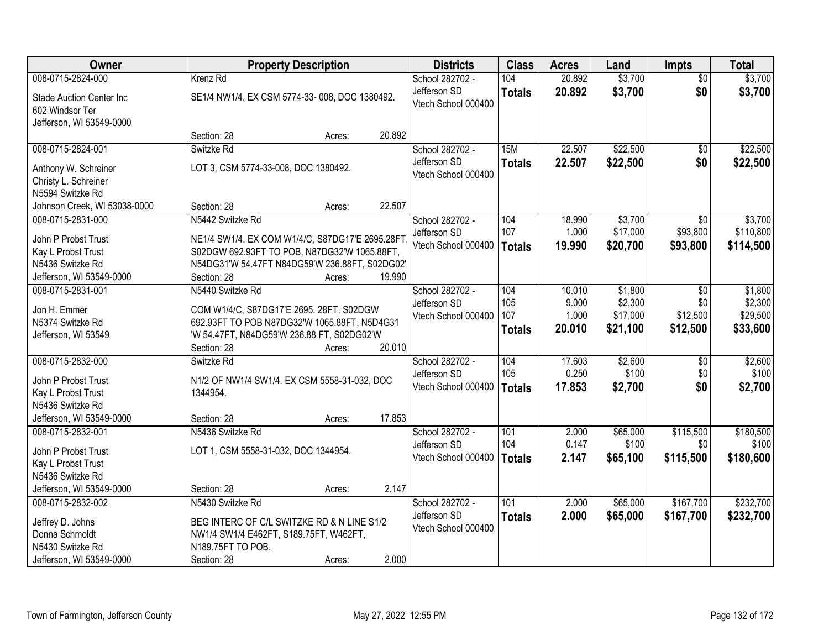| <b>Owner</b>                            |                                                                                            | <b>Property Description</b> |        | <b>Districts</b>                    | <b>Class</b>  | <b>Acres</b>   | Land              | <b>Impts</b>     | <b>Total</b>       |
|-----------------------------------------|--------------------------------------------------------------------------------------------|-----------------------------|--------|-------------------------------------|---------------|----------------|-------------------|------------------|--------------------|
| 008-0715-2824-000                       | Krenz Rd                                                                                   |                             |        | School 282702 -                     | 104           | 20.892         | \$3,700           | $\overline{50}$  | \$3,700            |
| <b>Stade Auction Center Inc</b>         | SE1/4 NW1/4. EX CSM 5774-33-008, DOC 1380492.                                              |                             |        | Jefferson SD                        | <b>Totals</b> | 20.892         | \$3,700           | \$0              | \$3,700            |
| 602 Windsor Ter                         |                                                                                            |                             |        | Vtech School 000400                 |               |                |                   |                  |                    |
| Jefferson, WI 53549-0000                |                                                                                            |                             |        |                                     |               |                |                   |                  |                    |
|                                         | Section: 28                                                                                | Acres:                      | 20.892 |                                     |               |                |                   |                  |                    |
| 008-0715-2824-001                       | Switzke Rd                                                                                 |                             |        | School 282702 -                     | 15M           | 22.507         | \$22,500          | \$0              | \$22,500           |
| Anthony W. Schreiner                    | LOT 3, CSM 5774-33-008, DOC 1380492.                                                       |                             |        | Jefferson SD                        | <b>Totals</b> | 22.507         | \$22,500          | \$0              | \$22,500           |
| Christy L. Schreiner                    |                                                                                            |                             |        | Vtech School 000400                 |               |                |                   |                  |                    |
| N5594 Switzke Rd                        |                                                                                            |                             |        |                                     |               |                |                   |                  |                    |
| Johnson Creek, WI 53038-0000            | Section: 28                                                                                | Acres:                      | 22.507 |                                     |               |                |                   |                  |                    |
| 008-0715-2831-000                       | N5442 Switzke Rd                                                                           |                             |        | School 282702 -                     | 104           | 18.990         | \$3,700           | $\sqrt{6}$       | \$3,700            |
| John P Probst Trust                     | NE1/4 SW1/4. EX COM W1/4/C, S87DG17'E 2695.28FT                                            |                             |        | Jefferson SD                        | 107           | 1.000          | \$17,000          | \$93,800         | \$110,800          |
| Kay L Probst Trust                      | S02DGW 692.93FT TO POB, N87DG32'W 1065.88FT,                                               |                             |        | Vtech School 000400                 | Totals        | 19.990         | \$20,700          | \$93,800         | \$114,500          |
| N5436 Switzke Rd                        | N54DG31'W 54.47FT N84DG59'W 236.88FT, S02DG02'                                             |                             |        |                                     |               |                |                   |                  |                    |
| Jefferson, WI 53549-0000                | Section: 28                                                                                | Acres:                      | 19.990 |                                     |               |                |                   |                  |                    |
| 008-0715-2831-001                       | N5440 Switzke Rd                                                                           |                             |        | School 282702 -                     | 104           | 10.010         | \$1,800           | $\sqrt{6}$       | \$1,800            |
|                                         |                                                                                            |                             |        | Jefferson SD                        | 105           | 9.000          | \$2,300           | \$0              | \$2,300            |
| Jon H. Emmer                            | COM W1/4/C, S87DG17'E 2695. 28FT, S02DGW                                                   |                             |        | Vtech School 000400                 | 107           | 1.000          | \$17,000          | \$12,500         | \$29,500           |
| N5374 Switzke Rd<br>Jefferson, WI 53549 | 692.93FT TO POB N87DG32'W 1065.88FT, N5D4G31<br>'W 54.47FT, N84DG59'W 236.88 FT, S02DG02'W |                             |        |                                     | <b>Totals</b> | 20.010         | \$21,100          | \$12,500         | \$33,600           |
|                                         | Section: 28                                                                                | Acres:                      | 20.010 |                                     |               |                |                   |                  |                    |
| 008-0715-2832-000                       | Switzke Rd                                                                                 |                             |        | School 282702 -                     | 104           | 17.603         | \$2,600           | $\overline{50}$  | \$2,600            |
|                                         |                                                                                            |                             |        | Jefferson SD                        | 105           | 0.250          | \$100             | \$0              | \$100              |
| John P Probst Trust                     | N1/2 OF NW1/4 SW1/4. EX CSM 5558-31-032, DOC                                               |                             |        | Vtech School 000400                 | Totals        | 17.853         | \$2,700           | \$0              | \$2,700            |
| Kay L Probst Trust                      | 1344954.                                                                                   |                             |        |                                     |               |                |                   |                  |                    |
| N5436 Switzke Rd                        |                                                                                            |                             |        |                                     |               |                |                   |                  |                    |
| Jefferson, WI 53549-0000                | Section: 28                                                                                | Acres:                      | 17.853 |                                     |               |                |                   |                  |                    |
| 008-0715-2832-001                       | N5436 Switzke Rd                                                                           |                             |        | School 282702 -                     | 101<br>104    | 2.000<br>0.147 | \$65,000<br>\$100 | \$115,500<br>\$0 | \$180,500<br>\$100 |
| John P Probst Trust                     | LOT 1, CSM 5558-31-032, DOC 1344954.                                                       |                             |        | Jefferson SD<br>Vtech School 000400 |               | 2.147          |                   | \$115,500        | \$180,600          |
| Kay L Probst Trust                      |                                                                                            |                             |        |                                     | Totals        |                | \$65,100          |                  |                    |
| N5436 Switzke Rd                        |                                                                                            |                             |        |                                     |               |                |                   |                  |                    |
| Jefferson, WI 53549-0000                | Section: 28                                                                                | Acres:                      | 2.147  |                                     |               |                |                   |                  |                    |
| 008-0715-2832-002                       | N5430 Switzke Rd                                                                           |                             |        | School 282702 -                     | 101           | 2.000          | \$65,000          | \$167,700        | \$232,700          |
| Jeffrey D. Johns                        | BEG INTERC OF C/L SWITZKE RD & N LINE S1/2                                                 |                             |        | Jefferson SD                        | <b>Totals</b> | 2.000          | \$65,000          | \$167,700        | \$232,700          |
| Donna Schmoldt                          | NW1/4 SW1/4 E462FT, S189.75FT, W462FT,                                                     |                             |        | Vtech School 000400                 |               |                |                   |                  |                    |
| N5430 Switzke Rd                        | N189.75FT TO POB.                                                                          |                             |        |                                     |               |                |                   |                  |                    |
| Jefferson, WI 53549-0000                | Section: 28                                                                                | Acres:                      | 2.000  |                                     |               |                |                   |                  |                    |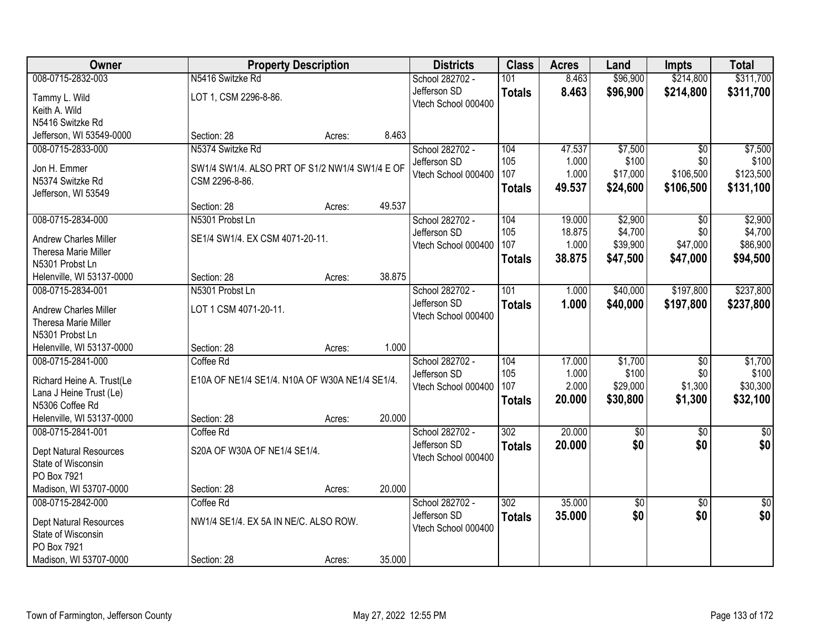| Owner                                        | <b>Property Description</b>                    |        |        | <b>Districts</b>    | <b>Class</b>  | <b>Acres</b> | Land        | <b>Impts</b>    | <b>Total</b>  |
|----------------------------------------------|------------------------------------------------|--------|--------|---------------------|---------------|--------------|-------------|-----------------|---------------|
| 008-0715-2832-003                            | N5416 Switzke Rd                               |        |        | School 282702 -     | 101           | 8.463        | \$96,900    | \$214,800       | \$311,700     |
| Tammy L. Wild                                | LOT 1, CSM 2296-8-86.                          |        |        | Jefferson SD        | <b>Totals</b> | 8.463        | \$96,900    | \$214,800       | \$311,700     |
| Keith A. Wild                                |                                                |        |        | Vtech School 000400 |               |              |             |                 |               |
| N5416 Switzke Rd                             |                                                |        |        |                     |               |              |             |                 |               |
| Jefferson, WI 53549-0000                     | Section: 28                                    | Acres: | 8.463  |                     |               |              |             |                 |               |
| 008-0715-2833-000                            | N5374 Switzke Rd                               |        |        | School 282702 -     | 104           | 47.537       | \$7,500     | $\overline{50}$ | \$7,500       |
| Jon H. Emmer                                 | SW1/4 SW1/4. ALSO PRT OF S1/2 NW1/4 SW1/4 E OF |        |        | Jefferson SD        | 105           | 1.000        | \$100       | \$0             | \$100         |
| N5374 Switzke Rd                             | CSM 2296-8-86.                                 |        |        | Vtech School 000400 | 107           | 1.000        | \$17,000    | \$106,500       | \$123,500     |
| Jefferson, WI 53549                          |                                                |        |        |                     | <b>Totals</b> | 49.537       | \$24,600    | \$106,500       | \$131,100     |
|                                              | Section: 28                                    | Acres: | 49.537 |                     |               |              |             |                 |               |
| 008-0715-2834-000                            | N5301 Probst Ln                                |        |        | School 282702 -     | 104           | 19.000       | \$2,900     | $\overline{50}$ | \$2,900       |
| Andrew Charles Miller                        | SE1/4 SW1/4. EX CSM 4071-20-11.                |        |        | Jefferson SD        | 105           | 18.875       | \$4,700     | \$0             | \$4,700       |
| Theresa Marie Miller                         |                                                |        |        | Vtech School 000400 | 107           | 1.000        | \$39,900    | \$47,000        | \$86,900      |
| N5301 Probst Ln                              |                                                |        |        |                     | <b>Totals</b> | 38.875       | \$47,500    | \$47,000        | \$94,500      |
| Helenville, WI 53137-0000                    | Section: 28                                    | Acres: | 38.875 |                     |               |              |             |                 |               |
| 008-0715-2834-001                            | N5301 Probst Ln                                |        |        | School 282702 -     | 101           | 1.000        | \$40,000    | \$197,800       | \$237,800     |
|                                              |                                                |        |        | Jefferson SD        | <b>Totals</b> | 1.000        | \$40,000    | \$197,800       | \$237,800     |
| Andrew Charles Miller                        | LOT 1 CSM 4071-20-11.                          |        |        | Vtech School 000400 |               |              |             |                 |               |
| Theresa Marie Miller                         |                                                |        |        |                     |               |              |             |                 |               |
| N5301 Probst Ln<br>Helenville, WI 53137-0000 | Section: 28                                    | Acres: | 1.000  |                     |               |              |             |                 |               |
| 008-0715-2841-000                            | Coffee Rd                                      |        |        | School 282702 -     | 104           | 17.000       | \$1,700     | $\overline{50}$ | \$1,700       |
|                                              |                                                |        |        | Jefferson SD        | 105           | 1.000        | \$100       | \$0             | \$100         |
| Richard Heine A. Trust(Le                    | E10A OF NE1/4 SE1/4. N10A OF W30A NE1/4 SE1/4. |        |        | Vtech School 000400 | 107           | 2.000        | \$29,000    | \$1,300         | \$30,300      |
| Lana J Heine Trust (Le)                      |                                                |        |        |                     | <b>Totals</b> | 20.000       | \$30,800    | \$1,300         | \$32,100      |
| N5306 Coffee Rd                              |                                                |        |        |                     |               |              |             |                 |               |
| Helenville, WI 53137-0000                    | Section: 28                                    | Acres: | 20.000 |                     |               |              |             |                 |               |
| 008-0715-2841-001                            | Coffee Rd                                      |        |        | School 282702 -     | 302           | 20.000       | $\sqrt{6}$  | $\sqrt{6}$      | $\frac{1}{6}$ |
| Dept Natural Resources                       | S20A OF W30A OF NE1/4 SE1/4.                   |        |        | Jefferson SD        | <b>Totals</b> | 20.000       | \$0         | \$0             | \$0           |
| State of Wisconsin                           |                                                |        |        | Vtech School 000400 |               |              |             |                 |               |
| PO Box 7921                                  |                                                |        |        |                     |               |              |             |                 |               |
| Madison, WI 53707-0000                       | Section: 28                                    | Acres: | 20.000 |                     |               |              |             |                 |               |
| 008-0715-2842-000                            | Coffee Rd                                      |        |        | School 282702 -     | 302           | 35.000       | $\sqrt{$0}$ | $\overline{30}$ | $\sqrt{50}$   |
| Dept Natural Resources                       | NW1/4 SE1/4. EX 5A IN NE/C. ALSO ROW.          |        |        | Jefferson SD        | <b>Totals</b> | 35.000       | \$0         | \$0             | \$0           |
| State of Wisconsin                           |                                                |        |        | Vtech School 000400 |               |              |             |                 |               |
| PO Box 7921                                  |                                                |        |        |                     |               |              |             |                 |               |
| Madison, WI 53707-0000                       | Section: 28                                    | Acres: | 35.000 |                     |               |              |             |                 |               |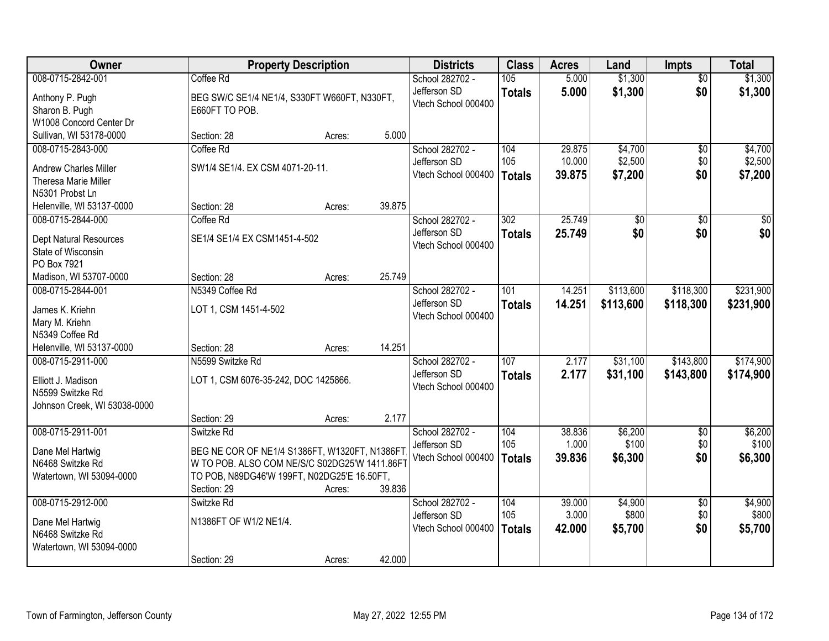| Owner                             |                                               | <b>Property Description</b> |        | <b>Districts</b>                | <b>Class</b>  | <b>Acres</b>   | Land               | <b>Impts</b>           | <b>Total</b>       |
|-----------------------------------|-----------------------------------------------|-----------------------------|--------|---------------------------------|---------------|----------------|--------------------|------------------------|--------------------|
| 008-0715-2842-001                 | Coffee Rd                                     |                             |        | School 282702 -<br>Jefferson SD | 105           | 5.000<br>5.000 | \$1,300<br>\$1,300 | $\overline{30}$<br>\$0 | \$1,300<br>\$1,300 |
| Anthony P. Pugh                   | BEG SW/C SE1/4 NE1/4, S330FT W660FT, N330FT,  |                             |        | Vtech School 000400             | <b>Totals</b> |                |                    |                        |                    |
| Sharon B. Pugh                    | E660FT TO POB.                                |                             |        |                                 |               |                |                    |                        |                    |
| W1008 Concord Center Dr           |                                               |                             |        |                                 |               |                |                    |                        |                    |
| Sullivan, WI 53178-0000           | Section: 28                                   | Acres:                      | 5.000  |                                 |               | 29.875         |                    |                        |                    |
| 008-0715-2843-000                 | Coffee Rd                                     |                             |        | School 282702 -<br>Jefferson SD | 104<br>105    | 10.000         | \$4,700<br>\$2,500 | $\overline{50}$<br>\$0 | \$4,700<br>\$2,500 |
| <b>Andrew Charles Miller</b>      | SW1/4 SE1/4. EX CSM 4071-20-11.               |                             |        | Vtech School 000400             |               | 39.875         |                    | \$0                    |                    |
| Theresa Marie Miller              |                                               |                             |        |                                 | Totals        |                | \$7,200            |                        | \$7,200            |
| N5301 Probst Ln                   |                                               |                             |        |                                 |               |                |                    |                        |                    |
| Helenville, WI 53137-0000         | Section: 28                                   | Acres:                      | 39.875 |                                 |               |                |                    |                        |                    |
| 008-0715-2844-000                 | Coffee Rd                                     |                             |        | School 282702 -                 | 302           | 25.749         | \$0                | \$0                    | \$0                |
| Dept Natural Resources            | SE1/4 SE1/4 EX CSM1451-4-502                  |                             |        | Jefferson SD                    | <b>Totals</b> | 25.749         | \$0                | \$0                    | \$0                |
| State of Wisconsin                |                                               |                             |        | Vtech School 000400             |               |                |                    |                        |                    |
| PO Box 7921                       |                                               |                             |        |                                 |               |                |                    |                        |                    |
| Madison, WI 53707-0000            | Section: 28                                   | Acres:                      | 25.749 |                                 |               |                |                    |                        |                    |
| 008-0715-2844-001                 | N5349 Coffee Rd                               |                             |        | School 282702 -                 | 101           | 14.251         | \$113,600          | \$118,300              | \$231,900          |
|                                   |                                               |                             |        | Jefferson SD                    | <b>Totals</b> | 14.251         | \$113,600          | \$118,300              | \$231,900          |
| James K. Kriehn<br>Mary M. Kriehn | LOT 1, CSM 1451-4-502                         |                             |        | Vtech School 000400             |               |                |                    |                        |                    |
| N5349 Coffee Rd                   |                                               |                             |        |                                 |               |                |                    |                        |                    |
| Helenville, WI 53137-0000         | Section: 28                                   | Acres:                      | 14.251 |                                 |               |                |                    |                        |                    |
| 008-0715-2911-000                 | N5599 Switzke Rd                              |                             |        | School 282702 -                 | 107           | 2.177          | \$31,100           | \$143,800              | \$174,900          |
|                                   |                                               |                             |        | Jefferson SD                    | <b>Totals</b> | 2.177          | \$31,100           | \$143,800              | \$174,900          |
| Elliott J. Madison                | LOT 1, CSM 6076-35-242, DOC 1425866.          |                             |        | Vtech School 000400             |               |                |                    |                        |                    |
| N5599 Switzke Rd                  |                                               |                             |        |                                 |               |                |                    |                        |                    |
| Johnson Creek, WI 53038-0000      |                                               |                             |        |                                 |               |                |                    |                        |                    |
|                                   | Section: 29                                   | Acres:                      | 2.177  |                                 |               |                |                    |                        |                    |
| 008-0715-2911-001                 | Switzke Rd                                    |                             |        | School 282702 -                 | 104           | 38.836         | \$6,200            | $\overline{50}$        | \$6,200            |
| Dane Mel Hartwig                  | BEG NE COR OF NE1/4 S1386FT, W1320FT, N1386FT |                             |        | Jefferson SD                    | 105           | 1.000          | \$100              | \$0                    | \$100              |
| N6468 Switzke Rd                  | W TO POB. ALSO COM NE/S/C S02DG25'W 1411.86FT |                             |        | Vtech School 000400             | Totals        | 39,836         | \$6,300            | \$0                    | \$6,300            |
| Watertown, WI 53094-0000          | TO POB, N89DG46'W 199FT, N02DG25'E 16.50FT,   |                             |        |                                 |               |                |                    |                        |                    |
|                                   | Section: 29                                   | Acres:                      | 39.836 |                                 |               |                |                    |                        |                    |
| 008-0715-2912-000                 | Switzke Rd                                    |                             |        | School 282702 -                 | 104           | 39.000         | \$4,900            | $\overline{50}$        | \$4,900            |
| Dane Mel Hartwig                  | N1386FT OF W1/2 NE1/4.                        |                             |        | Jefferson SD                    | 105           | 3.000          | \$800              | \$0                    | \$800              |
| N6468 Switzke Rd                  |                                               |                             |        | Vtech School 000400             | <b>Totals</b> | 42.000         | \$5,700            | \$0                    | \$5,700            |
| Watertown, WI 53094-0000          |                                               |                             |        |                                 |               |                |                    |                        |                    |
|                                   | Section: 29                                   | Acres:                      | 42.000 |                                 |               |                |                    |                        |                    |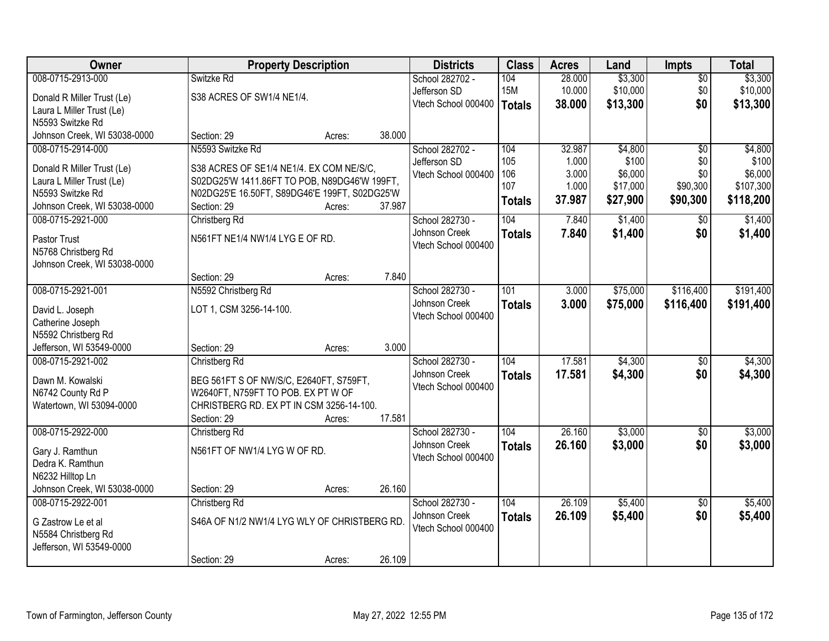| Owner                               | <b>Property Description</b>                                                    |        |        | <b>Districts</b>                 | <b>Class</b>  | <b>Acres</b> | Land     | <b>Impts</b>    | <b>Total</b> |
|-------------------------------------|--------------------------------------------------------------------------------|--------|--------|----------------------------------|---------------|--------------|----------|-----------------|--------------|
| 008-0715-2913-000                   | Switzke Rd                                                                     |        |        | School 282702 -                  | 104           | 28.000       | \$3,300  | $\overline{50}$ | \$3,300      |
| Donald R Miller Trust (Le)          | S38 ACRES OF SW1/4 NE1/4.                                                      |        |        | Jefferson SD                     | <b>15M</b>    | 10.000       | \$10,000 | \$0             | \$10,000     |
| Laura L Miller Trust (Le)           |                                                                                |        |        | Vtech School 000400              | <b>Totals</b> | 38.000       | \$13,300 | \$0             | \$13,300     |
| N5593 Switzke Rd                    |                                                                                |        |        |                                  |               |              |          |                 |              |
| Johnson Creek, WI 53038-0000        | Section: 29                                                                    | Acres: | 38.000 |                                  |               |              |          |                 |              |
| 008-0715-2914-000                   | N5593 Switzke Rd                                                               |        |        | School 282702 -                  | 104           | 32.987       | \$4,800  | $\overline{50}$ | \$4,800      |
| Donald R Miller Trust (Le)          | S38 ACRES OF SE1/4 NE1/4. EX COM NE/S/C.                                       |        |        | Jefferson SD                     | 105           | 1.000        | \$100    | \$0             | \$100        |
| Laura L Miller Trust (Le)           | S02DG25'W 1411.86FT TO POB, N89DG46'W 199FT,                                   |        |        | Vtech School 000400              | 106           | 3.000        | \$6,000  | \$0             | \$6,000      |
| N5593 Switzke Rd                    | N02DG25'E 16.50FT, S89DG46'E 199FT, S02DG25'W                                  |        |        |                                  | 107           | 1.000        | \$17,000 | \$90,300        | \$107,300    |
| Johnson Creek, WI 53038-0000        | Section: 29                                                                    | Acres: | 37.987 |                                  | <b>Totals</b> | 37.987       | \$27,900 | \$90,300        | \$118,200    |
| 008-0715-2921-000                   | Christberg Rd                                                                  |        |        | School 282730 -                  | 104           | 7.840        | \$1,400  | $\sqrt{50}$     | \$1,400      |
| Pastor Trust                        | N561FT NE1/4 NW1/4 LYG E OF RD.                                                |        |        | Johnson Creek                    | <b>Totals</b> | 7.840        | \$1,400  | \$0             | \$1,400      |
| N5768 Christberg Rd                 |                                                                                |        |        | Vtech School 000400              |               |              |          |                 |              |
| Johnson Creek, WI 53038-0000        |                                                                                |        |        |                                  |               |              |          |                 |              |
|                                     | Section: 29                                                                    | Acres: | 7.840  |                                  |               |              |          |                 |              |
| 008-0715-2921-001                   | N5592 Christberg Rd                                                            |        |        | School 282730 -                  | 101           | 3.000        | \$75,000 | \$116,400       | \$191,400    |
|                                     |                                                                                |        |        | Johnson Creek                    | <b>Totals</b> | 3.000        | \$75,000 | \$116,400       | \$191,400    |
| David L. Joseph<br>Catherine Joseph | LOT 1, CSM 3256-14-100.                                                        |        |        | Vtech School 000400              |               |              |          |                 |              |
| N5592 Christberg Rd                 |                                                                                |        |        |                                  |               |              |          |                 |              |
| Jefferson, WI 53549-0000            | Section: 29                                                                    | Acres: | 3.000  |                                  |               |              |          |                 |              |
| 008-0715-2921-002                   | Christberg Rd                                                                  |        |        | School 282730 -                  | 104           | 17.581       | \$4,300  | $\overline{50}$ | \$4,300      |
|                                     |                                                                                |        |        | Johnson Creek                    | <b>Totals</b> | 17.581       | \$4,300  | \$0             | \$4,300      |
| Dawn M. Kowalski                    | BEG 561FT S OF NW/S/C, E2640FT, S759FT,                                        |        |        | Vtech School 000400              |               |              |          |                 |              |
| N6742 County Rd P                   | W2640FT, N759FT TO POB. EX PT W OF<br>CHRISTBERG RD. EX PT IN CSM 3256-14-100. |        |        |                                  |               |              |          |                 |              |
| Watertown, WI 53094-0000            | Section: 29                                                                    | Acres: | 17.581 |                                  |               |              |          |                 |              |
| 008-0715-2922-000                   | Christberg Rd                                                                  |        |        | School 282730 -                  | 104           | 26.160       | \$3,000  | $\overline{60}$ | \$3,000      |
|                                     |                                                                                |        |        | Johnson Creek                    | <b>Totals</b> | 26.160       | \$3,000  | \$0             | \$3,000      |
| Gary J. Ramthun                     | N561FT OF NW1/4 LYG W OF RD.                                                   |        |        | Vtech School 000400              |               |              |          |                 |              |
| Dedra K. Ramthun                    |                                                                                |        |        |                                  |               |              |          |                 |              |
| N6232 Hilltop Ln                    |                                                                                |        |        |                                  |               |              |          |                 |              |
| Johnson Creek, WI 53038-0000        | Section: 29                                                                    | Acres: | 26.160 |                                  | 104           | 26.109       |          |                 |              |
| 008-0715-2922-001                   | Christberg Rd                                                                  |        |        | School 282730 -<br>Johnson Creek |               |              | \$5,400  | $\overline{50}$ | \$5,400      |
| G Zastrow Le et al                  | S46A OF N1/2 NW1/4 LYG WLY OF CHRISTBERG RD.                                   |        |        | Vtech School 000400              | <b>Totals</b> | 26.109       | \$5,400  | \$0             | \$5,400      |
| N5584 Christberg Rd                 |                                                                                |        |        |                                  |               |              |          |                 |              |
| Jefferson, WI 53549-0000            |                                                                                |        |        |                                  |               |              |          |                 |              |
|                                     | Section: 29                                                                    | Acres: | 26.109 |                                  |               |              |          |                 |              |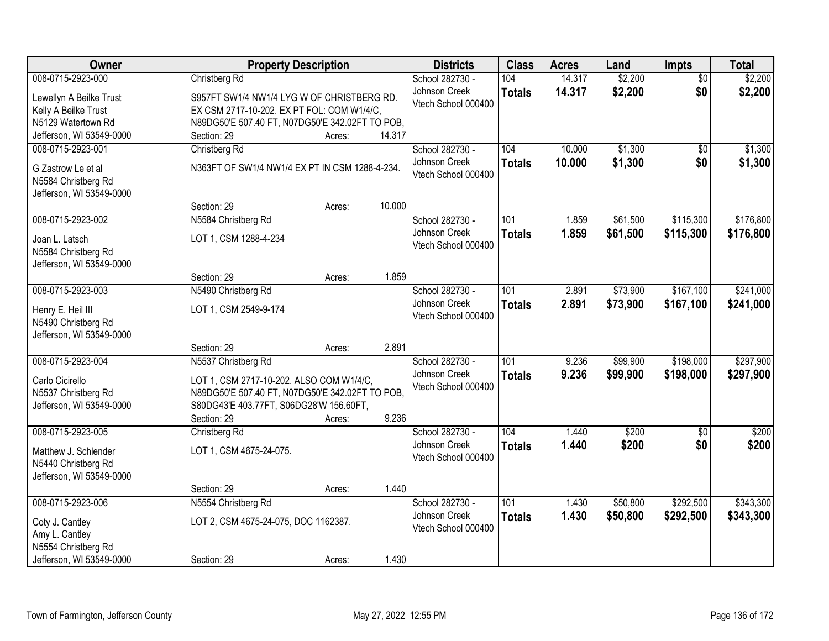| Owner                                       | <b>Property Description</b>                                                                 |        |        | <b>Districts</b>    | <b>Class</b>  | <b>Acres</b> | Land     | <b>Impts</b>    | <b>Total</b> |
|---------------------------------------------|---------------------------------------------------------------------------------------------|--------|--------|---------------------|---------------|--------------|----------|-----------------|--------------|
| 008-0715-2923-000                           | Christberg Rd                                                                               |        |        | School 282730 -     | 104           | 14.317       | \$2,200  | $\overline{50}$ | \$2,200      |
| Lewellyn A Beilke Trust                     | S957FT SW1/4 NW1/4 LYG W OF CHRISTBERG RD.                                                  |        |        | Johnson Creek       | <b>Totals</b> | 14.317       | \$2,200  | \$0             | \$2,200      |
| Kelly A Beilke Trust                        | EX CSM 2717-10-202. EX PT FOL: COM W1/4/C,                                                  |        |        | Vtech School 000400 |               |              |          |                 |              |
| N5129 Watertown Rd                          | N89DG50'E 507.40 FT, N07DG50'E 342.02FT TO POB,                                             |        |        |                     |               |              |          |                 |              |
| Jefferson, WI 53549-0000                    | Section: 29                                                                                 | Acres: | 14.317 |                     |               |              |          |                 |              |
| 008-0715-2923-001                           | Christberg Rd                                                                               |        |        | School 282730 -     | 104           | 10.000       | \$1,300  | $\overline{50}$ | \$1,300      |
| G Zastrow Le et al                          | N363FT OF SW1/4 NW1/4 EX PT IN CSM 1288-4-234.                                              |        |        | Johnson Creek       | <b>Totals</b> | 10.000       | \$1,300  | \$0             | \$1,300      |
| N5584 Christberg Rd                         |                                                                                             |        |        | Vtech School 000400 |               |              |          |                 |              |
| Jefferson, WI 53549-0000                    |                                                                                             |        |        |                     |               |              |          |                 |              |
|                                             | Section: 29                                                                                 | Acres: | 10.000 |                     |               |              |          |                 |              |
| 008-0715-2923-002                           | N5584 Christberg Rd                                                                         |        |        | School 282730 -     | 101           | 1.859        | \$61,500 | \$115,300       | \$176,800    |
| Joan L. Latsch                              | LOT 1, CSM 1288-4-234                                                                       |        |        | Johnson Creek       | <b>Totals</b> | 1.859        | \$61,500 | \$115,300       | \$176,800    |
| N5584 Christberg Rd                         |                                                                                             |        |        | Vtech School 000400 |               |              |          |                 |              |
| Jefferson, WI 53549-0000                    |                                                                                             |        |        |                     |               |              |          |                 |              |
|                                             | Section: 29                                                                                 | Acres: | 1.859  |                     |               |              |          |                 |              |
| 008-0715-2923-003                           | N5490 Christberg Rd                                                                         |        |        | School 282730 -     | 101           | 2.891        | \$73,900 | \$167,100       | \$241,000    |
|                                             |                                                                                             |        |        | Johnson Creek       | <b>Totals</b> | 2.891        | \$73,900 | \$167,100       | \$241,000    |
| Henry E. Heil III<br>N5490 Christberg Rd    | LOT 1, CSM 2549-9-174                                                                       |        |        | Vtech School 000400 |               |              |          |                 |              |
| Jefferson, WI 53549-0000                    |                                                                                             |        |        |                     |               |              |          |                 |              |
|                                             | Section: 29                                                                                 | Acres: | 2.891  |                     |               |              |          |                 |              |
| 008-0715-2923-004                           | N5537 Christberg Rd                                                                         |        |        | School 282730 -     | 101           | 9.236        | \$99,900 | \$198,000       | \$297,900    |
|                                             |                                                                                             |        |        | Johnson Creek       | <b>Totals</b> | 9.236        | \$99,900 | \$198,000       | \$297,900    |
| Carlo Cicirello<br>N5537 Christberg Rd      | LOT 1, CSM 2717-10-202. ALSO COM W1/4/C,<br>N89DG50'E 507.40 FT, N07DG50'E 342.02FT TO POB, |        |        | Vtech School 000400 |               |              |          |                 |              |
| Jefferson, WI 53549-0000                    | S80DG43'E 403.77FT, S06DG28'W 156.60FT,                                                     |        |        |                     |               |              |          |                 |              |
|                                             | Section: 29                                                                                 | Acres: | 9.236  |                     |               |              |          |                 |              |
| 008-0715-2923-005                           | Christberg Rd                                                                               |        |        | School 282730 -     | 104           | 1.440        | \$200    | $\sqrt{6}$      | \$200        |
|                                             |                                                                                             |        |        | Johnson Creek       | <b>Totals</b> | 1.440        | \$200    | \$0             | \$200        |
| Matthew J. Schlender<br>N5440 Christberg Rd | LOT 1, CSM 4675-24-075.                                                                     |        |        | Vtech School 000400 |               |              |          |                 |              |
| Jefferson, WI 53549-0000                    |                                                                                             |        |        |                     |               |              |          |                 |              |
|                                             | Section: 29                                                                                 | Acres: | 1.440  |                     |               |              |          |                 |              |
| 008-0715-2923-006                           | N5554 Christberg Rd                                                                         |        |        | School 282730 -     | 101           | 1.430        | \$50,800 | \$292,500       | \$343,300    |
|                                             |                                                                                             |        |        | Johnson Creek       | <b>Totals</b> | 1.430        | \$50,800 | \$292,500       | \$343,300    |
| Coty J. Cantley                             | LOT 2, CSM 4675-24-075, DOC 1162387.                                                        |        |        | Vtech School 000400 |               |              |          |                 |              |
| Amy L. Cantley<br>N5554 Christberg Rd       |                                                                                             |        |        |                     |               |              |          |                 |              |
| Jefferson, WI 53549-0000                    | Section: 29                                                                                 | Acres: | 1.430  |                     |               |              |          |                 |              |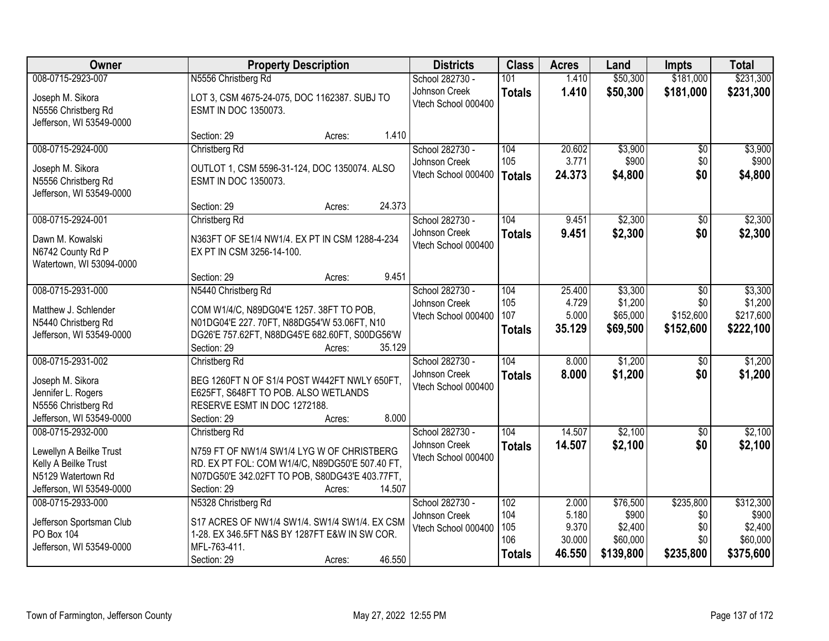| Owner                    | <b>Property Description</b>                     | <b>Districts</b>    | <b>Class</b>  | <b>Acres</b>    | Land                | <b>Impts</b> | <b>Total</b>        |
|--------------------------|-------------------------------------------------|---------------------|---------------|-----------------|---------------------|--------------|---------------------|
| 008-0715-2923-007        | N5556 Christberg Rd                             | School 282730 -     | 101           | 1.410           | \$50,300            | \$181,000    | \$231,300           |
| Joseph M. Sikora         | LOT 3, CSM 4675-24-075, DOC 1162387. SUBJ TO    | Johnson Creek       | <b>Totals</b> | 1.410           | \$50,300            | \$181,000    | \$231,300           |
| N5556 Christberg Rd      | ESMT IN DOC 1350073.                            | Vtech School 000400 |               |                 |                     |              |                     |
| Jefferson, WI 53549-0000 |                                                 |                     |               |                 |                     |              |                     |
|                          | 1.410<br>Section: 29<br>Acres:                  |                     |               |                 |                     |              |                     |
| 008-0715-2924-000        | Christberg Rd                                   | School 282730 -     | 104           | 20.602          | \$3,900             | \$0          | \$3,900             |
| Joseph M. Sikora         | OUTLOT 1, CSM 5596-31-124, DOC 1350074. ALSO    | Johnson Creek       | 105           | 3.771           | \$900               | \$0          | \$900               |
| N5556 Christberg Rd      | <b>ESMT IN DOC 1350073.</b>                     | Vtech School 000400 | Totals        | 24.373          | \$4,800             | \$0          | \$4,800             |
| Jefferson, WI 53549-0000 |                                                 |                     |               |                 |                     |              |                     |
|                          | 24.373<br>Section: 29<br>Acres:                 |                     |               |                 |                     |              |                     |
| 008-0715-2924-001        | Christberg Rd                                   | School 282730 -     | 104           | 9.451           | \$2,300             | \$0          | \$2,300             |
| Dawn M. Kowalski         | N363FT OF SE1/4 NW1/4. EX PT IN CSM 1288-4-234  | Johnson Creek       | <b>Totals</b> | 9.451           | \$2,300             | \$0          | \$2,300             |
| N6742 County Rd P        | EX PT IN CSM 3256-14-100.                       | Vtech School 000400 |               |                 |                     |              |                     |
| Watertown, WI 53094-0000 |                                                 |                     |               |                 |                     |              |                     |
|                          | 9.451<br>Section: 29<br>Acres:                  |                     |               |                 |                     |              |                     |
| 008-0715-2931-000        | N5440 Christberg Rd                             | School 282730 -     | 104           | 25.400          | \$3,300             | $\sqrt[6]{}$ | \$3,300             |
| Matthew J. Schlender     | COM W1/4/C, N89DG04'E 1257. 38FT TO POB,        | Johnson Creek       | 105           | 4.729           | \$1,200             | \$0          | \$1,200             |
| N5440 Christberg Rd      | N01DG04'E 227. 70FT, N88DG54'W 53.06FT, N10     | Vtech School 000400 | 107           | 5.000           | \$65,000            | \$152,600    | \$217,600           |
| Jefferson, WI 53549-0000 | DG26'E 757.62FT, N88DG45'E 682.60FT, S00DG56'W  |                     | <b>Totals</b> | 35.129          | \$69,500            | \$152,600    | \$222,100           |
|                          | 35.129<br>Section: 29<br>Acres:                 |                     |               |                 |                     |              |                     |
| 008-0715-2931-002        | Christberg Rd                                   | School 282730 -     | 104           | 8.000           | \$1,200             | \$0          | \$1,200             |
| Joseph M. Sikora         | BEG 1260FT N OF S1/4 POST W442FT NWLY 650FT,    | Johnson Creek       | <b>Totals</b> | 8.000           | \$1,200             | \$0          | \$1,200             |
| Jennifer L. Rogers       | E625FT, S648FT TO POB. ALSO WETLANDS            | Vtech School 000400 |               |                 |                     |              |                     |
| N5556 Christberg Rd      | RESERVE ESMT IN DOC 1272188.                    |                     |               |                 |                     |              |                     |
| Jefferson, WI 53549-0000 | 8.000<br>Section: 29<br>Acres:                  |                     |               |                 |                     |              |                     |
| 008-0715-2932-000        | Christberg Rd                                   | School 282730 -     | 104           | 14.507          | \$2,100             | \$0          | \$2,100             |
| Lewellyn A Beilke Trust  | N759 FT OF NW1/4 SW1/4 LYG W OF CHRISTBERG      | Johnson Creek       | <b>Totals</b> | 14.507          | \$2,100             | \$0          | \$2,100             |
| Kelly A Beilke Trust     | RD. EX PT FOL: COM W1/4/C, N89DG50'E 507.40 FT, | Vtech School 000400 |               |                 |                     |              |                     |
| N5129 Watertown Rd       | N07DG50'E 342.02FT TO POB, S80DG43'E 403.77FT,  |                     |               |                 |                     |              |                     |
| Jefferson, WI 53549-0000 | 14.507<br>Section: 29<br>Acres:                 |                     |               |                 |                     |              |                     |
| 008-0715-2933-000        | N5328 Christberg Rd                             | School 282730 -     | 102           | 2.000           | \$76,500            | \$235,800    | \$312,300           |
| Jefferson Sportsman Club | S17 ACRES OF NW1/4 SW1/4. SW1/4 SW1/4. EX CSM   | Johnson Creek       | 104<br>105    | 5.180           | \$900               | \$0          | \$900               |
| PO Box 104               | 1-28. EX 346.5FT N&S BY 1287FT E&W IN SW COR.   | Vtech School 000400 | 106           | 9.370<br>30.000 | \$2,400<br>\$60,000 | \$0<br>\$0   | \$2,400<br>\$60,000 |
| Jefferson, WI 53549-0000 | MFL-763-411.                                    |                     | <b>Totals</b> | 46.550          | \$139,800           | \$235,800    | \$375,600           |
|                          | 46.550<br>Section: 29<br>Acres:                 |                     |               |                 |                     |              |                     |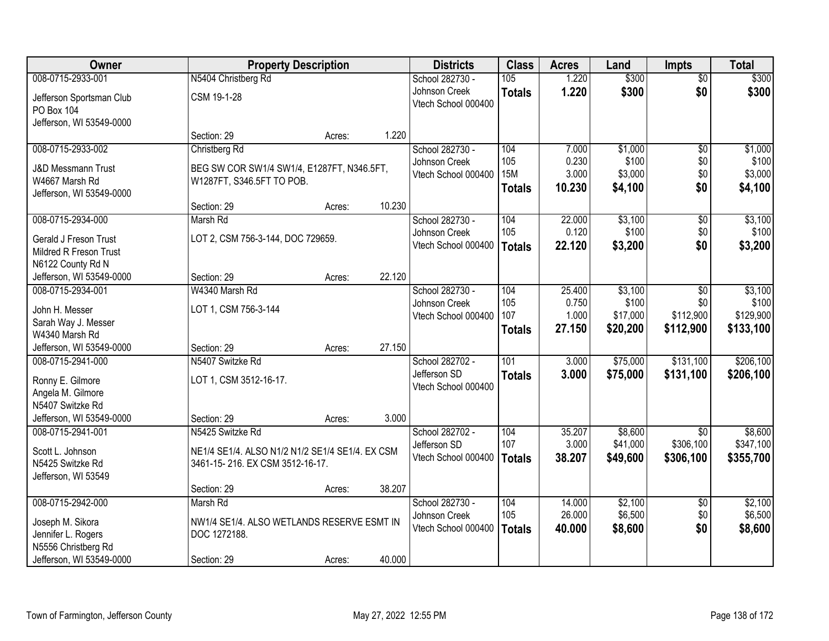| Owner                         | <b>Property Description</b>                     |        |        | <b>Districts</b>    | <b>Class</b>  | <b>Acres</b> | Land     | <b>Impts</b>    | <b>Total</b> |
|-------------------------------|-------------------------------------------------|--------|--------|---------------------|---------------|--------------|----------|-----------------|--------------|
| 008-0715-2933-001             | N5404 Christberg Rd                             |        |        | School 282730 -     | 105           | 1.220        | \$300    | $\overline{50}$ | \$300        |
| Jefferson Sportsman Club      | CSM 19-1-28                                     |        |        | Johnson Creek       | <b>Totals</b> | 1.220        | \$300    | \$0             | \$300        |
| <b>PO Box 104</b>             |                                                 |        |        | Vtech School 000400 |               |              |          |                 |              |
| Jefferson, WI 53549-0000      |                                                 |        |        |                     |               |              |          |                 |              |
|                               | Section: 29                                     | Acres: | 1.220  |                     |               |              |          |                 |              |
| 008-0715-2933-002             | Christberg Rd                                   |        |        | School 282730 -     | 104           | 7.000        | \$1,000  | $\overline{50}$ | \$1,000      |
| <b>J&amp;D Messmann Trust</b> | BEG SW COR SW1/4 SW1/4, E1287FT, N346.5FT,      |        |        | Johnson Creek       | 105           | 0.230        | \$100    | \$0             | \$100        |
| W4667 Marsh Rd                | W1287FT, S346.5FT TO POB.                       |        |        | Vtech School 000400 | <b>15M</b>    | 3.000        | \$3,000  | \$0             | \$3,000      |
| Jefferson, WI 53549-0000      |                                                 |        |        |                     | <b>Totals</b> | 10.230       | \$4,100  | \$0             | \$4,100      |
|                               | Section: 29                                     | Acres: | 10.230 |                     |               |              |          |                 |              |
| 008-0715-2934-000             | Marsh Rd                                        |        |        | School 282730 -     | 104           | 22.000       | \$3,100  | \$0             | \$3,100      |
| Gerald J Freson Trust         | LOT 2, CSM 756-3-144, DOC 729659.               |        |        | Johnson Creek       | 105           | 0.120        | \$100    | \$0             | \$100        |
| Mildred R Freson Trust        |                                                 |        |        | Vtech School 000400 | <b>Totals</b> | 22.120       | \$3,200  | \$0             | \$3,200      |
| N6122 County Rd N             |                                                 |        |        |                     |               |              |          |                 |              |
| Jefferson, WI 53549-0000      | Section: 29                                     | Acres: | 22.120 |                     |               |              |          |                 |              |
| 008-0715-2934-001             | W4340 Marsh Rd                                  |        |        | School 282730 -     | 104           | 25.400       | \$3,100  | $\sqrt[6]{3}$   | \$3,100      |
| John H. Messer                | LOT 1, CSM 756-3-144                            |        |        | Johnson Creek       | 105           | 0.750        | \$100    | \$0             | \$100        |
| Sarah Way J. Messer           |                                                 |        |        | Vtech School 000400 | 107           | 1.000        | \$17,000 | \$112,900       | \$129,900    |
| W4340 Marsh Rd                |                                                 |        |        |                     | <b>Totals</b> | 27.150       | \$20,200 | \$112,900       | \$133,100    |
| Jefferson, WI 53549-0000      | Section: 29                                     | Acres: | 27.150 |                     |               |              |          |                 |              |
| 008-0715-2941-000             | N5407 Switzke Rd                                |        |        | School 282702 -     | 101           | 3.000        | \$75,000 | \$131,100       | \$206,100    |
| Ronny E. Gilmore              | LOT 1, CSM 3512-16-17.                          |        |        | Jefferson SD        | <b>Totals</b> | 3.000        | \$75,000 | \$131,100       | \$206,100    |
| Angela M. Gilmore             |                                                 |        |        | Vtech School 000400 |               |              |          |                 |              |
| N5407 Switzke Rd              |                                                 |        |        |                     |               |              |          |                 |              |
| Jefferson, WI 53549-0000      | Section: 29                                     | Acres: | 3.000  |                     |               |              |          |                 |              |
| 008-0715-2941-001             | N5425 Switzke Rd                                |        |        | School 282702 -     | 104           | 35.207       | \$8,600  | $\overline{50}$ | \$8,600      |
| Scott L. Johnson              | NE1/4 SE1/4. ALSO N1/2 N1/2 SE1/4 SE1/4. EX CSM |        |        | Jefferson SD        | 107           | 3.000        | \$41,000 | \$306,100       | \$347,100    |
| N5425 Switzke Rd              | 3461-15-216. EX CSM 3512-16-17.                 |        |        | Vtech School 000400 | <b>Totals</b> | 38.207       | \$49,600 | \$306,100       | \$355,700    |
| Jefferson, WI 53549           |                                                 |        |        |                     |               |              |          |                 |              |
|                               | Section: 29                                     | Acres: | 38.207 |                     |               |              |          |                 |              |
| 008-0715-2942-000             | Marsh Rd                                        |        |        | School 282730 -     | 104           | 14.000       | \$2,100  | $\overline{60}$ | \$2,100      |
| Joseph M. Sikora              | NW1/4 SE1/4. ALSO WETLANDS RESERVE ESMT IN      |        |        | Johnson Creek       | 105           | 26.000       | \$6,500  | \$0             | \$6,500      |
| Jennifer L. Rogers            | DOC 1272188.                                    |        |        | Vtech School 000400 | <b>Totals</b> | 40.000       | \$8,600  | \$0             | \$8,600      |
| N5556 Christberg Rd           |                                                 |        |        |                     |               |              |          |                 |              |
| Jefferson, WI 53549-0000      | Section: 29                                     | Acres: | 40.000 |                     |               |              |          |                 |              |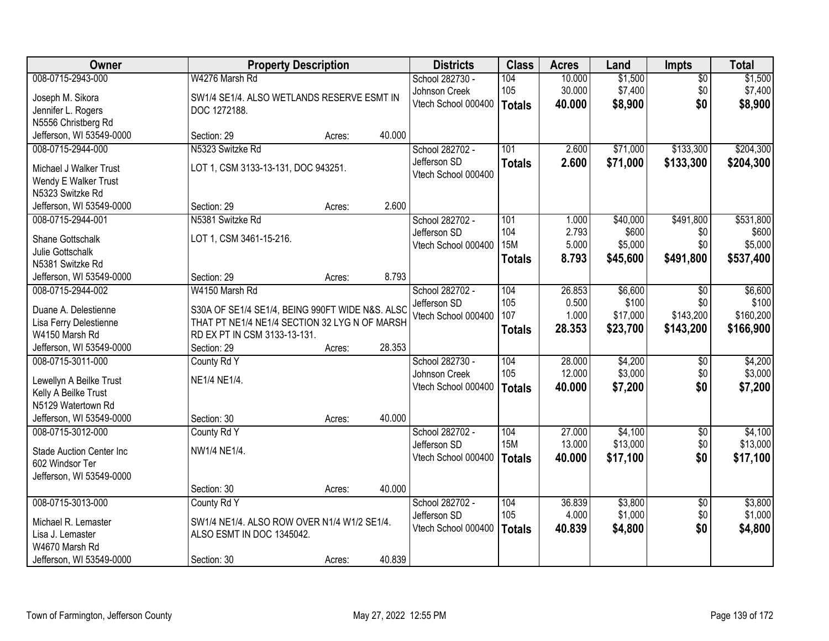| Owner                                       |                                                 | <b>Property Description</b> |        | <b>Districts</b>    | <b>Class</b>  | <b>Acres</b> | Land     | <b>Impts</b>    | <b>Total</b> |
|---------------------------------------------|-------------------------------------------------|-----------------------------|--------|---------------------|---------------|--------------|----------|-----------------|--------------|
| 008-0715-2943-000                           | W4276 Marsh Rd                                  |                             |        | School 282730 -     | 104           | 10.000       | \$1,500  | $\overline{50}$ | \$1,500      |
| Joseph M. Sikora                            | SW1/4 SE1/4. ALSO WETLANDS RESERVE ESMT IN      |                             |        | Johnson Creek       | 105           | 30.000       | \$7,400  | \$0             | \$7,400      |
| Jennifer L. Rogers                          | DOC 1272188.                                    |                             |        | Vtech School 000400 | <b>Totals</b> | 40.000       | \$8,900  | \$0             | \$8,900      |
| N5556 Christberg Rd                         |                                                 |                             |        |                     |               |              |          |                 |              |
| Jefferson, WI 53549-0000                    | Section: 29                                     | Acres:                      | 40.000 |                     |               |              |          |                 |              |
| 008-0715-2944-000                           | N5323 Switzke Rd                                |                             |        | School 282702 -     | 101           | 2.600        | \$71,000 | \$133,300       | \$204,300    |
| Michael J Walker Trust                      | LOT 1, CSM 3133-13-131, DOC 943251.             |                             |        | Jefferson SD        | <b>Totals</b> | 2.600        | \$71,000 | \$133,300       | \$204,300    |
| Wendy E Walker Trust                        |                                                 |                             |        | Vtech School 000400 |               |              |          |                 |              |
| N5323 Switzke Rd                            |                                                 |                             |        |                     |               |              |          |                 |              |
| Jefferson, WI 53549-0000                    | Section: 29                                     | Acres:                      | 2.600  |                     |               |              |          |                 |              |
| 008-0715-2944-001                           | N5381 Switzke Rd                                |                             |        | School 282702 -     | 101           | 1.000        | \$40,000 | \$491,800       | \$531,800    |
|                                             |                                                 |                             |        | Jefferson SD        | 104           | 2.793        | \$600    | \$0             | \$600        |
| Shane Gottschalk                            | LOT 1, CSM 3461-15-216.                         |                             |        | Vtech School 000400 | <b>15M</b>    | 5.000        | \$5,000  | \$0             | \$5,000      |
| Julie Gottschalk                            |                                                 |                             |        |                     | <b>Totals</b> | 8.793        | \$45,600 | \$491,800       | \$537,400    |
| N5381 Switzke Rd                            |                                                 |                             |        |                     |               |              |          |                 |              |
| Jefferson, WI 53549-0000                    | Section: 29                                     | Acres:                      | 8.793  |                     |               |              |          |                 |              |
| 008-0715-2944-002                           | W4150 Marsh Rd                                  |                             |        | School 282702 -     | 104           | 26.853       | \$6,600  | $\sqrt[6]{}$    | \$6,600      |
| Duane A. Delestienne                        | S30A OF SE1/4 SE1/4, BEING 990FT WIDE N&S. ALSC |                             |        | Jefferson SD        | 105           | 0.500        | \$100    | \$0             | \$100        |
| Lisa Ferry Delestienne                      | THAT PT NE1/4 NE1/4 SECTION 32 LYG N OF MARSH   |                             |        | Vtech School 000400 | 107           | 1.000        | \$17,000 | \$143,200       | \$160,200    |
| W4150 Marsh Rd                              | RD EX PT IN CSM 3133-13-131.                    |                             |        |                     | <b>Totals</b> | 28.353       | \$23,700 | \$143,200       | \$166,900    |
| Jefferson, WI 53549-0000                    | Section: 29                                     | Acres:                      | 28.353 |                     |               |              |          |                 |              |
| 008-0715-3011-000                           | County Rd Y                                     |                             |        | School 282730 -     | 104           | 28.000       | \$4,200  | \$0             | \$4,200      |
| Lewellyn A Beilke Trust                     | NE1/4 NE1/4.                                    |                             |        | Johnson Creek       | 105           | 12.000       | \$3,000  | \$0             | \$3,000      |
| Kelly A Beilke Trust                        |                                                 |                             |        | Vtech School 000400 | <b>Totals</b> | 40.000       | \$7,200  | \$0             | \$7,200      |
| N5129 Watertown Rd                          |                                                 |                             |        |                     |               |              |          |                 |              |
| Jefferson, WI 53549-0000                    | Section: 30                                     | Acres:                      | 40.000 |                     |               |              |          |                 |              |
| 008-0715-3012-000                           | County Rd Y                                     |                             |        | School 282702 -     | 104           | 27.000       | \$4,100  | $\overline{$0}$ | \$4,100      |
|                                             |                                                 |                             |        | Jefferson SD        | <b>15M</b>    | 13.000       | \$13,000 | \$0             | \$13,000     |
| <b>Stade Auction Center Inc</b>             | NW1/4 NE1/4.                                    |                             |        | Vtech School 000400 | <b>Totals</b> | 40.000       | \$17,100 | \$0             | \$17,100     |
| 602 Windsor Ter<br>Jefferson, WI 53549-0000 |                                                 |                             |        |                     |               |              |          |                 |              |
|                                             | Section: 30                                     |                             | 40.000 |                     |               |              |          |                 |              |
| 008-0715-3013-000                           | County Rd Y                                     | Acres:                      |        | School 282702 -     | 104           | 36.839       | \$3,800  | $\overline{60}$ | \$3,800      |
|                                             |                                                 |                             |        | Jefferson SD        | 105           | 4.000        | \$1,000  | \$0             | \$1,000      |
| Michael R. Lemaster                         | SW1/4 NE1/4. ALSO ROW OVER N1/4 W1/2 SE1/4.     |                             |        | Vtech School 000400 | <b>Totals</b> | 40.839       | \$4,800  | \$0             | \$4,800      |
| Lisa J. Lemaster                            | ALSO ESMT IN DOC 1345042.                       |                             |        |                     |               |              |          |                 |              |
| W4670 Marsh Rd                              |                                                 |                             |        |                     |               |              |          |                 |              |
| Jefferson, WI 53549-0000                    | Section: 30                                     | Acres:                      | 40.839 |                     |               |              |          |                 |              |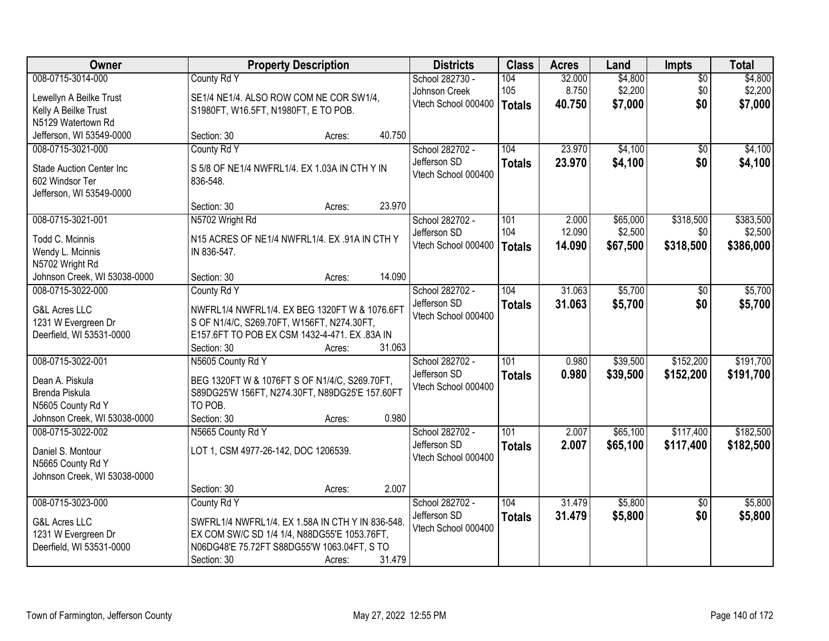| Owner                                           | <b>Property Description</b>                      | <b>Districts</b> | <b>Class</b>        | <b>Acres</b>  | Land   | <b>Impts</b> | <b>Total</b>    |           |
|-------------------------------------------------|--------------------------------------------------|------------------|---------------------|---------------|--------|--------------|-----------------|-----------|
| 008-0715-3014-000                               | County Rd Y                                      |                  | School 282730 -     | 104           | 32.000 | \$4,800      | $\overline{50}$ | \$4,800   |
| Lewellyn A Beilke Trust                         | SE1/4 NE1/4. ALSO ROW COM NE COR SW1/4,          |                  | Johnson Creek       | 105           | 8.750  | \$2,200      | \$0             | \$2,200   |
| Kelly A Beilke Trust                            | S1980FT, W16.5FT, N1980FT, E TO POB.             |                  | Vtech School 000400 | <b>Totals</b> | 40.750 | \$7,000      | \$0             | \$7,000   |
| N5129 Watertown Rd                              |                                                  |                  |                     |               |        |              |                 |           |
| Jefferson, WI 53549-0000                        | Section: 30                                      | Acres:           | 40.750              |               |        |              |                 |           |
| 008-0715-3021-000                               | County Rd Y                                      |                  | School 282702 -     | 104           | 23.970 | \$4,100      | \$0             | \$4,100   |
| <b>Stade Auction Center Inc.</b>                | S 5/8 OF NE1/4 NWFRL1/4, EX 1.03A IN CTH Y IN    |                  | Jefferson SD        | <b>Totals</b> | 23.970 | \$4,100      | \$0             | \$4,100   |
| 602 Windsor Ter                                 | 836-548.                                         |                  | Vtech School 000400 |               |        |              |                 |           |
| Jefferson, WI 53549-0000                        |                                                  |                  |                     |               |        |              |                 |           |
|                                                 | Section: 30                                      | Acres:           | 23.970              |               |        |              |                 |           |
| 008-0715-3021-001                               | N5702 Wright Rd                                  |                  | School 282702 -     | 101           | 2.000  | \$65,000     | \$318,500       | \$383,500 |
|                                                 |                                                  |                  | Jefferson SD        | 104           | 12.090 | \$2,500      | \$0             | \$2,500   |
| Todd C. Mcinnis                                 | N15 ACRES OF NE1/4 NWFRL1/4. EX .91A IN CTH Y    |                  | Vtech School 000400 | <b>Totals</b> | 14.090 | \$67,500     | \$318,500       | \$386,000 |
| Wendy L. Mcinnis                                | IN 836-547.                                      |                  |                     |               |        |              |                 |           |
| N5702 Wright Rd<br>Johnson Creek, WI 53038-0000 | Section: 30                                      | Acres:           | 14.090              |               |        |              |                 |           |
| 008-0715-3022-000                               | County Rd Y                                      |                  | School 282702 -     | 104           | 31.063 | \$5,700      | $\sqrt[6]{}$    | \$5,700   |
|                                                 |                                                  |                  | Jefferson SD        |               | 31.063 |              | \$0             |           |
| <b>G&amp;L Acres LLC</b>                        | NWFRL1/4 NWFRL1/4. EX BEG 1320FT W & 1076.6FT    |                  | Vtech School 000400 | <b>Totals</b> |        | \$5,700      |                 | \$5,700   |
| 1231 W Evergreen Dr                             | S OF N1/4/C, S269.70FT, W156FT, N274.30FT,       |                  |                     |               |        |              |                 |           |
| Deerfield, WI 53531-0000                        | E157.6FT TO POB EX CSM 1432-4-471. EX.83A IN     |                  |                     |               |        |              |                 |           |
|                                                 | Section: 30                                      | Acres:           | 31.063              |               |        |              |                 |           |
| 008-0715-3022-001                               | N5605 County Rd Y                                |                  | School 282702 -     | 101           | 0.980  | \$39,500     | \$152,200       | \$191,700 |
| Dean A. Piskula                                 | BEG 1320FT W & 1076FT S OF N1/4/C, S269.70FT,    |                  | Jefferson SD        | <b>Totals</b> | 0.980  | \$39,500     | \$152,200       | \$191,700 |
| Brenda Piskula                                  | S89DG25'W 156FT, N274.30FT, N89DG25'E 157.60FT   |                  | Vtech School 000400 |               |        |              |                 |           |
| N5605 County Rd Y                               | TO POB.                                          |                  |                     |               |        |              |                 |           |
| Johnson Creek, WI 53038-0000                    | Section: 30                                      | Acres:           | 0.980               |               |        |              |                 |           |
| 008-0715-3022-002                               | N5665 County Rd Y                                |                  | School 282702 -     | 101           | 2.007  | \$65,100     | \$117,400       | \$182,500 |
| Daniel S. Montour                               | LOT 1, CSM 4977-26-142, DOC 1206539.             |                  | Jefferson SD        | <b>Totals</b> | 2.007  | \$65,100     | \$117,400       | \$182,500 |
| N5665 County Rd Y                               |                                                  |                  | Vtech School 000400 |               |        |              |                 |           |
| Johnson Creek, WI 53038-0000                    |                                                  |                  |                     |               |        |              |                 |           |
|                                                 | Section: 30                                      | Acres:           | 2.007               |               |        |              |                 |           |
| 008-0715-3023-000                               | County Rd Y                                      |                  | School 282702 -     | 104           | 31.479 | \$5,800      | $\overline{50}$ | \$5,800   |
|                                                 |                                                  |                  | Jefferson SD        | <b>Totals</b> | 31.479 | \$5,800      | \$0             | \$5,800   |
| <b>G&amp;L Acres LLC</b>                        | SWFRL1/4 NWFRL1/4. EX 1.58A IN CTH Y IN 836-548. |                  | Vtech School 000400 |               |        |              |                 |           |
| 1231 W Evergreen Dr                             | EX COM SW/C SD 1/4 1/4, N88DG55'E 1053.76FT,     |                  |                     |               |        |              |                 |           |
| Deerfield, WI 53531-0000                        | N06DG48'E 75.72FT S88DG55'W 1063.04FT, S TO      |                  |                     |               |        |              |                 |           |
|                                                 | Section: 30                                      | Acres:           | 31.479              |               |        |              |                 |           |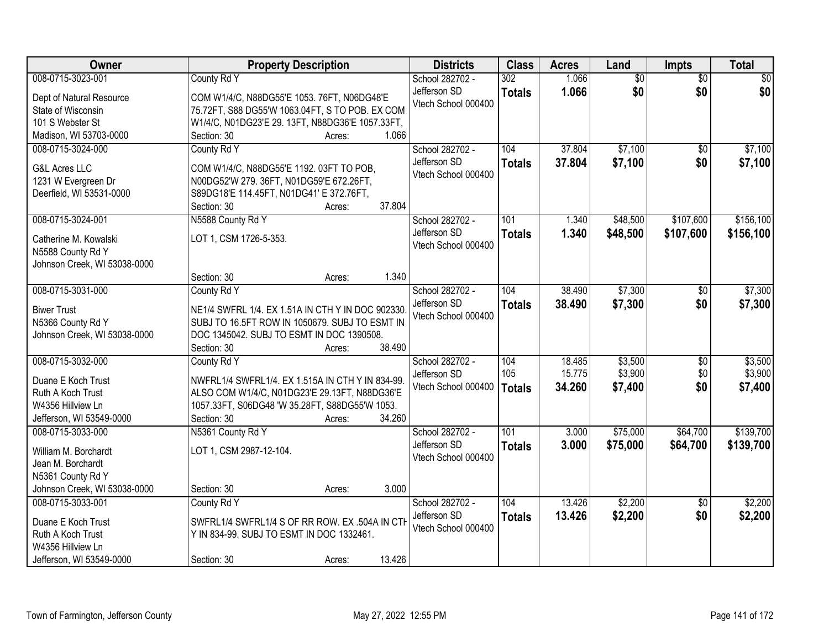| Owner                                           | <b>Property Description</b>                                                          | <b>Districts</b>    | <b>Class</b>     | <b>Acres</b> | Land            | Impts           | <b>Total</b>    |
|-------------------------------------------------|--------------------------------------------------------------------------------------|---------------------|------------------|--------------|-----------------|-----------------|-----------------|
| 008-0715-3023-001                               | County Rd Y                                                                          | School 282702 -     | 302              | 1.066        | $\overline{50}$ | $\overline{30}$ | $\overline{50}$ |
| Dept of Natural Resource                        | COM W1/4/C, N88DG55'E 1053. 76FT, N06DG48'E                                          | Jefferson SD        | <b>Totals</b>    | 1.066        | \$0             | \$0             | \$0             |
| State of Wisconsin                              | 75.72FT, S88 DG55'W 1063.04FT, S TO POB. EX COM                                      | Vtech School 000400 |                  |              |                 |                 |                 |
| 101 S Webster St                                | W1/4/C, N01DG23'E 29. 13FT, N88DG36'E 1057.33FT,                                     |                     |                  |              |                 |                 |                 |
| Madison, WI 53703-0000                          | Section: 30<br>Acres:                                                                | 1.066               |                  |              |                 |                 |                 |
| 008-0715-3024-000                               | County Rd Y                                                                          | School 282702 -     | 104              | 37.804       | \$7,100         | $\overline{50}$ | \$7,100         |
|                                                 |                                                                                      | Jefferson SD        | <b>Totals</b>    | 37.804       | \$7,100         | \$0             | \$7,100         |
| <b>G&amp;L Acres LLC</b>                        | COM W1/4/C, N88DG55'E 1192. 03FT TO POB,                                             | Vtech School 000400 |                  |              |                 |                 |                 |
| 1231 W Evergreen Dr<br>Deerfield, WI 53531-0000 | N00DG52'W 279. 36FT, N01DG59'E 672.26FT,<br>S89DG18'E 114.45FT, N01DG41' E 372.76FT, |                     |                  |              |                 |                 |                 |
|                                                 | Section: 30<br>Acres:                                                                | 37.804              |                  |              |                 |                 |                 |
| 008-0715-3024-001                               | N5588 County Rd Y                                                                    | School 282702 -     | 101              | 1.340        | \$48,500        | \$107,600       | \$156,100       |
|                                                 |                                                                                      | Jefferson SD        | <b>Totals</b>    | 1.340        | \$48,500        | \$107,600       | \$156,100       |
| Catherine M. Kowalski                           | LOT 1, CSM 1726-5-353.                                                               | Vtech School 000400 |                  |              |                 |                 |                 |
| N5588 County Rd Y                               |                                                                                      |                     |                  |              |                 |                 |                 |
| Johnson Creek, WI 53038-0000                    |                                                                                      |                     |                  |              |                 |                 |                 |
|                                                 | Section: 30<br>Acres:                                                                | 1.340               |                  |              |                 |                 |                 |
| 008-0715-3031-000                               | County Rd Y                                                                          | School 282702 -     | 104              | 38.490       | \$7,300         | \$0             | \$7,300         |
| <b>Biwer Trust</b>                              | NE1/4 SWFRL 1/4. EX 1.51A IN CTH Y IN DOC 902330.                                    | Jefferson SD        | <b>Totals</b>    | 38.490       | \$7,300         | \$0             | \$7,300         |
| N5366 County Rd Y                               | SUBJ TO 16.5FT ROW IN 1050679. SUBJ TO ESMT IN                                       | Vtech School 000400 |                  |              |                 |                 |                 |
| Johnson Creek, WI 53038-0000                    | DOC 1345042. SUBJ TO ESMT IN DOC 1390508.                                            |                     |                  |              |                 |                 |                 |
|                                                 | Section: 30<br>Acres:                                                                | 38.490              |                  |              |                 |                 |                 |
| 008-0715-3032-000                               | County Rd Y                                                                          | School 282702 -     | 104              | 18.485       | \$3,500         | \$0             | \$3,500         |
| Duane E Koch Trust                              | NWFRL1/4 SWFRL1/4. EX 1.515A IN CTH Y IN 834-99.                                     | Jefferson SD        | 105              | 15.775       | \$3,900         | \$0             | \$3,900         |
| Ruth A Koch Trust                               | ALSO COM W1/4/C, N01DG23'E 29.13FT, N88DG36'E                                        | Vtech School 000400 | <b>Totals</b>    | 34.260       | \$7,400         | \$0             | \$7,400         |
| W4356 Hillview Ln                               | 1057.33FT, S06DG48 'W 35.28FT, S88DG55'W 1053.                                       |                     |                  |              |                 |                 |                 |
| Jefferson, WI 53549-0000                        | Section: 30<br>Acres:                                                                | 34.260              |                  |              |                 |                 |                 |
| 008-0715-3033-000                               | N5361 County Rd Y                                                                    | School 282702 -     | $\overline{101}$ | 3.000        | \$75,000        | \$64,700        | \$139,700       |
|                                                 | LOT 1, CSM 2987-12-104.                                                              | Jefferson SD        | <b>Totals</b>    | 3.000        | \$75,000        | \$64,700        | \$139,700       |
| William M. Borchardt<br>Jean M. Borchardt       |                                                                                      | Vtech School 000400 |                  |              |                 |                 |                 |
| N5361 County Rd Y                               |                                                                                      |                     |                  |              |                 |                 |                 |
| Johnson Creek, WI 53038-0000                    | Section: 30<br>Acres:                                                                | 3.000               |                  |              |                 |                 |                 |
| 008-0715-3033-001                               | County Rd Y                                                                          | School 282702 -     | 104              | 13.426       | \$2,200         | $\overline{50}$ | \$2,200         |
|                                                 |                                                                                      | Jefferson SD        | <b>Totals</b>    | 13.426       | \$2,200         | \$0             | \$2,200         |
| Duane E Koch Trust                              | SWFRL1/4 SWFRL1/4 S OF RR ROW. EX .504A IN CTH                                       | Vtech School 000400 |                  |              |                 |                 |                 |
| Ruth A Koch Trust                               | Y IN 834-99. SUBJ TO ESMT IN DOC 1332461.                                            |                     |                  |              |                 |                 |                 |
| W4356 Hillview Ln                               |                                                                                      |                     |                  |              |                 |                 |                 |
| Jefferson, WI 53549-0000                        | Section: 30<br>Acres:                                                                | 13.426              |                  |              |                 |                 |                 |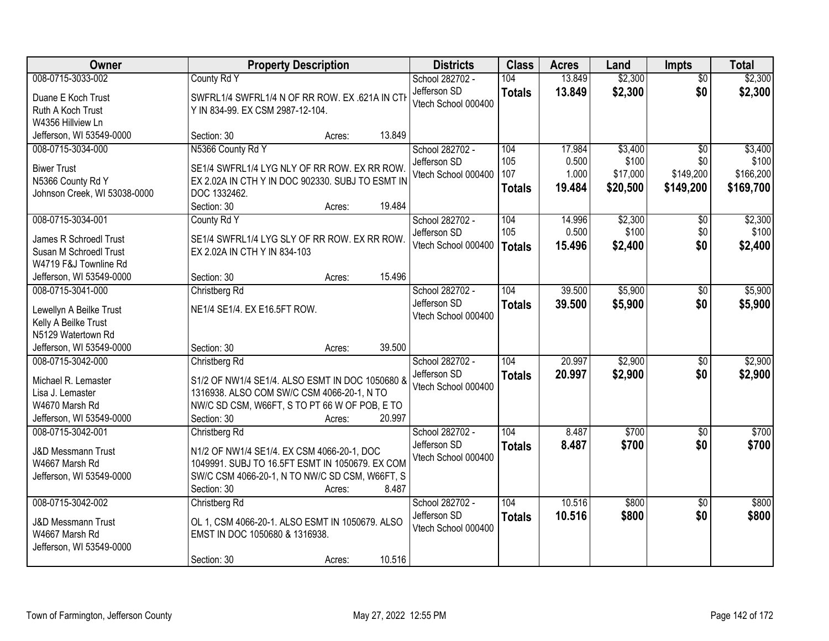| Owner                                      | <b>Property Description</b>                      | <b>Districts</b>    | <b>Class</b>  | <b>Acres</b> | Land     | <b>Impts</b>    | <b>Total</b> |
|--------------------------------------------|--------------------------------------------------|---------------------|---------------|--------------|----------|-----------------|--------------|
| 008-0715-3033-002                          | County Rd Y                                      | School 282702 -     | 104           | 13.849       | \$2,300  | $\overline{30}$ | \$2,300      |
| Duane E Koch Trust                         | SWFRL1/4 SWFRL1/4 N OF RR ROW. EX .621A IN CTI   | Jefferson SD        | <b>Totals</b> | 13.849       | \$2,300  | \$0             | \$2,300      |
| Ruth A Koch Trust                          | Y IN 834-99. EX CSM 2987-12-104.                 | Vtech School 000400 |               |              |          |                 |              |
| W4356 Hillview Ln                          |                                                  |                     |               |              |          |                 |              |
| Jefferson, WI 53549-0000                   | 13.849<br>Section: 30<br>Acres:                  |                     |               |              |          |                 |              |
| 008-0715-3034-000                          | N5366 County Rd Y                                | School 282702 -     | 104           | 17.984       | \$3,400  | $\overline{50}$ | \$3,400      |
| <b>Biwer Trust</b>                         | SE1/4 SWFRL1/4 LYG NLY OF RR ROW. EX RR ROW.     | Jefferson SD        | 105           | 0.500        | \$100    | \$0             | \$100        |
| N5366 County Rd Y                          | EX 2.02A IN CTH Y IN DOC 902330. SUBJ TO ESMT IN | Vtech School 000400 | 107           | 1.000        | \$17,000 | \$149,200       | \$166,200    |
| Johnson Creek, WI 53038-0000               | DOC 1332462.                                     |                     | <b>Totals</b> | 19.484       | \$20,500 | \$149,200       | \$169,700    |
|                                            | 19.484<br>Section: 30<br>Acres:                  |                     |               |              |          |                 |              |
| 008-0715-3034-001                          | County Rd Y                                      | School 282702 -     | 104           | 14.996       | \$2,300  | \$0             | \$2,300      |
| James R Schroedl Trust                     | SE1/4 SWFRL1/4 LYG SLY OF RR ROW. EX RR ROW.     | Jefferson SD        | 105           | 0.500        | \$100    | \$0             | \$100        |
| Susan M Schroedl Trust                     | EX 2.02A IN CTH Y IN 834-103                     | Vtech School 000400 | <b>Totals</b> | 15.496       | \$2,400  | \$0             | \$2,400      |
| W4719 F&J Townline Rd                      |                                                  |                     |               |              |          |                 |              |
| Jefferson, WI 53549-0000                   | 15.496<br>Section: 30<br>Acres:                  |                     |               |              |          |                 |              |
| 008-0715-3041-000                          | Christberg Rd                                    | School 282702 -     | 104           | 39.500       | \$5,900  | \$0             | \$5,900      |
|                                            |                                                  | Jefferson SD        | <b>Totals</b> | 39,500       | \$5,900  | \$0             | \$5,900      |
| Lewellyn A Beilke Trust                    | NE1/4 SE1/4. EX E16.5FT ROW.                     | Vtech School 000400 |               |              |          |                 |              |
| Kelly A Beilke Trust<br>N5129 Watertown Rd |                                                  |                     |               |              |          |                 |              |
| Jefferson, WI 53549-0000                   | 39.500<br>Section: 30<br>Acres:                  |                     |               |              |          |                 |              |
| 008-0715-3042-000                          | Christberg Rd                                    | School 282702 -     | 104           | 20.997       | \$2,900  | $\overline{50}$ | \$2,900      |
|                                            |                                                  | Jefferson SD        |               | 20.997       | \$2,900  | \$0             | \$2,900      |
| Michael R. Lemaster                        | S1/2 OF NW1/4 SE1/4. ALSO ESMT IN DOC 1050680 &  | Vtech School 000400 | <b>Totals</b> |              |          |                 |              |
| Lisa J. Lemaster                           | 1316938. ALSO COM SW/C CSM 4066-20-1, N TO       |                     |               |              |          |                 |              |
| W4670 Marsh Rd                             | NW/C SD CSM, W66FT, S TO PT 66 W OF POB, E TO    |                     |               |              |          |                 |              |
| Jefferson, WI 53549-0000                   | 20.997<br>Section: 30<br>Acres:                  |                     |               |              |          |                 |              |
| 008-0715-3042-001                          | Christberg Rd                                    | School 282702 -     | 104           | 8.487        | \$700    | $\overline{30}$ | \$700        |
| <b>J&amp;D Messmann Trust</b>              | N1/2 OF NW1/4 SE1/4. EX CSM 4066-20-1, DOC       | Jefferson SD        | <b>Totals</b> | 8.487        | \$700    | \$0             | \$700        |
| W4667 Marsh Rd                             | 1049991. SUBJ TO 16.5FT ESMT IN 1050679. EX COM  | Vtech School 000400 |               |              |          |                 |              |
| Jefferson, WI 53549-0000                   | SW/C CSM 4066-20-1, N TO NW/C SD CSM, W66FT, S   |                     |               |              |          |                 |              |
|                                            | 8.487<br>Section: 30<br>Acres:                   |                     |               |              |          |                 |              |
| 008-0715-3042-002                          | Christberg Rd                                    | School 282702 -     | 104           | 10.516       | \$800    | $\overline{50}$ | \$800        |
| <b>J&amp;D Messmann Trust</b>              | OL 1, CSM 4066-20-1. ALSO ESMT IN 1050679. ALSO  | Jefferson SD        | <b>Totals</b> | 10.516       | \$800    | \$0             | \$800        |
| W4667 Marsh Rd                             | EMST IN DOC 1050680 & 1316938.                   | Vtech School 000400 |               |              |          |                 |              |
| Jefferson, WI 53549-0000                   |                                                  |                     |               |              |          |                 |              |
|                                            | 10.516<br>Section: 30<br>Acres:                  |                     |               |              |          |                 |              |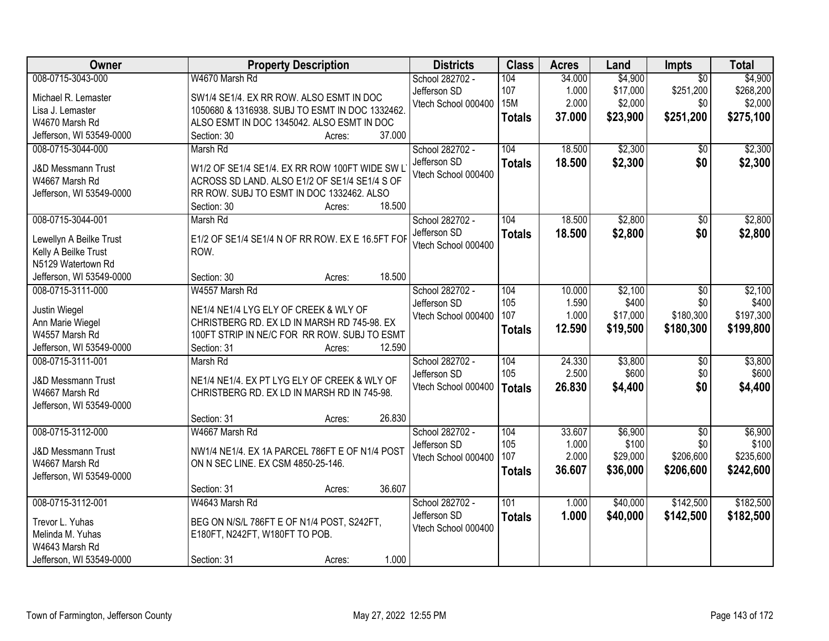| Owner                         | <b>Property Description</b>                      | <b>Districts</b>    | <b>Class</b>  | <b>Acres</b> | Land     | <b>Impts</b>    | <b>Total</b> |
|-------------------------------|--------------------------------------------------|---------------------|---------------|--------------|----------|-----------------|--------------|
| 008-0715-3043-000             | W4670 Marsh Rd                                   | School 282702 -     | 104           | 34.000       | \$4,900  | $\overline{30}$ | \$4,900      |
| Michael R. Lemaster           | SW1/4 SE1/4. EX RR ROW. ALSO ESMT IN DOC         | Jefferson SD        | 107           | 1.000        | \$17,000 | \$251,200       | \$268,200    |
| Lisa J. Lemaster              | 1050680 & 1316938. SUBJ TO ESMT IN DOC 1332462.  | Vtech School 000400 | <b>15M</b>    | 2.000        | \$2,000  | \$0             | \$2,000      |
| W4670 Marsh Rd                | ALSO ESMT IN DOC 1345042. ALSO ESMT IN DOC       |                     | <b>Totals</b> | 37.000       | \$23,900 | \$251,200       | \$275,100    |
| Jefferson, WI 53549-0000      | 37.000<br>Section: 30<br>Acres:                  |                     |               |              |          |                 |              |
| 008-0715-3044-000             | Marsh Rd                                         | School 282702 -     | 104           | 18.500       | \$2,300  | $\overline{30}$ | \$2,300      |
|                               |                                                  | Jefferson SD        | <b>Totals</b> | 18.500       | \$2,300  | \$0             | \$2,300      |
| <b>J&amp;D Messmann Trust</b> | W1/2 OF SE1/4 SE1/4. EX RR ROW 100FT WIDE SW L   | Vtech School 000400 |               |              |          |                 |              |
| W4667 Marsh Rd                | ACROSS SD LAND. ALSO E1/2 OF SE1/4 SE1/4 S OF    |                     |               |              |          |                 |              |
| Jefferson, WI 53549-0000      | RR ROW. SUBJ TO ESMT IN DOC 1332462. ALSO        |                     |               |              |          |                 |              |
|                               | 18.500<br>Section: 30<br>Acres:                  |                     |               |              |          |                 |              |
| 008-0715-3044-001             | Marsh Rd                                         | School 282702 -     | 104           | 18.500       | \$2,800  | \$0             | \$2,800      |
| Lewellyn A Beilke Trust       | E1/2 OF SE1/4 SE1/4 N OF RR ROW. EX E 16.5FT FOF | Jefferson SD        | <b>Totals</b> | 18.500       | \$2,800  | \$0             | \$2,800      |
| Kelly A Beilke Trust          | ROW.                                             | Vtech School 000400 |               |              |          |                 |              |
| N5129 Watertown Rd            |                                                  |                     |               |              |          |                 |              |
| Jefferson, WI 53549-0000      | 18.500<br>Section: 30<br>Acres:                  |                     |               |              |          |                 |              |
| 008-0715-3111-000             | W4557 Marsh Rd                                   | School 282702 -     | 104           | 10.000       | \$2,100  | \$0             | \$2,100      |
|                               |                                                  | Jefferson SD        | 105           | 1.590        | \$400    | \$0             | \$400        |
| Justin Wiegel                 | NE1/4 NE1/4 LYG ELY OF CREEK & WLY OF            | Vtech School 000400 | 107           | 1.000        | \$17,000 | \$180,300       | \$197,300    |
| Ann Marie Wiegel              | CHRISTBERG RD. EX LD IN MARSH RD 745-98. EX      |                     | <b>Totals</b> | 12.590       | \$19,500 | \$180,300       | \$199,800    |
| W4557 Marsh Rd                | 100FT STRIP IN NE/C FOR RR ROW. SUBJ TO ESMT     |                     |               |              |          |                 |              |
| Jefferson, WI 53549-0000      | 12.590<br>Section: 31<br>Acres:                  |                     |               |              |          |                 |              |
| 008-0715-3111-001             | Marsh Rd                                         | School 282702 -     | 104           | 24.330       | \$3,800  | $\overline{50}$ | \$3,800      |
| <b>J&amp;D Messmann Trust</b> | NE1/4 NE1/4. EX PT LYG ELY OF CREEK & WLY OF     | Jefferson SD        | 105           | 2.500        | \$600    | \$0             | \$600        |
| W4667 Marsh Rd                | CHRISTBERG RD. EX LD IN MARSH RD IN 745-98.      | Vtech School 000400 | <b>Totals</b> | 26.830       | \$4,400  | \$0             | \$4,400      |
| Jefferson, WI 53549-0000      |                                                  |                     |               |              |          |                 |              |
|                               | 26.830<br>Section: 31<br>Acres:                  |                     |               |              |          |                 |              |
| 008-0715-3112-000             | W4667 Marsh Rd                                   | School 282702 -     | 104           | 33.607       | \$6,900  | $\sqrt{6}$      | \$6,900      |
|                               |                                                  | Jefferson SD        | 105           | 1.000        | \$100    | \$0             | \$100        |
| <b>J&amp;D Messmann Trust</b> | NW1/4 NE1/4. EX 1A PARCEL 786FT E OF N1/4 POST   | Vtech School 000400 | 107           | 2.000        | \$29,000 | \$206,600       | \$235,600    |
| W4667 Marsh Rd                | ON N SEC LINE. EX CSM 4850-25-146.               |                     | <b>Totals</b> | 36.607       | \$36,000 | \$206,600       | \$242,600    |
| Jefferson, WI 53549-0000      |                                                  |                     |               |              |          |                 |              |
|                               | 36.607<br>Section: 31<br>Acres:                  |                     |               |              |          |                 |              |
| 008-0715-3112-001             | W4643 Marsh Rd                                   | School 282702 -     | 101           | 1.000        | \$40,000 | \$142,500       | \$182,500    |
| Trevor L. Yuhas               | BEG ON N/S/L 786FT E OF N1/4 POST, S242FT,       | Jefferson SD        | <b>Totals</b> | 1.000        | \$40,000 | \$142,500       | \$182,500    |
| Melinda M. Yuhas              | E180FT, N242FT, W180FT TO POB.                   | Vtech School 000400 |               |              |          |                 |              |
| W4643 Marsh Rd                |                                                  |                     |               |              |          |                 |              |
| Jefferson, WI 53549-0000      | 1.000<br>Section: 31<br>Acres:                   |                     |               |              |          |                 |              |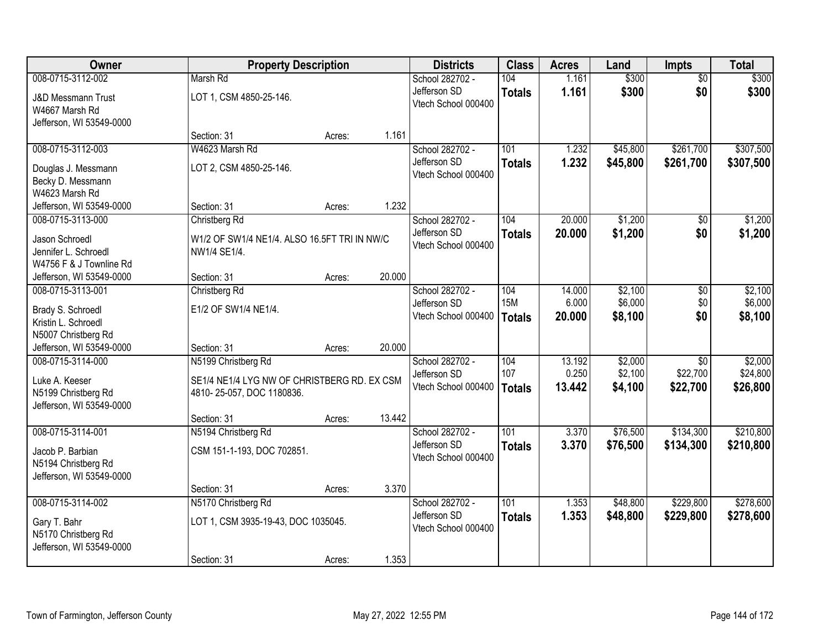| Owner                                                                       | <b>Property Description</b>                                              |        |        | <b>Districts</b>                                       | <b>Class</b>                       | <b>Acres</b>              | Land                          | <b>Impts</b>         | <b>Total</b>                  |
|-----------------------------------------------------------------------------|--------------------------------------------------------------------------|--------|--------|--------------------------------------------------------|------------------------------------|---------------------------|-------------------------------|----------------------|-------------------------------|
| 008-0715-3112-002                                                           | Marsh Rd                                                                 |        |        | School 282702 -                                        | 104                                | 1.161                     | \$300                         | $\overline{50}$      | \$300                         |
| <b>J&amp;D Messmann Trust</b><br>W4667 Marsh Rd<br>Jefferson, WI 53549-0000 | LOT 1, CSM 4850-25-146.                                                  |        |        | Jefferson SD<br>Vtech School 000400                    | <b>Totals</b>                      | 1.161                     | \$300                         | \$0                  | \$300                         |
|                                                                             | Section: 31                                                              | Acres: | 1.161  |                                                        |                                    |                           |                               |                      |                               |
| 008-0715-3112-003                                                           | W4623 Marsh Rd                                                           |        |        | School 282702 -                                        | 101                                | 1.232                     | \$45,800                      | \$261,700            | \$307,500                     |
| Douglas J. Messmann<br>Becky D. Messmann<br>W4623 Marsh Rd                  | LOT 2, CSM 4850-25-146.                                                  |        |        | Jefferson SD<br>Vtech School 000400                    | <b>Totals</b>                      | 1.232                     | \$45,800                      | \$261,700            | \$307,500                     |
| Jefferson, WI 53549-0000                                                    | Section: 31                                                              | Acres: | 1.232  |                                                        |                                    |                           |                               |                      |                               |
| 008-0715-3113-000                                                           | Christberg Rd                                                            |        |        | School 282702 -                                        | 104                                | 20.000                    | \$1,200                       | \$0                  | \$1,200                       |
| Jason Schroedl<br>Jennifer L. Schroedl<br>W4756 F & J Townline Rd           | W1/2 OF SW1/4 NE1/4. ALSO 16.5FT TRI IN NW/C<br>NW1/4 SE1/4.             |        |        | Jefferson SD<br>Vtech School 000400                    | <b>Totals</b>                      | 20.000                    | \$1,200                       | \$0                  | \$1,200                       |
| Jefferson, WI 53549-0000                                                    | Section: 31                                                              | Acres: | 20.000 |                                                        |                                    |                           |                               |                      |                               |
| 008-0715-3113-001<br>Brady S. Schroedl<br>Kristin L. Schroedl               | Christberg Rd<br>E1/2 OF SW1/4 NE1/4.                                    |        |        | School 282702 -<br>Jefferson SD<br>Vtech School 000400 | 104<br><b>15M</b><br><b>Totals</b> | 14.000<br>6.000<br>20.000 | \$2,100<br>\$6,000<br>\$8,100 | \$0<br>\$0<br>\$0    | \$2,100<br>\$6,000<br>\$8,100 |
| N5007 Christberg Rd<br>Jefferson, WI 53549-0000                             | Section: 31                                                              | Acres: | 20.000 |                                                        |                                    |                           |                               |                      |                               |
| 008-0715-3114-000                                                           | N5199 Christberg Rd                                                      |        |        | School 282702 -                                        | 104                                | 13.192                    | \$2,000                       | $\overline{30}$      | \$2,000                       |
| Luke A. Keeser<br>N5199 Christberg Rd<br>Jefferson, WI 53549-0000           | SE1/4 NE1/4 LYG NW OF CHRISTBERG RD. EX CSM<br>4810-25-057, DOC 1180836. |        |        | Jefferson SD<br>Vtech School 000400                    | 107<br>Totals                      | 0.250<br>13.442           | \$2,100<br>\$4,100            | \$22,700<br>\$22,700 | \$24,800<br>\$26,800          |
|                                                                             | Section: 31                                                              | Acres: | 13.442 |                                                        |                                    |                           |                               |                      |                               |
| 008-0715-3114-001                                                           | N5194 Christberg Rd                                                      |        |        | School 282702 -                                        | 101                                | 3.370                     | \$76,500                      | \$134,300            | \$210,800                     |
| Jacob P. Barbian<br>N5194 Christberg Rd<br>Jefferson, WI 53549-0000         | CSM 151-1-193, DOC 702851.                                               |        |        | Jefferson SD<br>Vtech School 000400                    | <b>Totals</b>                      | 3.370                     | \$76,500                      | \$134,300            | \$210,800                     |
|                                                                             | Section: 31                                                              | Acres: | 3.370  |                                                        |                                    |                           |                               |                      |                               |
| 008-0715-3114-002                                                           | N5170 Christberg Rd                                                      |        |        | School 282702 -                                        | 101                                | 1.353                     | \$48,800                      | \$229,800            | \$278,600                     |
| Gary T. Bahr<br>N5170 Christberg Rd<br>Jefferson, WI 53549-0000             | LOT 1, CSM 3935-19-43, DOC 1035045.                                      |        |        | Jefferson SD<br>Vtech School 000400                    | <b>Totals</b>                      | 1.353                     | \$48,800                      | \$229,800            | \$278,600                     |
|                                                                             | Section: 31                                                              | Acres: | 1.353  |                                                        |                                    |                           |                               |                      |                               |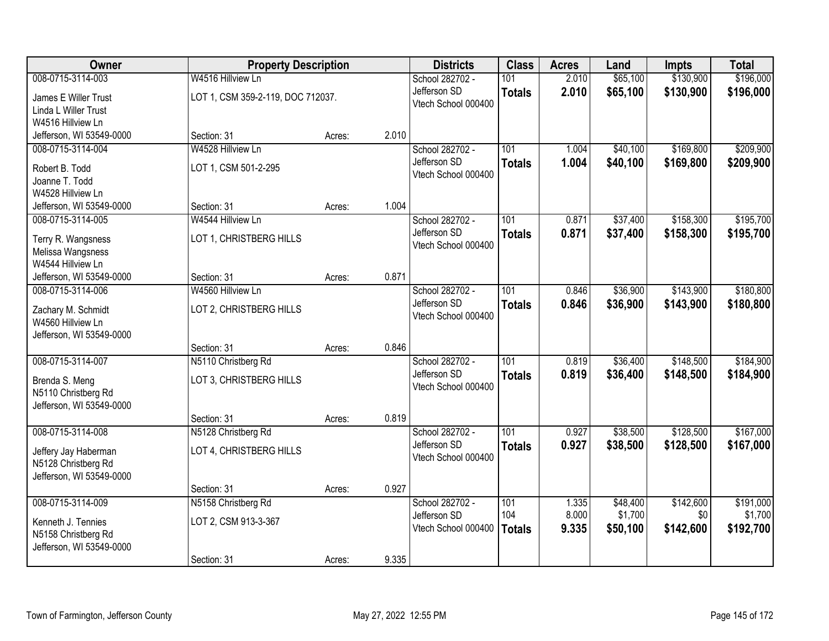| Owner                    | <b>Property Description</b>       |        |       | <b>Districts</b>    | <b>Class</b>  | <b>Acres</b> | Land     | <b>Impts</b> | <b>Total</b> |
|--------------------------|-----------------------------------|--------|-------|---------------------|---------------|--------------|----------|--------------|--------------|
| 008-0715-3114-003        | W4516 Hillview Ln                 |        |       | School 282702 -     | 101           | 2.010        | \$65,100 | \$130,900    | \$196,000    |
| James E Willer Trust     | LOT 1, CSM 359-2-119, DOC 712037. |        |       | Jefferson SD        | <b>Totals</b> | 2.010        | \$65,100 | \$130,900    | \$196,000    |
| Linda L Willer Trust     |                                   |        |       | Vtech School 000400 |               |              |          |              |              |
| W4516 Hillview Ln        |                                   |        |       |                     |               |              |          |              |              |
| Jefferson, WI 53549-0000 | Section: 31                       | Acres: | 2.010 |                     |               |              |          |              |              |
| 008-0715-3114-004        | W4528 Hillview Ln                 |        |       | School 282702 -     | 101           | 1.004        | \$40,100 | \$169,800    | \$209,900    |
| Robert B. Todd           | LOT 1, CSM 501-2-295              |        |       | Jefferson SD        | <b>Totals</b> | 1.004        | \$40,100 | \$169,800    | \$209,900    |
| Joanne T. Todd           |                                   |        |       | Vtech School 000400 |               |              |          |              |              |
| W4528 Hillview Ln        |                                   |        |       |                     |               |              |          |              |              |
| Jefferson, WI 53549-0000 | Section: 31                       | Acres: | 1.004 |                     |               |              |          |              |              |
| 008-0715-3114-005        | W4544 Hillview Ln                 |        |       | School 282702 -     | 101           | 0.871        | \$37,400 | \$158,300    | \$195,700    |
| Terry R. Wangsness       | LOT 1, CHRISTBERG HILLS           |        |       | Jefferson SD        | <b>Totals</b> | 0.871        | \$37,400 | \$158,300    | \$195,700    |
| Melissa Wangsness        |                                   |        |       | Vtech School 000400 |               |              |          |              |              |
| W4544 Hillview Ln        |                                   |        |       |                     |               |              |          |              |              |
| Jefferson, WI 53549-0000 | Section: 31                       | Acres: | 0.871 |                     |               |              |          |              |              |
| 008-0715-3114-006        | W4560 Hillview Ln                 |        |       | School 282702 -     | 101           | 0.846        | \$36,900 | \$143,900    | \$180,800    |
| Zachary M. Schmidt       | LOT 2, CHRISTBERG HILLS           |        |       | Jefferson SD        | <b>Totals</b> | 0.846        | \$36,900 | \$143,900    | \$180,800    |
| W4560 Hillview Ln        |                                   |        |       | Vtech School 000400 |               |              |          |              |              |
| Jefferson, WI 53549-0000 |                                   |        |       |                     |               |              |          |              |              |
|                          | Section: 31                       | Acres: | 0.846 |                     |               |              |          |              |              |
| 008-0715-3114-007        | N5110 Christberg Rd               |        |       | School 282702 -     | 101           | 0.819        | \$36,400 | \$148,500    | \$184,900    |
| Brenda S. Meng           | LOT 3, CHRISTBERG HILLS           |        |       | Jefferson SD        | <b>Totals</b> | 0.819        | \$36,400 | \$148,500    | \$184,900    |
| N5110 Christberg Rd      |                                   |        |       | Vtech School 000400 |               |              |          |              |              |
| Jefferson, WI 53549-0000 |                                   |        |       |                     |               |              |          |              |              |
|                          | Section: 31                       | Acres: | 0.819 |                     |               |              |          |              |              |
| 008-0715-3114-008        | N5128 Christberg Rd               |        |       | School 282702 -     | 101           | 0.927        | \$38,500 | \$128,500    | \$167,000    |
| Jeffery Jay Haberman     | LOT 4, CHRISTBERG HILLS           |        |       | Jefferson SD        | <b>Totals</b> | 0.927        | \$38,500 | \$128,500    | \$167,000    |
| N5128 Christberg Rd      |                                   |        |       | Vtech School 000400 |               |              |          |              |              |
| Jefferson, WI 53549-0000 |                                   |        |       |                     |               |              |          |              |              |
|                          | Section: 31                       | Acres: | 0.927 |                     |               |              |          |              |              |
| 008-0715-3114-009        | N5158 Christberg Rd               |        |       | School 282702 -     | 101           | 1.335        | \$48,400 | \$142,600    | \$191,000    |
| Kenneth J. Tennies       | LOT 2, CSM 913-3-367              |        |       | Jefferson SD        | 104           | 8.000        | \$1,700  | \$0          | \$1,700      |
| N5158 Christberg Rd      |                                   |        |       | Vtech School 000400 | <b>Totals</b> | 9.335        | \$50,100 | \$142,600    | \$192,700    |
| Jefferson, WI 53549-0000 |                                   |        |       |                     |               |              |          |              |              |
|                          | Section: 31                       | Acres: | 9.335 |                     |               |              |          |              |              |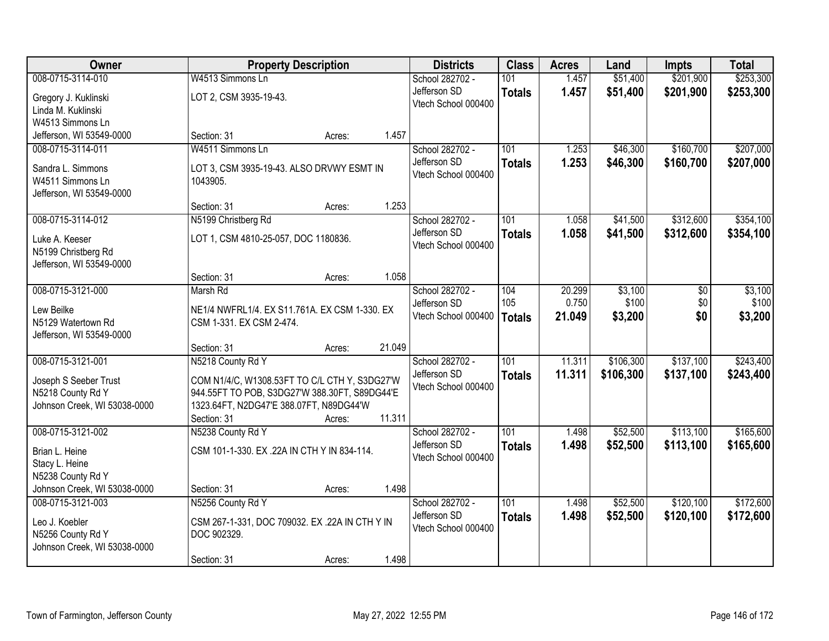| Owner                        | <b>Property Description</b>                    | <b>Districts</b>    | <b>Class</b>  | <b>Acres</b> | Land      | <b>Impts</b> | <b>Total</b> |
|------------------------------|------------------------------------------------|---------------------|---------------|--------------|-----------|--------------|--------------|
| 008-0715-3114-010            | W4513 Simmons Ln                               | School 282702 -     | 101           | 1.457        | \$51,400  | \$201,900    | \$253,300    |
| Gregory J. Kuklinski         | LOT 2, CSM 3935-19-43.                         | Jefferson SD        | <b>Totals</b> | 1.457        | \$51,400  | \$201,900    | \$253,300    |
| Linda M. Kuklinski           |                                                | Vtech School 000400 |               |              |           |              |              |
| W4513 Simmons Ln             |                                                |                     |               |              |           |              |              |
| Jefferson, WI 53549-0000     | 1.457<br>Section: 31<br>Acres:                 |                     |               |              |           |              |              |
| 008-0715-3114-011            | W4511 Simmons Ln                               | School 282702 -     | 101           | 1.253        | \$46,300  | \$160,700    | \$207,000    |
| Sandra L. Simmons            | LOT 3, CSM 3935-19-43. ALSO DRVWY ESMT IN      | Jefferson SD        | <b>Totals</b> | 1.253        | \$46,300  | \$160,700    | \$207,000    |
| W4511 Simmons Ln             | 1043905.                                       | Vtech School 000400 |               |              |           |              |              |
| Jefferson, WI 53549-0000     |                                                |                     |               |              |           |              |              |
|                              | 1.253<br>Section: 31<br>Acres:                 |                     |               |              |           |              |              |
| 008-0715-3114-012            | N5199 Christberg Rd                            | School 282702 -     | 101           | 1.058        | \$41,500  | \$312,600    | \$354,100    |
| Luke A. Keeser               | LOT 1, CSM 4810-25-057, DOC 1180836.           | Jefferson SD        | <b>Totals</b> | 1.058        | \$41,500  | \$312,600    | \$354,100    |
| N5199 Christberg Rd          |                                                | Vtech School 000400 |               |              |           |              |              |
| Jefferson, WI 53549-0000     |                                                |                     |               |              |           |              |              |
|                              | 1.058<br>Section: 31<br>Acres:                 |                     |               |              |           |              |              |
| 008-0715-3121-000            | Marsh Rd                                       | School 282702 -     | 104           | 20.299       | \$3,100   | \$0          | \$3,100      |
| Lew Beilke                   | NE1/4 NWFRL1/4. EX S11.761A. EX CSM 1-330. EX  | Jefferson SD        | 105           | 0.750        | \$100     | \$0          | \$100        |
| N5129 Watertown Rd           | CSM 1-331. EX CSM 2-474.                       | Vtech School 000400 | <b>Totals</b> | 21.049       | \$3,200   | \$0          | \$3,200      |
| Jefferson, WI 53549-0000     |                                                |                     |               |              |           |              |              |
|                              | 21.049<br>Section: 31<br>Acres:                |                     |               |              |           |              |              |
| 008-0715-3121-001            | N5218 County Rd Y                              | School 282702 -     | 101           | 11.311       | \$106,300 | \$137,100    | \$243,400    |
| Joseph S Seeber Trust        | COM N1/4/C, W1308.53FT TO C/L CTH Y, S3DG27'W  | Jefferson SD        | <b>Totals</b> | 11.311       | \$106,300 | \$137,100    | \$243,400    |
| N5218 County Rd Y            | 944.55FT TO POB, S3DG27'W 388.30FT, S89DG44'E  | Vtech School 000400 |               |              |           |              |              |
| Johnson Creek, WI 53038-0000 | 1323.64FT, N2DG47'E 388.07FT, N89DG44'W        |                     |               |              |           |              |              |
|                              | 11.311<br>Section: 31<br>Acres:                |                     |               |              |           |              |              |
| 008-0715-3121-002            | N5238 County Rd Y                              | School 282702 -     | 101           | 1.498        | \$52,500  | \$113,100    | \$165,600    |
| Brian L. Heine               | CSM 101-1-330. EX .22A IN CTH Y IN 834-114.    | Jefferson SD        | <b>Totals</b> | 1.498        | \$52,500  | \$113,100    | \$165,600    |
| Stacy L. Heine               |                                                | Vtech School 000400 |               |              |           |              |              |
| N5238 County Rd Y            |                                                |                     |               |              |           |              |              |
| Johnson Creek, WI 53038-0000 | 1.498<br>Section: 31<br>Acres:                 |                     |               |              |           |              |              |
| 008-0715-3121-003            | N5256 County Rd Y                              | School 282702 -     | 101           | 1.498        | \$52,500  | \$120,100    | \$172,600    |
| Leo J. Koebler               | CSM 267-1-331, DOC 709032. EX .22A IN CTH Y IN | Jefferson SD        | <b>Totals</b> | 1.498        | \$52,500  | \$120,100    | \$172,600    |
| N5256 County Rd Y            | DOC 902329.                                    | Vtech School 000400 |               |              |           |              |              |
| Johnson Creek, WI 53038-0000 |                                                |                     |               |              |           |              |              |
|                              | 1.498<br>Section: 31<br>Acres:                 |                     |               |              |           |              |              |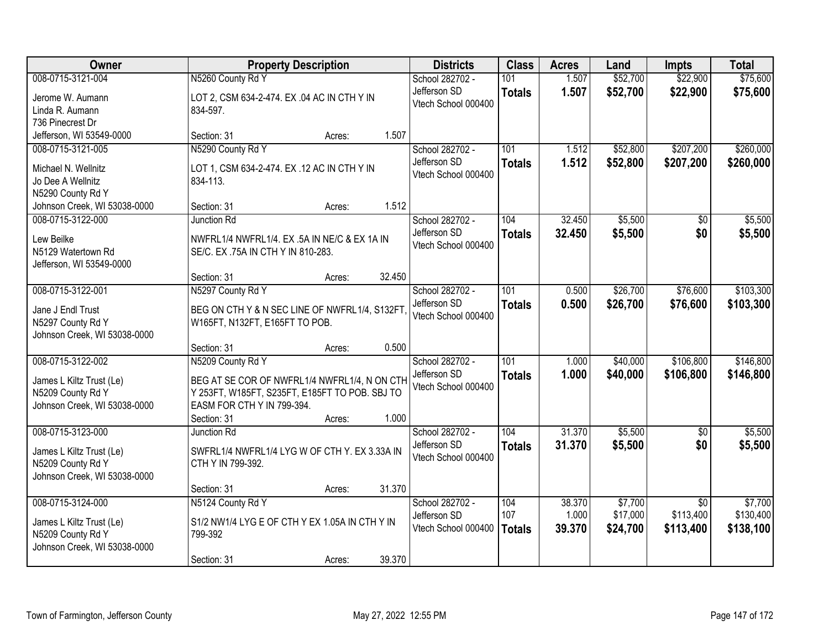| Owner                                                                                              | <b>Property Description</b>                                                                                                                                                         | <b>Districts</b>                                       | <b>Class</b>                | <b>Acres</b>              | Land                            | <b>Impts</b>                              | <b>Total</b>                      |
|----------------------------------------------------------------------------------------------------|-------------------------------------------------------------------------------------------------------------------------------------------------------------------------------------|--------------------------------------------------------|-----------------------------|---------------------------|---------------------------------|-------------------------------------------|-----------------------------------|
| 008-0715-3121-004                                                                                  | N5260 County Rd Y                                                                                                                                                                   | School 282702 -                                        | 101                         | 1.507                     | \$52,700                        | \$22,900                                  | \$75,600                          |
| Jerome W. Aumann<br>Linda R. Aumann<br>736 Pinecrest Dr                                            | LOT 2, CSM 634-2-474. EX .04 AC IN CTH Y IN<br>834-597.                                                                                                                             | Jefferson SD<br>Vtech School 000400                    | <b>Totals</b>               | 1.507                     | \$52,700                        | \$22,900                                  | \$75,600                          |
| Jefferson, WI 53549-0000                                                                           | 1.507<br>Section: 31<br>Acres:                                                                                                                                                      |                                                        |                             |                           |                                 |                                           |                                   |
| 008-0715-3121-005<br>Michael N. Wellnitz<br>Jo Dee A Wellnitz<br>N5290 County Rd Y                 | N5290 County Rd Y<br>LOT 1, CSM 634-2-474. EX .12 AC IN CTH Y IN<br>834-113.                                                                                                        | School 282702 -<br>Jefferson SD<br>Vtech School 000400 | 101<br><b>Totals</b>        | 1.512<br>1.512            | \$52,800<br>\$52,800            | \$207,200<br>\$207,200                    | \$260,000<br>\$260,000            |
| Johnson Creek, WI 53038-0000                                                                       | 1.512<br>Section: 31<br>Acres:                                                                                                                                                      |                                                        |                             |                           |                                 |                                           |                                   |
| 008-0715-3122-000<br>Lew Beilke<br>N5129 Watertown Rd<br>Jefferson, WI 53549-0000                  | <b>Junction Rd</b><br>NWFRL1/4 NWFRL1/4. EX .5A IN NE/C & EX 1A IN<br>SE/C. EX.75A IN CTH Y IN 810-283.                                                                             | School 282702 -<br>Jefferson SD<br>Vtech School 000400 | 104<br><b>Totals</b>        | 32.450<br>32.450          | \$5,500<br>\$5,500              | \$0<br>\$0                                | \$5,500<br>\$5,500                |
|                                                                                                    | 32.450<br>Section: 31<br>Acres:                                                                                                                                                     |                                                        |                             |                           |                                 |                                           |                                   |
| 008-0715-3122-001<br>Jane J Endl Trust<br>N5297 County Rd Y<br>Johnson Creek, WI 53038-0000        | N5297 County Rd Y<br>BEG ON CTH Y & N SEC LINE OF NWFRL1/4, S132FT<br>W165FT, N132FT, E165FT TO POB.                                                                                | School 282702 -<br>Jefferson SD<br>Vtech School 000400 | 101<br><b>Totals</b>        | 0.500<br>0.500            | \$26,700<br>\$26,700            | \$76,600<br>\$76,600                      | \$103,300<br>\$103,300            |
|                                                                                                    | 0.500<br>Section: 31<br>Acres:                                                                                                                                                      |                                                        |                             |                           |                                 |                                           |                                   |
| 008-0715-3122-002<br>James L Kiltz Trust (Le)<br>N5209 County Rd Y<br>Johnson Creek, WI 53038-0000 | N5209 County Rd Y<br>BEG AT SE COR OF NWFRL1/4 NWFRL1/4, N ON CTH<br>Y 253FT, W185FT, S235FT, E185FT TO POB. SBJ TO<br>EASM FOR CTH Y IN 799-394.<br>1.000<br>Section: 31<br>Acres: | School 282702 -<br>Jefferson SD<br>Vtech School 000400 | 101<br><b>Totals</b>        | 1.000<br>1.000            | \$40,000<br>\$40,000            | \$106,800<br>\$106,800                    | \$146,800<br>\$146,800            |
| 008-0715-3123-000                                                                                  | Junction Rd                                                                                                                                                                         | School 282702 -                                        | 104                         | 31.370                    | \$5,500                         | $\sqrt{6}$                                | \$5,500                           |
| James L Kiltz Trust (Le)<br>N5209 County Rd Y<br>Johnson Creek, WI 53038-0000                      | SWFRL1/4 NWFRL1/4 LYG W OF CTH Y. EX 3.33A IN<br>CTH Y IN 799-392.                                                                                                                  | Jefferson SD<br>Vtech School 000400                    | <b>Totals</b>               | 31.370                    | \$5,500                         | \$0                                       | \$5,500                           |
|                                                                                                    | 31.370<br>Section: 31<br>Acres:                                                                                                                                                     |                                                        |                             |                           |                                 |                                           |                                   |
| 008-0715-3124-000<br>James L Kiltz Trust (Le)<br>N5209 County Rd Y<br>Johnson Creek, WI 53038-0000 | N5124 County Rd Y<br>S1/2 NW1/4 LYG E OF CTH Y EX 1.05A IN CTH Y IN<br>799-392<br>39.370<br>Section: 31<br>Acres:                                                                   | School 282702 -<br>Jefferson SD<br>Vtech School 000400 | 104<br>107<br><b>Totals</b> | 38.370<br>1.000<br>39.370 | \$7,700<br>\$17,000<br>\$24,700 | $\overline{30}$<br>\$113,400<br>\$113,400 | \$7,700<br>\$130,400<br>\$138,100 |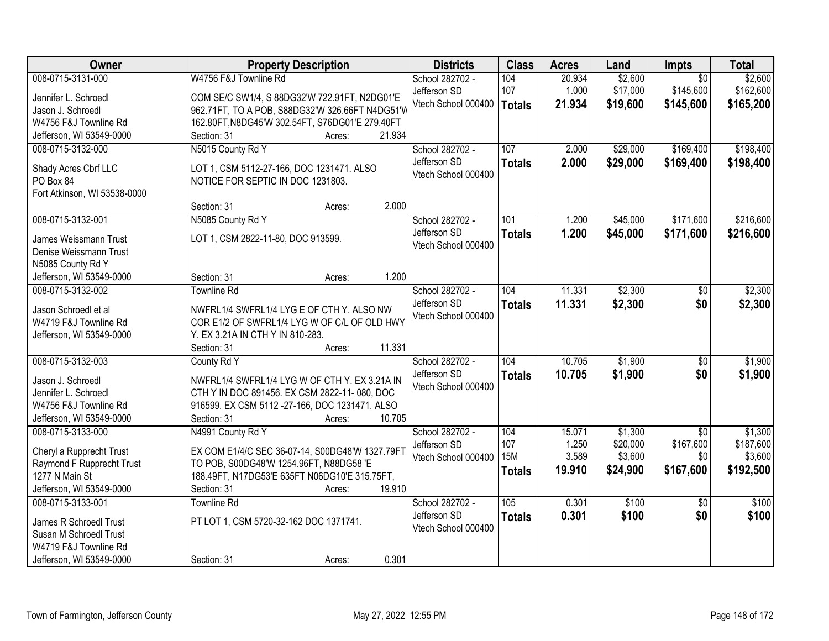| Owner                                           | <b>Property Description</b>                                                               | <b>Districts</b>    | <b>Class</b>  | <b>Acres</b> | Land     | Impts           | <b>Total</b> |
|-------------------------------------------------|-------------------------------------------------------------------------------------------|---------------------|---------------|--------------|----------|-----------------|--------------|
| 008-0715-3131-000                               | W4756 F&J Townline Rd                                                                     | School 282702 -     | 104           | 20.934       | \$2,600  | $\overline{50}$ | \$2,600      |
| Jennifer L. Schroedl                            | COM SE/C SW1/4, S 88DG32'W 722.91FT, N2DG01'E                                             | Jefferson SD        | 107           | 1.000        | \$17,000 | \$145,600       | \$162,600    |
| Jason J. Schroedl                               | 962.71FT, TO A POB, S88DG32'W 326.66FT N4DG51'W                                           | Vtech School 000400 | <b>Totals</b> | 21.934       | \$19,600 | \$145,600       | \$165,200    |
| W4756 F&J Townline Rd                           | 162.80FT, N8DG45'W 302.54FT, S76DG01'E 279.40FT                                           |                     |               |              |          |                 |              |
| Jefferson, WI 53549-0000                        | 21.934<br>Section: 31<br>Acres:                                                           |                     |               |              |          |                 |              |
| 008-0715-3132-000                               | N5015 County Rd Y                                                                         | School 282702 -     | 107           | 2.000        | \$29,000 | \$169,400       | \$198,400    |
|                                                 |                                                                                           | Jefferson SD        | <b>Totals</b> | 2.000        | \$29,000 | \$169,400       | \$198,400    |
| Shady Acres Cbrf LLC                            | LOT 1, CSM 5112-27-166, DOC 1231471. ALSO                                                 | Vtech School 000400 |               |              |          |                 |              |
| PO Box 84                                       | NOTICE FOR SEPTIC IN DOC 1231803.                                                         |                     |               |              |          |                 |              |
| Fort Atkinson, WI 53538-0000                    |                                                                                           |                     |               |              |          |                 |              |
|                                                 | 2.000<br>Section: 31<br>Acres:                                                            |                     |               |              |          |                 |              |
| 008-0715-3132-001                               | N5085 County Rd Y                                                                         | School 282702 -     | 101           | 1.200        | \$45,000 | \$171,600       | \$216,600    |
| James Weissmann Trust                           | LOT 1, CSM 2822-11-80, DOC 913599.                                                        | Jefferson SD        | <b>Totals</b> | 1.200        | \$45,000 | \$171,600       | \$216,600    |
| Denise Weissmann Trust                          |                                                                                           | Vtech School 000400 |               |              |          |                 |              |
| N5085 County Rd Y                               |                                                                                           |                     |               |              |          |                 |              |
| Jefferson, WI 53549-0000                        | 1.200<br>Section: 31<br>Acres:                                                            |                     |               |              |          |                 |              |
| 008-0715-3132-002                               | <b>Townline Rd</b>                                                                        | School 282702 -     | 104           | 11.331       | \$2,300  | $\sqrt[6]{}$    | \$2,300      |
| Jason Schroedl et al                            |                                                                                           | Jefferson SD        | <b>Totals</b> | 11.331       | \$2,300  | \$0             | \$2,300      |
| W4719 F&J Townline Rd                           | NWFRL1/4 SWFRL1/4 LYG E OF CTH Y. ALSO NW<br>COR E1/2 OF SWFRL1/4 LYG W OF C/L OF OLD HWY | Vtech School 000400 |               |              |          |                 |              |
| Jefferson, WI 53549-0000                        | Y. EX 3.21A IN CTH Y IN 810-283.                                                          |                     |               |              |          |                 |              |
|                                                 | 11.331<br>Section: 31<br>Acres:                                                           |                     |               |              |          |                 |              |
| 008-0715-3132-003                               | County Rd Y                                                                               | School 282702 -     | 104           | 10.705       | \$1,900  | $\overline{50}$ | \$1,900      |
|                                                 |                                                                                           | Jefferson SD        | <b>Totals</b> | 10.705       | \$1,900  | \$0             | \$1,900      |
| Jason J. Schroedl                               | NWFRL1/4 SWFRL1/4 LYG W OF CTH Y. EX 3.21A IN                                             | Vtech School 000400 |               |              |          |                 |              |
| Jennifer L. Schroedl                            | CTH Y IN DOC 891456. EX CSM 2822-11-080, DOC                                              |                     |               |              |          |                 |              |
| W4756 F&J Townline Rd                           | 916599. EX CSM 5112-27-166, DOC 1231471. ALSO                                             |                     |               |              |          |                 |              |
| Jefferson, WI 53549-0000                        | Section: 31<br>10.705<br>Acres:                                                           |                     |               |              |          |                 |              |
| 008-0715-3133-000                               | N4991 County Rd Y                                                                         | School 282702 -     | 104           | 15.071       | \$1,300  | $\overline{50}$ | \$1,300      |
| Cheryl a Rupprecht Trust                        | EX COM E1/4/C SEC 36-07-14, S00DG48'W 1327.79FT                                           | Jefferson SD        | 107           | 1.250        | \$20,000 | \$167,600       | \$187,600    |
| Raymond F Rupprecht Trust                       | TO POB, S00DG48'W 1254.96FT, N88DG58 'E                                                   | Vtech School 000400 | <b>15M</b>    | 3.589        | \$3,600  | \$0             | \$3,600      |
| 1277 N Main St                                  | 188.49FT, N17DG53'E 635FT N06DG10'E 315.75FT,                                             |                     | <b>Totals</b> | 19.910       | \$24,900 | \$167,600       | \$192,500    |
| Jefferson, WI 53549-0000                        | 19.910<br>Section: 31<br>Acres:                                                           |                     |               |              |          |                 |              |
| 008-0715-3133-001                               | Townline Rd                                                                               | School 282702 -     | 105           | 0.301        | \$100    | $\overline{30}$ | \$100        |
|                                                 |                                                                                           | Jefferson SD        | <b>Totals</b> | 0.301        | \$100    | \$0             | \$100        |
| James R Schroedl Trust                          | PT LOT 1, CSM 5720-32-162 DOC 1371741.                                                    | Vtech School 000400 |               |              |          |                 |              |
| Susan M Schroedl Trust<br>W4719 F&J Townline Rd |                                                                                           |                     |               |              |          |                 |              |
|                                                 | 0.301                                                                                     |                     |               |              |          |                 |              |
| Jefferson, WI 53549-0000                        | Section: 31<br>Acres:                                                                     |                     |               |              |          |                 |              |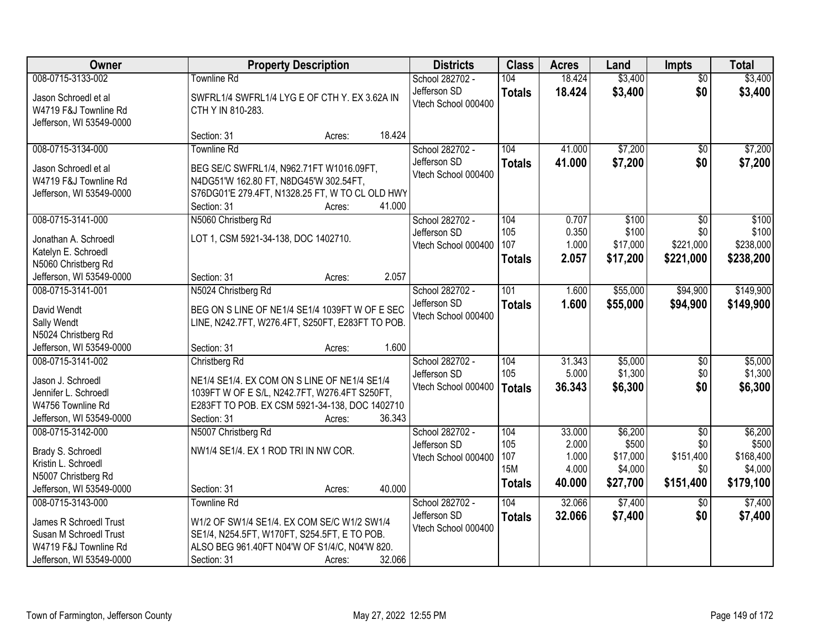| Owner                                                                                                                      | <b>Property Description</b>                                                                                                                                                                 |        | <b>Districts</b>                                       | <b>Class</b>                                     | <b>Acres</b>                                | Land                                                | <b>Impts</b>                                            | <b>Total</b>                                          |
|----------------------------------------------------------------------------------------------------------------------------|---------------------------------------------------------------------------------------------------------------------------------------------------------------------------------------------|--------|--------------------------------------------------------|--------------------------------------------------|---------------------------------------------|-----------------------------------------------------|---------------------------------------------------------|-------------------------------------------------------|
| 008-0715-3133-002                                                                                                          | <b>Townline Rd</b>                                                                                                                                                                          |        | School 282702 -                                        | 104                                              | 18.424                                      | \$3,400                                             | $\overline{50}$                                         | \$3,400                                               |
| Jason Schroedl et al<br>W4719 F&J Townline Rd<br>Jefferson, WI 53549-0000                                                  | SWFRL1/4 SWFRL1/4 LYG E OF CTH Y. EX 3.62A IN<br>CTH Y IN 810-283.                                                                                                                          |        | Jefferson SD<br>Vtech School 000400                    | <b>Totals</b>                                    | 18.424                                      | \$3,400                                             | \$0                                                     | \$3,400                                               |
|                                                                                                                            | Section: 31<br>Acres:                                                                                                                                                                       | 18.424 |                                                        |                                                  |                                             |                                                     |                                                         |                                                       |
| 008-0715-3134-000<br>Jason Schroedl et al<br>W4719 F&J Townline Rd<br>Jefferson, WI 53549-0000                             | <b>Townline Rd</b><br>BEG SE/C SWFRL1/4, N962.71FT W1016.09FT,<br>N4DG51'W 162.80 FT, N8DG45'W 302.54FT,<br>S76DG01'E 279.4FT, N1328.25 FT, W TO CL OLD HWY<br>Section: 31<br>Acres:        | 41.000 | School 282702 -<br>Jefferson SD<br>Vtech School 000400 | 104<br><b>Totals</b>                             | 41.000<br>41.000                            | \$7,200<br>\$7,200                                  | \$0<br>\$0                                              | \$7,200<br>\$7,200                                    |
| 008-0715-3141-000<br>Jonathan A. Schroedl<br>Katelyn E. Schroedl<br>N5060 Christberg Rd<br>Jefferson, WI 53549-0000        | N5060 Christberg Rd<br>LOT 1, CSM 5921-34-138, DOC 1402710.<br>Section: 31<br>Acres:                                                                                                        | 2.057  | School 282702 -<br>Jefferson SD<br>Vtech School 000400 | 104<br>105<br>107<br><b>Totals</b>               | 0.707<br>0.350<br>1.000<br>2.057            | \$100<br>\$100<br>\$17,000<br>\$17,200              | \$0<br>\$0<br>\$221,000<br>\$221,000                    | \$100<br>\$100<br>\$238,000<br>\$238,200              |
| 008-0715-3141-001                                                                                                          | N5024 Christberg Rd                                                                                                                                                                         |        | School 282702 -                                        | 101                                              | 1.600                                       | \$55,000                                            | \$94,900                                                | \$149,900                                             |
| David Wendt<br>Sally Wendt<br>N5024 Christberg Rd                                                                          | BEG ON S LINE OF NE1/4 SE1/4 1039FT W OF E SEC<br>LINE, N242.7FT, W276.4FT, S250FT, E283FT TO POB.                                                                                          |        | Jefferson SD<br>Vtech School 000400                    | <b>Totals</b>                                    | 1.600                                       | \$55,000                                            | \$94,900                                                | \$149,900                                             |
| Jefferson, WI 53549-0000                                                                                                   | Section: 31<br>Acres:                                                                                                                                                                       | 1.600  |                                                        |                                                  |                                             |                                                     |                                                         |                                                       |
| 008-0715-3141-002<br>Jason J. Schroedl<br>Jennifer L. Schroedl<br>W4756 Townline Rd<br>Jefferson, WI 53549-0000            | Christberg Rd<br>NE1/4 SE1/4. EX COM ON S LINE OF NE1/4 SE1/4<br>1039FT W OF E S/L, N242.7FT, W276.4FT S250FT,<br>E283FT TO POB. EX CSM 5921-34-138, DOC 1402710<br>Section: 31<br>Acres:   | 36.343 | School 282702 -<br>Jefferson SD<br>Vtech School 000400 | 104<br>105<br><b>Totals</b>                      | 31.343<br>5.000<br>36.343                   | \$5,000<br>\$1,300<br>\$6,300                       | \$0<br>\$0<br>\$0                                       | \$5,000<br>\$1,300<br>\$6,300                         |
| 008-0715-3142-000<br>Brady S. Schroedl<br>Kristin L. Schroedl<br>N5007 Christberg Rd<br>Jefferson, WI 53549-0000           | N5007 Christberg Rd<br>NW1/4 SE1/4. EX 1 ROD TRI IN NW COR.<br>Section: 31<br>Acres:                                                                                                        | 40.000 | School 282702 -<br>Jefferson SD<br>Vtech School 000400 | 104<br>105<br>107<br><b>15M</b><br><b>Totals</b> | 33.000<br>2.000<br>1.000<br>4.000<br>40.000 | \$6,200<br>\$500<br>\$17,000<br>\$4,000<br>\$27,700 | $\overline{50}$<br>\$0<br>\$151,400<br>\$0<br>\$151,400 | \$6,200<br>\$500<br>\$168,400<br>\$4,000<br>\$179,100 |
| 008-0715-3143-000<br>James R Schroedl Trust<br>Susan M Schroedl Trust<br>W4719 F&J Townline Rd<br>Jefferson, WI 53549-0000 | <b>Townline Rd</b><br>W1/2 OF SW1/4 SE1/4. EX COM SE/C W1/2 SW1/4<br>SE1/4, N254.5FT, W170FT, S254.5FT, E TO POB.<br>ALSO BEG 961.40FT N04'W OF S1/4/C, N04'W 820.<br>Section: 31<br>Acres: | 32.066 | School 282702 -<br>Jefferson SD<br>Vtech School 000400 | 104<br><b>Totals</b>                             | 32.066<br>32.066                            | \$7,400<br>\$7,400                                  | $\overline{50}$<br>\$0                                  | \$7,400<br>\$7,400                                    |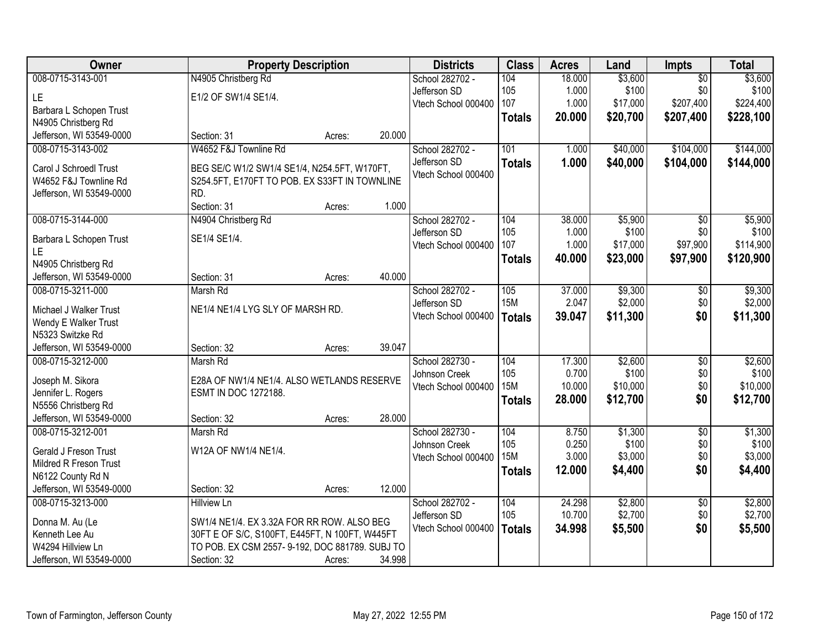| Owner                                       | <b>Property Description</b>                                               |        |        | <b>Districts</b>    | <b>Class</b>  | <b>Acres</b> | Land     | Impts           | <b>Total</b> |
|---------------------------------------------|---------------------------------------------------------------------------|--------|--------|---------------------|---------------|--------------|----------|-----------------|--------------|
| 008-0715-3143-001                           | N4905 Christberg Rd                                                       |        |        | School 282702 -     | 104           | 18.000       | \$3,600  | $\overline{50}$ | \$3,600      |
| LE.                                         | E1/2 OF SW1/4 SE1/4.                                                      |        |        | Jefferson SD        | 105           | 1.000        | \$100    | \$0             | \$100        |
| Barbara L Schopen Trust                     |                                                                           |        |        | Vtech School 000400 | 107           | 1.000        | \$17,000 | \$207,400       | \$224,400    |
| N4905 Christberg Rd                         |                                                                           |        |        |                     | <b>Totals</b> | 20.000       | \$20,700 | \$207,400       | \$228,100    |
| Jefferson, WI 53549-0000                    | Section: 31                                                               | Acres: | 20.000 |                     |               |              |          |                 |              |
| 008-0715-3143-002                           | W4652 F&J Townline Rd                                                     |        |        | School 282702 -     | 101           | 1.000        | \$40,000 | \$104,000       | \$144,000    |
| Carol J Schroedl Trust                      | BEG SE/C W1/2 SW1/4 SE1/4, N254.5FT, W170FT,                              |        |        | Jefferson SD        | <b>Totals</b> | 1.000        | \$40,000 | \$104,000       | \$144,000    |
| W4652 F&J Townline Rd                       | S254.5FT, E170FT TO POB. EX S33FT IN TOWNLINE                             |        |        | Vtech School 000400 |               |              |          |                 |              |
| Jefferson, WI 53549-0000                    | RD.                                                                       |        |        |                     |               |              |          |                 |              |
|                                             | Section: 31                                                               | Acres: | 1.000  |                     |               |              |          |                 |              |
| 008-0715-3144-000                           | N4904 Christberg Rd                                                       |        |        | School 282702 -     | 104           | 38.000       | \$5,900  | $\overline{50}$ | \$5,900      |
| Barbara L Schopen Trust                     | SE1/4 SE1/4.                                                              |        |        | Jefferson SD        | 105           | 1.000        | \$100    | \$0             | \$100        |
| LE.                                         |                                                                           |        |        | Vtech School 000400 | 107           | 1.000        | \$17,000 | \$97,900        | \$114,900    |
| N4905 Christberg Rd                         |                                                                           |        |        |                     | <b>Totals</b> | 40.000       | \$23,000 | \$97,900        | \$120,900    |
| Jefferson, WI 53549-0000                    | Section: 31                                                               | Acres: | 40.000 |                     |               |              |          |                 |              |
| 008-0715-3211-000                           | Marsh Rd                                                                  |        |        | School 282702 -     | 105           | 37.000       | \$9,300  | \$0             | \$9,300      |
| Michael J Walker Trust                      | NE1/4 NE1/4 LYG SLY OF MARSH RD.                                          |        |        | Jefferson SD        | <b>15M</b>    | 2.047        | \$2,000  | \$0             | \$2,000      |
| Wendy E Walker Trust                        |                                                                           |        |        | Vtech School 000400 | <b>Totals</b> | 39.047       | \$11,300 | \$0             | \$11,300     |
| N5323 Switzke Rd                            |                                                                           |        |        |                     |               |              |          |                 |              |
| Jefferson, WI 53549-0000                    | Section: 32                                                               | Acres: | 39.047 |                     |               |              |          |                 |              |
| 008-0715-3212-000                           | Marsh Rd                                                                  |        |        | School 282730 -     | 104           | 17.300       | \$2,600  | $\overline{50}$ | \$2,600      |
|                                             |                                                                           |        |        | Johnson Creek       | 105           | 0.700        | \$100    | \$0             | \$100        |
| Joseph M. Sikora                            | E28A OF NW1/4 NE1/4. ALSO WETLANDS RESERVE<br><b>ESMT IN DOC 1272188.</b> |        |        | Vtech School 000400 | <b>15M</b>    | 10.000       | \$10,000 | \$0             | \$10,000     |
| Jennifer L. Rogers<br>N5556 Christberg Rd   |                                                                           |        |        |                     | <b>Totals</b> | 28.000       | \$12,700 | \$0             | \$12,700     |
| Jefferson, WI 53549-0000                    | Section: 32                                                               | Acres: | 28.000 |                     |               |              |          |                 |              |
| 008-0715-3212-001                           | Marsh Rd                                                                  |        |        | School 282730 -     | 104           | 8.750        | \$1,300  | $\overline{50}$ | \$1,300      |
|                                             |                                                                           |        |        | Johnson Creek       | 105           | 0.250        | \$100    | \$0             | \$100        |
| Gerald J Freson Trust                       | W12A OF NW1/4 NE1/4.                                                      |        |        | Vtech School 000400 | <b>15M</b>    | 3.000        | \$3,000  | \$0             | \$3,000      |
| Mildred R Freson Trust<br>N6122 County Rd N |                                                                           |        |        |                     | <b>Totals</b> | 12.000       | \$4,400  | \$0             | \$4,400      |
| Jefferson, WI 53549-0000                    | Section: 32                                                               | Acres: | 12.000 |                     |               |              |          |                 |              |
| 008-0715-3213-000                           | <b>Hillview Ln</b>                                                        |        |        | School 282702 -     | 104           | 24.298       | \$2,800  | $\overline{50}$ | \$2,800      |
|                                             |                                                                           |        |        | Jefferson SD        | 105           | 10.700       | \$2,700  | \$0             | \$2,700      |
| Donna M. Au (Le                             | SW1/4 NE1/4. EX 3.32A FOR RR ROW. ALSO BEG                                |        |        | Vtech School 000400 | <b>Totals</b> | 34.998       | \$5,500  | \$0             | \$5,500      |
| Kenneth Lee Au                              | 30FT E OF S/C, S100FT, E445FT, N 100FT, W445FT                            |        |        |                     |               |              |          |                 |              |
| W4294 Hillview Ln                           | TO POB. EX CSM 2557-9-192, DOC 881789. SUBJ TO                            |        |        |                     |               |              |          |                 |              |
| Jefferson, WI 53549-0000                    | Section: 32                                                               | Acres: | 34.998 |                     |               |              |          |                 |              |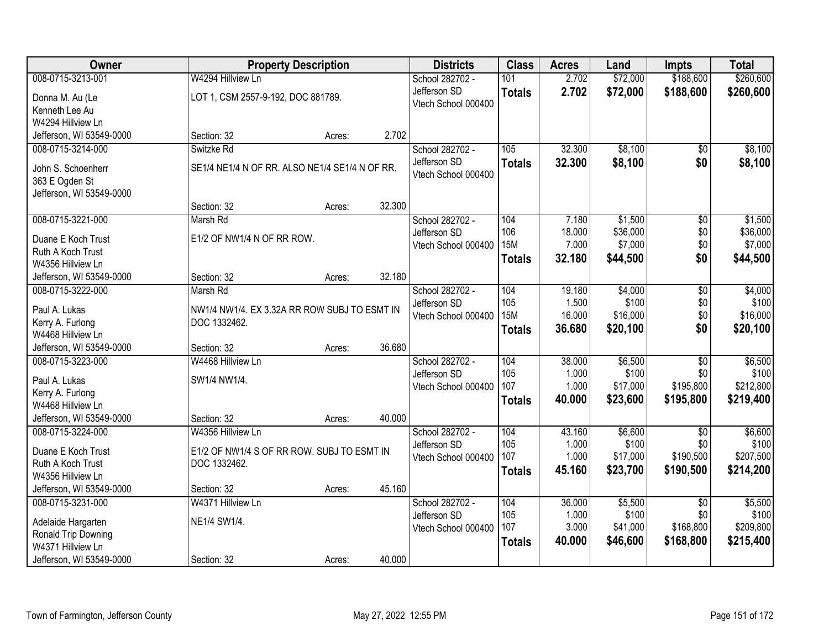| Owner                                     |                                                | <b>Property Description</b> |        | <b>Districts</b>    | <b>Class</b>  | <b>Acres</b> | Land     | <b>Impts</b>    | <b>Total</b> |
|-------------------------------------------|------------------------------------------------|-----------------------------|--------|---------------------|---------------|--------------|----------|-----------------|--------------|
| 008-0715-3213-001                         | W4294 Hillview Ln                              |                             |        | School 282702 -     | 101           | 2.702        | \$72,000 | \$188,600       | \$260,600    |
| Donna M. Au (Le                           | LOT 1, CSM 2557-9-192, DOC 881789.             |                             |        | Jefferson SD        | <b>Totals</b> | 2.702        | \$72,000 | \$188,600       | \$260,600    |
| Kenneth Lee Au                            |                                                |                             |        | Vtech School 000400 |               |              |          |                 |              |
| W4294 Hillview Ln                         |                                                |                             |        |                     |               |              |          |                 |              |
| Jefferson, WI 53549-0000                  | Section: 32                                    | Acres:                      | 2.702  |                     |               |              |          |                 |              |
| 008-0715-3214-000                         | Switzke Rd                                     |                             |        | School 282702 -     | 105           | 32.300       | \$8,100  | \$0             | \$8,100      |
| John S. Schoenherr                        | SE1/4 NE1/4 N OF RR. ALSO NE1/4 SE1/4 N OF RR. |                             |        | Jefferson SD        | <b>Totals</b> | 32.300       | \$8,100  | \$0             | \$8,100      |
| 363 E Ogden St                            |                                                |                             |        | Vtech School 000400 |               |              |          |                 |              |
| Jefferson, WI 53549-0000                  |                                                |                             |        |                     |               |              |          |                 |              |
|                                           | Section: 32                                    | Acres:                      | 32.300 |                     |               |              |          |                 |              |
| 008-0715-3221-000                         | Marsh Rd                                       |                             |        | School 282702 -     | 104           | 7.180        | \$1,500  | $\overline{50}$ | \$1,500      |
| Duane E Koch Trust                        | E1/2 OF NW1/4 N OF RR ROW.                     |                             |        | Jefferson SD        | 106           | 18.000       | \$36,000 | \$0             | \$36,000     |
| Ruth A Koch Trust                         |                                                |                             |        | Vtech School 000400 | <b>15M</b>    | 7.000        | \$7,000  | \$0             | \$7,000      |
| W4356 Hillview Ln                         |                                                |                             |        |                     | <b>Totals</b> | 32.180       | \$44,500 | \$0             | \$44,500     |
| Jefferson, WI 53549-0000                  | Section: 32                                    | Acres:                      | 32.180 |                     |               |              |          |                 |              |
| 008-0715-3222-000                         | Marsh Rd                                       |                             |        | School 282702 -     | 104           | 19.180       | \$4,000  | \$0             | \$4,000      |
| Paul A. Lukas                             | NW1/4 NW1/4. EX 3.32A RR ROW SUBJ TO ESMT IN   |                             |        | Jefferson SD        | 105           | 1.500        | \$100    | \$0             | \$100        |
| Kerry A. Furlong                          | DOC 1332462.                                   |                             |        | Vtech School 000400 | <b>15M</b>    | 16.000       | \$16,000 | \$0             | \$16,000     |
| W4468 Hillview Ln                         |                                                |                             |        |                     | <b>Totals</b> | 36.680       | \$20,100 | \$0             | \$20,100     |
| Jefferson, WI 53549-0000                  | Section: 32                                    | Acres:                      | 36.680 |                     |               |              |          |                 |              |
| 008-0715-3223-000                         | W4468 Hillview Ln                              |                             |        | School 282702 -     | 104           | 38.000       | \$6,500  | $\overline{50}$ | \$6,500      |
| Paul A. Lukas                             | SW1/4 NW1/4.                                   |                             |        | Jefferson SD        | 105           | 1.000        | \$100    | \$0             | \$100        |
| Kerry A. Furlong                          |                                                |                             |        | Vtech School 000400 | 107           | 1.000        | \$17,000 | \$195,800       | \$212,800    |
| W4468 Hillview Ln                         |                                                |                             |        |                     | <b>Totals</b> | 40.000       | \$23,600 | \$195,800       | \$219,400    |
| Jefferson, WI 53549-0000                  | Section: 32                                    | Acres:                      | 40.000 |                     |               |              |          |                 |              |
| 008-0715-3224-000                         | W4356 Hillview Ln                              |                             |        | School 282702 -     | 104           | 43.160       | \$6,600  | $\sqrt{6}$      | \$6,600      |
| Duane E Koch Trust                        | E1/2 OF NW1/4 S OF RR ROW. SUBJ TO ESMT IN     |                             |        | Jefferson SD        | 105           | 1.000        | \$100    | \$0             | \$100        |
| Ruth A Koch Trust                         | DOC 1332462.                                   |                             |        | Vtech School 000400 | 107           | 1.000        | \$17,000 | \$190,500       | \$207,500    |
| W4356 Hillview Ln                         |                                                |                             |        |                     | <b>Totals</b> | 45.160       | \$23,700 | \$190,500       | \$214,200    |
| Jefferson, WI 53549-0000                  | Section: 32                                    | Acres:                      | 45.160 |                     |               |              |          |                 |              |
| 008-0715-3231-000                         | W4371 Hillview Ln                              |                             |        | School 282702 -     | 104           | 36.000       | \$5,500  | $\overline{50}$ | \$5,500      |
|                                           | NE1/4 SW1/4.                                   |                             |        | Jefferson SD        | 105           | 1.000        | \$100    | \$0             | \$100        |
| Adelaide Hargarten<br>Ronald Trip Downing |                                                |                             |        | Vtech School 000400 | 107           | 3.000        | \$41,000 | \$168,800       | \$209,800    |
| W4371 Hillview Ln                         |                                                |                             |        |                     | <b>Totals</b> | 40.000       | \$46,600 | \$168,800       | \$215,400    |
| Jefferson, WI 53549-0000                  | Section: 32                                    | Acres:                      | 40.000 |                     |               |              |          |                 |              |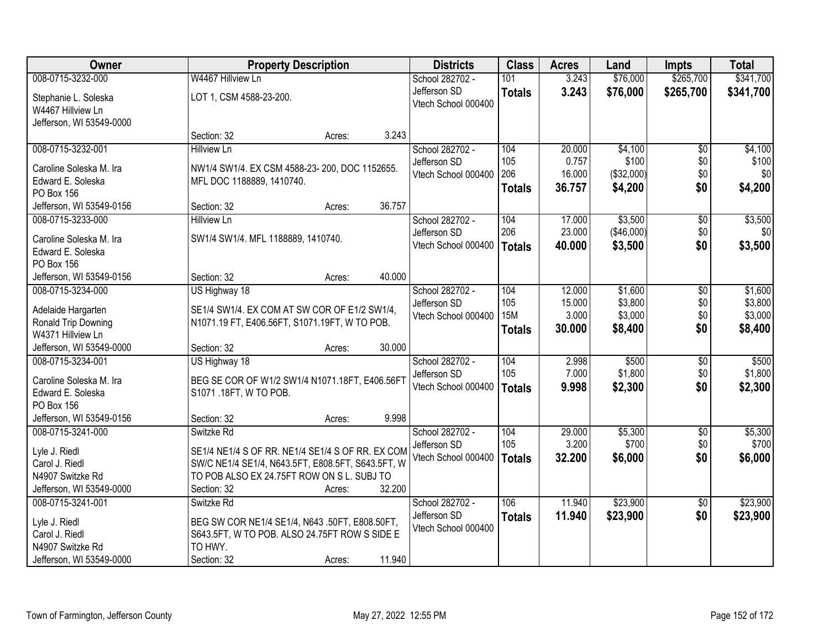| Owner                                     | <b>Property Description</b>                                                                   | <b>Districts</b>                | <b>Class</b>  | <b>Acres</b>    | Land             | <b>Impts</b>       | <b>Total</b>     |
|-------------------------------------------|-----------------------------------------------------------------------------------------------|---------------------------------|---------------|-----------------|------------------|--------------------|------------------|
| 008-0715-3232-000                         | W4467 Hillview Ln                                                                             | School 282702 -                 | 101           | 3.243           | \$76,000         | \$265,700          | \$341,700        |
| Stephanie L. Soleska                      | LOT 1, CSM 4588-23-200.                                                                       | Jefferson SD                    | <b>Totals</b> | 3.243           | \$76,000         | \$265,700          | \$341,700        |
| W4467 Hillview Ln                         |                                                                                               | Vtech School 000400             |               |                 |                  |                    |                  |
| Jefferson, WI 53549-0000                  |                                                                                               |                                 |               |                 |                  |                    |                  |
|                                           | 3.243<br>Section: 32<br>Acres:                                                                |                                 |               |                 |                  |                    |                  |
| 008-0715-3232-001                         | <b>Hillview Ln</b>                                                                            | School 282702 -                 | 104           | 20.000          | \$4,100          | \$0                | \$4,100          |
| Caroline Soleska M. Ira                   | NW1/4 SW1/4. EX CSM 4588-23-200, DOC 1152655.                                                 | Jefferson SD                    | 105           | 0.757           | \$100            | \$0                | \$100            |
| Edward E. Soleska                         | MFL DOC 1188889, 1410740.                                                                     | Vtech School 000400             | 206           | 16.000          | (\$32,000)       | \$0                | \$0              |
| PO Box 156                                |                                                                                               |                                 | <b>Totals</b> | 36.757          | \$4,200          | \$0                | \$4,200          |
| Jefferson, WI 53549-0156                  | 36.757<br>Section: 32<br>Acres:                                                               |                                 |               |                 |                  |                    |                  |
| 008-0715-3233-000                         | <b>Hillview Ln</b>                                                                            | School 282702 -                 | 104           | 17.000          | \$3,500          | \$0                | \$3,500          |
| Caroline Soleska M. Ira                   | SW1/4 SW1/4. MFL 1188889, 1410740.                                                            | Jefferson SD                    | 206           | 23.000          | (\$46,000)       | \$0                | \$0              |
| Edward E. Soleska                         |                                                                                               | Vtech School 000400             | Totals        | 40.000          | \$3,500          | \$0                | \$3,500          |
| PO Box 156                                |                                                                                               |                                 |               |                 |                  |                    |                  |
| Jefferson, WI 53549-0156                  | 40.000<br>Section: 32<br>Acres:                                                               |                                 |               |                 |                  |                    |                  |
| 008-0715-3234-000                         | US Highway 18                                                                                 | School 282702 -                 | 104           | 12.000          | \$1,600          | $\sqrt[6]{3}$      | \$1,600          |
|                                           |                                                                                               | Jefferson SD                    | 105           | 15.000          | \$3,800          | \$0                | \$3,800          |
| Adelaide Hargarten<br>Ronald Trip Downing | SE1/4 SW1/4. EX COM AT SW COR OF E1/2 SW1/4,<br>N1071.19 FT, E406.56FT, S1071.19FT, W TO POB. | Vtech School 000400             | <b>15M</b>    | 3.000           | \$3,000          | \$0                | \$3,000          |
| W4371 Hillview Ln                         |                                                                                               |                                 | <b>Totals</b> | 30.000          | \$8,400          | \$0                | \$8,400          |
| Jefferson, WI 53549-0000                  | 30.000<br>Section: 32<br>Acres:                                                               |                                 |               |                 |                  |                    |                  |
| 008-0715-3234-001                         | US Highway 18                                                                                 | School 282702 -                 | 104           | 2.998           | \$500            | $\overline{50}$    | \$500            |
|                                           |                                                                                               | Jefferson SD                    | 105           | 7.000           | \$1,800          | \$0                | \$1,800          |
| Caroline Soleska M. Ira                   | BEG SE COR OF W1/2 SW1/4 N1071.18FT, E406.56FT                                                | Vtech School 000400             | Totals        | 9.998           | \$2,300          | \$0                | \$2,300          |
| Edward E. Soleska                         | S1071 .18FT, W TO POB.                                                                        |                                 |               |                 |                  |                    |                  |
| PO Box 156                                |                                                                                               |                                 |               |                 |                  |                    |                  |
| Jefferson, WI 53549-0156                  | 9.998<br>Section: 32<br>Acres:                                                                |                                 |               |                 |                  |                    |                  |
| 008-0715-3241-000                         | Switzke Rd                                                                                    | School 282702 -<br>Jefferson SD | 104<br>105    | 29.000<br>3.200 | \$5,300<br>\$700 | $\sqrt{$0}$<br>\$0 | \$5,300<br>\$700 |
| Lyle J. Riedl                             | SE1/4 NE1/4 S OF RR. NE1/4 SE1/4 S OF RR. EX COM                                              | Vtech School 000400             |               | 32.200          | \$6,000          | \$0                | \$6,000          |
| Carol J. Riedl                            | SW/C NE1/4 SE1/4, N643.5FT, E808.5FT, S643.5FT, W                                             |                                 | Totals        |                 |                  |                    |                  |
| N4907 Switzke Rd                          | TO POB ALSO EX 24.75FT ROW ON SL. SUBJ TO                                                     |                                 |               |                 |                  |                    |                  |
| Jefferson, WI 53549-0000                  | 32.200<br>Section: 32<br>Acres:                                                               |                                 |               |                 |                  |                    |                  |
| 008-0715-3241-001                         | Switzke Rd                                                                                    | School 282702 -                 | 106           | 11.940          | \$23,900         | $\overline{50}$    | \$23,900         |
| Lyle J. Riedl                             | BEG SW COR NE1/4 SE1/4, N643 .50FT, E808.50FT,                                                | Jefferson SD                    | <b>Totals</b> | 11.940          | \$23,900         | \$0                | \$23,900         |
| Carol J. Riedl                            | S643.5FT, W TO POB. ALSO 24.75FT ROW S SIDE E                                                 | Vtech School 000400             |               |                 |                  |                    |                  |
| N4907 Switzke Rd                          | TO HWY.                                                                                       |                                 |               |                 |                  |                    |                  |
| Jefferson, WI 53549-0000                  | 11.940<br>Section: 32<br>Acres:                                                               |                                 |               |                 |                  |                    |                  |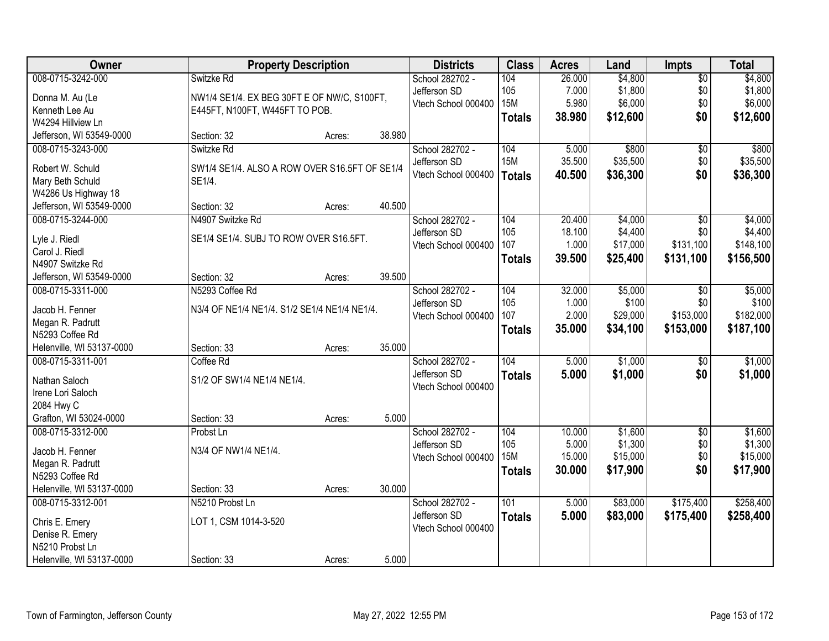| Owner                     | <b>Property Description</b>                   |        |        | <b>Districts</b>    | <b>Class</b>    | <b>Acres</b> | Land     | <b>Impts</b>    | <b>Total</b> |
|---------------------------|-----------------------------------------------|--------|--------|---------------------|-----------------|--------------|----------|-----------------|--------------|
| 008-0715-3242-000         | Switzke Rd                                    |        |        | School 282702 -     | 104             | 26.000       | \$4,800  | $\overline{50}$ | \$4,800      |
| Donna M. Au (Le           | NW1/4 SE1/4. EX BEG 30FT E OF NW/C, S100FT,   |        |        | Jefferson SD        | 105             | 7.000        | \$1,800  | \$0             | \$1,800      |
| Kenneth Lee Au            | E445FT, N100FT, W445FT TO POB.                |        |        | Vtech School 000400 | 15M             | 5.980        | \$6,000  | \$0             | \$6,000      |
| W4294 Hillview Ln         |                                               |        |        |                     | <b>Totals</b>   | 38.980       | \$12,600 | \$0             | \$12,600     |
| Jefferson, WI 53549-0000  | Section: 32                                   | Acres: | 38.980 |                     |                 |              |          |                 |              |
| 008-0715-3243-000         | Switzke Rd                                    |        |        | School 282702 -     | 104             | 5.000        | \$800    | \$0             | \$800        |
|                           |                                               |        |        | Jefferson SD        | <b>15M</b>      | 35.500       | \$35,500 | \$0             | \$35,500     |
| Robert W. Schuld          | SW1/4 SE1/4. ALSO A ROW OVER S16.5FT OF SE1/4 |        |        | Vtech School 000400 | Totals          | 40.500       | \$36,300 | \$0             | \$36,300     |
| Mary Beth Schuld          | SE1/4.                                        |        |        |                     |                 |              |          |                 |              |
| W4286 Us Highway 18       |                                               |        |        |                     |                 |              |          |                 |              |
| Jefferson, WI 53549-0000  | Section: 32                                   | Acres: | 40.500 |                     |                 |              |          |                 |              |
| 008-0715-3244-000         | N4907 Switzke Rd                              |        |        | School 282702 -     | 104             | 20.400       | \$4,000  | $\overline{50}$ | \$4,000      |
| Lyle J. Riedl             | SE1/4 SE1/4. SUBJ TO ROW OVER S16.5FT.        |        |        | Jefferson SD        | 105             | 18.100       | \$4,400  | \$0             | \$4,400      |
| Carol J. Riedl            |                                               |        |        | Vtech School 000400 | 107             | 1.000        | \$17,000 | \$131,100       | \$148,100    |
| N4907 Switzke Rd          |                                               |        |        |                     | <b>Totals</b>   | 39.500       | \$25,400 | \$131,100       | \$156,500    |
| Jefferson, WI 53549-0000  | Section: 32                                   | Acres: | 39.500 |                     |                 |              |          |                 |              |
| 008-0715-3311-000         | N5293 Coffee Rd                               |        |        | School 282702 -     | 104             | 32.000       | \$5,000  | \$0             | \$5,000      |
|                           |                                               |        |        | Jefferson SD        | 105             | 1.000        | \$100    | \$0             | \$100        |
| Jacob H. Fenner           | N3/4 OF NE1/4 NE1/4. S1/2 SE1/4 NE1/4 NE1/4.  |        |        | Vtech School 000400 | 107             | 2.000        | \$29,000 | \$153,000       | \$182,000    |
| Megan R. Padrutt          |                                               |        |        |                     | <b>Totals</b>   | 35.000       | \$34,100 | \$153,000       | \$187,100    |
| N5293 Coffee Rd           |                                               |        |        |                     |                 |              |          |                 |              |
| Helenville, WI 53137-0000 | Section: 33                                   | Acres: | 35.000 |                     |                 |              |          |                 |              |
| 008-0715-3311-001         | Coffee Rd                                     |        |        | School 282702 -     | 104             | 5.000        | \$1,000  | $\overline{50}$ | \$1,000      |
| Nathan Saloch             | S1/2 OF SW1/4 NE1/4 NE1/4.                    |        |        | Jefferson SD        | <b>Totals</b>   | 5.000        | \$1,000  | \$0             | \$1,000      |
| Irene Lori Saloch         |                                               |        |        | Vtech School 000400 |                 |              |          |                 |              |
| 2084 Hwy C                |                                               |        |        |                     |                 |              |          |                 |              |
| Grafton, WI 53024-0000    | Section: 33                                   | Acres: | 5.000  |                     |                 |              |          |                 |              |
| 008-0715-3312-000         | Probst Ln                                     |        |        | School 282702 -     | 104             | 10.000       | \$1,600  | $\sqrt{6}$      | \$1,600      |
| Jacob H. Fenner           | N3/4 OF NW1/4 NE1/4.                          |        |        | Jefferson SD        | 105             | 5.000        | \$1,300  | \$0             | \$1,300      |
| Megan R. Padrutt          |                                               |        |        | Vtech School 000400 | 15 <sub>M</sub> | 15.000       | \$15,000 | \$0             | \$15,000     |
| N5293 Coffee Rd           |                                               |        |        |                     | <b>Totals</b>   | 30.000       | \$17,900 | \$0             | \$17,900     |
| Helenville, WI 53137-0000 | Section: 33                                   | Acres: | 30.000 |                     |                 |              |          |                 |              |
| 008-0715-3312-001         | N5210 Probst Ln                               |        |        | School 282702 -     | 101             | 5.000        | \$83,000 | \$175,400       | \$258,400    |
|                           |                                               |        |        | Jefferson SD        | <b>Totals</b>   | 5.000        | \$83,000 | \$175,400       | \$258,400    |
| Chris E. Emery            | LOT 1, CSM 1014-3-520                         |        |        | Vtech School 000400 |                 |              |          |                 |              |
| Denise R. Emery           |                                               |        |        |                     |                 |              |          |                 |              |
| N5210 Probst Ln           |                                               |        |        |                     |                 |              |          |                 |              |
| Helenville, WI 53137-0000 | Section: 33                                   | Acres: | 5.000  |                     |                 |              |          |                 |              |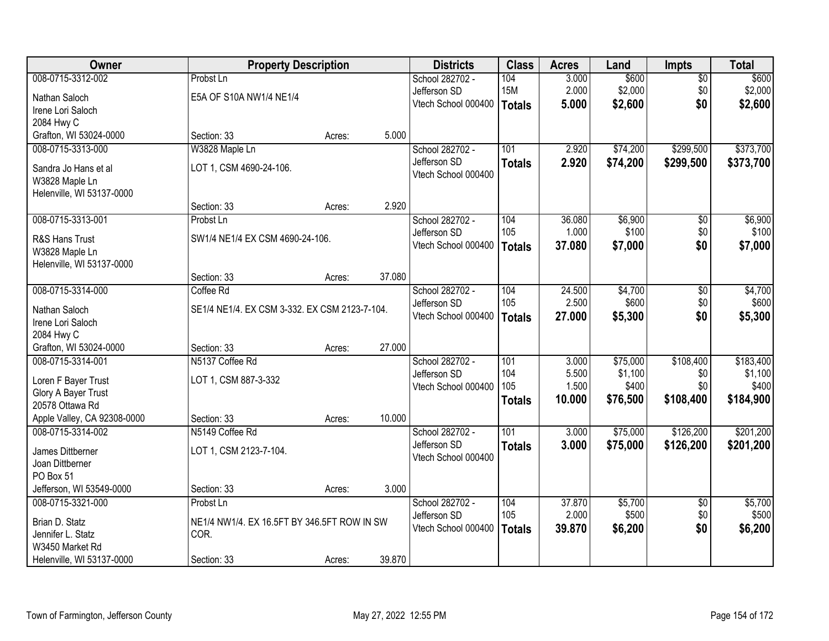| Owner                       |                                                     | <b>Property Description</b> |        | <b>Districts</b>    | <b>Class</b>  | <b>Acres</b> | Land     | <b>Impts</b>    | <b>Total</b> |
|-----------------------------|-----------------------------------------------------|-----------------------------|--------|---------------------|---------------|--------------|----------|-----------------|--------------|
| 008-0715-3312-002           | Probst Ln                                           |                             |        | School 282702 -     | 104           | 3.000        | \$600    | $\overline{50}$ | \$600        |
| Nathan Saloch               | E5A OF S10A NW1/4 NE1/4                             |                             |        | Jefferson SD        | <b>15M</b>    | 2.000        | \$2,000  | \$0             | \$2,000      |
| Irene Lori Saloch           |                                                     |                             |        | Vtech School 000400 | Totals        | 5.000        | \$2,600  | \$0             | \$2,600      |
| 2084 Hwy C                  |                                                     |                             |        |                     |               |              |          |                 |              |
| Grafton, WI 53024-0000      | Section: 33                                         | Acres:                      | 5.000  |                     |               |              |          |                 |              |
| 008-0715-3313-000           | W3828 Maple Ln                                      |                             |        | School 282702 -     | 101           | 2.920        | \$74,200 | \$299,500       | \$373,700    |
| Sandra Jo Hans et al        | LOT 1, CSM 4690-24-106.                             |                             |        | Jefferson SD        | <b>Totals</b> | 2.920        | \$74,200 | \$299,500       | \$373,700    |
| W3828 Maple Ln              |                                                     |                             |        | Vtech School 000400 |               |              |          |                 |              |
| Helenville, WI 53137-0000   |                                                     |                             |        |                     |               |              |          |                 |              |
|                             | Section: 33                                         | Acres:                      | 2.920  |                     |               |              |          |                 |              |
| 008-0715-3313-001           | Probst Ln                                           |                             |        | School 282702 -     | 104           | 36.080       | \$6,900  | $\overline{50}$ | \$6,900      |
| R&S Hans Trust              | SW1/4 NE1/4 EX CSM 4690-24-106.                     |                             |        | Jefferson SD        | 105           | 1.000        | \$100    | \$0             | \$100        |
| W3828 Maple Ln              |                                                     |                             |        | Vtech School 000400 | Totals        | 37.080       | \$7,000  | \$0             | \$7,000      |
| Helenville, WI 53137-0000   |                                                     |                             |        |                     |               |              |          |                 |              |
|                             | Section: 33                                         | Acres:                      | 37.080 |                     |               |              |          |                 |              |
| 008-0715-3314-000           | Coffee Rd                                           |                             |        | School 282702 -     | 104           | 24.500       | \$4,700  | \$0             | \$4,700      |
| Nathan Saloch               | SE1/4 NE1/4. EX CSM 3-332. EX CSM 2123-7-104.       |                             |        | Jefferson SD        | 105           | 2.500        | \$600    | \$0             | \$600        |
| Irene Lori Saloch           |                                                     |                             |        | Vtech School 000400 | Totals        | 27.000       | \$5,300  | \$0             | \$5,300      |
| 2084 Hwy C                  |                                                     |                             |        |                     |               |              |          |                 |              |
| Grafton, WI 53024-0000      | Section: 33                                         | Acres:                      | 27.000 |                     |               |              |          |                 |              |
| 008-0715-3314-001           | N5137 Coffee Rd                                     |                             |        | School 282702 -     | 101           | 3.000        | \$75,000 | \$108,400       | \$183,400    |
| Loren F Bayer Trust         | LOT 1, CSM 887-3-332                                |                             |        | Jefferson SD        | 104           | 5.500        | \$1,100  | \$0             | \$1,100      |
| Glory A Bayer Trust         |                                                     |                             |        | Vtech School 000400 | 105           | 1.500        | \$400    | \$0             | \$400        |
| 20578 Ottawa Rd             |                                                     |                             |        |                     | <b>Totals</b> | 10.000       | \$76,500 | \$108,400       | \$184,900    |
| Apple Valley, CA 92308-0000 | Section: 33                                         | Acres:                      | 10.000 |                     |               |              |          |                 |              |
| 008-0715-3314-002           | N5149 Coffee Rd                                     |                             |        | School 282702 -     | 101           | 3.000        | \$75,000 | \$126,200       | \$201,200    |
| James Dittberner            | LOT 1, CSM 2123-7-104.                              |                             |        | Jefferson SD        | <b>Totals</b> | 3.000        | \$75,000 | \$126,200       | \$201,200    |
| Joan Dittberner             |                                                     |                             |        | Vtech School 000400 |               |              |          |                 |              |
| PO Box 51                   |                                                     |                             |        |                     |               |              |          |                 |              |
| Jefferson, WI 53549-0000    | Section: 33                                         | Acres:                      | 3.000  |                     |               |              |          |                 |              |
| 008-0715-3321-000           | Probst Ln                                           |                             |        | School 282702 -     | 104           | 37.870       | \$5,700  | $\overline{50}$ | \$5,700      |
| Brian D. Statz              |                                                     |                             |        |                     | 105           | 2.000        | \$500    | \$0             | \$500        |
| Jennifer L. Statz           | NE1/4 NW1/4. EX 16.5FT BY 346.5FT ROW IN SW<br>COR. |                             |        | Vtech School 000400 | Totals        | 39.870       | \$6,200  | \$0             | \$6,200      |
| W3450 Market Rd             |                                                     |                             |        |                     |               |              |          |                 |              |
| Helenville, WI 53137-0000   | Section: 33                                         | Acres:                      | 39.870 |                     |               |              |          |                 |              |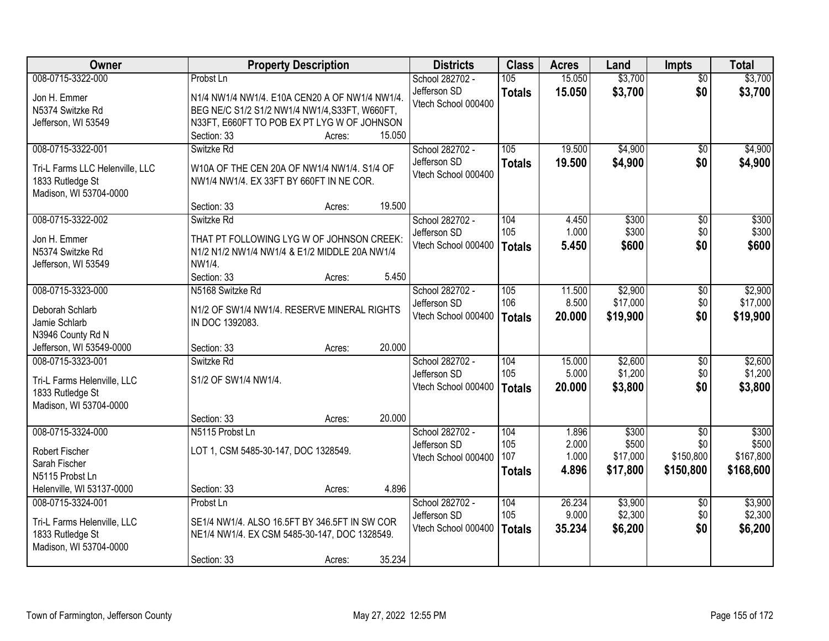| \$3,700<br>008-0715-3322-000<br>105<br>15.050<br>\$3,700<br>Probst Ln<br>School 282702 -<br>$\overline{50}$<br>\$3,700<br>\$0<br>Jefferson SD<br>15.050<br>\$3,700<br><b>Totals</b><br>Jon H. Emmer<br>N1/4 NW1/4 NW1/4. E10A CEN20 A OF NW1/4 NW1/4.<br>Vtech School 000400<br>N5374 Switzke Rd<br>BEG NE/C S1/2 S1/2 NW1/4 NW1/4, S33FT, W660FT,<br>N33FT, E660FT TO POB EX PT LYG W OF JOHNSON<br>Jefferson, WI 53549<br>15.050<br>Section: 33<br>Acres:<br>\$4,900<br>008-0715-3322-001<br>School 282702 -<br>105<br>19.500<br>Switzke Rd<br>\$0<br>Jefferson SD<br>19.500<br>\$4,900<br>\$0<br><b>Totals</b><br>W10A OF THE CEN 20A OF NW1/4 NW1/4. S1/4 OF<br>Tri-L Farms LLC Helenville, LLC<br>Vtech School 000400<br>1833 Rutledge St<br>NW1/4 NW1/4, EX 33FT BY 660FT IN NE COR.<br>Madison, WI 53704-0000<br>19.500<br>Section: 33<br>Acres:<br>008-0715-3322-002<br>School 282702 -<br>104<br>\$300<br>$\overline{50}$<br>\$300<br>Switzke Rd<br>4.450<br>105<br>1.000<br>\$300<br>\$0<br>Jefferson SD<br>Jon H. Emmer<br>THAT PT FOLLOWING LYG W OF JOHNSON CREEK:<br>\$0<br>Vtech School 000400<br>5.450<br>\$600<br>Totals<br>N5374 Switzke Rd<br>N1/2 N1/2 NW1/4 NW1/4 & E1/2 MIDDLE 20A NW1/4<br>NW1/4.<br>Jefferson, WI 53549<br>5.450<br>Section: 33<br>Acres:<br>008-0715-3323-000<br>N5168 Switzke Rd<br>105<br>\$2,900<br>School 282702 -<br>11.500<br>\$0<br>\$17,000<br>106<br>8.500<br>\$0<br>Jefferson SD<br>Deborah Schlarb<br>N1/2 OF SW1/4 NW1/4. RESERVE MINERAL RIGHTS<br>Vtech School 000400<br>\$0<br>20.000<br>\$19,900<br>Totals<br>Jamie Schlarb<br>IN DOC 1392083.<br>N3946 County Rd N<br>Jefferson, WI 53549-0000<br>20.000<br>Section: 33<br>Acres:<br>008-0715-3323-001<br>104<br>15.000<br>\$2,600<br>Switzke Rd<br>School 282702 -<br>\$0<br>105<br>5.000<br>\$1,200<br>\$0<br>Jefferson SD<br>S1/2 OF SW1/4 NW1/4.<br>Tri-L Farms Helenville, LLC<br>\$0<br>Vtech School 000400<br>20.000<br>\$3,800<br><b>Totals</b><br>1833 Rutledge St<br>Madison, WI 53704-0000<br>20.000<br>Section: 33<br>Acres:<br>\$300<br>008-0715-3324-000<br>School 282702 -<br>104<br>1.896<br>$\overline{50}$<br>N5115 Probst Ln<br>105<br>2.000<br>\$500<br>\$0<br>Jefferson SD<br>LOT 1, CSM 5485-30-147, DOC 1328549.<br><b>Robert Fischer</b><br>107<br>\$17,000<br>\$150,800<br>1.000<br>Vtech School 000400 | Owner         | <b>Property Description</b> | <b>Districts</b> | <b>Class</b> | <b>Acres</b> | Land | <b>Impts</b> | <b>Total</b> |
|--------------------------------------------------------------------------------------------------------------------------------------------------------------------------------------------------------------------------------------------------------------------------------------------------------------------------------------------------------------------------------------------------------------------------------------------------------------------------------------------------------------------------------------------------------------------------------------------------------------------------------------------------------------------------------------------------------------------------------------------------------------------------------------------------------------------------------------------------------------------------------------------------------------------------------------------------------------------------------------------------------------------------------------------------------------------------------------------------------------------------------------------------------------------------------------------------------------------------------------------------------------------------------------------------------------------------------------------------------------------------------------------------------------------------------------------------------------------------------------------------------------------------------------------------------------------------------------------------------------------------------------------------------------------------------------------------------------------------------------------------------------------------------------------------------------------------------------------------------------------------------------------------------------------------------------------------------------------------------------------------------------------------------------------------------------------------------------------------------------------------------------------------------------------------------------------------------------------------------------------------------------------------------------------------------------------------------------------|---------------|-----------------------------|------------------|--------------|--------------|------|--------------|--------------|
|                                                                                                                                                                                                                                                                                                                                                                                                                                                                                                                                                                                                                                                                                                                                                                                                                                                                                                                                                                                                                                                                                                                                                                                                                                                                                                                                                                                                                                                                                                                                                                                                                                                                                                                                                                                                                                                                                                                                                                                                                                                                                                                                                                                                                                                                                                                                            |               |                             |                  |              |              |      |              |              |
|                                                                                                                                                                                                                                                                                                                                                                                                                                                                                                                                                                                                                                                                                                                                                                                                                                                                                                                                                                                                                                                                                                                                                                                                                                                                                                                                                                                                                                                                                                                                                                                                                                                                                                                                                                                                                                                                                                                                                                                                                                                                                                                                                                                                                                                                                                                                            |               |                             |                  |              |              |      |              |              |
| \$4,900<br>\$4,900<br>\$300<br>\$600<br>\$2,900<br>\$17,000<br>\$19,900                                                                                                                                                                                                                                                                                                                                                                                                                                                                                                                                                                                                                                                                                                                                                                                                                                                                                                                                                                                                                                                                                                                                                                                                                                                                                                                                                                                                                                                                                                                                                                                                                                                                                                                                                                                                                                                                                                                                                                                                                                                                                                                                                                                                                                                                    |               |                             |                  |              |              |      |              |              |
|                                                                                                                                                                                                                                                                                                                                                                                                                                                                                                                                                                                                                                                                                                                                                                                                                                                                                                                                                                                                                                                                                                                                                                                                                                                                                                                                                                                                                                                                                                                                                                                                                                                                                                                                                                                                                                                                                                                                                                                                                                                                                                                                                                                                                                                                                                                                            |               |                             |                  |              |              |      |              |              |
|                                                                                                                                                                                                                                                                                                                                                                                                                                                                                                                                                                                                                                                                                                                                                                                                                                                                                                                                                                                                                                                                                                                                                                                                                                                                                                                                                                                                                                                                                                                                                                                                                                                                                                                                                                                                                                                                                                                                                                                                                                                                                                                                                                                                                                                                                                                                            |               |                             |                  |              |              |      |              |              |
|                                                                                                                                                                                                                                                                                                                                                                                                                                                                                                                                                                                                                                                                                                                                                                                                                                                                                                                                                                                                                                                                                                                                                                                                                                                                                                                                                                                                                                                                                                                                                                                                                                                                                                                                                                                                                                                                                                                                                                                                                                                                                                                                                                                                                                                                                                                                            |               |                             |                  |              |              |      |              |              |
|                                                                                                                                                                                                                                                                                                                                                                                                                                                                                                                                                                                                                                                                                                                                                                                                                                                                                                                                                                                                                                                                                                                                                                                                                                                                                                                                                                                                                                                                                                                                                                                                                                                                                                                                                                                                                                                                                                                                                                                                                                                                                                                                                                                                                                                                                                                                            |               |                             |                  |              |              |      |              |              |
|                                                                                                                                                                                                                                                                                                                                                                                                                                                                                                                                                                                                                                                                                                                                                                                                                                                                                                                                                                                                                                                                                                                                                                                                                                                                                                                                                                                                                                                                                                                                                                                                                                                                                                                                                                                                                                                                                                                                                                                                                                                                                                                                                                                                                                                                                                                                            |               |                             |                  |              |              |      |              |              |
|                                                                                                                                                                                                                                                                                                                                                                                                                                                                                                                                                                                                                                                                                                                                                                                                                                                                                                                                                                                                                                                                                                                                                                                                                                                                                                                                                                                                                                                                                                                                                                                                                                                                                                                                                                                                                                                                                                                                                                                                                                                                                                                                                                                                                                                                                                                                            |               |                             |                  |              |              |      |              |              |
|                                                                                                                                                                                                                                                                                                                                                                                                                                                                                                                                                                                                                                                                                                                                                                                                                                                                                                                                                                                                                                                                                                                                                                                                                                                                                                                                                                                                                                                                                                                                                                                                                                                                                                                                                                                                                                                                                                                                                                                                                                                                                                                                                                                                                                                                                                                                            |               |                             |                  |              |              |      |              |              |
|                                                                                                                                                                                                                                                                                                                                                                                                                                                                                                                                                                                                                                                                                                                                                                                                                                                                                                                                                                                                                                                                                                                                                                                                                                                                                                                                                                                                                                                                                                                                                                                                                                                                                                                                                                                                                                                                                                                                                                                                                                                                                                                                                                                                                                                                                                                                            |               |                             |                  |              |              |      |              |              |
|                                                                                                                                                                                                                                                                                                                                                                                                                                                                                                                                                                                                                                                                                                                                                                                                                                                                                                                                                                                                                                                                                                                                                                                                                                                                                                                                                                                                                                                                                                                                                                                                                                                                                                                                                                                                                                                                                                                                                                                                                                                                                                                                                                                                                                                                                                                                            |               |                             |                  |              |              |      |              |              |
|                                                                                                                                                                                                                                                                                                                                                                                                                                                                                                                                                                                                                                                                                                                                                                                                                                                                                                                                                                                                                                                                                                                                                                                                                                                                                                                                                                                                                                                                                                                                                                                                                                                                                                                                                                                                                                                                                                                                                                                                                                                                                                                                                                                                                                                                                                                                            |               |                             |                  |              |              |      |              |              |
|                                                                                                                                                                                                                                                                                                                                                                                                                                                                                                                                                                                                                                                                                                                                                                                                                                                                                                                                                                                                                                                                                                                                                                                                                                                                                                                                                                                                                                                                                                                                                                                                                                                                                                                                                                                                                                                                                                                                                                                                                                                                                                                                                                                                                                                                                                                                            |               |                             |                  |              |              |      |              |              |
|                                                                                                                                                                                                                                                                                                                                                                                                                                                                                                                                                                                                                                                                                                                                                                                                                                                                                                                                                                                                                                                                                                                                                                                                                                                                                                                                                                                                                                                                                                                                                                                                                                                                                                                                                                                                                                                                                                                                                                                                                                                                                                                                                                                                                                                                                                                                            |               |                             |                  |              |              |      |              |              |
|                                                                                                                                                                                                                                                                                                                                                                                                                                                                                                                                                                                                                                                                                                                                                                                                                                                                                                                                                                                                                                                                                                                                                                                                                                                                                                                                                                                                                                                                                                                                                                                                                                                                                                                                                                                                                                                                                                                                                                                                                                                                                                                                                                                                                                                                                                                                            |               |                             |                  |              |              |      |              |              |
|                                                                                                                                                                                                                                                                                                                                                                                                                                                                                                                                                                                                                                                                                                                                                                                                                                                                                                                                                                                                                                                                                                                                                                                                                                                                                                                                                                                                                                                                                                                                                                                                                                                                                                                                                                                                                                                                                                                                                                                                                                                                                                                                                                                                                                                                                                                                            |               |                             |                  |              |              |      |              |              |
|                                                                                                                                                                                                                                                                                                                                                                                                                                                                                                                                                                                                                                                                                                                                                                                                                                                                                                                                                                                                                                                                                                                                                                                                                                                                                                                                                                                                                                                                                                                                                                                                                                                                                                                                                                                                                                                                                                                                                                                                                                                                                                                                                                                                                                                                                                                                            |               |                             |                  |              |              |      |              |              |
| \$2,600<br>\$1,200<br>\$3,800<br>\$300<br>\$500<br>\$167,800                                                                                                                                                                                                                                                                                                                                                                                                                                                                                                                                                                                                                                                                                                                                                                                                                                                                                                                                                                                                                                                                                                                                                                                                                                                                                                                                                                                                                                                                                                                                                                                                                                                                                                                                                                                                                                                                                                                                                                                                                                                                                                                                                                                                                                                                               |               |                             |                  |              |              |      |              |              |
|                                                                                                                                                                                                                                                                                                                                                                                                                                                                                                                                                                                                                                                                                                                                                                                                                                                                                                                                                                                                                                                                                                                                                                                                                                                                                                                                                                                                                                                                                                                                                                                                                                                                                                                                                                                                                                                                                                                                                                                                                                                                                                                                                                                                                                                                                                                                            |               |                             |                  |              |              |      |              |              |
|                                                                                                                                                                                                                                                                                                                                                                                                                                                                                                                                                                                                                                                                                                                                                                                                                                                                                                                                                                                                                                                                                                                                                                                                                                                                                                                                                                                                                                                                                                                                                                                                                                                                                                                                                                                                                                                                                                                                                                                                                                                                                                                                                                                                                                                                                                                                            |               |                             |                  |              |              |      |              |              |
|                                                                                                                                                                                                                                                                                                                                                                                                                                                                                                                                                                                                                                                                                                                                                                                                                                                                                                                                                                                                                                                                                                                                                                                                                                                                                                                                                                                                                                                                                                                                                                                                                                                                                                                                                                                                                                                                                                                                                                                                                                                                                                                                                                                                                                                                                                                                            |               |                             |                  |              |              |      |              |              |
|                                                                                                                                                                                                                                                                                                                                                                                                                                                                                                                                                                                                                                                                                                                                                                                                                                                                                                                                                                                                                                                                                                                                                                                                                                                                                                                                                                                                                                                                                                                                                                                                                                                                                                                                                                                                                                                                                                                                                                                                                                                                                                                                                                                                                                                                                                                                            |               |                             |                  |              |              |      |              |              |
|                                                                                                                                                                                                                                                                                                                                                                                                                                                                                                                                                                                                                                                                                                                                                                                                                                                                                                                                                                                                                                                                                                                                                                                                                                                                                                                                                                                                                                                                                                                                                                                                                                                                                                                                                                                                                                                                                                                                                                                                                                                                                                                                                                                                                                                                                                                                            |               |                             |                  |              |              |      |              |              |
|                                                                                                                                                                                                                                                                                                                                                                                                                                                                                                                                                                                                                                                                                                                                                                                                                                                                                                                                                                                                                                                                                                                                                                                                                                                                                                                                                                                                                                                                                                                                                                                                                                                                                                                                                                                                                                                                                                                                                                                                                                                                                                                                                                                                                                                                                                                                            |               |                             |                  |              |              |      |              |              |
|                                                                                                                                                                                                                                                                                                                                                                                                                                                                                                                                                                                                                                                                                                                                                                                                                                                                                                                                                                                                                                                                                                                                                                                                                                                                                                                                                                                                                                                                                                                                                                                                                                                                                                                                                                                                                                                                                                                                                                                                                                                                                                                                                                                                                                                                                                                                            |               |                             |                  |              |              |      |              |              |
|                                                                                                                                                                                                                                                                                                                                                                                                                                                                                                                                                                                                                                                                                                                                                                                                                                                                                                                                                                                                                                                                                                                                                                                                                                                                                                                                                                                                                                                                                                                                                                                                                                                                                                                                                                                                                                                                                                                                                                                                                                                                                                                                                                                                                                                                                                                                            |               |                             |                  |              |              |      |              |              |
|                                                                                                                                                                                                                                                                                                                                                                                                                                                                                                                                                                                                                                                                                                                                                                                                                                                                                                                                                                                                                                                                                                                                                                                                                                                                                                                                                                                                                                                                                                                                                                                                                                                                                                                                                                                                                                                                                                                                                                                                                                                                                                                                                                                                                                                                                                                                            |               |                             |                  |              |              |      |              |              |
|                                                                                                                                                                                                                                                                                                                                                                                                                                                                                                                                                                                                                                                                                                                                                                                                                                                                                                                                                                                                                                                                                                                                                                                                                                                                                                                                                                                                                                                                                                                                                                                                                                                                                                                                                                                                                                                                                                                                                                                                                                                                                                                                                                                                                                                                                                                                            | Sarah Fischer |                             |                  |              |              |      |              |              |
| \$17,800<br>\$168,600<br>4.896<br>\$150,800<br><b>Totals</b><br>N5115 Probst Ln                                                                                                                                                                                                                                                                                                                                                                                                                                                                                                                                                                                                                                                                                                                                                                                                                                                                                                                                                                                                                                                                                                                                                                                                                                                                                                                                                                                                                                                                                                                                                                                                                                                                                                                                                                                                                                                                                                                                                                                                                                                                                                                                                                                                                                                            |               |                             |                  |              |              |      |              |              |
| 4.896<br>Helenville, WI 53137-0000<br>Section: 33<br>Acres:                                                                                                                                                                                                                                                                                                                                                                                                                                                                                                                                                                                                                                                                                                                                                                                                                                                                                                                                                                                                                                                                                                                                                                                                                                                                                                                                                                                                                                                                                                                                                                                                                                                                                                                                                                                                                                                                                                                                                                                                                                                                                                                                                                                                                                                                                |               |                             |                  |              |              |      |              |              |
| 008-0715-3324-001<br>School 282702 -<br>104<br>26.234<br>\$3,900<br>\$3,900<br>Probst Ln<br>$\overline{60}$                                                                                                                                                                                                                                                                                                                                                                                                                                                                                                                                                                                                                                                                                                                                                                                                                                                                                                                                                                                                                                                                                                                                                                                                                                                                                                                                                                                                                                                                                                                                                                                                                                                                                                                                                                                                                                                                                                                                                                                                                                                                                                                                                                                                                                |               |                             |                  |              |              |      |              |              |
| 105<br>9.000<br>\$2,300<br>\$2,300<br>\$0<br>Jefferson SD<br>Tri-L Farms Helenville, LLC<br>SE1/4 NW1/4. ALSO 16.5FT BY 346.5FT IN SW COR                                                                                                                                                                                                                                                                                                                                                                                                                                                                                                                                                                                                                                                                                                                                                                                                                                                                                                                                                                                                                                                                                                                                                                                                                                                                                                                                                                                                                                                                                                                                                                                                                                                                                                                                                                                                                                                                                                                                                                                                                                                                                                                                                                                                  |               |                             |                  |              |              |      |              |              |
| \$0<br>Vtech School 000400<br>35.234<br>\$6,200<br>\$6,200<br>Totals<br>1833 Rutledge St<br>NE1/4 NW1/4. EX CSM 5485-30-147, DOC 1328549.                                                                                                                                                                                                                                                                                                                                                                                                                                                                                                                                                                                                                                                                                                                                                                                                                                                                                                                                                                                                                                                                                                                                                                                                                                                                                                                                                                                                                                                                                                                                                                                                                                                                                                                                                                                                                                                                                                                                                                                                                                                                                                                                                                                                  |               |                             |                  |              |              |      |              |              |
| Madison, WI 53704-0000                                                                                                                                                                                                                                                                                                                                                                                                                                                                                                                                                                                                                                                                                                                                                                                                                                                                                                                                                                                                                                                                                                                                                                                                                                                                                                                                                                                                                                                                                                                                                                                                                                                                                                                                                                                                                                                                                                                                                                                                                                                                                                                                                                                                                                                                                                                     |               |                             |                  |              |              |      |              |              |
| 35.234<br>Section: 33<br>Acres:                                                                                                                                                                                                                                                                                                                                                                                                                                                                                                                                                                                                                                                                                                                                                                                                                                                                                                                                                                                                                                                                                                                                                                                                                                                                                                                                                                                                                                                                                                                                                                                                                                                                                                                                                                                                                                                                                                                                                                                                                                                                                                                                                                                                                                                                                                            |               |                             |                  |              |              |      |              |              |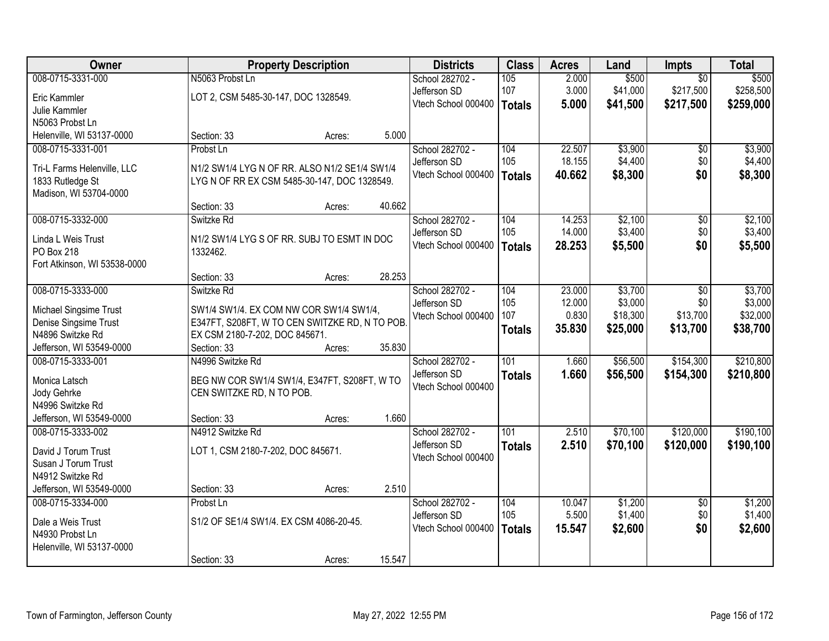| Owner                                      |                                               | <b>Property Description</b> |        | <b>Districts</b>    | <b>Class</b>     | <b>Acres</b> | Land     | Impts           | <b>Total</b> |
|--------------------------------------------|-----------------------------------------------|-----------------------------|--------|---------------------|------------------|--------------|----------|-----------------|--------------|
| 008-0715-3331-000                          | N5063 Probst Ln                               |                             |        | School 282702 -     | 105              | 2.000        | \$500    | $\overline{50}$ | \$500        |
| Eric Kammler                               | LOT 2, CSM 5485-30-147, DOC 1328549.          |                             |        | Jefferson SD        | 107              | 3.000        | \$41,000 | \$217,500       | \$258,500    |
| Julie Kammler                              |                                               |                             |        | Vtech School 000400 | <b>Totals</b>    | 5.000        | \$41,500 | \$217,500       | \$259,000    |
| N5063 Probst Ln                            |                                               |                             |        |                     |                  |              |          |                 |              |
| Helenville, WI 53137-0000                  | Section: 33                                   | Acres:                      | 5.000  |                     |                  |              |          |                 |              |
| 008-0715-3331-001                          | Probst Ln                                     |                             |        | School 282702 -     | 104              | 22.507       | \$3,900  | \$0             | \$3,900      |
|                                            |                                               |                             |        | Jefferson SD        | 105              | 18.155       | \$4,400  | \$0             | \$4,400      |
| Tri-L Farms Helenville, LLC                | N1/2 SW1/4 LYG N OF RR. ALSO N1/2 SE1/4 SW1/4 |                             |        | Vtech School 000400 | <b>Totals</b>    | 40.662       | \$8,300  | \$0             | \$8,300      |
| 1833 Rutledge St<br>Madison, WI 53704-0000 | LYG N OF RR EX CSM 5485-30-147, DOC 1328549.  |                             |        |                     |                  |              |          |                 |              |
|                                            | Section: 33                                   | Acres:                      | 40.662 |                     |                  |              |          |                 |              |
| 008-0715-3332-000                          | Switzke Rd                                    |                             |        | School 282702 -     | 104              | 14.253       | \$2,100  | $\overline{50}$ | \$2,100      |
|                                            |                                               |                             |        | Jefferson SD        | 105              | 14.000       | \$3,400  | \$0             | \$3,400      |
| Linda L Weis Trust                         | N1/2 SW1/4 LYG S OF RR. SUBJ TO ESMT IN DOC   |                             |        | Vtech School 000400 | <b>Totals</b>    | 28.253       | \$5,500  | \$0             | \$5,500      |
| PO Box 218                                 | 1332462.                                      |                             |        |                     |                  |              |          |                 |              |
| Fort Atkinson, WI 53538-0000               |                                               |                             | 28.253 |                     |                  |              |          |                 |              |
| 008-0715-3333-000                          | Section: 33<br>Switzke Rd                     | Acres:                      |        | School 282702 -     | 104              | 23.000       | \$3,700  | \$0             | \$3,700      |
|                                            |                                               |                             |        | Jefferson SD        | 105              | 12.000       | \$3,000  | \$0             | \$3,000      |
| Michael Singsime Trust                     | SW1/4 SW1/4. EX COM NW COR SW1/4 SW1/4,       |                             |        | Vtech School 000400 | 107              | 0.830        | \$18,300 | \$13,700        | \$32,000     |
| Denise Singsime Trust                      | E347FT, S208FT, W TO CEN SWITZKE RD, N TO POB |                             |        |                     | <b>Totals</b>    | 35.830       | \$25,000 | \$13,700        | \$38,700     |
| N4896 Switzke Rd                           | EX CSM 2180-7-202, DOC 845671.                |                             |        |                     |                  |              |          |                 |              |
| Jefferson, WI 53549-0000                   | Section: 33                                   | Acres:                      | 35.830 |                     |                  |              |          |                 |              |
| 008-0715-3333-001                          | N4996 Switzke Rd                              |                             |        | School 282702 -     | $\overline{101}$ | 1.660        | \$56,500 | \$154,300       | \$210,800    |
| Monica Latsch                              | BEG NW COR SW1/4 SW1/4, E347FT, S208FT, W TO  |                             |        | Jefferson SD        | <b>Totals</b>    | 1.660        | \$56,500 | \$154,300       | \$210,800    |
| Jody Gehrke                                | CEN SWITZKE RD, N TO POB.                     |                             |        | Vtech School 000400 |                  |              |          |                 |              |
| N4996 Switzke Rd                           |                                               |                             |        |                     |                  |              |          |                 |              |
| Jefferson, WI 53549-0000                   | Section: 33                                   | Acres:                      | 1.660  |                     |                  |              |          |                 |              |
| 008-0715-3333-002                          | N4912 Switzke Rd                              |                             |        | School 282702 -     | $\overline{101}$ | 2.510        | \$70,100 | \$120,000       | \$190,100    |
| David J Torum Trust                        | LOT 1, CSM 2180-7-202, DOC 845671.            |                             |        | Jefferson SD        | <b>Totals</b>    | 2.510        | \$70,100 | \$120,000       | \$190,100    |
| Susan J Torum Trust                        |                                               |                             |        | Vtech School 000400 |                  |              |          |                 |              |
| N4912 Switzke Rd                           |                                               |                             |        |                     |                  |              |          |                 |              |
| Jefferson, WI 53549-0000                   | Section: 33                                   | Acres:                      | 2.510  |                     |                  |              |          |                 |              |
| 008-0715-3334-000                          | Probst Ln                                     |                             |        | School 282702 -     | 104              | 10.047       | \$1,200  | $\overline{50}$ | \$1,200      |
|                                            |                                               |                             |        | Jefferson SD        | 105              | 5.500        | \$1,400  | \$0             | \$1,400      |
| Dale a Weis Trust                          | S1/2 OF SE1/4 SW1/4. EX CSM 4086-20-45.       |                             |        | Vtech School 000400 | <b>Totals</b>    | 15.547       | \$2,600  | \$0             | \$2,600      |
| N4930 Probst Ln                            |                                               |                             |        |                     |                  |              |          |                 |              |
| Helenville, WI 53137-0000                  |                                               |                             |        |                     |                  |              |          |                 |              |
|                                            | Section: 33                                   | Acres:                      | 15.547 |                     |                  |              |          |                 |              |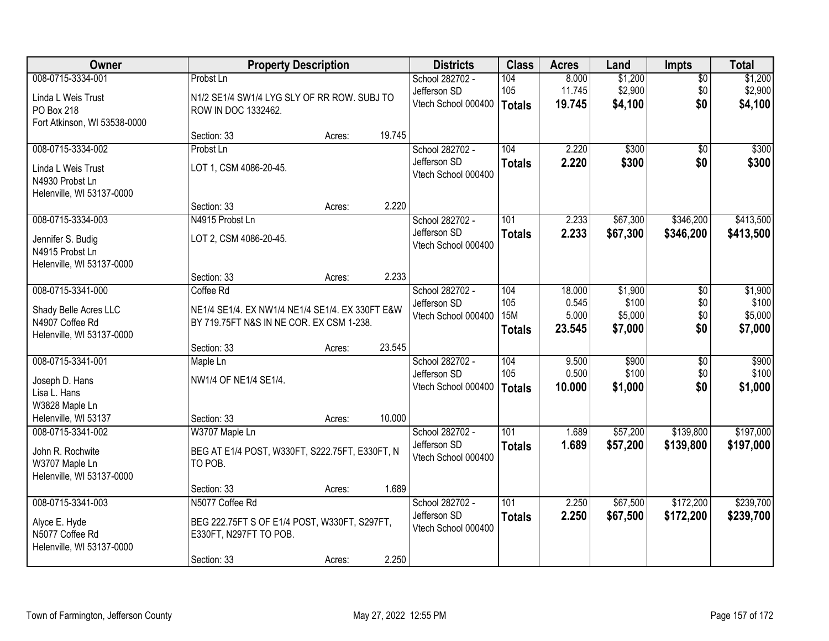| Owner                          |                                                 | <b>Property Description</b> |        | <b>Districts</b>                    | <b>Class</b>     | <b>Acres</b> | Land     | <b>Impts</b>    | <b>Total</b> |
|--------------------------------|-------------------------------------------------|-----------------------------|--------|-------------------------------------|------------------|--------------|----------|-----------------|--------------|
| 008-0715-3334-001              | Probst Ln                                       |                             |        | School 282702 -                     | 104              | 8.000        | \$1,200  | $\overline{50}$ | \$1,200      |
| Linda L Weis Trust             | N1/2 SE1/4 SW1/4 LYG SLY OF RR ROW. SUBJ TO     |                             |        | Jefferson SD                        | 105              | 11.745       | \$2,900  | \$0             | \$2,900      |
| PO Box 218                     | ROW IN DOC 1332462.                             |                             |        | Vtech School 000400                 | <b>Totals</b>    | 19.745       | \$4,100  | \$0             | \$4,100      |
| Fort Atkinson, WI 53538-0000   |                                                 |                             |        |                                     |                  |              |          |                 |              |
|                                | Section: 33                                     | Acres:                      | 19.745 |                                     |                  |              |          |                 |              |
| 008-0715-3334-002              | Probst Ln                                       |                             |        | School 282702 -                     | 104              | 2.220        | \$300    | $\overline{50}$ | \$300        |
| Linda L Weis Trust             | LOT 1, CSM 4086-20-45.                          |                             |        | Jefferson SD<br>Vtech School 000400 | <b>Totals</b>    | 2.220        | \$300    | \$0             | \$300        |
| N4930 Probst Ln                |                                                 |                             |        |                                     |                  |              |          |                 |              |
| Helenville, WI 53137-0000      |                                                 |                             |        |                                     |                  |              |          |                 |              |
|                                | Section: 33                                     | Acres:                      | 2.220  |                                     |                  |              |          |                 |              |
| 008-0715-3334-003              | N4915 Probst Ln                                 |                             |        | School 282702 -<br>Jefferson SD     | 101              | 2.233        | \$67,300 | \$346,200       | \$413,500    |
| Jennifer S. Budig              | LOT 2, CSM 4086-20-45.                          |                             |        | Vtech School 000400                 | <b>Totals</b>    | 2.233        | \$67,300 | \$346,200       | \$413,500    |
| N4915 Probst Ln                |                                                 |                             |        |                                     |                  |              |          |                 |              |
| Helenville, WI 53137-0000      |                                                 |                             |        |                                     |                  |              |          |                 |              |
| 008-0715-3341-000              | Section: 33<br>Coffee Rd                        | Acres:                      | 2.233  | School 282702 -                     | 104              | 18.000       | \$1,900  | \$0             | \$1,900      |
|                                |                                                 |                             |        | Jefferson SD                        | 105              | 0.545        | \$100    | \$0             | \$100        |
| Shady Belle Acres LLC          | NE1/4 SE1/4. EX NW1/4 NE1/4 SE1/4. EX 330FT E&W |                             |        | Vtech School 000400                 | <b>15M</b>       | 5.000        | \$5,000  | \$0             | \$5,000      |
| N4907 Coffee Rd                | BY 719.75FT N&S IN NE COR. EX CSM 1-238.        |                             |        |                                     | <b>Totals</b>    | 23.545       | \$7,000  | \$0             | \$7,000      |
| Helenville, WI 53137-0000      | Section: 33                                     | Acres:                      | 23.545 |                                     |                  |              |          |                 |              |
| 008-0715-3341-001              | Maple Ln                                        |                             |        | School 282702 -                     | 104              | 9.500        | \$900    | \$0             | \$900        |
|                                |                                                 |                             |        | Jefferson SD                        | 105              | 0.500        | \$100    | \$0             | \$100        |
| Joseph D. Hans                 | NW1/4 OF NE1/4 SE1/4.                           |                             |        | Vtech School 000400                 | <b>Totals</b>    | 10.000       | \$1,000  | \$0             | \$1,000      |
| Lisa L. Hans<br>W3828 Maple Ln |                                                 |                             |        |                                     |                  |              |          |                 |              |
| Helenville, WI 53137           | Section: 33                                     | Acres:                      | 10.000 |                                     |                  |              |          |                 |              |
| 008-0715-3341-002              | W3707 Maple Ln                                  |                             |        | School 282702 -                     | $\overline{101}$ | 1.689        | \$57,200 | \$139,800       | \$197,000    |
| John R. Rochwite               | BEG AT E1/4 POST, W330FT, S222.75FT, E330FT, N  |                             |        | Jefferson SD                        | <b>Totals</b>    | 1.689        | \$57,200 | \$139,800       | \$197,000    |
| W3707 Maple Ln                 | TO POB.                                         |                             |        | Vtech School 000400                 |                  |              |          |                 |              |
| Helenville, WI 53137-0000      |                                                 |                             |        |                                     |                  |              |          |                 |              |
|                                | Section: 33                                     | Acres:                      | 1.689  |                                     |                  |              |          |                 |              |
| 008-0715-3341-003              | N5077 Coffee Rd                                 |                             |        | School 282702 -                     | 101              | 2.250        | \$67,500 | \$172,200       | \$239,700    |
| Alyce E. Hyde                  | BEG 222.75FT S OF E1/4 POST, W330FT, S297FT,    |                             |        | Jefferson SD                        | <b>Totals</b>    | 2.250        | \$67,500 | \$172,200       | \$239,700    |
| N5077 Coffee Rd                | E330FT, N297FT TO POB.                          |                             |        | Vtech School 000400                 |                  |              |          |                 |              |
| Helenville, WI 53137-0000      |                                                 |                             |        |                                     |                  |              |          |                 |              |
|                                | Section: 33                                     | Acres:                      | 2.250  |                                     |                  |              |          |                 |              |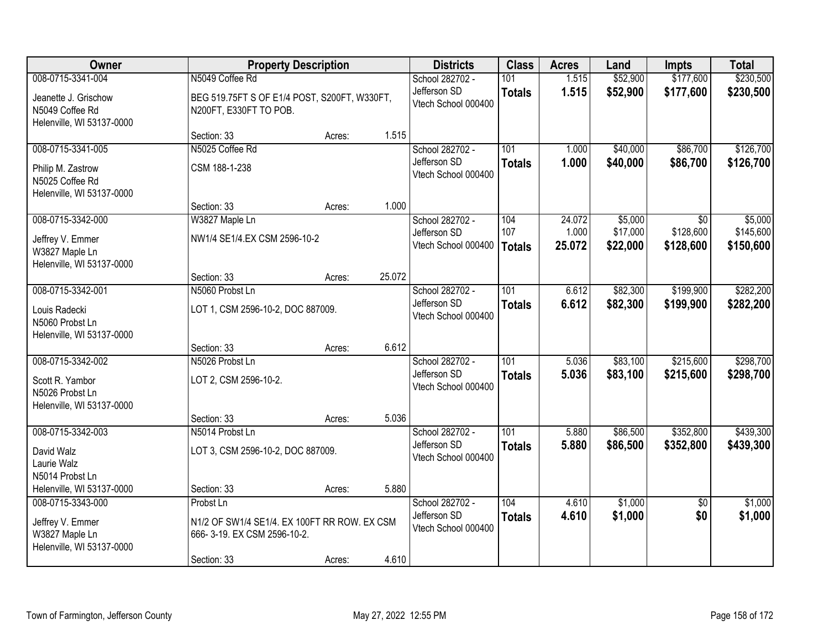| Owner                                                                                  |                                                                                                         | <b>Property Description</b> |        | <b>Districts</b>                                       | <b>Class</b>                | <b>Acres</b>              | Land                            | <b>Impts</b>                  | <b>Total</b>                      |
|----------------------------------------------------------------------------------------|---------------------------------------------------------------------------------------------------------|-----------------------------|--------|--------------------------------------------------------|-----------------------------|---------------------------|---------------------------------|-------------------------------|-----------------------------------|
| 008-0715-3341-004                                                                      | N5049 Coffee Rd                                                                                         |                             |        | School 282702 -                                        | 101                         | 1.515                     | \$52,900                        | \$177,600                     | \$230,500                         |
| Jeanette J. Grischow<br>N5049 Coffee Rd<br>Helenville, WI 53137-0000                   | BEG 519.75FT S OF E1/4 POST, S200FT, W330FT,<br>N200FT, E330FT TO POB.                                  |                             |        | Jefferson SD<br>Vtech School 000400                    | <b>Totals</b>               | 1.515                     | \$52,900                        | \$177,600                     | \$230,500                         |
|                                                                                        | Section: 33                                                                                             | Acres:                      | 1.515  |                                                        |                             |                           |                                 |                               |                                   |
| 008-0715-3341-005<br>Philip M. Zastrow<br>N5025 Coffee Rd<br>Helenville, WI 53137-0000 | N5025 Coffee Rd<br>CSM 188-1-238                                                                        |                             |        | School 282702 -<br>Jefferson SD<br>Vtech School 000400 | 101<br><b>Totals</b>        | 1.000<br>1.000            | \$40,000<br>\$40,000            | \$86,700<br>\$86,700          | \$126,700<br>\$126,700            |
|                                                                                        | Section: 33                                                                                             | Acres:                      | 1.000  |                                                        |                             |                           |                                 |                               |                                   |
| 008-0715-3342-000<br>Jeffrey V. Emmer<br>W3827 Maple Ln<br>Helenville, WI 53137-0000   | W3827 Maple Ln<br>NW1/4 SE1/4.EX CSM 2596-10-2                                                          |                             |        | School 282702 -<br>Jefferson SD<br>Vtech School 000400 | 104<br>107<br><b>Totals</b> | 24.072<br>1.000<br>25.072 | \$5,000<br>\$17,000<br>\$22,000 | \$0<br>\$128,600<br>\$128,600 | \$5,000<br>\$145,600<br>\$150,600 |
|                                                                                        | Section: 33                                                                                             | Acres:                      | 25.072 |                                                        |                             |                           |                                 |                               |                                   |
| 008-0715-3342-001<br>Louis Radecki<br>N5060 Probst Ln<br>Helenville, WI 53137-0000     | N5060 Probst Ln<br>LOT 1, CSM 2596-10-2, DOC 887009.                                                    |                             |        | School 282702 -<br>Jefferson SD<br>Vtech School 000400 | 101<br><b>Totals</b>        | 6.612<br>6.612            | \$82,300<br>\$82,300            | \$199,900<br>\$199,900        | \$282,200<br>\$282,200            |
|                                                                                        | Section: 33                                                                                             | Acres:                      | 6.612  |                                                        |                             |                           |                                 |                               |                                   |
| 008-0715-3342-002<br>Scott R. Yambor<br>N5026 Probst Ln<br>Helenville, WI 53137-0000   | N5026 Probst Ln<br>LOT 2, CSM 2596-10-2.<br>Section: 33                                                 | Acres:                      | 5.036  | School 282702 -<br>Jefferson SD<br>Vtech School 000400 | 101<br><b>Totals</b>        | 5.036<br>5.036            | \$83,100<br>\$83,100            | \$215,600<br>\$215,600        | \$298,700<br>\$298,700            |
| 008-0715-3342-003                                                                      | N5014 Probst Ln                                                                                         |                             |        | School 282702 -                                        | $\overline{101}$            | 5.880                     | \$86,500                        | \$352,800                     | \$439,300                         |
| David Walz<br>Laurie Walz<br>N5014 Probst Ln                                           | LOT 3, CSM 2596-10-2, DOC 887009.                                                                       |                             |        | Jefferson SD<br>Vtech School 000400                    | <b>Totals</b>               | 5.880                     | \$86,500                        | \$352,800                     | \$439,300                         |
| Helenville, WI 53137-0000                                                              | Section: 33                                                                                             | Acres:                      | 5.880  |                                                        |                             |                           |                                 |                               |                                   |
| 008-0715-3343-000<br>Jeffrey V. Emmer<br>W3827 Maple Ln<br>Helenville, WI 53137-0000   | Probst Ln<br>N1/2 OF SW1/4 SE1/4. EX 100FT RR ROW. EX CSM<br>666-3-19. EX CSM 2596-10-2.<br>Section: 33 | Acres:                      | 4.610  | School 282702 -<br>Jefferson SD<br>Vtech School 000400 | 104<br><b>Totals</b>        | 4.610<br>4.610            | \$1,000<br>\$1,000              | $\overline{30}$<br>\$0        | \$1,000<br>\$1,000                |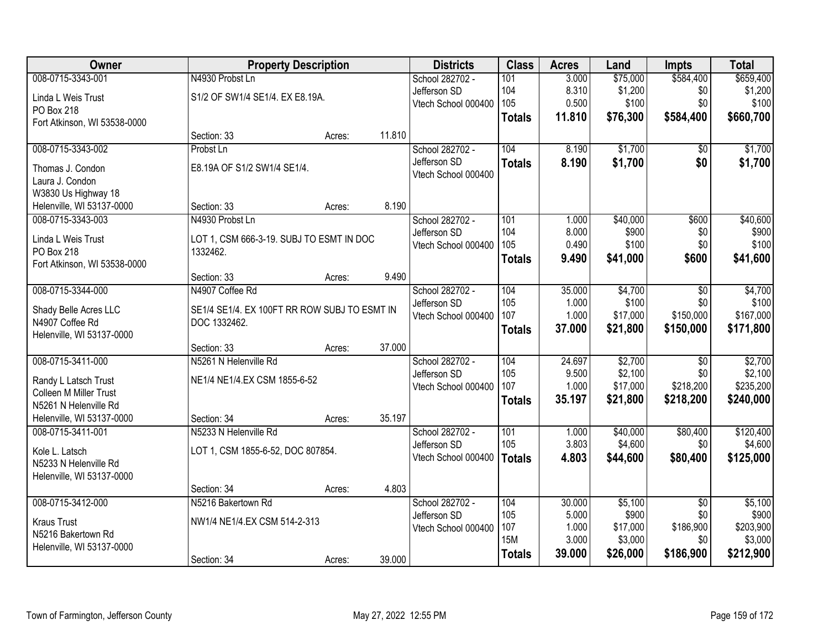| Owner                        | <b>Property Description</b>                  |        |        | <b>Districts</b>    | <b>Class</b>  | <b>Acres</b> | Land     | <b>Impts</b>    | <b>Total</b> |
|------------------------------|----------------------------------------------|--------|--------|---------------------|---------------|--------------|----------|-----------------|--------------|
| 008-0715-3343-001            | N4930 Probst Ln                              |        |        | School 282702 -     | 101           | 3.000        | \$75,000 | \$584,400       | \$659,400    |
| Linda L Weis Trust           | S1/2 OF SW1/4 SE1/4. EX E8.19A.              |        |        | Jefferson SD        | 104           | 8.310        | \$1,200  | \$0             | \$1,200      |
| PO Box 218                   |                                              |        |        | Vtech School 000400 | 105           | 0.500        | \$100    | \$0             | \$100        |
| Fort Atkinson, WI 53538-0000 |                                              |        |        |                     | <b>Totals</b> | 11.810       | \$76,300 | \$584,400       | \$660,700    |
|                              | Section: 33                                  | Acres: | 11.810 |                     |               |              |          |                 |              |
| 008-0715-3343-002            | Probst Ln                                    |        |        | School 282702 -     | 104           | 8.190        | \$1,700  | \$0             | \$1,700      |
| Thomas J. Condon             | E8.19A OF S1/2 SW1/4 SE1/4.                  |        |        | Jefferson SD        | <b>Totals</b> | 8.190        | \$1,700  | \$0             | \$1,700      |
| Laura J. Condon              |                                              |        |        | Vtech School 000400 |               |              |          |                 |              |
| W3830 Us Highway 18          |                                              |        |        |                     |               |              |          |                 |              |
| Helenville, WI 53137-0000    | Section: 33                                  | Acres: | 8.190  |                     |               |              |          |                 |              |
| 008-0715-3343-003            | N4930 Probst Ln                              |        |        | School 282702 -     | 101           | 1.000        | \$40,000 | \$600           | \$40,600     |
| Linda L Weis Trust           | LOT 1, CSM 666-3-19. SUBJ TO ESMT IN DOC     |        |        | Jefferson SD        | 104           | 8.000        | \$900    | \$0             | \$900        |
| PO Box 218                   | 1332462.                                     |        |        | Vtech School 000400 | 105           | 0.490        | \$100    | \$0             | \$100        |
| Fort Atkinson, WI 53538-0000 |                                              |        |        |                     | <b>Totals</b> | 9.490        | \$41,000 | \$600           | \$41,600     |
|                              | Section: 33                                  | Acres: | 9.490  |                     |               |              |          |                 |              |
| 008-0715-3344-000            | N4907 Coffee Rd                              |        |        | School 282702 -     | 104           | 35.000       | \$4,700  | \$0             | \$4,700      |
| Shady Belle Acres LLC        | SE1/4 SE1/4. EX 100FT RR ROW SUBJ TO ESMT IN |        |        | Jefferson SD        | 105           | 1.000        | \$100    | \$0             | \$100        |
| N4907 Coffee Rd              | DOC 1332462.                                 |        |        | Vtech School 000400 | 107           | 1.000        | \$17,000 | \$150,000       | \$167,000    |
| Helenville, WI 53137-0000    |                                              |        |        |                     | <b>Totals</b> | 37.000       | \$21,800 | \$150,000       | \$171,800    |
|                              | Section: 33                                  | Acres: | 37.000 |                     |               |              |          |                 |              |
| 008-0715-3411-000            | N5261 N Helenville Rd                        |        |        | School 282702 -     | 104           | 24.697       | \$2,700  | \$0             | \$2,700      |
| Randy L Latsch Trust         | NE1/4 NE1/4.EX CSM 1855-6-52                 |        |        | Jefferson SD        | 105           | 9.500        | \$2,100  | \$0             | \$2,100      |
| Colleen M Miller Trust       |                                              |        |        | Vtech School 000400 | 107           | 1.000        | \$17,000 | \$218,200       | \$235,200    |
| N5261 N Helenville Rd        |                                              |        |        |                     | <b>Totals</b> | 35.197       | \$21,800 | \$218,200       | \$240,000    |
| Helenville, WI 53137-0000    | Section: 34                                  | Acres: | 35.197 |                     |               |              |          |                 |              |
| 008-0715-3411-001            | N5233 N Helenville Rd                        |        |        | School 282702 -     | 101           | 1.000        | \$40,000 | \$80,400        | \$120,400    |
| Kole L. Latsch               | LOT 1, CSM 1855-6-52, DOC 807854.            |        |        | Jefferson SD        | 105           | 3.803        | \$4,600  | \$0             | \$4,600      |
| N5233 N Helenville Rd        |                                              |        |        | Vtech School 000400 | <b>Totals</b> | 4.803        | \$44,600 | \$80,400        | \$125,000    |
| Helenville, WI 53137-0000    |                                              |        |        |                     |               |              |          |                 |              |
|                              | Section: 34                                  | Acres: | 4.803  |                     |               |              |          |                 |              |
| 008-0715-3412-000            | N5216 Bakertown Rd                           |        |        | School 282702 -     | 104           | 30.000       | \$5,100  | $\overline{50}$ | \$5,100      |
| <b>Kraus Trust</b>           | NW1/4 NE1/4.EX CSM 514-2-313                 |        |        | Jefferson SD        | 105           | 5.000        | \$900    | \$0             | \$900        |
| N5216 Bakertown Rd           |                                              |        |        | Vtech School 000400 | 107           | 1.000        | \$17,000 | \$186,900       | \$203,900    |
| Helenville, WI 53137-0000    |                                              |        |        |                     | <b>15M</b>    | 3.000        | \$3,000  | \$0             | \$3,000      |
|                              | Section: 34                                  | Acres: | 39.000 |                     | <b>Totals</b> | 39.000       | \$26,000 | \$186,900       | \$212,900    |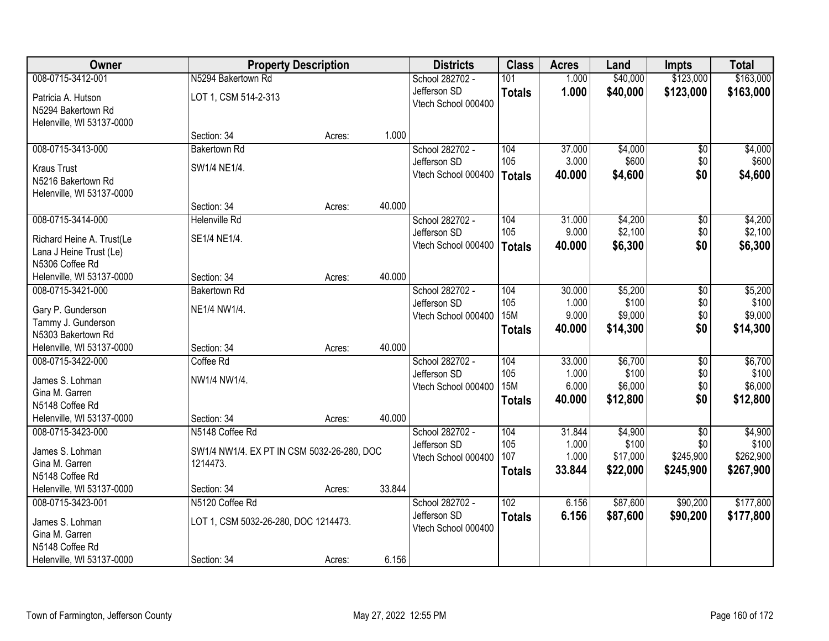| Owner                     |                                            | <b>Property Description</b> |        | <b>Districts</b>                    | <b>Class</b>      | <b>Acres</b>    | Land                | <b>Impts</b>     | <b>Total</b>       |
|---------------------------|--------------------------------------------|-----------------------------|--------|-------------------------------------|-------------------|-----------------|---------------------|------------------|--------------------|
| 008-0715-3412-001         | N5294 Bakertown Rd                         |                             |        | School 282702 -                     | 101               | 1.000           | \$40,000            | \$123,000        | \$163,000          |
| Patricia A. Hutson        | LOT 1, CSM 514-2-313                       |                             |        | Jefferson SD                        | <b>Totals</b>     | 1.000           | \$40,000            | \$123,000        | \$163,000          |
| N5294 Bakertown Rd        |                                            |                             |        | Vtech School 000400                 |                   |                 |                     |                  |                    |
| Helenville, WI 53137-0000 |                                            |                             |        |                                     |                   |                 |                     |                  |                    |
|                           | Section: 34                                | Acres:                      | 1.000  |                                     |                   |                 |                     |                  |                    |
| 008-0715-3413-000         | <b>Bakertown Rd</b>                        |                             |        | School 282702 -                     | 104               | 37.000          | \$4,000             | \$0              | \$4,000            |
| <b>Kraus Trust</b>        | SW1/4 NE1/4.                               |                             |        | Jefferson SD                        | 105               | 3.000           | \$600               | \$0              | \$600              |
| N5216 Bakertown Rd        |                                            |                             |        | Vtech School 000400                 | Totals            | 40.000          | \$4,600             | \$0              | \$4,600            |
| Helenville, WI 53137-0000 |                                            |                             |        |                                     |                   |                 |                     |                  |                    |
|                           | Section: 34                                | Acres:                      | 40.000 |                                     |                   |                 |                     |                  |                    |
| 008-0715-3414-000         | <b>Helenville Rd</b>                       |                             |        | School 282702 -                     | 104               | 31.000          | \$4,200             | \$0              | \$4,200            |
| Richard Heine A. Trust(Le | SE1/4 NE1/4.                               |                             |        | Jefferson SD                        | 105               | 9.000           | \$2,100             | \$0              | \$2,100            |
| Lana J Heine Trust (Le)   |                                            |                             |        | Vtech School 000400                 | Totals            | 40,000          | \$6,300             | \$0              | \$6,300            |
| N5306 Coffee Rd           |                                            |                             |        |                                     |                   |                 |                     |                  |                    |
| Helenville, WI 53137-0000 | Section: 34                                | Acres:                      | 40.000 |                                     |                   |                 |                     |                  |                    |
| 008-0715-3421-000         | <b>Bakertown Rd</b>                        |                             |        | School 282702 -                     | 104               | 30.000          | \$5,200             | $\sqrt[6]{3}$    | \$5,200            |
| Gary P. Gunderson         | NE1/4 NW1/4.                               |                             |        | Jefferson SD                        | 105               | 1.000           | \$100               | \$0              | \$100              |
| Tammy J. Gunderson        |                                            |                             |        | Vtech School 000400                 | <b>15M</b>        | 9.000           | \$9,000             | \$0              | \$9,000            |
| N5303 Bakertown Rd        |                                            |                             |        |                                     | <b>Totals</b>     | 40.000          | \$14,300            | \$0              | \$14,300           |
| Helenville, WI 53137-0000 | Section: 34                                | Acres:                      | 40.000 |                                     |                   |                 |                     |                  |                    |
| 008-0715-3422-000         | Coffee Rd                                  |                             |        | School 282702 -                     | 104               | 33.000          | \$6,700             | $\overline{50}$  | \$6,700            |
| James S. Lohman           | NW1/4 NW1/4.                               |                             |        | Jefferson SD                        | 105<br><b>15M</b> | 1.000           | \$100               | \$0              | \$100<br>\$6,000   |
| Gina M. Garren            |                                            |                             |        | Vtech School 000400                 |                   | 6.000<br>40.000 | \$6,000<br>\$12,800 | \$0<br>\$0       | \$12,800           |
| N5148 Coffee Rd           |                                            |                             |        |                                     | <b>Totals</b>     |                 |                     |                  |                    |
| Helenville, WI 53137-0000 | Section: 34                                | Acres:                      | 40.000 |                                     |                   |                 |                     |                  |                    |
| 008-0715-3423-000         | N5148 Coffee Rd                            |                             |        | School 282702 -                     | 104               | 31.844          | \$4,900             | $\overline{50}$  | \$4,900            |
| James S. Lohman           | SW1/4 NW1/4. EX PT IN CSM 5032-26-280, DOC |                             |        | Jefferson SD                        | 105<br>107        | 1.000<br>1.000  | \$100<br>\$17,000   | \$0<br>\$245,900 | \$100<br>\$262,900 |
| Gina M. Garren            | 1214473.                                   |                             |        | Vtech School 000400                 | <b>Totals</b>     | 33.844          | \$22,000            | \$245,900        | \$267,900          |
| N5148 Coffee Rd           |                                            |                             |        |                                     |                   |                 |                     |                  |                    |
| Helenville, WI 53137-0000 | Section: 34                                | Acres:                      | 33.844 |                                     |                   |                 |                     |                  |                    |
| 008-0715-3423-001         | N5120 Coffee Rd                            |                             |        | School 282702 -                     | 102               | 6.156           | \$87,600            | \$90,200         | \$177,800          |
| James S. Lohman           | LOT 1, CSM 5032-26-280, DOC 1214473.       |                             |        | Jefferson SD<br>Vtech School 000400 | <b>Totals</b>     | 6.156           | \$87,600            | \$90,200         | \$177,800          |
| Gina M. Garren            |                                            |                             |        |                                     |                   |                 |                     |                  |                    |
| N5148 Coffee Rd           |                                            |                             |        |                                     |                   |                 |                     |                  |                    |
| Helenville, WI 53137-0000 | Section: 34                                | Acres:                      | 6.156  |                                     |                   |                 |                     |                  |                    |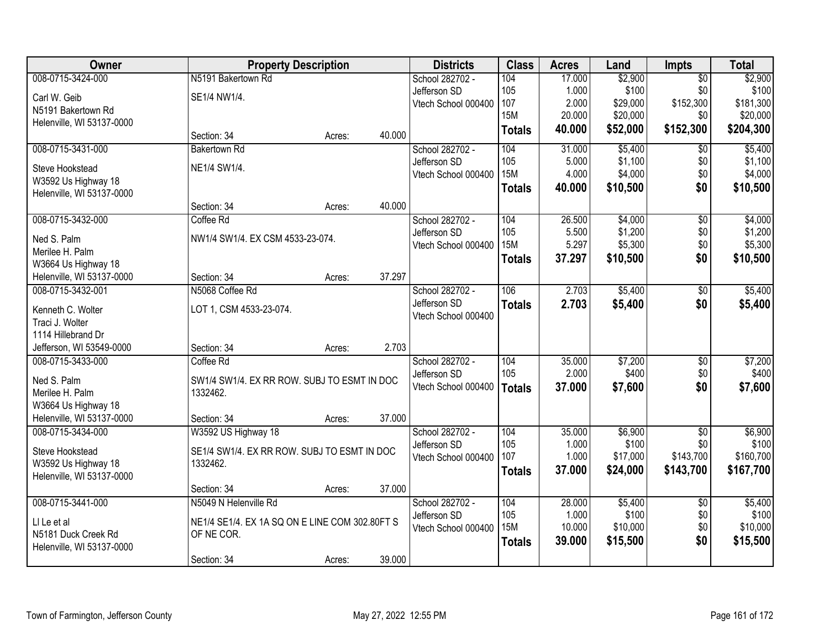| Owner                     |                                                | <b>Property Description</b> |        | <b>Districts</b>                | <b>Class</b>  | <b>Acres</b>    | Land             | <b>Impts</b>           | <b>Total</b>     |
|---------------------------|------------------------------------------------|-----------------------------|--------|---------------------------------|---------------|-----------------|------------------|------------------------|------------------|
| 008-0715-3424-000         | N5191 Bakertown Rd                             |                             |        | School 282702 -                 | 104           | 17.000          | \$2,900          | $\overline{50}$        | \$2,900          |
| Carl W. Geib              | SE1/4 NW1/4.                                   |                             |        | Jefferson SD                    | 105           | 1.000           | \$100            | \$0                    | \$100            |
| N5191 Bakertown Rd        |                                                |                             |        | Vtech School 000400             | 107           | 2.000           | \$29,000         | \$152,300              | \$181,300        |
| Helenville, WI 53137-0000 |                                                |                             |        |                                 | <b>15M</b>    | 20.000          | \$20,000         | \$0                    | \$20,000         |
|                           | Section: 34                                    | Acres:                      | 40.000 |                                 | <b>Totals</b> | 40.000          | \$52,000         | \$152,300              | \$204,300        |
| 008-0715-3431-000         | <b>Bakertown Rd</b>                            |                             |        | School 282702 -                 | 104           | 31.000          | \$5,400          | $\overline{50}$        | \$5,400          |
| Steve Hookstead           | NE1/4 SW1/4.                                   |                             |        | Jefferson SD                    | 105           | 5.000           | \$1,100          | \$0                    | \$1,100          |
| W3592 Us Highway 18       |                                                |                             |        | Vtech School 000400             | <b>15M</b>    | 4.000           | \$4,000          | \$0                    | \$4,000          |
| Helenville, WI 53137-0000 |                                                |                             |        |                                 | <b>Totals</b> | 40.000          | \$10,500         | \$0                    | \$10,500         |
|                           | Section: 34                                    | Acres:                      | 40.000 |                                 |               |                 |                  |                        |                  |
| 008-0715-3432-000         | Coffee Rd                                      |                             |        | School 282702 -                 | 104           | 26.500          | \$4,000          | $\overline{50}$        | \$4,000          |
| Ned S. Palm               | NW1/4 SW1/4. EX CSM 4533-23-074.               |                             |        | Jefferson SD                    | 105           | 5.500           | \$1,200          | \$0                    | \$1,200          |
| Merilee H. Palm           |                                                |                             |        | Vtech School 000400             | <b>15M</b>    | 5.297           | \$5,300          | \$0                    | \$5,300          |
| W3664 Us Highway 18       |                                                |                             |        |                                 | <b>Totals</b> | 37.297          | \$10,500         | \$0                    | \$10,500         |
| Helenville, WI 53137-0000 | Section: 34                                    | Acres:                      | 37.297 |                                 |               |                 |                  |                        |                  |
| 008-0715-3432-001         | N5068 Coffee Rd                                |                             |        | School 282702 -                 | 106           | 2.703           | \$5,400          | \$0                    | \$5,400          |
| Kenneth C. Wolter         | LOT 1, CSM 4533-23-074.                        |                             |        | Jefferson SD                    | <b>Totals</b> | 2.703           | \$5,400          | \$0                    | \$5,400          |
| Traci J. Wolter           |                                                |                             |        | Vtech School 000400             |               |                 |                  |                        |                  |
| 1114 Hillebrand Dr        |                                                |                             |        |                                 |               |                 |                  |                        |                  |
| Jefferson, WI 53549-0000  | Section: 34                                    | Acres:                      | 2.703  |                                 |               |                 |                  |                        |                  |
| 008-0715-3433-000         | Coffee Rd                                      |                             |        | School 282702 -                 | 104           | 35.000          | \$7,200          | $\overline{50}$        | \$7,200          |
|                           |                                                |                             |        | Jefferson SD                    | 105           | 2.000           | \$400            | \$0                    | \$400            |
| Ned S. Palm               | SW1/4 SW1/4. EX RR ROW. SUBJ TO ESMT IN DOC    |                             |        | Vtech School 000400             | <b>Totals</b> | 37.000          | \$7,600          | \$0                    | \$7,600          |
| Merilee H. Palm           | 1332462.                                       |                             |        |                                 |               |                 |                  |                        |                  |
| W3664 Us Highway 18       |                                                |                             | 37.000 |                                 |               |                 |                  |                        |                  |
| Helenville, WI 53137-0000 | Section: 34                                    | Acres:                      |        |                                 | 104           |                 |                  |                        |                  |
| 008-0715-3434-000         | W3592 US Highway 18                            |                             |        | School 282702 -<br>Jefferson SD | 105           | 35.000<br>1.000 | \$6,900<br>\$100 | $\overline{50}$<br>\$0 | \$6,900<br>\$100 |
| Steve Hookstead           | SE1/4 SW1/4. EX RR ROW. SUBJ TO ESMT IN DOC    |                             |        | Vtech School 000400             | 107           | 1.000           | \$17,000         | \$143,700              | \$160,700        |
| W3592 Us Highway 18       | 1332462.                                       |                             |        |                                 | <b>Totals</b> | 37,000          | \$24,000         | \$143,700              | \$167,700        |
| Helenville, WI 53137-0000 |                                                |                             |        |                                 |               |                 |                  |                        |                  |
|                           | Section: 34                                    | Acres:                      | 37.000 |                                 |               |                 |                  |                        |                  |
| 008-0715-3441-000         | N5049 N Helenville Rd                          |                             |        | School 282702 -                 | 104           | 28.000          | \$5,400          | $\overline{50}$        | \$5,400          |
| LI Le et al               | NE1/4 SE1/4. EX 1A SQ ON E LINE COM 302.80FT S |                             |        | Jefferson SD                    | 105           | 1.000           | \$100            | \$0                    | \$100            |
| N5181 Duck Creek Rd       | OF NE COR.                                     |                             |        | Vtech School 000400             | <b>15M</b>    | 10.000          | \$10,000         | \$0                    | \$10,000         |
| Helenville, WI 53137-0000 |                                                |                             |        |                                 | <b>Totals</b> | 39.000          | \$15,500         | \$0                    | \$15,500         |
|                           | Section: 34                                    | Acres:                      | 39.000 |                                 |               |                 |                  |                        |                  |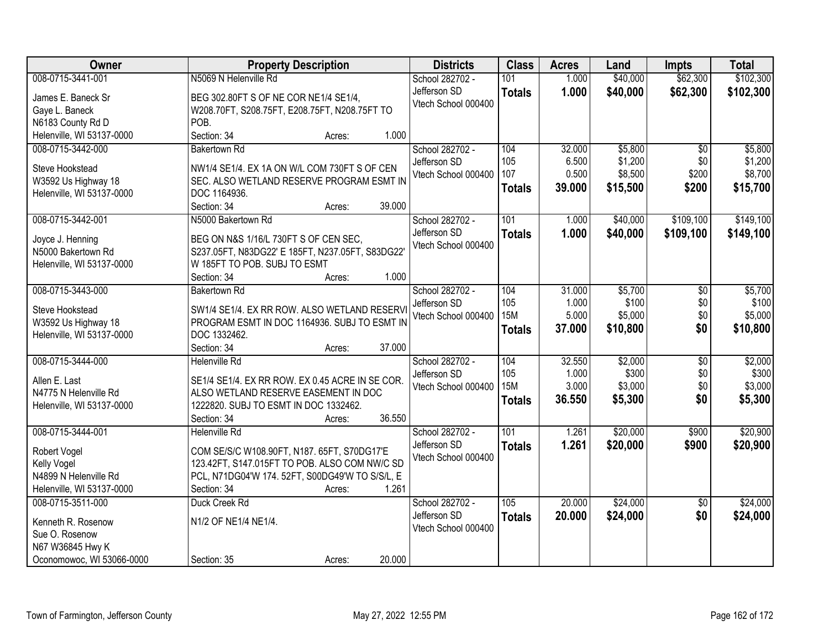| Owner                     | <b>Property Description</b>                     | <b>Districts</b>    | <b>Class</b>     | <b>Acres</b> | Land     | <b>Impts</b>    | <b>Total</b> |
|---------------------------|-------------------------------------------------|---------------------|------------------|--------------|----------|-----------------|--------------|
| 008-0715-3441-001         | N5069 N Helenville Rd                           | School 282702 -     | 101              | 1.000        | \$40,000 | \$62,300        | \$102,300    |
| James E. Baneck Sr        | BEG 302.80FT S OF NE COR NE1/4 SE1/4,           | Jefferson SD        | <b>Totals</b>    | 1.000        | \$40,000 | \$62,300        | \$102,300    |
| Gaye L. Baneck            | W208.70FT, S208.75FT, E208.75FT, N208.75FT TO   | Vtech School 000400 |                  |              |          |                 |              |
| N6183 County Rd D         | POB.                                            |                     |                  |              |          |                 |              |
| Helenville, WI 53137-0000 | Section: 34<br>1.000<br>Acres:                  |                     |                  |              |          |                 |              |
| 008-0715-3442-000         | <b>Bakertown Rd</b>                             | School 282702 -     | 104              | 32.000       | \$5,800  | $\overline{30}$ | \$5,800      |
|                           |                                                 | Jefferson SD        | 105              | 6.500        | \$1,200  | \$0             | \$1,200      |
| Steve Hookstead           | NW1/4 SE1/4. EX 1A ON W/L COM 730FT S OF CEN    | Vtech School 000400 | 107              | 0.500        | \$8,500  | \$200           | \$8,700      |
| W3592 Us Highway 18       | SEC. ALSO WETLAND RESERVE PROGRAM ESMT IN       |                     | <b>Totals</b>    | 39.000       | \$15,500 | \$200           | \$15,700     |
| Helenville, WI 53137-0000 | DOC 1164936.                                    |                     |                  |              |          |                 |              |
|                           | 39.000<br>Section: 34<br>Acres:                 |                     |                  |              |          |                 |              |
| 008-0715-3442-001         | N5000 Bakertown Rd                              | School 282702 -     | 101              | 1.000        | \$40,000 | \$109,100       | \$149,100    |
| Joyce J. Henning          | BEG ON N&S 1/16/L 730FT S OF CEN SEC,           | Jefferson SD        | <b>Totals</b>    | 1.000        | \$40,000 | \$109,100       | \$149,100    |
| N5000 Bakertown Rd        | S237.05FT, N83DG22' E 185FT, N237.05FT, S83DG22 | Vtech School 000400 |                  |              |          |                 |              |
| Helenville, WI 53137-0000 | W 185FT TO POB. SUBJ TO ESMT                    |                     |                  |              |          |                 |              |
|                           | 1.000<br>Section: 34<br>Acres:                  |                     |                  |              |          |                 |              |
| 008-0715-3443-000         | <b>Bakertown Rd</b>                             | School 282702 -     | 104              | 31.000       | \$5,700  | \$0             | \$5,700      |
|                           |                                                 | Jefferson SD        | 105              | 1.000        | \$100    | \$0             | \$100        |
| Steve Hookstead           | SW1/4 SE1/4. EX RR ROW. ALSO WETLAND RESERVI    | Vtech School 000400 | <b>15M</b>       | 5.000        | \$5,000  | \$0             | \$5,000      |
| W3592 Us Highway 18       | PROGRAM ESMT IN DOC 1164936. SUBJ TO ESMT IN    |                     | <b>Totals</b>    | 37.000       | \$10,800 | \$0             | \$10,800     |
| Helenville, WI 53137-0000 | DOC 1332462.                                    |                     |                  |              |          |                 |              |
|                           | 37.000<br>Section: 34<br>Acres:                 |                     |                  |              |          |                 |              |
| 008-0715-3444-000         | <b>Helenville Rd</b>                            | School 282702 -     | 104              | 32.550       | \$2,000  | $\overline{50}$ | \$2,000      |
| Allen E. Last             | SE1/4 SE1/4. EX RR ROW. EX 0.45 ACRE IN SE COR. | Jefferson SD        | 105              | 1.000        | \$300    | \$0             | \$300        |
| N4775 N Helenville Rd     | ALSO WETLAND RESERVE EASEMENT IN DOC            | Vtech School 000400 | <b>15M</b>       | 3.000        | \$3,000  | \$0             | \$3,000      |
| Helenville, WI 53137-0000 | 1222820. SUBJ TO ESMT IN DOC 1332462.           |                     | <b>Totals</b>    | 36.550       | \$5,300  | \$0             | \$5,300      |
|                           | 36.550<br>Section: 34<br>Acres:                 |                     |                  |              |          |                 |              |
| 008-0715-3444-001         | <b>Helenville Rd</b>                            | School 282702 -     | $\overline{101}$ | 1.261        | \$20,000 | \$900           | \$20,900     |
|                           |                                                 | Jefferson SD        | <b>Totals</b>    | 1.261        | \$20,000 | \$900           | \$20,900     |
| Robert Vogel              | COM SE/S/C W108.90FT, N187. 65FT, S70DG17'E     | Vtech School 000400 |                  |              |          |                 |              |
| Kelly Vogel               | 123.42FT, S147.015FT TO POB. ALSO COM NW/C SD   |                     |                  |              |          |                 |              |
| N4899 N Helenville Rd     | PCL, N71DG04'W 174. 52FT, S00DG49'W TO S/S/L, E |                     |                  |              |          |                 |              |
| Helenville, WI 53137-0000 | Section: 34<br>1.261<br>Acres:                  |                     |                  |              |          |                 |              |
| 008-0715-3511-000         | Duck Creek Rd                                   | School 282702 -     | 105              | 20.000       | \$24,000 | $\overline{50}$ | \$24,000     |
| Kenneth R. Rosenow        | N1/2 OF NE1/4 NE1/4.                            | Jefferson SD        | <b>Totals</b>    | 20.000       | \$24,000 | \$0             | \$24,000     |
| Sue O. Rosenow            |                                                 | Vtech School 000400 |                  |              |          |                 |              |
| N67 W36845 Hwy K          |                                                 |                     |                  |              |          |                 |              |
| Oconomowoc, WI 53066-0000 | 20.000<br>Section: 35<br>Acres:                 |                     |                  |              |          |                 |              |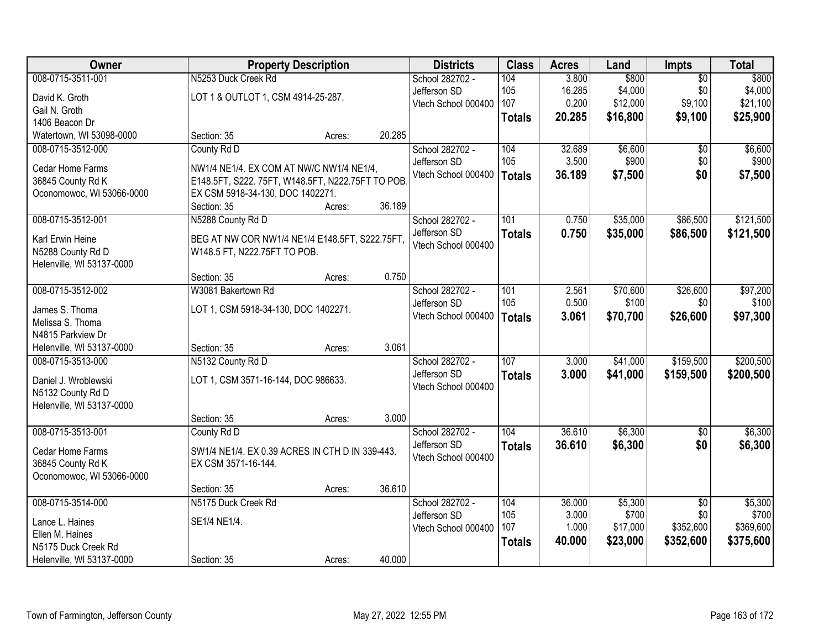| Owner                                 |                                                                                | <b>Property Description</b> |        | <b>Districts</b>    | <b>Class</b>  | <b>Acres</b> | Land     | <b>Impts</b>    | <b>Total</b> |
|---------------------------------------|--------------------------------------------------------------------------------|-----------------------------|--------|---------------------|---------------|--------------|----------|-----------------|--------------|
| 008-0715-3511-001                     | N5253 Duck Creek Rd                                                            |                             |        | School 282702 -     | 104           | 3.800        | \$800    | $\overline{50}$ | \$800        |
| David K. Groth                        | LOT 1 & OUTLOT 1, CSM 4914-25-287.                                             |                             |        | Jefferson SD        | 105           | 16.285       | \$4,000  | \$0             | \$4,000      |
| Gail N. Groth                         |                                                                                |                             |        | Vtech School 000400 | 107           | 0.200        | \$12,000 | \$9,100         | \$21,100     |
| 1406 Beacon Dr                        |                                                                                |                             |        |                     | <b>Totals</b> | 20.285       | \$16,800 | \$9,100         | \$25,900     |
| Watertown, WI 53098-0000              | Section: 35                                                                    | Acres:                      | 20.285 |                     |               |              |          |                 |              |
| 008-0715-3512-000                     | County Rd D                                                                    |                             |        | School 282702 -     | 104           | 32.689       | \$6,600  | \$0             | \$6,600      |
| Cedar Home Farms                      | NW1/4 NE1/4. EX COM AT NW/C NW1/4 NE1/4,                                       |                             |        | Jefferson SD        | 105           | 3.500        | \$900    | \$0             | \$900        |
| 36845 County Rd K                     | E148.5FT, S222. 75FT, W148.5FT, N222.75FT TO POB                               |                             |        | Vtech School 000400 | <b>Totals</b> | 36.189       | \$7,500  | \$0             | \$7,500      |
| Oconomowoc, WI 53066-0000             | EX CSM 5918-34-130, DOC 1402271.                                               |                             |        |                     |               |              |          |                 |              |
|                                       | Section: 35                                                                    | Acres:                      | 36.189 |                     |               |              |          |                 |              |
| 008-0715-3512-001                     | N5288 County Rd D                                                              |                             |        | School 282702 -     | 101           | 0.750        | \$35,000 | \$86,500        | \$121,500    |
| Karl Erwin Heine                      |                                                                                |                             |        | Jefferson SD        | <b>Totals</b> | 0.750        | \$35,000 | \$86,500        | \$121,500    |
| N5288 County Rd D                     | BEG AT NW COR NW1/4 NE1/4 E148.5FT, S222.75FT,<br>W148.5 FT, N222.75FT TO POB. |                             |        | Vtech School 000400 |               |              |          |                 |              |
| Helenville, WI 53137-0000             |                                                                                |                             |        |                     |               |              |          |                 |              |
|                                       | Section: 35                                                                    | Acres:                      | 0.750  |                     |               |              |          |                 |              |
| 008-0715-3512-002                     | W3081 Bakertown Rd                                                             |                             |        | School 282702 -     | 101           | 2.561        | \$70,600 | \$26,600        | \$97,200     |
|                                       |                                                                                |                             |        | Jefferson SD        | 105           | 0.500        | \$100    | \$0             | \$100        |
| James S. Thoma                        | LOT 1, CSM 5918-34-130, DOC 1402271.                                           |                             |        | Vtech School 000400 | <b>Totals</b> | 3.061        | \$70,700 | \$26,600        | \$97,300     |
| Melissa S. Thoma<br>N4815 Parkview Dr |                                                                                |                             |        |                     |               |              |          |                 |              |
| Helenville, WI 53137-0000             | Section: 35                                                                    | Acres:                      | 3.061  |                     |               |              |          |                 |              |
| 008-0715-3513-000                     | N5132 County Rd D                                                              |                             |        | School 282702 -     | 107           | 3.000        | \$41,000 | \$159,500       | \$200,500    |
|                                       |                                                                                |                             |        | Jefferson SD        |               | 3.000        | \$41,000 | \$159,500       |              |
| Daniel J. Wroblewski                  | LOT 1, CSM 3571-16-144, DOC 986633.                                            |                             |        | Vtech School 000400 | <b>Totals</b> |              |          |                 | \$200,500    |
| N5132 County Rd D                     |                                                                                |                             |        |                     |               |              |          |                 |              |
| Helenville, WI 53137-0000             |                                                                                |                             |        |                     |               |              |          |                 |              |
|                                       | Section: 35                                                                    | Acres:                      | 3.000  |                     |               |              |          |                 |              |
| 008-0715-3513-001                     | County Rd D                                                                    |                             |        | School 282702 -     | 104           | 36.610       | \$6,300  | $\overline{60}$ | \$6,300      |
| Cedar Home Farms                      | SW1/4 NE1/4. EX 0.39 ACRES IN CTH D IN 339-443.                                |                             |        | Jefferson SD        | <b>Totals</b> | 36.610       | \$6,300  | \$0             | \$6,300      |
| 36845 County Rd K                     | EX CSM 3571-16-144.                                                            |                             |        | Vtech School 000400 |               |              |          |                 |              |
| Oconomowoc, WI 53066-0000             |                                                                                |                             |        |                     |               |              |          |                 |              |
|                                       | Section: 35                                                                    | Acres:                      | 36.610 |                     |               |              |          |                 |              |
| 008-0715-3514-000                     | N5175 Duck Creek Rd                                                            |                             |        | School 282702 -     | 104           | 36.000       | \$5,300  | $\overline{50}$ | \$5,300      |
| Lance L. Haines                       | SE1/4 NE1/4.                                                                   |                             |        | Jefferson SD        | 105           | 3.000        | \$700    | \$0             | \$700        |
| Ellen M. Haines                       |                                                                                |                             |        | Vtech School 000400 | 107           | 1.000        | \$17,000 | \$352,600       | \$369,600    |
| N5175 Duck Creek Rd                   |                                                                                |                             |        |                     | <b>Totals</b> | 40.000       | \$23,000 | \$352,600       | \$375,600    |
| Helenville, WI 53137-0000             | Section: 35                                                                    | Acres:                      | 40.000 |                     |               |              |          |                 |              |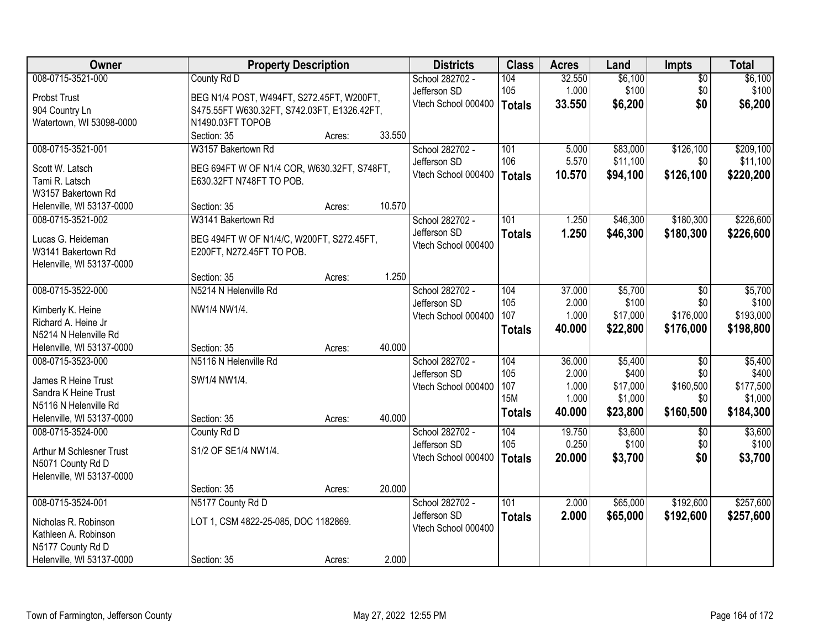| Owner                                    | <b>Property Description</b>                 |        |        | <b>Districts</b>                | <b>Class</b>  | <b>Acres</b>    | Land             | Impts             | <b>Total</b>     |
|------------------------------------------|---------------------------------------------|--------|--------|---------------------------------|---------------|-----------------|------------------|-------------------|------------------|
| 008-0715-3521-000                        | County Rd D                                 |        |        | School 282702 -                 | 104           | 32.550          | \$6,100          | $\overline{50}$   | \$6,100          |
| Probst Trust                             | BEG N1/4 POST, W494FT, S272.45FT, W200FT,   |        |        | Jefferson SD                    | 105           | 1.000           | \$100            | \$0               | \$100            |
| 904 Country Ln                           | S475.55FT W630.32FT, S742.03FT, E1326.42FT, |        |        | Vtech School 000400             | <b>Totals</b> | 33.550          | \$6,200          | \$0               | \$6,200          |
| Watertown, WI 53098-0000                 | N1490.03FT TOPOB                            |        |        |                                 |               |                 |                  |                   |                  |
|                                          | Section: 35                                 | Acres: | 33.550 |                                 |               |                 |                  |                   |                  |
| 008-0715-3521-001                        | W3157 Bakertown Rd                          |        |        | School 282702 -                 | 101           | 5.000           | \$83,000         | \$126,100         | \$209,100        |
| Scott W. Latsch                          | BEG 694FT W OF N1/4 COR, W630.32FT, S748FT, |        |        | Jefferson SD                    | 106           | 5.570           | \$11,100         | \$0               | \$11,100         |
| Tami R. Latsch                           | E630.32FT N748FT TO POB.                    |        |        | Vtech School 000400             | <b>Totals</b> | 10.570          | \$94,100         | \$126,100         | \$220,200        |
| W3157 Bakertown Rd                       |                                             |        |        |                                 |               |                 |                  |                   |                  |
| Helenville, WI 53137-0000                | Section: 35                                 | Acres: | 10.570 |                                 |               |                 |                  |                   |                  |
| 008-0715-3521-002                        | W3141 Bakertown Rd                          |        |        | School 282702 -                 | 101           | 1.250           | \$46,300         | \$180,300         | \$226,600        |
| Lucas G. Heideman                        | BEG 494FT W OF N1/4/C, W200FT, S272.45FT,   |        |        | Jefferson SD                    | <b>Totals</b> | 1.250           | \$46,300         | \$180,300         | \$226,600        |
| W3141 Bakertown Rd                       | E200FT, N272.45FT TO POB.                   |        |        | Vtech School 000400             |               |                 |                  |                   |                  |
| Helenville, WI 53137-0000                |                                             |        |        |                                 |               |                 |                  |                   |                  |
|                                          | Section: 35                                 | Acres: | 1.250  |                                 |               |                 |                  |                   |                  |
| 008-0715-3522-000                        | N5214 N Helenville Rd                       |        |        | School 282702 -                 | 104           | 37.000          | \$5,700          | \$0               | \$5,700          |
|                                          |                                             |        |        | Jefferson SD                    | 105           | 2.000           | \$100            | \$0               | \$100            |
| Kimberly K. Heine<br>Richard A. Heine Jr | NW1/4 NW1/4.                                |        |        | Vtech School 000400             | 107           | 1.000           | \$17,000         | \$176,000         | \$193,000        |
| N5214 N Helenville Rd                    |                                             |        |        |                                 | <b>Totals</b> | 40.000          | \$22,800         | \$176,000         | \$198,800        |
| Helenville, WI 53137-0000                | Section: 35                                 | Acres: | 40.000 |                                 |               |                 |                  |                   |                  |
| 008-0715-3523-000                        | N5116 N Helenville Rd                       |        |        | School 282702 -                 | 104           | 36.000          | \$5,400          | $\overline{50}$   | \$5,400          |
|                                          |                                             |        |        | Jefferson SD                    | 105           | 2.000           | \$400            | \$0               | \$400            |
| James R Heine Trust                      | SW1/4 NW1/4.                                |        |        | Vtech School 000400             | 107           | 1.000           | \$17,000         | \$160,500         | \$177,500        |
| Sandra K Heine Trust                     |                                             |        |        |                                 | <b>15M</b>    | 1.000           | \$1,000          | \$0               | \$1,000          |
| N5116 N Helenville Rd                    |                                             |        |        |                                 | <b>Totals</b> | 40.000          | \$23,800         | \$160,500         | \$184,300        |
| Helenville, WI 53137-0000                | Section: 35                                 | Acres: | 40.000 |                                 | 104           |                 |                  |                   |                  |
| 008-0715-3524-000                        | County Rd D                                 |        |        | School 282702 -<br>Jefferson SD | 105           | 19.750<br>0.250 | \$3,600<br>\$100 | $\sqrt{6}$<br>\$0 | \$3,600<br>\$100 |
| Arthur M Schlesner Trust                 | S1/2 OF SE1/4 NW1/4.                        |        |        | Vtech School 000400             |               | 20.000          | \$3,700          | \$0               | \$3,700          |
| N5071 County Rd D                        |                                             |        |        |                                 | <b>Totals</b> |                 |                  |                   |                  |
| Helenville, WI 53137-0000                |                                             |        |        |                                 |               |                 |                  |                   |                  |
|                                          | Section: 35                                 | Acres: | 20.000 |                                 |               |                 |                  |                   |                  |
| 008-0715-3524-001                        | N5177 County Rd D                           |        |        | School 282702 -                 | 101           | 2.000           | \$65,000         | \$192,600         | \$257,600        |
| Nicholas R. Robinson                     | LOT 1, CSM 4822-25-085, DOC 1182869.        |        |        | Jefferson SD                    | <b>Totals</b> | 2.000           | \$65,000         | \$192,600         | \$257,600        |
| Kathleen A. Robinson                     |                                             |        |        | Vtech School 000400             |               |                 |                  |                   |                  |
| N5177 County Rd D                        |                                             |        |        |                                 |               |                 |                  |                   |                  |
| Helenville, WI 53137-0000                | Section: 35                                 | Acres: | 2.000  |                                 |               |                 |                  |                   |                  |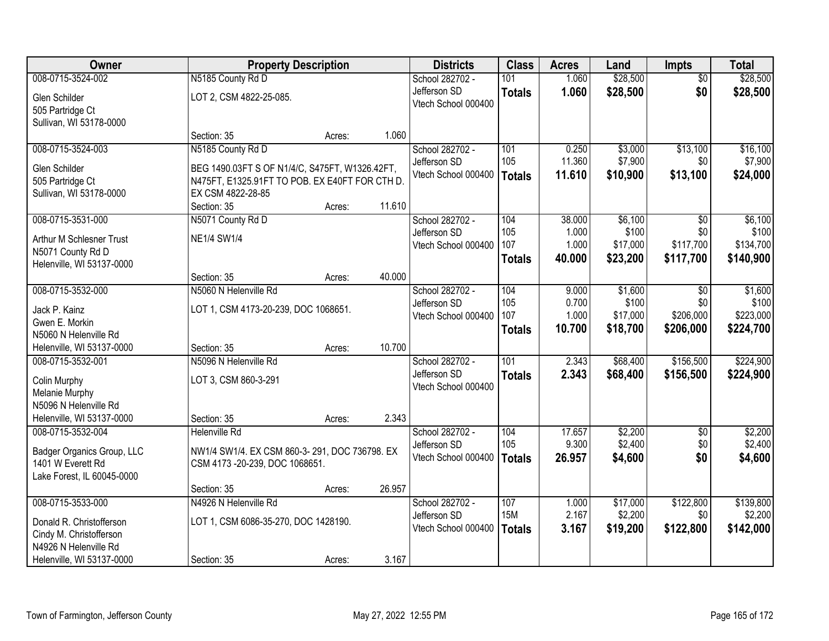| Owner                      | <b>Property Description</b>                    |        |        | <b>Districts</b>    | <b>Class</b>  | <b>Acres</b> | Land     | <b>Impts</b>    | <b>Total</b> |
|----------------------------|------------------------------------------------|--------|--------|---------------------|---------------|--------------|----------|-----------------|--------------|
| 008-0715-3524-002          | N5185 County Rd D                              |        |        | School 282702 -     | 101           | 1.060        | \$28,500 | $\overline{50}$ | \$28,500     |
| Glen Schilder              | LOT 2, CSM 4822-25-085.                        |        |        | Jefferson SD        | <b>Totals</b> | 1.060        | \$28,500 | \$0             | \$28,500     |
| 505 Partridge Ct           |                                                |        |        | Vtech School 000400 |               |              |          |                 |              |
| Sullivan, WI 53178-0000    |                                                |        |        |                     |               |              |          |                 |              |
|                            | Section: 35                                    | Acres: | 1.060  |                     |               |              |          |                 |              |
| 008-0715-3524-003          | N5185 County Rd D                              |        |        | School 282702 -     | 101           | 0.250        | \$3,000  | \$13,100        | \$16,100     |
| Glen Schilder              | BEG 1490.03FT S OF N1/4/C, S475FT, W1326.42FT, |        |        | Jefferson SD        | 105           | 11.360       | \$7,900  | \$0             | \$7,900      |
| 505 Partridge Ct           | N475FT, E1325.91FT TO POB. EX E40FT FOR CTH D. |        |        | Vtech School 000400 | <b>Totals</b> | 11.610       | \$10,900 | \$13,100        | \$24,000     |
| Sullivan, WI 53178-0000    | EX CSM 4822-28-85                              |        |        |                     |               |              |          |                 |              |
|                            | Section: 35                                    | Acres: | 11.610 |                     |               |              |          |                 |              |
| 008-0715-3531-000          | N5071 County Rd D                              |        |        | School 282702 -     | 104           | 38.000       | \$6,100  | \$0             | \$6,100      |
| Arthur M Schlesner Trust   | <b>NE1/4 SW1/4</b>                             |        |        | Jefferson SD        | 105           | 1.000        | \$100    | \$0             | \$100        |
| N5071 County Rd D          |                                                |        |        | Vtech School 000400 | 107           | 1.000        | \$17,000 | \$117,700       | \$134,700    |
| Helenville, WI 53137-0000  |                                                |        |        |                     | <b>Totals</b> | 40.000       | \$23,200 | \$117,700       | \$140,900    |
|                            | Section: 35                                    | Acres: | 40.000 |                     |               |              |          |                 |              |
| 008-0715-3532-000          | N5060 N Helenville Rd                          |        |        | School 282702 -     | 104           | 9.000        | \$1,600  | $\sqrt{6}$      | \$1,600      |
| Jack P. Kainz              | LOT 1, CSM 4173-20-239, DOC 1068651.           |        |        | Jefferson SD        | 105           | 0.700        | \$100    | \$0             | \$100        |
| Gwen E. Morkin             |                                                |        |        | Vtech School 000400 | 107           | 1.000        | \$17,000 | \$206,000       | \$223,000    |
| N5060 N Helenville Rd      |                                                |        |        |                     | <b>Totals</b> | 10.700       | \$18,700 | \$206,000       | \$224,700    |
| Helenville, WI 53137-0000  | Section: 35                                    | Acres: | 10.700 |                     |               |              |          |                 |              |
| 008-0715-3532-001          | N5096 N Helenville Rd                          |        |        | School 282702 -     | 101           | 2.343        | \$68,400 | \$156,500       | \$224,900    |
| Colin Murphy               | LOT 3, CSM 860-3-291                           |        |        | Jefferson SD        | <b>Totals</b> | 2.343        | \$68,400 | \$156,500       | \$224,900    |
| Melanie Murphy             |                                                |        |        | Vtech School 000400 |               |              |          |                 |              |
| N5096 N Helenville Rd      |                                                |        |        |                     |               |              |          |                 |              |
| Helenville, WI 53137-0000  | Section: 35                                    | Acres: | 2.343  |                     |               |              |          |                 |              |
| 008-0715-3532-004          | <b>Helenville Rd</b>                           |        |        | School 282702 -     | 104           | 17.657       | \$2,200  | $\overline{50}$ | \$2,200      |
| Badger Organics Group, LLC | NW1/4 SW1/4. EX CSM 860-3-291, DOC 736798. EX  |        |        | Jefferson SD        | 105           | 9.300        | \$2,400  | \$0             | \$2,400      |
| 1401 W Everett Rd          | CSM 4173 -20-239, DOC 1068651.                 |        |        | Vtech School 000400 | <b>Totals</b> | 26.957       | \$4,600  | \$0             | \$4,600      |
| Lake Forest, IL 60045-0000 |                                                |        |        |                     |               |              |          |                 |              |
|                            | Section: 35                                    | Acres: | 26.957 |                     |               |              |          |                 |              |
| 008-0715-3533-000          | N4926 N Helenville Rd                          |        |        | School 282702 -     | 107           | 1.000        | \$17,000 | \$122,800       | \$139,800    |
| Donald R. Christofferson   | LOT 1, CSM 6086-35-270, DOC 1428190.           |        |        | Jefferson SD        | <b>15M</b>    | 2.167        | \$2,200  | \$0             | \$2,200      |
| Cindy M. Christofferson    |                                                |        |        | Vtech School 000400 | <b>Totals</b> | 3.167        | \$19,200 | \$122,800       | \$142,000    |
| N4926 N Helenville Rd      |                                                |        |        |                     |               |              |          |                 |              |
| Helenville, WI 53137-0000  | Section: 35                                    | Acres: | 3.167  |                     |               |              |          |                 |              |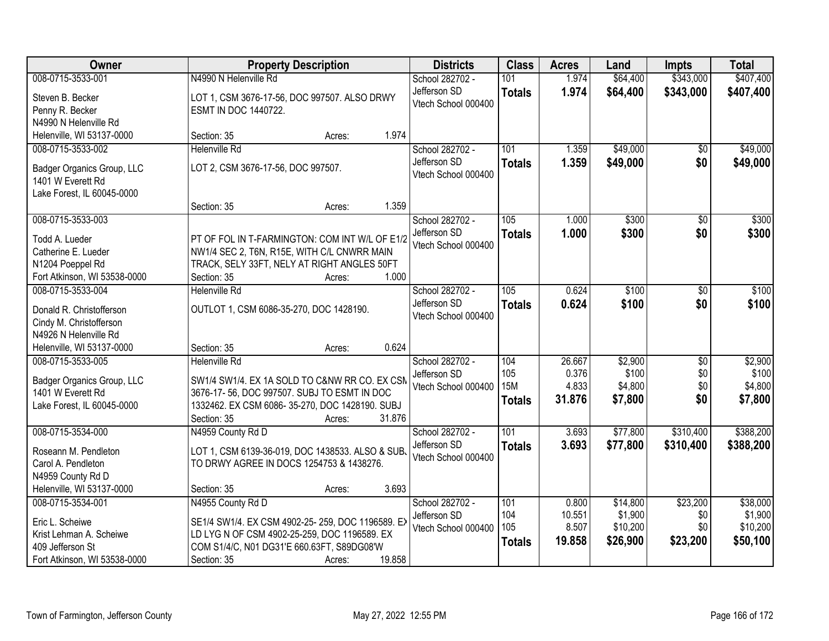| Owner                        |                                                  | <b>Property Description</b> |        | <b>Districts</b>                    | <b>Class</b>      | <b>Acres</b>   | Land     | <b>Impts</b>    | <b>Total</b>     |
|------------------------------|--------------------------------------------------|-----------------------------|--------|-------------------------------------|-------------------|----------------|----------|-----------------|------------------|
| 008-0715-3533-001            | N4990 N Helenville Rd                            |                             |        | School 282702 -                     | 101               | 1.974          | \$64,400 | \$343,000       | \$407,400        |
| Steven B. Becker             | LOT 1, CSM 3676-17-56, DOC 997507. ALSO DRWY     |                             |        | Jefferson SD<br>Vtech School 000400 | <b>Totals</b>     | 1.974          | \$64,400 | \$343,000       | \$407,400        |
| Penny R. Becker              | ESMT IN DOC 1440722.                             |                             |        |                                     |                   |                |          |                 |                  |
| N4990 N Helenville Rd        |                                                  |                             |        |                                     |                   |                |          |                 |                  |
| Helenville, WI 53137-0000    | Section: 35                                      | Acres:                      | 1.974  |                                     |                   |                |          |                 |                  |
| 008-0715-3533-002            | <b>Helenville Rd</b>                             |                             |        | School 282702 -                     | 101               | 1.359          | \$49,000 | \$0             | \$49,000         |
| Badger Organics Group, LLC   | LOT 2, CSM 3676-17-56, DOC 997507.               |                             |        | Jefferson SD                        | <b>Totals</b>     | 1.359          | \$49,000 | \$0             | \$49,000         |
| 1401 W Everett Rd            |                                                  |                             |        | Vtech School 000400                 |                   |                |          |                 |                  |
| Lake Forest, IL 60045-0000   |                                                  |                             |        |                                     |                   |                |          |                 |                  |
|                              | Section: 35                                      | Acres:                      | 1.359  |                                     |                   |                |          |                 |                  |
| 008-0715-3533-003            |                                                  |                             |        | School 282702 -                     | 105               | 1.000          | \$300    | $\overline{50}$ | \$300            |
| Todd A. Lueder               | PT OF FOL IN T-FARMINGTON: COM INT W/L OF E1/2   |                             |        | Jefferson SD                        | <b>Totals</b>     | 1.000          | \$300    | \$0             | \$300            |
| Catherine E. Lueder          | NW1/4 SEC 2, T6N, R15E, WITH C/L CNWRR MAIN      |                             |        | Vtech School 000400                 |                   |                |          |                 |                  |
| N1204 Poeppel Rd             | TRACK, SELY 33FT, NELY AT RIGHT ANGLES 50FT      |                             |        |                                     |                   |                |          |                 |                  |
| Fort Atkinson, WI 53538-0000 | Section: 35                                      | Acres:                      | 1.000  |                                     |                   |                |          |                 |                  |
| 008-0715-3533-004            | <b>Helenville Rd</b>                             |                             |        | School 282702 -                     | 105               | 0.624          | \$100    | \$0             | \$100            |
|                              |                                                  |                             |        | Jefferson SD                        | <b>Totals</b>     | 0.624          | \$100    | \$0             | \$100            |
| Donald R. Christofferson     | OUTLOT 1, CSM 6086-35-270, DOC 1428190.          |                             |        | Vtech School 000400                 |                   |                |          |                 |                  |
| Cindy M. Christofferson      |                                                  |                             |        |                                     |                   |                |          |                 |                  |
| N4926 N Helenville Rd        |                                                  |                             |        |                                     |                   |                |          |                 |                  |
| Helenville, WI 53137-0000    | Section: 35                                      | Acres:                      | 0.624  |                                     |                   |                |          |                 |                  |
| 008-0715-3533-005            | <b>Helenville Rd</b>                             |                             |        | School 282702 -                     | 104               | 26.667         | \$2,900  | $\overline{50}$ | \$2,900          |
| Badger Organics Group, LLC   | SW1/4 SW1/4. EX 1A SOLD TO C&NW RR CO. EX CSN    |                             |        | Jefferson SD                        | 105<br><b>15M</b> | 0.376<br>4.833 | \$100    | \$0<br>\$0      | \$100<br>\$4,800 |
| 1401 W Everett Rd            | 3676-17-56, DOC 997507. SUBJ TO ESMT IN DOC      |                             |        | Vtech School 000400                 |                   | 31.876         | \$4,800  | \$0             |                  |
| Lake Forest, IL 60045-0000   | 1332462. EX CSM 6086-35-270, DOC 1428190. SUBJ   |                             |        |                                     | <b>Totals</b>     |                | \$7,800  |                 | \$7,800          |
|                              | Section: 35                                      | Acres:                      | 31.876 |                                     |                   |                |          |                 |                  |
| 008-0715-3534-000            | N4959 County Rd D                                |                             |        | School 282702 -                     | 101               | 3.693          | \$77,800 | \$310,400       | \$388,200        |
| Roseann M. Pendleton         | LOT 1, CSM 6139-36-019, DOC 1438533. ALSO & SUB  |                             |        | Jefferson SD                        | <b>Totals</b>     | 3.693          | \$77,800 | \$310,400       | \$388,200        |
| Carol A. Pendleton           | TO DRWY AGREE IN DOCS 1254753 & 1438276.         |                             |        | Vtech School 000400                 |                   |                |          |                 |                  |
| N4959 County Rd D            |                                                  |                             |        |                                     |                   |                |          |                 |                  |
| Helenville, WI 53137-0000    | Section: 35                                      | Acres:                      | 3.693  |                                     |                   |                |          |                 |                  |
| 008-0715-3534-001            | N4955 County Rd D                                |                             |        | School 282702 -                     | 101               | 0.800          | \$14,800 | \$23,200        | \$38,000         |
| Eric L. Scheiwe              | SE1/4 SW1/4. EX CSM 4902-25-259, DOC 1196589. EX |                             |        | Jefferson SD                        | 104               | 10.551         | \$1,900  | \$0             | \$1,900          |
| Krist Lehman A. Scheiwe      | LD LYG N OF CSM 4902-25-259, DOC 1196589. EX     |                             |        | Vtech School 000400                 | 105               | 8.507          | \$10,200 | \$0             | \$10,200         |
| 409 Jefferson St             | COM S1/4/C, N01 DG31'E 660.63FT, S89DG08'W       |                             |        |                                     | <b>Totals</b>     | 19.858         | \$26,900 | \$23,200        | \$50,100         |
| Fort Atkinson, WI 53538-0000 | Section: 35                                      | Acres:                      | 19.858 |                                     |                   |                |          |                 |                  |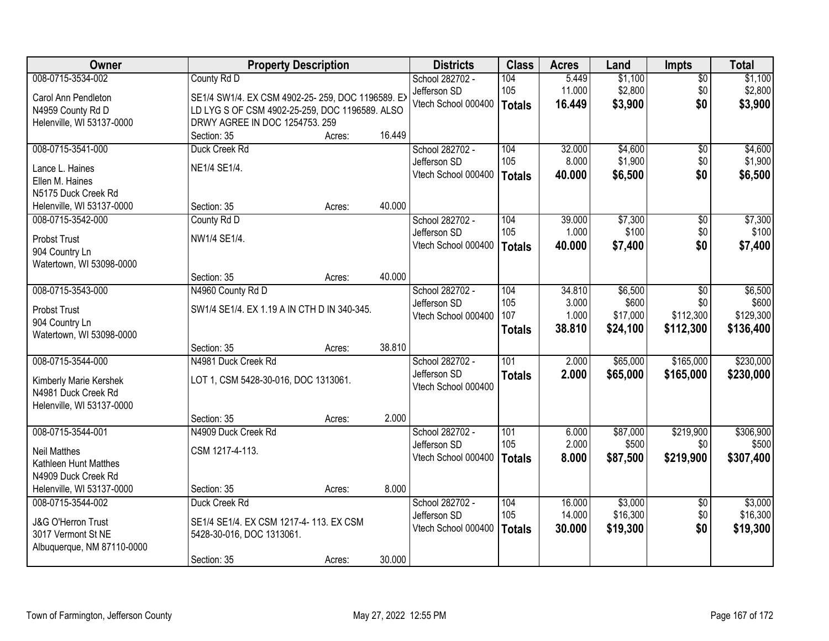| Owner                         |                                                  | <b>Property Description</b> |        | <b>Districts</b>    | <b>Class</b>  | <b>Acres</b> | Land     | <b>Impts</b>    | <b>Total</b> |
|-------------------------------|--------------------------------------------------|-----------------------------|--------|---------------------|---------------|--------------|----------|-----------------|--------------|
| 008-0715-3534-002             | County Rd D                                      |                             |        | School 282702 -     | 104           | 5.449        | \$1,100  | $\overline{50}$ | \$1,100      |
| Carol Ann Pendleton           | SE1/4 SW1/4. EX CSM 4902-25-259, DOC 1196589. EX |                             |        | Jefferson SD        | 105           | 11.000       | \$2,800  | \$0             | \$2,800      |
| N4959 County Rd D             | LD LYG S OF CSM 4902-25-259, DOC 1196589. ALSO   |                             |        | Vtech School 000400 | Totals        | 16.449       | \$3,900  | \$0             | \$3,900      |
| Helenville, WI 53137-0000     | DRWY AGREE IN DOC 1254753. 259                   |                             |        |                     |               |              |          |                 |              |
|                               | Section: 35                                      | Acres:                      | 16.449 |                     |               |              |          |                 |              |
| 008-0715-3541-000             | Duck Creek Rd                                    |                             |        | School 282702 -     | 104           | 32.000       | \$4,600  | $\overline{50}$ | \$4,600      |
| Lance L. Haines               | NE1/4 SE1/4.                                     |                             |        | Jefferson SD        | 105           | 8.000        | \$1,900  | \$0             | \$1,900      |
| Ellen M. Haines               |                                                  |                             |        | Vtech School 000400 | <b>Totals</b> | 40.000       | \$6,500  | \$0             | \$6,500      |
| N5175 Duck Creek Rd           |                                                  |                             |        |                     |               |              |          |                 |              |
| Helenville, WI 53137-0000     | Section: 35                                      | Acres:                      | 40.000 |                     |               |              |          |                 |              |
| 008-0715-3542-000             | County Rd D                                      |                             |        | School 282702 -     | 104           | 39.000       | \$7,300  | $\overline{50}$ | \$7,300      |
| <b>Probst Trust</b>           | NW1/4 SE1/4.                                     |                             |        | Jefferson SD        | 105           | 1.000        | \$100    | \$0             | \$100        |
| 904 Country Ln                |                                                  |                             |        | Vtech School 000400 | Totals        | 40.000       | \$7,400  | \$0             | \$7,400      |
| Watertown, WI 53098-0000      |                                                  |                             |        |                     |               |              |          |                 |              |
|                               | Section: 35                                      | Acres:                      | 40.000 |                     |               |              |          |                 |              |
| 008-0715-3543-000             | N4960 County Rd D                                |                             |        | School 282702 -     | 104           | 34.810       | \$6,500  | \$0             | \$6,500      |
| <b>Probst Trust</b>           | SW1/4 SE1/4. EX 1.19 A IN CTH D IN 340-345.      |                             |        | Jefferson SD        | 105           | 3.000        | \$600    | \$0             | \$600        |
| 904 Country Ln                |                                                  |                             |        | Vtech School 000400 | 107           | 1.000        | \$17,000 | \$112,300       | \$129,300    |
| Watertown, WI 53098-0000      |                                                  |                             |        |                     | <b>Totals</b> | 38.810       | \$24,100 | \$112,300       | \$136,400    |
|                               | Section: 35                                      | Acres:                      | 38.810 |                     |               |              |          |                 |              |
| 008-0715-3544-000             | N4981 Duck Creek Rd                              |                             |        | School 282702 -     | 101           | 2.000        | \$65,000 | \$165,000       | \$230,000    |
| Kimberly Marie Kershek        | LOT 1, CSM 5428-30-016, DOC 1313061.             |                             |        | Jefferson SD        | <b>Totals</b> | 2.000        | \$65,000 | \$165,000       | \$230,000    |
| N4981 Duck Creek Rd           |                                                  |                             |        | Vtech School 000400 |               |              |          |                 |              |
| Helenville, WI 53137-0000     |                                                  |                             |        |                     |               |              |          |                 |              |
|                               | Section: 35                                      | Acres:                      | 2.000  |                     |               |              |          |                 |              |
| 008-0715-3544-001             | N4909 Duck Creek Rd                              |                             |        | School 282702 -     | 101           | 6.000        | \$87,000 | \$219,900       | \$306,900    |
| <b>Neil Matthes</b>           | CSM 1217-4-113.                                  |                             |        | Jefferson SD        | 105           | 2.000        | \$500    | \$0             | \$500        |
| Kathleen Hunt Matthes         |                                                  |                             |        | Vtech School 000400 | Totals        | 8.000        | \$87,500 | \$219,900       | \$307,400    |
| N4909 Duck Creek Rd           |                                                  |                             |        |                     |               |              |          |                 |              |
| Helenville, WI 53137-0000     | Section: 35                                      | Acres:                      | 8.000  |                     |               |              |          |                 |              |
| 008-0715-3544-002             | Duck Creek Rd                                    |                             |        | School 282702 -     | 104           | 16.000       | \$3,000  | $\overline{30}$ | \$3,000      |
| <b>J&amp;G O'Herron Trust</b> | SE1/4 SE1/4. EX CSM 1217-4-113. EX CSM           |                             |        | Jefferson SD        | 105           | 14.000       | \$16,300 | \$0             | \$16,300     |
| 3017 Vermont St NE            | 5428-30-016, DOC 1313061.                        |                             |        | Vtech School 000400 | <b>Totals</b> | 30.000       | \$19,300 | \$0             | \$19,300     |
| Albuquerque, NM 87110-0000    |                                                  |                             |        |                     |               |              |          |                 |              |
|                               | Section: 35                                      | Acres:                      | 30.000 |                     |               |              |          |                 |              |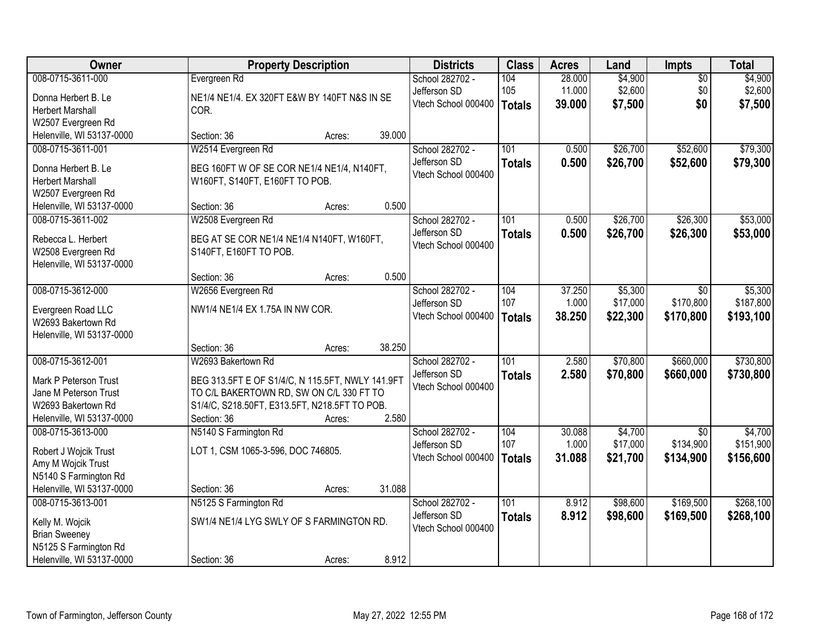| Owner                     |                                                  | <b>Property Description</b> |        | <b>Districts</b>    | <b>Class</b>     | <b>Acres</b> | Land     | <b>Impts</b>    | <b>Total</b> |
|---------------------------|--------------------------------------------------|-----------------------------|--------|---------------------|------------------|--------------|----------|-----------------|--------------|
| 008-0715-3611-000         | Evergreen Rd                                     |                             |        | School 282702 -     | 104              | 28.000       | \$4,900  | $\overline{50}$ | \$4,900      |
| Donna Herbert B. Le       | NE1/4 NE1/4. EX 320FT E&W BY 140FT N&S IN SE     |                             |        | Jefferson SD        | 105              | 11.000       | \$2,600  | \$0             | \$2,600      |
| <b>Herbert Marshall</b>   | COR.                                             |                             |        | Vtech School 000400 | <b>Totals</b>    | 39,000       | \$7,500  | \$0             | \$7,500      |
| W2507 Evergreen Rd        |                                                  |                             |        |                     |                  |              |          |                 |              |
| Helenville, WI 53137-0000 | Section: 36                                      | Acres:                      | 39.000 |                     |                  |              |          |                 |              |
| 008-0715-3611-001         | W2514 Evergreen Rd                               |                             |        | School 282702 -     | 101              | 0.500        | \$26,700 | \$52,600        | \$79,300     |
| Donna Herbert B. Le       | BEG 160FT W OF SE COR NE1/4 NE1/4, N140FT,       |                             |        | Jefferson SD        | <b>Totals</b>    | 0.500        | \$26,700 | \$52,600        | \$79,300     |
| <b>Herbert Marshall</b>   | W160FT, S140FT, E160FT TO POB.                   |                             |        | Vtech School 000400 |                  |              |          |                 |              |
| W2507 Evergreen Rd        |                                                  |                             |        |                     |                  |              |          |                 |              |
| Helenville, WI 53137-0000 | Section: 36                                      | Acres:                      | 0.500  |                     |                  |              |          |                 |              |
| 008-0715-3611-002         | W2508 Evergreen Rd                               |                             |        | School 282702 -     | 101              | 0.500        | \$26,700 | \$26,300        | \$53,000     |
| Rebecca L. Herbert        | BEG AT SE COR NE1/4 NE1/4 N140FT, W160FT,        |                             |        | Jefferson SD        | <b>Totals</b>    | 0.500        | \$26,700 | \$26,300        | \$53,000     |
| W2508 Evergreen Rd        | S140FT, E160FT TO POB.                           |                             |        | Vtech School 000400 |                  |              |          |                 |              |
| Helenville, WI 53137-0000 |                                                  |                             |        |                     |                  |              |          |                 |              |
|                           | Section: 36                                      | Acres:                      | 0.500  |                     |                  |              |          |                 |              |
| 008-0715-3612-000         | W2656 Evergreen Rd                               |                             |        | School 282702 -     | 104              | 37.250       | \$5,300  | \$0             | \$5,300      |
| Evergreen Road LLC        | NW1/4 NE1/4 EX 1.75A IN NW COR.                  |                             |        | Jefferson SD        | 107              | 1.000        | \$17,000 | \$170,800       | \$187,800    |
| W2693 Bakertown Rd        |                                                  |                             |        | Vtech School 000400 | <b>Totals</b>    | 38.250       | \$22,300 | \$170,800       | \$193,100    |
| Helenville, WI 53137-0000 |                                                  |                             |        |                     |                  |              |          |                 |              |
|                           | Section: 36                                      | Acres:                      | 38.250 |                     |                  |              |          |                 |              |
| 008-0715-3612-001         | W2693 Bakertown Rd                               |                             |        | School 282702 -     | 101              | 2.580        | \$70,800 | \$660,000       | \$730,800    |
| Mark P Peterson Trust     | BEG 313.5FT E OF S1/4/C, N 115.5FT, NWLY 141.9FT |                             |        | Jefferson SD        | <b>Totals</b>    | 2.580        | \$70,800 | \$660,000       | \$730,800    |
| Jane M Peterson Trust     | TO C/L BAKERTOWN RD, SW ON C/L 330 FT TO         |                             |        | Vtech School 000400 |                  |              |          |                 |              |
| W2693 Bakertown Rd        | S1/4/C, S218.50FT, E313.5FT, N218.5FT TO POB.    |                             |        |                     |                  |              |          |                 |              |
| Helenville, WI 53137-0000 | Section: 36                                      | Acres:                      | 2.580  |                     |                  |              |          |                 |              |
| 008-0715-3613-000         | N5140 S Farmington Rd                            |                             |        | School 282702 -     | 104              | 30.088       | \$4,700  | $\overline{50}$ | \$4,700      |
| Robert J Wojcik Trust     | LOT 1, CSM 1065-3-596, DOC 746805.               |                             |        | Jefferson SD        | 107              | 1.000        | \$17,000 | \$134,900       | \$151,900    |
| Amy M Wojcik Trust        |                                                  |                             |        | Vtech School 000400 | <b>Totals</b>    | 31.088       | \$21,700 | \$134,900       | \$156,600    |
| N5140 S Farmington Rd     |                                                  |                             |        |                     |                  |              |          |                 |              |
| Helenville, WI 53137-0000 | Section: 36                                      | Acres:                      | 31.088 |                     |                  |              |          |                 |              |
| 008-0715-3613-001         | N5125 S Farmington Rd                            |                             |        | School 282702 -     | $\overline{101}$ | 8.912        | \$98,600 | \$169,500       | \$268,100    |
| Kelly M. Wojcik           | SW1/4 NE1/4 LYG SWLY OF S FARMINGTON RD.         |                             |        | Jefferson SD        | <b>Totals</b>    | 8.912        | \$98,600 | \$169,500       | \$268,100    |
| <b>Brian Sweeney</b>      |                                                  |                             |        | Vtech School 000400 |                  |              |          |                 |              |
| N5125 S Farmington Rd     |                                                  |                             |        |                     |                  |              |          |                 |              |
| Helenville, WI 53137-0000 | Section: 36                                      | Acres:                      | 8.912  |                     |                  |              |          |                 |              |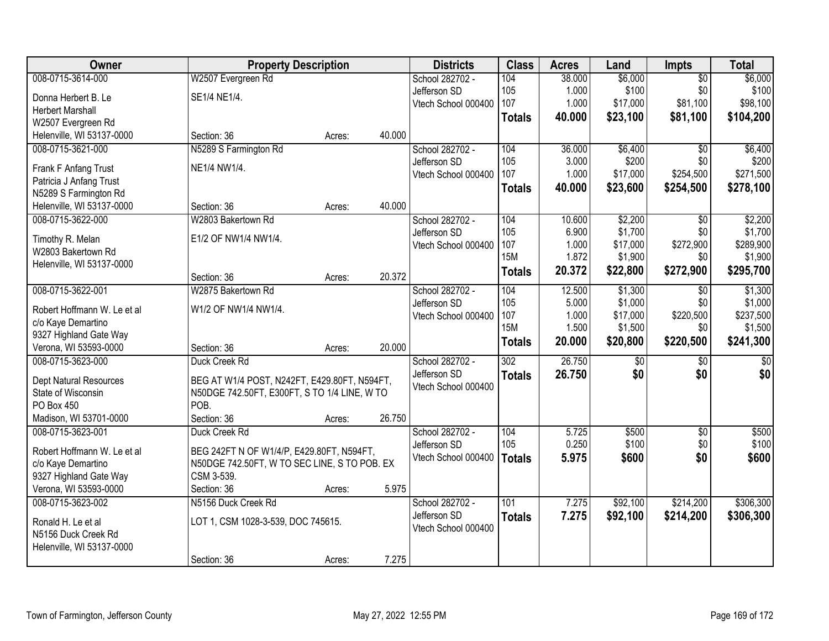| Owner                       |                                              | <b>Property Description</b> |        | <b>Districts</b>    | <b>Class</b>     | <b>Acres</b> | Land     | Impts           | <b>Total</b>    |
|-----------------------------|----------------------------------------------|-----------------------------|--------|---------------------|------------------|--------------|----------|-----------------|-----------------|
| 008-0715-3614-000           | W2507 Evergreen Rd                           |                             |        | School 282702 -     | 104              | 38.000       | \$6,000  | $\overline{50}$ | \$6,000         |
| Donna Herbert B. Le         | SE1/4 NE1/4.                                 |                             |        | Jefferson SD        | 105              | 1.000        | \$100    | \$0             | \$100           |
| <b>Herbert Marshall</b>     |                                              |                             |        | Vtech School 000400 | 107              | 1.000        | \$17,000 | \$81,100        | \$98,100        |
| W2507 Evergreen Rd          |                                              |                             |        |                     | <b>Totals</b>    | 40.000       | \$23,100 | \$81,100        | \$104,200       |
| Helenville, WI 53137-0000   | Section: 36                                  | Acres:                      | 40.000 |                     |                  |              |          |                 |                 |
| 008-0715-3621-000           | N5289 S Farmington Rd                        |                             |        | School 282702 -     | 104              | 36.000       | \$6,400  | \$0             | \$6,400         |
|                             |                                              |                             |        | Jefferson SD        | 105              | 3.000        | \$200    | \$0             | \$200           |
| Frank F Anfang Trust        | NE1/4 NW1/4.                                 |                             |        | Vtech School 000400 | 107              | 1.000        | \$17,000 | \$254,500       | \$271,500       |
| Patricia J Anfang Trust     |                                              |                             |        |                     | <b>Totals</b>    | 40.000       | \$23,600 | \$254,500       | \$278,100       |
| N5289 S Farmington Rd       |                                              |                             |        |                     |                  |              |          |                 |                 |
| Helenville, WI 53137-0000   | Section: 36                                  | Acres:                      | 40.000 |                     |                  |              |          |                 |                 |
| 008-0715-3622-000           | W2803 Bakertown Rd                           |                             |        | School 282702 -     | 104              | 10.600       | \$2,200  | \$0             | \$2,200         |
| Timothy R. Melan            | E1/2 OF NW1/4 NW1/4.                         |                             |        | Jefferson SD        | 105              | 6.900        | \$1,700  | \$0             | \$1,700         |
| W2803 Bakertown Rd          |                                              |                             |        | Vtech School 000400 | 107              | 1.000        | \$17,000 | \$272,900       | \$289,900       |
| Helenville, WI 53137-0000   |                                              |                             |        |                     | <b>15M</b>       | 1.872        | \$1,900  | \$0             | \$1,900         |
|                             | Section: 36                                  | Acres:                      | 20.372 |                     | <b>Totals</b>    | 20.372       | \$22,800 | \$272,900       | \$295,700       |
| 008-0715-3622-001           | W2875 Bakertown Rd                           |                             |        | School 282702 -     | 104              | 12.500       | \$1,300  | \$0             | \$1,300         |
|                             |                                              |                             |        | Jefferson SD        | 105              | 5.000        | \$1,000  | \$0             | \$1,000         |
| Robert Hoffmann W. Le et al | W1/2 OF NW1/4 NW1/4.                         |                             |        | Vtech School 000400 | 107              | 1.000        | \$17,000 | \$220,500       | \$237,500       |
| c/o Kaye Demartino          |                                              |                             |        |                     | <b>15M</b>       | 1.500        | \$1,500  | \$0             | \$1,500         |
| 9327 Highland Gate Way      |                                              |                             |        |                     | <b>Totals</b>    | 20.000       | \$20,800 | \$220,500       | \$241,300       |
| Verona, WI 53593-0000       | Section: 36                                  | Acres:                      | 20.000 |                     |                  |              |          |                 |                 |
| 008-0715-3623-000           | Duck Creek Rd                                |                             |        | School 282702 -     | $\overline{302}$ | 26.750       | \$0      | $\overline{50}$ | $\overline{50}$ |
| Dept Natural Resources      | BEG AT W1/4 POST, N242FT, E429.80FT, N594FT, |                             |        | Jefferson SD        | <b>Totals</b>    | 26.750       | \$0      | \$0             | \$0             |
| State of Wisconsin          | N50DGE 742.50FT, E300FT, S TO 1/4 LINE, W TO |                             |        | Vtech School 000400 |                  |              |          |                 |                 |
| PO Box 450                  | POB.                                         |                             |        |                     |                  |              |          |                 |                 |
| Madison, WI 53701-0000      | Section: 36                                  | Acres:                      | 26.750 |                     |                  |              |          |                 |                 |
| 008-0715-3623-001           | Duck Creek Rd                                |                             |        | School 282702 -     | 104              | 5.725        | \$500    | $\sqrt{$0}$     | \$500           |
| Robert Hoffmann W. Le et al | BEG 242FT N OF W1/4/P, E429.80FT, N594FT,    |                             |        | Jefferson SD        | 105              | 0.250        | \$100    | \$0             | \$100           |
| c/o Kaye Demartino          | N50DGE 742.50FT, W TO SEC LINE, S TO POB. EX |                             |        | Vtech School 000400 | <b>Totals</b>    | 5.975        | \$600    | \$0             | \$600           |
| 9327 Highland Gate Way      | CSM 3-539.                                   |                             |        |                     |                  |              |          |                 |                 |
| Verona, WI 53593-0000       | Section: 36                                  | Acres:                      | 5.975  |                     |                  |              |          |                 |                 |
| 008-0715-3623-002           | N5156 Duck Creek Rd                          |                             |        | School 282702 -     | $\overline{101}$ | 7.275        | \$92,100 | \$214,200       | \$306,300       |
|                             |                                              |                             |        | Jefferson SD        |                  | 7.275        | \$92,100 | \$214,200       | \$306,300       |
| Ronald H. Le et al          | LOT 1, CSM 1028-3-539, DOC 745615.           |                             |        | Vtech School 000400 | <b>Totals</b>    |              |          |                 |                 |
| N5156 Duck Creek Rd         |                                              |                             |        |                     |                  |              |          |                 |                 |
| Helenville, WI 53137-0000   |                                              |                             |        |                     |                  |              |          |                 |                 |
|                             | Section: 36                                  | Acres:                      | 7.275  |                     |                  |              |          |                 |                 |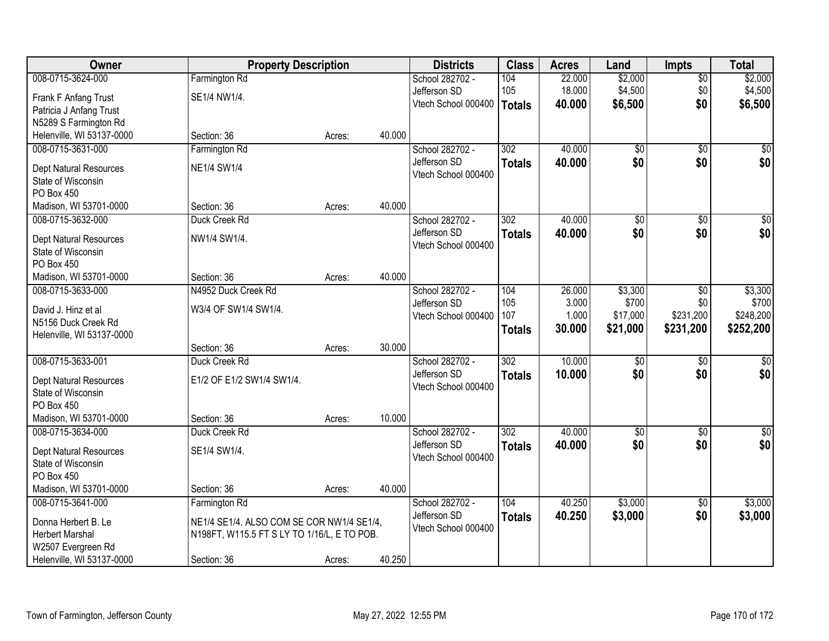| Owner                         | <b>Property Description</b>                 |                                           |        | <b>Districts</b>                | <b>Class</b>     | <b>Acres</b> | Land            | <b>Impts</b>    | <b>Total</b>     |
|-------------------------------|---------------------------------------------|-------------------------------------------|--------|---------------------------------|------------------|--------------|-----------------|-----------------|------------------|
| 008-0715-3624-000             | Farmington Rd                               |                                           |        | School 282702 -                 | 104              | 22.000       | \$2,000         | $\overline{50}$ | \$2,000          |
| Frank F Anfang Trust          | SE1/4 NW1/4.                                |                                           |        | Jefferson SD                    | 105              | 18.000       | \$4,500         | \$0             | \$4,500          |
| Patricia J Anfang Trust       |                                             |                                           |        | Vtech School 000400             | Totals           | 40.000       | \$6,500         | \$0             | \$6,500          |
| N5289 S Farmington Rd         |                                             |                                           |        |                                 |                  |              |                 |                 |                  |
| Helenville, WI 53137-0000     | Section: 36                                 | Acres:                                    | 40.000 |                                 |                  |              |                 |                 |                  |
| 008-0715-3631-000             | Farmington Rd                               |                                           |        | School 282702 -                 | 302              | 40.000       | $\overline{50}$ | $\overline{50}$ | \$0              |
| Dept Natural Resources        | <b>NE1/4 SW1/4</b>                          |                                           |        | Jefferson SD                    | <b>Totals</b>    | 40.000       | \$0             | \$0             | \$0              |
| State of Wisconsin            |                                             |                                           |        | Vtech School 000400             |                  |              |                 |                 |                  |
| PO Box 450                    |                                             |                                           |        |                                 |                  |              |                 |                 |                  |
| Madison, WI 53701-0000        | Section: 36                                 | Acres:                                    | 40.000 |                                 |                  |              |                 |                 |                  |
| 008-0715-3632-000             | Duck Creek Rd                               |                                           |        | School 282702 -                 | 302              | 40.000       | $\overline{50}$ | $\overline{50}$ | $\overline{\$0}$ |
| <b>Dept Natural Resources</b> | NW1/4 SW1/4.                                |                                           |        | Jefferson SD                    | <b>Totals</b>    | 40.000       | \$0             | \$0             | \$0              |
| State of Wisconsin            |                                             |                                           |        | Vtech School 000400             |                  |              |                 |                 |                  |
| PO Box 450                    |                                             |                                           |        |                                 |                  |              |                 |                 |                  |
| Madison, WI 53701-0000        | Section: 36                                 | Acres:                                    | 40.000 |                                 |                  |              |                 |                 |                  |
| 008-0715-3633-000             | N4952 Duck Creek Rd                         |                                           |        | School 282702 -                 | 104              | 26.000       | \$3,300         | \$0             | \$3,300          |
| David J. Hinz et al           | W3/4 OF SW1/4 SW1/4.                        |                                           |        | Jefferson SD                    | 105              | 3.000        | \$700           | \$0             | \$700            |
| N5156 Duck Creek Rd           |                                             |                                           |        | Vtech School 000400             | 107              | 1.000        | \$17,000        | \$231,200       | \$248,200        |
| Helenville, WI 53137-0000     |                                             |                                           |        |                                 | <b>Totals</b>    | 30.000       | \$21,000        | \$231,200       | \$252,200        |
|                               | Section: 36                                 | Acres:                                    | 30.000 |                                 |                  |              |                 |                 |                  |
| 008-0715-3633-001             | Duck Creek Rd                               |                                           |        | School 282702 -                 | $\overline{302}$ | 10.000       | $\overline{50}$ | \$0             | $\sqrt{50}$      |
| Dept Natural Resources        | E1/2 OF E1/2 SW1/4 SW1/4.                   |                                           |        | Jefferson SD                    | <b>Totals</b>    | 10,000       | \$0             | \$0             | \$0              |
| State of Wisconsin            |                                             |                                           |        | Vtech School 000400             |                  |              |                 |                 |                  |
| PO Box 450                    |                                             |                                           |        |                                 |                  |              |                 |                 |                  |
| Madison, WI 53701-0000        | Section: 36                                 | Acres:                                    | 10.000 |                                 |                  |              |                 |                 |                  |
| 008-0715-3634-000             | Duck Creek Rd                               |                                           |        | School 282702 -                 | $\overline{302}$ | 40.000       | $\overline{50}$ | $\overline{50}$ | $\overline{\$0}$ |
| Dept Natural Resources        | SE1/4 SW1/4.                                |                                           |        | Jefferson SD                    | <b>Totals</b>    | 40.000       | \$0             | \$0             | \$0              |
| State of Wisconsin            |                                             |                                           |        | Vtech School 000400             |                  |              |                 |                 |                  |
| PO Box 450                    |                                             |                                           |        |                                 |                  |              |                 |                 |                  |
| Madison, WI 53701-0000        | Section: 36                                 | Acres:                                    | 40.000 |                                 |                  |              |                 |                 |                  |
| 008-0715-3641-000             | Farmington Rd                               |                                           |        | School 282702 -<br>Jefferson SD | 104              | 40.250       | \$3,000         | \$0             | \$3,000          |
| Donna Herbert B. Le           |                                             | NE1/4 SE1/4. ALSO COM SE COR NW1/4 SE1/4, |        |                                 | <b>Totals</b>    | 40.250       | \$3,000         | \$0             | \$3,000          |
| <b>Herbert Marshal</b>        | N198FT, W115.5 FT S LY TO 1/16/L, E TO POB. |                                           |        | Vtech School 000400             |                  |              |                 |                 |                  |
| W2507 Evergreen Rd            |                                             |                                           |        |                                 |                  |              |                 |                 |                  |
| Helenville, WI 53137-0000     | Section: 36                                 | Acres:                                    | 40.250 |                                 |                  |              |                 |                 |                  |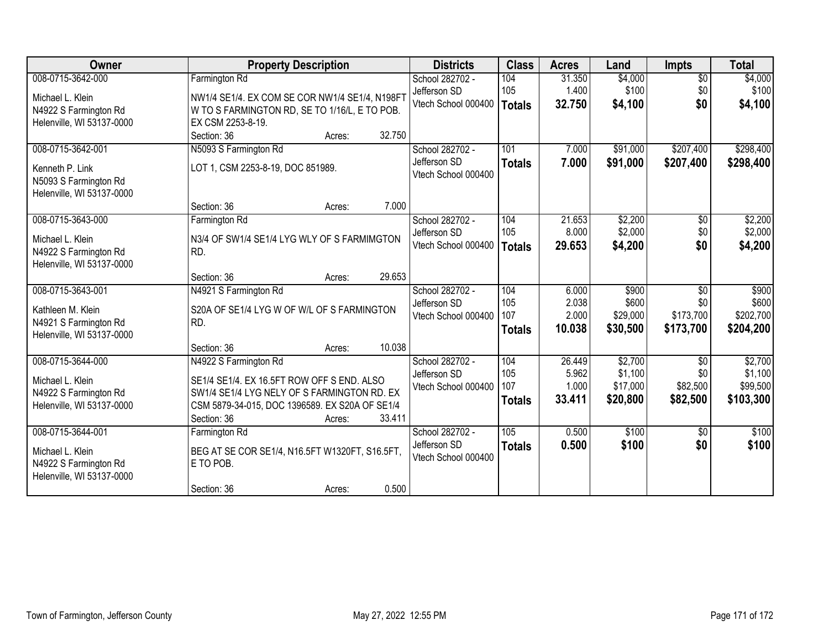| Owner                                                                                        | <b>Property Description</b>                                                                                                                                                                             | <b>Districts</b>                                       | <b>Class</b>                       | <b>Acres</b>                       | Land                                       | Impts                                            | <b>Total</b>                                |
|----------------------------------------------------------------------------------------------|---------------------------------------------------------------------------------------------------------------------------------------------------------------------------------------------------------|--------------------------------------------------------|------------------------------------|------------------------------------|--------------------------------------------|--------------------------------------------------|---------------------------------------------|
| 008-0715-3642-000                                                                            | Farmington Rd                                                                                                                                                                                           | School 282702 -                                        | 104                                | 31.350                             | \$4,000                                    | $\overline{50}$                                  | \$4,000                                     |
| Michael L. Klein<br>N4922 S Farmington Rd<br>Helenville, WI 53137-0000                       | NW1/4 SE1/4. EX COM SE COR NW1/4 SE1/4, N198FT<br>W TO S FARMINGTON RD, SE TO 1/16/L, E TO POB.<br>EX CSM 2253-8-19.                                                                                    | Jefferson SD<br>Vtech School 000400                    | 105<br>Totals                      | 1.400<br>32.750                    | \$100<br>\$4,100                           | \$0<br>\$0                                       | \$100<br>\$4,100                            |
|                                                                                              | 32.750<br>Section: 36<br>Acres:                                                                                                                                                                         |                                                        |                                    |                                    |                                            |                                                  |                                             |
| 008-0715-3642-001<br>Kenneth P. Link<br>N5093 S Farmington Rd<br>Helenville, WI 53137-0000   | N5093 S Farmington Rd<br>LOT 1, CSM 2253-8-19, DOC 851989.                                                                                                                                              | School 282702 -<br>Jefferson SD<br>Vtech School 000400 | 101<br><b>Totals</b>               | 7.000<br>7.000                     | \$91,000<br>\$91,000                       | \$207,400<br>\$207,400                           | \$298,400<br>\$298,400                      |
|                                                                                              | 7.000<br>Section: 36<br>Acres:                                                                                                                                                                          |                                                        |                                    |                                    |                                            |                                                  |                                             |
| 008-0715-3643-000<br>Michael L. Klein<br>N4922 S Farmington Rd<br>Helenville, WI 53137-0000  | Farmington Rd<br>N3/4 OF SW1/4 SE1/4 LYG WLY OF S FARMIMGTON<br>RD.                                                                                                                                     | School 282702 -<br>Jefferson SD<br>Vtech School 000400 | 104<br>105<br><b>Totals</b>        | 21.653<br>8.000<br>29.653          | \$2,200<br>\$2,000<br>\$4,200              | \$0<br>\$0<br>\$0                                | \$2,200<br>\$2,000<br>\$4,200               |
|                                                                                              | 29.653<br>Section: 36<br>Acres:                                                                                                                                                                         |                                                        |                                    |                                    |                                            |                                                  |                                             |
| 008-0715-3643-001<br>Kathleen M. Klein<br>N4921 S Farmington Rd<br>Helenville, WI 53137-0000 | N4921 S Farmington Rd<br>S20A OF SE1/4 LYG W OF W/L OF S FARMINGTON<br>RD.                                                                                                                              | School 282702 -<br>Jefferson SD<br>Vtech School 000400 | 104<br>105<br>107<br><b>Totals</b> | 6.000<br>2.038<br>2.000<br>10.038  | \$900<br>\$600<br>\$29,000<br>\$30,500     | $\overline{30}$<br>\$0<br>\$173,700<br>\$173,700 | \$900<br>\$600<br>\$202,700<br>\$204,200    |
|                                                                                              | 10.038<br>Section: 36<br>Acres:                                                                                                                                                                         |                                                        |                                    |                                    |                                            |                                                  |                                             |
| 008-0715-3644-000<br>Michael L. Klein<br>N4922 S Farmington Rd<br>Helenville, WI 53137-0000  | N4922 S Farmington Rd<br>SE1/4 SE1/4. EX 16.5FT ROW OFF S END. ALSO<br>SW1/4 SE1/4 LYG NELY OF S FARMINGTON RD. EX<br>CSM 5879-34-015, DOC 1396589. EX S20A OF SE1/4<br>33.411<br>Section: 36<br>Acres: | School 282702 -<br>Jefferson SD<br>Vtech School 000400 | 104<br>105<br>107<br><b>Totals</b> | 26.449<br>5.962<br>1.000<br>33.411 | \$2,700<br>\$1,100<br>\$17,000<br>\$20,800 | $\overline{30}$<br>\$0<br>\$82,500<br>\$82,500   | \$2,700<br>\$1,100<br>\$99,500<br>\$103,300 |
| 008-0715-3644-001                                                                            | Farmington Rd                                                                                                                                                                                           | School 282702 -                                        | 105                                | 0.500                              | \$100                                      | $\overline{50}$                                  | \$100                                       |
| Michael L. Klein<br>N4922 S Farmington Rd<br>Helenville, WI 53137-0000                       | BEG AT SE COR SE1/4, N16.5FT W1320FT, S16.5FT,<br>E TO POB.                                                                                                                                             | Jefferson SD<br>Vtech School 000400                    | <b>Totals</b>                      | 0.500                              | \$100                                      | \$0                                              | \$100                                       |
|                                                                                              | 0.500<br>Section: 36<br>Acres:                                                                                                                                                                          |                                                        |                                    |                                    |                                            |                                                  |                                             |